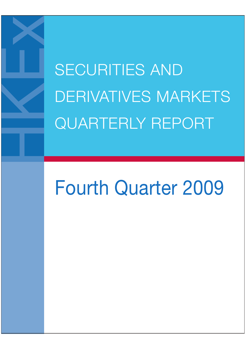SECURITIES AND DERIVATIVES MARKETS QUARTERLY REPORT

# Fourth Quarter 2009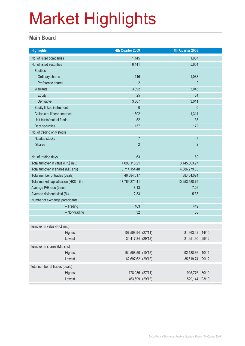#### **Main Board**

| <b>Highlights</b>                       |               | 4th Quarter 2009   |  | 4th Quarter 2008  |  |
|-----------------------------------------|---------------|--------------------|--|-------------------|--|
| No. of listed companies                 |               | 1,145              |  | 1,087             |  |
| No. of listed securities                |               | 6,441              |  | 5,654             |  |
| Equities                                |               |                    |  |                   |  |
| Ordinary shares                         |               | 1,146              |  | 1,088             |  |
| Preference shares                       |               | $\overline{2}$     |  | $\overline{2}$    |  |
| Warrants                                |               | 3,392              |  | 3,045             |  |
| <b>Equity</b>                           |               | 25                 |  | 34                |  |
| Derivative                              |               | 3,367              |  | 3,011             |  |
| Equity linked instrument                |               | $\theta$           |  | $\mathbf 0$       |  |
| Callable bull/bear contracts            |               | 1,692              |  | 1,314             |  |
| Unit trusts/mutual funds                |               | 52                 |  | 33                |  |
| Debt securities                         |               | 157                |  | 172               |  |
| No. of trading only stocks              |               |                    |  |                   |  |
| Nasdaq stocks                           |               | $\overline{7}$     |  | $\overline{7}$    |  |
| <b>iShares</b>                          |               | $\overline{2}$     |  | $\overline{2}$    |  |
|                                         |               |                    |  |                   |  |
| No. of trading days                     |               | 63                 |  | 62                |  |
| Total turnover in value (HK\$ mil.)     |               | 4,095,113.21       |  |                   |  |
| Total turnover in shares (Mil. shs)     |               | 6,714,154.48       |  | 4,386,279.65      |  |
| Total number of trades (deals)          |               | 46,684,617         |  | 38,454,024        |  |
| Total market capitalisation (HK\$ mil.) |               | 17,769,271.41      |  | 10,253,588.75     |  |
| Average P/E ratio (times)               |               | 18.13              |  | 7.26              |  |
| Average dividend yield (%)              |               | 2.33               |  | 5.38              |  |
| Number of exchange participants         |               |                    |  |                   |  |
|                                         | $-$ Trading   | 463                |  | 449               |  |
|                                         | - Non-trading | 32                 |  | 38                |  |
|                                         |               |                    |  |                   |  |
| Turnover in value (HK\$ mil.)           |               |                    |  |                   |  |
|                                         | Highest       | 107,508.94 (27/11) |  | 81,663.42 (14/10) |  |
|                                         | Lowest        | 34,417.84 (29/12)  |  | 21,951.90 (29/12) |  |
| Turnover in shares (Mil. shs)           |               |                    |  |                   |  |
|                                         | Highest       | 154,508.50 (10/12) |  | 92,188.66 (10/11) |  |
|                                         | Lowest        | 62,697.62 (29/12)  |  | 35,619.74 (29/12) |  |
| Total number of trades (deals)          |               |                    |  |                   |  |
|                                         | Highest       | 1,178,036 (27/11)  |  | 925,776 (30/10)   |  |
|                                         | Lowest        | 463,699 (29/12)    |  | 529,144 (03/10)   |  |
|                                         |               |                    |  |                   |  |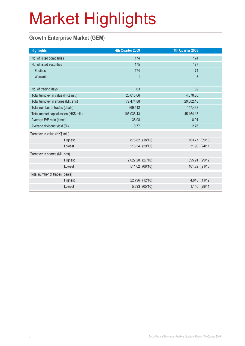#### **Growth Enterprise Market (GEM)**

| <b>Highlights</b>                       |         | 4th Quarter 2009 |                | 4th Quarter 2008 |                |
|-----------------------------------------|---------|------------------|----------------|------------------|----------------|
| No. of listed companies                 |         | 174              |                | 174              |                |
| No. of listed securities                |         | 175              |                | 177              |                |
| Equities                                |         | 174              |                | 174              |                |
| Warrants                                |         | $\overline{1}$   |                | $\mathfrak{S}$   |                |
|                                         |         |                  |                |                  |                |
| No. of trading days                     |         | 63               |                | 62               |                |
| Total turnover in value (HK\$ mil.)     |         | 25,613.06        |                | 4,070.30         |                |
| Total turnover in shares (Mil. shs)     |         | 72,474.88        |                | 20,002.18        |                |
| Total number of trades (deals)          |         | 669,412          |                | 147,433          |                |
| Total market capitalisation (HK\$ mil.) |         | 105,036.43       |                | 45,164.18        |                |
| Average P/E ratio (times)               |         | 38.98            |                | 8.01             |                |
| Average dividend yield (%)              |         | 0.77             |                | 2.76             |                |
| Turnover in value (HK\$ mil.)           |         |                  |                |                  |                |
|                                         | Highest |                  | 878.82 (18/12) |                  | 163.77 (09/10) |
|                                         | Lowest  |                  | 213.54 (29/12) |                  | 31.90 (24/11)  |
| Turnover in shares (Mil. shs)           |         |                  |                |                  |                |
|                                         | Highest | 2,027.20 (27/10) |                |                  | 895.91 (29/12) |
|                                         | Lowest  |                  | 511.02 (06/10) |                  | 161.82 (21/10) |
| Total number of trades (deals)          |         |                  |                |                  |                |
|                                         | Highest |                  | 22,796 (12/10) |                  | 4,843 (11/12)  |
|                                         | Lowest  |                  | 5,393 (05/10)  |                  | 1,146 (28/11)  |
|                                         |         |                  |                |                  |                |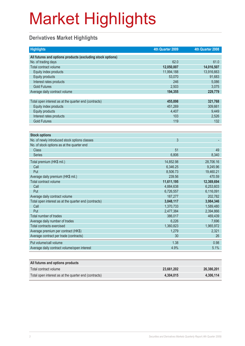#### **Derivatives Market Highlights**

| <b>Highlights</b>                                          | 4th Quarter 2009 | 4th Quarter 2008 |
|------------------------------------------------------------|------------------|------------------|
| All futures and options products (excluding stock options) |                  |                  |
| No. of trading days                                        | 62.0             | 61.0             |
| Total contract volume                                      | 12,050,007       | 14,016,507       |
| Equity index products                                      | 11,994,188       | 13,916,663       |
| <b>Equity products</b>                                     | 53,070           | 91,683           |
| Interest rates products                                    | 246              | 5,086            |
| <b>Gold Futures</b>                                        | 2,503            | 3,075            |
| Average daily contract volume                              | 194,355          | 229,779          |
|                                                            |                  |                  |
| Total open interest as at the quarter end (contracts)      | 455,898          | 321,768          |
| Equity index products                                      | 451,269          | 309,661          |
| <b>Equity products</b>                                     | 4,407            | 9,449            |
| Interest rates products                                    | 103              | 2.526            |
| <b>Gold Futures</b>                                        | 119              | 132              |
|                                                            |                  |                  |
| <b>Stock options</b>                                       |                  |                  |
| No. of newly introduced stock options classes              | $\overline{3}$   |                  |
| No. of stock options as at the quarter end                 |                  |                  |
| Class                                                      | 51               | 49               |
| <b>Series</b>                                              | 6,806            | 8,340            |
| Total premium (HK\$ mil.)                                  | 14,852.98        | 28,706.16        |
| Call                                                       | 6,346.25         | 9,245.96         |
| Put                                                        | 8,506.73         | 19,460.21        |
| Average daily premium (HK\$ mil.)                          | 239.56           | 470.59           |
| Total contract volume                                      | 11,611,195       | 12,369,694       |
| Call                                                       | 4,884,638        | 6,253,603        |
| Put                                                        | 6,726,557        | 6,116,091        |
| Average daily contract volume                              | 187,277          | 202,782          |
| Total open interest as at the quarter end (contracts)      | 3,848,117        | 3,984,346        |
| Call                                                       | 1,370,733        | 1,589,480        |
| Put                                                        | 2,477,384        | 2,394,866        |
| Total number of trades                                     | 386,017          | 469,439          |
| Average daily number of trades                             | 6,226            | 7,696            |
| Total contracts exercised                                  | 1,360,823        | 1,965,972        |
| Average premium per contract (HK\$)                        | 1,279            | 2,321            |
| Average contract per trade (contracts)                     | 30               | 26               |
| Put volume/call volume                                     | 1.38             | 0.98             |
| Average daily contract volume/open interest                | 4.9%             | 5.1%             |
|                                                            |                  |                  |

| All futures and options products                      |            |            |
|-------------------------------------------------------|------------|------------|
| Total contract volume                                 | 23.661.202 | 26,386,201 |
| Total open interest as at the quarter end (contracts) | 4.304.015  | 4,306,114  |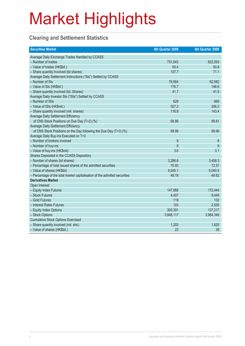#### **Clearing and Settlement Statistics**

| <b>Securities Market</b>                                                   | 4th Quarter 2009 | 4th Quarter 2008 |
|----------------------------------------------------------------------------|------------------|------------------|
| Average Daily Exchange Trades Handled by CCASS                             |                  |                  |
| - Number of trades                                                         | 751,643          | 622,593          |
| - Value of trades (HK\$bil.)                                               | 65.4             | 50.8             |
| - Share quantity Involved (bil shares)                                     | 107.7            | 71.1             |
| Average Daily Settlement Instructions ("SIs") Settled by CCASS             |                  |                  |
| - Number of SIs                                                            | 76,664           | 62,582           |
| - Value of SIs (HK\$bil.)                                                  | 176.7            | 146.6            |
| - Share quantity involved (bil. Shares)                                    | 41.7             | 41.5             |
| Average Daily Investor SIs ("ISIs") Settled by CCASS                       |                  |                  |
| - Number of ISIs                                                           | 629              | 669              |
| - Value of ISIs (HK\$mil.)                                                 | 527.2            | 206.2            |
| - Share quantity involved (mil. shares)                                    | 118.8            | 143.4            |
| <b>Average Daily Settlement Efficiency</b>                                 |                  |                  |
| of CNS Stock Positions on Due Day (T+2) (%)                                | 99.86            | 99.81            |
| Average Daily Settlement Efficiency                                        |                  |                  |
| of CNS Stock Positions on the Day following the Due Day (T+3) (%)          | 99.99            | 99.99            |
| Average Daily Buy-ins Executed on T+3                                      |                  |                  |
| - Number of brokers involved                                               | 8                | 8                |
| - Number of buy-ins                                                        | 9                | 9                |
| - Value of buy-ins (HK\$mil)                                               | 3.6              | 3.1              |
| Shares Deposited in the CCASS Depository                                   |                  |                  |
| - Number of shares (bil shares)                                            | 3,286.6          | 3,408.3          |
| - Percentage of total issued shares of the admitted securities             | 70.93            | 72.57            |
| - Value of shares (HK\$bil)                                                | 9,245.1          | 5,040.5          |
| - Percentage of the total market capitalisation of the admitted securities | 49.19            | 44.62            |
| <b>Derivatives Market</b>                                                  |                  |                  |
| Open Interest                                                              |                  |                  |
| - Equity Index Futures                                                     | 147,968          | 172,444          |
| - Stock Futures                                                            | 4,407            | 9,449            |
| - Gold Futures                                                             | 119              | 132              |
| - Interest Rates Futures                                                   | 103              | 2,526            |
| - Equity Index Options                                                     | 303,301          | 137,217          |
| - Stock Options                                                            | 3,848,117        | 3,984,346        |
| <b>Cumulative Stock Options Exercised</b>                                  |                  |                  |
| - Share quantity involved (mil. shs)                                       | 1,203            | 1,625            |
| - Value of shares (HK\$bil.)                                               | 23               | 38               |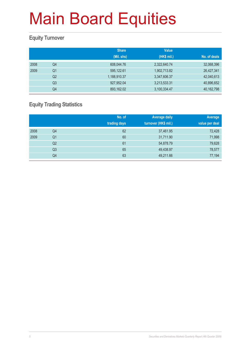#### **Equity Turnover**

|      |                | <b>Share</b> | <b>Value</b> |              |
|------|----------------|--------------|--------------|--------------|
|      |                | (Mil. shs)   | (HK\$ mil.)  | No. of deals |
| 2008 | Q4             | 608,044.76   | 2,322,640.74 | 32,068,396   |
| 2009 | Q <sub>1</sub> | 595,122.61   | 1,902,713.82 | 26,427,341   |
|      | Q <sub>2</sub> | 1,188,910.37 | 3,347,606.37 | 42,040,613   |
|      | Q <sub>3</sub> | 927,952.04   | 3,213,533.31 | 40,896,652   |
|      | Q4             | 893,162.02   | 3,100,334.47 | 40,162,798   |

#### **Equity Trading Statistics**

|      |                | No. of<br>trading days | <b>Average daily</b><br>turnover (HK\$ mil.) | Average<br>value per deal |
|------|----------------|------------------------|----------------------------------------------|---------------------------|
| 2008 | Q4             | 62                     | 37,461.95                                    | 72,428                    |
| 2009 | Q <sub>1</sub> | 60                     | 31,711.90                                    | 71,998                    |
|      | Q2             | 61                     | 54,878.79                                    | 79,628                    |
|      | Q <sub>3</sub> | 65                     | 49,438.97                                    | 78,577                    |
|      | Q4             | 63                     | 49,211.66                                    | 77,194                    |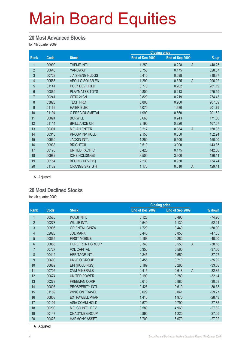#### **20 Most Advanced Stocks**

for 4th quarter 2009

|                |       |                        | <b>Closing price</b> |                 |                          |
|----------------|-------|------------------------|----------------------|-----------------|--------------------------|
| Rank           | Code  | <b>Stock</b>           | End of Dec 2009      | End of Sep 2009 | $%$ up                   |
| 1              | 00990 | THEME INT'L            | 1.250                | 0.228           | $\mathsf{A}$<br>448.25   |
| $\overline{2}$ | 00646 | YARDWAY                | 0.750                | 0.175           | 328.57                   |
| 3              | 00729 | <b>JIA SHENG HLDGS</b> | 0.410                | 0.098           | 318.37                   |
| 4              | 00566 | APOLLO SOLAR EN        | 1.290                | 0.325           | $\overline{A}$<br>296.92 |
| $\overline{5}$ | 01141 | POLY DEV HOLD          | 0.770                | 0.202           | 281.19                   |
| $6\phantom{.}$ | 00869 | <b>PLAYMATES TOYS</b>  | 0.800                | 0.213           | 275.59                   |
| $\overline{7}$ | 00241 | CITIC 21CN             | 0.820                | 0.219           | 274.43                   |
| $\bf 8$        | 03823 | <b>TECH PRO</b>        | 0.800                | 0.260           | 207.69                   |
| 9              | 01169 | <b>HAIER ELEC</b>      | 5.070                | 1.680           | 201.79                   |
| 10             | 01194 | C PRECIOUSMETAL        | 1.990                | 0.660           | 201.52                   |
| 11             | 00024 | <b>BURWILL</b>         | 0.660                | 0.243           | 171.60                   |
| 12             | 01114 | <b>BRILLIANCE CHI</b>  | 2.190                | 0.820           | 167.07                   |
| 13             | 00391 | <b>MEI AH ENTER</b>    | 0.217                | 0.084           | $\overline{A}$<br>158.33 |
| 14             | 00310 | PROSP INV HOLD         | 2.150                | 0.850           | 152.94                   |
| 15             | 00630 | <b>JACKIN INT'L</b>    | 1.250                | 0.500           | 150.00                   |
| 16             | 00933 | <b>BRIGHTOIL</b>       | 9.510                | 3.900           | 143.85                   |
| 17             | 00176 | <b>UNITED PACIFIC</b>  | 0.425                | 0.175           | 142.86                   |
| 18             | 00982 | <b>IONE HOLDINGS</b>   | 8.500                | 3.600           | 136.11                   |
| 19             | 00154 | <b>BEIJING DEV(HK)</b> | 2.230                | 0.950           | 134.74                   |
| 20             | 01132 | ORANGE SKY G H         | 1.170                | 0.510           | 129.41<br>$\overline{A}$ |

A Adjusted

#### **20 Most Declined Stocks**

for 4th quarter 2009

|                |       |                        |                 | <b>Closing price</b>    |          |
|----------------|-------|------------------------|-----------------|-------------------------|----------|
| Rank           | Code  | <b>Stock</b>           | End of Dec 2009 | End of Sep 2009         | % down   |
| 1              | 00585 | <b>IMAGI INT'L</b>     | 0.123           | 0.490                   | $-74.90$ |
| $\overline{2}$ | 00273 | <b>WILLIE INT'L</b>    | 0.540           | 1.130                   | $-52.21$ |
| 3              | 00996 | <b>ORIENTAL GINZA</b>  | 1.720           | 3.440                   | $-50.00$ |
| 4              | 02028 | <b>JOLIMARK</b>        | 0.445           | 0.850                   | $-47.65$ |
| $\overline{5}$ | 00865 | <b>FIRST MOBILE</b>    | 0.168           | 0.280                   | $-40.00$ |
| 6              | 00885 | <b>FOREFRONT GROUP</b> | 0.340           | 0.550<br>$\overline{A}$ | $-38.18$ |
| $\overline{7}$ | 00727 | <b>VXL CAPITAL</b>     | 0.350           | 0.560                   | $-37.50$ |
| $\bf 8$        | 00412 | <b>HERITAGE INT'L</b>  | 0.345           | 0.550                   | $-37.27$ |
| 9              | 00690 | <b>UNI-BIO GROUP</b>   | 0.455           | 0.710                   | $-35.92$ |
| 10             | 00689 | EPI (HOLDINGS)         | 0.189           | 0.285                   | $-33.68$ |
| 11             | 00705 | <b>CVM MINERALS</b>    | 0.415           | $\overline{A}$<br>0.618 | $-32.85$ |
| 12             | 00674 | <b>UNITED POWER</b>    | 0.190           | 0.280                   | $-32.14$ |
| 13             | 00279 | <b>FREEMAN CORP</b>    | 0.610           | 0.880                   | $-30.68$ |
| 14             | 00803 | PROSPERITY INTL        | 0.425           | 0.610                   | $-30.33$ |
| 15             | 01189 | <b>WING ON TRAVEL</b>  | 0.029           | 0.041                   | $-29.27$ |
| 16             | 00858 | <b>EXTRAWELL PHAR</b>  | 1.410           | 1.970                   | $-28.43$ |
| 17             | 00104 | <b>ASIA COMM HOLD</b>  | 0.570           | 0.790                   | $-27.85$ |
| 18             | 00200 | MELCO INT'L DEV        | 3.580           | 4.960                   | $-27.82$ |
| 19             | 00147 | <b>CHAOYUE GROUP</b>   | 0.890           | 1.220                   | $-27.05$ |
| 20             | 00428 | <b>HARMONY ASSET</b>   | 3.700           | 5.070                   | $-27.02$ |

A Adjusted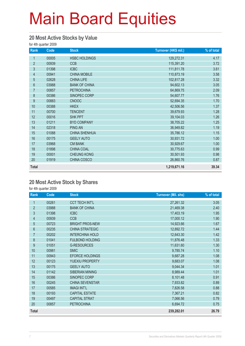#### **20 Most Active Stocks by Value**

for 4th quarter 2009

| Rank           | Code  | <b>Stock</b>         | Turnover (HK\$ mil.) | % of total |
|----------------|-------|----------------------|----------------------|------------|
| 1              | 00005 | <b>HSBC HOLDINGS</b> | 129,272.31           | 4.17       |
| $\overline{2}$ | 00939 | <b>CCB</b>           | 115,391.20           | 3.72       |
| $\mathfrak{S}$ | 01398 | <b>ICBC</b>          | 111,811.78           | 3.61       |
| 4              | 00941 | <b>CHINA MOBILE</b>  | 110,873.19           | 3.58       |
| $\overline{5}$ | 02628 | <b>CHINA LIFE</b>    | 102,817.28           | 3.32       |
| $6\phantom{.}$ | 03988 | <b>BANK OF CHINA</b> | 94,602.13            | 3.05       |
| $\overline{7}$ | 00857 | <b>PETROCHINA</b>    | 64,869.75            | 2.09       |
| 8              | 00386 | SINOPEC CORP         | 54,607.77            | 1.76       |
| 9              | 00883 | <b>CNOOC</b>         | 52,694.35            | 1.70       |
| 10             | 00388 | <b>HKEX</b>          | 42,506.56            | 1.37       |
| 11             | 00700 | <b>TENCENT</b>       | 39,679.93            | 1.28       |
| 12             | 00016 | <b>SHK PPT</b>       | 39,104.03            | 1.26       |
| 13             | 01211 | <b>BYD COMPANY</b>   | 38,705.22            | 1.25       |
| 14             | 02318 | <b>PING AN</b>       | 36,949.82            | 1.19       |
| 15             | 01088 | <b>CHINA SHENHUA</b> | 35,786.12            | 1.15       |
| 16             | 00175 | <b>GEELY AUTO</b>    | 30,931.72            | 1.00       |
| 17             | 03968 | <b>CM BANK</b>       | 30,929.67            | 1.00       |
| 18             | 01898 | <b>CHINA COAL</b>    | 30,775.63            | 0.99       |
| 19             | 00001 | <b>CHEUNG KONG</b>   | 30,501.93            | 0.98       |
| 20             | 01919 | CHINA COSCO          | 26,860.76            | 0.87       |
| <b>Total</b>   |       |                      | 1,219,671.16         | 39.34      |

#### **20 Most Active Stock by Shares**

| Rank           | Code  | <b>Stock</b>           | <b>Turnover (Mil. shs)</b> | % of total |
|----------------|-------|------------------------|----------------------------|------------|
| 1              | 00261 | <b>CCT TECH INT'L</b>  | 27,261.32                  | 3.05       |
| $\overline{2}$ | 03988 | <b>BANK OF CHINA</b>   | 21,469.38                  | 2.40       |
| 3              | 01398 | <b>ICBC</b>            | 17,403.19                  | 1.95       |
| $\overline{4}$ | 00939 | <b>CCB</b>             | 17,000.12                  | 1.90       |
| 5              | 00723 | <b>BRIGHT PROS-NEW</b> | 14,923.66                  | 1.67       |
| 6              | 00235 | <b>CHINA STRATEGIC</b> | 12,892.72                  | 1.44       |
| $\overline{7}$ | 00202 | <b>INTERCHINA HOLD</b> | 12,643.30                  | 1.42       |
| 8              | 01041 | <b>FULBOND HOLDING</b> | 11,876.48                  | 1.33       |
| 9              | 01051 | <b>G-RESOURCES</b>     | 11,631.60                  | 1.30       |
| 10             | 00981 | <b>SMIC</b>            | 9,785.74                   | 1.10       |
| 11             | 00943 | EFORCE HOLDINGS        | 9,687.28                   | 1.08       |
| 12             | 00123 | YUEXIU PROPERTY        | 9,683.07                   | 1.08       |
| 13             | 00175 | <b>GEELY AUTO</b>      | 9,044.34                   | 1.01       |
| 14             | 01142 | SIBERIAN MINING        | 8,989.44                   | 1.01       |
| 15             | 00386 | SINOPEC CORP           | 8,101.48                   | 0.91       |
| 16             | 00245 | CHINA SEVENSTAR        | 7,933.82                   | 0.89       |
| 17             | 00585 | <b>IMAGI INT'L</b>     | 7,826.58                   | 0.88       |
| 18             | 00193 | <b>CAPITAL ESTATE</b>  | 7,367.21                   | 0.82       |
| 19             | 00497 | <b>CAPITAL STRAT</b>   | 7,066.56                   | 0.79       |
| 20             | 00857 | <b>PETROCHINA</b>      | 6,694.72                   | 0.75       |
| <b>Total</b>   |       |                        | 239,282.01                 | 26.79      |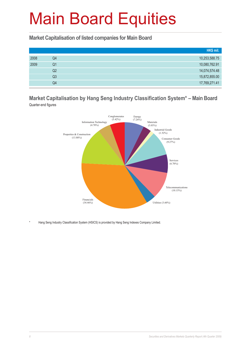**Market Capitalisation of listed companies for Main Board**

|      |    | HK\$ mil.     |
|------|----|---------------|
| 2008 | Q4 | 10,253,588.75 |
| 2009 | Q1 | 10,080,762.91 |
|      | Q2 | 14,074,574.48 |
|      | Q3 | 15,872,855.00 |
|      | Q4 | 17,769,271.41 |

**Market Capitalisation by Hang Seng Industry Classification System\* – Main Board** Quarter-end figures



Hang Seng Industry Classification System (HSICS) is provided by Hang Seng Indexes Company Limited.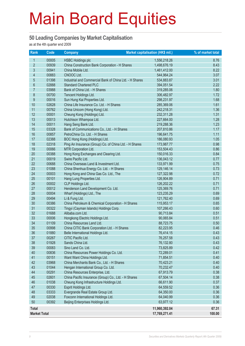#### **50 Leading Companies by Market Capitalisation**

as at the 4th quarter end 2009

| <b>Rank</b>         | <b>Code</b>    | <b>Company</b>                                                      | Market capitalisation (HK\$ mil.) | % of market total |
|---------------------|----------------|---------------------------------------------------------------------|-----------------------------------|-------------------|
| 1                   | 00005          | <b>HSBC Holdings plc</b>                                            | 1,556,218.26                      | 8.76              |
| $\overline{2}$      | 00939          | China Construction Bank Corporation - H Shares                      | 1,498,676.19                      | 8.43              |
| 3                   | 00941          | China Mobile Ltd.                                                   | 1,461,412.00                      | 8.22              |
| 4                   | 00883          | CNOOC Ltd.                                                          | 544,964.24                        | 3.07              |
| $\overline{5}$      | 01398          | Industrial and Commercial Bank of China Ltd. - H Shares             | 534,883.87                        | 3.01              |
| $6\,$               | 02888          | <b>Standard Chartered PLC</b>                                       | 394,051.54                        | 2.22              |
| $\overline{7}$      | 03988          | Bank of China Ltd. - H Shares                                       | 319,285.06                        | 1.80              |
| 8                   | 00700          | Tencent Holdings Ltd.                                               | 306,482.97                        | 1.72              |
| 9                   | 00016          | Sun Hung Kai Properties Ltd.                                        | 298,231.97                        | 1.68              |
| 10                  | 02628          | China Life Insurance Co. Ltd. - H Shares                            | 285,369.06                        | 1.61              |
| 11                  | 00762          | China Unicom (Hong Kong) Ltd.                                       | 242,218.31                        | 1.36              |
| 12                  | 00001          | Cheung Kong (Holdings) Ltd.                                         | 232,311.28                        | 1.31              |
| 13                  | 00013          | Hutchison Whampoa Ltd.                                              | 227,664.00                        | 1.28              |
| 14                  | 00011          | Hang Seng Bank Ltd.                                                 | 219,288.36                        | 1.23              |
| 15                  | 03328          | Bank of Communications Co., Ltd. - H Shares                         | 207,810.86                        | 1.17              |
| 16                  | 00857          | PetroChina Co. Ltd. - H Shares                                      | 196,641.75                        | 1.11              |
| 17                  | 02388          | BOC Hong Kong (Holdings) Ltd.                                       | 186,080.93                        | 1.05              |
| 18                  | 02318          | Ping An Insurance (Group) Co. of China Ltd. - H Shares              | 173,987.77                        | 0.98              |
| 19                  | 00066          | MTR Corporation Ltd.                                                | 153,504.43                        | 0.86              |
| 20                  | 00388          | Hong Kong Exchanges and Clearing Ltd.                               | 150,016.33                        | 0.84              |
| 21                  | 00019          | Swire Pacific Ltd.                                                  | 136,043.12                        | 0.77              |
| 22                  | 00688          | China Overseas Land & Investment Ltd.                               | 133,971.99                        | 0.75              |
| 23                  | 01088          | China Shenhua Energy Co. Ltd. - H Shares                            | 129,146.14                        | 0.73              |
| 24                  | 00003          | Hong Kong and China Gas Co. Ltd., The                               | 127,322.98                        | 0.72              |
| 25                  | 00101          | Hang Lung Properties Ltd.                                           | 126,904.89                        | 0.71              |
| 26                  | 00002          | CLP Holdings Ltd.                                                   | 126,202.22                        | 0.71              |
| 27                  | 00012          | Henderson Land Development Co. Ltd.                                 | 125,369.76                        | 0.71              |
| 28<br>29            | 00004          | Wharf (Holdings) Ltd., The                                          | 123,235.29                        | 0.69<br>0.69      |
| 30                  | 00494<br>00386 | Li & Fung Ltd.<br>China Petroleum & Chemical Corporation - H Shares | 121,762.40<br>115,953.17          | 0.65              |
| 31                  | 00322          | Tingyi (Cayman Islands) Holdings Corp.                              | 107,266.43                        | 0.60              |
| 32                  | 01688          | Alibaba.com Ltd.                                                    | 90,713.84                         | 0.51              |
| 33                  | 00006          | Hongkong Electric Holdings Ltd.                                     | 90,065.84                         | 0.51              |
| 34                  | 01109          | China Resources Land Ltd.                                           | 88,723.75                         | 0.50              |
| 35                  | 00998          | China CITIC Bank Corporation Ltd. - H Shares                        | 82,223.95                         | 0.46              |
| 36                  | 01880          | Belle International Holdings Ltd.                                   | 76,414.15                         | 0.43              |
| 37                  | 00267          | CITIC Pacific Ltd.                                                  | 76,257.58                         | 0.43              |
| 38                  | 01928          | Sands China Ltd.                                                    | 76,132.80                         | 0.43              |
| 39                  | 00083          | Sino Land Co. Ltd.                                                  | 73,825.89                         | 0.42              |
| 40                  | 00836          | China Resources Power Holdings Co. Ltd.                             | 72,289.01                         | 0.41              |
| 41                  | 00151          | Want Want China Holdings Ltd.                                       | 71,854.51                         | 0.40              |
| 42                  | 03968          | China Merchants Bank Co., Ltd. - H Shares                           | 70,423.21                         | 0.40              |
| 43                  | 01044          | Hengan International Group Co. Ltd.                                 | 70,232.47                         | 0.40              |
| 44                  | 00291          | China Resources Enterprise, Ltd.                                    | 67,913.79                         | 0.38              |
| 45                  | 02601          | China Pacific Insurance (Group) Co., Ltd. - H Shares                | 67,504.14                         | 0.38              |
| 46                  | 01038          | Cheung Kong Infrastructure Holdings Ltd.                            | 66,611.90                         | 0.37              |
| 47                  | 00330          | Esprit Holdings Ltd.                                                | 64,559.52                         | 0.36              |
| 48                  | 03333          | Evergrande Real Estate Group Ltd.                                   | 64,350.00                         | 0.36              |
| 49                  | 02038          | Foxconn International Holdings Ltd.                                 | 64,040.99                         | 0.36              |
| 50                  | 00392          | Beijing Enterprises Holdings Ltd.                                   | 63,977.12                         | 0.36              |
| <b>Total</b>        |                |                                                                     | 11,960,392.04                     | 67.31             |
| <b>Market Total</b> |                |                                                                     | 17,769,271.41                     | 100.00            |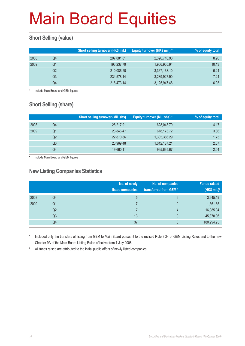#### **Short Selling (value)**

|      |    | Short selling turnover (HK\$ mil.) | Equity turnover (HK\$ mil.) * | % of equity total |
|------|----|------------------------------------|-------------------------------|-------------------|
| 2008 | Q4 | 207,081.01                         | 2,326,710.98                  | 8.90              |
| 2009 | Q1 | 193,237.79                         | 1,906,905.94                  | 10.13             |
|      | Q2 | 210,086.20                         | 3,367,168.10                  | 6.24              |
|      | Q3 | 234,578.14                         | 3,239,927.90                  | 7.24              |
|      | Q4 | 216,473.14                         | 3,125,947.48                  | 6.93              |

include Main Board and GEM figures

#### **Short Selling (share)**

|      |    | <b>Short selling turnover (Mil. shs)</b> | Equity turnover (Mil. shs) * | % of equity total |
|------|----|------------------------------------------|------------------------------|-------------------|
| 2008 | Q4 | 26,217.91                                | 628,043.79                   | 4.17              |
| 2009 | Q1 | 23,846.47                                | 618,173.72                   | 3.86              |
|      | Q2 | 22,870.86                                | 1,305,366.29                 | 1.75              |
|      | Q3 | 20,969.48                                | 1,012,187.21                 | 2.07              |
|      | Q4 | 19,660.11                                | 965,635.67                   | 2.04              |

include Main Board and GEM figures

#### **New Listing Companies Statistics**

|      |                | No. of newly<br>listed companies | No. of companies<br>transferred from GEM* | <b>Funds raised</b><br>(HK\$ mil.) $#$ |
|------|----------------|----------------------------------|-------------------------------------------|----------------------------------------|
| 2008 | Q4             | 5                                | 6                                         | 3,645.19                               |
| 2009 | Q <sub>1</sub> |                                  | 0                                         | 1,561.65                               |
|      | Q <sub>2</sub> |                                  | 4                                         | 16,085.94                              |
|      | Q <sub>3</sub> | 13                               | $\Omega$                                  | 45,370.96                              |
|      | Q4             | 37                               |                                           | 180,994.95                             |

Included only the transfers of listing from GEM to Main Board pursuant to the revised Rule 9.24 of GEM Listing Rules and to the new Chapter 9A of the Main Board Listing Rules effective from 1 July 2008

# All funds raised are attributed to the initial public offers of newly listed companies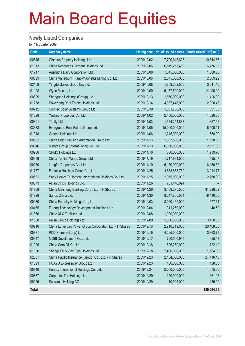#### **Newly Listed Companies**

| Code  | <b>Company name</b>                                    |            |                | Listing date No. of issued shares Funds raised (HK\$ mil.) |
|-------|--------------------------------------------------------|------------|----------------|------------------------------------------------------------|
| 00845 | Glorious Property Holdings Ltd.                        | 2009/10/02 | 7,790,645,623  | 10,544.56                                                  |
| 01313 | China Resources Cement Holdings Ltd.                   | 2009/10/06 | 6,519,255,462  | 6,776.13                                                   |
| 01717 | Ausnutria Dairy Corporation Ltd.                       | 2009/10/08 | 1,045,000,000  | 1,380.00                                                   |
| 00893 | China Vanadium Titano-Magnetite Mining Co. Ltd.        | 2009/10/08 | 2,075,000,000  | 2,369.92                                                   |
| 02168 | Yingde Gases Group Co. Ltd.                            | 2009/10/08 | 1,809,232,500  | 3,641.10                                                   |
| 01128 | Wynn Macau, Ltd.                                       | 2009/10/09 | 5,187,500,000  | 14,490.00                                                  |
| 00829 | Shenguan Holdings (Group) Ltd.                         | 2009/10/13 | 1,660,000,000  | 1,426.00                                                   |
| 01238 | Powerlong Real Estate Holdings Ltd.                    | 2009/10/14 | 4,087,448,000  | 2,990.48                                                   |
| 00712 | Comtec Solar Systems Group Ltd.                        | 2009/10/30 | 1,031,738,000  | 591.65                                                     |
| 01628 | Yuzhou Properties Co. Ltd.                             | 2009/11/02 | 2,400,000,000  | 1,620.00                                                   |
| 00891 | Trinity Ltd.                                           | 2009/11/03 | 1,574,254,883  | 857.55                                                     |
| 03333 | Evergrande Real Estate Group Ltd.                      | 2009/11/05 | 15,000,000,000 | 6,500.11                                                   |
| 01318 | Greens Holdings Ltd.                                   | 2009/11/06 | 1,245,000,000  | 558.90                                                     |
| 00591 | China High Precision Automation Group Ltd.             | 2009/11/13 | 1,037,500,000  | 1,150.00                                                   |
| 00846 | Mingfa Group (International) Co. Ltd.                  | 2009/11/13 | 6,000,000,000  | 2,151.00                                                   |
| 00906 | CPMC Holdings Ltd.                                     | 2009/11/16 | 830,000,000    | 1,239.70                                                   |
| 00389 | China Tontine Wines Group Ltd.                         | 2009/11/19 | 1,717,934,000  | 595.07                                                     |
| 00960 | Longfor Properties Co. Ltd.                            | 2009/11/19 | 5,150,000,000  | 8,130.50                                                   |
| 01777 | Fantasia Holdings Group Co., Ltd.                      | 2009/11/25 | 4,873,888,750  | 3,214.77                                                   |
| 00631 | Sany Heavy Equipment International Holdings Co. Ltd.   | 2009/11/25 | 2,075,000,000  | 2,760.00                                                   |
| 00073 | Asian Citrus Holdings Ltd.                             | 2009/11/26 | 781,440,094    |                                                            |
| 01988 | China Minsheng Banking Corp., Ltd. - H Shares          | 2009/11/26 | 3,439,275,500  | 31,228.62                                                  |
| 01928 | Sands China Ltd.                                       | 2009/11/30 | 8,047,865,084  | 19,410.60                                                  |
| 00930 | China Forestry Holdings Co., Ltd.                      | 2009/12/03 | 3,060,452,000  | 1,677.64                                                   |
| 00465 | Futong Technology Development Holdings Ltd.            | 2009/12/04 | 311,250,000    | 140.59                                                     |
| 01866 | China XLX Fertiliser Ltd.                              | 2009/12/08 | 1,000,000,000  |                                                            |
| 01638 | Kaisa Group Holdings Ltd.                              | 2009/12/09 | 5,000,000,000  | 3,450.00                                                   |
| 00916 | China Longyuan Power Group Corporation Ltd. - H Shares | 2009/12/10 | 2,710,719,000  | 20,108.60                                                  |
| 00331 | PCD Stores (Group) Ltd.                                | 2009/12/15 | 4,225,000,000  | 3,363.75                                                   |
| 00947 | MOBI Development Co., Ltd.                             | 2009/12/17 | 720,500,995    | 655.58                                                     |
| 01006 | China Corn Oil Co. Ltd.                                | 2009/12/18 | 526,250,000    | 722.49                                                     |
| 01080 | Shengli Oil & Gas Pipe Holdings Ltd.                   | 2009/12/18 | 2,400,000,000  | 1,584.00                                                   |
| 02601 | China Pacific Insurance (Group) Co., Ltd. - H Shares   | 2009/12/23 | 2,184,600,000  | 24,116.40                                                  |
| 01823 | HUAYU Expressway Group Ltd.                            | 2009/12/23 | 400,000,000    | 128.00                                                     |
| 00946 | Hontex International Holdings Co. Ltd.                 | 2009/12/24 | 2,000,000,000  | 1,075.00                                                   |
| 00837 | Carpenter Tan Holdings Ltd.                            | 2009/12/29 | 250,000,000    | 161.25                                                     |
| 00955 | Schramm Holding AG                                     | 2009/12/29 | 19,905,000     | 185.00                                                     |
| Total |                                                        |            |                | 180,994.95                                                 |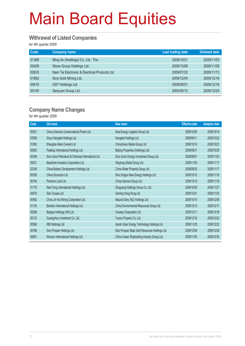#### **Withrawal of Listed Companies**

for 4th quarter 2009

| Code  | <b>Company name</b>                           | Last trading date | <b>Delisted date</b> |
|-------|-----------------------------------------------|-------------------|----------------------|
| 01389 | Ming An (Holdings) Co. Ltd., The              | 2009/10/21        | 2009/11/03           |
| 00409 | Stone Group Holdings Ltd.                     | 2009/10/06        | 2009/11/09           |
| 02633 | Nam Tai Electronic & Electrical Products Ltd. | 2009/07/22        | 2009/11/13           |
| 01862 | Sino Gold Mining Ltd.                         | 2009/12/04        | 2009/12/16           |
| 00416 | <b>GST Holdings Ltd.</b>                      | 2009/08/21        | 2009/12/18           |
| 00140 | Sanyuan Group Ltd.                            | 2004/05/12        | 2009/12/24           |

#### **Company Name Changes**

| Code  | Old name                                           | New name                                        | <b>Effective date</b> | <b>Adoption date</b> |
|-------|----------------------------------------------------|-------------------------------------------------|-----------------------|----------------------|
| 00351 | China Sciences Conservational Power Ltd.           | Asia Energy Logistics Group Ltd.                | 2009/10/06            | 2009/10/14           |
| 03389 | Xinyu Hengdeli Holdings Ltd.                       | Hengdeli Holdings Ltd.                          | 2009/09/11            | 2009/10/22           |
| 01060 | Shanghai Allied Cement Ltd.                        | ChinaVision Media Group Ltd.                    | 2009/10/14            | 2009/10/23           |
| 00925 | Peaktop International Holdings Ltd.                | Beijing Properties (Holdings) Ltd.              | 2009/09/21            | 2009/10/29           |
| 00346 | Sino Union Petroleum & Chemical International Ltd. | Sino Union Energy Investment Group Ltd.         | 2009/09/01            | 2009/11/03           |
| 00021 | Beauforte Investors Corporation Ltd.               | Waytung Global Group Ltd.                       | 2009/11/09            | 2009/11/17           |
| 02349 | China Botanic Development Holdings Ltd.            | China Water Property Group Ltd.                 | 2009/09/30            | 2009/11/17           |
| 00395 | China Zirconium Ltd.                               | Sino Dragon New Energy Holdings Ltd.            | 2009/10/12            | 2009/11/18           |
| 00164 | Premium Land Ltd.                                  | China Gamma Group Ltd.                          | 2009/10/19            | 2009/11/18           |
| 01176 | Nam Fong International Holdings Ltd.               | Zhuguang Holdings Group Co. Ltd.                | 2009/10/28            | 2009/11/27           |
| 00678 | Star Cruises Ltd.                                  | Genting Hong Kong Ltd.                          | 2009/10/21            | 2009/11/30           |
| 00462 | China Jin Hui Mining Corporation Ltd.              | Natural Dairy (NZ) Holdings Ltd.                | 2009/10/14            | 2009/12/08           |
| 01130 | Benefun International Holdings Ltd.                | China Environmental Resources Group Ltd.        | 2009/10/12            | 2009/12/17           |
| 00288 | Berjaya Holdings (HK) Ltd.                         | Cosway Corporation Ltd.                         | 2009/12/11            | 2009/12/18           |
| 00123 | Guangzhou Investment Co. Ltd.                      | Yuexiu Property Co. Ltd.                        | 2009/12/16            | 2009/12/22           |
| 00566 | RBI Holdings Ltd.                                  | Apollo Solar Energy Technology Holdings Ltd.    | 2009/11/25            | 2009/12/22           |
| 00766 | Sino Prosper Holdings Ltd.                         | Sino Prosper State Gold Resources Holdings Ltd. | 2009/12/08            | 2009/12/28           |
| 00651 | Wonson International Holdings Ltd.                 | China Ocean Shipbuilding Industry Group Ltd.    | 2009/11/05            | 2009/12/30           |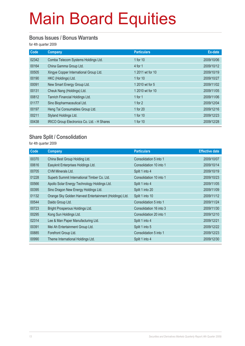#### **Bonus Issues / Bonus Warrants**

for 4th quarter 2009

| Code  | Company                                     | <b>Particulars</b> | Ex-date    |
|-------|---------------------------------------------|--------------------|------------|
| 02342 | Comba Telecom Systems Holdings Ltd.         | 1 for 10           | 2009/10/06 |
| 00164 | China Gamma Group Ltd.                      | $4$ for 1          | 2009/10/12 |
| 00505 | Xingye Copper International Group Ltd.      | 1 2011 wt for 10   | 2009/10/19 |
| 00190 | HKC (Holdings) Ltd.                         | 1 for 10           | 2009/10/27 |
| 00091 | New Smart Energy Group Ltd.                 | 1 2010 wt for 5    | 2009/11/02 |
| 00131 | Cheuk Nang (Holdings) Ltd.                  | 1 2010 wt for 10   | 2009/11/05 |
| 00812 | Tanrich Financial Holdings Ltd.             | 1 for $1$          | 2009/11/06 |
| 01177 | Sino Biopharmaceutical Ltd.                 | 1 for 2            | 2009/12/04 |
| 00197 | Heng Tai Consumables Group Ltd.             | 1 for 20           | 2009/12/16 |
| 00211 | Styland Holdings Ltd.                       | 1 for 10           | 2009/12/23 |
| 00438 | IRICO Group Electronics Co. Ltd. - H Shares | 1 for 10           | 2009/12/28 |

#### **Share Split / Consolidation**

| Code  | <b>Company</b>                                          | <b>Particulars</b>      | <b>Effective date</b> |
|-------|---------------------------------------------------------|-------------------------|-----------------------|
| 00370 | China Best Group Holding Ltd.                           | Consolidation 5 into 1  | 2009/10/07            |
| 00616 | Easyknit Enterprises Holdings Ltd.                      | Consolidation 10 into 1 | 2009/10/14            |
| 00705 | CVM Minerals Ltd.                                       | Split 1 into 4          | 2009/10/19            |
| 01228 | Superb Summit International Timber Co. Ltd.             | Consolidation 10 into 1 | 2009/10/23            |
| 00566 | Apollo Solar Energy Technology Holdings Ltd.            | Split 1 into 4          | 2009/11/05            |
| 00395 | Sino Dragon New Energy Holdings Ltd.                    | Split 1 into 20         | 2009/11/09            |
| 01132 | Orange Sky Golden Harvest Entertainment (Holdings) Ltd. | Split 1 into 10         | 2009/11/12            |
| 00544 | Daido Group Ltd.                                        | Consolidation 5 into 1  | 2009/11/24            |
| 00723 | Bright Prosperous Holdings Ltd.                         | Consolidation 16 into 3 | 2009/11/30            |
| 00295 | Kong Sun Holdings Ltd.                                  | Consolidation 20 into 1 | 2009/12/10            |
| 02314 | Lee & Man Paper Manufacturing Ltd.                      | Split 1 into 4          | 2009/12/21            |
| 00391 | Mei Ah Entertainment Group Ltd.                         | Split 1 into 5          | 2009/12/22            |
| 00885 | Forefront Group Ltd.                                    | Consolidation 5 into 1  | 2009/12/23            |
| 00990 | Theme International Holdings Ltd.                       | Split 1 into 4          | 2009/12/30            |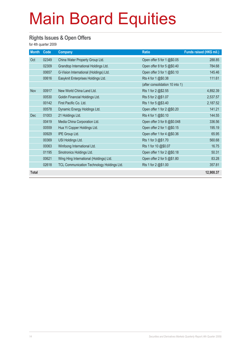#### **Rights Issues & Open Offers**

| <b>Month</b> | Code  | <b>Company</b>                             | <b>Ratio</b>                    | Funds raised (HK\$ mil.) |
|--------------|-------|--------------------------------------------|---------------------------------|--------------------------|
| Oct          | 02349 | China Water Property Group Ltd.            | Open offer 5 for 1 @\$0.05      | 288.85                   |
|              | 02309 | Grandtop International Holdings Ltd.       | Open offer 8 for 5 @\$0.40      | 784.68                   |
|              | 00657 | G-Vision International (Holdings) Ltd.     | Open offer 3 for 1 @\$0.10      | 145.46                   |
|              | 00616 | Easyknit Enterprises Holdings Ltd.         | Rts 4 for 1 @\$0.38             | 111.61                   |
|              |       |                                            | (after consolidation 10 into 1) |                          |
| Nov          | 00917 | New World China Land Ltd.                  | Rts 1 for 2 @\$2.55             | 4,892.39                 |
|              | 00530 | Goldin Financial Holdings Ltd.             | Rts 5 for 2 @\$1.07             | 2,537.57                 |
|              | 00142 | First Pacific Co. Ltd.                     | Rts 1 for 5 @\$3.40             | 2,187.52                 |
|              | 00578 | Dynamic Energy Holdings Ltd.               | Open offer 1 for 2 @\$0.20      | 141.21                   |
| <b>Dec</b>   | 01003 | 21 Holdings Ltd.                           | Rts 4 for 1 @\$0.10             | 144.55                   |
|              | 00419 | Media China Corporation Ltd.               | Open offer 3 for 8 @\$0.048     | 336.56                   |
|              | 00559 | Hua Yi Copper Holdings Ltd.                | Open offer 2 for 1 @\$0.15      | 195.19                   |
|              | 00929 | IPE Group Ltd.                             | Open offer 1 for 4 @\$0.36      | 65.95                    |
|              | 00369 | USI Holdings Ltd.                          | Rts 1 for 3 @\$1.70             | 560.68                   |
|              | 00063 | Winfoong International Ltd.                | Rts 1 for 10 @\$0.07            | 16.75                    |
|              | 01195 | Sinotronics Holdings Ltd.                  | Open offer 1 for 2 @\$0.18      | 50.31                    |
|              | 00621 | Wing Hing International (Holdings) Ltd.    | Open offer 2 for 5 @\$1.80      | 83.28                    |
|              | 02618 | TCL Communication Technology Holdings Ltd. | Rts 1 for 2 @\$1.00             | 357.81                   |
| <b>Total</b> |       |                                            |                                 | 12,900.37                |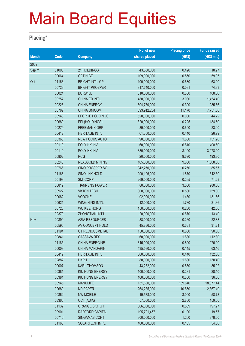#### **Placing\***

|              |       |                        | No. of new    | <b>Placing price</b> | <b>Funds raised</b> |
|--------------|-------|------------------------|---------------|----------------------|---------------------|
| <b>Month</b> | Code  | <b>Company</b>         | shares placed | (HK\$)               | (HK\$ mil.)         |
| 2009         |       |                        |               |                      |                     |
| Sep**        | 01003 | 21 HOLDINGS            | 43,500,000    | 0.420                | 18.27               |
|              | 00064 | <b>GET NICE</b>        | 109,000,000   | 0.550                | 59.95               |
| Oct          | 01163 | <b>BRIGHT INT'L GP</b> | 100,000,000   | 0.630                | 63.00               |
|              | 00723 | <b>BRIGHT PROSPER</b>  | 917,640,000   | 0.081                | 74.33               |
|              | 00024 | <b>BURWILL</b>         | 310,000,000   | 0.350                | 108.50              |
|              | 00257 | CHINA EB INT'L         | 480,000,000   | 3.030                | 1,454.40            |
|              | 00228 | <b>CHINA ENERGY</b>    | 604,780,000   | 0.390                | 235.86              |
|              | 00762 | <b>CHINA UNICOM</b>    | 693,912,264   | 11.170               | 7,751.00            |
|              | 00943 | EFORCE HOLDINGS        | 520,000,000   | 0.086                | 44.72               |
|              | 00689 | EPI (HOLDINGS)         | 820,000,000   | 0.225                | 184.50              |
|              | 00279 | <b>FREEMAN CORP</b>    | 39,000,000    | 0.600                | 23.40               |
|              | 00412 | <b>HERITAGE INT'L</b>  | 61,350,000    | 0.440                | 26.99               |
|              | 00360 | <b>NEW FOCUS AUTO</b>  | 90,000,000    | 1.680                | 151.20              |
|              | 00119 | POLY HK INV            | 60,000,000    | 6.810                | 408.60              |
|              | 00119 | POLY HK INV            | 380,000,000   | 8.100                | 3,078.00            |
|              | 00802 | <b>RCG</b>             | 20,000,000    | 9.690                | 193.80              |
|              | 00246 | <b>REALGOLD MINING</b> | 105,000,000   | 9.600                | 1,008.00            |
|              | 00766 | SINO PROSPER SG        | 342,270,000   | 0.250                | 85.57               |
|              | 01168 | <b>SINOLINK HOLD</b>   | 290,106,000   | 1.870                | 542.50              |
|              | 00198 | <b>SMI CORP</b>        | 269,000,000   | 0.265                | 71.29               |
|              | 00819 | <b>TIANNENG POWER</b>  | 80,000,000    | 3.500                | 280.00              |
|              | 00922 | <b>VISION TECH</b>     | 300,000,000   | 0.530                | 159.00              |
|              | 00082 | <b>VODONE</b>          | 92,000,000    | 1.430                | 131.56              |
|              | 00621 | WING HING INT'L        | 12,000,000    | 1.780                | 21.36               |
|              | 00720 | <b>WO KEE HONG</b>     | 150,000,000   | 0.280                | 42.00               |
|              | 02379 | <b>ZHONGTIAN INT'L</b> | 20,000,000    | 0.670                | 13.40               |
| Nov          | 00899 | <b>ASIA RESOURCES</b>  | 88,000,000    | 0.260                | 22.88               |
|              | 00595 | AV CONCEPT HOLD        | 45,836,000    | 0.681                | 31.21               |
|              | 01194 | C PRECIOUSMETAL        | 150,000,000   | 0.600                | 90.00               |
|              | 00841 | <b>CASSAVA RES</b>     | 60,000,000    | 1.880                | 112.80              |
|              | 01185 | <b>CHINA ENERGINE</b>  | 345,000,000   | 0.800                | 276.00              |
|              | 00009 | <b>CHINA MANDARIN</b>  | 435,580,000   | 0.145                | 63.16               |
|              | 00412 | <b>HERITAGE INT'L</b>  | 300,000,000   | 0.440                | 132.00              |
|              | 02882 | <b>HKRH</b>            | 80,000,000    | 1.630                | 130.40              |
|              | 00007 | <b>KARL THOMSON</b>    | 43,282,000    | 0.830                | 35.92               |
|              | 00381 | KIU HUNG ENERGY        | 100,000,000   | 0.281                | 28.10               |
|              | 00381 | KIU HUNG ENERGY        | 100,000,000   | 0.360                | 36.00               |
|              | 00945 | <b>MANULIFE</b>        | 131,600,000   | 139.646              | 18,377.44           |
|              | 02689 | <b>ND PAPER</b>        | 264,285,000   | 10.850               | 2,867.49            |
|              | 00862 | <b>NW MOBILE</b>       | 19,578,000    | 3.000                | 58.73               |
|              | 03366 | OCT (ASIA)             | 57,000,000    | 2.800                | 159.60              |
|              | 01132 | ORANGE SKY G H         | 366,000,000   | 0.539                | 197.27              |
|              | 00901 | RADFORD CAPITAL        | 195,701,457   | 0.100                | 19.57               |
|              | 00716 | SINGAMAS CONT          | 300,000,000   | 1.260                | 378.00              |
|              | 01166 | SOLARTECH INT'L        | 400,000,000   | 0.135                | 54.00               |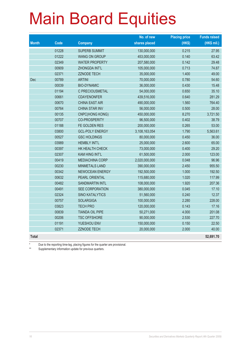|              |       |                        | No. of new    | <b>Placing price</b> | <b>Funds raised</b> |
|--------------|-------|------------------------|---------------|----------------------|---------------------|
| <b>Month</b> | Code  | <b>Company</b>         | shares placed | (HK\$)               | (HK\$ mil.)         |
|              | 01228 | <b>SUPERB SUMMIT</b>   | 130,000,000   | 0.215                | 27.95               |
|              | 01222 | <b>WANG ON GROUP</b>   | 453,000,000   | 0.140                | 63.42               |
|              | 02349 | <b>WATER PROPERTY</b>  | 207,580,000   | 0.142                | 29.48               |
|              | 00909 | <b>ZHONGDA INT'L</b>   | 105,000,000   | 0.713                | 74.87               |
|              | 02371 | <b>ZZNODE TECH</b>     | 35,000,000    | 1.400                | 49.00               |
| Dec          | 00789 | <b>ARTINI</b>          | 70,000,000    | 0.780                | 54.60               |
|              | 00039 | <b>BIO-DYNAMIC</b>     | 36,000,000    | 0.430                | 15.48               |
|              | 01194 | C PRECIOUSMETAL        | 54,000,000    | 0.650                | 35.10               |
|              | 00661 | <b>CDAYENONFER</b>     | 439,516,000   | 0.640                | 281.29              |
|              | 00670 | <b>CHINA EAST AIR</b>  | 490,000,000   | 1.560                | 764.40              |
|              | 00764 | <b>CHINA STAR INV</b>  | 56,000,000    | 0.500                | 28.00               |
|              | 00135 | CNPC(HONG KONG)        | 450,000,000   | 8.270                | 3,721.50            |
|              | 00707 | <b>CO-PROSPERITY</b>   | 96,500,000    | 0.402                | 38.79               |
|              | 01188 | FE GOLDEN RES          | 200,000,000   | 0.265                | 53.00               |
|              | 03800 | <b>GCL-POLY ENERGY</b> | 3,108,163,054 | 1.790                | 5,563.61            |
|              | 00527 | <b>GSC HOLDINGS</b>    | 80,000,000    | 0.450                | 36.00               |
|              | 03989 | <b>HEMBLY INT'L</b>    | 25,000,000    | 2.600                | 65.00               |
|              | 00397 | HK HEALTH CHECK        | 73,000,000    | 0.400                | 29.20               |
|              | 02307 | <b>KAM HING INT'L</b>  | 61,500,000    | 2.000                | 123.00              |
|              | 00419 | <b>MEDIACHINA CORP</b> | 2,020,000,000 | 0.048                | 96.96               |
|              | 00230 | MINMETALS LAND         | 390,000,000   | 2.450                | 955.50              |
|              | 00342 | <b>NEWOCEAN ENERGY</b> | 192,500,000   | 1.000                | 192.50              |
|              | 00632 | PEARL ORIENTAL         | 115,680,000   | 1.020                | 117.99              |
|              | 00482 | <b>SANDMARTIN INTL</b> | 108,000,000   | 1.920                | 207.36              |
|              | 00491 | SEE CORPORATION        | 380,000,000   | 0.045                | 17.10               |
|              | 02324 | <b>SINO KATALYTICS</b> | 51,560,000    | 0.240                | 12.37               |
|              | 00757 | <b>SOLARGIGA</b>       | 100,000,000   | 2.280                | 228.00              |
|              | 03823 | <b>TECH PRO</b>        | 120,000,000   | 0.143                | 17.16               |
|              | 00839 | <b>TIANDA OIL PIPE</b> | 50,271,000    | 4.000                | 201.08              |
|              | 00206 | <b>TSC OFFSHORE</b>    | 90,000,000    | 2.530                | 227.70              |
|              | 01191 | YUESHOU ENV            | 150,000,000   | 0.150                | 22.50               |
|              | 02371 | <b>ZZNODE TECH</b>     | 20,000,000    | 2.000                | 40.00               |
| <b>Total</b> |       |                        |               |                      | 52,691.70           |

\* Due to the reporting time-lag, placing figures for the quarter are provisional.<br>Supplementen information undets for provision quarters

Supplementary information update for previous quarters.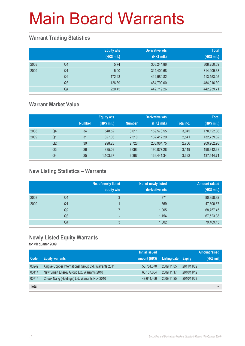#### **Warrant Trading Statistics**

|      |                | <b>Equity wts</b><br>(HK\$ mil.) | <b>Derivative wts</b><br>(HK\$ mil.) | <b>Total</b><br>(HK\$ mil.) |
|------|----------------|----------------------------------|--------------------------------------|-----------------------------|
| 2008 | Q4             | 5.74                             | 308,244.86                           | 308,250.59                  |
| 2009 | Q <sub>1</sub> | 5.00                             | 314,404.68                           | 314,409.68                  |
|      | Q <sub>2</sub> | 172.23                           | 412,980.82                           | 413,153.05                  |
|      | Q <sub>3</sub> | 126.39                           | 484,790.00                           | 484,916.39                  |
|      | Q4             | 220.45                           | 442,719.26                           | 442,939.71                  |

#### **Warrant Market Value**

|      |                |               | <b>Equity wts</b> |               | <b>Derivative wts</b> |           | <b>Total</b> |
|------|----------------|---------------|-------------------|---------------|-----------------------|-----------|--------------|
|      |                | <b>Number</b> | (HK\$ mil.)       | <b>Number</b> | (HK\$ mil.)           | Total no. | (HK\$ mil.)  |
| 2008 | Q4             | 34            | 548.52            | 3.011         | 169.573.55            | 3.045     | 170,122.08   |
| 2009 | Q1             | 31            | 327.03            | 2.510         | 132.412.29            | 2.541     | 132,739.32   |
|      | Q2             | 30            | 998.23            | 2,726         | 208,964.75            | 2,756     | 209,962.98   |
|      | Q <sub>3</sub> | 26            | 835.09            | 3.093         | 190,077.28            | 3,119     | 190,912.38   |
|      | Q4             | 25            | 1,103.37          | 3.367         | 136,441.34            | 3,392     | 137,544.71   |

#### **New Listing Statistics – Warrants**

|      |                | No. of newly listed<br>equity wts | No. of newly listed<br>derivative wts | <b>Amount raised</b><br>(HK\$ mil.) |
|------|----------------|-----------------------------------|---------------------------------------|-------------------------------------|
| 2008 | Q4             | 3                                 | 871                                   | 80,858.92                           |
| 2009 | Q1             |                                   | 569                                   | 47,600.67                           |
|      | Q <sub>2</sub> |                                   | 1,005                                 | 68,757.45                           |
|      | Q <sub>3</sub> | $\overline{\phantom{a}}$          | 1,154                                 | 67,523.38                           |
|      | Q4             | 3                                 | 1,502                                 | 79,409.13                           |

#### **Newly Listed Equity Warrants**

|              |                                                      | <b>Initial issued</b> |              |               | <b>Amount raised</b> |
|--------------|------------------------------------------------------|-----------------------|--------------|---------------|----------------------|
| <b>Code</b>  | <b>Equity warrants</b>                               | amount (HK\$)         | Listing date | <b>Expiry</b> | (HK\$ mil.)          |
| 00249        | Xingye Copper International Group Ltd. Warrants 2011 | 58,784,370            | 2009/11/05   | 2011/11/02    |                      |
| 00414        | New Smart Energy Group Ltd. Warrants 2010            | 66,107,664            | 2009/11/17   | 2010/11/12    |                      |
| 00714        | Cheuk Nang (Holdings) Ltd. Warrants Nov 2010         | 49.644.466            | 2009/11/25   | 2010/11/23    |                      |
| <b>Total</b> |                                                      |                       |              |               | -                    |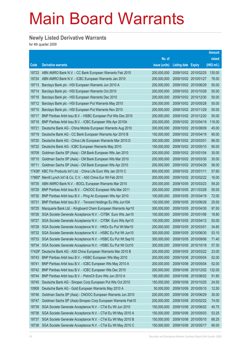#### **Newly Listed Derivative Warrants**

|        |                                                              |               |                            |                       | Amount      |
|--------|--------------------------------------------------------------|---------------|----------------------------|-----------------------|-------------|
|        |                                                              | No. of        |                            |                       | raised      |
| Code   | <b>Derivative warrants</b>                                   | issue (units) | <b>Listing date Expiry</b> |                       | (HK\$ mil.) |
| 18723  | ABN AMRO Bank N.V. - CC Bank European Warrants Feb 2010      | 200,000,000   |                            | 2009/10/02 2010/02/25 | 130.00      |
| 18724  | ABN AMRO Bank N.V. - ICBC European Warrants Jan 2010         | 200,000,000   | 2009/10/02 2010/01/27      |                       | 76.00       |
| 18713  | Barclays Bank plc - HSI European Warrants Jun 2010 A         | 200,000,000   |                            | 2009/10/02 2010/06/29 | 50.00       |
| 18714  | Barclays Bank plc - HSI European Warrants Oct 2010           | 200,000,000   |                            | 2009/10/02 2010/10/28 | 50.00       |
| 18716  | Barclays Bank plc - HSI European Warrants Dec 2010           | 200,000,000   |                            | 2009/10/02 2010/12/30 | 50.00       |
| 18712  | Barclays Bank plc - HSI European Put Warrants May 2010       | 200,000,000   | 2009/10/02 2010/05/28      |                       | 50.00       |
| 18715  | Barclays Bank plc - HSI European Put Warrants Nov 2010       | 200,000,000   | 2009/10/02 2010/11/29      |                       | 50.00       |
| 18717  | BNP Paribas Arbit Issu B.V. - HSBC European Put Wts Dec 2010 | 200,000,000   | 2009/10/02 2010/12/20      |                       | 50.00       |
| 18718  | BNP Paribas Arbit Issu B.V. - ICBC European Wts Apr 2010A    | 200,000,000   |                            | 2009/10/02 2010/04/19 | 116.00      |
| 18721  | Deutsche Bank AG - China Mobile European Warrants Aug 2010   | 300,000,000   | 2009/10/02 2010/08/09      |                       | 45.00       |
| 18719  | Deutsche Bank AG - CC Bank European Warrants Apr 2010 B      | 150,000,000   | 2009/10/02 2010/04/19      |                       | 90.00       |
| 18720  | Deutsche Bank AG - China Life European Warrants Mar 2010 D   | 300,000,000   | 2009/10/02 2010/03/01      |                       | 66.00       |
| 18722  | Deutsche Bank AG - ICBC European Warrants May 2010           | 150,000,000   | 2009/10/02 2010/05/10      |                       | 90.00       |
| 18709  | Goldman Sachs SP (Asia) - CM Bank European Wts Jan 2010      | 200,000,000   | 2009/10/02 2010/01/04      |                       | 30.00       |
| 18710  | Goldman Sachs SP (Asia) - CM Bank European Wts Mar 2010      | 200,000,000   | 2009/10/02 2010/03/30      |                       | 30.00       |
| 18711  | Goldman Sachs SP (Asia) - CM Bank European Wts Apr 2010      | 200,000,000   | 2009/10/02 2010/04/29      |                       | 56.00       |
| 17436# | KBC Fin Products Int'l Ltd. - China Life Euro Wts Jan 2010 C | 600,000,000   | 2009/10/02 2010/01/11      |                       | 57.60       |
| 17660# | Merrill Lynch Int'l & Co. C.V. - A50 China Eur Wt Feb 2010   | 200,000,000   | 2009/10/02 2010/02/22      |                       | 16.00       |
| 18735  | ABN AMRO Bank N.V. - BOCL European Warrants Mar 2010         | 200,000,000   | 2009/10/05 2010/03/23      |                       | 59.20       |
| 18729  | BNP Paribas Arbit Issu B.V. - CNOOC European Wts Mar 2011    | 200,000,000   | 2009/10/05                 | 2011/03/28            | 50.00       |
| 18730  | BNP Paribas Arbit Issu B.V. - Ping An European Wts Apr 2010  | 100,000,000   | 2009/10/05                 | 2010/04/19            | 72.00       |
| 18731  | BNP Paribas Arbit Issu B.V. - Tencent Holdings Eu Wts Jun10A | 100,000,000   | 2009/10/05 2010/06/28      |                       | 25.00       |
| 18725  | Macquarie Bank Ltd. - Kingboard Chem European Warrants Apr10 | 300,000,000   | 2009/10/05                 | 2010/04/30            | 97.50       |
| 18726  | SGA Societe Generale Acceptance N.V. - CITBK Euro Wts Jan10  | 100,000,000   | 2009/10/05                 | 2010/01/06            | 18.80       |
| 18727  | SGA Societe Generale Acceptance N.V. - CITBK Euro Wts Apr10  | 100,000,000   | 2009/10/05                 | 2010/04/12            | 50.00       |
| 18728  | SGA Societe Generale Acceptance N.V. - HKEx Eu Put Wt Mar10  | 200,000,000   | 2009/10/05                 | 2010/03/01            | 34.80       |
| 18732  | SGA Societe Generale Acceptance N.V. - HSBC Eu Put Wt Jun10  | 300,000,000   | 2009/10/05                 | 2010/06/30            | 53.10       |
| 18733  | SGA Societe Generale Acceptance N.V. - HSBC Eu Put Wt Sep10  | 300,000,000   | 2009/10/05                 | 2010/09/06            | 71.40       |
| 18734  | SGA Societe Generale Acceptance N.V. - HSBC Eu Put Wt Oct10  | 300,000,000   | 2009/10/05                 | 2010/10/18            | 57.30       |
| 17428# | Deutsche Bank AG - A50 China European Warrants Mar 2010 B    | 200,000,000   | 2009/10/05 2010/03/22      |                       | 23.00       |
| 18743  | BNP Paribas Arbit Issu B.V. - HSBC European Wts May 2010     | 200,000,000   | 2009/10/06                 | 2010/05/04            | 52.00       |
| 18741  | BNP Paribas Arbit Issu B.V. - ICBC European Wts May 2010 A   | 200,000,000   | 2009/10/06                 | 2010/05/04            | 52.00       |
| 18742  | BNP Paribas Arbit Issu B.V. - ICBC European Wts Dec 2010     | 200,000,000   | 2009/10/06                 | 2010/12/02            | 132.00      |
| 18744  | BNP Paribas Arbit Issu B.V. - PetroCh Euro Wts Jun 2010 A    | 180,000,000   | 2009/10/06                 | 2010/06/02            | 91.80       |
| 18745  | Deutsche Bank AG - Sinopec Corp European Put Wts Oct 2010    | 150,000,000   | 2009/10/06                 | 2010/10/25            | 24.00       |
| 10908  | Deutsche Bank AG - Gold European Warrants May 2010 A         | 50,000,000    | 2009/10/06 2010/05/10      |                       | 12.50       |
| 18746  | Goldman Sachs SP (Asia) - CNOOC European Warrants Jun 2010   | 200,000,000   | 2009/10/06                 | 2010/06/29            | 30.00       |
| 18747  | Goldman Sachs SP (Asia)-Sinopec Corp European Warrants Feb10 | 200,000,000   | 2009/10/06                 | 2010/02/22            | 74.00       |
| 18739  | SGA Societe Generale Acceptance N.V. - CTel Eu Wt Jun 2010   | 150,000,000   | 2009/10/06                 | 2010/06/02            | 45.75       |
| 18736  | SGA Societe Generale Acceptance N.V. - CTel Eu Wt May 2010 A | 150,000,000   | 2009/10/06                 | 2010/05/03            | 53.25       |
| 18737  | SGA Societe Generale Acceptance N.V. - CTel Eu Wt May 2010 B | 150,000,000   | 2009/10/06                 | 2010/05/10            | 68.25       |
| 18738  | SGA Societe Generale Acceptance N.V. - CTel Eu Wt May 2010 C | 150,000,000   | 2009/10/06 2010/05/17      |                       | 90.00       |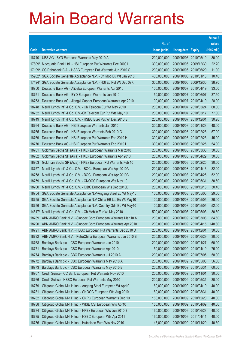|        |                                                              |               |                            |            | <b>Amount</b> |
|--------|--------------------------------------------------------------|---------------|----------------------------|------------|---------------|
|        |                                                              | No. of        |                            |            | raised        |
| Code   | <b>Derivative warrants</b>                                   | issue (units) | <b>Listing date Expiry</b> |            | (HK\$ mil.)   |
| 18740  | UBS AG - BYD European Warrants May 2010 A                    | 200,000,000   | 2009/10/06 2010/05/10      |            | 30.00         |
| 17809# | Macquarie Bank Ltd. - HSI European Put Warrants Dec 2009 L   | 300,000,000   | 2009/10/06 2009/12/30      |            | 22.20         |
| 17199# | CC Rabobank B.A. - HSBC European Put Warrants Jun 2010 C     | 200,000,000   | 2009/10/06 2010/06/29      |            | 11.00         |
| 15962# | SGA Societe Generale Acceptance N.V. - Ch Mob Eu Wt Jan 2010 | 400,000,000   | 2009/10/06 2010/01/18      |            | 10.40         |
| 17494# | SGA Societe Generale Acceptance N.V. - HSI Eu Put Wt Dec 09K | 300,000,000   | 2009/10/06 2009/12/30      |            | 38.70         |
| 18750  | Deutsche Bank AG - Alibaba European Warrants Apr 2010        | 100,000,000   | 2009/10/07 2010/04/19      |            | 33.00         |
| 18751  | Deutsche Bank AG - BYD European Warrants Jun 2010            | 150,000,000   | 2009/10/07                 | 2010/06/07 | 37.50         |
| 18753  | Deutsche Bank AG - Jiangxi Copper European Warrants Apr 2010 | 100,000,000   | 2009/10/07 2010/04/19      |            | 28.00         |
| 18748  | Merrill Lynch Int'l & Co. C.V. - Ch Telecom Eur Wt May 2010  | 200,000,000   | 2009/10/07 2010/05/24      |            | 68.00         |
| 18752  | Merrill Lynch Int'l & Co. C.V.-Ch Telecom Eur Put Wts May 10 | 200,000,000   | 2009/10/07 2010/05/17      |            | 77.00         |
| 18749  | Merrill Lynch Int'l & Co. C.V. - HSBC Euro Put Wt Dec 2010 B | 200,000,000   | 2009/10/07 2010/12/01      |            | 30.20         |
| 18764  | Deutsche Bank AG - HSI European Warrants Jan 2010            | 300,000,000   | 2009/10/08 2010/01/28      |            | 48.00         |
| 18765  | Deutsche Bank AG - HSI European Warrants Feb 2010 G          | 300,000,000   | 2009/10/08 2010/02/25      |            | 57.00         |
| 18769  | Deutsche Bank AG - HSI European Put Warrants Feb 2010 H      | 300,000,000   | 2009/10/08 2010/02/25      |            | 45.00         |
| 18770  | Deutsche Bank AG - HSI European Put Warrants Feb 2010 I      | 300,000,000   | 2009/10/08 2010/02/25      |            | 54.00         |
| 18761  | Goldman Sachs SP (Asia) - HKEx European Warrants Mar 2010    | 200,000,000   | 2009/10/08 2010/03/30      |            | 30.00         |
| 18762  | Goldman Sachs SP (Asia) - HKEx European Warrants Apr 2010    | 200,000,000   | 2009/10/08 2010/04/29      |            | 30.00         |
| 18763  | Goldman Sachs SP (Asia) - HKEx European Put Warrants Feb 10  | 200,000,000   | 2009/10/08 2010/02/25      |            | 30.00         |
| 18757  | Merrill Lynch Int'l & Co. C.V. - BOCL European Wts Apr 2010A | 200,000,000   | 2009/10/08 2010/04/16      |            | 82.00         |
| 18758  | Merrill Lynch Int'l & Co. C.V. - BOCL European Wts Apr 2010B | 200,000,000   | 2009/10/08 2010/04/26      |            | 52.00         |
| 18759  | Merrill Lynch Int'l & Co. C.V. - CNOOC European Wts May 10   | 200,000,000   | 2009/10/08 2010/05/31      |            | 30.60         |
| 18760  | Merrill Lynch Int'l & Co. C.V. - ICBC European Wts Dec 2010B | 200,000,000   | 2009/10/08 2010/12/13      |            | 30.40         |
| 18754  | SGA Societe Generale Acceptance N.V-Angang Steel Eu Wt May10 | 100,000,000   | 2009/10/08 2010/05/05      |            | 29.00         |
| 18755  | SGA Societe Generale Acceptance N.V-China EB Ltd Eu Wt May10 | 100,000,000   | 2009/10/08 2010/05/05      |            | 36.00         |
| 18756  | SGA Societe Generale Acceptance N.V.-Country Gdn Eu Wt May10 | 100,000,000   | 2009/10/08 2010/05/05      |            | 52.00         |
| 14617# | Merrill Lynch Int'l & Co. C.V. - Ch Mobile Eur Wt May 2010   | 500,000,000   | 2009/10/08 2010/05/03      |            | 30.50         |
| 18789  | ABN AMRO Bank N.V. - Sinopec Corp European Warrants Mar 10 A | 200,000,000   | 2009/10/09 2010/03/08      |            | 84.60         |
| 18790  | ABN AMRO Bank N.V. - Sinopec Corp European Warrants Apr 2010 | 200,000,000   | 2009/10/09 2010/04/15      |            | 148.80        |
| 18791  | ABN AMRO Bank N.V. - HSBC European Put Warrants Dec 2010 D   | 200,000,000   | 2009/10/09                 | 2010/12/01 | 30.60         |
| 18792  | ABN AMRO Bank N.V. - PetroChina European Warrants Jun 2010 B | 200,000,000   | 2009/10/09 2010/06/29      |            | 30.00         |
| 18768  | Barclays Bank plc - ICBC European Warrants Jan 2010          | 200,000,000   | 2009/10/09                 | 2010/01/27 | 60.00         |
| 18771  | Barclays Bank plc - ICBC European Warrants Apr 2010          | 150,000,000   | 2009/10/09                 | 2010/04/19 | 75.00         |
| 18774  | Barclays Bank plc - ICBC European Warrants Jul 2010 A        | 200,000,000   | 2009/10/09                 | 2010/07/05 | 58.00         |
| 18772  | Barclays Bank plc - ICBC European Warrants May 2010 A        | 200,000,000   | 2009/10/09                 | 2010/05/03 | 56.00         |
| 18773  | Barclays Bank plc - ICBC European Warrants May 2010 B        | 200,000,000   | 2009/10/09                 | 2010/05/31 | 60.00         |
| 18767  | Credit Suisse - CC Bank European Put Warrants Nov 2010       | 200,000,000   | 2009/10/09 2010/11/01      |            | 30.00         |
| 18766  | Credit Suisse - HSBC European Put Warrants May 2010          | 200,000,000   | 2009/10/09                 | 2010/05/31 | 30.00         |
| 18779  | Citigroup Global Mkt H Inc. - Angang Steel European Wt Apr10 | 160,000,000   | 2009/10/09                 | 2010/04/19 | 40.00         |
| 18781  | Citigroup Global Mkt H Inc. - CNOOC European Wts Aug 2010    | 160,000,000   | 2009/10/09                 | 2010/08/31 | 40.00         |
| 18782  | Citigroup Global Mkt H Inc. - CNPC European Warrants Dec 10  | 160,000,000   | 2009/10/09 2010/12/20      |            | 40.00         |
| 18788  | Citigroup Global Mkt H Inc. - WISE CSI European Wts Apr10    | 150,000,000   | 2009/10/09                 | 2010/04/09 | 40.50         |
| 18784  | Citigroup Global Mkt H Inc. - HKEx European Wts Jun 2010 B   | 160,000,000   | 2009/10/09                 | 2010/06/28 | 40.00         |
| 18785  | Citigroup Global Mkt H Inc. - HSBC European Wts Apr 2011     | 160,000,000   | 2009/10/09                 | 2011/04/11 | 40.00         |
| 18786  | Citigroup Global Mkt H Inc. - Hutchison Euro Wts Nov 2010    | 45,000,000    | 2009/10/09 2010/11/29      |            | 40.50         |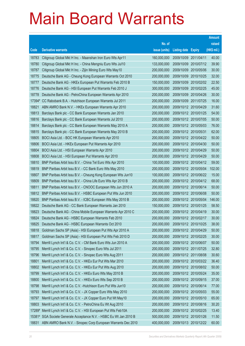|        |                                                               |               |                            |            | <b>Amount</b> |
|--------|---------------------------------------------------------------|---------------|----------------------------|------------|---------------|
|        |                                                               | No. of        |                            |            | raised        |
| Code   | <b>Derivative warrants</b>                                    | issue (units) | <b>Listing date Expiry</b> |            | (HK\$ mil.)   |
| 18783  | Citigroup Global Mkt H Inc. - Maanshan Iron Euro Wts Apr11    | 160,000,000   | 2009/10/09 2011/04/11      |            | 40.00         |
| 18780  | Citigroup Global Mkt H Inc. - China Mengniu Euro Wts Jul10    | 133,000,000   | 2009/10/09 2010/07/12      |            | 39.90         |
| 18787  | Citigroup Global Mkt H Inc. - Zijin Mining Euro Wts May10     | 200,000,000   | 2009/10/09                 | 2010/05/06 | 30.00         |
| 18775  | Deutsche Bank AG - Cheung Kong European Warrants Oct 2010     | 200,000,000   | 2009/10/09 2010/10/25      |            | 32.00         |
| 18777  | Deutsche Bank AG - HKEx European Put Warrants Feb 2010 B      | 150,000,000   | 2009/10/09 2010/02/02      |            | 22.50         |
| 18776  | Deutsche Bank AG - HSI European Put Warrants Feb 2010 J       | 300,000,000   | 2009/10/09 2010/02/25      |            | 45.00         |
| 18778  | Deutsche Bank AG - PetroChina European Warrants Apr 2010      | 200,000,000   | 2009/10/09 2010/04/26      |            | 30.00         |
| 17394# | CC Rabobank B.A. - Hutchison European Warrants Jul 2011       | 200,000,000   | 2009/10/09 2011/07/25      |            | 16.00         |
| 18821  | ABN AMRO Bank N.V. - HKEx European Warrants Apr 2010          | 200,000,000   | 2009/10/12 2010/04/29      |            | 31.60         |
| 18813  | Barclays Bank plc - CC Bank European Warrants Jan 2010        | 200,000,000   | 2009/10/12 2010/01/25      |            | 54.00         |
| 18816  | Barclays Bank plc - CC Bank European Warrants Jul 2010        | 200,000,000   | 2009/10/12 2010/07/05      |            | 50.00         |
| 18814  | Barclays Bank plc - CC Bank European Warrants May 2010 A      | 200,000,000   | 2009/10/12 2010/05/03      |            | 76.00         |
| 18815  | Barclays Bank plc - CC Bank European Warrants May 2010 B      | 200,000,000   | 2009/10/12 2010/05/31      |            | 62.00         |
| 18805  | BOCI Asia Ltd. - BOC HK European Warrants Apr 2010            | 200,000,000   | 2009/10/12 2010/04/22      |            | 50.00         |
| 18806  | BOCI Asia Ltd. - HKEx European Put Warrants Apr 2010          | 200,000,000   | 2009/10/12 2010/04/30      |            | 50.00         |
| 18804  | BOCI Asia Ltd. - HSI European Warrants Apr 2010               | 200,000,000   | 2009/10/12 2010/04/29      |            | 50.00         |
| 18808  | BOCI Asia Ltd. - HSI European Put Warrants Apr 2010           | 200,000,000   | 2009/10/12 2010/04/29      |            | 50.00         |
| 18810  | BNP Paribas Arbit Issu B.V. - China Tel Euro Wts Apr 2010     | 100,000,000   | 2009/10/12 2010/04/12      |            | 59.00         |
| 18819  | BNP Paribas Arbit Issu B.V. - CC Bank Euro Wts May 2010       | 200,000,000   | 2009/10/12 2010/05/04      |            | 102.00        |
| 18807  | BNP Paribas Arbit Issu B.V. - Cheung Kong European Wts Jun10  | 100,000,000   | 2009/10/12 2010/06/22      |            | 15.00         |
| 18809  | BNP Paribas Arbit Issu B.V. - China Life Euro Wts Apr 2010 B  | 200,000,000   | 2009/10/12 2010/04/12      |            | 68.00         |
| 18811  | BNP Paribas Arbit Issu B.V. - CNOOC European Wts Jun 2010 A   | 200,000,000   | 2009/10/12 2010/06/14      |            | 50.00         |
| 18812  | BNP Paribas Arbit Issu B.V. - HSBC European Put Wts Jun 2010  | 200,000,000   | 2009/10/12 2010/06/08      |            | 50.00         |
| 18820  | BNP Paribas Arbit Issu B.V. - ICBC European Wts May 2010 B    | 200,000,000   | 2009/10/12 2010/05/04      |            | 146.00        |
| 18822  | Deutsche Bank AG - CC Bank European Warrants Jan 2010         | 150,000,000   | 2009/10/12 2010/01/25      |            | 58.50         |
| 18823  | Deutsche Bank AG - China Mobile European Warrants Apr 2010 C  | 200,000,000   | 2009/10/12 2010/04/19      |            | 30.00         |
| 18824  | Deutsche Bank AG - HSBC European Warrants Feb 2010            | 200,000,000   | 2009/10/12 2010/02/17      |            | 30.00         |
| 18825  | Deutsche Bank AG - HSBC European Warrants Oct 2010            | 200,000,000   | 2009/10/12 2010/10/25      |            | 38.00         |
| 18818  | Goldman Sachs SP (Asia) - HSI European Put Wts Apr 2010 A     | 200,000,000   | 2009/10/12 2010/04/29      |            | 50.00         |
| 18817  | Goldman Sachs SP (Asia) - HSI European Put Wts Feb 2010 D     | 200,000,000   | 2009/10/12 2010/02/25      |            | 30.00         |
| 18794  | Merrill Lynch Int'l & Co. C.V. - CM Bank Euro Wts Jun 2010 A  | 200,000,000   | 2009/10/12 2010/06/07      |            | 50.00         |
| 18795  | Merrill Lynch Int'l & Co. C.V. - Sinopec Euro Wts Jul 2011    | 200,000,000   | 2009/10/12 2011/07/25      |            | 32.80         |
| 18796  | Merrill Lynch Int'l & Co. C.V. - Sinopec Euro Wts Aug 2011    | 200,000,000   | 2009/10/12 2011/08/08      |            | 30.60         |
| 18801  | Merrill Lynch Int'l & Co. C.V. - HKEx Eur Put Wts Mar 2010    | 200,000,000   | 2009/10/12 2010/03/22      |            | 36.40         |
| 18802  | Merrill Lynch Int'l & Co. C.V. - HKEx Eur Put Wts Aug 2010    | 200,000,000   | 2009/10/12 2010/08/02      |            | 50.00         |
| 18799  | Merrill Lynch Int'l & Co. C.V. - HKEx Euro Wts May 2010 B     | 200,000,000   | 2009/10/12 2010/05/24      |            | 35.00         |
| 18800  | Merrill Lynch Int'l & Co. C.V. - HKEx Euro Wts Sep 2010 B     | 200,000,000   | 2009/10/12 2010/09/15      |            | 37.00         |
| 18798  | Merrill Lynch Int'l & Co. C.V. - Hutchison Euro Put Wts Jun10 | 200,000,000   | 2009/10/12 2010/06/14      |            | 77.00         |
| 18793  | Merrill Lynch Int'l & Co. C.V. - JX Copper Euro Wts May 2010  | 200,000,000   | 2009/10/12 2010/05/03      |            | 55.00         |
| 18797  | Merrill Lynch Int'l & Co. C.V. - JX Copper Euro Put Wt May10  | 200,000,000   | 2009/10/12 2010/05/10      |            | 65.00         |
| 18803  | Merrill Lynch Int'l & Co. C.V. - PetroChina Eu Wt Aug 2010    | 200,000,000   | 2009/10/12 2010/08/16      |            | 30.20         |
| 17289# | Merrill Lynch Int'l & Co. C.V. - HSI European Put Wts Feb10A  | 200,000,000   | 2009/10/12 2010/02/25      |            | 13.40         |
| 15381# | SGA Societe Generale Acceptance N.V. - HSBC Eu Wt Jan 2010 B  | 500,000,000   | 2009/10/12 2010/01/26      |            | 11.50         |
| 18831  | ABN AMRO Bank N.V. - Sinopec Corp European Warrants Dec 2010  | 400,000,000   | 2009/10/13 2010/12/22      |            | 60.00         |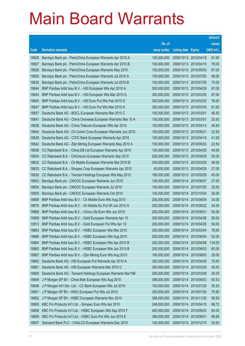|                |                                                                                                                          |                            |                            |                          | <b>Amount</b>  |
|----------------|--------------------------------------------------------------------------------------------------------------------------|----------------------------|----------------------------|--------------------------|----------------|
|                |                                                                                                                          | No. of                     |                            |                          | raised         |
| Code           | <b>Derivative warrants</b>                                                                                               | issue (units)              | <b>Listing date Expiry</b> |                          | (HK\$ mil.)    |
| 18826          | Barclays Bank plc - PetroChina European Warrants Apr 2010 A                                                              | 100,000,000                | 2009/10/13 2010/04/19      |                          | 91.00          |
| 18827          | Barclays Bank plc - PetroChina European Warrants Apr 2010 B                                                              | 100,000,000                | 2009/10/13 2010/04/19      |                          | 76.00          |
| 18828          | Barclays Bank plc - PetroChina European Warrants May 2010                                                                | 100,000,000                | 2009/10/13 2010/05/03      |                          | 67.00          |
| 18829          | Barclays Bank plc - PetroChina European Warrants Jul 2010 A                                                              | 100,000,000                |                            | 2009/10/13 2010/07/05    | 98.00          |
| 18830          | Barclays Bank plc - PetroChina European Warrants Jul 2010 B                                                              | 100,000,000                |                            | 2009/10/13 2010/07/05    | 75.00          |
| 18844          | BNP Paribas Arbit Issu B.V. - HSI European Wts Apr 2010 A                                                                | 300,000,000                | 2009/10/13 2010/04/29      |                          | 87.00          |
| 18843          | BNP Paribas Arbit Issu B.V. - HSI European Wts Mar 2010 G                                                                | 300,000,000                |                            | 2009/10/13 2010/03/30    | 87.00          |
| 18845          | BNP Paribas Arbit Issu B.V. - HSI Euro Put Wts Feb 2010 D                                                                | 300,000,000                |                            | 2009/10/13 2010/02/25    | 78.00          |
| 18847          | BNP Paribas Arbit Issu B.V. - HSI Euro Put Wts Mar 2010 H                                                                | 300,000,000                |                            | 2009/10/13 2010/03/30    | 81.00          |
| 18837          | Deutsche Bank AG - BOCL European Warrants Mar 2010 C                                                                     | 150,000,000                | 2009/10/13 2010/03/01      |                          | 46.50          |
| 18841          | Deutsche Bank AG - China Overseas European Warrants Mar 10 A                                                             | 150,000,000                | 2009/10/13 2010/03/01      |                          | 25.50          |
| 18838          | Deutsche Bank AG - China Telecom European Wts Apr 2010                                                                   | 150,000,000                | 2009/10/13 2010/04/14      |                          | 40.50          |
| 18840          | Deutsche Bank AG - Ch Comm Cons European Warrants Jun 2010                                                               | 150,000,000                | 2009/10/13 2010/06/21      |                          | 22.50          |
| 18839          | Deutsche Bank AG - CITIC Bank European Warrants Apr 2010                                                                 | 100,000,000                | 2009/10/13 2010/04/19      |                          | 41.00          |
| 18842          | Deutsche Bank AG - Zijin Mining European Warrants May 2010 A                                                             | 150,000,000                | 2009/10/13 2010/05/03      |                          | 22.50          |
| 18836          | CC Rabobank B.A. - China EB Ltd European Warrants Apr 2010                                                               | 100,000,000                | 2009/10/13 2010/04/29      |                          | 44.00          |
| 18834          | CC Rabobank B.A. - ChiUnicom European Warrants Sep 2010                                                                  | 200,000,000                |                            | 2009/10/13 2010/09/29    | 50.00          |
| 18832          | CC Rabobank B.A. - Ch Mobile European Warrants Mar 2010 B                                                                | 300,000,000                |                            | 2009/10/13 2010/03/29    | 48.00          |
| 18833          | CC Rabobank B.A. - Sinopec Corp European Warrants Apr 2010                                                               | 60,000,000                 | 2009/10/13 2010/04/29      |                          | 27.00          |
| 18835          | CC Rabobank B.A. - Tencent Holdings European Wts May 2010                                                                | 180,000,000                | 2009/10/13 2010/05/28      |                          | 45.00          |
| 18853          | Barclays Bank plc - CNOOC European Warrants Jun 2010                                                                     | 100,000,000                | 2009/10/14 2010/06/07      |                          | 27.00          |
| 18854          | Barclays Bank plc - CNOOC European Warrants Jul 2010                                                                     | 100,000,000                |                            | 2009/10/14 2010/07/05    | 25.00          |
| 18855          | Barclays Bank plc - CNOOC European Warrants Oct 2010                                                                     | 100,000,000                | 2009/10/14                 | 2010/10/04               | 26.00          |
| 18869          | BNP Paribas Arbit Issu B.V. - Ch Mobile Euro Wts Aug 2010                                                                | 200,000,000                | 2009/10/14 2010/08/09      |                          | 34.00          |
| 18870          | BNP Paribas Arbit Issu B.V. - Ch Mobile Eu Put Wt Jun 2010 A                                                             | 200,000,000                |                            | 2009/10/14 2010/06/22    | 34.00          |
| 18868          | BNP Paribas Arbit Issu B.V. - China Life Euro Wts Jun 2010                                                               | 200,000,000                | 2009/10/14 2010/06/01      |                          | 92.00          |
| 10909          | BNP Paribas Arbit Issu B.V. - Gold European Warrants Apr 10                                                              | 200,000,000                | 2009/10/14 2010/04/26      |                          | 50.00          |
| 10913          | BNP Paribas Arbit Issu B.V. - Gold European Put Wts Apr 10                                                               | 200,000,000                | 2009/10/14 2010/04/26      |                          | 50.00          |
| 18863          | BNP Paribas Arbit Issu B.V. - HSBC European Wts Mar 2010                                                                 | 200,000,000                | 2009/10/14                 | 2010/03/04               | 76.00          |
| 18866          | BNP Paribas Arbit Issu B.V. - HSBC European Wts Aug 2010                                                                 | 200,000,000                | 2009/10/14 2010/08/04      |                          | 52.00          |
| 18864          | BNP Paribas Arbit Issu B.V. - HSBC European Wts Apr 2010 B                                                               | 200,000,000                | 2009/10/14                 | 2010/04/08               | 118.00         |
| 18865          | BNP Paribas Arbit Issu B.V. - HSBC European Wts Jun 2010 B                                                               | 200,000,000                | 2009/10/14                 | 2010/06/03<br>2010/08/03 | 60.00<br>25.00 |
| 18867<br>18862 | BNP Paribas Arbit Issu B.V. - Zijin Mining Euro Wts Aug 2010<br>Deutsche Bank AG - HSI European Put Warrants Apr 2010 A  | 100,000,000<br>300,000,000 | 2009/10/14<br>2009/10/14   | 2010/04/29               | 75.00          |
| 18861          | Deutsche Bank AG - HSI European Warrants Mar 2010 C                                                                      | 300,000,000                | 2009/10/14                 | 2010/03/30               | 45.00          |
| 18860          | Deutsche Bank AG - Tencent Holdings European Warrants Mar10B                                                             | 200,000,000                | 2009/10/14                 | 2010/03/08               | 30.00          |
| 18849          | J P Morgan SP BV - China Mob European Wts Aug 2010                                                                       | 388,000,000                | 2009/10/14                 | 2010/08/03               | 60.53          |
| 18848          | J P Morgan Int'l Der. Ltd. - CC Bank European Wts Jul 2010                                                               | 100,000,000                | 2009/10/14                 | 2010/07/29               | 55.20          |
| 18851          | J P Morgan SP BV - HKEx European Put Wts Jul 2010                                                                        | 300,000,000                | 2009/10/14                 | 2010/07/26               | 75.90          |
| 18852          |                                                                                                                          | 388,000,000                |                            |                          |                |
| 18850          | J P Morgan SP BV - HSBC European Warrants Nov 2010                                                                       | 248,000,000                | 2009/10/14<br>2009/10/14   | 2010/11/30               | 58.59<br>96.72 |
| 18858          | KBC Fin Products Int'l Ltd. - Sinopec Euro Wts Apr 2010                                                                  | 400,000,000                | 2009/10/14                 | 2010/04/15<br>2010/09/20 | 64.00          |
| 18859          | KBC Fin Products Int'l Ltd. - HSBC European Wts Sep 2010 F<br>KBC Fin Products Int'l Ltd. - HSBC Euro Put Wts Jun 2010 E | 368,000,000                | 2009/10/14                 | 2010/06/01               | 95.68          |
|                |                                                                                                                          |                            |                            |                          |                |
| 18857          | Standard Bank PLC - CHALCO European Warrants Dec 2010                                                                    | 100,000,000                | 2009/10/14 2010/12/10      |                          | 25.00          |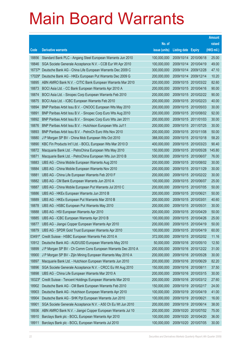|                |                                                                                                         |                            |                            |                                                | <b>Amount</b>  |
|----------------|---------------------------------------------------------------------------------------------------------|----------------------------|----------------------------|------------------------------------------------|----------------|
|                |                                                                                                         | No. of                     |                            |                                                | raised         |
| Code           | <b>Derivative warrants</b>                                                                              | issue (units)              | <b>Listing date Expiry</b> |                                                | (HK\$ mil.)    |
| 18856          | Standard Bank PLC - Angang Steel European Warrants Jun 2010                                             | 100,000,000                |                            | 2009/10/14 2010/06/18                          | 25.00          |
| 18846          | SGA Societe Generale Acceptance N.V. - CCB Eur Wt Apr 2010                                              | 100,000,000                |                            | 2009/10/14 2010/04/19                          | 49.00          |
| 16737#         | Deutsche Bank AG - China Life European Warrants Dec 2009 C                                              | 300,000,000                |                            | 2009/10/14 2009/12/28                          | 47.10          |
| 17029#         | Deutsche Bank AG - HKEx European Put Warrants Dec 2009 G                                                | 200,000,000                |                            | 2009/10/14 2009/12/14                          | 10.20          |
| 18895          | ABN AMRO Bank N.V. - CITIC Bank European Warrants Mar 2010                                              | 200,000,000                |                            | 2009/10/15 2010/03/22                          | 82.60          |
| 18873          | BOCI Asia Ltd. - CC Bank European Warrants Apr 2010 A                                                   | 200,000,000                |                            | 2009/10/15 2010/04/16                          | 90.00          |
| 18874          | BOCI Asia Ltd. - Sinopec Corp European Warrants Feb 2010                                                | 200,000,000                |                            | 2009/10/15 2010/02/22                          | 90.00          |
| 18875          | BOCI Asia Ltd. - ICBC European Warrants Feb 2010                                                        | 200,000,000                |                            | 2009/10/15 2010/02/23                          | 40.00          |
| 18894          | BNP Paribas Arbit Issu B.V. - CNOOC European Wts May 2010                                               | 200,000,000                |                            | 2009/10/15 2010/05/03                          | 30.00          |
| 18891          | BNP Paribas Arbit Issu B.V. - Sinopec Corp Euro Wts Aug 2010                                            | 200,000,000                |                            | 2009/10/15 2010/08/02                          | 92.00          |
| 18892          | BNP Paribas Arbit Issu B.V. - Sinopec Corp Euro Wts Jan 2011                                            | 200,000,000                |                            | 2009/10/15 2011/01/03                          | 30.00          |
| 18876          | BNP Paribas Arbit Issu B.V. - Hutchison European Wts Jul11                                              | 200,000,000                |                            | 2009/10/15 2011/07/25                          | 30.00          |
| 18893          | BNP Paribas Arbit Issu B.V. - PetroCh Euro Wts Nov 2010                                                 | 200,000,000                |                            | 2009/10/15 2010/11/08                          | 50.00          |
| 18880          | J P Morgan SP BV - China Mob European Wts Oct 2010                                                      | 388,000,000                |                            | 2009/10/15 2010/10/18                          | 58.20          |
| 18890          | KBC Fin Products Int'l Ltd. - BOCL European Wts Mar 2010 D                                              | 400,000,000                |                            | 2009/10/15 2010/03/23                          | 90.40          |
| 18872          | Macquarie Bank Ltd. - PetroChina European Wts May 2010                                                  | 150,000,000                |                            | 2009/10/15 2010/05/28                          | 145.80         |
| 18871          | Macquarie Bank Ltd. - PetroChina European Wts Jun 2010 B                                                | 500,000,000                |                            | 2009/10/15 2010/06/07                          | 76.00          |
| 18883          | UBS AG - China Mobile European Warrants Aug 2010                                                        | 200,000,000                |                            | 2009/10/15 2010/08/02                          | 30.00          |
| 18884          | UBS AG - China Mobile European Warrants Nov 2010                                                        | 200,000,000                |                            | 2009/10/15 2010/11/29                          | 30.00          |
| 18881          | UBS AG - China Life European Warrants Feb 2010 F                                                        | 200,000,000                |                            | 2009/10/15 2010/02/22                          | 30.00          |
| 18882<br>18887 | UBS AG - CM Bank European Warrants Jun 2010 A<br>UBS AG - China Mobile European Put Warrants Jul 2010 C | 100,000,000<br>200,000,000 |                            | 2009/10/15 2010/06/07<br>2009/10/15 2010/07/05 | 25.00<br>50.00 |
| 18886          | UBS AG - HKEx European Warrants Jun 2010 B                                                              | 200,000,000                | 2009/10/15                 | 2010/06/21                                     | 50.00          |
| 18889          | UBS AG - HKEx European Put Warrants Mar 2010 B                                                          | 200,000,000                | 2009/10/15                 | 2010/03/01                                     | 40.60          |
| 18878          | UBS AG - HSBC European Put Warrants May 2010                                                            | 200,000,000                | 2009/10/15 2010/05/31      |                                                | 30.00          |
| 18888          | UBS AG - HSI European Warrants Apr 2010                                                                 | 200,000,000                |                            | 2009/10/15 2010/04/29                          | 50.00          |
| 18885          | UBS AG - ICBC European Warrants Apr 2010 B                                                              | 100,000,000                | 2009/10/15 2010/04/26      |                                                | 25.00          |
| 18877          | UBS AG - Jiangxi Copper European Warrants Apr 2010                                                      | 200,000,000                |                            | 2009/10/15 2010/04/19                          | 50.00          |
| 18879          | UBS AG - SPDR Gold Trust European Warrants Apr 2010                                                     | 100,000,000                | 2009/10/15                 | 2010/04/19                                     | 60.00          |
| $03491*$       | Credit Suisse - HSBC European Warrants Feb 2010 A                                                       | 372,000,000                | 2009/10/15                 | 2010/02/02                                     | 11.16          |
| 10912          | Deutsche Bank AG - AUD/USD European Warrants May 2010                                                   | 50,000,000                 |                            | 2009/10/16 2010/05/10                          | 12.50          |
| 18899          | J P Morgan SP BV - Ch Comm Cons European Warrants Dec 2010 A                                            | 200,000,000                | 2009/10/16                 | 2010/12/22                                     | 31.00          |
| 18900          | J P Morgan SP BV - Zijin Mining European Warrants May 2010 A                                            | 200,000,000                | 2009/10/16                 | 2010/05/28                                     | 30.00          |
| 18897          | Macquarie Bank Ltd. - Hutchison European Warrants Jun 2010                                              | 200,000,000                | 2009/10/16                 | 2010/06/29                                     | 82.20          |
| 18896          | SGA Societe Generale Acceptance N.V. - CRCC Eu Wt Aug 2010                                              | 150,000,000                | 2009/10/16 2010/08/11      |                                                | 37.50          |
| 18898          | UBS AG - China Life European Warrants Mar 2010 A                                                        | 200,000,000                | 2009/10/16                 | 2010/03/15                                     | 30.00          |
| 18323#         | Credit Suisse - Tencent Holdings European Warrants Mar 2010                                             | 200,000,000                | 2009/10/16                 | 2010/03/12                                     | 27.60          |
| 18902          | Deutsche Bank AG - CM Bank European Warrants Feb 2010                                                   | 150,000,000                | 2009/10/19                 | 2010/02/17                                     | 24.00          |
| 18903          | Deutsche Bank AG - Hutchison European Warrants Apr 2010                                                 | 100,000,000                | 2009/10/19                 | 2010/04/19                                     | 41.00          |
| 18904          | Deutsche Bank AG - SHK Ppt European Warrants Jun 2010                                                   | 100,000,000                | 2009/10/19                 | 2010/06/21                                     | 16.00          |
| 18901          | SGA Societe Generale Acceptance N.V. - A50 Ch Eu Wt Jun 2010                                            | 200,000,000                | 2009/10/19                 | 2010/06/14                                     | 38.00          |
| 18936          | ABN AMRO Bank N.V. - Jiangxi Copper European Warrants Jul 10                                            | 200,000,000                | 2009/10/20                 | 2010/07/02                                     | 75.00          |
| 18910          | Barclays Bank plc - BOCL European Warrants Apr 2010                                                     | 100,000,000                | 2009/10/20                 | 2010/04/20                                     | 36.00          |
| 18911          | Barclays Bank plc - BOCL European Warrants Jul 2010                                                     | 100,000,000                | 2009/10/20                 | 2010/07/05                                     | 30.00          |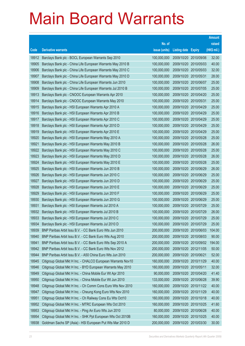|                |                                                                                                              |                            |                          |                          | <b>Amount</b>  |
|----------------|--------------------------------------------------------------------------------------------------------------|----------------------------|--------------------------|--------------------------|----------------|
|                |                                                                                                              | No. of                     |                          |                          | raised         |
| Code           | <b>Derivative warrants</b>                                                                                   | issue (units)              | <b>Listing date</b>      | <b>Expiry</b>            | (HK\$ mil.)    |
| 18912          | Barclays Bank plc - BOCL European Warrants Sep 2010                                                          | 100,000,000                | 2009/10/20               | 2010/09/06               | 32.00          |
| 18905          | Barclays Bank plc - China Life European Warrants May 2010 B                                                  | 100,000,000                | 2009/10/20               | 2010/05/03               | 40.00          |
| 18906          | Barclays Bank plc - China Life European Warrants May 2010 C                                                  | 100,000,000                | 2009/10/20               | 2010/05/03               | 32.00          |
| 18907          | Barclays Bank plc - China Life European Warrants May 2010 D                                                  | 100,000,000                | 2009/10/20               | 2010/05/31               | 28.00          |
| 18908          | Barclays Bank plc - China Life European Warrants Jun 2010                                                    | 100,000,000                | 2009/10/20               | 2010/06/07               | 25.00          |
| 18909          | Barclays Bank plc - China Life European Warrants Jul 2010 B                                                  | 100,000,000                | 2009/10/20               | 2010/07/05               | 25.00          |
| 18913          | Barclays Bank plc - CNOOC European Warrants Apr 2010                                                         | 100,000,000                | 2009/10/20               | 2010/04/20               | 25.00          |
| 18914          | Barclays Bank plc - CNOOC European Warrants May 2010                                                         | 100,000,000                | 2009/10/20               | 2010/05/31               | 25.00          |
| 18915          | Barclays Bank plc - HSI European Warrants Apr 2010 A                                                         | 100,000,000                | 2009/10/20               | 2010/04/29               | 25.00          |
| 18916          | Barclays Bank plc - HSI European Warrants Apr 2010 B                                                         | 100,000,000                | 2009/10/20               | 2010/04/29               | 25.00          |
| 18917          | Barclays Bank plc - HSI European Warrants Apr 2010 C                                                         | 100,000,000                | 2009/10/20               | 2010/04/29               | 25.00          |
| 18918          | Barclays Bank plc - HSI European Warrants Apr 2010 D                                                         | 100,000,000                | 2009/10/20               | 2010/04/29               | 25.00          |
| 18919          | Barclays Bank plc - HSI European Warrants Apr 2010 E                                                         | 100,000,000                | 2009/10/20               | 2010/04/29               | 25.00          |
| 18920          | Barclays Bank plc - HSI European Warrants May 2010 A                                                         | 100,000,000                | 2009/10/20               | 2010/05/28               | 25.00          |
| 18921          | Barclays Bank plc - HSI European Warrants May 2010 B                                                         | 100,000,000                | 2009/10/20               | 2010/05/28               | 26.00          |
| 18922          | Barclays Bank plc - HSI European Warrants May 2010 C                                                         | 100,000,000                | 2009/10/20               | 2010/05/28               | 25.00          |
| 18923          | Barclays Bank plc - HSI European Warrants May 2010 D                                                         | 100,000,000                | 2009/10/20               | 2010/05/28               | 26.00          |
| 18924          | Barclays Bank plc - HSI European Warrants May 2010 E                                                         | 100,000,000                | 2009/10/20               | 2010/05/28               | 25.00          |
| 18925          | Barclays Bank plc - HSI European Warrants Jun 2010 B                                                         | 100,000,000                | 2009/10/20               | 2010/06/29               | 26.00          |
| 18926          | Barclays Bank plc - HSI European Warrants Jun 2010 C                                                         | 100,000,000                | 2009/10/20               | 2010/06/29               | 25.00          |
| 18927          | Barclays Bank plc - HSI European Warrants Jun 2010 D                                                         | 100,000,000                | 2009/10/20               | 2010/06/29               | 25.00          |
| 18928          | Barclays Bank plc - HSI European Warrants Jun 2010 E                                                         | 100,000,000                | 2009/10/20               | 2010/06/29               | 25.00          |
| 18929          | Barclays Bank plc - HSI European Warrants Jun 2010 F                                                         | 100,000,000                | 2009/10/20               | 2010/06/29               | 25.00          |
| 18930          | Barclays Bank plc - HSI European Warrants Jun 2010 G                                                         | 100,000,000                | 2009/10/20               | 2010/06/29<br>2010/07/29 | 25.00          |
| 18931<br>18932 | Barclays Bank plc - HSI European Warrants Jul 2010 A<br>Barclays Bank plc - HSI European Warrants Jul 2010 B | 100,000,000<br>100,000,000 | 2009/10/20<br>2009/10/20 | 2010/07/29               | 25.00<br>26.00 |
| 18933          | Barclays Bank plc - HSI European Warrants Jul 2010 C                                                         | 100,000,000                | 2009/10/20               | 2010/07/29               | 25.00          |
| 18934          | Barclays Bank plc - HSI European Warrants Jul 2010 D                                                         | 100,000,000                | 2009/10/20 2010/07/29    |                          | 25.00          |
| 18939          | BNP Paribas Arbit Issu B.V. - CC Bank Euro Wts Jun 2010                                                      | 200,000,000                | 2009/10/20               | 2010/06/03               | 104.00         |
| 18940          | BNP Paribas Arbit Issu B.V. - CC Bank Euro Wts Aug 2010                                                      | 200,000,000                | 2009/10/20 2010/08/03    |                          | 90.00          |
| 18941          | BNP Paribas Arbit Issu B.V. - CC Bank Euro Wts Sep 2010 A                                                    | 200,000,000                |                          | 2009/10/20 2010/09/02    | 194.00         |
| 18942          | BNP Paribas Arbit Issu B.V. - CC Bank Euro Wts Nov 2012                                                      | 200,000,000                | 2009/10/20               | 2012/11/05               | 50.00          |
| 18944          | BNP Paribas Arbit Issu B.V. - A50 China Euro Wts Jun 2010                                                    | 200,000,000                | 2009/10/20               | 2010/06/21               | 52.00          |
| 18945          | Citigroup Global Mkt H Inc. - CHALCO European Warrants Nov10                                                 | 160,000,000                | 2009/10/20               | 2010/11/29               | 40.00          |
| 18946          | Citigroup Global Mkt H Inc. - BYD European Warrants May 2010                                                 | 160,000,000                | 2009/10/20               | 2010/05/11               | 32.00          |
| 18949          | Citigroup Global Mkt H Inc. - China Mobile Eur Wt Apr 2010                                                   | 90,000,000                 | 2009/10/20               | 2010/04/20               | 41.40          |
| 18950          | Citigroup Global Mkt H Inc. - China Mobile Eur Wt Jun 2010                                                   | 133,000,000                | 2009/10/20               | 2010/06/28               | 39.90          |
| 18948          | Citigroup Global Mkt H Inc. - Ch Comm Cons Euro Wts Nov 2010                                                 | 160,000,000                | 2009/10/20               | 2010/11/22               | 40.00          |
| 18947          | Citigroup Global Mkt H Inc. - Cheung Kong Euro Wts Nov 2010                                                  | 160,000,000                | 2009/10/20               | 2010/11/29               | 40.00          |
| 18951          | Citigroup Global Mkt H Inc. - Ch Railway Cons Eu Wts Oct10                                                   | 160,000,000                | 2009/10/20               | 2010/10/18               | 40.00          |
| 18952          | Citigroup Global Mkt H Inc. - MTRC European Wts Oct 2010                                                     | 160,000,000                | 2009/10/20               | 2010/10/25               | 41.60          |
| 18953          | Citigroup Global Mkt H Inc. - Ping An Euro Wts Jun 2010                                                      | 80,000,000                 | 2009/10/20               | 2010/06/28               | 40.00          |
| 18954          | Citigroup Global Mkt H Inc. - SHK Ppt European Wts Oct 2010B                                                 | 160,000,000                | 2009/10/20               | 2010/10/25               | 40.00          |
| 18938          | Goldman Sachs SP (Asia) - HSI European Put Wts Mar 2010 D                                                    | 200,000,000                | 2009/10/20 2010/03/30    |                          | 30.00          |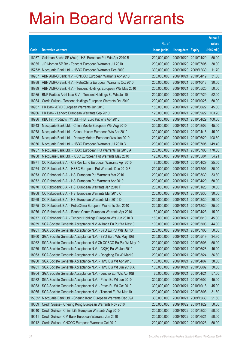|                |                                                                                                              |                            |                          |                          | <b>Amount</b>  |
|----------------|--------------------------------------------------------------------------------------------------------------|----------------------------|--------------------------|--------------------------|----------------|
|                |                                                                                                              | No. of                     |                          |                          | raised         |
| Code           | <b>Derivative warrants</b>                                                                                   | issue (units)              | <b>Listing date</b>      | <b>Expiry</b>            | (HK\$ mil.)    |
| 18937          | Goldman Sachs SP (Asia) - HSI European Put Wts Apr 2010 B                                                    | 200,000,000                | 2009/10/20               | 2010/04/29               | 50.00          |
| 18935          | J P Morgan SP BV - Tencent European Warrants Jul 2010                                                        | 200,000,000                |                          | 2009/10/20 2010/07/05    | 30.00          |
| 15753#         | Macquarie Bank Ltd. - HSBC European Warrants Dec 2009                                                        | 300,000,000                | 2009/10/20               | 2009/12/30               | 11.70          |
| 18987          | ABN AMRO Bank N.V. - CNOOC European Warrants Apr 2010                                                        | 200,000,000                | 2009/10/21               | 2010/04/19               | 31.00          |
| 18988          | ABN AMRO Bank N.V. - PetroChina European Warrants Oct 2010                                                   | 200,000,000                | 2009/10/21               | 2010/10/18               | 30.60          |
| 18989          | ABN AMRO Bank N.V. - Tencent Holdings European Wts May 2010                                                  | 200,000,000                | 2009/10/21               | 2010/05/25               | 50.00          |
| 18985          | BNP Paribas Arbit Issu B.V. - Tencent Holdings Eu Wts Jul 10                                                 | 200,000,000                | 2009/10/21               | 2010/07/29               | 52.00          |
| 18984          | Credit Suisse - Tencent Holdings European Warrants Oct 2010                                                  | 200,000,000                | 2009/10/21               | 2010/10/25               | 50.00          |
| 18967          | HK Bank - BYD European Warrants Jun 2010                                                                     | 180,000,000                | 2009/10/21               | 2010/06/22               | 45.00          |
| 18966          | HK Bank - Lenovo European Warrants Sep 2010                                                                  | 120,000,000                | 2009/10/21               | 2010/09/22               | 103.20         |
| 18986          | KBC Fin Products Int'l Ltd. - HSI Euro Put Wts Apr 2010                                                      | 400,000,000                | 2009/10/21               | 2010/04/29               | 100.00         |
| 18943          | Macquarie Bank Ltd. - China Mobile European Wts Aug 2010                                                     | 300,000,000                | 2009/10/21               | 2010/08/02               | 45.00          |
| 18978          | Macquarie Bank Ltd. - China Unicom European Wts Apr 2010                                                     | 300,000,000                | 2009/10/21               | 2010/04/16               | 45.00          |
| 18955          | Macquarie Bank Ltd. - Denway Motors European Wts Jun 2010                                                    | 200,000,000                | 2009/10/21               | 2010/06/29               | 108.60         |
| 18956          | Macquarie Bank Ltd. - HSBC European Warrants Jul 2010 C                                                      | 200,000,000                | 2009/10/21               | 2010/07/05               | 149.40         |
| 18957          | Macquarie Bank Ltd. - HSBC European Put Warrants Jul 2010 A                                                  | 200,000,000                | 2009/10/21               | 2010/07/05               | 170.00         |
| 18958          | Macquarie Bank Ltd. - ICBC European Put Warrants May 2010                                                    | 128,000,000                | 2009/10/21               | 2010/05/04               | 54.91          |
| 18971          | CC Rabobank B.A. - Chi Res Land European Warrants Apr 2010                                                   | 80,000,000                 | 2009/10/21               | 2010/04/29               | 25.60          |
| 18974          | CC Rabobank B.A. - HSBC European Put Warrants Dec 2010 F                                                     | 200,000,000                | 2009/10/21               | 2010/12/01               | 30.00          |
| 18973          | CC Rabobank B.A. - HSI European Put Warrants Mar 2010                                                        | 200,000,000<br>200,000,000 | 2009/10/21               | 2010/03/30               | 33.80<br>50.00 |
| 18972<br>18970 | CC Rabobank B.A. - HSI European Put Warrants Apr 2010<br>CC Rabobank B.A. - HSI European Warrants Jan 2010 F | 200,000,000                | 2009/10/21<br>2009/10/21 | 2010/04/29<br>2010/01/28 | 30.00          |
| 18968          | CC Rabobank B.A. - HSI European Warrants Mar 2010 C                                                          | 200,000,000                | 2009/10/21               | 2010/03/30               | 30.60          |
| 18969          | CC Rabobank B.A. - HSI European Warrants Mar 2010 D                                                          | 200,000,000                | 2009/10/21               | 2010/03/30               | 30.00          |
| 18975          | CC Rabobank B.A. - PetroChina European Warrants Dec 2010                                                     | 220,000,000                | 2009/10/21               | 2010/12/30               | 35.20          |
| 18976          | CC Rabobank B.A. - Renhe Comm European Warrants Apr 2010                                                     | 60,000,000                 | 2009/10/21               | 2010/04/23               | 15.00          |
| 18977          | CC Rabobank B.A. - Tencent Holdings European Wts Jun 2010 B                                                  | 180,000,000                | 2009/10/21               | 2010/06/10               | 45.00          |
| 18959          | SGA Societe Generale Acceptance N.V.-Alibaba Eu Put Wt May10                                                 | 100,000,000                | 2009/10/21               | 2010/05/03               | 44.00          |
| 18961          | SGA Societe Generale Acceptance N.V. - BYD Eu Put Wts Jul 10                                                 | 200,000,000                | 2009/10/21               | 2010/07/05               | 50.00          |
| 18960          | SGA Societe Generale Acceptance N.V. - BYD Euro Wts May 10B                                                  | 200,000,000                | 2009/10/21               | 2010/05/19               | 34.80          |
| 18962          | SGA Societe Generale Acceptance N.V-Ch COSCO Eu Put Wt May10                                                 | 200,000,000                | 2009/10/21               | 2010/05/03               | 50.00          |
| 18979          | SGA Societe Generale Acceptance N.V. - CK(H) Eu Wt Jun 2010                                                  | 300,000,000                | 2009/10/21               | 2010/06/28               | 45.00          |
| 18963          | SGA Societe Generale Acceptance N.V. - Dongfeng Eu Wt Mar10                                                  | 200,000,000                | 2009/10/21               | 2010/03/24               | 36.80          |
| 18980          | SGA Societe Generale Acceptance N.V. - HWL Eur Wt Apr 2010                                                   | 100,000,000                | 2009/10/21               | 2010/04/07               | 38.00          |
| 18981          | SGA Societe Generale Acceptance N.V. - HWL Eur Wt Jun 2010 A                                                 | 100,000,000                | 2009/10/21               | 2010/06/02               | 30.00          |
| 18964          | SGA Societe Generale Acceptance N.V. - Lenovo Eur Wts Apr10B                                                 | 80,000,000                 | 2009/10/21               | 2010/04/21               | 57.60          |
| 18982          | SGA Societe Generale Acceptance N.V. - Petch Eu Wt Jun 2010                                                  | 300,000,000                | 2009/10/21               | 2010/06/02               | 45.00          |
| 18983          | SGA Societe Generale Acceptance N.V. - Petch Eu Wt Oct 2010                                                  | 300,000,000                | 2009/10/21               | 2010/10/18               | 45.00          |
| 18965          | SGA Societe Generale Acceptance N.V. - Tencent Eu Wt Mar 10                                                  | 200,000,000                | 2009/10/21               | 2010/03/08               | 31.60          |
| 15035#         | Macquarie Bank Ltd. - Cheung Kong European Warrants Dec 09A                                                  | 300,000,000                | 2009/10/21               | 2009/12/30               | 21.60          |
| 19009          | Credit Suisse - Cheung Kong European Warrants Nov 2010                                                       | 200,000,000                | 2009/10/22               | 2010/11/29               | 50.00          |
| 19010          | Credit Suisse - China Life European Warrants Aug 2010                                                        | 200,000,000                |                          | 2009/10/22 2010/08/30    | 50.00          |
| 19011          | Credit Suisse - CM Bank European Warrants Jun 2010                                                           | 200,000,000                | 2009/10/22 2010/06/21    |                          | 50.00          |
| 19012          | Credit Suisse - CNOOC European Warrants Oct 2010                                                             | 200,000,000                | 2009/10/22 2010/10/25    |                          | 50.00          |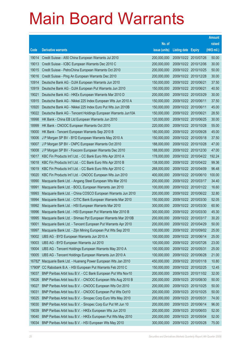|        |                                                              |               |                            |                       | <b>Amount</b> |
|--------|--------------------------------------------------------------|---------------|----------------------------|-----------------------|---------------|
|        |                                                              | No. of        |                            |                       | raised        |
| Code   | <b>Derivative warrants</b>                                   | issue (units) | <b>Listing date Expiry</b> |                       | (HK\$ mil.)   |
| 19014  | Credit Suisse - A50 China European Warrants Jul 2010         | 200,000,000   |                            | 2009/10/22 2010/07/26 | 50.00         |
| 19013  | Credit Suisse - ICBC European Warrants Dec 2010 C            | 200,000,000   |                            | 2009/10/22 2010/12/06 | 30.00         |
| 19015  | Credit Suisse - PetroChina European Warrants Oct 2010        | 200,000,000   |                            | 2009/10/22 2010/10/25 | 50.00         |
| 19016  | Credit Suisse - Ping An European Warrants Dec 2010           | 200,000,000   |                            | 2009/10/22 2010/12/28 | 30.00         |
| 10914  | Deutsche Bank AG - DJIA European Warrants Jun 2010           | 150,000,000   | 2009/10/22 2010/06/21      |                       | 37.50         |
| 10919  | Deutsche Bank AG - DJIA European Put Warrants Jun 2010       | 150,000,000   | 2009/10/22 2010/06/21      |                       | 40.50         |
| 19021  | Deutsche Bank AG - HKEx European Warrants Mar 2010 D         | 200,000,000   |                            | 2009/10/22 2010/03/29 | 30.00         |
| 10915  | Deutsche Bank AG - Nikkei 225 Index European Wts Jun 2010 A  | 150,000,000   | 2009/10/22 2010/06/11      |                       | 37.50         |
| 10920  | Deutsche Bank AG - Nikkei 225 Index Euro Put Wts Jun 2010B   | 150,000,000   | 2009/10/22 2010/06/11      |                       | 45.00         |
| 19022  | Deutsche Bank AG - Tencent Holdings European Warrants Jun10A | 150,000,000   | 2009/10/22 2010/06/21      |                       | 28.50         |
| 18998  | HK Bank - China EB Ltd European Warrants Jun 2010            | 120,000,000   |                            | 2009/10/22 2010/06/25 | 30.00         |
| 18999  | HK Bank - CNOOC European Warrants Oct 2010                   | 220,000,000   |                            | 2009/10/22 2010/10/28 | 55.00         |
| 19000  | HK Bank - Tencent European Warrants Sep 2010 B               | 180,000,000   |                            | 2009/10/22 2010/09/28 | 45.00         |
| 19006  | J P Morgan SP BV - BYD European Warrants May 2010 A          | 150,000,000   |                            | 2009/10/22 2010/05/18 | 37.50         |
| 19007  | J P Morgan SP BV - CNPC European Warrants Oct 2010           | 188,000,000   | 2009/10/22 2010/10/28      |                       | 47.00         |
| 19008  | J P Morgan SP BV - Foxconn European Warrants Dec 2010        | 188,000,000   |                            | 2009/10/22 2010/12/30 | 47.00         |
| 19017  | KBC Fin Products Int'l Ltd. - CC Bank Euro Wts Apr 2010 A    | 178,000,000   |                            | 2009/10/22 2010/04/22 | 192.24        |
| 19018  | KBC Fin Products Int'l Ltd. - CC Bank Euro Wts Apr 2010 B    | 138,000,000   |                            | 2009/10/22 2010/04/22 | 99.36         |
| 19019  | KBC Fin Products Int'l Ltd. - CC Bank Euro Wts Apr 2010 C    | 268,000,000   |                            | 2009/10/22 2010/04/09 | 96.48         |
| 19020  | KBC Fin Products Int'l Ltd. - CNOOC European Wts Jun 2010    | 400,000,000   |                            | 2009/10/22 2010/06/10 | 100.00        |
| 18990  | Macquarie Bank Ltd. - Angang Steel European Wts Mar 2010     | 200,000,000   |                            | 2009/10/22 2010/03/17 | 34.40         |
| 18991  | Macquarie Bank Ltd. - BOCL European Warrants Jan 2010        | 100,000,000   |                            | 2009/10/22 2010/01/22 | 16.60         |
| 18993  | Macquarie Bank Ltd. - China COSCO European Warrants Jun 2010 | 200,000,000   |                            | 2009/10/22 2010/06/22 | 32.80         |
| 18994  | Macquarie Bank Ltd. - CITIC Bank European Warrants Mar 2010  | 150,000,000   |                            | 2009/10/22 2010/03/30 | 52.05         |
| 18992  | Macquarie Bank Ltd. - HSI European Warrants Mar 2010         | 300,000,000   |                            | 2009/10/22 2010/03/30 | 60.90         |
| 18996  | Macquarie Bank Ltd. - HSI European Put Warrants Mar 2010 B   | 300,000,000   |                            | 2009/10/22 2010/03/30 | 45.30         |
| 18995  | Macquarie Bank Ltd. - Shimao Ppt European Warrants Mar 2010B | 200,000,000   |                            | 2009/10/22 2010/03/17 | 30.20         |
| 19001  | Macquarie Bank Ltd. - Tencent European Put Warrants Apr 2010 | 200,000,000   | 2009/10/22 2010/04/29      |                       | 50.00         |
| 18997  | Macquarie Bank Ltd. - Zijin Mining European Put Wts Sep 2010 | 100,000,000   |                            | 2009/10/22 2010/09/02 | 25.00         |
| 19002  | UBS AG - BYD European Warrants Jun 2010 A                    | 100,000,000   | 2009/10/22 2010/06/14      |                       | 25.00         |
| 19003  | UBS AG - BYD European Warrants Jul 2010                      | 100,000,000   | 2009/10/22 2010/07/26      |                       | 23.00         |
| 19004  | UBS AG - Tencent Holdings European Warrants May 2010 A       | 100,000,000   | 2009/10/22 2010/05/31      |                       | 25.00         |
| 19005  | UBS AG - Tencent Holdings European Warrants Jun 2010 A       | 100,000,000   | 2009/10/22 2010/06/28      |                       | 21.00         |
| 16782# | Macquarie Bank Ltd. - Huaneng Power European Wts Jan 2010    | 450,000,000   | 2009/10/22 2010/01/18      |                       | 10.80         |
| 17909# | CC Rabobank B.A. - HSI European Put Warrants Feb 2010 C      | 150,000,000   | 2009/10/22 2010/02/25      |                       | 12.45         |
| 19037  | BNP Paribas Arbit Issu B.V. - CC Bank European Put Wts Nov10 | 200,000,000   |                            | 2009/10/23 2010/11/02 | 32.00         |
| 19026  | BNP Paribas Arbit Issu B.V. - CNOOC European Wts Aug 2010 B  | 200,000,000   |                            | 2009/10/23 2010/08/30 | 50.00         |
| 19027  | BNP Paribas Arbit Issu B.V. - CNOOC European Wts Oct 2010    | 200,000,000   | 2009/10/23 2010/10/25      |                       | 50.00         |
| 19031  | BNP Paribas Arbit Issu B.V. - CNOOC European Put Wts Oct10   | 200,000,000   | 2009/10/23 2010/10/25      |                       | 50.00         |
| 19025  | BNP Paribas Arbit Issu B.V. - Sinopec Corp Euro Wts May 2010 | 200,000,000   | 2009/10/23 2010/05/31      |                       | 74.00         |
| 19030  | BNP Paribas Arbit Issu B.V. - Sinopec Corp Eur Put Wt Jun 10 | 200,000,000   | 2009/10/23                 | 2010/06/14            | 96.00         |
| 19039  | BNP Paribas Arbit Issu B.V. - HKEx European Wts Jun 2010     | 200,000,000   | 2009/10/23 2010/06/03      |                       | 52.00         |
| 19040  | BNP Paribas Arbit Issu B.V. - HKEx European Put Wts May 2010 | 200,000,000   | 2009/10/23 2010/05/04      |                       | 52.00         |
| 19034  | BNP Paribas Arbit Issu B.V. - HSI European Wts May 2010      | 300,000,000   | 2009/10/23 2010/05/28      |                       | 75.00         |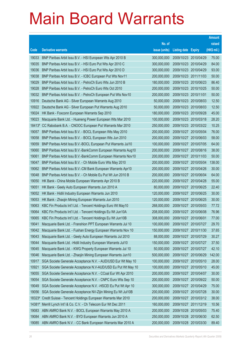|        |                                                                |               |                            |                       | <b>Amount</b> |
|--------|----------------------------------------------------------------|---------------|----------------------------|-----------------------|---------------|
|        |                                                                | No. of        |                            |                       | raised        |
| Code   | <b>Derivative warrants</b>                                     | issue (units) | <b>Listing date Expiry</b> |                       | (HK\$ mil.)   |
| 19033  | BNP Paribas Arbit Issu B.V. - HSI European Wts Apr 2010 B      | 300,000,000   |                            | 2009/10/23 2010/04/29 | 75.00         |
| 19035  | BNP Paribas Arbit Issu B.V. - HSI Euro Put Wts Apr 2010 C      | 300,000,000   |                            | 2009/10/23 2010/04/29 | 84.00         |
| 19036  | BNP Paribas Arbit Issu B.V. - HSI Euro Put Wts Apr 2010 D      | 300,000,000   |                            | 2009/10/23 2010/04/29 | 93.00         |
| 19038  | BNP Paribas Arbit Issu B.V. - ICBC European Put Wts Nov11      | 200,000,000   | 2009/10/23 2011/11/03      |                       | 50.00         |
| 19029  | BNP Paribas Arbit Issu B.V. - PetroCh Euro Wts Jun 2010 B      | 180,000,000   |                            | 2009/10/23 2010/06/23 | 86.40         |
| 19028  | BNP Paribas Arbit Issu B.V. - PetroCh Euro Wts Oct 2010        | 200,000,000   |                            | 2009/10/23 2010/10/25 | 50.00         |
| 19032  | BNP Paribas Arbit Issu B.V. - PetroCh European Put Wts Nov10   | 200,000,000   | 2009/10/23 2010/11/01      |                       | 50.00         |
| 10916  | Deutsche Bank AG - Silver European Warrants Aug 2010           | 50,000,000    | 2009/10/23 2010/08/03      |                       | 12.50         |
| 10922  | Deutsche Bank AG - Silver European Put Warrants Aug 2010       | 50,000,000    |                            | 2009/10/23 2010/08/03 | 12.50         |
| 19024  | HK Bank - Foxconn European Warrants Sep 2010                   | 180,000,000   | 2009/10/23 2010/09/28      |                       | 45.00         |
| 19023  | Macquarie Bank Ltd. - Huaneng Power European Wts Mar 2010      | 100,000,000   | 2009/10/23 2010/03/18      |                       | 28.20         |
|        | 18413# CC Rabobank B.A. - CNOOC European Put Warrants Mar 2010 | 250,000,000   |                            | 2009/10/23 2010/03/22 | 10.25         |
| 19057  | BNP Paribas Arbit Issu B.V. - BOCL European Wts May 2010       | 200,000,000   |                            | 2009/10/27 2010/05/04 | 76.00         |
| 19058  | BNP Paribas Arbit Issu B.V. - BOCL European Wts Jun 2010       | 200,000,000   | 2009/10/27 2010/06/03      |                       | 58.00         |
| 19059  | BNP Paribas Arbit Issu B.V.-BOCL European Put Warrants Jul10   | 100,000,000   | 2009/10/27                 | 2010/07/05            | 64.00         |
| 19060  | BNP Paribas Arbit Issu B.V.-BankComm European Warrants Aug10   | 200,000,000   |                            | 2009/10/27 2010/08/16 | 38.00         |
| 19061  | BNP Paribas Arbit Issu B.V.-BankComm European Warrants Nov10   | 200,000,000   |                            | 2009/10/27 2010/11/03 | 50.00         |
| 19047  | BNP Paribas Arbit Issu B.V. - Ch Mobile Euro Wts May 2010      | 200,000,000   |                            | 2009/10/27 2010/05/04 | 138.00        |
| 19062  | BNP Paribas Arbit Issu B.V.-CM Bank European Warrants Apr10    | 200,000,000   | 2009/10/27                 | 2010/04/26            | 30.00         |
| 19048  | BNP Paribas Arbit Issu B.V. - Ch Mobile Eu Put Wt Jun 2010 B   | 200,000,000   | 2009/10/27 2010/06/04      |                       | 64.00         |
| 19050  | HK Bank - China Mobile European Warrants Apr 2010 B            | 220,000,000   | 2009/10/27 2010/04/28      |                       | 55.00         |
| 19051  | HK Bank - Geely Auto European Warrants Jun 2010 A              | 80,000,000    |                            | 2009/10/27 2010/06/25 | 22.40         |
| 19052  | HK Bank - Hidili Industry European Warrants Jun 2010           | 120,000,000   | 2009/10/27                 | 2010/06/25            | 30.00         |
| 19053  | HK Bank - Zhaojin Mining European Warrants Jun 2010            | 120,000,000   |                            | 2009/10/27 2010/06/25 | 30.00         |
| 19063  | KBC Fin Products Int'l Ltd. - Tencent Holdings Euro Wt May10   | 268,000,000   |                            | 2009/10/27 2010/05/03 | 77.72         |
| 19064  | KBC Fin Products Int'l Ltd. - Tencent Holdings Eu Wt Jun10A    | 208,000,000   | 2009/10/27 2010/06/08      |                       | 76.96         |
| 19065  | KBC Fin Products Int'l Ltd. - Tencent Holdings Eu Wt Jun10B    | 308,000,000   | 2009/10/27 2010/06/01      |                       | 77.00         |
| 19041  | Macquarie Bank Ltd. - Franshion PPT European Warrants Jul 10   | 100,000,000   | 2009/10/27 2010/07/27      |                       | 29.70         |
| 19042  | Macquarie Bank Ltd. - Fushan Energy European Warrants Nov 10   | 150,000,000   | 2009/10/27                 | 2010/11/30            | 37.65         |
| 19043  | Macquarie Bank Ltd. - Geely Auto European Warrants Jul 2010    | 88,000,000    | 2009/10/27 2010/07/29      |                       | 30.27         |
| 19044  | Macquarie Bank Ltd. - Hidili Industry European Warrants Jul10  | 150,000,000   | 2009/10/27                 | 2010/07/27            | 37.50         |
| 19045  | Macquarie Bank Ltd. - KWG Property European Warrants Jul 10    | 50,000,000    | 2009/10/27                 | 2010/07/27            | 42.10         |
| 19046  | Macquarie Bank Ltd. - Zhaojin Mining European Warrants Jun10   | 500,000,000   | 2009/10/27                 | 2010/06/29            | 142.00        |
| 10917  | SGA Societe Generale Acceptance N.V. - AUD/USD Eur Wt May 10   | 100,000,000   | 2009/10/27                 | 2010/05/10            | 28.00         |
| 10921  | SGA Societe Generale Acceptance N.V-AUD/USD Eu Put Wt May 10   | 100,000,000   | 2009/10/27                 | 2010/05/10            | 45.00         |
| 19055  | SGA Societe Generale Acceptance N.V. - CCoal Eur Wt Apr 2010   | 200,000,000   | 2009/10/27                 | 2010/04/07            | 30.00         |
| 19054  | SGA Societe Generale Acceptance N.V. - CNPC Euro Wts Sep 10    | 200,000,000   | 2009/10/27                 | 2010/09/22            | 50.00         |
| 19049  | SGA Societe Generale Acceptance N.V. - HSCEI Eu Put Wt Apr 10  | 300,000,000   | 2009/10/27                 | 2010/04/29            | 75.00         |
| 19056  | SGA Societe Generale Acceptance NV-Zijin Mining Eu Wt Jul10B   | 200,000,000   | 2009/10/27                 | 2010/07/28            | 30.00         |
| 18323# | Credit Suisse - Tencent Holdings European Warrants Mar 2010    | 200,000,000   | 2009/10/27                 | 2010/03/12            | 38.00         |
| 14381# | Merrill Lynch Int'l & Co. C.V. - Ch Telecom Eur Wt Dec 2011    | 160,000,000   | 2009/10/27                 | 2011/12/19            | 10.56         |
| 19083  | ABN AMRO Bank N.V. - BOCL European Warrants May 2010 A         | 200,000,000   | 2009/10/28 2010/05/03      |                       | 75.40         |
| 19084  | ABN AMRO Bank N.V. - BYD European Warrants Jun 2010 A          | 250,000,000   | 2009/10/28                 | 2010/06/30            | 62.50         |
| 19085  | ABN AMRO Bank N.V. - CC Bank European Warrants Mar 2010 A      | 200,000,000   |                            | 2009/10/28 2010/03/30 | 89.40         |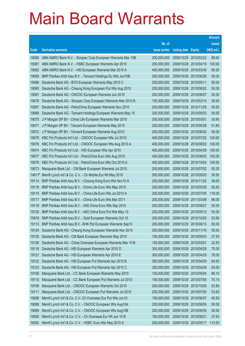|        |                                                               |               |                            |            | <b>Amount</b> |
|--------|---------------------------------------------------------------|---------------|----------------------------|------------|---------------|
|        |                                                               | No. of        |                            |            | raised        |
| Code   | <b>Derivative warrants</b>                                    | issue (units) | <b>Listing date Expiry</b> |            | (HK\$ mil.)   |
| 19086  | ABN AMRO Bank N.V. - Sinopec Corp European Warrants Mar 10B   | 200,000,000   | 2009/10/28 2010/03/22      |            | 89.60         |
| 19087  | ABN AMRO Bank N.V. - HSBC European Warrants Apr 2010          | 200,000,000   | 2009/10/28 2010/04/19      |            | 100.00        |
| 19082  | ABN AMRO Bank N.V. - HSI European Warrants Mar 2010 A         | 400,000,000   | 2009/10/28                 | 2010/03/30 | 69.20         |
| 19069  | BNP Paribas Arbit Issu B.V. - Tencent Holdings Eu Wts Jun10B  | 200,000,000   | 2009/10/28 2010/06/28      |            | 50.00         |
| 19066  | Deutsche Bank AG - BYD European Warrants May 2010 C           | 200,000,000   | 2009/10/28 2010/05/11      |            | 50.00         |
| 19080  | Deutsche Bank AG - Cheung Kong European Put Wts Aug 2010      | 200,000,000   | 2009/10/28 2010/08/02      |            | 50.00         |
| 19081  | Deutsche Bank AG - CNOOC European Warrants Jun 2010           | 200,000,000   | 2009/10/28                 | 2010/06/07 | 50.00         |
| 19079  | Deutsche Bank AG - Sinopec Corp European Warrants Mar 2010 B  | 150,000,000   | 2009/10/28 2010/03/15      |            | 39.00         |
| 19067  | Deutsche Bank AG - PetroChina European Warrants Nov 2010      | 200,000,000   | 2009/10/28 2010/11/29      |            | 50.00         |
| 19068  | Deutsche Bank AG - Tencent Holdings European Warrants May 10  | 200,000,000   | 2009/10/28 2010/05/03      |            | 50.00         |
| 19070  | J P Morgan SP BV - China Life European Warrants Mar 2010      | 200,000,000   | 2009/10/28                 | 2010/03/01 | 30.60         |
| 19071  | J P Morgan SP BV - Tencent European Warrants May 2010         | 200,000,000   | 2009/10/28 2010/05/28      |            | 51.80         |
| 19072  | J P Morgan SP BV - Tencent European Warrants Aug 2010         | 200,000,000   | 2009/10/28 2010/08/30      |            | 50.00         |
| 19075  | KBC Fin Products Int'l Ltd. - CNOOC European Wts Jul 2010     | 400,000,000   | 2009/10/28 2010/07/02      |            | 100.00        |
| 19076  | KBC Fin Products Int'l Ltd. - CNOOC European Wts Aug 2010 A   | 400,000,000   | 2009/10/28                 | 2010/08/02 | 100.00        |
| 19074  | KBC Fin Products Int'l Ltd. - HSI European Wts Apr 2010       | 400,000,000   | 2009/10/28 2010/04/29      |            | 100.00        |
| 19077  | KBC Fin Products Int'l Ltd. - PetroChina Euro Wts Aug 2010    | 400,000,000   | 2009/10/28 2010/08/02      |            | 100.00        |
| 19078  | KBC Fin Products Int'l Ltd. - PetroChina Euro Wts Oct 2010 A  | 400,000,000   | 2009/10/28 2010/10/04      |            | 100.00        |
| 19073  | Macquarie Bank Ltd. - CM Bank European Warrants Jul 2010      | 200,000,000   | 2009/10/28                 | 2010/07/02 | 50.20         |
| 14617# | Merrill Lynch Int'l & Co. C.V. - Ch Mobile Eur Wt May 2010    | 500,000,000   | 2009/10/28 2010/05/03      |            | 30.50         |
| 19114  | BNP Paribas Arbit Issu B.V. - Cheung Kong Euro Wts Nov10 A    | 200,000,000   | 2009/10/29                 | 2010/11/22 | 38.00         |
| 19116  | BNP Paribas Arbit Issu B.V. - China Life Euro Wts May 2010    | 200,000,000   | 2009/10/29                 | 2010/05/28 | 50.00         |
| 19115  | BNP Paribas Arbit Issu B.V. - China Life Euro Wts Jul 2010 A  | 200,000,000   | 2009/10/29                 | 2010/07/05 | 118.00        |
| 19117  | BNP Paribas Arbit Issu B.V. - China Life Euro Wts Mar 2011    | 200,000,000   | 2009/10/29                 | 2011/03/08 | 96.00         |
| 19119  | BNP Paribas Arbit Issu B.V. - A50 China Euro Wts Sep 2010     | 200,000,000   | 2009/10/29                 | 2010/09/27 | 50.00         |
| 19120  | BNP Paribas Arbit Issu B.V. - A50 China Euro Put Wts May 10   | 200,000,000   | 2009/10/29                 | 2010/05/12 | 50.00         |
| 10918  | BNP Paribas Arbit Issu B.V. - Gold European Warrants Oct 10   | 200,000,000   | 2009/10/29                 | 2010/10/20 | 53.00         |
| 19113  | BNP Paribas Arbit Issu B.V. - SHK Ppt European Warrants Sep10 | 200,000,000   | 2009/10/29                 | 2010/09/13 | 50.00         |
| 19124  | Deutsche Bank AG - Cheung Kong European Warrants Nov 2010     | 200,000,000   | 2009/10/29                 | 2010/11/15 | 50.00         |
| 19125  | Deutsche Bank AG - CM Bank European Warrants May 2010         | 150,000,000   | 2009/10/29                 | 2010/05/03 | 37.50         |
| 19126  | Deutsche Bank AG - China Overseas European Warrants Mar 10 B  | 150,000,000   | 2009/10/29                 | 2010/03/01 | 22.50         |
| 19118  | Deutsche Bank AG - HSI European Warrants Apr 2010 D           | 300,000,000   | 2009/10/29                 | 2010/04/29 | 75.00         |
| 19121  | Deutsche Bank AG - HSI European Warrants Apr 2010 E           | 300,000,000   | 2009/10/29                 | 2010/04/29 | 78.00         |
| 19122  | Deutsche Bank AG - HSI European Put Warrants Apr 2010 B       | 300,000,000   | 2009/10/29                 | 2010/04/29 | 84.00         |
| 19123  | Deutsche Bank AG - HSI European Put Warrants Apr 2010 C       | 300,000,000   | 2009/10/29                 | 2010/04/29 | 93.00         |
| 19108  | Macquarie Bank Ltd. - CC Bank European Warrants May 2010      | 150,000,000   | 2009/10/29                 | 2010/05/04 | 66.15         |
| 19110  | Macquarie Bank Ltd. - CC Bank European Put Warrants Jul 2010  | 150,000,000   | 2009/10/29                 | 2010/07/05 | 75.15         |
| 19109  | Macquarie Bank Ltd. - CNOOC European Warrants Oct 2010        | 200,000,000   | 2009/10/29                 | 2010/10/05 | 53.80         |
| 19111  | Macquarie Bank Ltd. - CNOOC European Put Warrants Jul 2010    | 200,000,000   | 2009/10/29                 | 2010/07/05 | 53.60         |
| 19096  | Merrill Lynch Int'l & Co. C.V.-Ch Overseas Eur Put Wts Jun10  | 150,000,000   | 2009/10/29                 | 2010/06/07 | 40.50         |
| 19088  | Merrill Lynch Int'l & Co. C.V. - CNOOC European Wts Aug10A    | 200,000,000   | 2009/10/29                 | 2010/08/09 | 55.00         |
| 19089  | Merrill Lynch Int'l & Co. C.V. - CNOOC European Wts Aug10B    | 200,000,000   | 2009/10/29                 | 2010/08/30 | 50.00         |
| 19090  | Merrill Lynch Int'l & Co. C.V. - Ch Overseas Eur Wt Jun 10 B  | 150,000,000   | 2009/10/29                 | 2010/06/21 | 37.50         |
| 19092  | Merrill Lynch Int'l & Co. C.V. - HSBC Euro Wts May 2010 A     | 200,000,000   | 2009/10/29                 | 2010/05/17 | 112.00        |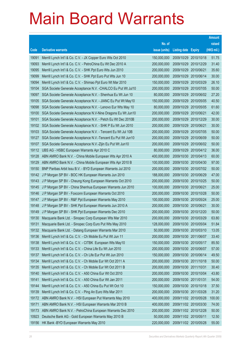|                |                                                                                                                          |                            |                                                |            | <b>Amount</b>  |
|----------------|--------------------------------------------------------------------------------------------------------------------------|----------------------------|------------------------------------------------|------------|----------------|
|                |                                                                                                                          | No. of                     |                                                |            | raised         |
| Code           | <b>Derivative warrants</b>                                                                                               | issue (units)              | <b>Listing date Expiry</b>                     |            | (HK\$ mil.)    |
| 19091          | Merrill Lynch Int'l & Co. C.V. - JX Copper Euro Wts Oct 2010                                                             | 150,000,000                | 2009/10/29 2010/10/18                          |            | 51.75          |
| 19093          | Merrill Lynch Int'l & Co. C.V. - PetroChina Eu Wt Dec 2010 A                                                             | 200,000,000                | 2009/10/29 2010/12/29                          |            | 31.40          |
| 19095          | Merrill Lynch Int'l & Co. C.V. - SHK Ppt Euro Wts Jun 2010                                                               | 200,000,000                | 2009/10/29                                     | 2010/06/21 | 35.60          |
| 19099          | Merrill Lynch Int'l & Co. C.V. - SHK Ppt Euro Put Wts Jun 10                                                             | 200,000,000                | 2009/10/29 2010/06/14                          |            | 30.00          |
| 19094          | Merrill Lynch Int'l & Co. C.V. - Shimao Ppt Euro Wt Mar 2010                                                             | 150,000,000                | 2009/10/29                                     | 2010/03/29 | 26.10          |
| 19104          | SGA Societe Generale Acceptance N.V. - CHALCO Eu Put Wt Jul10                                                            | 200,000,000                | 2009/10/29 2010/07/05                          |            | 50.00          |
| 19097          | SGA Societe Generale Acceptance N.V. - Shenhua Eu Wt Jun 10                                                              | 80,000,000                 | 2009/10/29                                     | 2010/06/02 | 27.20          |
| 19105          | SGA Societe Generale Acceptance N.V. - JIANC Eu Put Wt May10                                                             | 150,000,000                | 2009/10/29 2010/05/05                          |            | 40.50          |
| 19098          | SGA Societe Generale Acceptance N.V. - Lenovo Eur Wts May 10                                                             | 80,000,000                 | 2009/10/29                                     | 2010/05/05 | 61.60          |
| 19100          | SGA Societe Generale Acceptance N.V-Nine Dragons Eu Wt Jun10                                                             | 200,000,000                | 2009/10/29 2010/06/21                          |            | 42.00          |
| 19101          | SGA Societe Generale Acceptance N.V. - Petch Eu Wt Dec 2010B                                                             | 200,000,000                | 2009/10/29                                     | 2010/12/29 | 30.00          |
| 19102          | SGA Societe Generale Acceptance N.V. - SHK P Eu Wt Jun 2010                                                              | 200,000,000                | 2009/10/29 2010/06/21                          |            | 30.00          |
| 19103          | SGA Societe Generale Acceptance N.V. - Tencent Eu Wt Jul 10B                                                             | 200,000,000                | 2009/10/29                                     | 2010/07/05 | 50.00          |
| 19127          | SGA Societe Generale Acceptance N.V.-Tencent Eu Put Wt Jun10                                                             | 200,000,000                | 2009/10/29 2010/06/09                          |            | 50.00          |
| 19107          | SGA Societe Generale Acceptance N.V.-Zijin Eu Put Wt Jun10                                                               | 200,000,000                | 2009/10/29                                     | 2010/06/02 | 50.00          |
| 19112          | UBS AG - HSBC European Warrants Apr 2010 C                                                                               | 80,000,000                 | 2009/10/29 2010/04/12                          |            | 36.00          |
| 19128          | ABN AMRO Bank N.V. - China Mobile European Wts Apr 2010 A                                                                | 400,000,000                | 2009/10/30 2010/04/13                          |            | 60.00          |
| 19129          | ABN AMRO Bank N.V. - China Mobile European Wts Apr 2010 B                                                                | 100,000,000                | 2009/10/30 2010/04/30                          |            | 97.00          |
| 19150          | BNP Paribas Arbit Issu B.V. - BYD European Warrants Jul 2010                                                             | 200,000,000                | 2009/10/30 2010/07/02                          |            | 50.00          |
| 19142          | J P Morgan SP BV - BOC HK European Warrants Jun 2010                                                                     | 188,000,000                | 2009/10/30 2010/06/29                          |            | 47.00          |
| 19143<br>19145 | J P Morgan SP BV - Cheung Kong European Warrants Oct 2010<br>J P Morgan SP BV - China Shenhua European Warrants Jun 2010 | 200,000,000<br>100,000,000 | 2009/10/30 2010/10/25<br>2009/10/30 2010/06/21 |            | 50.00<br>25.00 |
| 19146          | J P Morgan SP BV - Foxconn European Warrants Oct 2010                                                                    | 200,000,000                | 2009/10/30 2010/10/28                          |            | 50.00          |
| 19147          | J P Morgan SP BV - R&F Ppt European Warrants May 2010                                                                    | 100,000,000                | 2009/10/30 2010/05/24                          |            | 25.00          |
| 19148          | J P Morgan SP BV - SHK Ppt European Warrants Jun 2010 A                                                                  | 200,000,000                | 2009/10/30 2010/06/21                          |            | 30.00          |
| 19149          | J P Morgan SP BV - SHK Ppt European Warrants Dec 2010                                                                    | 200,000,000                | 2009/10/30 2010/12/20                          |            | 50.00          |
| 19130          | Macquarie Bank Ltd. - Sinopec Corp European Wts Mar 2010                                                                 | 200,000,000                | 2009/10/30 2010/03/29                          |            | 63.80          |
| 19131          | Macquarie Bank Ltd. - Sinopec Corp Euro Put Wts May 2010                                                                 | 128,000,000                | 2009/10/30 2010/05/04                          |            | 51.84          |
| 19132          | Macquarie Bank Ltd. - Datang European Warrants Mar 2010                                                                  | 50,000,000                 | 2009/10/30 2010/03/10                          |            | 13.05          |
| 19136          | Merrill Lynch Int'l & Co. C.V. - Ch Mobile Eu Put Wt Jun 11                                                              | 200,000,000                | 2009/10/30 2011/06/07                          |            | 33.40          |
| 19138          | Merrill Lynch Int'l & Co. C.V. - CITBK European Wts May10                                                                | 150,000,000                | 2009/10/30 2010/05/17                          |            | 85.50          |
| 19133          | Merrill Lynch Int'l & Co. C.V. - China Life Eu Wt Jun 2010                                                               | 200,000,000                | 2009/10/30 2010/06/07                          |            | 57.00          |
| 19137          | Merrill Lynch Int'l & Co. C.V. - Ch Life Eur Put Wt Jun 2010                                                             | 150,000,000                | 2009/10/30 2010/06/14                          |            | 49.50          |
| 19134          | Merrill Lynch Int'l & Co. C.V. - Ch Mobile Eur Wt Oct 2011 A                                                             | 200,000,000                | 2009/10/30 2011/10/18                          |            | 50.00          |
| 19135          | Merrill Lynch Int'l & Co. C.V. - Ch Mobile Eur Wt Oct 2011 B                                                             | 200,000,000                | 2009/10/30 2011/10/31                          |            | 30.40          |
| 19140          | Merrill Lynch Int'l & Co. C.V. - A50 China Eur Wt Oct 2010                                                               | 200,000,000                | 2009/10/30 2010/10/04                          |            | 43.80          |
| 19141          | Merrill Lynch Int'l & Co. C.V. - A50 China Eur Wt Jan 2011                                                               | 200,000,000                | 2009/10/30 2011/01/31                          |            | 54.00          |
| 19144          | Merrill Lynch Int'l & Co. C.V. - A50 China Eu Put Wt Oct 10                                                              | 150,000,000                | 2009/10/30 2010/10/18                          |            | 37.50          |
| 19139          | Merrill Lynch Int'l & Co. C.V. - Ping An Euro Wts Mar 2011                                                               | 200,000,000                | 2009/10/30 2011/03/28                          |            | 31.20          |
| 19172          | ABN AMRO Bank N.V. - HSI European Put Warrants May 2010                                                                  | 400,000,000                | 2009/11/02 2010/05/28                          |            | 100.00         |
| 19171          | ABN AMRO Bank N.V. - HSI European Warrants Mar 2010 B                                                                    | 400,000,000                | 2009/11/02 2010/03/30                          |            | 74.00          |
| 19173          | ABN AMRO Bank N.V. - PetroChina European Warrants Dec 2010                                                               | 200,000,000                | 2009/11/02 2010/12/28                          |            | 50.00          |
| 10923          | Deutsche Bank AG - Gold European Warrants May 2010 B                                                                     | 50,000,000                 | 2009/11/02 2010/05/11                          |            | 12.50          |
| 19156          | HK Bank - BYD European Warrants May 2010                                                                                 | 220,000,000                | 2009/11/02 2010/05/28                          |            | 55.00          |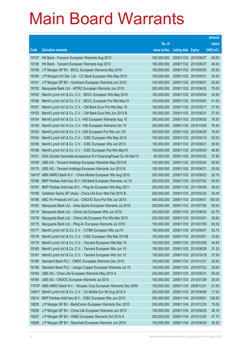|                |                                                                                                                       |                            |                            |                       | <b>Amount</b>  |
|----------------|-----------------------------------------------------------------------------------------------------------------------|----------------------------|----------------------------|-----------------------|----------------|
|                |                                                                                                                       | No. of                     |                            |                       | raised         |
| Code           | <b>Derivative warrants</b>                                                                                            | issue (units)              | <b>Listing date Expiry</b> |                       | (HK\$ mil.)    |
| 19157          | HK Bank - Foxconn European Warrants Aug 2010                                                                          | 160,000,000                |                            | 2009/11/02 2010/08/27 | 40.00          |
| 19158          | HK Bank - Tencent European Warrants Aug 2010                                                                          | 180,000,000                |                            | 2009/11/02 2010/08/27 | 45.00          |
| 19159          | J P Morgan SP BV - BOCL European Warrants May 2010                                                                    | 100,000,000                |                            | 2009/11/02 2010/05/03 | 25.00          |
| 19160          | J P Morgan Int'l Der. Ltd. - CC Bank European Wts May 2010                                                            | 100,000,000                | 2009/11/02 2010/05/31      |                       | 30.00          |
| 19161          | J P Morgan SP BV - Hutchison European Warrants Jun 2010                                                               | 100,000,000                |                            | 2009/11/02 2010/06/07 | 25.00          |
| 19152          | Macquarie Bank Ltd. - MTRC European Warrants Jun 2010                                                                 | 300,000,000                |                            | 2009/11/02 2010/06/02 | 75.00          |
| 19162          | Merrill Lynch Int'l & Co. C.V. - BOCL European Wts May 2010                                                           | 100,000,000                |                            | 2009/11/02 2010/05/04 | 34.50          |
| 19166          | Merrill Lynch Int'l & Co. C.V. - BOCL European Put Wts May10                                                          | 100,000,000                |                            | 2009/11/02 2010/05/03 | 41.00          |
| 19167          | Merrill Lynch Int'l & Co. C.V. - CM Bank Euro Put Wts May 10                                                          | 150,000,000                |                            | 2009/11/02 2010/05/17 | 37.50          |
| 19163          | Merrill Lynch Int'l & Co. C.V. - CM Bank Euro Wts Jun 2010 B                                                          | 150,000,000                | 2009/11/02 2010/06/21      |                       | 37.50          |
| 19154          | Merrill Lynch Int'l & Co. C.V. - HSI European Warrants Aug 10                                                         | 300,000,000                |                            | 2009/11/02 2010/08/30 | 76.50          |
| 19155          | Merrill Lynch Int'l & Co. C.V. - HSI European Warrants Oct 10                                                         | 300,000,000                |                            | 2009/11/02 2010/10/28 | 76.50          |
| 19153          | Merrill Lynch Int'l & Co. C.V. - HSI European Put Wts Jun 101                                                         | 300,000,000                |                            | 2009/11/02 2010/06/29 | 79.50          |
| 19164          | Merrill Lynch Int'l & Co. C.V. - ICBC European Wts May 2010                                                           | 100,000,000                |                            | 2009/11/02 2010/05/10 | 52.00          |
| 19165          | Merrill Lynch Int'l & Co. C.V. - ICBC European Wts Jun 2010                                                           | 100,000,000                | 2009/11/02 2010/06/21      |                       | 39.50          |
| 19168          | Merrill Lynch Int'l & Co. C.V. - ICBC European Put Wts May10                                                          | 100,000,000                |                            | 2009/11/02 2010/05/03 | 48.50          |
| 19151          | SGA Societe Generale Acceptance N.V-HuanengPower Eu Wt Mar10                                                          | 60,000,000                 |                            | 2009/11/02 2010/03/22 | 37.80          |
| 19169          | UBS AG - Tencent Holdings European Warrants May 2010 B                                                                | 100,000,000                |                            | 2009/11/02 2010/05/24 | 25.00          |
| 19170          | UBS AG - Tencent Holdings European Warrants Jun 2010 B                                                                | 100,000,000                | 2009/11/02 2010/06/21      |                       | 25.00          |
|                | 18415# ABN AMRO Bank N.V. - China Mobile European Wts Aug 2010                                                        | 250,000,000                |                            | 2009/11/02 2010/08/03 | 20.75          |
| 19186          | BNP Paribas Arbit Issu B.V.-CM Bank European Warrants Jul 10                                                          | 200,000,000                |                            | 2009/11/03 2010/07/02 | 50.00          |
| 19187          | BNP Paribas Arbit Issu B.V. - Ping An European Wts May 2011                                                           | 200,000,000                |                            | 2009/11/03 2011/05/09 | 36.00          |
| 19185          | Goldman Sachs SP (Asia) - China Life Euro Wts Feb 2010 B                                                              | 200,000,000                |                            | 2009/11/03 2010/02/25 | 30.00          |
| 19188          | KBC Fin Products Int'l Ltd. - CNOOC Euro Put Wts Jun 2010                                                             | 400,000,000                | 2009/11/03 2010/06/01      |                       | 100.00         |
| 19182          | Macquarie Bank Ltd. - Anta Sports European Warrants Jul 2010                                                          | 200,000,000                | 2009/11/03 2010/07/05      |                       | 50.00          |
| 19174          | Macquarie Bank Ltd. - China Life European Wts Jun 2010                                                                | 250,000,000<br>200,000,000 | 2009/11/03 2010/03/01      | 2009/11/03 2010/06/02 | 63.75<br>35.60 |
| 19176<br>19175 | Macquarie Bank Ltd. - China Life European Put Wts Mar 2010                                                            | 150,000,000                | 2009/11/03 2010/07/05      |                       | 93.00          |
| 19177          | Macquarie Bank Ltd. - Ping An European Warrants Jul 2010<br>Merrill Lynch Int'l & Co. C.V. - CITBK European Wts Jun10 | 150,000,000                | 2009/11/03 2010/06/07      |                       | 63.75          |
| 19178          | Merrill Lynch Int'l & Co. C.V. - ICBC European Wts Mar 2010B                                                          | 150,000,000                | 2009/11/03 2010/03/01      |                       | 33.60          |
| 19179          | Merrill Lynch Int'l & Co. C.V. - Tencent European Wts Mar 10                                                          | 150,000,000                |                            | 2009/11/03 2010/03/08 | 34.65          |
| 19180          | Merrill Lynch Int'l & Co. C.V. - Tencent European Wts Jun 10                                                          | 150,000,000                |                            | 2009/11/03 2010/06/28 | 31.20          |
| 19181          | Merrill Lynch Int'l & Co. C.V. - Tencent European Wts Oct 10                                                          | 150,000,000                | 2009/11/03 2010/10/18      |                       | 37.50          |
| 19189          | Standard Bank PLC - CMOC European Warrants Dec 2010                                                                   | 100,000,000                | 2009/11/03 2010/12/31      |                       | 25.00          |
| 19190          | Standard Bank PLC - Jiangxi Copper European Warrants Jul 10                                                           | 100,000,000                | 2009/11/03 2010/07/23      |                       | 25.00          |
| 19183          | UBS AG - China Life European Warrants May 2010 A                                                                      | 200,000,000                | 2009/11/03 2010/05/31      |                       | 50.00          |
| 19184          | UBS AG - CNOOC European Warrants Jul 2010                                                                             | 100,000,000                |                            | 2009/11/03 2010/07/26 | 25.00          |
| 17475#         | ABN AMRO Bank N.V. - Sinopec Corp European Warrants Dec 2009                                                          | 100,000,000                | 2009/11/03 2009/12/21      |                       | 21.00          |
| 14831#         | Merrill Lynch Int'l & Co. C.V. - Ch Mobile Eur Wt Aug 2010 A                                                          | 200,000,000                | 2009/11/03 2010/08/09      |                       | 17.20          |
| 19214          | BNP Paribas Arbit Issu B.V. - ICBC European Wts Jun 2010                                                              | 300,000,000                | 2009/11/04 2010/06/01      |                       | 108.00         |
| 19205          | J P Morgan SP BV - BankComm European Warrants Dec 2010                                                                | 300,000,000                | 2009/11/04                 | 2010/12/30            | 75.00          |
| 19206          | J P Morgan SP BV - China Life European Warrants Jun 2010                                                              | 150,000,000                |                            | 2009/11/04 2010/06/29 | 38.10          |
| 19207          | J P Morgan SP BV - HSBC European Warrants Oct 2010 A                                                                  | 300,000,000                |                            | 2009/11/04 2010/10/25 | 47.70          |
| 19208          | J P Morgan SP BV - Stanchart European Warrants Jun 2010                                                               | 100,000,000                | 2009/11/04 2010/06/29      |                       | 30.20          |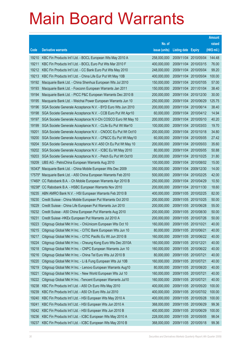|        |                                                               |               |                       |                       | <b>Amount</b> |
|--------|---------------------------------------------------------------|---------------|-----------------------|-----------------------|---------------|
|        |                                                               | No. of        |                       |                       | raised        |
| Code   | <b>Derivative warrants</b>                                    | issue (units) | <b>Listing date</b>   | <b>Expiry</b>         | (HK\$ mil.)   |
| 19210  | KBC Fin Products Int'l Ltd. - BOCL European Wts May 2010 A    | 258,000,000   | 2009/11/04            | 2010/05/04            | 144.48        |
| 19211  | KBC Fin Products Int'l Ltd. - BOCL Euro Put Wts Mar 2010 F    | 400,000,000   |                       | 2009/11/04 2010/03/15 | 76.00         |
| 19212  | KBC Fin Products Int'l Ltd. - CC Bank Euro Put Wts May 2010   | 248,000,000   | 2009/11/04            | 2010/05/04            | 99.20         |
| 19213  | KBC Fin Products Int'l Ltd. - China Life Eur Put Wt May 10B   | 400,000,000   |                       | 2009/11/04 2010/05/04 | 100.00        |
| 19192  | Macquarie Bank Ltd. - China Shenhua European Wts Jul 2010     | 150,000,000   | 2009/11/04 2010/07/05 |                       | 57.00         |
| 19193  | Macquarie Bank Ltd. - Foxconn European Warrants Jan 2011      | 150,000,000   | 2009/11/04 2011/01/04 |                       | 38.40         |
| 19194  | Macquarie Bank Ltd. - PICC P&C European Warrants Dec 2010 B   | 200,000,000   | 2009/11/04            | 2010/12/30            | 30.00         |
| 19195  | Macquarie Bank Ltd. - Weichai Power European Warrants Jun 10  | 250,000,000   |                       | 2009/11/04 2010/06/29 | 125.75        |
| 19196  | SGA Societe Generale Acceptance N.V. - BYD Euro Wts Jun 2010  | 200,000,000   |                       | 2009/11/04 2010/06/14 | 38.40         |
| 19198  | SGA Societe Generale Acceptance N.V. - CCB Euro Put Wt Apr10  | 60,000,000    |                       | 2009/11/04 2010/04/12 | 14.94         |
| 19197  | SGA Societe Generale Acceptance N.V-Chi COSCO Euro Wt May 10  | 200,000,000   | 2009/11/04            | 2010/05/10            | 40.20         |
| 19199  | SGA Societe Generale Acceptance N.V. - CLife Eu Put Wt Mar10  | 100,000,000   | 2009/11/04 2010/03/03 |                       | 19.70         |
| 19201  | SGA Societe Generale Acceptance N.V. - CNOOC Eu Put Wt Oct10  | 200,000,000   |                       | 2009/11/04 2010/10/18 | 34.80         |
| 19200  | SGA Societe Generale Acceptance N.V. - CP&CC Eu Put Wt May10  | 60,000,000    |                       | 2009/11/04 2010/05/05 | 27.42         |
| 19204  | SGA Societe Generale Acceptance N.V.-A50 Ch Eu Put Wt May 10  | 200,000,000   | 2009/11/04            | 2010/05/03            | 35.60         |
| 19202  | SGA Societe Generale Acceptance N.V. - ICBC Eu Wt May 2010    | 80,000,000    |                       | 2009/11/04 2010/05/05 | 50.88         |
| 19203  | SGA Societe Generale Acceptance N.V. - Petch Eu Put Wt Oct10  | 200,000,000   |                       | 2009/11/04 2010/10/25 | 31.80         |
| 19209  | UBS AG - PetroChina European Warrants Aug 2010                | 100,000,000   |                       | 2009/11/04 2010/08/02 | 15.00         |
| 16343# | Macquarie Bank Ltd. - China Mobile European Wts Dec 2009      | 350,000,000   | 2009/11/04            | 2009/12/30            | 14.00         |
| 17575# | Macquarie Bank Ltd. - A50 China European Warrants Feb 2010    | 500,000,000   |                       | 2009/11/04 2010/02/25 | 42.00         |
| 17460# | CC Rabobank B.A. - Ch Mobile European Warrants Apr 2010 B     | 250,000,000   |                       | 2009/11/04 2010/04/29 | 10.50         |
| 18238# | CC Rabobank B.A. - HSBC European Warrants Nov 2010            | 200,000,000   |                       | 2009/11/04 2010/11/30 | 18.60         |
| 19235  | ABN AMRO Bank N.V. - HSI European Warrants Feb 2010 B         | 400,000,000   |                       | 2009/11/05 2010/02/25 | 82.00         |
| 19230  | Credit Suisse - China Mobile European Put Warrants Oct 2010   | 200,000,000   |                       | 2009/11/05 2010/10/25 | 50.00         |
| 19229  | Credit Suisse - China Life European Put Warrants Jun 2010     | 200,000,000   |                       | 2009/11/05 2010/06/28 | 55.00         |
| 19232  | Credit Suisse - A50 China European Put Warrants Aug 2010      | 200,000,000   | 2009/11/05 2010/08/30 |                       | 50.00         |
| 19231  | Credit Suisse - HKEx European Put Warrants Jul 2010 A         | 200,000,000   | 2009/11/05 2010/07/26 |                       | 50.00         |
| 19223  | Citigroup Global Mkt H Inc. - ChiUnicom European Wts Oct 10   | 160,000,000   | 2009/11/05 2010/10/21 |                       | 40.00         |
| 19215  | Citigroup Global Mkt H Inc. - CITIC Bank European Wts Jun 10  | 80,000,000    | 2009/11/05 2010/06/21 |                       | 40.00         |
| 19217  | Citigroup Global Mkt H Inc. - CITIC Pacific Eu Wt Jun 2010 B  | 160,000,000   |                       | 2009/11/05 2010/06/22 | 40.00         |
| 19224  | Citigroup Global Mkt H Inc. - Cheung Kong Euro Wts Dec 2010A  | 160,000,000   | 2009/11/05 2010/12/21 |                       | 40.00         |
| 19218  | Citigroup Global Mkt H Inc. - CNPC European Warrants Jun 10   | 160,000,000   |                       | 2009/11/05 2010/06/22 | 40.00         |
| 19216  | Citigroup Global Mkt H Inc. - China Tel Euro Wts Jul 2010 B   | 80,000,000    | 2009/11/05 2010/07/21 |                       | 40.00         |
| 19220  | Citigroup Global Mkt H Inc. - Li & Fung European Wts Jul 10B  | 160,000,000   | 2009/11/05 2010/07/21 |                       | 40.00         |
| 19219  | Citigroup Global Mkt H Inc. - Lenovo European Warrants Aug10  | 80,000,000    |                       | 2009/11/05 2010/08/20 | 40.00         |
| 19221  | Citigroup Global Mkt H Inc. - New World European Wts Jul 10   | 160,000,000   | 2009/11/05 2010/07/21 |                       | 40.00         |
| 19222  | Citigroup Global Mkt H Inc. - Tencent European Warrants Jul10 | 160,000,000   | 2009/11/05 2010/07/21 |                       | 40.00         |
| 19238  | KBC Fin Products Int'l Ltd. - A50 Ch Euro Wts May 2010        | 400,000,000   |                       | 2009/11/05 2010/05/20 | 100.00        |
| 19239  | KBC Fin Products Int'l Ltd. - A50 Ch Euro Wts Jul 2010        | 400,000,000   |                       | 2009/11/05 2010/07/02 | 100.00        |
| 19240  | KBC Fin Products Int'l Ltd. - HSI European Wts May 2010 A     | 400,000,000   |                       | 2009/11/05 2010/05/28 | 100.00        |
| 19241  | KBC Fin Products Int'l Ltd. - HSI European Wts Jun 2010 A     | 368,000,000   | 2009/11/05 2010/06/29 |                       | 99.36         |
| 19242  | KBC Fin Products Int'l Ltd. - HSI European Wts Jun 2010 B     | 400,000,000   |                       | 2009/11/05 2010/06/29 | 100.00        |
| 19236  | KBC Fin Products Int'l Ltd. - ICBC European Wts May 2010 A    | 228,000,000   | 2009/11/05 2010/05/05 |                       | 98.04         |
| 19237  | KBC Fin Products Int'l Ltd. - ICBC European Wts May 2010 B    | 368,000,000   | 2009/11/05 2010/05/18 |                       | 99.36         |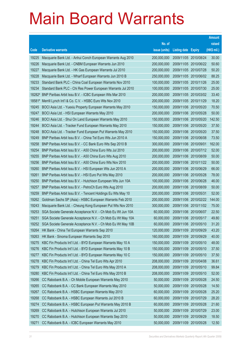|                |                                                                                                                           |                            |                            |                       | <b>Amount</b>  |
|----------------|---------------------------------------------------------------------------------------------------------------------------|----------------------------|----------------------------|-----------------------|----------------|
|                |                                                                                                                           | No. of                     |                            |                       | raised         |
| Code           | <b>Derivative warrants</b>                                                                                                | issue (units)              | <b>Listing date Expiry</b> |                       | (HK\$ mil.)    |
| 19225          | Macquarie Bank Ltd. - Anhui Conch European Warrants Aug 2010                                                              | 200,000,000                | 2009/11/05 2010/08/24      |                       | 30.00          |
| 19226          | Macquarie Bank Ltd. - CNBM European Warrants Jun 2010                                                                     | 200,000,000                |                            | 2009/11/05 2010/06/22 | 50.60          |
| 19227          | Macquarie Bank Ltd. - HK Gas European Warrants Jul 2010                                                                   | 200,000,000                | 2009/11/05 2010/07/28      |                       | 50.20          |
| 19228          | Macquarie Bank Ltd. - Wharf European Warrants Jun 2010 B                                                                  | 250,000,000                |                            | 2009/11/05 2010/06/02 | 88.25          |
| 19233          | Standard Bank PLC - China Coal European Warrants Nov 2010                                                                 | 100,000,000                |                            | 2009/11/05 2010/11/26 | 25.00          |
| 19234          | Standard Bank PLC - Chi Res Power European Warrants Jul 2010                                                              | 100,000,000                |                            | 2009/11/05 2010/07/30 | 25.00          |
|                | 18282 <sup>#</sup> BNP Paribas Arbit Issu B.V. - ICBC European Wts Mar 2010                                               | 200,000,000                |                            | 2009/11/05 2010/03/02 | 33.40          |
| 18581#         | Merrill Lynch Int'l & Co. C.V. - HSBC Euro Wts Nov 2010                                                                   | 200,000,000                |                            | 2009/11/05 2010/11/29 | 18.20          |
| 19245          | BOCI Asia Ltd. - Yuexiu Property European Warrants May 2010                                                               | 150,000,000                |                            | 2009/11/06 2010/05/20 | 70.50          |
| 19247          | BOCI Asia Ltd. - HSI European Warrants May 2010                                                                           | 200,000,000                |                            | 2009/11/06 2010/05/28 | 50.00          |
| 19246          | BOCI Asia Ltd. - Shui On Land European Warrants May 2010                                                                  | 150,000,000                |                            | 2009/11/06 2010/05/20 | 142.50         |
| 19244          | BOCI Asia Ltd. - Tracker Fund European Warrants May 2010                                                                  | 150,000,000                |                            | 2009/11/06 2010/05/20 | 37.50          |
| 19248          | BOCI Asia Ltd. - Tracker Fund European Put Warrants May 2010                                                              | 150,000,000                |                            | 2009/11/06 2010/05/20 | 37.50          |
| 19249          | BNP Paribas Arbit Issu B.V. - China Tel Euro Wts Jun 2010 A                                                               | 150,000,000                |                            | 2009/11/06 2010/06/08 | 73.50          |
| 19258          | BNP Paribas Arbit Issu B.V. - CC Bank Euro Wts Sep 2010 B                                                                 | 300,000,000                | 2009/11/06 2010/09/01      |                       | 162.00         |
| 19254          | BNP Paribas Arbit Issu B.V. - A50 China Euro Wts Jul 2010                                                                 | 200,000,000                |                            | 2009/11/06 2010/07/12 | 52.00          |
| 19255          | BNP Paribas Arbit Issu B.V. - A50 China Euro Wts Aug 2010                                                                 | 200,000,000                |                            | 2009/11/06 2010/08/09 | 50.00          |
| 19256          | BNP Paribas Arbit Issu B.V. - A50 China Euro Wts Nov 2010                                                                 | 200,000,000                |                            | 2009/11/06 2010/11/22 | 50.00          |
| 19260          | BNP Paribas Arbit Issu B.V. - HSI European Wts Jun 2010 A                                                                 | 200,000,000                | 2009/11/06 2010/06/29      |                       | 66.00          |
| 19261          | BNP Paribas Arbit Issu B.V. - HSI Euro Put Wts May 2010                                                                   | 200,000,000                |                            | 2009/11/06 2010/05/28 | 78.00          |
| 19250          | BNP Paribas Arbit Issu B.V. - Hutchison European Wts Jun 10A                                                              | 100,000,000                | 2009/11/06 2010/06/28      |                       | 46.00          |
| 19257          | BNP Paribas Arbit Issu B.V. - PetroCh Euro Wts Aug 2010                                                                   | 200,000,000                |                            | 2009/11/06 2010/08/09 | 50.00<br>52.00 |
| 19259<br>19262 | BNP Paribas Arbit Issu B.V. - Tencent Holdings Eu Wts May 10<br>Goldman Sachs SP (Asia) - HSBC European Warrants Feb 2010 | 200,000,000<br>200,000,000 | 2009/11/06 2010/05/31      | 2009/11/06 2010/02/22 | 144.00         |
| 19243          | Macquarie Bank Ltd. - Cheung Kong European Put Wts Nov 2010                                                               | 300,000,000                |                            | 2009/11/06 2010/11/02 | 75.00          |
| 19253          | SGA Societe Generale Acceptance N.V. - Ch Mob Eu Wt Jun 10A                                                               | 60,000,000                 | 2009/11/06 2010/06/07      |                       | 22.50          |
| 19251          | SGA Societe Generale Acceptance N.V. - Ch Mob Eu Wt May 10A                                                               | 60,000,000                 | 2009/11/06 2010/05/17      |                       | 49.80          |
| 19252          | SGA Societe Generale Acceptance N.V. - Ch Mob Eu Wt May 10B                                                               | 60,000,000                 | 2009/11/06 2010/05/10      |                       | 31.20          |
| 19264          | HK Bank - China Tel European Warrants Sep 2010                                                                            | 120,000,000                | 2009/11/09 2010/09/29      |                       | 43.20          |
| 19263          | HK Bank - Sinoma European Warrants Sep 2010                                                                               | 160,000,000                | 2009/11/09 2010/09/29      |                       | 40.00          |
| 19275          | KBC Fin Products Int'l Ltd. - BYD European Warrants May 10 A                                                              | 150,000,000                | 2009/11/09 2010/05/10      |                       | 48.00          |
| 19276          | KBC Fin Products Int'l Ltd. - BYD European Warrants May 10 B                                                              | 150,000,000                | 2009/11/09                 | 2010/05/10            | 37.50          |
| 19277          | KBC Fin Products Int'l Ltd. - BYD European Warrants May 10 C                                                              | 150,000,000                | 2009/11/09                 | 2010/05/10            | 37.50          |
| 19278          | KBC Fin Products Int'l Ltd. - China Tel Euro Wts Apr 2010                                                                 | 208,000,000                | 2009/11/09                 | 2010/04/08            | 36.61          |
| 19279          | KBC Fin Products Int'l Ltd. - China Tel Euro Wts May 2010 A                                                               | 208,000,000                | 2009/11/09                 | 2010/05/10            | 99.84          |
| 19280          | KBC Fin Products Int'l Ltd. - China Tel Euro Wts May 2010 B                                                               | 208,000,000                | 2009/11/09 2010/05/10      |                       | 52.00          |
| 19266          | CC Rabobank B.A. - Ch Mobile European Warrants May 2010                                                                   | 50,000,000                 | 2009/11/09                 | 2010/05/28            | 24.50          |
| 19265          | CC Rabobank B.A. - CC Bank European Warrants May 2010                                                                     | 50,000,000                 | 2009/11/09                 | 2010/05/28            | 14.50          |
| 19267          | CC Rabobank B.A. - HSBC European Warrants May 2010                                                                        | 60,000,000                 | 2009/11/09                 | 2010/05/28            | 25.20          |
| 19268          | CC Rabobank B.A. - HSBC European Warrants Jul 2010 B                                                                      | 60,000,000                 | 2009/11/09 2010/07/29      |                       | 28.20          |
| 19274          | CC Rabobank B.A. - HSBC European Put Warrants May 2010 B                                                                  | 60,000,000                 | 2009/11/09                 | 2010/05/28            | 21.60          |
| 19269          | CC Rabobank B.A. - Hutchison European Warrants Jul 2010                                                                   | 50,000,000                 | 2009/11/09                 | 2010/07/29            | 23.00          |
| 19270          | CC Rabobank B.A. - Hutchison European Warrants Sep 2010                                                                   | 50,000,000                 | 2009/11/09                 | 2010/09/29            | 18.50          |
| 19271          | CC Rabobank B.A. - ICBC European Warrants May 2010                                                                        | 50,000,000                 | 2009/11/09 2010/05/28      |                       | 12.50          |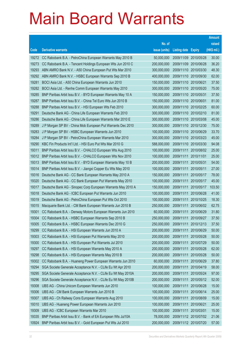|                |                                                                                                                   |                            |                            |                          | <b>Amount</b>  |
|----------------|-------------------------------------------------------------------------------------------------------------------|----------------------------|----------------------------|--------------------------|----------------|
|                |                                                                                                                   | No. of                     |                            |                          | raised         |
| Code           | <b>Derivative warrants</b>                                                                                        | issue (units)              | <b>Listing date Expiry</b> |                          | (HK\$ mil.)    |
| 19272          | CC Rabobank B.A. - PetroChina European Warrants May 2010 B                                                        | 50,000,000                 |                            | 2009/11/09 2010/05/28    | 30.00          |
| 19273          | CC Rabobank B.A. - Tencent Holdings European Wts Jun 2010 C                                                       | 200,000,000                |                            | 2009/11/09 2010/06/28    | 36.20          |
| 19293          | ABN AMRO Bank N.V. - A50 China European Put Wts Mar 2010                                                          | 300,000,000                |                            | 2009/11/10 2010/03/30    | 48.30          |
| 19292          | ABN AMRO Bank N.V. - HSBC European Warrants Sep 2010 B                                                            | 400,000,000                |                            | 2009/11/10 2010/09/30    | 62.00          |
| 19281          | BOCI Asia Ltd. - A50 China European Warrants Jun 2010                                                             | 150,000,000                | 2009/11/10 2010/06/21      |                          | 37.50          |
| 19282          | BOCI Asia Ltd. - Renhe Comm European Warrants May 2010                                                            | 300,000,000                |                            | 2009/11/10 2010/05/20    | 75.00          |
| 19285          | BNP Paribas Arbit Issu B.V. - BYD European Warrants May 10 A                                                      | 150,000,000                | 2009/11/10 2010/05/31      |                          | 37.50          |
| 19287          | BNP Paribas Arbit Issu B.V. - China Tel Euro Wts Jun 2010 B                                                       | 150,000,000                | 2009/11/10 2010/06/01      |                          | 81.00          |
| 19288          | BNP Paribas Arbit Issu B.V. - HSI European Wts Feb 2010                                                           | 300,000,000                |                            | 2009/11/10 2010/02/25    | 60.00          |
| 19291          | Deutsche Bank AG - China Life European Warrants Feb 2010                                                          | 300,000,000                |                            | 2009/11/10 2010/02/10    | 81.00          |
| 19286          | Deutsche Bank AG - China Life European Warrants Mar 2010 E                                                        | 300,000,000                |                            | 2009/11/10 2010/03/08    | 45.00          |
| 19289          | J P Morgan SP BV - China Mob European Put Warrants Dec 2010                                                       | 300,000,000                |                            | 2009/11/10 2010/12/30    | 75.00          |
| 19283          | J P Morgan SP BV - HSBC European Warrants Jun 2010                                                                | 100,000,000                |                            | 2009/11/10 2010/06/29    | 33.70          |
| 19284          | J P Morgan SP BV - PetroChina European Warrants Mar 2010                                                          | 300,000,000                |                            | 2009/11/10 2010/03/23    | 45.00          |
| 19290          | KBC Fin Products Int'l Ltd. - HSI Euro Put Wts Mar 2010 G                                                         | 588,000,000                |                            | 2009/11/10 2010/03/30    | 94.08          |
| 19311          | BNP Paribas Arbit Issu B.V. - CHALCO European Wts Aug 2010                                                        | 100,000,000                |                            | 2009/11/11 2010/08/02    | 25.00          |
| 19312          | BNP Paribas Arbit Issu B.V. - CHALCO European Wts Nov 2010                                                        | 100,000,000                | 2009/11/11 2010/11/01      |                          | 25.00          |
| 19313          | BNP Paribas Arbit Issu B.V. - BYD European Warrants May 10 B                                                      | 200,000,000                | 2009/11/11                 | 2010/05/31               | 54.00          |
| 19314          | BNP Paribas Arbit Issu B.V. - Jiangxi Copper Eu Wts May 2010                                                      | 100,000,000                | 2009/11/11                 | 2010/05/11               | 27.00          |
| 19316          | Deutsche Bank AG - CC Bank European Warrants May 2010 A                                                           | 150,000,000                | 2009/11/11                 | 2010/05/17               | 78.00          |
| 19320          | Deutsche Bank AG - CC Bank European Put Warrants May 2010                                                         | 100,000,000                | 2009/11/11                 | 2010/05/17               | 45.00          |
| 19317          | Deutsche Bank AG - Sinopec Corp European Warrants May 2010 A                                                      | 150,000,000                | 2009/11/11                 | 2010/05/17               | 103.50         |
| 19318<br>19319 | Deutsche Bank AG - ICBC European Put Warrants Jun 2010<br>Deutsche Bank AG - PetroChina European Put Wts Oct 2010 | 100,000,000<br>100,000,000 | 2009/11/11<br>2009/11/11   | 2010/06/28               | 41.00<br>18.30 |
| 19315          | Macquarie Bank Ltd. - CM Bank European Warrants Jun 2010 B                                                        | 250,000,000                | 2009/11/11                 | 2010/10/25<br>2010/06/02 | 62.75          |
| 19301          | CC Rabobank B.A. - Denway Motors European Warrants Jun 2010                                                       | 60,000,000                 | 2009/11/11                 | 2010/06/29               | 31.80          |
| 19304          | CC Rabobank B.A. - HSBC European Warrants Sep 2010 B                                                              | 250,000,000                | 2009/11/11                 | 2010/09/27               | 37.50          |
| 19305          | CC Rabobank B.A. - HSBC European Warrants Dec 2010 G                                                              | 250,000,000                | 2009/11/11                 | 2010/12/13               | 37.50          |
| 19299          | CC Rabobank B.A. - HSI European Warrants Jun 2010 A                                                               | 200,000,000                | 2009/11/11                 | 2010/06/29               | 50.00          |
| 19303          | CC Rabobank B.A. - HSI European Put Warrants May 2010                                                             | 200,000,000                | 2009/11/11                 | 2010/05/28               | 50.00          |
| 19300          | CC Rabobank B.A. - HSI European Put Warrants Jul 2010                                                             | 200,000,000                | 2009/11/11                 | 2010/07/29               | 50.00          |
| 19297          | CC Rabobank B.A. - HSI European Warrants May 2010 A                                                               | 200,000,000                | 2009/11/11                 | 2010/05/28               | 62.00          |
| 19298          | CC Rabobank B.A. - HSI European Warrants May 2010 B                                                               | 200,000,000                | 2009/11/11                 | 2010/05/28               | 50.00          |
| 19302          | CC Rabobank B.A. - Huaneng Power European Warrants Jun 2010                                                       | 60,000,000                 | 2009/11/11                 | 2010/06/29               | 37.80          |
| 19294          | SGA Societe Generale Acceptance N.V. - CLife Eu Wt Apr 2010                                                       | 200,000,000                | 2009/11/11                 | 2010/04/19               | 58.00          |
| 19295          | SGA Societe Generale Acceptance N.V. - CLife Eu Wt May 2010A                                                      | 200,000,000                | 2009/11/11                 | 2010/05/24               | 97.00          |
| 19296          | SGA Societe Generale Acceptance N.V. - CLife Eu Wt May 2010B                                                      | 200,000,000                | 2009/11/11                 | 2010/05/12               | 52.00          |
| 19308          | UBS AG - China Unicom European Warrants Jun 2010                                                                  | 100,000,000                | 2009/11/11                 | 2010/06/28               | 15.00          |
| 19306          | UBS AG - CM Bank European Warrants Jun 2010 B                                                                     | 100,000,000                | 2009/11/11                 | 2010/06/14               | 25.00          |
| 19307          | UBS AG - Ch Railway Cons European Warrants Aug 2010                                                               | 100,000,000                | 2009/11/11                 | 2010/08/09               | 15.00          |
| 19310          | UBS AG - Huaneng Power European Warrants Jun 2010                                                                 | 100,000,000                | 2009/11/11                 | 2010/06/21               | 25.00          |
| 19309          | UBS AG - ICBC European Warrants Mar 2010                                                                          | 100,000,000                | 2009/11/11                 | 2010/03/01               | 15.00          |
| 19335          | BNP Paribas Arbit Issu B.V. - Bank of EA European Wts Jul10A                                                      | 78,000,000                 |                            | 2009/11/12 2010/07/02    | 21.06          |
| 10924          | BNP Paribas Arbit Issu B.V. - Gold European Put Wts Jul 2010                                                      | 200,000,000                |                            | 2009/11/12 2010/07/20    | 57.00          |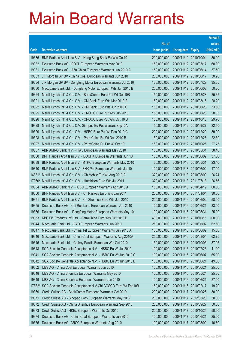|        |                                                               |               |                            |                       | <b>Amount</b> |
|--------|---------------------------------------------------------------|---------------|----------------------------|-----------------------|---------------|
|        |                                                               | No. of        |                            |                       | raised        |
| Code   | <b>Derivative warrants</b>                                    | issue (units) | <b>Listing date Expiry</b> |                       | (HK\$ mil.)   |
| 19336  | BNP Paribas Arbit Issu B.V. - Hang Seng Bank Eu Wts Oct10     | 200,000,000   |                            | 2009/11/12 2010/10/04 | 30.00         |
| 19332  | Deutsche Bank AG - BOCL European Warrants May 2010            | 150,000,000   |                            | 2009/11/12 2010/05/17 | 60.00         |
| 19331  | Deutsche Bank AG - A50 China European Warrants Jun 2010 A     | 150,000,000   |                            | 2009/11/12 2010/06/14 | 37.50         |
| 19333  | J P Morgan SP BV - China Coal European Warrants Jun 2010      | 200,000,000   |                            | 2009/11/12 2010/06/17 | 30.20         |
| 19334  | J P Morgan SP BV - Dongfeng Motor European Warrants Jul 2010  | 138,000,000   |                            | 2009/11/12 2010/07/29 | 35.05         |
| 19330  | Macquarie Bank Ltd. - Dongfeng Motor European Wts Jun 2010 B  | 200,000,000   |                            | 2009/11/12 2010/06/02 | 50.20         |
| 19324  | Merrill Lynch Int'l & Co. C.V. - BankComm Euro Put Wt Dec10B  | 150,000,000   |                            | 2009/11/12 2010/12/28 | 25.65         |
| 19321  | Merrill Lynch Int'l & Co. C.V. - CM Bank Euro Wts Mar 2010 B  | 150,000,000   |                            | 2009/11/12 2010/03/16 | 28.20         |
| 19322  | Merrill Lynch Int'l & Co. C.V. - CM Bank Euro Wts Jun 2010 C  | 150,000,000   |                            | 2009/11/12 2010/06/28 | 33.60         |
| 19325  | Merrill Lynch Int'l & Co. C.V. - CNOOC Euro Put Wts Jun 2010  | 150,000,000   |                            | 2009/11/12 2010/06/28 | 28.05         |
| 19326  | Merrill Lynch Int'l & Co. C.V. - CNOOC Euro Put Wts Oct 10 B  | 150,000,000   |                            | 2009/11/12 2010/10/18 | 29.70         |
| 19328  | Merrill Lynch Int'l & Co. C.V.-Sinopec Eu Put Warrant Sep10A  | 150,000,000   |                            | 2009/11/12 2010/09/27 | 22.50         |
| 19329  | Merrill Lynch Int'l & Co. C.V. - HSBC Euro Put Wt Dec 2010 C  | 200,000,000   |                            | 2009/11/12 2010/12/20 | 39.00         |
| 19323  | Merrill Lynch Int'l & Co. C.V. - PetroChina Eu Wt Dec 2010 B  | 150,000,000   |                            | 2009/11/12 2010/12/28 | 22.50         |
| 19327  | Merrill Lynch Int'l & Co. C.V. - PetroChina Eu Put Wt Oct 10  | 150,000,000   |                            | 2009/11/12 2010/10/25 | 27.75         |
| 19337  | ABN AMRO Bank N.V. - HWL European Warrants May 2010           | 150,000,000   |                            | 2009/11/13 2010/05/31 | 38.40         |
| 19338  | BNP Paribas Arbit Issu B.V. - BOCHK European Warrants Jun 10  | 150,000,000   |                            | 2009/11/13 2010/06/02 | 37.50         |
| 19339  | BNP Paribas Arbit Issu B.V. - MTRC European Warrants May 2010 | 60,000,000    |                            | 2009/11/13 2010/05/31 | 23.40         |
| 19340  | BNP Paribas Arbit Issu B.V. - SHK Ppt European Warrants Jun10 | 100,000,000   |                            | 2009/11/13 2010/06/02 | 17.00         |
| 14831# | Merrill Lynch Int'l & Co. C.V. - Ch Mobile Eur Wt Aug 2010 A  | 320,000,000   |                            | 2009/11/13 2010/08/09 | 26.24         |
| 17360# | Merrill Lynch Int'l & Co. C.V. - Hutchison Euro Wts Jul 2011  | 320,000,000   |                            | 2009/11/13 2011/07/18 | 26.56         |
| 19354  | ABN AMRO Bank N.V. - ICBC European Warrants Apr 2010 A        | 150,000,000   |                            | 2009/11/16 2010/04/19 | 60.60         |
| 19350  | BNP Paribas Arbit Issu B.V. - Ch Railway Euro Wts Jan 2011    | 200,000,000   |                            | 2009/11/16 2011/01/04 | 30.00         |
| 19351  | BNP Paribas Arbit Issu B.V. - Ch Shenhua Euro Wts Jun 2010    | 200,000,000   |                            | 2009/11/16 2010/06/02 | 58.00         |
| 19355  | Deutsche Bank AG - Chi Res Land European Warrants Jun 2010    | 100,000,000   | 2009/11/16 2010/06/21      |                       | 33.00         |
| 19356  | Deutsche Bank AG - Dongfeng Motor European Warrants May 10    | 100,000,000   | 2009/11/16 2010/05/31      |                       | 25.00         |
| 19353  | KBC Fin Products Int'l Ltd. - PetroChina Euro Wts Oct 2010 B  | 400,000,000   |                            | 2009/11/16 2010/10/15 | 100.00        |
| 19344  | Macquarie Bank Ltd. - BYD European Warrants Jun 2010          | 250,000,000   |                            | 2009/11/16 2010/06/02 | 62.50         |
| 19347  | Macquarie Bank Ltd. - China Tel European Warrants Jun 2010 A  | 100,000,000   | 2009/11/16                 | 2010/06/02            | 15.60         |
| 19346  | Macquarie Bank Ltd. - China Coal European Warrants Aug 2010A  | 250,000,000   | 2009/11/16                 | 2010/08/04            | 62.75         |
| 19345  | Macquarie Bank Ltd. - Cathay Pacific European Wts Oct 2010    | 150,000,000   | 2009/11/16                 | 2010/10/05            | 37.95         |
| 19343  | SGA Societe Generale Acceptance N.V. - HSBC Eu Wt Jul 2010    | 100,000,000   | 2009/11/16                 | 2010/07/26            | 41.00         |
| 19341  | SGA Societe Generale Acceptance N.V. - HSBC Eu Wt Jun 2010 C  | 100,000,000   | 2009/11/16                 | 2010/06/07            | 65.00         |
| 19342  | SGA Societe Generale Acceptance N.V. - HSBC Eu Wt Jun 2010 D  | 100,000,000   | 2009/11/16                 | 2010/06/21            | 49.00         |
| 19352  | UBS AG - China Coal European Warrants Jun 2010                | 100,000,000   | 2009/11/16 2010/06/21      |                       | 25.00         |
| 19348  | UBS AG - China Shenhua European Warrants May 2010             | 100,000,000   |                            | 2009/11/16 2010/05/24 | 25.00         |
| 19349  | UBS AG - China Shenhua European Warrants Jun 2010             | 100,000,000   | 2009/11/16 2010/06/21      |                       | 27.00         |
| 17882# | SGA Societe Generale Acceptance N.V-Chi COSCO Euro Wt Feb10B  | 150,000,000   | 2009/11/16                 | 2010/02/17            | 19.20         |
| 19369  | Credit Suisse AG - BankComm European Warrants Oct 2010        | 200,000,000   |                            | 2009/11/17 2010/10/25 | 30.00         |
| 19371  | Credit Suisse AG - Sinopec Corp European Warrants May 2012    | 200,000,000   | 2009/11/17                 | 2012/05/28            | 50.00         |
| 19372  | Credit Suisse AG - China Shenhua European Warrants Sep 2010   | 200,000,000   | 2009/11/17                 | 2010/09/27            | 50.00         |
| 19373  | Credit Suisse AG - HKEx European Warrants Oct 2010            | 200,000,000   | 2009/11/17                 | 2010/10/25            | 50.00         |
| 19374  | Deutsche Bank AG - China Coal European Warrants Jun 2010      | 100,000,000   | 2009/11/17 2010/06/21      |                       | 25.00         |
| 19375  | Deutsche Bank AG - CRCC European Warrants Aug 2010            | 100,000,000   | 2009/11/17                 | 2010/08/09            | 16.80         |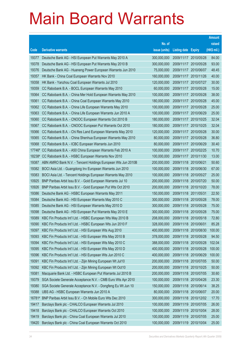|        |                                                                  |               |                            |                       | <b>Amount</b> |
|--------|------------------------------------------------------------------|---------------|----------------------------|-----------------------|---------------|
|        |                                                                  | No. of        |                            |                       | raised        |
| Code   | <b>Derivative warrants</b>                                       | issue (units) | <b>Listing date Expiry</b> |                       | (HK\$ mil.)   |
| 19377  | Deutsche Bank AG - HSI European Put Warrants May 2010 A          | 300,000,000   | 2009/11/17 2010/05/28      |                       | 84.00         |
| 19378  | Deutsche Bank AG - HSI European Put Warrants May 2010 B          | 300,000,000   | 2009/11/17 2010/05/28      |                       | 93.00         |
| 19376  | Deutsche Bank AG - Huaneng Power European Warrants Jun 2010      | 75,000,000    | 2009/11/17 2010/06/07      |                       | 48.45         |
| 19357  | HK Bank - China Coal European Warrants Nov 2010                  | 160,000,000   |                            | 2009/11/17 2010/11/26 | 40.00         |
| 19358  | HK Bank - Yanzhou Coal European Warrants Jul 2010                | 120,000,000   | 2009/11/17 2010/07/27      |                       | 30.00         |
| 19359  | CC Rabobank B.A. - BOCL European Warrants May 2010               | 60,000,000    |                            | 2009/11/17 2010/05/28 | 15.00         |
| 19364  | CC Rabobank B.A. - China Mer Hold European Warrants May 2010     | 100,000,000   | 2009/11/17 2010/05/28      |                       | 38.00         |
| 19361  | CC Rabobank B.A. - China Coal European Warrants May 2010         | 180,000,000   | 2009/11/17 2010/05/28      |                       | 45.00         |
| 19362  | CC Rabobank B.A. - China Life European Warrants May 2010         | 100,000,000   | 2009/11/17 2010/05/28      |                       | 25.00         |
| 19363  | CC Rabobank B.A. - China Life European Warrants Jun 2010 A       | 100,000,000   |                            | 2009/11/17 2010/06/29 | 25.00         |
| 19360  | CC Rabobank B.A. - CNOOC European Warrants Oct 2010 B            | 180,000,000   | 2009/11/17 2010/10/25      |                       | 32.04         |
| 19367  | CC Rabobank B.A. - CNOOC European Put Warrants Oct 2010          | 180,000,000   |                            | 2009/11/17 2010/10/25 | 32.04         |
| 19366  | CC Rabobank B.A. - Chi Res Land European Warrants May 2010       | 120,000,000   | 2009/11/17 2010/05/28      |                       | 30.00         |
| 19365  | CC Rabobank B.A. - China Shenhua European Warrants May 2010      | 80,000,000    |                            | 2009/11/17 2010/05/28 | 36.80         |
| 19368  | CC Rabobank B.A. - ICBC European Warrants Jun 2010               | 80,000,000    | 2009/11/17 2010/06/29      |                       | 30.40         |
|        | 17746# CC Rabobank B.A. - A50 China European Warrants Feb 2010 A | 100,000,000   |                            | 2009/11/17 2010/02/25 | 10.70         |
|        | 18238# CC Rabobank B.A. - HSBC European Warrants Nov 2010        | 100,000,000   |                            | 2009/11/17 2010/11/30 | 13.00         |
| 19387  | ABN AMRO Bank N.V. - Tencent Holdings European Wts Jun 2010B     | 200,000,000   | 2009/11/18 2010/06/21      |                       | 50.60         |
| 19382  | BOCI Asia Ltd. - Guangdong Inv European Warrants Jun 2010        | 100,000,000   | 2009/11/18 2010/06/30      |                       | 67.00         |
| 19383  | BOCI Asia Ltd. - Tencent Holdings European Warrants May 2010     | 100,000,000   | 2009/11/18 2010/05/27      |                       | 25.00         |
| 10925  | BNP Paribas Arbit Issu B.V. - Gold European Warrants Jul 10      | 200,000,000   |                            | 2009/11/18 2010/07/20 | 50.00         |
| 10926  | BNP Paribas Arbit Issu B.V. - Gold European Put Wts Oct 2010     | 200,000,000   |                            | 2009/11/18 2010/10/20 | 78.00         |
| 19386  | Deutsche Bank AG - HSBC European Warrants May 2011               | 150,000,000   | 2009/11/18 2011/05/31      |                       | 22.50         |
| 19384  | Deutsche Bank AG - HSI European Warrants May 2010 C              | 300,000,000   |                            | 2009/11/18 2010/05/28 | 78.00         |
| 19385  | Deutsche Bank AG - HSI European Warrants May 2010 D              | 300,000,000   | 2009/11/18 2010/05/28      |                       | 75.00         |
| 19398  | Deutsche Bank AG - HSI European Put Warrants May 2010 E          | 300,000,000   | 2009/11/18 2010/05/28      |                       | 75.00         |
| 19389  | KBC Fin Products Int'l Ltd. - HSBC European Wts May 2010 B       | 208,000,000   | 2009/11/18 2010/05/18      |                       | 72.80         |
| 19390  | KBC Fin Products Int'l Ltd. - HSBC European Wts Jun 2010 F       | 328,000,000   | 2009/11/18 2010/06/01      |                       | 85.28         |
| 19397  | KBC Fin Products Int'l Ltd. - HSI European Wts Aug 2010          | 400,000,000   | 2009/11/18 2010/08/30      |                       | 100.00        |
| 19393  | KBC Fin Products Int'l Ltd. - HSI European Wts May 2010 B        | 378,000,000   | 2009/11/18 2010/05/28      |                       | 94.50         |
| 19394  | KBC Fin Products Int'l Ltd. - HSI European Wts May 2010 C        | 388,000,000   | 2009/11/18 2010/05/28      |                       | 102.04        |
| 19395  | KBC Fin Products Int'l Ltd. - HSI European Wts May 2010 D        | 400,000,000   | 2009/11/18 2010/05/28      |                       | 100.00        |
| 19396  | KBC Fin Products Int'l Ltd. - HSI European Wts Jun 2010 C        | 400,000,000   | 2009/11/18 2010/06/29      |                       | 100.00        |
| 19391  | KBC Fin Products Int'l Ltd. - Zijin Mining European Wt Jul10     | 200,000,000   |                            | 2009/11/18 2010/07/05 | 50.00         |
| 19392  | KBC Fin Products Int'l Ltd. - Zijin Mining European Wt Oct10     | 200,000,000   | 2009/11/18 2010/10/25      |                       | 50.00         |
| 19381  | Macquarie Bank Ltd. - HSBC European Put Warrants Jul 2010 B      | 200,000,000   |                            | 2009/11/18 2010/07/05 | 30.60         |
| 19379  | SGA Societe Generale Acceptance N.V. - CMB Euro Wts Apr 2010     | 100,000,000   | 2009/11/18 2010/04/26      |                       | 23.30         |
| 19380  | SGA Societe Generale Acceptance N.V. - Dongfeng Eu Wt Jun 10     | 150,000,000   | 2009/11/18 2010/06/14      |                       | 38.25         |
| 19388  | UBS AG - HSBC European Warrants Jun 2010 A                       | 80,000,000    | 2009/11/18 2010/06/07      |                       | 20.00         |
| 16781# | BNP Paribas Arbit Issu B.V. - Ch Mobile Euro Wts Dec 2010        | 300,000,000   |                            | 2009/11/18 2010/12/02 | 17.70         |
| 19417  | Barclays Bank plc - CHALCO European Warrants Jul 2010            | 100,000,000   | 2009/11/19                 | 2010/07/05            | 26.00         |
| 19418  | Barclays Bank plc - CHALCO European Warrants Oct 2010            | 100,000,000   | 2009/11/19 2010/10/04      |                       | 28.00         |
| 19419  | Barclays Bank plc - China Coal European Warrants Jul 2010        | 100,000,000   | 2009/11/19                 | 2010/07/05            | 25.00         |
| 19420  | Barclays Bank plc - China Coal European Warrants Oct 2010        | 100,000,000   | 2009/11/19 2010/10/04      |                       | 25.00         |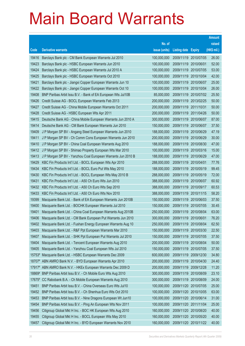|                |                                                                                                                        |                            |                            |                                                | <b>Amount</b>  |
|----------------|------------------------------------------------------------------------------------------------------------------------|----------------------------|----------------------------|------------------------------------------------|----------------|
|                |                                                                                                                        | No. of                     |                            |                                                | raised         |
| Code           | <b>Derivative warrants</b>                                                                                             | issue (units)              | <b>Listing date Expiry</b> |                                                | (HK\$ mil.)    |
| 19416          | Barclays Bank plc - CM Bank European Warrants Jul 2010                                                                 | 100,000,000                | 2009/11/19 2010/07/05      |                                                | 26.00          |
| 19423          | Barclays Bank plc - HSBC European Warrants Jun 2010                                                                    | 100,000,000                | 2009/11/19 2010/06/01      |                                                | 52.00          |
| 19424          | Barclays Bank plc - HSBC European Warrants Jul 2010 A                                                                  | 100,000,000                | 2009/11/19                 | 2010/07/05                                     | 53.00          |
| 19425          | Barclays Bank plc - HSBC European Warrants Oct 2010                                                                    | 100,000,000                | 2009/11/19 2010/10/04      |                                                | 42.00          |
| 19421          | Barclays Bank plc - Jiangxi Copper European Warrants Jun 10                                                            | 100,000,000                |                            | 2009/11/19 2010/06/07                          | 25.00          |
| 19422          | Barclays Bank plc - Jiangxi Copper European Warrants Oct 10                                                            | 100,000,000                |                            | 2009/11/19 2010/10/04                          | 26.00          |
| 19408          | BNP Paribas Arbit Issu B.V. - Bank of EA European Wts Jul10B                                                           | 85,000,000                 |                            | 2009/11/19 2010/07/02                          | 25.50          |
| 19426          | Credit Suisse AG - BOCL European Warrants Feb 2013                                                                     | 200,000,000                |                            | 2009/11/19 2013/02/25                          | 50.00          |
| 19427          | Credit Suisse AG - China Mobile European Warrants Oct 2011                                                             | 200,000,000                | 2009/11/19 2011/10/31      |                                                | 50.00          |
| 19428          | Credit Suisse AG - HSBC European Wts Apr 2011                                                                          | 200,000,000                |                            | 2009/11/19 2011/04/26                          | 50.00          |
| 19415          | Deutsche Bank AG - China Mobile European Warrants Jun 2010 A                                                           | 300,000,000                | 2009/11/19 2010/06/07      |                                                | 87.00          |
| 19414          | Deutsche Bank AG - CM Bank European Warrants Jun 2010                                                                  | 150,000,000                |                            | 2009/11/19 2010/06/07                          | 37.50          |
| 19409          | J P Morgan SP BV - Angang Steel European Warrants Jun 2010                                                             | 188,000,000                |                            | 2009/11/19 2010/06/29                          | 47.19          |
| 19411          | J P Morgan SP BV - Ch Comm Cons European Warrants Jun 2010                                                             | 200,000,000                |                            | 2009/11/19 2010/06/29                          | 30.00          |
| 19410          | J P Morgan SP BV - China Coal European Warrants Aug 2010                                                               | 188,000,000                | 2009/11/19                 | 2010/08/30                                     | 47.00          |
| 19412          | J P Morgan SP BV - Shimao Property European Wts Mar 2010                                                               | 100,000,000                |                            | 2009/11/19 2010/03/16                          | 15.00          |
| 19413          | J P Morgan SP BV - Yanzhou Coal European Warrants Jun 2010 B                                                           | 188,000,000                |                            | 2009/11/19 2010/06/29                          | 47.00          |
| 19429          | KBC Fin Products Int'l Ltd. - BOCL European Wts Apr 2010                                                               | 288,000,000                | 2009/11/19 2010/04/01      |                                                | 77.76          |
| 19434          | KBC Fin Products Int'l Ltd. - BOCL Euro Put Wts May 2010                                                               | 188,000,000                | 2009/11/19                 | 2010/05/19                                     | 99.45          |
| 19430          | KBC Fin Products Int'l Ltd. - BOCL European Wts May 2010 B                                                             | 288,000,000                | 2009/11/19 2010/05/19      |                                                | 72.00          |
| 19431          | KBC Fin Products Int'l Ltd. - A50 Ch Euro Wts Jun 2010                                                                 | 388,000,000                |                            | 2009/11/19 2010/06/07                          | 60.92          |
| 19432          | KBC Fin Products Int'l Ltd. - A50 Ch Euro Wts Sep 2010                                                                 | 388,000,000                |                            | 2009/11/19 2010/09/17                          | 60.53          |
| 19433          | KBC Fin Products Int'l Ltd. - A50 Ch Euro Wts Nov 2010                                                                 | 388,000,000                |                            | 2009/11/19 2010/11/15                          | 58.20          |
| 19399<br>19400 | Macquarie Bank Ltd. - Bank of EA European Warrants Jun 2010B<br>Macquarie Bank Ltd. - BOCHK European Warrants Jul 2010 | 150,000,000<br>150,000,000 |                            | 2009/11/19 2010/06/03<br>2009/11/19 2010/07/05 | 37.50<br>30.45 |
| 19401          | Macquarie Bank Ltd. - China Coal European Warrants Aug 2010B                                                           | 250,000,000                | 2009/11/19 2010/08/04      |                                                | 63.00          |
| 19406          | Macquarie Bank Ltd. - CM Bank European Put Warrants Jun 2010                                                           | 300,000,000                | 2009/11/19 2010/06/01      |                                                | 76.20          |
| 19402          | Macquarie Bank Ltd. - Fushan Energy European Warrants Aug 10                                                           | 250,000,000                | 2009/11/19 2010/08/04      |                                                | 62.50          |
| 19403          | Macquarie Bank Ltd. - R&F Ppt European Warrants Mar 2010                                                               | 150,000,000                | 2009/11/19                 | 2010/03/30                                     | 22.50          |
| 19407          | Macquarie Bank Ltd. - SHK Ppt European Put Warrants Jul 2010                                                           | 150,000,000                |                            | 2009/11/19 2010/07/05                          | 37.50          |
| 19404          | Macquarie Bank Ltd. - Tencent European Warrants Aug 2010                                                               | 200,000,000                |                            | 2009/11/19 2010/08/04                          | 50.00          |
| 19405          | Macquarie Bank Ltd. - Yanzhou Coal European Wts Jul 2010                                                               | 150,000,000                | 2009/11/19                 | 2010/07/05                                     | 37.50          |
| 15753#         | Macquarie Bank Ltd. - HSBC European Warrants Dec 2009                                                                  | 600,000,000                | 2009/11/19                 | 2009/12/30                                     | 34.80          |
| 18707#         | ABN AMRO Bank N.V. - BYD European Warrants Apr 2010                                                                    | 200,000,000                | 2009/11/19                 | 2010/04/30                                     | 24.40          |
|                | 17917# ABN AMRO Bank N.V. - HKEx European Warrants Dec 2009 D                                                          | 200,000,000                | 2009/11/19 2009/12/28      |                                                | 11.20          |
| 18869#         | BNP Paribas Arbit Issu B.V. - Ch Mobile Euro Wts Aug 2010                                                              | 300,000,000                | 2009/11/19 2010/08/09      |                                                | 23.10          |
| 17675#         | CC Rabobank B.A. - Ch Mobile European Warrants Aug 2010                                                                | 300,000,000                | 2009/11/19                 | 2010/08/09                                     | 24.00          |
| 19451          | BNP Paribas Arbit Issu B.V. - China Overseas Euro Wts Jul10                                                            | 100,000,000                |                            | 2009/11/20 2010/07/05                          | 25.00          |
| 19452          | BNP Paribas Arbit Issu B.V. - Ch Shenhua Euro Wts Oct 2010                                                             | 100,000,000                |                            | 2009/11/20 2010/10/05                          | 63.00          |
| 19453          | BNP Paribas Arbit Issu B.V. - Nine Dragons European Wt Jun10                                                           | 100,000,000                |                            | 2009/11/20 2010/06/14                          | 31.00          |
| 19454          | BNP Paribas Arbit Issu B.V. - Ping An European Wts Nov 2011                                                            | 100,000,000                | 2009/11/20                 | 2011/11/04                                     | 25.00          |
| 19456          | Citigroup Global Mkt H Inc. - BOC HK European Wts Aug 2010                                                             | 160,000,000                |                            | 2009/11/20 2010/08/20                          | 40.00          |
| 19455          | Citigroup Global Mkt H Inc. - BOCL European Wts May 2010                                                               | 160,000,000                | 2009/11/20                 | 2010/05/20                                     | 40.00          |
| 19457          | Citigroup Global Mkt H Inc. - BYD European Warrants Nov 2010                                                           | 160,000,000                |                            | 2009/11/20 2010/11/22                          | 40.00          |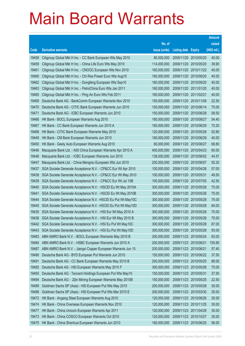|                |                                                                                                                               |                            |                          |                          | <b>Amount</b>  |
|----------------|-------------------------------------------------------------------------------------------------------------------------------|----------------------------|--------------------------|--------------------------|----------------|
|                |                                                                                                                               | No. of                     |                          |                          | raised         |
| Code           | <b>Derivative warrants</b>                                                                                                    | issue (units)              | <b>Listing date</b>      | <b>Expiry</b>            | (HK\$ mil.)    |
| 19458          | Citigroup Global Mkt H Inc. - CC Bank European Wts May 2010                                                                   | 80,000,000                 | 2009/11/20 2010/05/20    |                          | 40.00          |
| 19459          | Citigroup Global Mkt H Inc. - China Life Euro Wts May 2010                                                                    | 114,000,000                | 2009/11/20 2010/05/20    |                          | 39.90          |
| 19461          | Citigroup Global Mkt H Inc. - CNOOC European Wts Nov 2010                                                                     | 160,000,000                | 2009/11/20 2010/11/22    |                          | 40.00          |
| 19460          | Citigroup Global Mkt H Inc. - Chi Res Power Euro Wts Aug10                                                                    | 160,000,000                | 2009/11/20 2010/08/20    |                          | 40.00          |
| 19462          | Citigroup Global Mkt H Inc. - Dongfeng European Wts Sep10                                                                     | 160,000,000                | 2009/11/20 2010/09/20    |                          | 40.00          |
| 19463          | Citigroup Global Mkt H Inc. - PetroChina Euro Wts Jan 2011                                                                    | 160,000,000                | 2009/11/20 2011/01/20    |                          | 40.00          |
| 19465          | Citigroup Global Mkt H Inc. - Ping An Euro Wts Feb 2011                                                                       | 160,000,000                | 2009/11/20 2011/02/21    |                          | 40.00          |
| 19469          | Deutsche Bank AG - BankComm European Warrants Nov 2010                                                                        | 150,000,000                | 2009/11/20 2010/11/08    |                          | 22.50          |
| 19470          | Deutsche Bank AG - CITIC Bank European Warrants Jun 2010                                                                      | 150,000,000                | 2009/11/20 2010/06/14    |                          | 75.00          |
| 19471          | Deutsche Bank AG - ICBC European Warrants Jun 2010                                                                            | 150,000,000                | 2009/11/20 2010/06/28    |                          | 58.50          |
| 19466          | HK Bank - BOCL European Warrants Aug 2010                                                                                     | 160,000,000                | 2009/11/20 2010/08/27    |                          | 54.40          |
| 19467          | HK Bank - CC Bank European Warrants Jun 2010 A                                                                                | 160,000,000                | 2009/11/20 2010/06/29    |                          | 75.20          |
| 19468          | HK Bank - CITIC Bank European Warrants May 2010                                                                               | 120,000,000                | 2009/11/20 2010/05/28    |                          | 52.80          |
| 19449          | HK Bank - CM Bank European Warrants Jun 2010                                                                                  | 180,000,000                | 2009/11/20 2010/06/29    |                          | 45.00          |
| 19450          | HK Bank - Geely Auto European Warrants Aug 2010                                                                               | 80,000,000                 | 2009/11/20 2010/08/27    |                          | 68.80          |
| 19446          | Macquarie Bank Ltd. - A50 China European Warrants Apr 2010 A                                                                  | 400,000,000                | 2009/11/20 2010/04/23    |                          | 60.00          |
| 19448          | Macquarie Bank Ltd. - ICBC European Warrants Jun 2010                                                                         | 138,000,000                | 2009/11/20 2010/06/02    |                          | 44.57          |
| 19447          | Macquarie Bank Ltd. - China Mengniu European Wts Jun 2010                                                                     | 200,000,000                | 2009/11/20 2010/06/07    |                          | 50.20          |
| 19437          | SGA Societe Generale Acceptance N.V. - CP&CC Eur Wt Apr 2010                                                                  | 100,000,000                | 2009/11/20               | 2010/04/28               | 57.00          |
| 19438          | SGA Societe Generale Acceptance N.V. - CP&CC Eur Wt May 2010                                                                  | 100,000,000                | 2009/11/20 2010/05/31    |                          | 49.50          |
| 19439          | SGA Societe Generale Acceptance N.V. - CP&CC Eur Wt Jul 10B                                                                   | 100,000,000                | 2009/11/20 2010/07/05    |                          | 42.50          |
| 19440          | SGA Societe Generale Acceptance N.V. - HSCEI Eu Wt May 2010A                                                                  | 300,000,000                | 2009/11/20 2010/05/28    |                          | 75.00          |
| 19441<br>19444 | SGA Societe Generale Acceptance N.V. - HSCEI Eu Wt May 2010B<br>SGA Societe Generale Acceptance N.V. - HSCEI Eu Put Wt May10C | 300,000,000<br>300,000,000 | 2009/11/20<br>2009/11/20 | 2010/05/28<br>2010/05/28 | 75.00<br>75.00 |
| 19445          | SGA Societe Generale Acceptance N.V. - HSCEI Eu Put Wt May10D                                                                 | 300,000,000                | 2009/11/20 2010/05/28    |                          | 84.00          |
| 19435          | SGA Societe Generale Acceptance N.V. - HSI Eur Wt May 2010 A                                                                  | 300,000,000                | 2009/11/20 2010/05/28    |                          | 75.00          |
| 19436          | SGA Societe Generale Acceptance N.V. - HSI Eur Wt May 2010 B                                                                  | 300,000,000                | 2009/11/20 2010/05/28    |                          | 75.00          |
| 19442          | SGA Societe Generale Acceptance N.V. - HSI Eu Put Wt May10C                                                                   | 300,000,000                | 2009/11/20 2010/05/28    |                          | 87.00          |
| 19443          | SGA Societe Generale Acceptance N.V. - HSI Eu Put Wt May10D                                                                   | 300,000,000                | 2009/11/20 2010/05/28    |                          | 93.00          |
| 19483          | ABN AMRO Bank N.V. - BOCL European Warrants May 2010 B                                                                        | 200,000,000                | 2009/11/23 2010/05/24    |                          | 83.00          |
| 19484          | ABN AMRO Bank N.V. - HSBC European Warrants Jun 2010 A                                                                        | 200,000,000                | 2009/11/23 2010/06/21    |                          | 155.80         |
| 19487          | ABN AMRO Bank N.V. - Jiangxi Copper European Warrants Jun 10                                                                  | 200,000,000                | 2009/11/23 2010/06/21    |                          | 57.40          |
| 19490          | Deutsche Bank AG - BYD European Put Warrants Jun 2010                                                                         | 150,000,000                | 2009/11/23 2010/06/22    |                          | 37.50          |
| 19491          | Deutsche Bank AG - CC Bank European Warrants May 2010 B                                                                       | 200,000,000                | 2009/11/23 2010/05/25    |                          | 88.00          |
| 19492          | Deutsche Bank AG - HSI European Warrants May 2010 F                                                                           | 300,000,000                | 2009/11/23 2010/05/28    |                          | 75.00          |
| 19493          | Deutsche Bank AG - Tencent Holdings European Put Wts May10                                                                    | 150,000,000                | 2009/11/23 2010/05/31    |                          | 37.50          |
| 19494          | Deutsche Bank AG - Zijin Mining European Warrants May 2010B                                                                   | 150,000,000                | 2009/11/23 2010/05/25    |                          | 22.50          |
| 19489          | Goldman Sachs SP (Asia) - HSI European Put Wts May 2010                                                                       | 200,000,000                | 2009/11/23 2010/05/28    |                          | 30.00          |
| 19488          | Goldman Sachs SP (Asia) - HSI European Put Wts Mar 2010 E                                                                     | 200,000,000                | 2009/11/23 2010/03/30    |                          | 30.00          |
| 19472          | HK Bank - Angang Steel European Warrants Aug 2010                                                                             | 120,000,000                | 2009/11/23 2010/08/26    |                          | 30.00          |
| 19474          | HK Bank - China Overseas European Warrants Nov 2010                                                                           | 120,000,000                | 2009/11/23 2010/11/25    |                          | 30.00          |
| 19477          | HK Bank - China Unicom European Warrants Apr 2011                                                                             | 120,000,000                | 2009/11/23 2011/04/28    |                          | 30.00          |
| 19473          | HK Bank - China COSCO European Warrants Oct 2010                                                                              | 120,000,000                | 2009/11/23 2010/10/27    |                          | 30.00          |
| 19475          | HK Bank - China Shenhua European Warrants Jun 2010                                                                            | 160,000,000                | 2009/11/23 2010/06/25    |                          | 56.00          |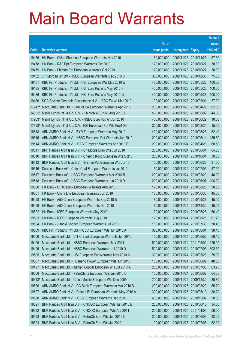|                                                                                                                                           |                            |                                                | <b>Amount</b>  |
|-------------------------------------------------------------------------------------------------------------------------------------------|----------------------------|------------------------------------------------|----------------|
| No. of                                                                                                                                    |                            |                                                | raised         |
| issue (units)<br><b>Derivative warrants</b><br>Code                                                                                       | <b>Listing date Expiry</b> |                                                | (HK\$ mil.)    |
| HK Bank - China Shenhua European Warrants Nov 2010<br>160,000,000<br>19476                                                                |                            | 2009/11/23 2010/11/25                          | 57.60          |
| HK Bank - R&F Ppt European Warrants Oct 2010<br>19478<br>120,000,000                                                                      |                            | 2009/11/23 2010/10/27                          | 30.00          |
| 19479<br>HK Bank - Shimao Ppt European Warrants Oct 2010<br>120,000,000                                                                   |                            | 2009/11/23 2010/10/27                          | 30.00          |
| 19482<br>J P Morgan SP BV - HSBC European Warrants Dec 2010 B<br>300,000,000                                                              |                            | 2009/11/23 2010/12/30                          | 75.00          |
| KBC Fin Products Int'l Ltd. - HSI European Wts May 2010 E<br>400,000,000<br>19481                                                         |                            | 2009/11/23 2010/05/28                          | 100.00         |
| KBC Fin Products Int'l Ltd. - HSI Euro Put Wts May 2010 F<br>19485<br>400,000,000                                                         |                            | 2009/11/23 2010/05/28                          | 100.00         |
| 19486<br>KBC Fin Products Int'l Ltd. - HSI Euro Put Wts May 2010 G<br>400,000,000                                                         |                            | 2009/11/23 2010/05/28                          | 100.00         |
| 100,000,000<br>19480<br>SGA Societe Generale Acceptance N.V. - ICBC Eu Wt Mar 2010                                                        |                            | 2009/11/23 2010/03/01                          | 37.00          |
| 200,000,000<br>17247# Macquarie Bank Ltd. - Bank of EA European Warrants Apr 2010                                                         |                            | 2009/11/23 2010/04/29                          | 62.00          |
| 14831# Merrill Lynch Int'l & Co. C.V. - Ch Mobile Eur Wt Aug 2010 A<br>500,000,000                                                        |                            | 2009/11/23 2010/08/09                          | 44.00          |
| Merrill Lynch Int'l & Co. C.V. - HSBC Euro Put Wt Jun 2010<br>400,000,000<br>17903#                                                       |                            | 2009/11/23 2010/06/29                          | 10.00          |
| 17993# Merrill Lynch Int'l & Co. C.V. - HSI European Put Wts Feb10G<br>300,000,000                                                        |                            | 2009/11/23 2010/02/25                          | 15.00          |
| 400,000,000<br>19513<br>ABN AMRO Bank N.V. - BYD European Warrants May 2010                                                               |                            | 2009/11/24 2010/05/25                          | 62.40          |
| 19515<br>ABN AMRO Bank N.V. - HSBC European Put Warrants Jun 2010<br>200,000,000                                                          |                            | 2009/11/24 2010/06/14                          | 185.80         |
| 19514<br>ABN AMRO Bank N.V. - ICBC European Warrants Apr 2010 B<br>200,000,000                                                            |                            | 2009/11/24 2010/04/28                          | 68.60          |
| 19511<br>BNP Paribas Arbit Issu B.V. - Ch Mobile Euro Wts Jun 2010<br>200,000,000                                                         |                            | 2009/11/24 2010/06/01                          | 64.00          |
| 200,000,000<br>19510<br>BNP Paribas Arbit Issu B.V. - Cheung Kong European Wts Oct10                                                      |                            | 2009/11/24 2010/10/04                          | 30.00          |
| 19512<br>BNP Paribas Arbit Issu B.V. - Shimao Ppt European Wts Jun10<br>100,000,000                                                       |                            | 2009/11/24 2010/06/28                          | 31.00          |
| 19516<br>Deutsche Bank AG - China Coal European Warrants Jul 2010<br>150,000,000                                                          |                            | 2009/11/24 2010/07/05                          | 37.50          |
| 19517<br>200,000,000<br>Deutsche Bank AG - HSBC European Warrants Mar 2010 B                                                              |                            | 2009/11/24 2010/03/29                          | 40.00          |
| 19518<br>200,000,000<br>Deutsche Bank AG - HSBC European Warrants Jun 2010 D                                                              |                            | 2009/11/24 2010/06/07                          | 106.00         |
| 19500<br>HK Bank - CITIC Bank European Warrants Aug 2010<br>120,000,000                                                                   |                            | 2009/11/24 2010/08/26                          | 90.00          |
| 19501<br>HK Bank - China Life European Warrants Jun 2010<br>180,000,000                                                                   | 2009/11/24                 | 2010/06/30                                     | 45.00          |
| 180,000,000<br>19498<br>HK Bank - A50 China European Warrants Sep 2010 B                                                                  |                            | 2009/11/24 2010/09/28                          | 45.00          |
| 180,000,000<br>19499<br>HK Bank - A50 China European Warrants Dec 2010                                                                    |                            | 2009/11/24 2010/12/30<br>2009/11/24 2010/05/28 | 45.00          |
| HK Bank - ICBC European Warrants May 2010<br>120,000,000<br>19502<br>120,000,000                                                          |                            | 2009/11/24 2010/08/26                          | 56.40<br>67.20 |
| 19503<br>HK Bank - ICBC European Warrants Aug 2010<br>19504<br>180,000,000                                                                |                            | 2009/11/24 2010/07/30                          | 50.40          |
| HK Bank - Jiangxi Copper European Warrants Jul 2010<br>19509<br>KBC Fin Products Int'l Ltd. - ICBC European Wts Jun 2010 A<br>328,000,000 |                            | 2009/11/24 2010/06/01                          | 98.40          |
| 19506<br>Macquarie Bank Ltd. - CITIC Bank European Warrants Jun 2010<br>150,000,000                                                       |                            | 2009/11/24 2010/06/02                          | 66.15          |
| Macquarie Bank Ltd. - HSBC European Warrants Mar 2011<br>500,000,000<br>19496                                                             | 2009/11/24                 | 2011/03/02                                     | 125.00         |
| 19495<br>Macquarie Bank Ltd. - HSBC European Warrants Jul 2010 D<br>500,000,000                                                           |                            | 2009/11/24 2010/07/05                          | 392.50         |
| 19505<br>Macquarie Bank Ltd. - HSI European Put Warrants May 2010 A<br>300,000,000                                                        | 2009/11/24                 | 2010/05/28                                     | 75.00          |
| 19507<br>Macquarie Bank Ltd. - Huaneng Power European Wts Jun 2010<br>150,000,000                                                         |                            | 2009/11/24 2010/06/02                          | 48.00          |
| 250,000,000<br>19497<br>Macquarie Bank Ltd. - Jiangxi Copper European Wts Jul 2010 A                                                      |                            | 2009/11/24 2010/07/05                          | 63.75          |
| 19508<br>Macquarie Bank Ltd. - PetroChina European Wts Jun 2010 C<br>150,000,000                                                          |                            | 2009/11/24 2010/06/02                          | 64.35          |
| 16343#<br>Macquarie Bank Ltd. - China Mobile European Wts Dec 2009<br>700,000,000                                                         | 2009/11/24                 | 2009/12/30                                     | 30.80          |
| 19526<br>ABN AMRO Bank N.V. - CC Bank European Warrants Mar 2010 B<br>200,000,000                                                         |                            | 2009/11/25 2010/03/29                          | 65.20          |
| 300,000,000<br>19527<br>ABN AMRO Bank N.V. - China Life European Warrants May 2010 A                                                      |                            | 2009/11/25 2010/05/10                          | 88.20          |
| 19528<br>ABN AMRO Bank N.V. - ICBC European Warrants Dec 2010<br>600,000,000                                                              |                            | 2009/11/25 2010/12/07                          | 90.00          |
| 19521<br>BNP Paribas Arbit Issu B.V. - CNOOC European Wts Jun 2010 B<br>200,000,000                                                       |                            | 2009/11/25 2010/06/18                          | 34.00          |
| BNP Paribas Arbit Issu B.V. - CNOOC European Wts Apr 2011<br>19522<br>200,000,000                                                         |                            | 2009/11/25 2011/04/06                          | 50.00          |
| BNP Paribas Arbit Issu B.V. - PetroCh Euro Wts Jun 2010 C<br>200,000,000<br>19523                                                         |                            | 2009/11/25 2010/06/03                          | 32.00          |
| 19524<br>BNP Paribas Arbit Issu B.V. - PetroCh Euro Wts Jul 2010<br>100,000,000                                                           |                            | 2009/11/25 2010/07/05                          | 52.00          |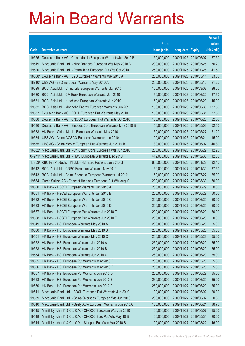|        |                                                                 |               |                       |                       | <b>Amount</b> |
|--------|-----------------------------------------------------------------|---------------|-----------------------|-----------------------|---------------|
|        |                                                                 | No. of        |                       |                       | raised        |
| Code   | <b>Derivative warrants</b>                                      | issue (units) | Listing date          | <b>Expiry</b>         | (HK\$ mil.)   |
| 19525  | Deutsche Bank AG - China Mobile European Warrants Jun 2010 B    | 150,000,000   | 2009/11/25 2010/06/07 |                       | 67.50         |
| 19519  | Macquarie Bank Ltd. - Nine Dragons European Wts May 2010 B      | 200,000,000   | 2009/11/25 2010/05/25 |                       | 50.20         |
| 19520  | Macquarie Bank Ltd. - PetroChina European Put Wts Oct 2010      | 250,000,000   | 2009/11/25 2010/10/25 |                       | 41.50         |
| 18558# | Deutsche Bank AG - BYD European Warrants May 2010 A             | 200,000,000   | 2009/11/25 2010/05/11 |                       | 23.80         |
| 18740# | UBS AG - BYD European Warrants May 2010 A                       | 200,000,000   |                       | 2009/11/25 2010/05/10 | 21.20         |
| 19529  | BOCI Asia Ltd. - China Life European Warrants Mar 2010          | 150,000,000   | 2009/11/26 2010/03/08 |                       | 28.50         |
| 19530  | BOCI Asia Ltd. - CM Bank European Warrants Jun 2010             | 150,000,000   |                       | 2009/11/26 2010/06/30 | 37.50         |
| 19531  | BOCI Asia Ltd. - Hutchison European Warrants Jun 2010           | 150,000,000   | 2009/11/26 2010/06/23 |                       | 45.00         |
| 19532  | BOCI Asia Ltd. - Mongolia Energy European Warrants Jun 2010     | 150,000,000   |                       | 2009/11/26 2010/06/30 | 187.50        |
| 19537  | Deutsche Bank AG - BOCL European Put Warrants May 2010          | 150,000,000   | 2009/11/26 2010/05/31 |                       | 37.50         |
| 19538  | Deutsche Bank AG - CNOOC European Put Warrants Oct 2010         | 150,000,000   | 2009/11/26 2010/10/25 |                       | 22.50         |
| 19536  | Deutsche Bank AG - Sinopec Corp European Warrants May 2010 B    | 150,000,000   | 2009/11/26 2010/05/03 |                       | 52.50         |
| 19533  | HK Bank - China Mobile European Warrants May 2010               | 160,000,000   | 2009/11/26 2010/05/27 |                       | 51.20         |
| 19534  | UBS AG - China COSCO European Warrants Jun 2010                 | 100,000,000   | 2009/11/26 2010/06/21 |                       | 15.00         |
| 19535  | UBS AG - China Mobile European Put Warrants Jun 2010 B          | 80,000,000    | 2009/11/26 2010/06/07 |                       | 40.80         |
|        | 16532# Macquarie Bank Ltd. - Ch Comm Cons European Wts Jun 2010 | 200,000,000   | 2009/11/26 2010/06/29 |                       | 12.20         |
|        | 04971# Macquarie Bank Ltd. - HWL European Warrants Dec 2010     | 412,000,000   |                       | 2009/11/26 2010/12/30 | 12.36         |
| 17863# | KBC Fin Products Int'l Ltd. - HSI Euro Put Wts Jan 2010 G       | 600,000,000   | 2009/11/26 2010/01/28 |                       | 32.40         |
| 19542  | BOCI Asia Ltd. - CNPC European Warrants Nov 2010                | 150,000,000   |                       | 2009/11/27 2010/11/30 | 37.50         |
| 19543  | BOCI Asia Ltd. - China Shenhua European Warrants Jul 2010       | 150,000,000   | 2009/11/27 2010/07/22 |                       | 75.00         |
| 19564  | Credit Suisse AG - Tencent Holdings European Put Wts Aug10      | 200,000,000   |                       | 2009/11/27 2010/08/30 | 50.00         |
| 19560  | HK Bank - HSCEI European Warrants Jun 2010 A                    | 200,000,000   | 2009/11/27 2010/06/29 |                       | 50.00         |
| 19561  | HK Bank - HSCEI European Warrants Jun 2010 B                    | 200,000,000   | 2009/11/27            | 2010/06/29            | 50.00         |
| 19562  | HK Bank - HSCEI European Warrants Jun 2010 C                    | 200,000,000   | 2009/11/27 2010/06/29 |                       | 50.00         |
| 19563  | HK Bank - HSCEI European Warrants Jun 2010 D                    | 200,000,000   | 2009/11/27 2010/06/29 |                       | 50.00         |
| 19567  | HK Bank - HSCEI European Put Warrants Jun 2010 E                | 200,000,000   | 2009/11/27 2010/06/29 |                       | 50.00         |
| 19568  | HK Bank - HSCEI European Put Warrants Jun 2010 F                | 200,000,000   | 2009/11/27            | 2010/06/29            | 50.00         |
| 19549  | HK Bank - HSI European Warrants May 2010 A                      | 260,000,000   | 2009/11/27 2010/05/28 |                       | 65.00         |
| 19550  | HK Bank - HSI European Warrants May 2010 B                      | 260,000,000   | 2009/11/27            | 2010/05/28            | 65.00         |
| 19551  | HK Bank - HSI European Warrants May 2010 C                      | 260,000,000   | 2009/11/27            | 2010/05/28            | 65.00         |
| 19552  | HK Bank - HSI European Warrants Jun 2010 A                      | 260,000,000   | 2009/11/27            | 2010/06/29            | 65.00         |
| 19553  | HK Bank - HSI European Warrants Jun 2010 B                      | 260,000,000   | 2009/11/27            | 2010/06/29            | 65.00         |
| 19554  | HK Bank - HSI European Warrants Jun 2010 C                      | 260,000,000   | 2009/11/27            | 2010/06/29            | 65.00         |
| 19555  | HK Bank - HSI European Put Warrants May 2010 D                  | 260,000,000   | 2009/11/27            | 2010/05/28            | 65.00         |
| 19556  | HK Bank - HSI European Put Warrants May 2010 E                  | 260,000,000   | 2009/11/27            | 2010/05/28            | 65.00         |
| 19557  | HK Bank - HSI European Put Warrants Jun 2010 D                  | 260,000,000   | 2009/11/27            | 2010/06/29            | 65.00         |
| 19558  | HK Bank - HSI European Put Warrants Jun 2010 E                  | 260,000,000   | 2009/11/27            | 2010/06/29            | 65.00         |
| 19559  | HK Bank - HSI European Put Warrants Jun 2010 F                  | 260,000,000   | 2009/11/27            | 2010/06/29            | 65.00         |
| 19541  | Macquarie Bank Ltd. - BOCL European Put Warrants Jun 2010       | 100,000,000   | 2009/11/27            | 2010/06/02            | 29.30         |
| 19539  | Macquarie Bank Ltd. - China Overseas European Wts Jun 2010      | 200,000,000   | 2009/11/27            | 2010/06/02            | 50.60         |
| 19540  | Macquarie Bank Ltd. - Geely Auto European Warrants Jun 2010A    | 150,000,000   | 2009/11/27            | 2010/06/21            | 98.70         |
| 19545  | Merrill Lynch Int'l & Co. C.V. - CNOOC European Wts Jun 2010    | 100,000,000   | 2009/11/27            | 2010/06/07            | 15.00         |
| 19548  | Merrill Lynch Int'l & Co. C.V. - CNOOC Euro Put Wts May 10 B    | 100,000,000   | 2009/11/27            | 2010/05/31            | 20.00         |
| 19544  | Merrill Lynch Int'l & Co. C.V. - Sinopec Euro Wts Mar 2010 B    | 100,000,000   | 2009/11/27            | 2010/03/22            | 46.00         |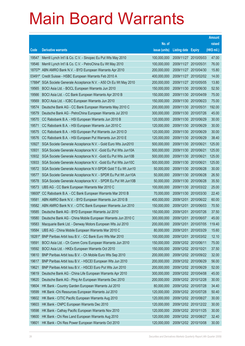|          |                                                               |               |                            |            | <b>Amount</b> |
|----------|---------------------------------------------------------------|---------------|----------------------------|------------|---------------|
|          |                                                               | No. of        |                            |            | raised        |
| Code     | <b>Derivative warrants</b>                                    | issue (units) | <b>Listing date Expiry</b> |            | (HK\$ mil.)   |
| 19547    | Merrill Lynch Int'l & Co. C.V. - Sinopec Eu Put Wts May 2010  | 100,000,000   | 2009/11/27 2010/05/03      |            | 47.00         |
| 19546    | Merrill Lynch Int'l & Co. C.V. - PetroChina Eu Wt May 2010    | 100,000,000   | 2009/11/27 2010/05/31      |            | 76.00         |
| 18707#   | ABN AMRO Bank N.V. - BYD European Warrants Apr 2010           | 200,000,000   | 2009/11/27                 | 2010/04/30 | 15.80         |
| $03491*$ | Credit Suisse - HSBC European Warrants Feb 2010 A             | 400,000,000   | 2009/11/27 2010/02/02      |            | 14.00         |
| 17884#   | SGA Societe Generale Acceptance N.V. - A50 Ch Eu Wt May 2010  | 200,000,000   | 2009/11/27 2010/05/05      |            | 13.80         |
| 19565    | BOCI Asia Ltd. - BOCL European Warrants Jun 2010              | 150,000,000   | 2009/11/30 2010/06/30      |            | 52.50         |
| 19566    | BOCI Asia Ltd. - CC Bank European Warrants Apr 2010 B         | 150,000,000   | 2009/11/30 2010/04/09      |            | 75.00         |
| 19569    | BOCI Asia Ltd. - ICBC European Warrants Jun 2010              | 150,000,000   | 2009/11/30 2010/06/23      |            | 75.00         |
| 19574    | Deutsche Bank AG - CC Bank European Warrants May 2010 C       | 200,000,000   | 2009/11/30 2010/05/31      |            | 192.00        |
| 19579    | Deutsche Bank AG - PetroChina European Warrants Jul 2010      | 300,000,000   | 2009/11/30 2010/07/26      |            | 45.00         |
| 19570    | CC Rabobank B.A. - HSI European Warrants Jun 2010 B           | 120,000,000   | 2009/11/30 2010/06/29      |            | 30.00         |
| 19571    | CC Rabobank B.A. - HSI European Warrants Jun 2010 C           | 120,000,000   | 2009/11/30 2010/06/29      |            | 30.00         |
| 19575    | CC Rabobank B.A. - HSI European Put Warrants Jun 2010 D       | 120,000,000   | 2009/11/30 2010/06/29      |            | 30.00         |
| 19576    | CC Rabobank B.A. - HSI European Put Warrants Jun 2010 E       | 120,000,000   | 2009/11/30 2010/06/29      |            | 38.40         |
| 10927    | SGA Societe Generale Acceptance N.V. - Gold Euro Wts Jun2010  | 500,000,000   | 2009/11/30 2010/06/21      |            | 125.00        |
| 10931    | SGA Societe Generale Acceptance N.V. - Gold Eu Put Wts Jun10A | 500,000,000   | 2009/11/30 2010/06/21      |            | 125.00        |
| 10932    | SGA Societe Generale Acceptance N.V. - Gold Eu Put Wts Jun10B | 500,000,000   | 2009/11/30 2010/06/21      |            | 125.00        |
| 10933    | SGA Societe Generale Acceptance N.V. - Gold Eu Put Wts Jun10C | 500,000,000   | 2009/11/30 2010/06/21      |            | 125.00        |
| 19572    | SGA Societe Generale Acceptance N.V-SPDR Gold T Eu Wt Jun10   | 50,000,000    | 2009/11/30 2010/06/28      |            | 30.00         |
| 19577    | SGA Societe Generale Acceptance N.V. - SPDR Eu Put Wt Jun10A  | 50,000,000    | 2009/11/30 2010/06/28      |            | 26.50         |
| 19578    | SGA Societe Generale Acceptance N.V. - SPDR Eu Put Wt Jun10B  | 50,000,000    | 2009/11/30 2010/06/28      |            | 35.50         |
| 19573    | UBS AG - CC Bank European Warrants Mar 2010 C                 | 100,000,000   | 2009/11/30 2010/03/22      |            | 25.00         |
| 18600#   | CC Rabobank B.A. - CC Bank European Warrants Mar 2010 B       | 70,000,000    | 2009/11/30 2010/03/30      |            | 22.40         |
| 19581    | ABN AMRO Bank N.V. - BYD European Warrants Jun 2010 B         | 400,000,000   | 2009/12/01 2010/06/22      |            | 60.00         |
| 19582    | ABN AMRO Bank N.V. - CITIC Bank European Warrants Jun 2010    | 150,000,000   | 2009/12/01                 | 2010/06/03 | 70.50         |
| 19585    | Deutsche Bank AG - BYD European Warrants Jul 2010             | 150,000,000   | 2009/12/01                 | 2010/07/26 | 37.50         |
| 19580    | Deutsche Bank AG - China Mobile European Warrants Jun 2010 C  | 300,000,000   | 2009/12/01                 | 2010/06/07 | 45.00         |
| 19583    | Macquarie Bank Ltd. - Denway Motors European Wts Jul 2010     | 200,000,000   | 2009/12/01 2010/07/05      |            | 119.40        |
| 19584    | UBS AG - China Mobile European Warrants Mar 2010 C            | 80,000,000    | 2009/12/01                 | 2010/03/29 | 15.60         |
| 18281#   | BNP Paribas Arbit Issu B.V. - CC Bank Euro Wts Mar 2010       | 100,000,000   | 2009/12/01                 | 2010/03/02 | 12.10         |
| 19591    | BOCI Asia Ltd. - Ch Comm Cons European Warrants Jun 2010      | 150,000,000   | 2009/12/02 2010/06/11      |            | 75.00         |
| 19592    | BOCI Asia Ltd. - HKEx European Warrants Oct 2010              | 150,000,000   | 2009/12/02 2010/10/21      |            | 37.50         |
| 19610    | BNP Paribas Arbit Issu B.V. - Ch Mobile Euro Wts Sep 2010     | 200,000,000   | 2009/12/02 2010/09/22      |            | 32.00         |
| 19617    | BNP Paribas Arbit Issu B.V. - HSCEI European Wts Jun 2010     | 200,000,000   | 2009/12/02 2010/06/29      |            | 56.00         |
| 19621    | BNP Paribas Arbit Issu B.V. - HSCEI Euro Put Wts Jun 2010     | 200,000,000   | 2009/12/02 2010/06/29      |            | 52.00         |
| 19619    | Deutsche Bank AG - China Life European Warrants Apr 2010      | 300,000,000   | 2009/12/02 2010/04/08      |            | 45.00         |
| 19620    | Deutsche Bank AG - Ping An European Warrants Dec 2010         | 200,000,000   | 2009/12/02 2010/12/28      |            | 30.00         |
| 19604    | HK Bank - Country Garden European Warrants Jul 2010           | 80,000,000    | 2009/12/02 2010/07/28      |            | 34.40         |
| 19599    | HK Bank - Chi Resources European Warrants Jul 2010            | 120,000,000   | 2009/12/02 2010/07/28      |            | 50.40         |
| 19602    | HK Bank - CITIC Pacific European Warrants Aug 2010            | 120,000,000   | 2009/12/02 2010/08/27      |            | 30.00         |
| 19603    | HK Bank - CNPC European Warrants Dec 2010                     | 120,000,000   | 2009/12/02 2010/12/22      |            | 30.00         |
| 19598    | HK Bank - Cathay Pacific European Warrants Nov 2010           | 120,000,000   | 2009/12/02 2010/11/25      |            | 30.00         |
| 19600    | HK Bank - Chi Res Land European Warrants Aug 2010             | 120,000,000   | 2009/12/02 2010/08/27      |            | 32.40         |
| 19601    | HK Bank - Chi Res Power European Warrants Oct 2010            | 120,000,000   | 2009/12/02 2010/10/08      |            | 30.00         |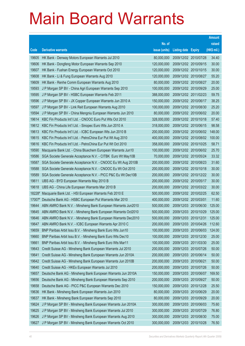|        |                                                              |               |                            | <b>Amount</b> |
|--------|--------------------------------------------------------------|---------------|----------------------------|---------------|
|        |                                                              | No. of        |                            | raised        |
| Code   | <b>Derivative warrants</b>                                   | issue (units) | <b>Listing date Expiry</b> | (HK\$ mil.)   |
| 19605  | HK Bank - Denway Motors European Warrants Jul 2010           | 80,000,000    | 2009/12/02 2010/07/28      | 34.40         |
| 19606  | HK Bank - Dongfeng Motor European Warrants Sep 2010          | 120,000,000   | 2009/12/02 2010/09/15      | 30.00         |
| 19607  | HK Bank - Fushan Energy European Warrants Oct 2010           | 120,000,000   | 2009/12/02 2010/10/15      | 30.00         |
| 19608  | HK Bank - Li & Fung European Warrants Aug 2010               | 120,000,000   | 2009/12/02 2010/08/27      | 55.20         |
| 19609  | HK Bank - Renhe Comm European Warrants Aug 2010              | 80,000,000    | 2009/12/02 2010/08/27      | 20.00         |
| 19593  | J P Morgan SP BV - China Agri European Warrants Sep 2010     | 100,000,000   | 2009/12/02 2010/09/29      | 25.00         |
| 19595  | J P Morgan SP BV - HSBC European Warrants Feb 2011           | 388,000,000   | 2009/12/02 2011/02/23      | 59.75         |
| 19596  | J P Morgan SP BV - JX Copper European Warrants Jun 2010 A    | 150,000,000   | 2009/12/02 2010/06/17      | 38.25         |
| 19597  | J P Morgan SP BV - Link Reit European Warrants Aug 2010      | 100,000,000   | 2009/12/02 2010/08/30      | 25.20         |
| 19594  | J P Morgan SP BV - China Mengniu European Warrants Jun 2010  | 80,000,000    | 2009/12/02 2010/06/02      | 20.00         |
| 19614  | KBC Fin Products Int'l Ltd. - CNOOC Euro Put Wts Oct 2010    | 328,000,000   | 2009/12/02 2010/10/18      | 57.40         |
| 19612  | KBC Fin Products Int'l Ltd. - Sinopec Euro Wts Jun 2010 A    | 318,000,000   | 2009/12/02 2010/06/15      | 98.58         |
| 19613  | KBC Fin Products Int'l Ltd. - ICBC European Wts Jun 2010 B   | 200,000,000   | 2009/12/02 2010/06/02      | 148.00        |
| 19615  | KBC Fin Products Int'l Ltd. - PetroChina Eur Put Wt Aug 2010 | 400,000,000   | 2009/12/02 2010/08/02      | 100.00        |
| 19616  | KBC Fin Products Int'l Ltd. - PetroChina Eur Put Wt Oct 2010 | 358,000,000   | 2009/12/02 2010/10/25      | 58.71         |
| 19590  | Macquarie Bank Ltd. - China Bluechem European Warrants Jun10 | 100,000,000   | 2009/12/02 2010/06/02      | 25.70         |
| 19586  | SGA Societe Generale Acceptance N.V. - CITBK Euro Wt May10B  | 70,000,000    | 2009/12/02 2010/05/24      | 33.32         |
| 19587  | SGA Societe Generale Acceptance N.V. - CNOOC Eu Wt Aug 2010B | 200,000,000   | 2009/12/02 2010/08/23      | 31.60         |
| 19588  | SGA Societe Generale Acceptance N.V. - CNOOC Eu Wt Oct 2010  | 200,000,000   | 2009/12/02 2010/10/18      | 30.00         |
| 19589  | SGA Societe Generale Acceptance N.V. - PICC P&C Eu Wt Dec10B | 200,000,000   | 2009/12/02 2010/12/22      | 30.00         |
| 19611  | UBS AG - BYD European Warrants May 2010 B                    | 200,000,000   | 2009/12/02 2010/05/17      | 30.00         |
| 19618  | UBS AG - China Life European Warrants Mar 2010 B             | 200,000,000   | 2009/12/02 2010/03/22      | 30.00         |
| 18228# | Macquarie Bank Ltd. - HSI European Warrants Feb 2010 E       | 500,000,000   | 2009/12/02 2010/02/25      | 62.50         |
| 17007# | Deutsche Bank AG - HSBC European Put Warrants Mar 2010       | 400,000,000   | 2009/12/02 2010/03/01      | 11.60         |
| 19644  | ABN AMRO Bank N.V. - Minsheng Bank European Warrants Jun2010 | 500,000,000   | 2009/12/03 2010/06/30      | 125.00        |
| 19645  | ABN AMRO Bank N.V. - Minsheng Bank European Warrants Oct2010 | 500,000,000   | 2009/12/03 2010/10/29      | 125.00        |
| 19646  | ABN AMRO Bank N.V. - Minsheng Bank European Warrants Dec2010 | 500,000,000   | 2009/12/03 2010/12/31      | 125.00        |
| 19647  | ABN AMRO Bank N.V. - ICBC European Warrants Apr 2010 C       | 200,000,000   | 2009/12/03 2010/04/26      | 112.60        |
| 19659  | BNP Paribas Arbit Issu B.V. - Minsheng Bank Euro Wts Jun10   | 100,000,000   | 2009/12/03 2010/06/03      | 124.00        |
| 19660  | BNP Paribas Arbit Issu B.V. - Minsheng Bank Euro Wts Dec10   | 100,000,000   | 2009/12/03 2010/12/30      | 25.00         |
| 19661  | BNP Paribas Arbit Issu B.V. - Minsheng Bank Euro Wts Mar11   | 100,000,000   | 2009/12/03 2011/03/30      | 25.00         |
| 19643  | Credit Suisse AG - Minsheng Bank European Warrants Jul 2010  | 200,000,000   | 2009/12/03 2010/07/26      | 50.00         |
| 19641  | Credit Suisse AG - Minsheng Bank European Warrants Jun 2010A | 200,000,000   | 2009/12/03 2010/06/14      | 50.00         |
| 19642  | Credit Suisse AG - Minsheng Bank European Warrants Jun 2010B | 200,000,000   | 2009/12/03 2010/06/21      | 50.00         |
| 19640  | Credit Suisse AG - HKEx European Warrants Jul 2010           | 200,000,000   | 2009/12/03 2010/07/26      | 50.00         |
| 19657  | Deutsche Bank AG - Minsheng Bank European Warrants Jun 2010A | 150,000,000   | 2009/12/03 2010/06/07      | 169.50        |
| 19656  | Deutsche Bank AG - Minsheng Bank European Warrants Sep 2010  | 200,000,000   | 2009/12/03 2010/09/27      | 50.00         |
| 19658  | Deutsche Bank AG - PICC P&C European Warrants Dec 2010       | 150,000,000   | 2009/12/03 2010/12/28      | 25.50         |
| 19636  | HK Bank - Minsheng Bank European Warrants Jun 2010           | 80,000,000    | 2009/12/03 2010/06/29      | 20.00         |
| 19637  | HK Bank - Minsheng Bank European Warrants Sep 2010           | 80,000,000    | 2009/12/03 2010/09/29      | 20.00         |
| 19624  | J P Morgan SP BV - Minsheng Bank European Warrants Jun 2010A | 300,000,000   | 2009/12/03 2010/06/03      | 75.60         |
| 19625  | J P Morgan SP BV - Minsheng Bank European Warrants Jul 2010  | 300,000,000   | 2009/12/03 2010/07/29      | 76.80         |
| 19626  | J P Morgan SP BV - Minsheng Bank European Warrants Aug 2010  | 300,000,000   | 2009/12/03 2010/08/30      | 75.00         |
| 19627  | J P Morgan SP BV - Minsheng Bank European Warrants Oct 2010  | 300,000,000   | 2009/12/03 2010/10/28      | 76.50         |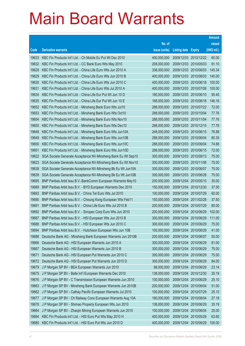|                |                                                                                                                             |                            |                            |                                     | <b>Amount</b>  |
|----------------|-----------------------------------------------------------------------------------------------------------------------------|----------------------------|----------------------------|-------------------------------------|----------------|
|                |                                                                                                                             | No. of                     |                            |                                     | raised         |
| Code           | <b>Derivative warrants</b>                                                                                                  | issue (units)              | <b>Listing date Expiry</b> |                                     | (HK\$ mil.)    |
| 19633          | KBC Fin Products Int'l Ltd. - Ch Mobile Eu Put Wt Dec 2010                                                                  | 400,000,000                |                            | 2009/12/03 2010/12/22               | 60.00          |
| 19632          | KBC Fin Products Int'l Ltd. - CC Bank Euro Wts May 2010                                                                     | 208,000,000                |                            | 2009/12/03 2010/05/03               | 91.10          |
| 19628          | KBC Fin Products Int'l Ltd. - China Life Euro Wts Jun 2010 A                                                                | 338,000,000                | 2009/12/03                 | 2010/06/03                          | 145.34         |
| 19629          | KBC Fin Products Int'l Ltd. - China Life Euro Wts Jun 2010 B                                                                | 400,000,000                |                            | 2009/12/03 2010/06/03               | 140.00         |
| 19630          | KBC Fin Products Int'l Ltd. - China Life Euro Wts Jun 2010 C                                                                | 400,000,000                |                            | 2009/12/03 2010/06/18               | 100.00         |
| 19631          | KBC Fin Products Int'l Ltd. - China Life Euro Wts Jul 2010 A                                                                | 400,000,000                |                            | 2009/12/03 2010/07/08               | 100.00         |
| 19634          | KBC Fin Products Int'l Ltd. - China Life Eur Put Wt Jun 10 D                                                                | 180,000,000                | 2009/12/03 2010/06/10      |                                     | 95.40          |
| 19635          | KBC Fin Products Int'l Ltd. - China Life Eur Put Wt Jun 10 E                                                                | 168,000,000                |                            | 2009/12/03 2010/06/18               | 146.16         |
| 19652          | KBC Fin Products Int'l Ltd. - Minsheng Bank Euro Wts Jul10                                                                  | 288,000,000                |                            | 2009/12/03 2010/07/22               | 72.00          |
| 19653          | KBC Fin Products Int'l Ltd. - Minsheng Bank Euro Wts Oct10                                                                  | 288,000,000                |                            | 2009/12/03 2010/10/04               | 77.76          |
| 19654          | KBC Fin Products Int'l Ltd. - Minsheng Bank Euro Wts Nov10                                                                  | 288,000,000                | 2009/12/03 2010/11/04      |                                     | 77.76          |
| 19655          | KBC Fin Products Int'l Ltd. - Minsheng Bank Euro Wts Dec10                                                                  | 288,000,000                |                            | 2009/12/03 2010/12/15               | 77.76          |
| 19648          | KBC Fin Products Int'l Ltd. - Minsheng Bank Euro Wts Jun10A                                                                 | 248,000,000                | 2009/12/03 2010/06/15      |                                     | 76.88          |
| 19649          | KBC Fin Products Int'l Ltd. - Minsheng Bank Euro Wts Jun10B                                                                 | 288,000,000                | 2009/12/03 2010/06/04      |                                     | 80.35          |
| 19650          | KBC Fin Products Int'l Ltd. - Minsheng Bank Euro Wts Jun10C                                                                 | 288,000,000                | 2009/12/03                 | 2010/06/04                          | 74.88          |
| 19651          | KBC Fin Products Int'l Ltd. - Minsheng Bank Euro Wts Jun10D                                                                 | 288,000,000                |                            | 2009/12/03 2010/06/15               | 72.00          |
| 19622          | SGA Societe Generale Acceptance NV-Minsheng Bank Eu Wt Sep10                                                                | 300,000,000                |                            | 2009/12/03 2010/09/13               | 75.00          |
| 19623          | SGA Societe Generale Acceptance NV-Minsheng Bank Eu Wt Nov10                                                                | 300,000,000                |                            | 2009/12/03 2010/11/08               | 75.00          |
| 19638<br>19639 | SGA Societe Generale Acceptance NV-Minsheng Bk Eu Wt Jun10A                                                                 | 300,000,000<br>300,000,000 | 2009/12/03                 | 2010/06/07<br>2009/12/03 2010/06/28 | 75.00<br>75.00 |
| 19695          | SGA Societe Generale Acceptance NV-Minsheng Bk Eu Wt Jun10B<br>BNP Paribas Arbit Issu B.V.-BankComm European Warrants May10 | 200,000,000                | 2009/12/04                 | 2010/05/10                          | 30.00          |
| 19689          | BNP Paribas Arbit Issu B.V. - BYD European Warrants Dec 2010                                                                | 150,000,000                |                            | 2009/12/04 2010/12/30               | 37.50          |
| 19693          | BNP Paribas Arbit Issu B.V. - China Tel Euro Wts Jul 2010                                                                   | 100,000,000                | 2009/12/04                 | 2010/07/29                          | 60.00          |
| 19690          | BNP Paribas Arbit Issu B.V. - Cheung Kong European Wts Feb11                                                                | 150,000,000                |                            | 2009/12/04 2011/02/28               | 37.50          |
| 19691          | BNP Paribas Arbit Issu B.V. - China Life Euro Wts Jul 2010 B                                                                | 200,000,000                | 2009/12/04 2010/07/29      |                                     | 80.00          |
| 19692          | BNP Paribas Arbit Issu B.V. - Sinopec Corp Euro Wts Jun 2010                                                                | 200,000,000                | 2009/12/04 2010/06/29      |                                     | 102.00         |
| 19687          | BNP Paribas Arbit Issu B.V. - HSI European Wts Jun 2010 B                                                                   | 300,000,000                | 2009/12/04 2010/06/29      |                                     | 111.00         |
| 19688          | BNP Paribas Arbit Issu B.V. - HSI European Wts Jun 2010 C                                                                   | 300,000,000                | 2009/12/04 2010/06/29      |                                     | 75.00          |
| 19694          | BNP Paribas Arbit Issu B.V. - Hutchison European Wts Jun 10B                                                                | 100,000,000                | 2009/12/04                 | 2010/06/29                          | 41.00          |
| 19686          | Deutsche Bank AG - Minsheng Bank European Warrants Jun 2010B                                                                | 200,000,000                | 2009/12/04                 | 2010/06/07                          | 50.00          |
| 19666          | Deutsche Bank AG - HSI European Warrants Jun 2010 A                                                                         | 300,000,000                | 2009/12/04                 | 2010/06/29                          | 81.00          |
| 19667          | Deutsche Bank AG - HSI European Warrants Jun 2010 B                                                                         | 300,000,000                | 2009/12/04                 | 2010/06/29                          | 75.00          |
| 19671          | Deutsche Bank AG - HSI European Put Warrants Jun 2010 C                                                                     | 300,000,000                | 2009/12/04                 | 2010/06/29                          | 75.00          |
| 19672          | Deutsche Bank AG - HSI European Put Warrants Jun 2010 D                                                                     | 300,000,000                | 2009/12/04                 | 2010/06/29                          | 84.00          |
| 19679          | J P Morgan SP BV - BEA European Warrants Jun 2010                                                                           | 88,000,000                 | 2009/12/04                 | 2010/06/29                          | 23.14          |
| 19675          | J P Morgan SP BV - Belle Int'l European Warrants Dec 2010                                                                   | 138,000,000                | 2009/12/04                 | 2010/12/30                          | 35.19          |
| 19676          | J P Morgan SP BV - C Transmission European Warrants Jun 2010                                                                | 100,000,000                | 2009/12/04                 | 2010/06/29                          | 25.10          |
| 19663          | J P Morgan SP BV - Minsheng Bank European Warrants Jun 2010B                                                                | 200,000,000                | 2009/12/04                 | 2010/06/04                          | 51.00          |
| 19662          | J P Morgan SP BV - Cathay Pacific European Warrants Jul 2010                                                                | 100,000,000                | 2009/12/04                 | 2010/07/29                          | 25.10          |
| 19677          | J P Morgan SP BV - Ch Railway Cons European Warrants Aug 10A                                                                | 180,000,000                | 2009/12/04                 | 2010/08/04                          | 27.18          |
| 19678          | J P Morgan SP BV - Shimao Property European Wts Jun 2010                                                                    | 138,000,000                | 2009/12/04                 | 2010/06/29                          | 35.19          |
| 19664          | J P Morgan SP BV - Zhaojin Mining European Warrants Jun 2010                                                                | 100,000,000                | 2009/12/04                 | 2010/06/04                          | 25.00          |
| 19684          | KBC Fin Products Int'l Ltd. - HSI Euro Put Wts May 2010 H                                                                   | 400,000,000                | 2009/12/04                 | 2010/05/28                          | 63.60          |
| 19680          | KBC Fin Products Int'l Ltd. - HSI Euro Put Wts Jun 2010 D                                                                   | 400,000,000                | 2009/12/04                 | 2010/06/29                          | 100.00         |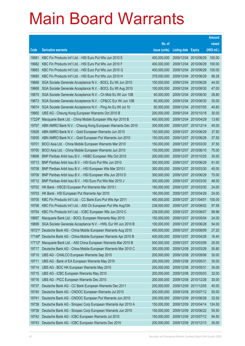|        |                                                                     |               |                            |                       | <b>Amount</b> |
|--------|---------------------------------------------------------------------|---------------|----------------------------|-----------------------|---------------|
|        |                                                                     | No. of        |                            |                       | raised        |
| Code   | <b>Derivative warrants</b>                                          | issue (units) | <b>Listing date Expiry</b> |                       | $(HK$$ mil.)  |
| 19681  | KBC Fin Products Int'l Ltd. - HSI Euro Put Wts Jun 2010 E           | 400,000,000   | 2009/12/04                 | 2010/06/29            | 100.00        |
| 19682  | KBC Fin Products Int'l Ltd. - HSI Euro Put Wts Jun 2010 F           | 400,000,000   | 2009/12/04 2010/06/29      |                       | 100.00        |
| 19683  | KBC Fin Products Int'l Ltd. - HSI Euro Put Wts Jun 2010 G           | 400,000,000   | 2009/12/04                 | 2010/06/29            | 100.00        |
| 19685  | KBC Fin Products Int'l Ltd. - HSI Euro Put Wts Jun 2010 H           | 378,000,000   | 2009/12/04 2010/06/29      |                       | 98.28         |
| 19668  | SGA Societe Generale Acceptance N.V. - BOCL Eu Wt Jun 2010          | 100,000,000   | 2009/12/04 2010/06/28      |                       | 44.00         |
| 19669  | SGA Societe Generale Acceptance N.V. - BOCL Eu Wt Aug 2010          | 100,000,000   | 2009/12/04 2010/08/30      |                       | 47.00         |
| 19670  | SGA Societe Generale Acceptance N.V. - Ch Mob Eu Wt Jun 10B         | 60,000,000    | 2009/12/04                 | 2010/06/30            | 28.80         |
| 19673  | SGA Societe Generale Acceptance N.V. - CP&CC Eur Wt Jun 10B         | 60,000,000    | 2009/12/04 2010/06/30      |                       | 30.00         |
| 19674  | SGA Societe Generale Acceptance N.V. - Ping An Eu Wt Jul 10         | 60,000,000    |                            | 2009/12/04 2010/07/05 | 40.80         |
| 19665  | UBS AG - Cheung Kong European Warrants Oct 2010 B                   | 200,000,000   | 2009/12/04 2010/10/18      |                       | 30.00         |
| 17224# | Macquarie Bank Ltd. - China Mobile European Wts Apr 2010 B          | 400,000,000   | 2009/12/04                 | 2010/04/29            | 13.60         |
| 19707  | ABN AMRO Bank N.V. - Cheung Kong European Warrants Dec 2010         | 300,000,000   | 2009/12/07 2010/12/14      |                       | 45.00         |
| 10928  | ABN AMRO Bank N.V. - Gold European Warrants Jun 2010                | 150,000,000   | 2009/12/07 2010/06/29      |                       | 37.50         |
| 10935  | ABN AMRO Bank N.V. - Gold European Put Warrants Jun 2010            | 150,000,000   | 2009/12/07 2010/06/28      |                       | 37.50         |
| 19701  | BOCI Asia Ltd. - China Mobile European Warrants Mar 2010            | 150,000,000   | 2009/12/07                 | 2010/03/30            | 37.50         |
| 19700  | BOCI Asia Ltd. - China Mobile European Warrants Jun 2010            | 150,000,000   | 2009/12/07 2010/06/10      |                       | 75.00         |
| 19698  | BNP Paribas Arbit Issu B.V. - HSBC European Wts Oct 2010            | 200,000,000   |                            | 2009/12/07 2010/10/25 | 30.00         |
| 19713  | BNP Paribas Arbit Issu B.V. - HSI Euro Put Wts Jun 2010             | 300,000,000   | 2009/12/07 2010/06/29      |                       | 81.00         |
| 19708  | BNP Paribas Arbit Issu B.V. - HSI European Wts Mar 2010 I           | 300,000,000   | 2009/12/07                 | 2010/03/30            | 45.00         |
| 19709  | BNP Paribas Arbit Issu B.V. - HSI European Wts Jun 2010 D           | 300,000,000   | 2009/12/07 2010/06/29      |                       | 75.00         |
| 19712  | BNP Paribas Arbit Issu B.V. - HSI Euro Put Wts Mar 2010 J           | 300,000,000   |                            | 2009/12/07 2010/03/30 | 48.00         |
| 19702  | HK Bank - HSCEI European Put Warrants Mar 2010 I                    | 160,000,000   | 2009/12/07 2010/03/30      |                       | 24.00         |
| 19703  | HK Bank - HSI European Put Warrants Apr 2010                        | 160,000,000   | 2009/12/07                 | 2010/04/29            | 24.00         |
| 19705  | KBC Fin Products Int'l Ltd. - CC Bank Euro Put Wts Apr 2011         | 400,000,000   | 2009/12/07 2011/04/01      |                       | 100.00        |
| 19706  | KBC Fin Products Int'l Ltd. - A50 Ch European Put Wts Aug10A        | 238,000,000   | 2009/12/07 2010/08/02      |                       | 97.58         |
| 19704  | KBC Fin Products Int'l Ltd. - ICBC European Wts Jun 2010 C          | 238,000,000   | 2009/12/07 2010/06/07      |                       | 99.96         |
| 19697  | Macquarie Bank Ltd. - BOCL European Warrants May 2010               | 150,000,000   | 2009/12/07 2010/05/04      |                       | 24.00         |
|        | 19699 SGA Societe Generale Acceptance N.V. - HWL Eur Wt Jun 2010 B  | 100,000,000   | 2009/12/07 2010/06/28      |                       | 54.00         |
|        | 18721# Deutsche Bank AG - China Mobile European Warrants Aug 2010   | 400,000,000   | 2009/12/07 2010/08/09      |                       | 27.20         |
|        | 17148# Deutsche Bank AG - China Mobile European Warrants Apr 2010 B | 400,000,000   | 2009/12/07 2010/04/28      |                       | 16.40         |
| 17712# | Macquarie Bank Ltd. - A50 China European Warrants Mar 2010 B        | 500,000,000   | 2009/12/07 2010/03/09      |                       | 25.00         |
| 19717  | Deutsche Bank AG - China Mobile European Warrants Mar 2010 C        | 300,000,000   | 2009/12/08 2010/03/29      |                       | 55.80         |
| 19710  | UBS AG - CHALCO European Warrants Sep 2010                          | 200,000,000   |                            | 2009/12/08 2010/09/06 | 30.00         |
| 19711  | UBS AG - Bank of EA European Warrants May 2010                      | 200,000,000   | 2009/12/08 2010/05/31      |                       | 30.00         |
| 19714  | UBS AG - BOC HK European Warrants May 2010                          | 200,000,000   | 2009/12/08 2010/05/31      |                       | 30.00         |
| 19715  | UBS AG - ICBC European Warrants May 2010                            | 200,000,000   | 2009/12/08 2010/05/03      |                       | 32.00         |
| 19716  | UBS AG - PICC European Warrants Dec 2010                            | 200,000,000   | 2009/12/08 2010/12/28      |                       | 30.00         |
| 19737  | Deutsche Bank AG - CC Bank European Warrants Dec 2011               | 200,000,000   | 2009/12/09 2011/12/05      |                       | 40.00         |
| 19740  | Deutsche Bank AG - CNOOC European Warrants Jul 2010                 | 200,000,000   | 2009/12/09 2010/07/12      |                       | 50.00         |
| 19741  | Deutsche Bank AG - CNOOC European Put Warrants Jun 2010             | 200,000,000   | 2009/12/09 2010/06/28      |                       | 32.00         |
| 19738  | Deutsche Bank AG - Sinopec Corp European Warrants Apr 2010 A        | 150,000,000   | 2009/12/09                 | 2010/04/14            | 124.50        |
| 19739  | Deutsche Bank AG - Sinopec Corp European Warrants Jun 2010          | 150,000,000   | 2009/12/09 2010/06/22      |                       | 55.50         |
| 19742  | Deutsche Bank AG - ICBC European Warrants Jul 2010                  | 150,000,000   | 2009/12/09                 | 2010/07/12            | 94.50         |
| 19743  | Deutsche Bank AG - ICBC European Warrants Dec 2010                  | 200,000,000   | 2009/12/09 2010/12/13      |                       | 30.00         |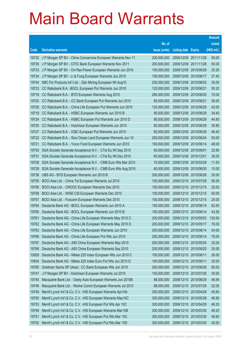|       |                                                               |               |                            |            | <b>Amount</b> |
|-------|---------------------------------------------------------------|---------------|----------------------------|------------|---------------|
|       |                                                               | No. of        |                            |            | raised        |
| Code  | <b>Derivative warrants</b>                                    | issue (units) | <b>Listing date Expiry</b> |            | (HK\$ mil.)   |
| 19732 | J P Morgan SP BV - China Comservice European Warrants Nov 11  | 200,000,000   | 2009/12/09 2011/11/28      |            | 50.00         |
| 19735 | J P Morgan SP BV - CITIC Bank European Warrants Nov 2011      | 200,000,000   | 2009/12/09                 | 2011/11/28 | 50.00         |
| 19733 | J P Morgan SP BV - Chi Res Power European Warrants Jun 2010   | 100,000,000   | 2009/12/09                 | 2010/06/29 | 25.20         |
| 19734 | J P Morgan SP BV - Li & Fung European Warrants Jun 2010       | 100,000,000   | 2009/12/09                 | 2010/06/17 | 27.40         |
| 19744 | KBC Fin Products Int'l Ltd. - Zijin Mining European Wt Aug10  | 200,000,000   | 2009/12/09                 | 2010/08/03 | 30.00         |
| 19723 | CC Rabobank B.A. - BOCL European Put Warrants Jun 2010        | 120,000,000   | 2009/12/09                 | 2010/06/21 | 55.20         |
| 19718 | CC Rabobank B.A. - BYD European Warrants Aug 2010             | 280,000,000   | 2009/12/09                 | 2010/08/30 | 70.00         |
| 19725 | CC Rabobank B.A. - CC Bank European Put Warrants Jun 2010     | 80,000,000    | 2009/12/09                 | 2010/06/21 | 36.00         |
| 19726 | CC Rabobank B.A. - China Life European Put Warrants Jun 2010  | 120,000,000   | 2009/12/09                 | 2010/06/29 | 42.00         |
| 19719 | CC Rabobank B.A. - HSBC European Warrants Jun 2010 B          | 80,000,000    | 2009/12/09                 | 2010/06/29 | 34.40         |
| 19724 | CC Rabobank B.A. - HSBC European Put Warrants Jun 2010 D      | 80,000,000    | 2009/12/09                 | 2010/06/29 | 44.80         |
| 19720 | CC Rabobank B.A. - Hutchison European Warrants Jun 2010       | 80,000,000    | 2009/12/09                 | 2010/06/29 | 30.80         |
| 19727 | CC Rabobank B.A. - ICBC European Put Warrants Jun 2010        | 80,000,000    | 2009/12/09                 | 2010/06/29 | 46.40         |
| 19722 | CC Rabobank B.A. - Sino Ocean Land European Warrants Jun 10   | 200,000,000   | 2009/12/09                 | 2010/06/24 | 50.00         |
| 19721 | CC Rabobank B.A. - Yurun Food European Warrants Jun 2010      | 150,000,000   | 2009/12/09                 | 2010/06/14 | 48.00         |
| 19730 | SGA Societe Generale Acceptance N.V. - CTel Eu Wt Sep 2010    | 60,000,000    | 2009/12/09                 | 2010/09/01 | 22.80         |
| 19731 | SGA Societe Generale Acceptance N.V. - CTel Eu Wt Dec 2010    | 60,000,000    | 2009/12/09                 | 2010/12/01 | 36.00         |
| 19728 | SGA Societe Generale Acceptance N.V. - CMB Euro Wts Mar 2010  | 70,000,000    | 2009/12/09                 | 2010/03/29 | 11.55         |
| 19729 | SGA Societe Generale Acceptance N.V. - CMB Euro Wts Aug 2010  | 60,000,000    | 2009/12/09                 | 2010/08/30 | 15.00         |
| 19736 | UBS AG - BYD European Warrants Jun 2010 B                     | 200,000,000   | 2009/12/09                 | 2010/06/28 | 30.00         |
| 19755 | BOCI Asia Ltd. - China Tel European Warrants Jul 2010         | 100,000,000   | 2009/12/10 2010/07/29      |            | 50.00         |
| 19756 | BOCI Asia Ltd. - CNOOC European Warrants Dec 2010             | 100,000,000   | 2009/12/10                 | 2010/12/15 | 25.00         |
| 19758 | BOCI Asia Ltd. - WISE CSI European Warrants Dec 2010          | 100,000,000   | 2009/12/10                 | 2010/12/15 | 50.00         |
| 19757 | BOCI Asia Ltd. - Foxconn European Warrants Dec 2010           | 100,000,000   | 2009/12/10 2010/12/15      |            | 25.00         |
| 19764 | Deutsche Bank AG - BOCL European Warrants Jun 2010 A          | 150,000,000   | 2009/12/10 2010/06/14      |            | 82.50         |
| 19765 | Deutsche Bank AG - BOCL European Warrants Jun 2010 B          | 150,000,000   | 2009/12/10                 | 2010/06/14 | 43.50         |
| 19761 | Deutsche Bank AG - China Life European Warrants May 2010 C    | 200,000,000   | 2009/12/10 2010/05/03      |            | 120.00        |
| 19762 | Deutsche Bank AG - China Life European Warrants May 2010 D    | 200,000,000   | 2009/12/10 2010/05/17      |            | 70.00         |
| 19763 | Deutsche Bank AG - China Life European Warrants Jun 2010      | 200,000,000   | 2009/12/10                 | 2010/06/14 | 54.00         |
| 19766 | Deutsche Bank AG - China Life European Put Wts Jun 2010       | 200,000,000   | 2009/12/10 2010/06/14      |            | 78.00         |
| 19767 | Deutsche Bank AG - A50 China European Warrants May 2010       | 200,000,000   | 2009/12/10 2010/05/24      |            | 32.00         |
| 19768 | Deutsche Bank AG - A50 China European Warrants Sep 2010       | 200,000,000   | 2009/12/10                 | 2010/09/20 | 30.00         |
| 10929 | Deutsche Bank AG - Nikkei 225 Index European Wts Jun 2010 C   | 100,000,000   | 2009/12/10                 | 2010/06/11 | 26.00         |
| 10934 | Deutsche Bank AG - Nikkei 225 Index Euro Put Wts Jun 2010 D   | 100,000,000   | 2009/12/10                 | 2010/06/11 | 25.00         |
| 19760 | Goldman Sachs SP (Asia) - CC Bank European Wts Jun 2010       | 200,000,000   | 2009/12/10 2010/06/29      |            | 80.00         |
| 19747 | J P Morgan SP BV - Hutchison European Warrants Jul 2010       | 100,000,000   | 2009/12/10                 | 2010/07/26 | 35.00         |
| 19745 | Macquarie Bank Ltd. - Geely Auto European Warrants Jun 2010B  | 88,000,000    | 2009/12/10                 | 2010/06/29 | 46.64         |
| 19746 | Macquarie Bank Ltd. - Renhe Comm European Warrants Jul 2010   | 88,000,000    | 2009/12/10                 | 2010/07/29 | 22.00         |
| 19749 | Merrill Lynch Int'l & Co. C.V. - HSI European Warrants Apr10A | 300,000,000   | 2009/12/10                 | 2010/04/29 | 45.60         |
| 19750 | Merrill Lynch Int'l & Co. C.V. - HSI European Warrants May10C | 300,000,000   | 2009/12/10                 | 2010/05/28 | 46.80         |
| 19753 | Merrill Lynch Int'l & Co. C.V. - HSI European Put Wts Apr 10C | 300,000,000   | 2009/12/10                 | 2010/04/29 | 46.20         |
| 19748 | Merrill Lynch Int'l & Co. C.V. - HSI European Warrants Mar10B | 300,000,000   | 2009/12/10                 | 2010/03/30 | 46.20         |
| 19751 | Merrill Lynch Int'l & Co. C.V. - HSI European Put Wts Mar 10C | 300,000,000   | 2009/12/10                 | 2010/03/30 | 48.60         |
| 19752 | Merrill Lynch Int'l & Co. C.V. - HSI European Put Wts Mar 10D | 300,000,000   | 2009/12/10 2010/03/30      |            | 45.00         |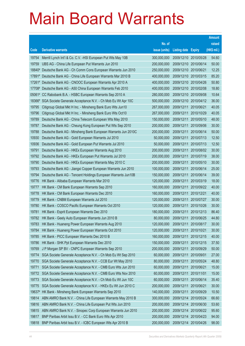|                |                                                                                                              |                           |                            |                          | <b>Amount</b>  |
|----------------|--------------------------------------------------------------------------------------------------------------|---------------------------|----------------------------|--------------------------|----------------|
|                |                                                                                                              | No. of                    |                            |                          | raised         |
| Code           | <b>Derivative warrants</b>                                                                                   | issue (units)             | <b>Listing date Expiry</b> |                          | (HK\$ mil.)    |
| 19754          | Merrill Lynch Int'l & Co. C.V. - HSI European Put Wts May 10B                                                | 300,000,000               | 2009/12/10 2010/05/28      |                          | 54.60          |
| 19759          | UBS AG - China Life European Put Warrants Jun 2010                                                           | 200,000,000               | 2009/12/10 2010/06/14      |                          | 50.00          |
| 18840#         | Deutsche Bank AG - Ch Comm Cons European Warrants Jun 2010                                                   | 250,000,000               | 2009/12/10                 | 2010/06/21               | 12.25          |
|                | 17891# Deutsche Bank AG - China Life European Warrants Mar 2010 B                                            | 400,000,000               | 2009/12/10                 | 2010/03/15               | 85.20          |
|                | 17261# Deutsche Bank AG - CNOOC European Warrants Apr 2010 A                                                 | 400,000,000               | 2009/12/10 2010/04/26      |                          | 50.80          |
| 17708#         | Deutsche Bank AG - A50 China European Warrants Feb 2010                                                      | 400,000,000               | 2009/12/10                 | 2010/02/08               | 18.80          |
| $05061*$       | CC Rabobank B.A. - HSBC European Warrants Sep 2010 A                                                         | 280,000,000               | 2009/12/10                 | 2010/09/08               | 10.64          |
| 18366#         | SGA Societe Generale Acceptance N.V. - Ch Mob Eu Wt Apr 10C                                                  | 500,000,000               | 2009/12/10                 | 2010/04/12               | 36.00          |
| 19795          | Citigroup Global Mkt H Inc. - Minsheng Bank Euro Wts Jun10                                                   | 267,000,000               | 2009/12/11                 | 2010/06/21               | 40.05          |
| 19796          | Citigroup Global Mkt H Inc. - Minsheng Bank Euro Wts Oct10                                                   | 267,000,000               | 2009/12/11                 | 2010/10/29               | 40.05          |
| 19789          | Deutsche Bank AG - China Telecom European Wts May 2010                                                       | 150,000,000               | 2009/12/11                 | 2010/05/10               | 48.00          |
| 19787          | Deutsche Bank AG - Cheung Kong European Put Wts Sep 2010                                                     | 200,000,000               | 2009/12/11                 | 2010/09/06               | 30.00          |
| 19788<br>10930 | Deutsche Bank AG - Minsheng Bank European Warrants Jun 2010C                                                 | 200,000,000               | 2009/12/11                 | 2010/06/14               | 50.00          |
|                | Deutsche Bank AG - Gold European Warrants Jul 2010                                                           | 50,000,000                | 2009/12/11                 | 2010/07/13               | 12.50          |
| 10936          | Deutsche Bank AG - Gold European Put Warrants Jul 2010                                                       | 50,000,000<br>200,000,000 | 2009/12/11<br>2009/12/11   | 2010/07/13               | 12.50<br>30.00 |
| 19791<br>19792 | Deutsche Bank AG - HKEx European Warrants Aug 2010<br>Deutsche Bank AG - HKEx European Put Warrants Jul 2010 | 200,000,000               | 2009/12/11                 | 2010/08/02<br>2010/07/19 | 38.00          |
| 19790          | Deutsche Bank AG - HKEx European Warrants May 2010 C                                                         | 200,000,000               | 2009/12/11                 | 2010/05/10               | 30.00          |
| 19793          | Deutsche Bank AG - Jiangxi Copper European Warrants Jun 2010                                                 | 100,000,000               | 2009/12/11                 | 2010/06/14               | 25.00          |
| 19794          | Deutsche Bank AG - Tencent Holdings European Warrants Jun10B                                                 | 150,000,000               | 2009/12/11                 | 2010/06/14               | 39.00          |
| 19776          | HK Bank - Alibaba European Warrants Mar 2010                                                                 | 120,000,000               | 2009/12/11                 | 2010/03/19               | 18.00          |
| 19777          | HK Bank - CM Bank European Warrants Sep 2010                                                                 | 160,000,000               | 2009/12/11                 | 2010/09/22               | 40.00          |
| 19778          | HK Bank - CM Bank European Warrants Dec 2010                                                                 | 160,000,000               | 2009/12/11                 | 2010/12/21               | 40.00          |
| 19779          | HK Bank - CNBM European Warrants Jul 2010                                                                    | 120,000,000               | 2009/12/11                 | 2010/07/27               | 30.00          |
| 19780          | HK Bank - COSCO Pacific European Warrants Oct 2010                                                           | 120,000,000               | 2009/12/11                 | 2010/10/26               | 30.00          |
| 19781          | HK Bank - Esprit European Warrants Dec 2010                                                                  | 180,000,000               | 2009/12/11                 | 2010/12/13               | 86.40          |
| 19782          | HK Bank - Geely Auto European Warrants Jun 2010 B                                                            | 80,000,000                | 2009/12/11                 | 2010/06/25               | 44.80          |
| 19783          | HK Bank - Huaneng Power European Warrants Aug 2010                                                           | 120,000,000               | 2009/12/11                 | 2010/08/17               | 30.00          |
| 19784          | HK Bank - Huaneng Power European Warrants Oct 2010                                                           | 120,000,000               | 2009/12/11                 | 2010/10/21               | 30.00          |
| 19785          | HK Bank - PICC European Warrants Dec 2010 B                                                                  | 160,000,000               | 2009/12/11                 | 2010/12/15               | 40.00          |
| 19786          | HK Bank - SHK Ppt European Warrants Dec 2010                                                                 | 150,000,000               | 2009/12/11                 | 2010/12/15               | 37.50          |
| 19769          | J P Morgan SP BV - CNPC European Warrants Sep 2010                                                           | 200,000,000               | 2009/12/11                 | 2010/09/29               | 50.00          |
| 19774          | SGA Societe Generale Acceptance N.V. - Ch Mob Eu Wt Sep 2010                                                 | 60,000,000                | 2009/12/11                 | 2010/09/01               | 27.00          |
| 19770          | SGA Societe Generale Acceptance N.V. - CCB Eur Wt May 2010                                                   | 80,000,000                | 2009/12/11                 | 2010/05/24               | 48.80          |
| 19771          | SGA Societe Generale Acceptance N.V. - CMB Euro Wts Jun 2010                                                 | 60,000,000                | 2009/12/11                 | 2010/06/21               | 15.00          |
| 19772          | SGA Societe Generale Acceptance N.V. - CMB Euro Wts Nov 2010                                                 | 60,000,000                | 2009/12/11                 | 2010/11/01               | 15.00          |
| 19773          | SGA Societe Generale Acceptance N.V. - Ch Mob Eu Wt Jun 10C                                                  | 60,000,000                | 2009/12/11                 | 2010/06/14               | 35.40          |
| 19775          | SGA Societe Generale Acceptance N.V. - HKEx Eu Wt Jun 2010 C                                                 | 200,000,000               | 2009/12/11                 | 2010/06/21               | 30.00          |
| 19637#         | HK Bank - Minsheng Bank European Warrants Sep 2010                                                           | 140,000,000               | 2009/12/11                 | 2010/09/29               | 10.50          |
| 19814          | ABN AMRO Bank N.V. - China Life European Warrants May 2010 B                                                 | 300,000,000               | 2009/12/14                 | 2010/05/24               | 66.60          |
| 19816          | ABN AMRO Bank N.V. - China Life European Put Wts Jun 2010                                                    | 200,000,000               | 2009/12/14                 | 2010/06/30               | 53.60          |
| 19815          | ABN AMRO Bank N.V. - Sinopec Corp European Warrants Jun 2010                                                 | 200,000,000               | 2009/12/14                 | 2010/06/22               | 95.60          |
| 19817          | BNP Paribas Arbit Issu B.V. - CC Bank Euro Wts Apr 2010                                                      | 200,000,000               | 2009/12/14                 | 2010/04/23               | 94.00          |
| 19818          | BNP Paribas Arbit Issu B.V. - ICBC European Wts Apr 2010 B                                                   | 200,000,000               | 2009/12/14                 | 2010/04/26               | 98.00          |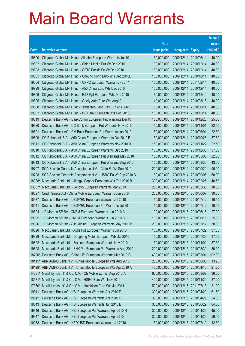|        |                                                                     |               |                            |            | <b>Amount</b> |
|--------|---------------------------------------------------------------------|---------------|----------------------------|------------|---------------|
|        |                                                                     | No. of        |                            |            | raised        |
| Code   | <b>Derivative warrants</b>                                          | issue (units) | <b>Listing date Expiry</b> |            | (HK\$ mil.)   |
| 19800  | Citigroup Global Mkt H Inc. - Alibaba European Warrants Jun10       | 160,000,000   | 2009/12/14 2010/06/14      |            | 40.00         |
| 19802  | Citigroup Global Mkt H Inc. - China Mobile Eur Wt Dec 2010          | 100,000,000   | 2009/12/14 2010/12/14      |            | 40.00         |
| 19803  | Citigroup Global Mkt H Inc. - CITIC Pacific Eu Wt Dec 2010          | 160,000,000   | 2009/12/14 2010/12/14      |            | 40.00         |
| 19801  | Citigroup Global Mkt H Inc. - Cheung Kong Euro Wts Dec 2010B        | 160,000,000   | 2009/12/14 2010/12/14      |            | 40.00         |
| 19804  | Citigroup Global Mkt H Inc. - CNPC European Warrants Feb 11         | 160,000,000   | 2009/12/14 2011/02/14      |            | 40.00         |
| 19799  | Citigroup Global Mkt H Inc. - A50 China Euro Wts Dec 2010           | 160,000,000   | 2009/12/14 2010/12/14      |            | 40.00         |
| 19806  | Citigroup Global Mkt H Inc. - R&F Ppt European Wts Dec 2010         | 160,000,000   | 2009/12/14 2010/12/14      |            | 40.00         |
| 19805  | Citigroup Global Mkt H Inc. - Geely Auto Euro Wts Aug10             | 40,000,000    | 2009/12/14 2010/08/16      |            | 40.00         |
| 19808  | Citigroup Global Mkt H Inc.-Henderson Land Dev Eur Wts Jun10        | 50,000,000    | 2009/12/14 2010/06/14      |            | 40.00         |
| 19807  | Citigroup Global Mkt H Inc. - HS Bank European Wts Dec 2010B        | 160,000,000   | 2009/12/14 2010/12/14      |            | 40.00         |
| 19819  | Deutsche Bank AG - BankComm European Put Warrants Dec10             | 150,000,000   | 2009/12/14 2010/12/28      |            | 25.50         |
| 19820  | Deutsche Bank AG - CC Bank European Put Warrants Nov 2010           | 150,000,000   | 2009/12/14 2010/11/01      |            | 22.50         |
| 19821  | Deutsche Bank AG - CM Bank European Put Warrants Jun 2010           | 150,000,000   | 2009/12/14 2010/06/01      |            | 22.50         |
| 19809  | CC Rabobank B.A. - A50 China European Warrants Oct 2010 B           | 150,000,000   | 2009/12/14 2010/10/28      |            | 37.50         |
| 19811  | CC Rabobank B.A. - A50 China European Warrants Nov 2010 B           | 150,000,000   | 2009/12/14 2010/11/22      |            | 22.50         |
| 19810  | CC Rabobank B.A. - A50 China European Warrants Dec 2010             | 150,000,000   | 2009/12/14 2010/12/30      |            | 37.50         |
| 19812  | CC Rabobank B.A. - A50 China European Put Warrants May 2010         | 150,000,000   | 2009/12/14 2010/05/03      |            | 22.50         |
| 19813  | CC Rabobank B.A. - A50 China European Put Warrants Aug 2010         | 150,000,000   | 2009/12/14 2010/08/30      |            | 43.50         |
| 19797  | SGA Societe Generale Acceptance N.V. - CLife Eu Wt Sep 2010         | 200,000,000   | 2009/12/14                 | 2010/09/20 | 96.00         |
| 19798  | SGA Societe Generale Acceptance N.V. - HSBC Eu Wt Sep 2010 B        | 80,000,000    | 2009/12/14 2010/09/06      |            | 60.00         |
| 18088# | Macquarie Bank Ltd. - Jiangxi Copper European Wts Feb 2010 B        | 300,000,000   | 2009/12/14 2010/02/25      |            | 40.50         |
| 13007# | Macquarie Bank Ltd. - Lenovo European Warrants Mar 2010             | 250,000,000   | 2009/12/14 2010/03/30      |            | 10.00         |
| 19827  | Credit Suisse AG - China Mobile European Warrants Jun 2010          | 200,000,000   | 2009/12/15 2010/06/07      |            | 30.00         |
| 10937  | Deutsche Bank AG - USD/YEN European Warrants Jul 2010               | 50,000,000    | 2009/12/15 2010/07/12      |            | 16.50         |
| 10941  | Deutsche Bank AG - USD/YEN European Put Warrants Jul 2010           | 50,000,000    | 2009/12/15 2010/07/12      |            | 16.00         |
| 19824  | J P Morgan SP BV - CNBM European Warrants Jun 2010 A                | 100,000,000   | 2009/12/15 2010/06/15      |            | 27.00         |
| 19825  | J P Morgan SP BV - CNBM European Warrants Jun 2010 B                | 100,000,000   | 2009/12/15 2010/06/15      |            | 25.00         |
| 19826  | J P Morgan SP BV - Zijin Mining European Warrants May 2010 B        | 200,000,000   | 2009/12/15 2010/05/17      |            | 30.00         |
| 19828  | Macquarie Bank Ltd. - Agile Ppt European Warrants Jul 2010          | 150,000,000   | 2009/12/15 2010/07/29      |            | 37.65         |
| 19829  | Macquarie Bank Ltd. - Dongfeng Motor European Wts Jul 2010          | 150,000,000   | 2009/12/15 2010/07/29      |            | 37.50         |
| 19822  | Macquarie Bank Ltd. - Foxconn European Warrants Nov 2010            | 150,000,000   | 2009/12/15 2010/11/02      |            | 37.50         |
| 19823  | Macquarie Bank Ltd. - SHK Ppt European Put Warrants Aug 2010        | 200,000,000   | 2009/12/15 2010/08/30      |            | 30.20         |
| 18720# | Deutsche Bank AG - China Life European Warrants Mar 2010 D          | 400,000,000   | 2009/12/15 2010/03/01      |            | 102.00        |
| 18415# | ABN AMRO Bank N.V. - China Mobile European Wts Aug 2010             | 250,000,000   | 2009/12/15 2010/08/03      |            | 13.25         |
|        | 19128# ABN AMRO Bank N.V. - China Mobile European Wts Apr 2010 A    | 400,000,000   | 2009/12/15 2010/04/13      |            | 21.20         |
|        | 14831# Merrill Lynch Int'l & Co. C.V. - Ch Mobile Eur Wt Aug 2010 A | 600,000,000   | 2009/12/15 2010/08/09      |            | 36.00         |
| 18581# | Merrill Lynch Int'l & Co. C.V. - HSBC Euro Wts Nov 2010             | 400,000,000   | 2009/12/15 2010/11/29      |            | 37.20         |
| 17360# | Merrill Lynch Int'l & Co. C.V. - Hutchison Euro Wts Jul 2011        | 500,000,000   | 2009/12/15 2011/07/18      |            | 31.00         |
| 19841  | Deutsche Bank AG - HSI European Warrants Apr 2010 F                 | 300,000,000   | 2009/12/16 2010/04/29      |            | 61.50         |
| 19842  | Deutsche Bank AG - HSI European Warrants Apr 2010 G                 | 300,000,000   | 2009/12/16 2010/04/29      |            | 54.00         |
| 19843  | Deutsche Bank AG - HSI European Warrants Jun 2010 E                 | 300,000,000   | 2009/12/16 2010/06/29      |            | 84.00         |
| 19846  | Deutsche Bank AG - HSI European Put Warrants Apr 2010 H             | 300,000,000   | 2009/12/16 2010/04/29      |            | 45.00         |
| 19847  | Deutsche Bank AG - HSI European Put Warrants Apr 2010 I             | 300,000,000   | 2009/12/16 2010/04/29      |            | 59.40         |
| 10938  | Deutsche Bank AG - NZD/USD European Warrants Jul 2010               | 50,000,000    | 2009/12/16 2010/07/12      |            | 12.50         |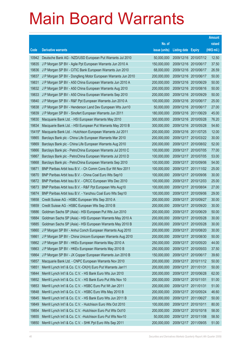|        |                                                               |               |                            |            | <b>Amount</b> |
|--------|---------------------------------------------------------------|---------------|----------------------------|------------|---------------|
|        |                                                               | No. of        |                            |            | raised        |
| Code   | <b>Derivative warrants</b>                                    | issue (units) | <b>Listing date Expiry</b> |            | (HK\$ mil.)   |
| 10942  | Deutsche Bank AG - NZD/USD European Put Warrants Jul 2010     | 50,000,000    | 2009/12/16 2010/07/12      |            | 12.50         |
| 19835  | J P Morgan SP BV - Agile Ppt European Warrants Jun 2010 A     | 150,000,000   | 2009/12/16 2010/06/17      |            | 37.50         |
| 19836  | J P Morgan SP BV - CITIC Bank European Warrants Jun 2010      | 68,000,000    | 2009/12/16 2010/06/17      |            | 26.59         |
| 19837  | J P Morgan SP BV - Dongfeng Motor European Warrants Jun 2010  | 200,000,000   | 2009/12/16 2010/06/17      |            | 50.00         |
| 19831  | J P Morgan SP BV - A50 China European Warrants Jun 2010 A     | 200,000,000   | 2009/12/16 2010/06/29      |            | 50.00         |
| 19832  | J P Morgan SP BV - A50 China European Warrants Aug 2010       | 200,000,000   | 2009/12/16 2010/08/16      |            | 50.00         |
| 19833  | J P Morgan SP BV - A50 China European Warrants Sep 2010       | 200,000,000   | 2009/12/16 2010/09/29      |            | 50.00         |
| 19840  | J P Morgan SP BV - R&F Ppt European Warrants Jun 2010 A       | 100,000,000   | 2009/12/16 2010/06/17      |            | 25.00         |
| 19838  | J P Morgan SP BV - Henderson Land Dev European Wts Jun10      | 50,000,000    | 2009/12/16 2010/06/17      |            | 27.00         |
| 19839  | J P Morgan SP BV - Sinofert European Warrants Jun 2011        | 180,000,000   | 2009/12/16 2011/06/29      |            | 45.00         |
| 19830  | Macquarie Bank Ltd. - HSI European Warrants May 2010          | 300,000,000   | 2009/12/16 2010/05/28      |            | 76.20         |
| 19834  | Macquarie Bank Ltd. - HSI European Put Warrants May 2010 B    | 300,000,000   | 2009/12/16 2010/05/28      |            | 54.60         |
| 15415# | Macquarie Bank Ltd. - Hutchison European Warrants Jul 2011    | 200,000,000   | 2009/12/16 2011/07/25      |            | 12.00         |
| 19865  | Barclays Bank plc - China Life European Warrants Mar 2010     | 200,000,000   | 2009/12/17 2010/03/22      |            | 30.00         |
| 19869  | Barclays Bank plc - China Life European Warrants Aug 2010     | 200,000,000   | 2009/12/17 2010/08/02      |            | 52.00         |
| 19866  | Barclays Bank plc - PetroChina European Warrants Jul 2010 C   | 100,000,000   | 2009/12/17 2010/07/05      |            | 77.00         |
| 19867  | Barclays Bank plc - PetroChina European Warrants Jul 2010 D   | 100,000,000   | 2009/12/17 2010/07/05      |            | 53.00         |
| 19868  | Barclays Bank plc - PetroChina European Warrants Sep 2010     | 100,000,000   | 2009/12/17 2010/09/06      |            | 54.00         |
| 19871  | BNP Paribas Arbit Issu B.V. - Ch Comm Cons Eur Wt Nov 2011    | 100,000,000   | 2009/12/17 2011/11/02      |            | 25.00         |
| 19870  | BNP Paribas Arbit Issu B.V. - China Coal Euro Wts Sep10       | 100,000,000   | 2009/12/17 2010/09/06      |            | 30.00         |
| 19872  | BNP Paribas Arbit Issu B.V. - CRCC European Wts Dec 2010      | 100,000,000   | 2009/12/17 2010/12/03      |            | 25.00         |
| 19873  | BNP Paribas Arbit Issu B.V. - R&F Ppt European Wts Aug10      | 100,000,000   | 2009/12/17 2010/08/04      |            | 27.00         |
| 19874  | BNP Paribas Arbit Issu B.V. - Yanzhou Coal Euro Wts Sep10     | 100,000,000   | 2009/12/17 2010/09/06      |            | 29.00         |
| 19858  | Credit Suisse AG - HSBC European Wts Sep 2010 A               | 200,000,000   | 2009/12/17 2010/09/27      |            | 30.00         |
| 19859  | Credit Suisse AG - HSBC European Wts Sep 2010 B               | 200,000,000   | 2009/12/17 2010/09/20      |            | 30.00         |
| 19886  | Goldman Sachs SP (Asia) - HSI European Put Wts Jun 2010       | 200,000,000   | 2009/12/17 2010/06/29      |            | 50.00         |
| 19884  | Goldman Sachs SP (Asia) - HSI European Warrants May 2010 A    | 200,000,000   | 2009/12/17                 | 2010/05/28 | 30.00         |
| 19885  | Goldman Sachs SP (Asia) - HSI European Warrants May 2010 B    | 200,000,000   | 2009/12/17 2010/05/28      |            | 30.00         |
| 19860  | J P Morgan SP BV - Anhui Conch European Warrants Aug 2010     | 200,000,000   | 2009/12/17 2010/08/20      |            | 30.00         |
| 19861  | J P Morgan SP BV - China Unicom European Warrants Aug 2010    | 200,000,000   | 2009/12/17 2010/08/30      |            | 50.00         |
| 19862  | J P Morgan SP BV - HKEx European Warrants May 2010 A          | 250,000,000   | 2009/12/17 2010/05/20      |            | 44.00         |
| 19863  | J P Morgan SP BV - HKEx European Warrants May 2010 B          | 250,000,000   | 2009/12/17 2010/05/03      |            | 37.50         |
| 19864  | J P Morgan SP BV - JX Copper European Warrants Jun 2010 B     | 150,000,000   | 2009/12/17 2010/06/17      |            | 39.60         |
| 19857  | Macquarie Bank Ltd. - CNPC European Warrants Nov 2010         | 200,000,000   | 2009/12/17 2010/11/12      |            | 50.00         |
| 19851  | Merrill Lynch Int'l & Co. C.V.-CK(H) Euro Put Warrants Jan11  | 200,000,000   | 2009/12/17 2011/01/31      |            | 50.00         |
| 19844  | Merrill Lynch Int'l & Co. C.V. - HS Bank Euro Wts Jun 2010    | 200,000,000   | 2009/12/17 2010/06/28      |            | 62.00         |
| 19852  | Merrill Lynch Int'l & Co. C.V. - HS Bank Euro Put Wts Nov 10  | 200,000,000   | 2009/12/17 2010/11/01      |            | 51.00         |
| 19853  | Merrill Lynch Int'l & Co. C.V. - HSBC Euro Put Wt Jan 2011    | 200,000,000   | 2009/12/17 2011/01/31      |            | 51.00         |
| 19848  | Merrill Lynch Int'l & Co. C.V. - HSBC Euro Wts May 2010 B     | 200,000,000   | 2009/12/17 2010/05/24      |            | 46.60         |
| 19845  | Merrill Lynch Int'l & Co. C.V. - HS Bank Euro Wts Jun 2011 B  | 200,000,000   | 2009/12/17 2011/06/27      |            | 50.00         |
| 19849  | Merrill Lynch Int'l & Co. C.V. - Hutchison Euro Wts Oct 2010  | 100,000,000   | 2009/12/17 2010/10/11      |            | 80.00         |
| 19854  | Merrill Lynch Int'l & Co. C.V. - Hutchison Euro Put Wts Oct10 | 200,000,000   | 2009/12/17 2010/10/18      |            | 58.00         |
| 19855  | Merrill Lynch Int'l & Co. C.V. - Hutchison Euro Put Wts Nov10 | 50,000,000    | 2009/12/17                 | 2010/11/08 | 58.50         |
| 19850  | Merrill Lynch Int'l & Co. C.V. - SHK Ppt Euro Wts Sep 2011    | 200,000,000   | 2009/12/17 2011/09/05      |            | 51.00         |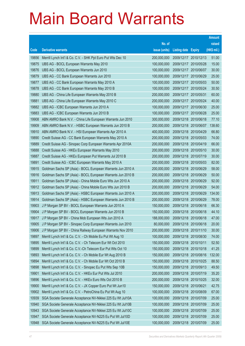|       |                                                              |               |                            |                       | <b>Amount</b> |
|-------|--------------------------------------------------------------|---------------|----------------------------|-----------------------|---------------|
|       |                                                              | No. of        |                            |                       | raised        |
| Code  | <b>Derivative warrants</b>                                   | issue (units) | <b>Listing date Expiry</b> |                       | (HK\$ mil.)   |
| 19856 | Merrill Lynch Int'l & Co. C.V. - SHK Ppt Euro Put Wts Dec 10 | 200,000,000   |                            | 2009/12/17 2010/12/13 | 51.00         |
| 19875 | UBS AG - BOCL European Warrants May 2010                     | 100,000,000   | 2009/12/17 2010/05/28      |                       | 15.00         |
| 19876 | UBS AG - BOCL European Warrants Jun 2010                     | 100,000,000   |                            | 2009/12/17 2010/06/07 | 30.00         |
| 19879 | UBS AG - CC Bank European Warrants Jun 2010                  | 100,000,000   | 2009/12/17 2010/06/29      |                       | 25.00         |
| 19877 | UBS AG - CC Bank European Warrants May 2010 A                | 100,000,000   |                            | 2009/12/17 2010/05/03 | 50.00         |
| 19878 | UBS AG - CC Bank European Warrants May 2010 B                | 100,000,000   |                            | 2009/12/17 2010/05/24 | 30.50         |
| 19880 | UBS AG - China Life European Warrants May 2010 B             | 200,000,000   | 2009/12/17 2010/05/31      |                       | 60.00         |
| 19881 | UBS AG - China Life European Warrants May 2010 C             | 200,000,000   | 2009/12/17 2010/05/24      |                       | 40.00         |
| 19882 | UBS AG - ICBC European Warrants Jun 2010 A                   | 100,000,000   |                            | 2009/12/17 2010/06/30 | 25.00         |
| 19883 | UBS AG - ICBC European Warrants Jun 2010 B                   | 100,000,000   |                            | 2009/12/17 2010/06/28 | 25.00         |
| 19908 | ABN AMRO Bank N.V. - China Life European Warrants Jun 2010   | 300,000,000   |                            | 2009/12/18 2010/06/18 | 77.10         |
| 19909 | ABN AMRO Bank N.V. - HSBC European Warrants Jun 2010 B       | 200,000,000   |                            | 2009/12/18 2010/06/07 | 138.60        |
| 19910 | ABN AMRO Bank N.V. - HSI European Warrants Apr 2010 A        | 400,000,000   | 2009/12/18 2010/04/29      |                       | 66.80         |
| 19890 | Credit Suisse AG - CC Bank European Warrants May 2010 A      | 200,000,000   |                            | 2009/12/18 2010/05/03 | 74.00         |
| 19889 | Credit Suisse AG - Sinopec Corp European Warrants Apr 2010A  | 200,000,000   | 2009/12/18 2010/04/19      |                       | 66.00         |
| 19888 | Credit Suisse AG - HKEx European Warrants May 2010           | 200,000,000   |                            | 2009/12/18 2010/05/10 | 30.00         |
| 19887 | Credit Suisse AG - HKEx European Put Warrants Jul 2010 B     | 200,000,000   | 2009/12/18 2010/07/19      |                       | 30.00         |
| 19891 | Credit Suisse AG - ICBC European Warrants May 2010 A         | 200,000,000   |                            | 2009/12/18 2010/05/03 | 82.00         |
| 19915 | Goldman Sachs SP (Asia) - BOCL European Warrants Jun 2010 A  | 200,000,000   |                            | 2009/12/18 2010/06/29 | 58.00         |
| 19916 | Goldman Sachs SP (Asia) - BOCL European Warrants Jun 2010 B  | 200,000,000   | 2009/12/18 2010/06/29      |                       | 50.00         |
| 19911 | Goldman Sachs SP (Asia) - China Mobile Euro Wts Jun 2010 A   | 200,000,000   |                            | 2009/12/18 2010/06/29 | 92.00         |
| 19912 | Goldman Sachs SP (Asia) - China Mobile Euro Wts Jun 2010 B   | 200,000,000   |                            | 2009/12/18 2010/06/29 | 54.00         |
| 19913 | Goldman Sachs SP (Asia) - HSBC European Warrants Jun 2010 A  | 200,000,000   | 2009/12/18 2010/06/29      |                       | 134.00        |
| 19914 | Goldman Sachs SP (Asia) - HSBC European Warrants Jun 2010 B  | 200,000,000   | 2009/12/18 2010/06/29      |                       | 78.00         |
| 19903 | J P Morgan SP BV - BOCL European Warrants Jun 2010 A         | 150,000,000   | 2009/12/18 2010/06/18      |                       | 66.30         |
| 19904 | J P Morgan SP BV - BOCL European Warrants Jun 2010 B         | 150,000,000   | 2009/12/18 2010/06/18      |                       | 44.10         |
| 19917 | J P Morgan SP BV - China Mob European Wts Jun 2010 A         | 188,000,000   | 2009/12/18 2010/06/18      |                       | 47.00         |
| 19905 | J P Morgan SP BV - Sinopec Corp European Warrants Jun 2010   | 80,000,000    | 2009/12/18 2010/06/18      |                       | 20.00         |
| 19906 | J P Morgan SP BV - China Railway European Warrants Nov 2010  | 200,000,000   |                            | 2009/12/18 2010/11/10 | 30.00         |
| 19897 | Merrill Lynch Int'l & Co. C.V. - Ch Mobile Eu Put Wt Aug 10  | 100,000,000   |                            | 2009/12/18 2010/08/30 | 74.00         |
| 19895 | Merrill Lynch Int'l & Co. C.V. - Ch Telecom Eur Wt Oct 2010  | 150,000,000   | 2009/12/18 2010/10/11      |                       | 52.50         |
| 19899 | Merrill Lynch Int'l & Co. C.V.-Ch Telecom Eur Put Wts Oct 10 | 150,000,000   | 2009/12/18 2010/10/18      |                       | 41.25         |
| 19893 | Merrill Lynch Int'l & Co. C.V. - Ch Mobile Eur Wt Aug 2010 B | 150,000,000   |                            | 2009/12/18 2010/08/16 | 132.00        |
| 19894 | Merrill Lynch Int'l & Co. C.V. - Ch Mobile Eur Wt Oct 2010 B | 150,000,000   | 2009/12/18 2010/10/25      |                       | 88.50         |
| 19898 | Merrill Lynch Int'l & Co. C.V. - Sinopec Eu Put Wts Sep 10B  | 150,000,000   |                            | 2009/12/18 2010/09/13 | 49.50         |
| 19901 | Merrill Lynch Int'l & Co. C.V. - HKEx Eur Put Wts Jul 2010   | 200,000,000   |                            | 2009/12/18 2010/07/19 | 35.20         |
| 19896 | Merrill Lynch Int'l & Co. C.V. - HKEx Euro Wts Oct 2010 B    | 200,000,000   | 2009/12/18 2010/10/25      |                       | 32.00         |
| 19900 | Merrill Lynch Int'l & Co. C.V. - JX Copper Euro Put Wt Jun10 | 150,000,000   | 2009/12/18 2010/06/21      |                       | 42.75         |
| 19902 | Merrill Lynch Int'l & Co. C.V. - PetroChina Eu Put Wt Aug 10 | 100,000,000   | 2009/12/18 2010/08/09      |                       | 67.00         |
| 10939 | SGA Societe Generale Acceptance NV-Nikkei 225 Eu Wt Jul10A   | 100,000,000   | 2009/12/18 2010/07/09      |                       | 25.00         |
| 10940 | SGA Societe Generale Acceptance NV-Nikkei 225 Eu Wt Jul10B   | 100,000,000   | 2009/12/18 2010/07/09      |                       | 25.00         |
| 10943 | SGA Societe Generale Acceptance NV-Nikkei 225 Eu Wt Jul10C   | 100,000,000   | 2009/12/18 2010/07/09      |                       | 25.00         |
| 10947 | SGA Societe Generale Acceptance NV-N225 Eu Put Wt Jul10D     | 100,000,000   | 2009/12/18 2010/07/09      |                       | 25.00         |
| 10948 | SGA Societe Generale Acceptance NV-N225 Eu Put Wt Jul10E     | 100,000,000   | 2009/12/18 2010/07/09      |                       | 25.00         |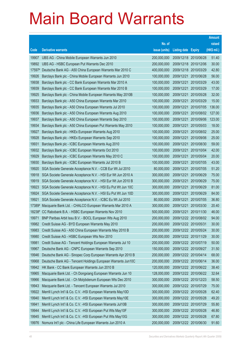|        |                                                               | No. of        |                       |               | raised      |
|--------|---------------------------------------------------------------|---------------|-----------------------|---------------|-------------|
| Code   | <b>Derivative warrants</b>                                    | issue (units) | <b>Listing date</b>   | <b>Expiry</b> | (HK\$ mil.) |
| 19907  | UBS AG - China Mobile European Warrants Jun 2010              | 200,000,000   | 2009/12/18            | 2010/06/28    | 51.40       |
| 19892  | UBS AG - HSBC European Put Warrants Dec 2010                  | 200,000,000   | 2009/12/18            | 2010/12/06    | 30.00       |
| 17597# | Deutsche Bank AG - A50 China European Warrants Mar 2010 C     | 400,000,000   | 2009/12/18            | 2010/03/29    | 42.80       |
| 19926  | Barclays Bank plc - China Mobile European Warrants Jun 2010   | 100,000,000   | 2009/12/21            | 2010/06/28    | 56.00       |
| 19938  | Barclays Bank plc - CC Bank European Warrants Mar 2010 A      | 100,000,000   | 2009/12/21            | 2010/03/29    | 43.00       |
| 19939  | Barclays Bank plc - CC Bank European Warrants Mar 2010 B      | 100,000,000   | 2009/12/21            | 2010/03/29    | 17.00       |
| 19925  | Barclays Bank plc - China Mobile European Warrants May 2010B  | 100,000,000   | 2009/12/21            | 2010/05/28    | 32.00       |
| 19933  | Barclays Bank plc - A50 China European Warrants Mar 2010      | 100,000,000   | 2009/12/21            | 2010/03/29    | 15.00       |
| 19935  | Barclays Bank plc - A50 China European Warrants Jul 2010      | 100,000,000   | 2009/12/21            | 2010/07/05    | 136.00      |
| 19936  | Barclays Bank plc - A50 China European Warrants Aug 2010      | 100,000,000   | 2009/12/21            | 2010/08/02    | 127.00      |
| 19937  | Barclays Bank plc - A50 China European Warrants Sep 2010      | 100,000,000   | 2009/12/21            | 2010/09/06    | 123.00      |
| 19934  | Barclays Bank plc - A50 China European Put Warrants May 2010  | 100,000,000   | 2009/12/21            | 2010/05/03    | 18.00       |
| 19927  | Barclays Bank plc - HKEx European Warrants Aug 2010           | 100,000,000   | 2009/12/21            | 2010/08/02    | 25.00       |
| 19928  | Barclays Bank plc - HKEx European Warrants Sep 2010           | 100,000,000   | 2009/12/21            | 2010/09/06    | 25.00       |
| 19931  | Barclays Bank plc - ICBC European Warrants Aug 2010           | 100,000,000   | 2009/12/21            | 2010/08/30    | 59.00       |
| 19932  | Barclays Bank plc - ICBC European Warrants Oct 2010           | 100,000,000   | 2009/12/21            | 2010/10/04    | 42.00       |
| 19929  | Barclays Bank plc - ICBC European Warrants May 2010 C         | 100,000,000   | 2009/12/21            | 2010/05/04    | 20.00       |
| 19930  | Barclays Bank plc - ICBC European Warrants Jul 2010 B         | 100,000,000   | 2009/12/21            | 2010/07/05    | 43.00       |
| 19920  | SGA Societe Generale Acceptance N.V. - CCB Eur Wt Jul 2010    | 80,000,000    | 2009/12/21            | 2010/07/05    | 51.20       |
| 19918  | SGA Societe Generale Acceptance N.V. - HSI Eur Wt Jun 2010 A  | 300,000,000   | 2009/12/21            | 2010/06/29    | 75.00       |
| 19919  | SGA Societe Generale Acceptance N.V. - HSI Eur Wt Jun 2010 B  | 300,000,000   | 2009/12/21            | 2010/06/29    | 75.00       |
| 19923  | SGA Societe Generale Acceptance N.V. - HSI Eu Put Wt Jun 10C  | 300,000,000   | 2009/12/21            | 2010/06/29    | 81.00       |
| 19924  | SGA Societe Generale Acceptance N.V. - HSI Eu Put Wt Jun 10D  | 300,000,000   | 2009/12/21            | 2010/06/29    | 84.00       |
| 19921  | SGA Societe Generale Acceptance N.V. - ICBC Eu Wt Jul 2010    | 80,000,000    | 2009/12/21            | 2010/07/05    | 36.80       |
| 17389# | Macquarie Bank Ltd. - CHALCO European Warrants Mar 2010 A     | 300,000,000   | 2009/12/21            | 2010/03/30    | 20.40       |
|        | 18238# CC Rabobank B.A. - HSBC European Warrants Nov 2010     | 500,000,000   | 2009/12/21            | 2010/11/30    | 46.00       |
| 19971  | BNP Paribas Arbit Issu B.V. - BOCL European Wts Aug 2010      | 200,000,000   | 2009/12/22            | 2010/08/02    | 94.00       |
| 19982  | Credit Suisse AG - BYD European Warrants May 2010             | 200,000,000   | 2009/12/22 2010/05/31 |               | 30.00       |
| 19983  | Credit Suisse AG - A50 China European Warrants May 2010 B     | 200,000,000   | 2009/12/22 2010/05/24 |               | 30.00       |
| 19980  | Credit Suisse AG - HSBC European Wts Nov 2010                 | 200,000,000   | 2009/12/22 2010/11/29 |               | 30.00       |
| 19981  | Credit Suisse AG - Tencent Holdings European Warrants Jul 10  | 200,000,000   | 2009/12/22 2010/07/19 |               | 50.00       |
| 19967  | Deutsche Bank AG - CNPC European Warrants Sep 2010            | 150,000,000   | 2009/12/22 2010/09/27 |               | 31.50       |
| 19946  | Deutsche Bank AG - Sinopec Corp European Warrants Apr 2010 B  | 200,000,000   | 2009/12/22 2010/04/14 |               | 68.00       |
| 19968  | Deutsche Bank AG - Tencent Holdings European Warrants Jun10C  | 200,000,000   | 2009/12/22 2010/06/14 |               | 36.00       |
| 19942  | HK Bank - CC Bank European Warrants Jun 2010 B                | 120,000,000   | 2009/12/22 2010/06/22 |               | 38.40       |
| 19965  | Macquarie Bank Ltd. - Ch Dongxiang European Warrants Jun 10   | 128,000,000   | 2009/12/22 2010/06/22 |               | 32.64       |
| 19966  | Macquarie Bank Ltd. - Ch Molybdenum European Wts Dec 2010     | 300,000,000   | 2009/12/22 2010/12/23 |               | 58.50       |
| 19943  | Macquarie Bank Ltd. - Tencent European Warrants Jul 2010      | 300,000,000   | 2009/12/22 2010/07/29 |               | 75.00       |
| 19922  | Merrill Lynch Int'l & Co. C.V. - HSI European Warrants May10D | 300,000,000   | 2009/12/22 2010/05/28 |               | 62.40       |
| 19940  | Merrill Lynch Int'l & Co. C.V. - HSI European Warrants May10E | 300,000,000   | 2009/12/22 2010/05/28 |               | 49.20       |
| 19941  | Merrill Lynch Int'l & Co. C.V. - HSI European Warrants Jul10B | 300,000,000   | 2009/12/22 2010/07/29 |               | 55.80       |
| 19944  | Merrill Lynch Int'l & Co. C.V. - HSI European Put Wts May10F  | 300,000,000   | 2009/12/22 2010/05/28 |               | 46.80       |
| 19945  | Merrill Lynch Int'l & Co. C.V. - HSI European Put Wts May10G  | 300,000,000   | 2009/12/22 2010/05/28 |               | 67.80       |
| 19976  | Nomura Int'l plc - China Life European Warrants Jun 2010 A    | 200,000,000   | 2009/12/22 2010/06/30 |               | 91.60       |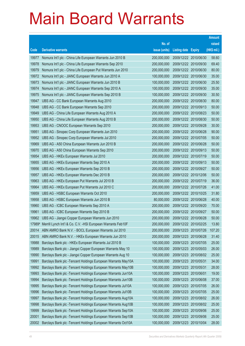|                |                                                                                                  | No. of                     |                            |                                                | raised         |  |
|----------------|--------------------------------------------------------------------------------------------------|----------------------------|----------------------------|------------------------------------------------|----------------|--|
| Code           | <b>Derivative warrants</b>                                                                       | issue (units)              | <b>Listing date Expiry</b> |                                                | (HK\$ mil.)    |  |
| 19977          | Nomura Int'l plc - China Life European Warrants Jun 2010 B                                       | 200,000,000                |                            | 2009/12/22 2010/06/30                          | 58.60          |  |
| 19978          | Nomura Int'l plc - China Life European Warrants Sep 2010                                         | 200,000,000                |                            | 2009/12/22 2010/09/30                          | 69.40          |  |
| 19979          | Nomura Int'l plc - China Life European Put Warrants Jun 2010                                     | 200,000,000                |                            | 2009/12/22 2010/06/30                          | 80.00          |  |
| 19972          | Nomura Int'l plc - JIANC European Warrants Jun 2010 A                                            | 100,000,000                |                            | 2009/12/22 2010/06/30                          | 35.00          |  |
| 19973          | Nomura Int'l plc - JIANC European Warrants Jun 2010 B                                            | 100,000,000                |                            | 2009/12/22 2010/06/30                          | 25.50          |  |
| 19974          | Nomura Int'l plc - JIANC European Warrants Sep 2010 A                                            | 100,000,000                |                            | 2009/12/22 2010/09/30                          | 35.00          |  |
| 19975          | Nomura Int'l plc - JIANC European Warrants Sep 2010 B                                            | 100,000,000                |                            | 2009/12/22 2010/09/30                          | 30.50          |  |
| 19947          | UBS AG - CC Bank European Warrants Aug 2010                                                      | 200,000,000                |                            | 2009/12/22 2010/08/30                          | 80.00          |  |
| 19948          | UBS AG - CC Bank European Warrants Sep 2010                                                      | 200,000,000                |                            | 2009/12/22 2010/09/13                          | 50.00          |  |
| 19949          | UBS AG - China Life European Warrants Aug 2010 A                                                 | 200,000,000                |                            | 2009/12/22 2010/08/23                          | 50.00          |  |
| 19950          | UBS AG - China Life European Warrants Aug 2010 B                                                 | 200,000,000                |                            | 2009/12/22 2010/08/30                          | 50.00          |  |
| 19953          | UBS AG - CNOOC European Warrants Sep 2010                                                        | 200,000,000                |                            | 2009/12/22 2010/09/28                          | 30.00          |  |
| 19951          | UBS AG - Sinopec Corp European Warrants Jun 2010                                                 | 200,000,000                |                            | 2009/12/22 2010/06/28                          | 90.00          |  |
| 19952          | UBS AG - Sinopec Corp European Warrants Jul 2010                                                 | 200,000,000                |                            | 2009/12/22 2010/07/05                          | 50.00          |  |
| 19969          | UBS AG - A50 China European Warrants Jun 2010 B                                                  | 200,000,000                |                            | 2009/12/22 2010/06/28                          | 50.00          |  |
| 19970          | UBS AG - A50 China European Warrants Sep 2010                                                    | 200,000,000                |                            | 2009/12/22 2010/09/13                          | 50.00          |  |
| 19954          | UBS AG - HKEx European Warrants Jul 2010                                                         | 200,000,000                |                            | 2009/12/22 2010/07/19                          | 50.00          |  |
| 19955          | UBS AG - HKEx European Warrants Sep 2010 A                                                       | 200,000,000                |                            | 2009/12/22 2010/09/13                          | 50.00          |  |
| 19956          | UBS AG - HKEx European Warrants Sep 2010 B                                                       | 200,000,000                |                            | 2009/12/22 2010/09/27                          | 50.00          |  |
| 19957          | UBS AG - HKEx European Warrants Dec 2010 B                                                       | 200,000,000                |                            | 2009/12/22 2010/12/06                          | 50.00<br>36.00 |  |
| 19963<br>19964 | UBS AG - HKEx European Put Warrants Jul 2010 B<br>UBS AG - HKEx European Put Warrants Jul 2010 C | 200,000,000<br>200,000,000 |                            | 2009/12/22 2010/07/19<br>2009/12/22 2010/07/26 | 41.00          |  |
| 19959          | UBS AG - HSBC European Warrants Oct 2010                                                         | 200,000,000                |                            | 2009/12/22 2010/10/25                          | 31.80          |  |
| 19958          | UBS AG - HSBC European Warrants Jun 2010 B                                                       | 80,000,000                 |                            | 2009/12/22 2010/06/28                          | 40.00          |  |
| 19960          | UBS AG - ICBC European Warrants Sep 2010 A                                                       | 200,000,000                |                            | 2009/12/22 2010/09/20                          | 70.00          |  |
| 19961          | UBS AG - ICBC European Warrants Sep 2010 B                                                       | 200,000,000                |                            | 2009/12/22 2010/09/27                          | 50.00          |  |
| 19962          | UBS AG - Jiangxi Copper European Warrants Jun 2010                                               | 200,000,000                |                            | 2009/12/22 2010/06/28                          | 50.00          |  |
|                | 17989# Merrill Lynch Int'l & Co. C.V. - HSI European Warrants Feb10F                             | 200,000,000                |                            | 2009/12/22 2010/02/25                          | 13.80          |  |
| 20014          | ABN AMRO Bank N.V. - BOCL European Warrants Jul 2010                                             | 200,000,000                |                            | 2009/12/23 2010/07/26                          | 107.20         |  |
| 20015          | ABN AMRO Bank N.V. - HKEx European Warrants Jun 2010                                             | 200,000,000                |                            | 2009/12/23 2010/06/28                          | 31.40          |  |
| 19988          | Barclays Bank plc - HKEx European Warrants Jul 2010 B                                            | 100,000,000                | 2009/12/23                 | 2010/07/05                                     | 25.00          |  |
| 19989          | Barclays Bank plc - Jiangxi Copper European Warrants May 10                                      | 100,000,000                | 2009/12/23                 | 2010/05/03                                     | 26.00          |  |
| 19990          | Barclays Bank plc - Jiangxi Copper European Warrants Aug 10                                      | 100,000,000                | 2009/12/23                 | 2010/08/02                                     | 25.00          |  |
| 19991          | Barclays Bank plc - Tencent Holdings European Warrants May10A                                    | 100,000,000                | 2009/12/23                 | 2010/05/31                                     | 34.00          |  |
| 19992          | Barclays Bank plc - Tencent Holdings European Warrants May10B                                    | 100,000,000                | 2009/12/23                 | 2010/05/31                                     | 28.00          |  |
| 19993          | Barclays Bank plc - Tencent Holdings European Warrants Jun10A                                    | 100,000,000                | 2009/12/23                 | 2010/06/01                                     | 19.00          |  |
| 19994          | Barclays Bank plc - Tencent Holdings European Warrants Jun10B                                    | 100,000,000                | 2009/12/23                 | 2010/06/08                                     | 37.00          |  |
| 19995          | Barclays Bank plc - Tencent Holdings European Warrants Jul10A                                    | 100,000,000                | 2009/12/23                 | 2010/07/05                                     | 26.00          |  |
| 19996          | Barclays Bank plc - Tencent Holdings European Warrants Jul10B                                    | 100,000,000                | 2009/12/23                 | 2010/07/05                                     | 25.00          |  |
| 19997          | Barclays Bank plc - Tencent Holdings European Warrants Aug10A                                    | 100,000,000                | 2009/12/23                 | 2010/08/02                                     | 26.00          |  |
| 19998          | Barclays Bank plc - Tencent Holdings European Warrants Aug10B                                    | 100,000,000                | 2009/12/23                 | 2010/08/02                                     | 25.00          |  |
| 19999          | Barclays Bank plc - Tencent Holdings European Warrants Sep10A                                    | 100,000,000                | 2009/12/23                 | 2010/09/06                                     | 25.00          |  |
| 20001          | Barclays Bank plc - Tencent Holdings European Warrants Sep10B                                    | 100,000,000                | 2009/12/23                 | 2010/09/06                                     | 25.00          |  |
| 20002          | Barclays Bank plc - Tencent Holdings European Warrants Oct10A                                    | 100,000,000                |                            | 2009/12/23 2010/10/04                          | 28.00          |  |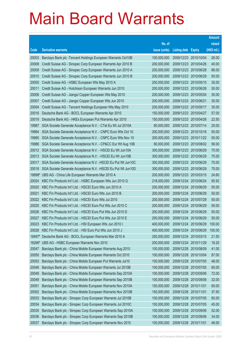|        |                                                               | No. of        |                            |                       | raised      |  |
|--------|---------------------------------------------------------------|---------------|----------------------------|-----------------------|-------------|--|
| Code   | <b>Derivative warrants</b>                                    | issue (units) | <b>Listing date Expiry</b> |                       | (HK\$ mil.) |  |
| 20003  | Barclays Bank plc - Tencent Holdings European Warrants Oct10B | 100,000,000   | 2009/12/23 2010/10/04      |                       | 26.00       |  |
| 20008  | Credit Suisse AG - Sinopec Corp European Warrants Apr 2010 B  | 200,000,000   | 2009/12/23 2010/04/26      |                       | 40.00       |  |
| 20009  | Credit Suisse AG - Sinopec Corp European Warrants Jun 2010 A  | 200,000,000   | 2009/12/23 2010/06/28      |                       | 86.00       |  |
| 20010  | Credit Suisse AG - Sinopec Corp European Warrants Jun 2010 B  | 200,000,000   | 2009/12/23 2010/06/29      |                       | 50.00       |  |
| 20005  | Credit Suisse AG - HSBC European Wts May 2010 A               | 200,000,000   |                            | 2009/12/23 2010/05/10 | 30.00       |  |
| 20011  | Credit Suisse AG - Hutchison European Warrants Jun 2010       | 200,000,000   | 2009/12/23 2010/06/28      |                       | 50.00       |  |
| 20006  | Credit Suisse AG - Jiangxi Copper European Wts May 2010       | 200,000,000   | 2009/12/23 2010/05/04      |                       | 30.00       |  |
| 20007  | Credit Suisse AG - Jiangxi Copper European Wts Jun 2010       | 200,000,000   | 2009/12/23 2010/06/21      |                       | 30.00       |  |
| 20004  | Credit Suisse AG - Tencent Holdings European Wts May 2010     | 200,000,000   | 2009/12/23 2010/05/17      |                       | 30.00       |  |
| 20016  | Deutsche Bank AG - BOCL European Warrants Apr 2010            | 150,000,000   |                            | 2009/12/23 2010/04/27 | 57.00       |  |
| 20019  | Deutsche Bank AG - HKEx European Put Warrants Apr 2010        | 150,000,000   | 2009/12/23 2010/04/26      |                       | 22.50       |  |
| 19987  | SGA Societe Generale Acceptance N.V. - CTel Eu Wt Jul 2010A   | 80,000,000    | 2009/12/23 2010/07/14      |                       | 20.00       |  |
| 19984  | SGA Societe Generale Acceptance N.V. - CNPC Euro Wts Oct 10   | 200,000,000   | 2009/12/23 2010/10/18      |                       | 50.00       |  |
| 19985  | SGA Societe Generale Acceptance N.V. - CNPC Euro Wts Nov 10   | 200,000,000   |                            | 2009/12/23 2010/11/22 | 50.00       |  |
| 19986  | SGA Societe Generale Acceptance N.V. - CP&CC Eur Wt Aug 10B   | 80,000,000    |                            | 2009/12/23 2010/08/02 | 56.00       |  |
| 20012  | SGA Societe Generale Acceptance N.V. - HSCEI Eu Wt Jun10A     | 300,000,000   |                            | 2009/12/23 2010/06/29 | 75.00       |  |
| 20013  | SGA Societe Generale Acceptance N.V. - HSCEI Eu Wt Jun10B     | 300,000,000   |                            | 2009/12/23 2010/06/29 | 75.00       |  |
| 20017  | SGA Societe Generale Acceptance N.V. - HSCEI Eu Put Wt Jun10C | 300,000,000   |                            | 2009/12/23 2010/06/29 | 75.00       |  |
| 20018  | SGA Societe Generale Acceptance N.V. - HSCEI Eu Put Wt Jun10D | 300,000,000   | 2009/12/23 2010/06/29      |                       | 75.00       |  |
| 18898# | UBS AG - China Life European Warrants Mar 2010 A              | 200,000,000   | 2009/12/23 2010/03/15      |                       | 24.60       |  |
| 20024  | KBC Fin Products Int'l Ltd. - HSBC European Wts Jun 2010 G    | 218,000,000   |                            | 2009/12/24 2010/06/24 | 95.92       |  |
| 20020  | KBC Fin Products Int'l Ltd. - HSCEI Euro Wts Jun 2010 A       | 200,000,000   |                            | 2009/12/24 2010/06/29 | 50.00       |  |
| 20021  | KBC Fin Products Int'l Ltd. - HSCEI Euro Wts Jun 2010 B       | 200,000,000   | 2009/12/24 2010/06/29      |                       | 50.00       |  |
| 20022  | KBC Fin Products Int'l Ltd. - HSCEI Euro Wts Jul 2010         | 200,000,000   | 2009/12/24 2010/07/29      |                       | 50.00       |  |
| 20025  | KBC Fin Products Int'l Ltd. - HSCEI Euro Put Wts Jun 2010 C   | 200,000,000   | 2009/12/24 2010/06/29      |                       | 50.00       |  |
| 20026  | KBC Fin Products Int'l Ltd. - HSCEI Euro Put Wts Jun 2010 D   | 200,000,000   | 2009/12/24 2010/06/29      |                       | 50.00       |  |
| 20027  | KBC Fin Products Int'l Ltd. - HSCEI Euro Put Wts Jun 2010 E   | 200,000,000   | 2009/12/24 2010/06/29      |                       | 50.00       |  |
| 20023  | KBC Fin Products Int'l Ltd. - HSI European Wts Jun 2010 I     | 400,000,000   | 2009/12/24 2010/06/29      |                       | 100.00      |  |
| 20028  | KBC Fin Products Int'l Ltd. - HSI Euro Put Wts Jun 2010 J     | 400,000,000   | 2009/12/24                 | 2010/06/29            | 100.00      |  |
| 18497# | Deutsche Bank AG - BOCL European Warrants Mar 2010 A          | 250,000,000   | 2009/12/24                 | 2010/03/15            | 21.50       |  |
| 18266# | UBS AG - HSBC European Warrants Nov 2010                      | 200,000,000   | 2009/12/24                 | 2010/11/29            | 18.20       |  |
| 20047  | Barclays Bank plc - China Mobile European Warrants Aug 2010   | 100,000,000   | 2009/12/28                 | 2010/08/09            | 41.00       |  |
| 20050  | Barclays Bank plc - China Mobile European Warrants Oct 2010   | 100,000,000   | 2009/12/28                 | 2010/10/04            | 87.00       |  |
| 20053  | Barclays Bank plc - China Mobile European Put Warrants Jul10  | 100,000,000   | 2009/12/28                 | 2010/07/05            | 48.00       |  |
| 20046  | Barclays Bank plc - China Mobile European Warrants Jul 2010B  | 100,000,000   | 2009/12/28 2010/07/05      |                       | 65.00       |  |
| 20048  | Barclays Bank plc - China Mobile European Warrants Sep 2010A  | 100,000,000   | 2009/12/28                 | 2010/09/06            | 72.00       |  |
| 20049  | Barclays Bank plc - China Mobile European Warrants Sep 2010B  | 100,000,000   | 2009/12/28 2010/09/06      |                       | 32.00       |  |
| 20051  | Barclays Bank plc - China Mobile European Warrants Nov 2010A  | 150,000,000   | 2009/12/28                 | 2010/11/01            | 60.00       |  |
| 20052  | Barclays Bank plc - China Mobile European Warrants Nov 2010B  | 150,000,000   | 2009/12/28 2010/11/01      |                       | 37.50       |  |
| 20033  | Barclays Bank plc - Sinopec Corp European Warrants Jul 2010B  | 100,000,000   | 2009/12/28 2010/07/05      |                       | 60.00       |  |
| 20034  | Barclays Bank plc - Sinopec Corp European Warrants Jul 2010C  | 150,000,000   | 2009/12/28                 | 2010/07/05            | 45.00       |  |
| 20035  | Barclays Bank plc - Sinopec Corp European Warrants Sep 2010A  | 100,000,000   | 2009/12/28                 | 2010/09/06            | 52.00       |  |
| 20036  | Barclays Bank plc - Sinopec Corp European Warrants Sep 2010B  | 100,000,000   | 2009/12/28                 | 2010/09/06            | 34.00       |  |
| 20037  | Barclays Bank plc - Sinopec Corp European Warrants Nov 2010   | 100,000,000   | 2009/12/28 2010/11/01      |                       | 46.00       |  |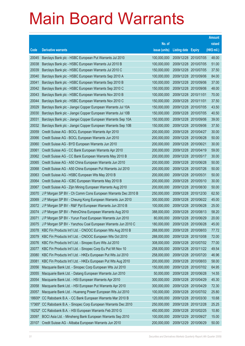|                |                                                                                                                        | No. of                     |                            |                                     | raised         |  |  |  |  |
|----------------|------------------------------------------------------------------------------------------------------------------------|----------------------------|----------------------------|-------------------------------------|----------------|--|--|--|--|
| Code           | <b>Derivative warrants</b>                                                                                             | issue (units)              | <b>Listing date Expiry</b> |                                     | (HK\$ mil.)    |  |  |  |  |
| 20045          | Barclays Bank plc - HSBC European Put Warrants Jul 2010                                                                | 100,000,000                | 2009/12/28 2010/07/05      |                                     | 48.00          |  |  |  |  |
| 20038          | Barclays Bank plc - HSBC European Warrants Jul 2010 B                                                                  | 100,000,000                |                            | 2009/12/28 2010/07/05               | 51.00          |  |  |  |  |
| 20039          | Barclays Bank plc - HSBC European Warrants Jul 2010 C                                                                  | 150,000,000                | 2009/12/28 2010/07/05      |                                     | 37.50          |  |  |  |  |
| 20040          | Barclays Bank plc - HSBC European Warrants Sep 2010 A                                                                  | 100,000,000                | 2009/12/28 2010/09/06      |                                     | 84.00          |  |  |  |  |
| 20041          | Barclays Bank plc - HSBC European Warrants Sep 2010 B                                                                  | 100,000,000                |                            | 2009/12/28 2010/09/06               | 37.00          |  |  |  |  |
| 20042          | Barclays Bank plc - HSBC European Warrants Sep 2010 C                                                                  | 150,000,000                |                            | 2009/12/28 2010/09/06               | 48.00          |  |  |  |  |
| 20043          | Barclays Bank plc - HSBC European Warrants Nov 2010 B                                                                  | 100,000,000                | 2009/12/28 2010/11/01      |                                     | 70.00          |  |  |  |  |
| 20044          | Barclays Bank plc - HSBC European Warrants Nov 2010 C                                                                  | 150,000,000                | 2009/12/28 2010/11/01      |                                     | 37.50          |  |  |  |  |
| 20029          | Barclays Bank plc - Jiangxi Copper European Warrants Jul 10A                                                           | 150,000,000                |                            | 2009/12/28 2010/07/05               | 43.50          |  |  |  |  |
| 20030          | Barclays Bank plc - Jiangxi Copper European Warrants Jul 10B                                                           | 150,000,000                |                            | 2009/12/28 2010/07/05               | 40.50          |  |  |  |  |
| 20031          | Barclays Bank plc - Jiangxi Copper European Warrants Sep 10A                                                           | 150,000,000                | 2009/12/28                 | 2010/09/06                          | 39.00          |  |  |  |  |
| 20032          | Barclays Bank plc - Jiangxi Copper European Warrants Sep 10B                                                           | 150,000,000                | 2009/12/28 2010/09/06      |                                     | 37.50          |  |  |  |  |
| 20059          | Credit Suisse AG - BOCL European Warrants Apr 2010                                                                     | 200,000,000                |                            | 2009/12/28 2010/04/27               | 30.00          |  |  |  |  |
| 20066          | Credit Suisse AG - BOCL European Warrants Jun 2010                                                                     | 200,000,000                |                            | 2009/12/28 2010/06/28               | 50.00          |  |  |  |  |
| 20060          | Credit Suisse AG - BYD European Warrants Jun 2010                                                                      | 200,000,000                | 2009/12/28 2010/06/21      |                                     | 30.00          |  |  |  |  |
| 20061          | Credit Suisse AG - CC Bank European Warrants Apr 2010                                                                  | 200,000,000                |                            | 2009/12/28 2010/04/19               | 59.00          |  |  |  |  |
| 20062          | Credit Suisse AG - CC Bank European Warrants May 2010 B                                                                | 200,000,000<br>200,000,000 |                            | 2009/12/28 2010/05/17               | 30.00<br>50.00 |  |  |  |  |
| 20065<br>20068 | Credit Suisse AG - A50 China European Warrants Jun 2010<br>Credit Suisse AG - A50 China European Put Warrants Jul 2010 | 200,000,000                | 2009/12/28                 | 2009/12/28 2010/06/28<br>2010/07/26 | 50.00          |  |  |  |  |
| 20063          | Credit Suisse AG - HSBC European Wts May 2010 B                                                                        | 200,000,000                | 2009/12/28 2010/05/31      |                                     | 50.00          |  |  |  |  |
| 20064          | Credit Suisse AG - ICBC European Warrants May 2010 B                                                                   | 200,000,000                | 2009/12/28                 | 2010/05/10                          | 30.00          |  |  |  |  |
| 20067          | Credit Suisse AG - Zijin Mining European Warrants Aug 2010                                                             | 200,000,000                |                            | 2009/12/28 2010/08/30               | 50.00          |  |  |  |  |
| 20070          | J P Morgan SP BV - Ch Comm Cons European Warrants Dec 2010 B                                                           | 250,000,000                | 2009/12/28                 | 2010/12/30                          | 62.50          |  |  |  |  |
| 20069          | J P Morgan SP BV - Cheung Kong European Warrants Jun 2010                                                              | 300,000,000                |                            | 2009/12/28 2010/06/22               | 45.00          |  |  |  |  |
| 20072          | J P Morgan SP BV - R&F Ppt European Warrants Jun 2010 B                                                                | 100,000,000                |                            | 2009/12/28 2010/06/28               | 25.00          |  |  |  |  |
| 20074          | J P Morgan SP BV - PetroChina European Warrants Aug 2010                                                               | 388,000,000                | 2009/12/28 2010/08/13      |                                     | 58.20          |  |  |  |  |
| 20071          | J P Morgan SP BV - Yurun Food European Warrants Jun 2010                                                               | 80,000,000                 | 2009/12/28                 | 2010/06/29                          | 20.00          |  |  |  |  |
| 20075          | J P Morgan SP BV - Yanzhou Coal European Warrants Jun 2010 C                                                           | 180,000,000                | 2009/12/28 2010/06/28      |                                     | 45.00          |  |  |  |  |
| 20078          | KBC Fin Products Int'l Ltd. - CNOOC European Wts Aug 2010 B                                                            | 268,000,000                | 2009/12/28 2010/08/03      |                                     | 77.72          |  |  |  |  |
| 20079          | KBC Fin Products Int'l Ltd. - CNOOC European Wts Oct 2010                                                              | 288,000,000                | 2009/12/28 2010/10/08      |                                     | 72.00          |  |  |  |  |
| 20076          | KBC Fin Products Int'l Ltd. - Sinopec Euro Wts Jul 2010                                                                | 308,000,000                |                            | 2009/12/28 2010/07/02               | 77.00          |  |  |  |  |
| 20077          | KBC Fin Products Int'l Ltd. - Sinopec Corp Eu Put Wt Nov 10                                                            | 258,000,000                |                            | 2009/12/28 2010/11/22               | 49.54          |  |  |  |  |
| 20080          | KBC Fin Products Int'l Ltd. - HKEx European Put Wts Jul 2010                                                           | 258,000,000                |                            | 2009/12/28 2010/07/20               | 46.96          |  |  |  |  |
| 20081          | KBC Fin Products Int'l Ltd. - HKEx European Put Wts Aug 2010                                                           | 200,000,000                | 2009/12/28 2010/08/03      |                                     | 58.00          |  |  |  |  |
| 20056          | Macquarie Bank Ltd. - Sinopec Corp European Wts Jul 2010                                                               | 150,000,000                |                            | 2009/12/28 2010/07/02               | 64.95          |  |  |  |  |
| 20055          | Macquarie Bank Ltd. - Datang European Warrants Jun 2010                                                                | 50,000,000                 | 2009/12/28 2010/06/28      |                                     | 14.55          |  |  |  |  |
| 20054          | Macquarie Bank Ltd. - HSI European Warrants Apr 2010                                                                   | 300,000,000                | 2009/12/28 2010/04/29      |                                     | 45.30          |  |  |  |  |
| 20058          | Macquarie Bank Ltd. - HSI European Put Warrants Apr 2010                                                               | 300,000,000                | 2009/12/28 2010/04/29      |                                     | 72.30          |  |  |  |  |
| 20057          | Macquarie Bank Ltd. - Huaneng Power European Wts Jul 2010                                                              | 100,000,000                |                            | 2009/12/28 2010/07/02               | 25.80          |  |  |  |  |
| 18600#         | CC Rabobank B.A. - CC Bank European Warrants Mar 2010 B                                                                | 120,000,000                |                            | 2009/12/28 2010/03/30               | 10.68          |  |  |  |  |
| 17365#         | CC Rabobank B.A. - Sinopec Corp European Warrants Dec 2010                                                             | 250,000,000                | 2009/12/28                 | 2010/12/28                          | 25.25          |  |  |  |  |
| 18252#         | CC Rabobank B.A. - HSI European Warrants Feb 2010 G                                                                    | 450,000,000                |                            | 2009/12/28 2010/02/25               | 10.80          |  |  |  |  |
| 20097          | BOCI Asia Ltd. - Minsheng Bank European Warrants Sep 2010                                                              | 100,000,000                | 2009/12/29                 | 2010/09/27                          | 15.00          |  |  |  |  |
| 20107          | Credit Suisse AG - Alibaba European Warrants Jun 2010                                                                  | 200,000,000                | 2009/12/29 2010/06/29      |                                     | 50.00          |  |  |  |  |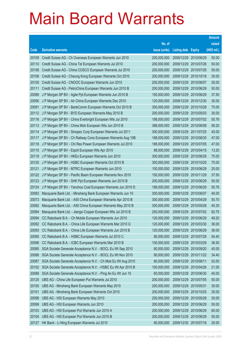| No. of<br>raised<br>(HK\$ mil.)<br><b>Derivative warrants</b><br>issue (units)<br>Code<br><b>Listing date Expiry</b><br>50.00<br>Credit Suisse AG - Ch Overseas European Warrants Jun 2010<br>200,000,000<br>2009/12/29 2010/06/29<br>20109<br>50.00<br>20110<br>Credit Suisse AG - China Tel European Warrants Jul 2010<br>200,000,000<br>2009/12/29 2010/07/26<br>50.00<br>20108<br>Credit Suisse AG - China COSCO European Warrants Jul 2010<br>200,000,000<br>2009/12/29<br>2010/07/26<br>200,000,000<br>2009/12/29<br>30.00<br>20106<br>Credit Suisse AG - Cheung Kong European Warrants Oct 2010<br>2010/10/18<br>200,000,000<br>30.00<br>20105<br>Credit Suisse AG - CNOOC European Warrants Jun 2010<br>2009/12/29<br>2010/06/07<br>50.00<br>20111<br>Credit Suisse AG - PetroChina European Warrants Jun 2010 B<br>200,000,000<br>2009/12/29 2010/06/29<br>20089<br>37.50<br>J P Morgan SP BV - Agile Ppt European Warrants Jun 2010 B<br>150,000,000<br>2009/12/29<br>2010/06/29<br>20090<br>2009/12/29 2010/12/30<br>30.00<br>J P Morgan SP BV - Air China European Warrants Dec 2010<br>120,000,000<br>300,000,000<br>75.00<br>20091<br>J P Morgan SP BV - BankComm European Warrants Oct 2010 B<br>2009/12/29<br>2010/10/28<br>30.00<br>20112<br>J P Morgan SP BV - BYD European Warrants May 2010 B<br>200,000,000<br>2009/12/29 2010/05/03<br>50.76<br>20116<br>J P Morgan SP BV - China Everbright European Wts Jul 2010<br>188,000,000<br>2009/12/29<br>2010/07/02<br>J P Morgan SP BV - China Mob European Wts Jun 2010 B<br>2009/12/29 2010/06/08<br>58.20<br>20113<br>388,000,000<br>300,000,000<br>45.00<br>20114<br>J P Morgan SP BV - Sinopec Corp European Warrants Jul 2011<br>2009/12/29<br>2011/07/25<br>47.00<br>20117<br>J P Morgan SP BV - Ch Railway Cons European Warrants Aug 10B<br>188,000,000<br>2009/12/29 2010/08/30<br>20118<br>J P Morgan SP BV - Chi Res Power European Warrants Jul 2010<br>188,000,000<br>2009/12/29<br>2010/07/05<br>47.00<br>J P Morgan SP BV - Esprit European Wts Apr 2010<br>2009/12/29 2010/04/15<br>13.20<br>20115<br>88,000,000<br>300,000,000<br>75.00<br>20119<br>J P Morgan SP BV - HKEx European Warrants Jun 2010<br>2009/12/29<br>2010/06/29<br>75.00<br>20120<br>J P Morgan SP BV - HSBC European Warrants Oct 2010 B<br>300,000,000<br>2009/12/29 2010/10/25<br>25.00<br>20121<br>J P Morgan SP BV - MTRC European Warrants Jun 2010<br>100,000,000<br>2009/12/29<br>2010/06/29<br>J P Morgan SP BV - Pacific Basin European Warrants Nov 2010<br>2009/12/29<br>37.50<br>20122<br>150,000,000<br>2010/11/29<br>200,000,000<br>50.00<br>20123<br>J P Morgan SP BV - SHK Ppt European Warrants Jun 2010 B<br>2009/12/29<br>2010/06/29<br>20124<br>50.76<br>J P Morgan SP BV - Yanzhou Coal European Warrants Jun 2010 D<br>188,000,000<br>2009/12/29<br>2010/06/29<br>20083 |
|------------------------------------------------------------------------------------------------------------------------------------------------------------------------------------------------------------------------------------------------------------------------------------------------------------------------------------------------------------------------------------------------------------------------------------------------------------------------------------------------------------------------------------------------------------------------------------------------------------------------------------------------------------------------------------------------------------------------------------------------------------------------------------------------------------------------------------------------------------------------------------------------------------------------------------------------------------------------------------------------------------------------------------------------------------------------------------------------------------------------------------------------------------------------------------------------------------------------------------------------------------------------------------------------------------------------------------------------------------------------------------------------------------------------------------------------------------------------------------------------------------------------------------------------------------------------------------------------------------------------------------------------------------------------------------------------------------------------------------------------------------------------------------------------------------------------------------------------------------------------------------------------------------------------------------------------------------------------------------------------------------------------------------------------------------------------------------------------------------------------------------------------------------------------------------------------------------------------------------------------------------------------------------------------------------------------------------------------------------------------------------------------------------------------------------------------------------------------------------------------------------------------------------------------------------------------------------------------------------------------------------------------------------------------------------------------------------------------------------------------------------------------------------------------------------------------------------------------------|
|                                                                                                                                                                                                                                                                                                                                                                                                                                                                                                                                                                                                                                                                                                                                                                                                                                                                                                                                                                                                                                                                                                                                                                                                                                                                                                                                                                                                                                                                                                                                                                                                                                                                                                                                                                                                                                                                                                                                                                                                                                                                                                                                                                                                                                                                                                                                                                                                                                                                                                                                                                                                                                                                                                                                                                                                                                                      |
|                                                                                                                                                                                                                                                                                                                                                                                                                                                                                                                                                                                                                                                                                                                                                                                                                                                                                                                                                                                                                                                                                                                                                                                                                                                                                                                                                                                                                                                                                                                                                                                                                                                                                                                                                                                                                                                                                                                                                                                                                                                                                                                                                                                                                                                                                                                                                                                                                                                                                                                                                                                                                                                                                                                                                                                                                                                      |
|                                                                                                                                                                                                                                                                                                                                                                                                                                                                                                                                                                                                                                                                                                                                                                                                                                                                                                                                                                                                                                                                                                                                                                                                                                                                                                                                                                                                                                                                                                                                                                                                                                                                                                                                                                                                                                                                                                                                                                                                                                                                                                                                                                                                                                                                                                                                                                                                                                                                                                                                                                                                                                                                                                                                                                                                                                                      |
|                                                                                                                                                                                                                                                                                                                                                                                                                                                                                                                                                                                                                                                                                                                                                                                                                                                                                                                                                                                                                                                                                                                                                                                                                                                                                                                                                                                                                                                                                                                                                                                                                                                                                                                                                                                                                                                                                                                                                                                                                                                                                                                                                                                                                                                                                                                                                                                                                                                                                                                                                                                                                                                                                                                                                                                                                                                      |
|                                                                                                                                                                                                                                                                                                                                                                                                                                                                                                                                                                                                                                                                                                                                                                                                                                                                                                                                                                                                                                                                                                                                                                                                                                                                                                                                                                                                                                                                                                                                                                                                                                                                                                                                                                                                                                                                                                                                                                                                                                                                                                                                                                                                                                                                                                                                                                                                                                                                                                                                                                                                                                                                                                                                                                                                                                                      |
|                                                                                                                                                                                                                                                                                                                                                                                                                                                                                                                                                                                                                                                                                                                                                                                                                                                                                                                                                                                                                                                                                                                                                                                                                                                                                                                                                                                                                                                                                                                                                                                                                                                                                                                                                                                                                                                                                                                                                                                                                                                                                                                                                                                                                                                                                                                                                                                                                                                                                                                                                                                                                                                                                                                                                                                                                                                      |
|                                                                                                                                                                                                                                                                                                                                                                                                                                                                                                                                                                                                                                                                                                                                                                                                                                                                                                                                                                                                                                                                                                                                                                                                                                                                                                                                                                                                                                                                                                                                                                                                                                                                                                                                                                                                                                                                                                                                                                                                                                                                                                                                                                                                                                                                                                                                                                                                                                                                                                                                                                                                                                                                                                                                                                                                                                                      |
|                                                                                                                                                                                                                                                                                                                                                                                                                                                                                                                                                                                                                                                                                                                                                                                                                                                                                                                                                                                                                                                                                                                                                                                                                                                                                                                                                                                                                                                                                                                                                                                                                                                                                                                                                                                                                                                                                                                                                                                                                                                                                                                                                                                                                                                                                                                                                                                                                                                                                                                                                                                                                                                                                                                                                                                                                                                      |
|                                                                                                                                                                                                                                                                                                                                                                                                                                                                                                                                                                                                                                                                                                                                                                                                                                                                                                                                                                                                                                                                                                                                                                                                                                                                                                                                                                                                                                                                                                                                                                                                                                                                                                                                                                                                                                                                                                                                                                                                                                                                                                                                                                                                                                                                                                                                                                                                                                                                                                                                                                                                                                                                                                                                                                                                                                                      |
|                                                                                                                                                                                                                                                                                                                                                                                                                                                                                                                                                                                                                                                                                                                                                                                                                                                                                                                                                                                                                                                                                                                                                                                                                                                                                                                                                                                                                                                                                                                                                                                                                                                                                                                                                                                                                                                                                                                                                                                                                                                                                                                                                                                                                                                                                                                                                                                                                                                                                                                                                                                                                                                                                                                                                                                                                                                      |
|                                                                                                                                                                                                                                                                                                                                                                                                                                                                                                                                                                                                                                                                                                                                                                                                                                                                                                                                                                                                                                                                                                                                                                                                                                                                                                                                                                                                                                                                                                                                                                                                                                                                                                                                                                                                                                                                                                                                                                                                                                                                                                                                                                                                                                                                                                                                                                                                                                                                                                                                                                                                                                                                                                                                                                                                                                                      |
|                                                                                                                                                                                                                                                                                                                                                                                                                                                                                                                                                                                                                                                                                                                                                                                                                                                                                                                                                                                                                                                                                                                                                                                                                                                                                                                                                                                                                                                                                                                                                                                                                                                                                                                                                                                                                                                                                                                                                                                                                                                                                                                                                                                                                                                                                                                                                                                                                                                                                                                                                                                                                                                                                                                                                                                                                                                      |
|                                                                                                                                                                                                                                                                                                                                                                                                                                                                                                                                                                                                                                                                                                                                                                                                                                                                                                                                                                                                                                                                                                                                                                                                                                                                                                                                                                                                                                                                                                                                                                                                                                                                                                                                                                                                                                                                                                                                                                                                                                                                                                                                                                                                                                                                                                                                                                                                                                                                                                                                                                                                                                                                                                                                                                                                                                                      |
|                                                                                                                                                                                                                                                                                                                                                                                                                                                                                                                                                                                                                                                                                                                                                                                                                                                                                                                                                                                                                                                                                                                                                                                                                                                                                                                                                                                                                                                                                                                                                                                                                                                                                                                                                                                                                                                                                                                                                                                                                                                                                                                                                                                                                                                                                                                                                                                                                                                                                                                                                                                                                                                                                                                                                                                                                                                      |
|                                                                                                                                                                                                                                                                                                                                                                                                                                                                                                                                                                                                                                                                                                                                                                                                                                                                                                                                                                                                                                                                                                                                                                                                                                                                                                                                                                                                                                                                                                                                                                                                                                                                                                                                                                                                                                                                                                                                                                                                                                                                                                                                                                                                                                                                                                                                                                                                                                                                                                                                                                                                                                                                                                                                                                                                                                                      |
|                                                                                                                                                                                                                                                                                                                                                                                                                                                                                                                                                                                                                                                                                                                                                                                                                                                                                                                                                                                                                                                                                                                                                                                                                                                                                                                                                                                                                                                                                                                                                                                                                                                                                                                                                                                                                                                                                                                                                                                                                                                                                                                                                                                                                                                                                                                                                                                                                                                                                                                                                                                                                                                                                                                                                                                                                                                      |
|                                                                                                                                                                                                                                                                                                                                                                                                                                                                                                                                                                                                                                                                                                                                                                                                                                                                                                                                                                                                                                                                                                                                                                                                                                                                                                                                                                                                                                                                                                                                                                                                                                                                                                                                                                                                                                                                                                                                                                                                                                                                                                                                                                                                                                                                                                                                                                                                                                                                                                                                                                                                                                                                                                                                                                                                                                                      |
|                                                                                                                                                                                                                                                                                                                                                                                                                                                                                                                                                                                                                                                                                                                                                                                                                                                                                                                                                                                                                                                                                                                                                                                                                                                                                                                                                                                                                                                                                                                                                                                                                                                                                                                                                                                                                                                                                                                                                                                                                                                                                                                                                                                                                                                                                                                                                                                                                                                                                                                                                                                                                                                                                                                                                                                                                                                      |
|                                                                                                                                                                                                                                                                                                                                                                                                                                                                                                                                                                                                                                                                                                                                                                                                                                                                                                                                                                                                                                                                                                                                                                                                                                                                                                                                                                                                                                                                                                                                                                                                                                                                                                                                                                                                                                                                                                                                                                                                                                                                                                                                                                                                                                                                                                                                                                                                                                                                                                                                                                                                                                                                                                                                                                                                                                                      |
|                                                                                                                                                                                                                                                                                                                                                                                                                                                                                                                                                                                                                                                                                                                                                                                                                                                                                                                                                                                                                                                                                                                                                                                                                                                                                                                                                                                                                                                                                                                                                                                                                                                                                                                                                                                                                                                                                                                                                                                                                                                                                                                                                                                                                                                                                                                                                                                                                                                                                                                                                                                                                                                                                                                                                                                                                                                      |
|                                                                                                                                                                                                                                                                                                                                                                                                                                                                                                                                                                                                                                                                                                                                                                                                                                                                                                                                                                                                                                                                                                                                                                                                                                                                                                                                                                                                                                                                                                                                                                                                                                                                                                                                                                                                                                                                                                                                                                                                                                                                                                                                                                                                                                                                                                                                                                                                                                                                                                                                                                                                                                                                                                                                                                                                                                                      |
|                                                                                                                                                                                                                                                                                                                                                                                                                                                                                                                                                                                                                                                                                                                                                                                                                                                                                                                                                                                                                                                                                                                                                                                                                                                                                                                                                                                                                                                                                                                                                                                                                                                                                                                                                                                                                                                                                                                                                                                                                                                                                                                                                                                                                                                                                                                                                                                                                                                                                                                                                                                                                                                                                                                                                                                                                                                      |
|                                                                                                                                                                                                                                                                                                                                                                                                                                                                                                                                                                                                                                                                                                                                                                                                                                                                                                                                                                                                                                                                                                                                                                                                                                                                                                                                                                                                                                                                                                                                                                                                                                                                                                                                                                                                                                                                                                                                                                                                                                                                                                                                                                                                                                                                                                                                                                                                                                                                                                                                                                                                                                                                                                                                                                                                                                                      |
|                                                                                                                                                                                                                                                                                                                                                                                                                                                                                                                                                                                                                                                                                                                                                                                                                                                                                                                                                                                                                                                                                                                                                                                                                                                                                                                                                                                                                                                                                                                                                                                                                                                                                                                                                                                                                                                                                                                                                                                                                                                                                                                                                                                                                                                                                                                                                                                                                                                                                                                                                                                                                                                                                                                                                                                                                                                      |
| 45.00<br>Macquarie Bank Ltd. - Minsheng Bank European Warrants Jun 10<br>300,000,000<br>2009/12/29<br>2010/06/07                                                                                                                                                                                                                                                                                                                                                                                                                                                                                                                                                                                                                                                                                                                                                                                                                                                                                                                                                                                                                                                                                                                                                                                                                                                                                                                                                                                                                                                                                                                                                                                                                                                                                                                                                                                                                                                                                                                                                                                                                                                                                                                                                                                                                                                                                                                                                                                                                                                                                                                                                                                                                                                                                                                                     |
| 20073<br>300,000,000<br>2009/12/29<br>50.70<br>Macquarie Bank Ltd. - A50 China European Warrants Apr 2010 B<br>2010/04/29                                                                                                                                                                                                                                                                                                                                                                                                                                                                                                                                                                                                                                                                                                                                                                                                                                                                                                                                                                                                                                                                                                                                                                                                                                                                                                                                                                                                                                                                                                                                                                                                                                                                                                                                                                                                                                                                                                                                                                                                                                                                                                                                                                                                                                                                                                                                                                                                                                                                                                                                                                                                                                                                                                                            |
| 45.30<br>20082<br>Macquarie Bank Ltd. - A50 China European Warrants May 2010 B<br>300,000,000<br>2009/12/29<br>2010/05/28<br>20084<br>Macquarie Bank Ltd. - Jiangxi Copper European Wts Jul 2010 B<br>62.75                                                                                                                                                                                                                                                                                                                                                                                                                                                                                                                                                                                                                                                                                                                                                                                                                                                                                                                                                                                                                                                                                                                                                                                                                                                                                                                                                                                                                                                                                                                                                                                                                                                                                                                                                                                                                                                                                                                                                                                                                                                                                                                                                                                                                                                                                                                                                                                                                                                                                                                                                                                                                                          |
| 250,000,000<br>2009/12/29<br>2010/07/02<br>CC Rabobank B.A. - Ch Mobile European Warrants Jun 2010<br>120,000,000<br>2009/12/29<br>20094<br>2010/06/29<br>49.20                                                                                                                                                                                                                                                                                                                                                                                                                                                                                                                                                                                                                                                                                                                                                                                                                                                                                                                                                                                                                                                                                                                                                                                                                                                                                                                                                                                                                                                                                                                                                                                                                                                                                                                                                                                                                                                                                                                                                                                                                                                                                                                                                                                                                                                                                                                                                                                                                                                                                                                                                                                                                                                                                      |
| CC Rabobank B.A. - China Life European Warrants Mar 2010 G<br>120,000,000<br>2009/12/29 2010/03/30<br>36.00<br>20092                                                                                                                                                                                                                                                                                                                                                                                                                                                                                                                                                                                                                                                                                                                                                                                                                                                                                                                                                                                                                                                                                                                                                                                                                                                                                                                                                                                                                                                                                                                                                                                                                                                                                                                                                                                                                                                                                                                                                                                                                                                                                                                                                                                                                                                                                                                                                                                                                                                                                                                                                                                                                                                                                                                                 |
| 20093<br>CC Rabobank B.A. - China Life European Warrants Jun 2010 B<br>120,000,000<br>2009/12/29<br>2010/06/29<br>36.00                                                                                                                                                                                                                                                                                                                                                                                                                                                                                                                                                                                                                                                                                                                                                                                                                                                                                                                                                                                                                                                                                                                                                                                                                                                                                                                                                                                                                                                                                                                                                                                                                                                                                                                                                                                                                                                                                                                                                                                                                                                                                                                                                                                                                                                                                                                                                                                                                                                                                                                                                                                                                                                                                                                              |
| 20095<br>CC Rabobank B.A. - HSBC European Warrants Jul 2010 C<br>80,000,000<br>54.40<br>2009/12/29<br>2010/07/29                                                                                                                                                                                                                                                                                                                                                                                                                                                                                                                                                                                                                                                                                                                                                                                                                                                                                                                                                                                                                                                                                                                                                                                                                                                                                                                                                                                                                                                                                                                                                                                                                                                                                                                                                                                                                                                                                                                                                                                                                                                                                                                                                                                                                                                                                                                                                                                                                                                                                                                                                                                                                                                                                                                                     |
| 100,000,000<br>36.50<br>20096<br>CC Rabobank B.A. - ICBC European Warrants Mar 2010 B<br>2009/12/29<br>2010/03/29                                                                                                                                                                                                                                                                                                                                                                                                                                                                                                                                                                                                                                                                                                                                                                                                                                                                                                                                                                                                                                                                                                                                                                                                                                                                                                                                                                                                                                                                                                                                                                                                                                                                                                                                                                                                                                                                                                                                                                                                                                                                                                                                                                                                                                                                                                                                                                                                                                                                                                                                                                                                                                                                                                                                    |
| SGA Societe Generale Acceptance N.V. - BOCL Eu Wt Sep 2010<br>80,000,000<br>20085<br>2009/12/29<br>2010/09/20<br>40.00                                                                                                                                                                                                                                                                                                                                                                                                                                                                                                                                                                                                                                                                                                                                                                                                                                                                                                                                                                                                                                                                                                                                                                                                                                                                                                                                                                                                                                                                                                                                                                                                                                                                                                                                                                                                                                                                                                                                                                                                                                                                                                                                                                                                                                                                                                                                                                                                                                                                                                                                                                                                                                                                                                                               |
| 34.40<br>20086<br>SGA Societe Generale Acceptance N.V. - BOCL Eu Wt Nov 2010<br>80,000,000<br>2009/12/29<br>2010/11/22                                                                                                                                                                                                                                                                                                                                                                                                                                                                                                                                                                                                                                                                                                                                                                                                                                                                                                                                                                                                                                                                                                                                                                                                                                                                                                                                                                                                                                                                                                                                                                                                                                                                                                                                                                                                                                                                                                                                                                                                                                                                                                                                                                                                                                                                                                                                                                                                                                                                                                                                                                                                                                                                                                                               |
| 20087<br>80,000,000<br>52.00<br>SGA Societe Generale Acceptance N.V. - Ch Mob Eu Wt Aug 2010<br>2009/12/29<br>2010/08/11                                                                                                                                                                                                                                                                                                                                                                                                                                                                                                                                                                                                                                                                                                                                                                                                                                                                                                                                                                                                                                                                                                                                                                                                                                                                                                                                                                                                                                                                                                                                                                                                                                                                                                                                                                                                                                                                                                                                                                                                                                                                                                                                                                                                                                                                                                                                                                                                                                                                                                                                                                                                                                                                                                                             |
| SGA Societe Generale Acceptance N.V. - HSBC Eu Wt Apr 2010 B<br>100,000,000<br>21.00<br>20102<br>2009/12/29<br>2010/04/26                                                                                                                                                                                                                                                                                                                                                                                                                                                                                                                                                                                                                                                                                                                                                                                                                                                                                                                                                                                                                                                                                                                                                                                                                                                                                                                                                                                                                                                                                                                                                                                                                                                                                                                                                                                                                                                                                                                                                                                                                                                                                                                                                                                                                                                                                                                                                                                                                                                                                                                                                                                                                                                                                                                            |
| 60,000,000<br>45.00<br>20088<br>SGA Societe Generale Acceptance N.V. - Ping An Eu Wt Jun 10<br>2009/12/29<br>2010/06/30                                                                                                                                                                                                                                                                                                                                                                                                                                                                                                                                                                                                                                                                                                                                                                                                                                                                                                                                                                                                                                                                                                                                                                                                                                                                                                                                                                                                                                                                                                                                                                                                                                                                                                                                                                                                                                                                                                                                                                                                                                                                                                                                                                                                                                                                                                                                                                                                                                                                                                                                                                                                                                                                                                                              |
| 200,000,000<br>20125<br>UBS AG - China Life European Put Warrants Jul 2010<br>2009/12/29<br>2010/07/05<br>50.00                                                                                                                                                                                                                                                                                                                                                                                                                                                                                                                                                                                                                                                                                                                                                                                                                                                                                                                                                                                                                                                                                                                                                                                                                                                                                                                                                                                                                                                                                                                                                                                                                                                                                                                                                                                                                                                                                                                                                                                                                                                                                                                                                                                                                                                                                                                                                                                                                                                                                                                                                                                                                                                                                                                                      |
| 20100<br>UBS AG - Minsheng Bank European Warrants May 2010<br>200,000,000<br>30.00<br>2009/12/29<br>2010/05/31                                                                                                                                                                                                                                                                                                                                                                                                                                                                                                                                                                                                                                                                                                                                                                                                                                                                                                                                                                                                                                                                                                                                                                                                                                                                                                                                                                                                                                                                                                                                                                                                                                                                                                                                                                                                                                                                                                                                                                                                                                                                                                                                                                                                                                                                                                                                                                                                                                                                                                                                                                                                                                                                                                                                       |
| 200,000,000<br>20101<br>UBS AG - Minsheng Bank European Warrants Oct 2010<br>2009/12/29<br>2010/10/25<br>30.00                                                                                                                                                                                                                                                                                                                                                                                                                                                                                                                                                                                                                                                                                                                                                                                                                                                                                                                                                                                                                                                                                                                                                                                                                                                                                                                                                                                                                                                                                                                                                                                                                                                                                                                                                                                                                                                                                                                                                                                                                                                                                                                                                                                                                                                                                                                                                                                                                                                                                                                                                                                                                                                                                                                                       |
| 20098<br>UBS AG - HSI European Warrants May 2010<br>200,000,000<br>2009/12/29<br>2010/05/28<br>30.00                                                                                                                                                                                                                                                                                                                                                                                                                                                                                                                                                                                                                                                                                                                                                                                                                                                                                                                                                                                                                                                                                                                                                                                                                                                                                                                                                                                                                                                                                                                                                                                                                                                                                                                                                                                                                                                                                                                                                                                                                                                                                                                                                                                                                                                                                                                                                                                                                                                                                                                                                                                                                                                                                                                                                 |
| 200,000,000<br>20099<br>UBS AG - HSI European Warrants Jun 2010<br>2009/12/29<br>50.00<br>2010/06/29                                                                                                                                                                                                                                                                                                                                                                                                                                                                                                                                                                                                                                                                                                                                                                                                                                                                                                                                                                                                                                                                                                                                                                                                                                                                                                                                                                                                                                                                                                                                                                                                                                                                                                                                                                                                                                                                                                                                                                                                                                                                                                                                                                                                                                                                                                                                                                                                                                                                                                                                                                                                                                                                                                                                                 |
| 20103<br>UBS AG - HSI European Put Warrants Jun 2010 A<br>200,000,000<br>2009/12/29<br>2010/06/29<br>60.00                                                                                                                                                                                                                                                                                                                                                                                                                                                                                                                                                                                                                                                                                                                                                                                                                                                                                                                                                                                                                                                                                                                                                                                                                                                                                                                                                                                                                                                                                                                                                                                                                                                                                                                                                                                                                                                                                                                                                                                                                                                                                                                                                                                                                                                                                                                                                                                                                                                                                                                                                                                                                                                                                                                                           |
| UBS AG - HSI European Put Warrants Jun 2010 B<br>200,000,000<br>50.00<br>20104<br>2009/12/29<br>2010/06/29                                                                                                                                                                                                                                                                                                                                                                                                                                                                                                                                                                                                                                                                                                                                                                                                                                                                                                                                                                                                                                                                                                                                                                                                                                                                                                                                                                                                                                                                                                                                                                                                                                                                                                                                                                                                                                                                                                                                                                                                                                                                                                                                                                                                                                                                                                                                                                                                                                                                                                                                                                                                                                                                                                                                           |
| HK Bank - Li Ning European Warrants Jul 2010<br>80,000,000<br>2009/12/30 2010/07/16<br>20.00<br>20127                                                                                                                                                                                                                                                                                                                                                                                                                                                                                                                                                                                                                                                                                                                                                                                                                                                                                                                                                                                                                                                                                                                                                                                                                                                                                                                                                                                                                                                                                                                                                                                                                                                                                                                                                                                                                                                                                                                                                                                                                                                                                                                                                                                                                                                                                                                                                                                                                                                                                                                                                                                                                                                                                                                                                |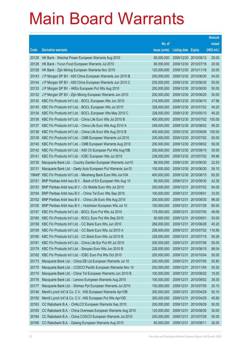|       |                                                                    |               |                            |                       | <b>Amount</b> |
|-------|--------------------------------------------------------------------|---------------|----------------------------|-----------------------|---------------|
|       |                                                                    | No. of        |                            |                       | raised        |
| Code  | <b>Derivative warrants</b>                                         | issue (units) | <b>Listing date Expiry</b> |                       | (HK\$ mil.)   |
| 20129 | HK Bank - Weichai Power European Warrants Aug 2010                 | 80,000,000    |                            | 2009/12/30 2010/08/12 | 20.00         |
| 20126 | HK Bank - Yurun Food European Warrants Jul 2010                    | 80,000,000    | 2009/12/30 2010/07/16      |                       | 20.00         |
| 20128 | HK Bank - Zijin Mining European Warrants Nov 2010                  | 120,000,000   | 2009/12/30 2010/11/18      |                       | 30.00         |
| 20143 | J P Morgan SP BV - A50 China European Warrants Jun 2010 B          | 200,000,000   |                            | 2009/12/30 2010/06/30 | 54.00         |
| 20144 | J P Morgan SP BV - A50 China European Warrants Jun 2010 C          | 200,000,000   |                            | 2009/12/30 2010/06/30 | 50.00         |
| 20133 | J P Morgan SP BV - HKEx European Put Wts Aug 2010                  | 200,000,000   |                            | 2009/12/30 2010/08/30 | 50.00         |
| 20132 | J P Morgan SP BV - Zijin Mining European Warrants Jun 2010         | 200,000,000   | 2009/12/30 2010/06/25      |                       | 30.00         |
| 20135 | KBC Fin Products Int'l Ltd. - BOCL European Wts Jun 2010           | 218,000,000   |                            | 2009/12/30 2010/06/10 | 47.96         |
| 20145 | KBC Fin Products Int'l Ltd. - BOCL European Wts Jul 2010           | 328,000,000   |                            | 2009/12/30 2010/07/02 | 49.20         |
| 20134 | KBC Fin Products Int'l Ltd. - BOCL European Wts May 2010 C         | 328,000,000   | 2009/12/30 2010/05/10      |                       | 49.20         |
| 20136 | KBC Fin Products Int'l Ltd. - China Life Euro Wts Jul 2010 B       | 400,000,000   |                            | 2009/12/30 2010/07/02 | 100.00        |
| 20137 | KBC Fin Products Int'l Ltd. - China Life Euro Wts Aug 2010 A       | 248,000,000   |                            | 2009/12/30 2010/08/02 | 99.20         |
| 20138 | KBC Fin Products Int'l Ltd. - China Life Euro Wts Aug 2010 B       | 400,000,000   |                            | 2009/12/30 2010/08/06 | 100.00        |
| 20139 | KBC Fin Products Int'l Ltd. - CMB European Warrants Jul 2010       | 200,000,000   |                            | 2009/12/30 2010/07/02 | 50.00         |
| 20140 | KBC Fin Products Int'l Ltd. - CMB European Warrants Aug 2010       | 200,000,000   |                            | 2009/12/30 2010/08/02 | 50.00         |
| 20142 | KBC Fin Products Int'l Ltd. - A50 Ch European Put Wts Aug10B       | 200,000,000   |                            | 2009/12/30 2010/08/10 | 50.00         |
| 20141 | KBC Fin Products Int'l Ltd. - ICBC European Wts Jul 2010           | 238,000,000   |                            | 2009/12/30 2010/07/02 | 99.96         |
| 20130 | Macquarie Bank Ltd. - Country Garden European Warrants Jun10       | 88,000,000    |                            | 2009/12/30 2010/06/30 | 22.53         |
| 20131 | Macquarie Bank Ltd. - Geely Auto European Put Warrants Jun10       | 100,000,000   | 2009/12/30                 | 2010/06/30            | 58.10         |
|       | 19648# KBC Fin Products Int'l Ltd. - Minsheng Bank Euro Wts Jun10A | 400,000,000   |                            | 2009/12/30 2010/06/15 | 65.20         |
| 20151 | BNP Paribas Arbit Issu B.V. - Bank of EA European Wts Aug 10       | 90,000,000    | 2009/12/31                 | 2010/08/30            | 42.30         |
| 20153 | BNP Paribas Arbit Issu B.V. - Ch Mobile Euro Wts Jul 2010          | 200,000,000   | 2009/12/31                 | 2010/07/02            | 64.00         |
| 20154 | BNP Paribas Arbit Issu B.V. - China Tel Euro Wts Sep 2010          | 100,000,000   | 2009/12/31                 | 2010/09/01            | 33.00         |
| 20152 | BNP Paribas Arbit Issu B.V. - China Life Euro Wts Aug 2010         | 200,000,000   | 2009/12/31                 | 2010/08/30            | 96.00         |
| 20155 | BNP Paribas Arbit Issu B.V. - Hutchison European Wts Jul 10        | 100,000,000   | 2009/12/31                 | 2010/07/28            | 60.00         |
| 20157 | KBC Fin Products Int'l Ltd. - BOCL Euro Put Wts Jul 2010           | 178,000,000   | 2009/12/31                 | 2010/07/05            | 48.06         |
| 20180 | KBC Fin Products Int'l Ltd. - BOCL Euro Put Wts Sep 2010           | 60,000,000    | 2009/12/31                 | 2010/09/01            | 93.00         |
| 20158 | KBC Fin Products Int'l Ltd. - CC Bank Euro Wts Jun 2010            | 268,000,000   | 2009/12/31                 | 2010/06/28            | 40.20         |
| 20159 | KBC Fin Products Int'l Ltd. - CC Bank Euro Wts Jul 2010 A          | 208,000,000   | 2009/12/31                 | 2010/07/02            | 118.56        |
| 20160 | KBC Fin Products Int'l Ltd. - CC Bank Euro Wts Jul 2010 B          | 228,000,000   | 2009/12/31                 | 2010/07/15            | 59.28         |
| 20161 | KBC Fin Products Int'l Ltd. - China Life Eur Put Wt Jul 2010       | 200,000,000   | 2009/12/31                 | 2010/07/08            | 50.00         |
| 20179 | KBC Fin Products Int'l Ltd. - Sinopec Euro Wts Jun 2010 B          | 228,000,000   | 2009/12/31                 | 2010/06/15            | 98.04         |
| 20162 | KBC Fin Products Int'l Ltd. - ICBC Euro Put Wts Oct 2010           | 200,000,000   | 2009/12/31                 | 2010/10/04            | 50.00         |
| 20173 | Macquarie Bank Ltd. - China EB Ltd European Warrants Jul 10        | 200,000,000   | 2009/12/31                 | 2010/07/05            | 50.80         |
| 20175 | Macquarie Bank Ltd. - COSCO Pacific European Warrants Nov 10       | 200,000,000   | 2009/12/31                 | 2010/11/04            | 50.20         |
| 20174 | Macquarie Bank Ltd. - China Tel European Warrants Jun 2010 B       | 100,000,000   | 2009/12/31                 | 2010/06/02            | 15.00         |
| 20176 | Macquarie Bank Ltd. - Lenovo European Warrants Aug 2010            | 100,000,000   | 2009/12/31                 | 2010/08/02            | 39.30         |
| 20177 | Macquarie Bank Ltd. - Shimao Ppt European Warrants Jul 2010        | 100,000,000   | 2009/12/31                 | 2010/07/05            | 25.10         |
| 20146 | Merrill Lynch Int'l & Co. C.V. - HSI European Warrants Apr10B      | 300,000,000   | 2009/12/31                 | 2010/04/29            | 50.10         |
| 20150 | Merrill Lynch Int'l & Co. C.V. - HSI European Put Wts Apr10D       | 300,000,000   | 2009/12/31                 | 2010/04/29            | 45.60         |
| 20163 | CC Rabobank B.A. - CHALCO European Warrants Sep 2010               | 200,000,000   | 2009/12/31                 | 2010/09/29            | 50.00         |
| 20165 | CC Rabobank B.A. - China Overseas European Warrants Aug 2010       | 120,000,000   | 2009/12/31                 | 2010/08/30            | 30.00         |
| 20164 | CC Rabobank B.A. - China COSCO European Warrants Jul 2010          | 200,000,000   | 2009/12/31                 | 2010/07/29            | 50.00         |
| 20166 | CC Rabobank B.A. - Datang European Warrants Aug 2010               | 60,000,000    | 2009/12/31                 | 2010/08/11            | 30.00         |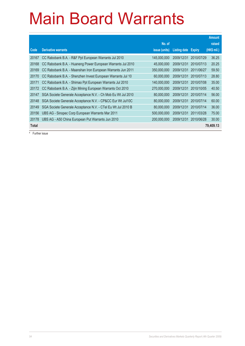|              |                                                              |               |                     |               | <b>Amount</b> |
|--------------|--------------------------------------------------------------|---------------|---------------------|---------------|---------------|
|              |                                                              | No. of        |                     |               | raised        |
| Code         | <b>Derivative warrants</b>                                   | issue (units) | <b>Listing date</b> | <b>Expiry</b> | (HK\$ mil.)   |
| 20167        | CC Rabobank B.A. - R&F Ppt European Warrants Jul 2010        | 145,000,000   | 2009/12/31          | 2010/07/29    | 36.25         |
| 20168        | CC Rabobank B.A. - Huaneng Power European Warrants Jul 2010  | 45,000,000    | 2009/12/31          | 2010/07/13    | 20.25         |
| 20169        | CC Rabobank B.A. - Maanshan Iron European Warrants Jun 2011  | 350,000,000   | 2009/12/31          | 2011/06/27    | 59.50         |
| 20170        | CC Rabobank B.A. - Shenzhen Invest European Warrants Jul 10  | 60,000,000    | 2009/12/31          | 2010/07/13    | 28.80         |
| 20171        | CC Rabobank B.A. - Shimao Ppt European Warrants Jul 2010     | 140,000,000   | 2009/12/31          | 2010/07/08    | 35.00         |
| 20172        | CC Rabobank B.A. - Zijin Mining European Warrants Oct 2010   | 270.000.000   | 2009/12/31          | 2010/10/05    | 40.50         |
| 20147        | SGA Societe Generale Acceptance N.V. - Ch Mob Eu Wt Jul 2010 | 80.000.000    | 2009/12/31          | 2010/07/14    | 56.00         |
| 20148        | SGA Societe Generale Acceptance N.V. - CP&CC Eur Wt Jul10C   | 80,000,000    | 2009/12/31          | 2010/07/14    | 60.00         |
| 20149        | SGA Societe Generale Acceptance N.V. - CTel Eu Wt Jul 2010 B | 80,000,000    | 2009/12/31          | 2010/07/14    | 36.00         |
| 20156        | UBS AG - Sinopec Corp European Warrants Mar 2011             | 500,000,000   | 2009/12/31          | 2011/03/28    | 75.00         |
| 20178        | UBS AG - A50 China European Put Warrants Jun 2010            | 200,000,000   | 2009/12/31          | 2010/06/28    | 30.00         |
| <b>Total</b> |                                                              |               |                     |               | 79,409.13     |

# Further issue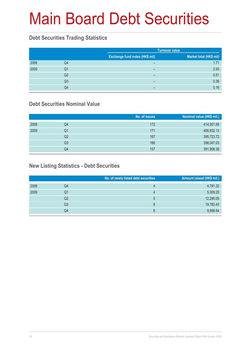# Main Board Debt Securities

### **Debt Securities Trading Statistics**

|      |    | <b>Turnover value</b>                 |                         |
|------|----|---------------------------------------|-------------------------|
|      |    | <b>Exchange fund notes (HK\$ mil)</b> | Market total (HK\$ mil) |
| 2008 | Q4 | -                                     | 1.71                    |
| 2009 | Q1 | $\overline{\phantom{0}}$              | 2.93                    |
|      | Q2 | -                                     | 0.51                    |
|      | Q3 | -                                     | 0.36                    |
|      | Q4 |                                       | 0.16                    |

### **Debt Securities Nominal Value**

|      |                | No. of issues | Nominal value (HK\$ mil.) |
|------|----------------|---------------|---------------------------|
| 2008 | Q4             | 172           | 414,001.69                |
| 2009 | Q1             | 171           | 406,932.13                |
|      | Q <sub>2</sub> | 167           | 395,723.72                |
|      | Q3             | 166           | 398,047.03                |
|      | Q4             | 157           | 391,908.38                |

### **New Listing Statistics - Debt Securities**

|      |    | No. of newly listed debt securities | Amount raised (HK\$ mil.) |
|------|----|-------------------------------------|---------------------------|
| 2008 | Q4 | 4                                   | 4,791.32                  |
| 2009 | Q1 | 4                                   | 5,309.25                  |
|      | Q2 | 5                                   | 12,295.05                 |
|      | Q3 | 8                                   | 19,782.43                 |
|      | Q4 | 6                                   | 9,996.64                  |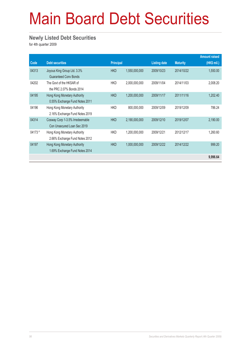# Main Board Debt Securities

#### **Newly Listed Debt Securities**

for 4th quarter 2009

|         |                                                                |                  |               |                     |                 | <b>Amount raised</b> |
|---------|----------------------------------------------------------------|------------------|---------------|---------------------|-----------------|----------------------|
| Code    | <b>Debt securities</b>                                         | <b>Principal</b> |               | <b>Listing date</b> | <b>Maturity</b> | (HK\$ mil.)          |
| 04313   | Joyous King Group Ltd. 3.3%<br><b>Guaranteed Cony Bonds</b>    | <b>HKD</b>       | 1,550,000,000 | 2009/10/23          | 2014/10/22      | 1,550.00             |
| 04202   | The Govt of the HKSAR of<br>the PRC 2.07% Bonds 2014           | <b>HKD</b>       | 2,000,000,000 | 2009/11/04          | 2014/11/03      | 2,008.20             |
| 04195   | Hong Kong Monetary Authority<br>0.55% Exchange Fund Notes 2011 | <b>HKD</b>       | 1,200,000,000 | 2009/11/17          | 2011/11/16      | 1,202.40             |
| 04196   | Hong Kong Monetary Authority<br>2.16% Exchange Fund Notes 2019 | <b>HKD</b>       | 800,000,000   | 2009/12/09          | 2019/12/09      | 786.24               |
| 04314   | Cosway Corp 1-3.5% Irredeemable<br>Con Unsecured Loan Sec 2019 | <b>HKD</b>       | 2,190,000,000 | 2009/12/10          | 2019/12/07      | 2,190.00             |
| 04173 # | Hong Kong Monetary Authority<br>2.66% Exchange Fund Notes 2012 | <b>HKD</b>       | 1,200,000,000 | 2009/12/21          | 2012/12/17      | 1,260.60             |
| 04197   | Hong Kong Monetary Authority<br>1.69% Exchange Fund Notes 2014 | <b>HKD</b>       | 1,000,000,000 | 2009/12/22          | 2014/12/22      | 999.20               |
|         |                                                                |                  |               |                     |                 | 9,996.64             |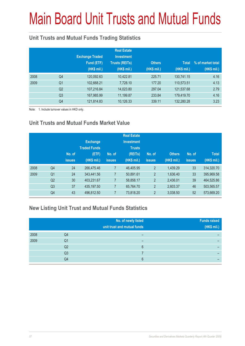# Main Board Unit Trusts and Mutual Funds

### **Unit Trusts and Mutual Funds Trading Statistics**

|      |                | <b>Exchange Traded</b><br>Fund (ETF)<br>(HK\$ mil.) | <b>Real Estate</b><br><b>Investment</b><br><b>Trusts (REITs)</b><br>(HK\$ mil.) | <b>Others</b><br>(HK\$ mil.) | <b>Total</b><br>(HK\$ mil.) | % of market total<br>(HK\$ mil.) |
|------|----------------|-----------------------------------------------------|---------------------------------------------------------------------------------|------------------------------|-----------------------------|----------------------------------|
| 2008 | Q4             | 120,092.63                                          | 10,422.81                                                                       | 225.71                       | 130,741.15                  | 4.16                             |
| 2009 | Q <sub>1</sub> | 102,668.21                                          | 7,728.10                                                                        | 177.20                       | 110,573.51                  | 4.13                             |
|      | Q <sub>2</sub> | 107,216.84                                          | 14,023.80                                                                       | 297.04                       | 121,537.68                  | 2.79                             |
|      | Q <sub>3</sub> | 167,985.99                                          | 11,199.87                                                                       | 233.84                       | 179,419.70                  | 4.16                             |
|      | Q4             | 121,814.83                                          | 10,126.33                                                                       | 339.11                       | 132,280.28                  | 3.23                             |

Note: 1. Include turnover values in HKD only.

### **Unit Trusts and Mutual Funds Market Value**

|      |                | No. of<br><b>issues</b> | <b>Exchange</b><br><b>Traded Funds</b><br>(ETF)<br>(HK\$ mil.) | No. of<br><b>issues</b> | <b>Real Estate</b><br><b>Investment</b><br><b>Trusts</b><br>(REITs)<br>(HK\$ mil.) | No. of<br><b>issues</b> | <b>Others</b><br>(HK\$ mil.) | No. of<br><b>issues</b> | <b>Total</b><br>(HK\$ mil.) |
|------|----------------|-------------------------|----------------------------------------------------------------|-------------------------|------------------------------------------------------------------------------------|-------------------------|------------------------------|-------------------------|-----------------------------|
| 2008 | Q <sub>4</sub> | 24                      | 266,475.46                                                     | 7                       | 46,405.95                                                                          | $\overline{2}$          | 1.439.29                     | 33                      | 314,320.70                  |
| 2009 | Q <sub>1</sub> | 24                      | 343,441.56                                                     | 7                       | 50,891.61                                                                          | $\overline{2}$          | 1,636.40                     | 33                      | 395,969.58                  |
|      | Q <sub>2</sub> | 30                      | 403,231.67                                                     | 7                       | 58,858.17                                                                          | $\overline{2}$          | 2,436.01                     | 39                      | 464,525.86                  |
|      | Q <sub>3</sub> | 37                      | 435,197.50                                                     | 7                       | 65.764.70                                                                          | $\overline{2}$          | 2,603.37                     | 46                      | 503,565.57                  |
|      | Q4             | 43                      | 496,812.50                                                     | 7                       | 73,818.20                                                                          | $\overline{2}$          | 3,038.50                     | 52                      | 573,669.20                  |

### **New Listing Unit Trust and Mutual Funds Statistics**

|      |                | No. of newly listed<br>unit trust and mutual funds | <b>Funds raised</b><br>(HK\$ mil.) |
|------|----------------|----------------------------------------------------|------------------------------------|
| 2008 | Q4             |                                                    |                                    |
| 2009 | Q1             |                                                    |                                    |
|      | Q2             | 6                                                  |                                    |
|      | Q3             |                                                    |                                    |
|      | Q <sub>4</sub> | ჩ                                                  |                                    |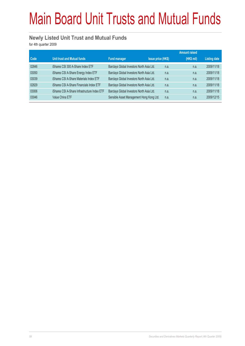# Main Board Unit Trusts and Mutual Funds

#### **Newly Listed Unit Trust and Mutual Funds**

for 4th quarter 2009

|       |                                              |                                           |                           | <b>Amount raised</b> |            |                     |
|-------|----------------------------------------------|-------------------------------------------|---------------------------|----------------------|------------|---------------------|
| Code  | Unit trust and Mutual funds                  | <b>Fund manager</b>                       | <b>Issue price (HK\$)</b> |                      | (HK\$ mil) | <b>Listing date</b> |
| 02846 | iShares CSI 300 A-Share Index ETF            | Barclays Global Investors North Asia Ltd. |                           | n.a.                 | n.a.       | 2009/11/18          |
| 03050 | iShares CSI A-Share Energy Index ETF         | Barclays Global Investors North Asia Ltd. |                           | n.a.                 | n.a.       | 2009/11/18          |
| 03039 | iShares CSI A-Share Materials Index ETF      | Barclays Global Investors North Asia Ltd. |                           | n.a.                 | n.a.       | 2009/11/18          |
| 02829 | iShares CSI A-Share Financials Index ETF     | Barclays Global Investors North Asia Ltd. |                           | n.a.                 | n.a.       | 2009/11/18          |
| 03006 | iShares CSI A-Share Infrastructure Index ETF | Barclays Global Investors North Asia Ltd. |                           | n.a.                 | n.a.       | 2009/11/18          |
| 03046 | <b>Value China ETF</b>                       | Sensible Asset Management Hong Kong Ltd.  |                           | n.a.                 | n.a.       | 2009/12/15          |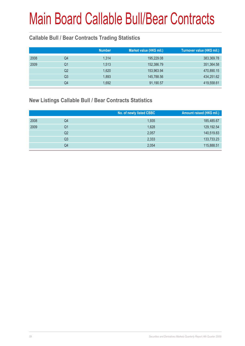### **Callable Bull / Bear Contracts Trading Statistics**

| 383,369.78 |
|------------|
| 351,364.58 |
| 470,890.15 |
| 434,251.62 |
| 419,558.61 |
|            |

#### **New Listings Callable Bull / Bear Contracts Statistics**

|      |                | No. of newly listed CBBC | Amount raised (HK\$ mil.) |
|------|----------------|--------------------------|---------------------------|
| 2008 | Q4             | 1,935                    | 185,485.67                |
| 2009 | Q1             | 1,628                    | 129,192.54                |
|      | Q <sub>2</sub> | 2,057                    | 140,519.83                |
|      | Q <sub>3</sub> | 2,333                    | 133,733.23                |
|      | Q4             | 2,054                    | 115,888.51                |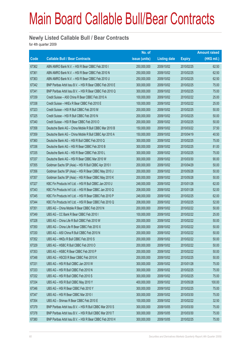#### **Newly Listed Callable Bull / Bear Contracts**

for 4th quarter 2009

|       |                                                          | No. of        |                     |               | <b>Amount raised</b> |
|-------|----------------------------------------------------------|---------------|---------------------|---------------|----------------------|
| Code  | <b>Callable Bull / Bear Contracts</b>                    | issue (units) | <b>Listing date</b> | <b>Expiry</b> | $(HK$$ mil.)         |
| 67362 | ABN AMRO Bank N.V. - HSI R Bear CBBC Feb 2010 I          | 250,000,000   | 2009/10/02          | 2010/02/25    | 62.50                |
| 67361 | ABN AMRO Bank N.V. - HSI R Bear CBBC Feb 2010 N          | 250,000,000   | 2009/10/02          | 2010/02/25    | 62.50                |
| 67363 | ABN AMRO Bank N.V. - HSI R Bear CBBC Feb 2010 U          | 250,000,000   | 2009/10/02          | 2010/02/25    | 62.50                |
| 67342 | BNP Paribas Arbit Issu B.V. - HSI R Bear CBBC Feb 2010 E | 300,000,000   | 2009/10/02          | 2010/02/25    | 75.00                |
| 67341 | BNP Paribas Arbit Issu B.V. - HSI R Bear CBBC Feb 2010 Q | 300,000,000   | 2009/10/02          | 2010/02/25    | 75.00                |
| 67339 | Credit Suisse - A50 China R Bear CBBC Feb 2010 A         | 100,000,000   | 2009/10/02          | 2010/02/22    | 25.00                |
| 67338 | Credit Suisse - HKEx R Bear CBBC Feb 2010 E              | 100,000,000   | 2009/10/02          | 2010/02/22    | 25.00                |
| 67323 | Credit Suisse - HSI R Bull CBBC Feb 2010 M               | 200,000,000   | 2009/10/02          | 2010/02/25    | 50.00                |
| 67325 | Credit Suisse - HSI R Bull CBBC Feb 2010 N               | 200,000,000   | 2009/10/02          | 2010/02/25    | 50.00                |
| 67340 | Credit Suisse - HSI R Bear CBBC Feb 2010 O               | 200,000,000   | 2009/10/02          | 2010/02/25    | 50.00                |
| 67358 | Deutsche Bank AG - China Mobile R Bull CBBC Mar 2010 B   | 150,000,000   | 2009/10/02          | 2010/03/22    | 37.50                |
| 67359 | Deutsche Bank AG - China Mobile R Bull CBBC Apr 2010 A   | 150,000,000   | 2009/10/02          | 2010/04/19    | 40.50                |
| 67360 | Deutsche Bank AG - HSI R Bull CBBC Feb 2010 Q            | 300,000,000   | 2009/10/02          | 2010/02/25    | 75.00                |
| 67336 | Deutsche Bank AG - HSI R Bear CBBC Feb 2010 B            | 300,000,000   | 2009/10/02          | 2010/02/25    | 81.00                |
| 67335 | Deutsche Bank AG - HSI R Bear CBBC Feb 2010 L            | 300,000,000   | 2009/10/02          | 2010/02/25    | 75.00                |
| 67337 | Deutsche Bank AG - HSI R Bear CBBC Mar 2010 W            | 300,000,000   | 2009/10/02          | 2010/03/30    | 90.00                |
| 67355 | Goldman Sachs SP (Asia) - HSI R Bull CBBC Apr 2010 I     | 200,000,000   | 2009/10/02          | 2010/04/29    | 50.00                |
| 67356 | Goldman Sachs SP (Asia) - HSI R Bear CBBC May 2010 J     | 200,000,000   | 2009/10/02          | 2010/05/28    | 50.00                |
| 67357 | Goldman Sachs SP (Asia) - HSI R Bear CBBC May 2010 K     | 200,000,000   | 2009/10/02          | 2010/05/28    | 50.00                |
| 67327 | KBC Fin Products Int'l Ltd. - HSI R Bull CBBC Jan 2010 U | 248,000,000   | 2009/10/02          | 2010/01/28    | 62.00                |
| 67343 | KBC Fin Products Int'l Ltd. - HSI R Bear CBBC Jan 2010 Q | 208,000,000   | 2009/10/02          | 2010/01/28    | 52.00                |
| 67345 | KBC Fin Products Int'l Ltd. - HSI R Bear CBBC Feb 2010 P | 248,000,000   | 2009/10/02          | 2010/02/25    | 62.00                |
| 67344 | KBC Fin Products Int'l Ltd. - HSI R Bear CBBC Feb 2010 Q | 208,000,000   | 2009/10/02          | 2010/02/25    | 52.00                |
| 67351 | UBS AG - China Mobile R Bear CBBC Feb 2010 N             | 200,000,000   | 2009/10/02          | 2010/02/22    | 50.00                |
| 67349 | UBS AG - CC Bank R Bear CBBC Feb 2010 I                  | 100,000,000   | 2009/10/02          | 2010/02/22    | 25.00                |
| 67328 | UBS AG - China Life R Bull CBBC Feb 2010 W               | 200,000,000   | 2009/10/02          | 2010/02/22    | 50.00                |
| 67350 | UBS AG - China Life R Bear CBBC Feb 2010 X               | 200,000,000   | 2009/10/02          | 2010/02/22    | 50.00                |
| 67330 | UBS AG - A50 China R Bull CBBC Feb 2010 N                | 200,000,000   | 2009/10/02          | 2010/02/22    | 50.00                |
| 67352 | UBS AG - HKEx R Bull CBBC Feb 2010 S                     | 200,000,000   | 2009/10/02          | 2010/02/22    | 50.00                |
| 67329 | UBS AG - HSBC R Bull CBBC Feb 2010 O                     | 200,000,000   | 2009/10/02          | 2010/02/22    | 50.00                |
| 67353 | UBS AG - HSBC R Bear CBBC Feb 2010 P                     | 200,000,000   | 2009/10/02          | 2010/02/22    | 50.00                |
| 67348 | UBS AG - HSCEI R Bear CBBC Feb 2010 K                    | 200,000,000   | 2009/10/02          | 2010/02/25    | 50.00                |
| 67331 | UBS AG - HSI R Bull CBBC Jan 2010 W                      | 300,000,000   | 2009/10/02          | 2010/01/28    | 75.00                |
| 67333 | UBS AG - HSI R Bull CBBC Feb 2010 N                      | 300,000,000   | 2009/10/02          | 2010/02/25    | 75.00                |
| 67332 | UBS AG - HSI R Bull CBBC Feb 2010 S                      | 300,000,000   | 2009/10/02          | 2010/02/25    | 75.00                |
| 67334 | UBS AG - HSI R Bull CBBC May 2010 Y                      | 400,000,000   | 2009/10/02          | 2010/05/28    | 100.00               |
| 67346 | UBS AG - HSI R Bear CBBC Feb 2010 Y                      | 300,000,000   | 2009/10/02          | 2010/02/25    | 75.00                |
| 67347 | UBS AG - HSI R Bear CBBC Mar 2010 I                      | 300,000,000   | 2009/10/02          | 2010/03/30    | 75.00                |
| 67354 | UBS AG - Shimao R Bear CBBC Feb 2010 E                   | 100,000,000   | 2009/10/02          | 2010/02/22    | 32.50                |
| 67379 | BNP Paribas Arbit Issu B.V. - HSI R Bull CBBC Mar 2010 S | 300,000,000   | 2009/10/05          | 2010/03/30    | 75.00                |
| 67378 | BNP Paribas Arbit Issu B.V. - HSI R Bull CBBC Mar 2010 T | 300,000,000   | 2009/10/05          | 2010/03/30    | 75.00                |
| 67380 | BNP Paribas Arbit Issu B.V. - HSI R Bear CBBC Feb 2010 H | 300,000,000   | 2009/10/05          | 2010/02/25    | 75.00                |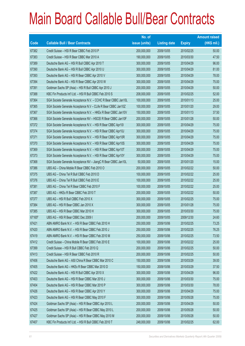|        |                                                                | No. of        |                     |               | <b>Amount raised</b> |
|--------|----------------------------------------------------------------|---------------|---------------------|---------------|----------------------|
| Code   | <b>Callable Bull / Bear Contracts</b>                          | issue (units) | <b>Listing date</b> | <b>Expiry</b> | $(HK$$ mil.)         |
| 67382  | Credit Suisse - HSI R Bear CBBC Feb 2010 P                     | 200,000,000   | 2009/10/05          | 2010/02/25    | 50.00                |
| 67383  | Credit Suisse - HSI R Bear CBBC Mar 2010 A                     | 190,000,000   | 2009/10/05          | 2010/03/30    | 47.50                |
| 67389  | Deutsche Bank AG - HSI R Bull CBBC Apr 2010 T                  | 300,000,000   | 2009/10/05          | 2010/04/29    | 96.00                |
| 67390  | Deutsche Bank AG - HSI R Bull CBBC Apr 2010 U                  | 300,000,000   | 2009/10/05          | 2010/04/29    | 81.00                |
| 67393  | Deutsche Bank AG - HSI R Bear CBBC Apr 2010 V                  | 300,000,000   | 2009/10/05          | 2010/04/29    | 78.00                |
| 67394  | Deutsche Bank AG - HSI R Bear CBBC Apr 2010 W                  | 300,000,000   | 2009/10/05          | 2010/04/29    | 75.00                |
| 67391  | Goldman Sachs SP (Asia) - HSI R Bull CBBC Apr 2010 J           | 200,000,000   | 2009/10/05          | 2010/04/29    | 50.00                |
| 67388  | KBC Fin Products Int'l Ltd. - HSI R Bull CBBC Feb 2010 S       | 208,000,000   | 2009/10/05          | 2010/02/25    | 52.00                |
| 67364  | SGA Societe Generale Acceptance N.V. - CCHC R Bear CBBC Jan10L | 100,000,000   | 2009/10/05          | 2010/01/13    | 25.00                |
| 67365  | SGA Societe Generale Acceptance N.V - CLife R Bear CBBC Jan10Z | 100,000,000   | 2009/10/05          | 2010/01/20    | 29.00                |
| 67367  | SGA Societe Generale Acceptance N.V. - HKEx R Bear CBBC Jan10V | 150,000,000   | 2009/10/05          | 2010/01/13    | 37.50                |
| 67366  | SGA Societe Generale Acceptance NV - HSCEI R Bear CBBC Jan10F  | 200,000,000   | 2009/10/05          | 2010/01/28    | 50.00                |
| 67372  | SGA Societe Generale Acceptance N.V. - HSI R Bear CBBC Apr101  | 300,000,000   | 2009/10/05          | 2010/04/29    | 75.00                |
| 67374  | SGA Societe Generale Acceptance N.V. - HSI R Bear CBBC Apr10J  | 300,000,000   | 2009/10/05          | 2010/04/29    | 75.00                |
| 67371  | SGA Societe Generale Acceptance N.V. - HSI R Bear CBBC Apr10R  | 300,000,000   | 2009/10/05          | 2010/04/29    | 75.00                |
| 67370  | SGA Societe Generale Acceptance N.V. - HSI R Bear CBBC Apr10S  | 300,000,000   | 2009/10/05          | 2010/04/29    | 75.00                |
| 67369  | SGA Societe Generale Acceptance N.V. - HSI R Bear CBBC Apr10T  | 300,000,000   | 2009/10/05          | 2010/04/29    | 75.00                |
| 67373  | SGA Societe Generale Acceptance N.V. - HSI R Bear CBBC Apr10Y  | 300,000,000   | 2009/10/05          | 2010/04/29    | 75.00                |
| 67368  | SGA Societe Generale Acceptance NV - JiangC R Bear CBBC Jan10L | 50,000,000    | 2009/10/05          | 2010/01/20    | 15.00                |
| 67386  | UBS AG - China Mobile R Bear CBBC Feb 2010 O                   | 200,000,000   | 2009/10/05          | 2010/02/22    | 50.00                |
| 67375  | UBS AG - China Tel R Bull CBBC Feb 2010 D                      | 100,000,000   | 2009/10/05          | 2010/02/22    | 25.00                |
| 67376  | UBS AG - China Tel R Bull CBBC Feb 2010 E                      | 100,000,000   | 2009/10/05          | 2010/02/22    | 25.00                |
| 67381  | UBS AG - China Tel R Bear CBBC Feb 2010 F                      | 100,000,000   | 2009/10/05          | 2010/02/22    | 25.00                |
| 67387  | UBS AG - HKEx R Bear CBBC Feb 2010 T                           | 200,000,000   | 2009/10/05          | 2010/02/22    | 50.00                |
| 67377  | UBS AG - HSI R Bull CBBC Feb 2010 X                            | 300,000,000   | 2009/10/05          | 2010/02/25    | 75.00                |
| 67384  | UBS AG - HSI R Bear CBBC Jan 2010 X                            | 300,000,000   | 2009/10/05          | 2010/01/28    | 75.00                |
| 67385  | UBS AG - HSI R Bear CBBC Mar 2010 H                            | 300,000,000   | 2009/10/05          | 2010/03/30    | 75.00                |
| 67165# | UBS AG - HSI R Bear CBBC Dec 2009 I                            | 200,000,000   | 2009/10/05          | 2009/12/30    | 24.60                |
| 67421  | ABN AMRO Bank N.V. - HSI R Bear CBBC Feb 2010 H                | 250,000,000   | 2009/10/06          | 2010/02/25    | 73.25                |
| 67420  | ABN AMRO Bank N.V. - HSI R Bear CBBC Feb 2010 J                | 250,000,000   | 2009/10/06          | 2010/02/25    | 76.25                |
| 67419  | ABN AMRO Bank N.V. - HSI R Bear CBBC Feb 2010 M                | 250,000,000   | 2009/10/06          | 2010/02/25    | 73.50                |
| 67412  | Credit Suisse - China Mobile R Bear CBBC Feb 2010 E            | 100,000,000   | 2009/10/06          | 2010/02/22    | 25.00                |
| 67399  | Credit Suisse - HSI R Bull CBBC Feb 2010 Q                     | 200,000,000   | 2009/10/06          | 2010/02/25    | 50.00                |
| 67413  | Credit Suisse - HSI R Bear CBBC Feb 2010 R                     | 200,000,000   | 2009/10/06          | 2010/02/25    | 50.00                |
| 67406  | Deutsche Bank AG - A50 China R Bear CBBC Mar 2010 C            | 150,000,000   | 2009/10/06          | 2010/03/29    | 39.00                |
| 67405  | Deutsche Bank AG - HKEx R Bear CBBC Mar 2010 D                 | 150,000,000   | 2009/10/06          | 2010/03/29    | 37.50                |
| 67422  | Deutsche Bank AG - HSI R Bull CBBC Apr 2010 X                  | 300,000,000   | 2009/10/06          | 2010/04/29    | 96.00                |
| 67403  | Deutsche Bank AG - HSI R Bear CBBC Mar 2010 J                  | 300,000,000   | 2009/10/06          | 2010/03/30    | 75.00                |
| 67404  | Deutsche Bank AG - HSI R Bear CBBC Mar 2010 P                  | 300,000,000   | 2009/10/06          | 2010/03/30    | 78.00                |
| 67426  | Deutsche Bank AG - HSI R Bear CBBC Apr 2010 Y                  | 300,000,000   | 2009/10/06          | 2010/04/29    | 75.00                |
| 67423  | Deutsche Bank AG - HSI R Bear CBBC May 2010 F                  | 300,000,000   | 2009/10/06          | 2010/05/28    | 75.00                |
| 67424  | Goldman Sachs SP (Asia) - HSI R Bear CBBC Apr 2010 L           | 200,000,000   | 2009/10/06          | 2010/04/29    | 50.00                |
| 67425  | Goldman Sachs SP (Asia) - HSI R Bear CBBC May 2010 L           | 200,000,000   | 2009/10/06          | 2010/05/28    | 50.00                |
| 67427  | Goldman Sachs SP (Asia) - HSI R Bear CBBC May 2010 M           | 200,000,000   | 2009/10/06          | 2010/05/28    | 50.00                |
| 67407  | KBC Fin Products Int'l Ltd. - HSI R Bull CBBC Feb 2010 T       | 248,000,000   | 2009/10/06          | 2010/02/25    | 62.00                |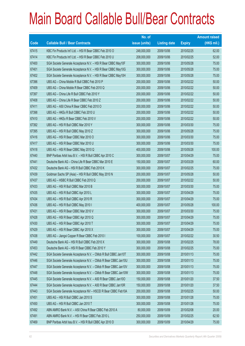|       |                                                                | No. of        |                     |               | <b>Amount raised</b> |
|-------|----------------------------------------------------------------|---------------|---------------------|---------------|----------------------|
| Code  | <b>Callable Bull / Bear Contracts</b>                          | issue (units) | <b>Listing date</b> | <b>Expiry</b> | $(HK$$ mil.)         |
| 67415 | KBC Fin Products Int'l Ltd. - HSI R Bear CBBC Feb 2010 O       | 248,000,000   | 2009/10/06          | 2010/02/25    | 62.00                |
| 67414 | KBC Fin Products Int'l Ltd. - HSI R Bear CBBC Feb 2010 U       | 208,000,000   | 2009/10/06          | 2010/02/25    | 52.00                |
| 67400 | SGA Societe Generale Acceptance N.V. - HSI R Bear CBBC May10F  | 300,000,000   | 2009/10/06          | 2010/05/28    | 75.00                |
| 67401 | SGA Societe Generale Acceptance N.V. - HSI R Bear CBBC May10G  | 300,000,000   | 2009/10/06          | 2010/05/28    | 75.00                |
| 67402 | SGA Societe Generale Acceptance N.V. - HSI R Bear CBBC May10H  | 300,000,000   | 2009/10/06          | 2010/05/28    | 75.00                |
| 67396 | UBS AG - China Mobile R Bull CBBC Feb 2010 P                   | 200,000,000   | 2009/10/06          | 2010/02/22    | 50.00                |
| 67409 | UBS AG - China Mobile R Bear CBBC Feb 2010 Q                   | 200,000,000   | 2009/10/06          | 2010/02/22    | 50.00                |
| 67397 | UBS AG - China Life R Bull CBBC Feb 2010 Y                     | 200,000,000   | 2009/10/06          | 2010/02/22    | 50.00                |
| 67408 | UBS AG - China Life R Bear CBBC Feb 2010 Z                     | 200,000,000   | 2009/10/06          | 2010/02/22    | 50.00                |
| 67411 | UBS AG - A50 China R Bear CBBC Feb 2010 O                      | 200,000,000   | 2009/10/06          | 2010/02/22    | 50.00                |
| 67398 | UBS AG - HKEx R Bull CBBC Feb 2010 U                           | 200,000,000   | 2009/10/06          | 2010/02/22    | 50.00                |
| 67410 | UBS AG - HKEx R Bear CBBC Feb 2010 V                           | 200,000,000   | 2009/10/06          | 2010/02/22    | 50.00                |
| 67392 | UBS AG - HSI R Bull CBBC Mar 2010 Y                            | 300,000,000   | 2009/10/06          | 2010/03/30    | 75.00                |
| 67395 | UBS AG - HSI R Bull CBBC May 2010 Z                            | 300,000,000   | 2009/10/06          | 2010/05/28    | 75.00                |
| 67416 | UBS AG - HSI R Bear CBBC Mar 2010 O                            | 300,000,000   | 2009/10/06          | 2010/03/30    | 75.00                |
| 67417 | UBS AG - HSI R Bear CBBC Mar 2010 U                            | 300,000,000   | 2009/10/06          | 2010/03/30    | 75.00                |
| 67418 | UBS AG - HSI R Bear CBBC May 2010 Q                            | 400,000,000   | 2009/10/06          | 2010/05/28    | 100.00               |
| 67440 | BNP Paribas Arbit Issu B.V. - HSI R Bull CBBC Apr 2010 C       | 300,000,000   | 2009/10/07          | 2010/04/29    | 75.00                |
| 67441 | Deutsche Bank AG - China Life R Bear CBBC Mar 2010 E           | 150,000,000   | 2009/10/07          | 2010/03/29    | 60.00                |
| 67432 | Deutsche Bank AG - HSI R Bull CBBC Feb 2010 K                  | 300,000,000   | 2009/10/07          | 2010/02/25    | 75.00                |
| 67439 | Goldman Sachs SP (Asia) - HSI R Bull CBBC May 2010 N           | 200,000,000   | 2009/10/07          | 2010/05/28    | 50.00                |
| 67437 | UBS AG - HSBC R Bull CBBC Feb 2010 Q                           | 200,000,000   | 2009/10/07          | 2010/02/22    | 50.00                |
| 67433 | UBS AG - HSI R Bull CBBC Mar 2010 B                            | 300,000,000   | 2009/10/07          | 2010/03/30    | 75.00                |
| 67435 | UBS AG - HSI R Bull CBBC Apr 2010 L                            | 300,000,000   | 2009/10/07          | 2010/04/29    | 75.00                |
| 67434 | UBS AG - HSI R Bull CBBC Apr 2010 R                            | 300,000,000   | 2009/10/07          | 2010/04/29    | 75.00                |
| 67436 | UBS AG - HSI R Bull CBBC May 2010 I                            | 400,000,000   | 2009/10/07          | 2010/05/28    | 100.00               |
| 67431 | UBS AG - HSI R Bear CBBC Mar 2010 V                            | 300,000,000   | 2009/10/07          | 2010/03/30    | 75.00                |
| 67428 | UBS AG - HSI R Bear CBBC Apr 2010 Q                            | 300,000,000   | 2009/10/07          | 2010/04/29    | 75.00                |
| 67430 | UBS AG - HSI R Bear CBBC Apr 2010 T                            | 300,000,000   | 2009/10/07          | 2010/04/29    | 75.00                |
| 67429 | UBS AG - HSI R Bear CBBC Apr 2010 X                            | 300,000,000   | 2009/10/07          | 2010/04/29    | 75.00                |
| 67438 | UBS AG - Jiangxi Copper R Bear CBBC Feb 2010 I                 | 100,000,000   | 2009/10/07          | 2010/02/22    | 30.50                |
| 67449 | Deutsche Bank AG - HSI R Bull CBBC Feb 2010 X                  | 300,000,000   | 2009/10/08          | 2010/02/25    | 78.00                |
| 67453 | Deutsche Bank AG - HSI R Bear CBBC Feb 2010 Y                  | 300,000,000   | 2009/10/08          | 2010/02/25    | 75.00                |
| 67442 | SGA Societe Generale Acceptance N.V. - CMob R Bull CBBC Jan10T | 300,000,000   | 2009/10/08          | 2010/01/13    | 75.00                |
| 67446 | SGA Societe Generale Acceptance N.V. - CMob R Bear CBBC Jan10U | 300,000,000   | 2009/10/08          | 2010/01/13    | 75.00                |
| 67447 | SGA Societe Generale Acceptance N.V. - CMob R Bear CBBC Jan10V | 300,000,000   | 2009/10/08          | 2010/01/13    | 75.00                |
| 67448 | SGA Societe Generale Acceptance N.V. - CMob R Bear CBBC Jan10W | 300,000,000   | 2009/10/08          | 2010/01/13    | 75.00                |
| 67445 | SGA Societe Generale Acceptance N.V. - A50 R Bear CBBC Jan10O  | 150,000,000   | 2009/10/08          | 2010/01/20    | 37.50                |
| 67444 | SGA Societe Generale Acceptance N.V. - A50 R Bear CBBC Jan10R  | 150,000,000   | 2009/10/08          | 2010/01/20    | 37.50                |
| 67443 | SGA Societe Generale Acceptance NV - HSCEI R Bear CBBC Feb10A  | 200,000,000   | 2009/10/08          | 2010/02/25    | 50.00                |
| 67451 | UBS AG - HSI R Bull CBBC Jan 2010 S                            | 300,000,000   | 2009/10/08          | 2010/01/28    | 75.00                |
| 67450 | UBS AG - HSI R Bull CBBC Jan 2010 T                            | 300,000,000   | 2009/10/08          | 2010/01/28    | 75.00                |
| 67492 | ABN AMRO Bank N.V. - A50 China R Bear CBBC Feb 2010 A          | 80,000,000    | 2009/10/09          | 2010/02/08    | 20.00                |
| 67491 | ABN AMRO Bank N.V. - HSI R Bear CBBC Feb 2010 L                | 250,000,000   | 2009/10/09          | 2010/02/25    | 62.50                |
| 67469 | BNP Paribas Arbit Issu B.V. - HSI R Bull CBBC Apr 2010 D       | 300,000,000   | 2009/10/09          | 2010/04/29    | 75.00                |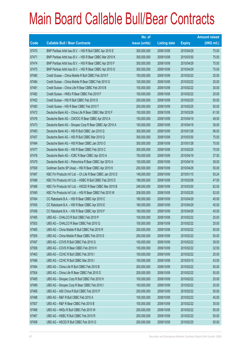|       |                                                              | No. of        |                     |               | <b>Amount raised</b> |
|-------|--------------------------------------------------------------|---------------|---------------------|---------------|----------------------|
| Code  | <b>Callable Bull / Bear Contracts</b>                        | issue (units) | <b>Listing date</b> | <b>Expiry</b> | $(HK$$ mil.)         |
| 67470 | BNP Paribas Arbit Issu B.V. - HSI R Bull CBBC Apr 2010 E     | 300,000,000   | 2009/10/09          | 2010/04/29    | 75.00                |
| 67471 | BNP Paribas Arbit Issu B.V. - HSI R Bear CBBC Mar 2010 K     | 300,000,000   | 2009/10/09          | 2010/03/30    | 75.00                |
| 67474 | BNP Paribas Arbit Issu B.V. - HSI R Bear CBBC Apr 2010 F     | 300,000,000   | 2009/10/09          | 2010/04/29    | 75.00                |
| 67475 | BNP Paribas Arbit Issu B.V. - HSI R Bear CBBC Apr 2010 G     | 300,000,000   | 2009/10/09          | 2010/04/29    | 75.00                |
| 67480 | Credit Suisse - China Mobile R Bull CBBC Feb 2010 F          | 100,000,000   | 2009/10/09          | 2010/02/22    | 25.00                |
| 67484 | Credit Suisse - China Mobile R Bear CBBC Feb 2010 G          | 100,000,000   | 2009/10/09          | 2010/02/22    | 25.00                |
| 67481 | Credit Suisse - China Life R Bear CBBC Feb 2010 B            | 100,000,000   | 2009/10/09          | 2010/02/22    | 30.00                |
| 67482 | Credit Suisse - HKEx R Bear CBBC Feb 2010 F                  | 100,000,000   | 2009/10/09          | 2010/02/22    | 25.00                |
| 67452 | Credit Suisse - HSI R Bull CBBC Feb 2010 S                   | 200,000,000   | 2009/10/09          | 2010/02/25    | 50.00                |
| 67483 | Credit Suisse - HSI R Bear CBBC Feb 2010 T                   | 200,000,000   | 2009/10/09          | 2010/02/25    | 50.00                |
| 67472 | Deutsche Bank AG - China Life R Bear CBBC Mar 2010 F         | 150,000,000   | 2009/10/09          | 2010/03/29    | 61.50                |
| 67476 | Deutsche Bank AG - CNOOC R Bear CBBC Apr 2010 A              | 150,000,000   | 2009/10/09          | 2010/04/19    | 49.50                |
| 67473 | Deutsche Bank AG - Sinopec Corp R Bear CBBC Apr 2010 A       | 150,000,000   | 2009/10/09          | 2010/04/19    | 39.00                |
| 67493 | Deutsche Bank AG - HSI R Bull CBBC Jan 2010 Q                | 300,000,000   | 2009/10/09          | 2010/01/28    | 96.00                |
| 67457 | Deutsche Bank AG - HSI R Bull CBBC Mar 2010 Q                | 300,000,000   | 2009/10/09          | 2010/03/30    | 75.00                |
| 67494 | Deutsche Bank AG - HSI R Bear CBBC Jan 2010 O                | 300,000,000   | 2009/10/09          | 2010/01/28    | 75.00                |
| 67477 | Deutsche Bank AG - HSI R Bear CBBC Feb 2010 C                | 300,000,000   | 2009/10/09          | 2010/02/25    | 75.00                |
| 67478 | Deutsche Bank AG - ICBC R Bear CBBC Apr 2010 A               | 150,000,000   | 2009/10/09          | 2010/04/19    | 37.50                |
| 67479 | Deutsche Bank AG - Petrochina R Bear CBBC Apr 2010 A         | 150,000,000   | 2009/10/09          | 2010/04/19    | 39.00                |
| 67509 | Goldman Sachs SP (Asia) - HSI R Bear CBBC Apr 2010 K         | 200,000,000   | 2009/10/09          | 2010/04/29    | 50.00                |
| 67487 | KBC Fin Products Int'l Ltd. - Ch Life R Bear CBBC Jan 2010 D | 148,000,000   | 2009/10/09          | 2010/01/15    | 93.24                |
| 67486 | KBC Fin Products Int'l Ltd. - HSBC R Bull CBBC Feb 2010 D    | 188,000,000   | 2009/10/09          | 2010/02/08    | 47.00                |
| 67488 | KBC Fin Products Int'l Ltd. - HSCEI R Bear CBBC Mar 2010 B   | 248,000,000   | 2009/10/09          | 2010/03/30    | 62.00                |
| 67490 | KBC Fin Products Int'l Ltd. - HSI R Bear CBBC Feb 2010 W     | 208,000,000   | 2009/10/09          | 2010/02/25    | 52.00                |
| 67454 | CC Rabobank B.A. - HSI R Bear CBBC Apr 2010 C                | 180,000,000   | 2009/10/09          | 2010/04/29    | 45.00                |
| 67455 | CC Rabobank B.A. - HSI R Bear CBBC Apr 2010 E                | 180,000,000   | 2009/10/09          | 2010/04/29    | 45.00                |
| 67456 | CC Rabobank B.A. - HSI R Bear CBBC Apr 2010 F                | 180,000,000   | 2009/10/09          | 2010/04/29    | 45.00                |
| 67495 | UBS AG - CHALCO R Bull CBBC Feb 2010 P                       | 100,000,000   | 2009/10/09          | 2010/02/22    | 25.00                |
| 67503 | UBS AG - CHALCO R Bear CBBC Feb 2010 Q                       | 100,000,000   | 2009/10/09          | 2010/02/22    | 25.00                |
| 67465 | UBS AG - China Mobile R Bull CBBC Feb 2010 R                 | 200,000,000   | 2009/10/09          | 2010/02/22    | 50.00                |
| 67505 | UBS AG - China Mobile R Bear CBBC Feb 2010 S                 | 200,000,000   | 2009/10/09          | 2010/02/22    | 50.00                |
| 67497 | UBS AG - COVS R Bull CBBC Feb 2010 G                         | 100,000,000   | 2009/10/09          | 2010/02/22    | 38.50                |
| 67506 | UBS AG - COVS R Bear CBBC Feb 2010 H                         | 100,000,000   | 2009/10/09          | 2010/02/22    | 32.50                |
| 67463 | UBS AG - CCHC R Bull CBBC Feb 2010 I                         | 100,000,000   | 2009/10/09          | 2010/02/22    | 25.00                |
| 67496 | UBS AG - CCHC R Bull CBBC Mar 2010 I                         | 100,000,000   | 2009/10/09          | 2010/03/15    | 43.00                |
| 67464 | UBS AG - China Life R Bull CBBC Feb 2010 B                   | 200,000,000   | 2009/10/09          | 2010/02/22    | 50.00                |
| 67504 | UBS AG - China Life R Bear CBBC Feb 2010 D                   | 200,000,000   | 2009/10/09          | 2010/02/22    | 50.00                |
| 67485 | UBS AG - Sinopec Corp R Bull CBBC Feb 2010 H                 | 100,000,000   | 2009/10/09          | 2010/02/22    | 25.00                |
| 67489 | UBS AG - Sinopec Corp R Bear CBBC Feb 2010 I                 | 100,000,000   | 2009/10/09          | 2010/02/22    | 25.00                |
| 67468 | UBS AG - A50 China R Bull CBBC Feb 2010 P                    | 200,000,000   | 2009/10/09          | 2010/02/22    | 50.00                |
| 67498 | UBS AG - R&F R Bull CBBC Feb 2010 A                          | 100,000,000   | 2009/10/09          | 2010/02/22    | 45.50                |
| 67507 | UBS AG - R&F R Bear CBBC Feb 2010 B                          | 100,000,000   | 2009/10/09          | 2010/02/22    | 35.00                |
| 67466 | UBS AG - HKEx R Bull CBBC Feb 2010 W                         | 200,000,000   | 2009/10/09          | 2010/02/22    | 50.00                |
| 67467 | UBS AG - HSBC R Bull CBBC Feb 2010 R                         | 200,000,000   | 2009/10/09          | 2010/02/22    | 50.00                |
| 67458 | UBS AG - HSCEI R Bull CBBC Feb 2010 G                        | 200,000,000   | 2009/10/09          | 2010/02/25    | 50.00                |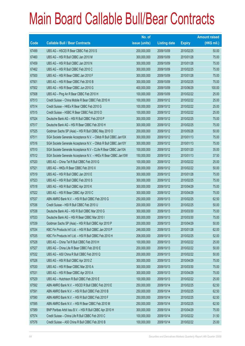|       |                                                                | No. of        |                     |               | <b>Amount raised</b> |
|-------|----------------------------------------------------------------|---------------|---------------------|---------------|----------------------|
| Code  | <b>Callable Bull / Bear Contracts</b>                          | issue (units) | <b>Listing date</b> | <b>Expiry</b> | (HK\$ mil.)          |
| 67499 | UBS AG - HSCEIR Bear CBBC Feb 2010 S                           | 200,000,000   | 2009/10/09          | 2010/02/25    | 50.00                |
| 67460 | UBS AG - HSI R Bull CBBC Jan 2010 M                            | 300,000,000   | 2009/10/09          | 2010/01/28    | 75.00                |
| 67459 | UBS AG - HSI R Bull CBBC Jan 2010 N                            | 300,000,000   | 2009/10/09          | 2010/01/28    | 75.00                |
| 67462 | UBS AG - HSI R Bull CBBC Feb 2010 C                            | 300,000,000   | 2009/10/09          | 2010/02/25    | 75.00                |
| 67500 | UBS AG - HSI R Bear CBBC Jan 2010 F                            | 300,000,000   | 2009/10/09          | 2010/01/28    | 75.00                |
| 67501 | UBS AG - HSI R Bear CBBC Feb 2010 B                            | 300,000,000   | 2009/10/09          | 2010/02/25    | 75.00                |
| 67502 | UBS AG - HSI R Bear CBBC Jun 2010 G                            | 400,000,000   | 2009/10/09          | 2010/06/29    | 100.00               |
| 67508 | UBS AG - Ping An R Bear CBBC Feb 2010 H                        | 100,000,000   | 2009/10/09          | 2010/02/22    | 25.00                |
| 67513 | Credit Suisse - China Mobile R Bear CBBC Feb 2010 H            | 100,000,000   | 2009/10/12          | 2010/02/22    | 25.00                |
| 67514 | Credit Suisse - HKEx R Bear CBBC Feb 2010 G                    | 100,000,000   | 2009/10/12          | 2010/02/22    | 25.00                |
| 67515 | Credit Suisse - HSBC R Bear CBBC Feb 2010 D                    | 100,000,000   | 2009/10/12          | 2010/02/22    | 25.00                |
| 67524 | Deutsche Bank AG - HSI R Bull CBBC Feb 2010 P                  | 300,000,000   | 2009/10/12          | 2010/02/25    | 75.00                |
| 67517 | Deutsche Bank AG - HSI R Bear CBBC Feb 2010 H                  | 300,000,000   | 2009/10/12          | 2010/02/25    | 75.00                |
| 67525 | Goldman Sachs SP (Asia) - HSI R Bull CBBC May 2010 O           | 200,000,000   | 2009/10/12          | 2010/05/28    | 50.00                |
| 67511 | SGA Societe Generale Acceptance N.V. - CMob R Bull CBBC Jan10X | 300,000,000   | 2009/10/12          | 2010/01/13    | 75.00                |
| 67516 | SGA Societe Generale Acceptance N.V. - CMob R Bull CBBC Jan10Y | 300,000,000   | 2009/10/12          | 2010/01/13    | 75.00                |
| 67510 | SGA Societe Generale Acceptance N.V - CLife R Bear CBBC Jan10A | 100,000,000   | 2009/10/12          | 2010/01/20    | 35.00                |
| 67512 | SGA Societe Generale Acceptance N.V. - HKEx R Bear CBBC Jan10W | 150,000,000   | 2009/10/12          | 2010/01/13    | 37.50                |
| 67520 | UBS AG - China Tel R Bull CBBC Feb 2010 G                      | 100,000,000   | 2009/10/12          | 2010/02/22    | 25.00                |
| 67521 | UBS AG - HKEx R Bear CBBC Feb 2010 X                           | 200,000,000   | 2009/10/12          | 2010/02/22    | 50.00                |
| 67519 | UBS AG - HSI R Bull CBBC Jan 2010 E                            | 300,000,000   | 2009/10/12          | 2010/01/28    | 75.00                |
| 67523 | UBS AG - HSI R Bull CBBC Feb 2010 S                            | 300,000,000   | 2009/10/12          | 2010/02/25    | 75.00                |
| 67518 | UBS AG - HSI R Bull CBBC Apr 2010 K                            | 300,000,000   | 2009/10/12          | 2010/04/29    | 75.00                |
| 67522 | UBS AG - HSI R Bear CBBC Apr 2010 C                            | 300,000,000   | 2009/10/12          | 2010/04/29    | 75.00                |
| 67537 | ABN AMRO Bank N.V. - HSI R Bull CBBC Feb 2010 G                | 250,000,000   | 2009/10/13          | 2010/02/25    | 62.50                |
| 67536 | Credit Suisse - HSI R Bull CBBC Feb 2010 U                     | 200,000,000   | 2009/10/13          | 2010/02/25    | 50.00                |
| 67538 | Deutsche Bank AG - HSI R Bull CBBC Mar 2010 G                  | 300,000,000   | 2009/10/13          | 2010/03/30    | 75.00                |
| 67533 | Deutsche Bank AG - HSI R Bear CBBC Mar 2010 I                  | 300,000,000   | 2009/10/13          | 2010/03/30    | 75.00                |
| 67539 | Goldman Sachs SP (Asia) - HSI R Bull CBBC Apr 2010 P           | 200,000,000   | 2009/10/13          | 2010/04/29    | 50.00                |
| 67534 | KBC Fin Products Int'l Ltd. - HSI R Bull CBBC Jan 2010 P       | 248,000,000   | 2009/10/13          | 2010/01/28    | 62.00                |
| 67535 | KBC Fin Products Int'l Ltd. - HSI R Bull CBBC Feb 2010 H       | 208,000,000   | 2009/10/13          | 2010/02/25    | 52.00                |
| 67528 | UBS AG - China Tel R Bull CBBC Feb 2010 H                      | 100,000,000   | 2009/10/13          | 2010/02/22    | 25.00                |
| 67527 | UBS AG - China Life R Bear CBBC Feb 2010 E                     | 200,000,000   | 2009/10/13          | 2010/02/22    | 50.00                |
| 67532 | UBS AG - A50 China R Bull CBBC Feb 2010 Q                      | 200,000,000   | 2009/10/13          | 2010/02/22    | 50.00                |
| 67526 | UBS AG - HSI R Bull CBBC Apr 2010 Z                            | 300,000,000   | 2009/10/13          | 2010/04/29    | 75.00                |
| 67530 | UBS AG - HSI R Bear CBBC Mar 2010 A                            | 300,000,000   | 2009/10/13          | 2010/03/30    | 75.00                |
| 67531 | UBS AG - HSI R Bear CBBC Apr 2010 A                            | 300,000,000   | 2009/10/13          | 2010/04/29    | 75.00                |
| 67529 | UBS AG - Hutchison R Bull CBBC Feb 2010 E                      | 100,000,000   | 2009/10/13          | 2010/02/22    | 25.00                |
| 67592 | ABN AMRO Bank N.V. - HSCEI R Bull CBBC Feb 2010 E              | 250,000,000   | 2009/10/14          | 2010/02/25    | 62.50                |
| 67591 | ABN AMRO Bank N.V. - HSI R Bull CBBC Feb 2010 B                | 250,000,000   | 2009/10/14          | 2010/02/25    | 62.50                |
| 67590 | ABN AMRO Bank N.V. - HSI R Bull CBBC Feb 2010 F                | 250,000,000   | 2009/10/14          | 2010/02/25    | 62.50                |
| 67595 | ABN AMRO Bank N.V. - HSI R Bear CBBC Feb 2010 M                | 250,000,000   | 2009/10/14          | 2010/02/25    | 62.50                |
| 67589 | BNP Paribas Arbit Issu B.V. - HSI R Bull CBBC Apr 2010 H       | 300,000,000   | 2009/10/14          | 2010/04/29    | 75.00                |
| 67574 | Credit Suisse - China Life R Bull CBBC Feb 2010 C              | 100,000,000   | 2009/10/14          | 2010/02/22    | 31.50                |
| 67576 | Credit Suisse - A50 China R Bull CBBC Feb 2010 B               | 100,000,000   | 2009/10/14          | 2010/02/22    | 25.00                |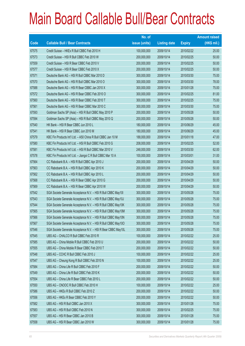|       |                                                               | No. of        |                     |               | <b>Amount raised</b> |
|-------|---------------------------------------------------------------|---------------|---------------------|---------------|----------------------|
| Code  | <b>Callable Bull / Bear Contracts</b>                         | issue (units) | <b>Listing date</b> | <b>Expiry</b> | (HK\$ mil.)          |
| 67575 | Credit Suisse - HKEx R Bull CBBC Feb 2010 H                   | 100,000,000   | 2009/10/14          | 2010/02/22    | 25.00                |
| 67573 | Credit Suisse - HSI R Bull CBBC Feb 2010 W                    | 200,000,000   | 2009/10/14          | 2010/02/25    | 50.00                |
| 67559 | Credit Suisse - HSI R Bear CBBC Feb 2010 V                    | 200,000,000   | 2009/10/14          | 2010/02/25    | 50.00                |
| 67577 | Credit Suisse - HSI R Bear CBBC Feb 2010 X                    | 200,000,000   | 2009/10/14          | 2010/02/25    | 50.00                |
| 67571 | Deutsche Bank AG - HSI R Bull CBBC Mar 2010 D                 | 300,000,000   | 2009/10/14          | 2010/03/30    | 75.00                |
| 67570 | Deutsche Bank AG - HSI R Bull CBBC Mar 2010 O                 | 300,000,000   | 2009/10/14          | 2010/03/30    | 78.00                |
| 67588 | Deutsche Bank AG - HSI R Bear CBBC Jan 2010 X                 | 300,000,000   | 2009/10/14          | 2010/01/28    | 75.00                |
| 67572 | Deutsche Bank AG - HSI R Bear CBBC Feb 2010 O                 | 300,000,000   | 2009/10/14          | 2010/02/25    | 81.00                |
| 67560 | Deutsche Bank AG - HSI R Bear CBBC Feb 2010 T                 | 300,000,000   | 2009/10/14          | 2010/02/25    | 75.00                |
| 67561 | Deutsche Bank AG - HSI R Bear CBBC Mar 2010 C                 | 300,000,000   | 2009/10/14          | 2010/03/30    | 75.00                |
| 67593 | Goldman Sachs SP (Asia) - HSI R Bull CBBC May 2010 P          | 200,000,000   | 2009/10/14          | 2010/05/28    | 50.00                |
| 67594 | Goldman Sachs SP (Asia) - HSI R Bull CBBC May 2010 Q          | 200,000,000   | 2009/10/14          | 2010/05/28    | 50.00                |
| 67540 | HK Bank - HSI R Bear CBBC Jun 2010 L                          | 180,000,000   | 2009/10/14          | 2010/06/29    | 45.00                |
| 67541 | HK Bank - HSI R Bear CBBC Jun 2010 M                          | 180,000,000   | 2009/10/14          | 2010/06/29    | 45.00                |
| 67579 | KBC Fin Products Int'l Ltd. - A50 China R Bull CBBC Jan 10 M  | 188,000,000   | 2009/10/14          | 2010/01/18    | 47.00                |
| 67580 | KBC Fin Products Int'l Ltd. - HSI R Bull CBBC Feb 2010 G      | 208,000,000   | 2009/10/14          | 2010/02/25    | 52.00                |
| 67581 | KBC Fin Products Int'l Ltd. - HSI R Bull CBBC Mar 2010 V      | 248,000,000   | 2009/10/14          | 2010/03/30    | 62.00                |
| 67578 | KBC Fin Products Int'l Ltd. - Jiangxi C R Bull CBBC Mar 10 A  | 100,000,000   | 2009/10/14          | 2010/03/01    | 31.00                |
| 67564 | CC Rabobank B.A. - HSI R Bull CBBC Apr 2010 J                 | 200,000,000   | 2009/10/14          | 2010/04/29    | 50.00                |
| 67563 | CC Rabobank B.A. - HSI R Bull CBBC Apr 2010 K                 | 200,000,000   | 2009/10/14          | 2010/04/29    | 50.00                |
| 67562 | CC Rabobank B.A. - HSI R Bull CBBC Apr 2010 L                 | 200,000,000   | 2009/10/14          | 2010/04/29    | 50.00                |
| 67568 | CC Rabobank B.A. - HSI R Bear CBBC Apr 2010 G                 | 200,000,000   | 2009/10/14          | 2010/04/29    | 50.00                |
| 67569 | CC Rabobank B.A. - HSI R Bear CBBC Apr 2010 W                 | 200,000,000   | 2009/10/14          | 2010/04/29    | 50.00                |
| 67542 | SGA Societe Generale Acceptance N.V. - HSI R Bull CBBC May101 | 300,000,000   | 2009/10/14          | 2010/05/28    | 75.00                |
| 67543 | SGA Societe Generale Acceptance N.V. - HSI R Bull CBBC May10J | 300,000,000   | 2009/10/14          | 2010/05/28    | 75.00                |
| 67544 | SGA Societe Generale Acceptance N.V. - HSI R Bull CBBC May10K | 300,000,000   | 2009/10/14          | 2010/05/28    | 75.00                |
| 67565 | SGA Societe Generale Acceptance N.V. - HSI R Bull CBBC May10M | 300,000,000   | 2009/10/14          | 2010/05/28    | 75.00                |
| 67566 | SGA Societe Generale Acceptance N.V. - HSI R Bull CBBC May10N | 300,000,000   | 2009/10/14          | 2010/05/28    | 75.00                |
| 67567 | SGA Societe Generale Acceptance N.V. - HSI R Bull CBBC May100 | 300,000,000   | 2009/10/14          | 2010/05/28    | 75.00                |
| 67546 | SGA Societe Generale Acceptance N.V. - HSI R Bear CBBC May10L | 300,000,000   | 2009/10/14          | 2010/05/28    | 75.00                |
| 67545 | UBS AG - CHALCO R Bull CBBC Feb 2010 R                        | 100,000,000   | 2009/10/14          | 2010/02/22    | 25.00                |
| 67585 | UBS AG - China Mobile R Bull CBBC Feb 2010 U                  | 200,000,000   | 2009/10/14          | 2010/02/22    | 50.00                |
| 67555 | UBS AG - China Mobile R Bear CBBC Feb 2010 T                  | 200,000,000   | 2009/10/14          | 2010/02/22    | 50.00                |
| 67548 | UBS AG - CCHC R Bull CBBC Feb 2010 J                          | 100,000,000   | 2009/10/14          | 2010/02/22    | 25.00                |
| 67547 | UBS AG - Cheung Kong R Bull CBBC Feb 2010 N                   | 100,000,000   | 2009/10/14          | 2010/02/22    | 25.00                |
| 67584 | UBS AG - China Life R Bull CBBC Feb 2010 F                    | 200,000,000   | 2009/10/14          | 2010/02/22    | 50.00                |
| 67549 | UBS AG - China Life R Bull CBBC Feb 2010 K                    | 200,000,000   | 2009/10/14          | 2010/02/22    | 50.00                |
| 67554 | UBS AG - China Life R Bear CBBC Feb 2010 L                    | 200,000,000   | 2009/10/14          | 2010/02/22    | 50.00                |
| 67550 | UBS AG - CNOOC R Bull CBBC Feb 2010 H                         | 100,000,000   | 2009/10/14          | 2010/02/22    | 25.00                |
| 67586 | UBS AG - HKEx R Bull CBBC Feb 2010 Z                          | 200,000,000   | 2009/10/14          | 2010/02/22    | 50.00                |
| 67556 | UBS AG - HKEx R Bear CBBC Feb 2010 Y                          | 200,000,000   | 2009/10/14          | 2010/02/22    | 50.00                |
| 67582 | UBS AG - HSI R Bull CBBC Jan 2010 X                           | 300,000,000   | 2009/10/14          | 2010/01/28    | 75.00                |
| 67583 | UBS AG - HSI R Bull CBBC Feb 2010 N                           | 300,000,000   | 2009/10/14          | 2010/02/25    | 75.00                |
| 67557 | UBS AG - HSI R Bear CBBC Jan 2010 B                           | 300,000,000   | 2009/10/14          | 2010/01/28    | 75.00                |
| 67558 | UBS AG - HSI R Bear CBBC Jan 2010 W                           | 300,000,000   | 2009/10/14          | 2010/01/28    | 75.00                |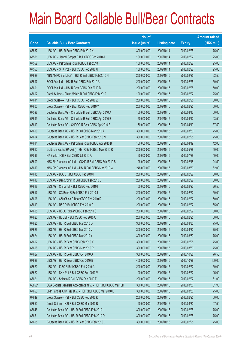|        |                                                               | No. of        |                     |               | <b>Amount raised</b> |
|--------|---------------------------------------------------------------|---------------|---------------------|---------------|----------------------|
| Code   | <b>Callable Bull / Bear Contracts</b>                         | issue (units) | <b>Listing date</b> | <b>Expiry</b> | (HK\$ mil.)          |
| 67587  | UBS AG - HSI R Bear CBBC Feb 2010 X                           | 300,000,000   | 2009/10/14          | 2010/02/25    | 75.00                |
| 67551  | UBS AG - Jiangxi Copper R Bull CBBC Feb 2010 J                | 100,000,000   | 2009/10/14          | 2010/02/22    | 25.00                |
| 67552  | UBS AG - Petrochina R Bull CBBC Feb 2010 H                    | 100,000,000   | 2009/10/14          | 2010/02/22    | 25.00                |
| 67553  | UBS AG - SHK Ppt R Bull CBBC Feb 2010 U                       | 100,000,000   | 2009/10/14          | 2010/02/22    | 25.00                |
| 67629  | ABN AMRO Bank N.V. - HSI R Bull CBBC Feb 2010 N               | 250,000,000   | 2009/10/15          | 2010/02/25    | 62.50                |
| 67597  | BOCI Asia Ltd. - HSI R Bull CBBC Feb 2010 A                   | 200,000,000   | 2009/10/15          | 2010/02/25    | 50.00                |
| 67601  | BOCI Asia Ltd. - HSI R Bear CBBC Feb 2010 B                   | 200,000,000   | 2009/10/15          | 2010/02/25    | 50.00                |
| 67602  | Credit Suisse - China Mobile R Bull CBBC Feb 2010 I           | 100,000,000   | 2009/10/15          | 2010/02/22    | 25.00                |
| 67611  | Credit Suisse - HSI R Bull CBBC Feb 2010 Z                    | 200,000,000   | 2009/10/15          | 2010/02/25    | 50.00                |
| 67603  | Credit Suisse - HSI R Bear CBBC Feb 2010 Y                    | 200,000,000   | 2009/10/15          | 2010/02/25    | 50.00                |
| 67598  | Deutsche Bank AG - China Life R Bull CBBC Apr 2010 A          | 150,000,000   | 2009/10/15          | 2010/04/12    | 60.00                |
| 67599  | Deutsche Bank AG - China Life R Bull CBBC Apr 2010 B          | 150,000,000   | 2009/10/15          | 2010/04/12    | 43.50                |
| 67613  | Deutsche Bank AG - CNOOC R Bear CBBC Apr 2010 B               | 150,000,000   | 2009/10/15          | 2010/04/19    | 37.50                |
| 67600  | Deutsche Bank AG - HSI R Bull CBBC Mar 2010 A                 | 300,000,000   | 2009/10/15          | 2010/03/30    | 75.00                |
| 67604  | Deutsche Bank AG - HSI R Bear CBBC Feb 2010 N                 | 300,000,000   | 2009/10/15          | 2010/02/25    | 75.00                |
| 67614  | Deutsche Bank AG - Petrochina R Bull CBBC Apr 2010 B          | 150,000,000   | 2009/10/15          | 2010/04/19    | 42.00                |
| 67612  | Goldman Sachs SP (Asia) - HSI R Bull CBBC May 2010 R          | 200,000,000   | 2009/10/15          | 2010/05/28    | 50.00                |
| 67596  | HK Bank - HSI R Bull CBBC Jul 2010 A                          | 160,000,000   | 2009/10/15          | 2010/07/29    | 40.00                |
| 67609  | KBC Fin Products Int'l Ltd. - CCHC R Bull CBBC Feb 2010 B     | 98,000,000    | 2009/10/15          | 2010/02/18    | 24.50                |
| 67610  | KBC Fin Products Int'l Ltd. - HSI R Bull CBBC Mar 2010 W      | 248,000,000   | 2009/10/15          | 2010/03/30    | 62.00                |
| 67615  | UBS AG - BOCL R Bull CBBC Feb 2010 I                          | 200,000,000   | 2009/10/15          | 2010/02/22    | 50.00                |
| 67616  | UBS AG - BankComm R Bull CBBC Feb 2010 E                      | 200,000,000   | 2009/10/15          | 2010/02/22    | 50.00                |
| 67618  | UBS AG - China Tel R Bull CBBC Feb 2010 I                     | 100,000,000   | 2009/10/15          | 2010/02/22    | 26.50                |
| 67617  | UBS AG - CC Bank R Bull CBBC Feb 2010 J                       | 200,000,000   | 2009/10/15          | 2010/02/22    | 50.00                |
| 67606  | UBS AG - A50 China R Bear CBBC Feb 2010 R                     | 200,000,000   | 2009/10/15          | 2010/02/22    | 50.00                |
| 67619  | UBS AG - R&F R Bull CBBC Feb 2010 C                           | 200,000,000   | 2009/10/15          | 2010/02/22    | 65.00                |
| 67605  | UBS AG - HSBC R Bear CBBC Feb 2010 S                          | 200,000,000   | 2009/10/15          | 2010/02/22    | 50.00                |
| 67623  | UBS AG - HSCEI R Bull CBBC Feb 2010 Q                         | 200,000,000   | 2009/10/15          | 2010/02/25    | 50.00                |
| 67625  | UBS AG - HSI R Bull CBBC Mar 2010 O                           | 300,000,000   | 2009/10/15          | 2010/03/30    | 75.00                |
| 67626  | UBS AG - HSI R Bull CBBC Mar 2010 V                           | 300,000,000   | 2009/10/15          | 2010/03/30    | 75.00                |
| 67624  | UBS AG - HSI R Bull CBBC Mar 2010 Y                           | 300,000,000   | 2009/10/15          | 2010/03/30    | 75.00                |
| 67607  | UBS AG - HSI R Bear CBBC Feb 2010 Y                           | 300,000,000   | 2009/10/15          | 2010/02/25    | 75.00                |
| 67608  | UBS AG - HSI R Bear CBBC Mar 2010 R                           | 300,000,000   | 2009/10/15          | 2010/03/30    | 75.00                |
| 67627  | UBS AG - HSI R Bear CBBC Oct 2010 A                           | 300,000,000   | 2009/10/15          | 2010/10/28    | 76.50                |
| 67628  | UBS AG - HSI R Bear CBBC Oct 2010 B                           | 400,000,000   | 2009/10/15          | 2010/10/28    | 100.00               |
| 67620  | UBS AG - ICBC R Bull CBBC Feb 2010 G                          | 200,000,000   | 2009/10/15          | 2010/02/22    | 50.00                |
| 67622  | UBS AG - SHK Ppt R Bull CBBC Feb 2010 V                       | 100,000,000   | 2009/10/15          | 2010/02/22    | 25.00                |
| 67621  | UBS AG - Shimao R Bull CBBC Feb 2010 F                        | 200,000,000   | 2009/10/15          | 2010/02/22    | 61.00                |
| 66850# | SGA Societe Generale Acceptance N.V. - HSI R Bull CBBC Mar10D | 300,000,000   | 2009/10/15          | 2010/03/30    | 51.90                |
| 67653  | BNP Paribas Arbit Issu B.V. - HSI R Bull CBBC Mar 2010 E      | 300,000,000   | 2009/10/16          | 2010/03/30    | 75.00                |
| 67649  | Credit Suisse - HSI R Bull CBBC Feb 2010 K                    | 200,000,000   | 2009/10/16          | 2010/02/25    | 50.00                |
| 67650  | Credit Suisse - HSI R Bull CBBC Mar 2010 B                    | 190,000,000   | 2009/10/16          | 2010/03/30    | 47.50                |
| 67648  | Deutsche Bank AG - HSI R Bull CBBC Feb 2010 I                 | 300,000,000   | 2009/10/16          | 2010/02/25    | 75.00                |
| 67651  | Deutsche Bank AG - HSI R Bull CBBC Feb 2010 Q                 | 300,000,000   | 2009/10/16          | 2010/02/25    | 75.00                |
| 67655  | Deutsche Bank AG - HSI R Bear CBBC Feb 2010 L                 | 300,000,000   | 2009/10/16          | 2010/02/25    | 75.00                |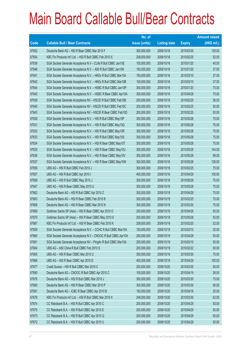|             |                                                                | No. of        |                     |               | <b>Amount raised</b> |
|-------------|----------------------------------------------------------------|---------------|---------------------|---------------|----------------------|
| <b>Code</b> | <b>Callable Bull / Bear Contracts</b>                          | issue (units) | <b>Listing date</b> | <b>Expiry</b> | $(HK$$ mil.)         |
| 67652       | Deutsche Bank AG - HSI R Bear CBBC Mar 2010 F                  | 300,000,000   | 2009/10/16          | 2010/03/30    | 129.00               |
| 67654       | KBC Fin Products Int'l Ltd. - HSI R Bull CBBC Feb 2010 X       | 208,000,000   | 2009/10/16          | 2010/02/25    | 52.00                |
| 67638       | SGA Societe Generale Acceptance N.V - CLife R Bull CBBC Jan10E | 100,000,000   | 2009/10/16          | 2010/01/20    | 40.00                |
| 67646       | SGA Societe Generale Acceptance N.V. - A50 R Bull CBBC Jan10N  | 150,000,000   | 2009/10/16          | 2010/01/20    | 37.50                |
| 67641       | SGA Societe Generale Acceptance N.V. - HKEx R Bull CBBC Mar10A | 150,000,000   | 2009/10/16          | 2010/03/10    | 37.50                |
| 67642       | SGA Societe Generale Acceptance N.V. - HKEx R Bull CBBC Mar10B | 150,000,000   | 2009/10/16          | 2010/03/10    | 37.50                |
| 67644       | SGA Societe Generale Acceptance N.V. - HSBC R Bull CBBC Jan10P | 300,000,000   | 2009/10/16          | 2010/01/20    | 75.00                |
| 67645       | SGA Societe Generale Acceptance N.V. - HSBC R Bear CBBC Apr10A | 300,000,000   | 2009/10/16          | 2010/04/28    | 75.00                |
| 67639       | SGA Societe Generale Acceptance NV - HSCEI R Bull CBBC Feb10B  | 200,000,000   | 2009/10/16          | 2010/02/25    | 56.00                |
| 67640       | SGA Societe Generale Acceptance NV - HSCEI R Bull CBBC Feb10C  | 200,000,000   | 2009/10/16          | 2010/02/25    | 50.00                |
| 67643       | SGA Societe Generale Acceptance NV - HSCEI R Bear CBBC Feb10D  | 200,000,000   | 2009/10/16          | 2010/02/25    | 50.00                |
| 67630       | SGA Societe Generale Acceptance N.V. - HSI R Bull CBBC May10P  | 300,000,000   | 2009/10/16          | 2010/05/28    | 75.00                |
| 67631       | SGA Societe Generale Acceptance N.V. - HSI R Bull CBBC May10Q  | 300,000,000   | 2009/10/16          | 2010/05/28    | 75.00                |
| 67632       | SGA Societe Generale Acceptance N.V. - HSI R Bull CBBC May10R  | 300,000,000   | 2009/10/16          | 2010/05/28    | 75.00                |
| 67633       | SGA Societe Generale Acceptance N.V. - HSI R Bull CBBC May10S  | 300,000,000   | 2009/10/16          | 2010/05/28    | 75.00                |
| 67634       | SGA Societe Generale Acceptance N.V. - HSI R Bear CBBC May10T  | 300,000,000   | 2009/10/16          | 2010/05/28    | 75.00                |
| 67635       | SGA Societe Generale Acceptance N.V. - HSI R Bear CBBC May10U  | 300,000,000   | 2009/10/16          | 2010/05/28    | 144.00               |
| 67636       | SGA Societe Generale Acceptance N.V. - HSI R Bear CBBC May10V  | 300,000,000   | 2009/10/16          | 2010/05/28    | 99.00                |
| 67637       | SGA Societe Generale Acceptance N.V. - HSI R Bear CBBC May10W  | 300,000,000   | 2009/10/16          | 2010/05/28    | 126.00               |
| 67656       | UBS AG - HSI R Bull CBBC Feb 2010 J                            | 300,000,000   | 2009/10/16          | 2010/02/25    | 75.00                |
| 67657       | UBS AG - HSI R Bull CBBC Apr 2010 I                            | 400,000,000   | 2009/10/16          | 2010/04/29    | 100.00               |
| 67658       | UBS AG - HSI R Bull CBBC May 2010 J                            | 300,000,000   | 2009/10/16          | 2010/05/28    | 75.00                |
| 67647       | UBS AG - HSI R Bear CBBC May 2010 U                            | 300,000,000   | 2009/10/16          | 2010/05/28    | 75.00                |
| 67662       | Deutsche Bank AG - HSI R Bull CBBC Apr 2010 Z                  | 300,000,000   | 2009/10/19          | 2010/04/29    | 75.00                |
| 67663       | Deutsche Bank AG - HSI R Bear CBBC Feb 2010 B                  | 300,000,000   | 2009/10/19          | 2010/02/25    | 75.00                |
| 67668       | Deutsche Bank AG - HSI R Bear CBBC Mar 2010 N                  | 300,000,000   | 2009/10/19          | 2010/03/30    | 75.00                |
| 67669       | Goldman Sachs SP (Asia) - HSI R Bear CBBC Apr 2010 O           | 200,000,000   | 2009/10/19          | 2010/04/29    | 50.00                |
| 67670       | Goldman Sachs SP (Asia) - HSI R Bear CBBC May 2010 S           | 200,000,000   | 2009/10/19          | 2010/05/28    | 50.00                |
| 67667       | KBC Fin Products Int'l Ltd. - HSI R Bear CBBC Feb 2010 K       | 208,000,000   | 2009/10/19          | 2010/02/25    | 52.00                |
| 67659       | SGA Societe Generale Acceptance N.V. - CCHC R Bull CBBC Mar10A | 100,000,000   | 2009/10/19          | 2010/03/10    | 25.00                |
| 67660       | SGA Societe Generale Acceptance N.V - CNOOC R Bull CBBC Apr10A | 200,000,000   | 2009/10/19          | 2010/04/28    | 50.00                |
| 67661       | SGA Societe Generale Acceptance NV - PingAn R Bull CBBC Mar10A | 200,000,000   | 2009/10/19          | 2010/03/10    | 50.00                |
| 67664       | UBS AG - A50 China R Bull CBBC Feb 2010 S                      | 200,000,000   | 2009/10/19          | 2010/02/22    | 50.00                |
| 67665       | UBS AG - HSI R Bear CBBC Mar 2010 U                            | 300,000,000   | 2009/10/19          | 2010/03/30    | 75.00                |
| 67666       | UBS AG - HSI R Bear CBBC Apr 2010 D                            | 400,000,000   | 2009/10/19          | 2010/04/29    | 100.00               |
| 67677       | Credit Suisse - HSI R Bull CBBC Mar 2010 C                     | 200,000,000   | 2009/10/20          | 2010/03/30    | 50.00                |
| 67690       | Deutsche Bank AG - CNOOC R Bull CBBC Apr 2010 C                | 100,000,000   | 2009/10/20          | 2010/04/19    | 26.00                |
| 67676       | Deutsche Bank AG - HSI R Bull CBBC Mar 2010 J                  | 300,000,000   | 2009/10/20          | 2010/03/30    | 75.00                |
| 67680       | Deutsche Bank AG - HSI R Bear CBBC Mar 2010 P                  | 300,000,000   | 2009/10/20          | 2010/03/30    | 90.00                |
| 67691       | Deutsche Bank AG - ICBC R Bear CBBC Apr 2010 B                 | 100,000,000   | 2009/10/20          | 2010/04/19    | 25.00                |
| 67678       | KBC Fin Products Int'l Ltd. - HSI R Bull CBBC Mar 2010 X       | 248,000,000   | 2009/10/20          | 2010/03/30    | 62.00                |
| 67674       | CC Rabobank B.A. - HSI R Bull CBBC Apr 2010 C                  | 200,000,000   | 2009/10/20          | 2010/04/29    | 50.00                |
| 67675       | CC Rabobank B.A. - HSI R Bull CBBC Apr 2010 E                  | 200,000,000   | 2009/10/20          | 2010/04/29    | 50.00                |
| 67673       | CC Rabobank B.A. - HSI R Bull CBBC Apr 2010 Q                  | 200,000,000   | 2009/10/20          | 2010/04/29    | 50.00                |
| 67672       | CC Rabobank B.A. - HSI R Bull CBBC Apr 2010 U                  | 200,000,000   | 2009/10/20          | 2010/04/29    | 50.00                |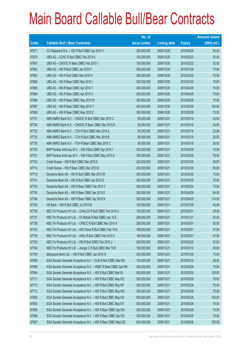|       |                                                                | No. of        |                     |               | <b>Amount raised</b> |
|-------|----------------------------------------------------------------|---------------|---------------------|---------------|----------------------|
| Code  | <b>Callable Bull / Bear Contracts</b>                          | issue (units) | <b>Listing date</b> | <b>Expiry</b> | (HK\$ mil.)          |
| 67671 | CC Rabobank B.A. - HSI R Bull CBBC Apr 2010 V                  | 200,000,000   | 2009/10/20          | 2010/04/29    | 50.00                |
| 67679 | UBS AG - CCHC R Bull CBBC Feb 2010 K                           | 100,000,000   | 2009/10/20          | 2010/02/22    | 25.00                |
| 67681 | UBS AG - CNOOC R Bear CBBC Feb 2010 I                          | 100,000,000   | 2009/10/20          | 2010/02/22    | 32.00                |
| 67682 | UBS AG - HSI R Bull CBBC Jan 2010 F                            | 300,000,000   | 2009/10/20          | 2010/01/28    | 75.00                |
| 67683 | UBS AG - HSI R Bull CBBC Mar 2010 H                            | 300,000,000   | 2009/10/20          | 2010/03/30    | 75.00                |
| 67689 | UBS AG - HSI R Bear CBBC Mar 2010 I                            | 300,000,000   | 2009/10/20          | 2010/03/30    | 75.00                |
| 67685 | UBS AG - HSI R Bear CBBC Apr 2010 T                            | 300,000,000   | 2009/10/20          | 2010/04/29    | 75.00                |
| 67684 | UBS AG - HSI R Bear CBBC Apr 2010 X                            | 300,000,000   | 2009/10/20          | 2010/04/29    | 75.00                |
| 67686 | UBS AG - HSI R Bear CBBC May 2010 W                            | 300,000,000   | 2009/10/20          | 2010/05/28    | 75.00                |
| 67687 | UBS AG - HSI R Bear CBBC May 2010 Y                            | 400,000,000   | 2009/10/20          | 2010/05/28    | 100.00               |
| 67688 | UBS AG - HSI R Bear CBBC May 2010 Z                            | 300,000,000   | 2009/10/20          | 2010/05/28    | 75.00                |
| 67731 | ABN AMRO Bank N.V. - CNOOC R Bull CBBC Mar 2010 C              | 80,000,000    | 2009/10/21          | 2010/03/16    | 20.00                |
| 67734 | ABN AMRO Bank N.V. - CNOOC R Bear CBBC Mar 2010 D              | 80,000,000    | 2009/10/21          | 2010/03/16    | 20.00                |
| 67732 | ABN AMRO Bank N.V. - TCH R Bull CBBC Mar 2010 A                | 80,000,000    | 2009/10/21          | 2010/03/16    | 22.08                |
| 67733 | ABN AMRO Bank N.V. - TCH R Bull CBBC Mar 2010 B                | 80,000,000    | 2009/10/21          | 2010/03/16    | 20.00                |
| 67735 | ABN AMRO Bank N.V. - TCH R Bear CBBC Mar 2010 C                | 80,000,000    | 2009/10/21          | 2010/03/16    | 20.00                |
| 67700 | BNP Paribas Arbit Issu B.V. - HSI R Bull CBBC Apr 2010 I       | 300,000,000   | 2009/10/21          | 2010/04/29    | 75.00                |
| 67701 | BNP Paribas Arbit Issu B.V. - HSI R Bull CBBC May 2010 A       | 300,000,000   | 2009/10/21          | 2010/05/28    | 75.00                |
| 67743 | Credit Suisse - HSI R Bull CBBC Mar 2010 E                     | 200,000,000   | 2009/10/21          | 2010/03/30    | 50.00                |
| 67714 | Credit Suisse - HSI R Bear CBBC Mar 2010 D                     | 200,000,000   | 2009/10/21          | 2010/03/30    | 50.00                |
| 67710 | Deutsche Bank AG - HSI R Bull CBBC Mar 2010 W                  | 300,000,000   | 2009/10/21          | 2010/03/30    | 75.00                |
| 67741 | Deutsche Bank AG - HSI R Bull CBBC Apr 2010 D                  | 300,000,000   | 2009/10/21          | 2010/04/29    | 75.00                |
| 67703 | Deutsche Bank AG - HSI R Bear CBBC Feb 2010 Y                  | 300,000,000   | 2009/10/21          | 2010/02/25    | 75.00                |
| 67745 | Deutsche Bank AG - HSI R Bear CBBC Apr 2010 E                  | 300,000,000   | 2009/10/21          | 2010/04/29    | 84.00                |
| 67746 | Deutsche Bank AG - HSI R Bear CBBC Apr 2010 R                  | 300,000,000   | 2009/10/21          | 2010/04/29    | 114.00               |
| 67702 | HK Bank - HSI R Bull CBBC Jul 2010 B                           | 160,000,000   | 2009/10/21          | 2010/07/29    | 40.00                |
| 67736 | KBC Fin Products Int'l Ltd. - CHALCO R Bull CBBC Feb 2010 A    | 100,000,000   | 2009/10/21          | 2010/02/01    | 25.00                |
| 67737 | KBC Fin Products Int'l Ltd. - Ch Mobile R Bull CBBC Jan 10 E   | 208,000,000   | 2009/10/21          | 2010/01/21    | 52.00                |
| 67738 | KBC Fin Products Int'l Ltd. - CP&CC R Bull CBBC Mar 2010 A     | 208,000,000   | 2009/10/21          | 2010/03/01    | 52.00                |
| 67742 | KBC Fin Products Int'l Ltd. - A50 China R Bull CBBC Feb 10 B   | 188,000,000   | 2009/10/21          | 2010/02/01    | 47.00                |
| 67739 | KBC Fin Products Int'l Ltd. - HKEx R Bull CBBC Feb 2010 C      | 188,000,000   | 2009/10/21          | 2010/02/01    | 47.00                |
| 67725 | KBC Fin Products Int'l Ltd. - HSI R Bull CBBC Feb 2010 J       | 208,000,000   | 2009/10/21          | 2010/02/25    | 52.00                |
| 67740 | KBC Fin Products Int'l Ltd. - Jiangxi C R Bull CBBC Mar 10 B   | 100,000,000   | 2009/10/21          | 2010/03/10    | 25.00                |
| 67709 | Macquarie Bank Ltd. - HSI R Bull CBBC Jan 2010 G               | 300,000,000   | 2009/10/21          | 2010/01/28    | 75.00                |
| 67698 | SGA Societe Generale Acceptance N.V - CLife R Bull CBBC Mar10A | 100,000,000   | 2009/10/21          | 2010/03/10    | 28.00                |
| 67699 | SGA Societe Generale Acceptance N.V. - HSBC R Bear CBBC Apr10B | 300,000,000   | 2009/10/21          | 2010/04/28    | 75.00                |
| 67694 | SGA Societe Generale Acceptance N.V. - HSI R Bull CBBC Mar10I  | 500,000,000   | 2009/10/21          | 2010/03/30    | 125.00               |
| 67711 | SGA Societe Generale Acceptance N.V. - HSI R Bull CBBC May10C  | 300,000,000   | 2009/10/21          | 2010/05/28    | 75.00                |
| 67713 | SGA Societe Generale Acceptance N.V. - HSI R Bull CBBC May10F  | 300,000,000   | 2009/10/21          | 2010/05/28    | 75.00                |
| 67712 | SGA Societe Generale Acceptance N.V. - HSI R Bull CBBC May10G  | 300,000,000   | 2009/10/21          | 2010/05/28    | 75.00                |
| 67692 | SGA Societe Generale Acceptance N.V. - HSI R Bull CBBC May10X  | 500,000,000   | 2009/10/21          | 2010/05/28    | 125.00               |
| 67693 | SGA Societe Generale Acceptance N.V. - HSI R Bull CBBC May10Y  | 300,000,000   | 2009/10/21          | 2010/05/28    | 75.00                |
| 67695 | SGA Societe Generale Acceptance N.V. - HSI R Bear CBBC Apr10H  | 300,000,000   | 2009/10/21          | 2010/04/29    | 75.00                |
| 67696 | SGA Societe Generale Acceptance N.V. - HSI R Bear CBBC Apr10X  | 300,000,000   | 2009/10/21          | 2010/04/29    | 75.00                |
| 67697 | SGA Societe Generale Acceptance N.V. - HSI R Bear CBBC May10Z  | 500,000,000   | 2009/10/21          | 2010/05/28    | 125.00               |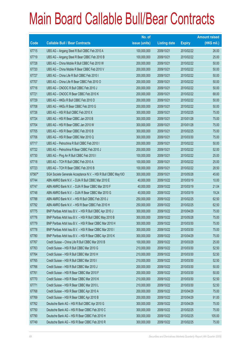|        |                                                               | No. of        |                     |               | <b>Amount raised</b> |
|--------|---------------------------------------------------------------|---------------|---------------------|---------------|----------------------|
| Code   | <b>Callable Bull / Bear Contracts</b>                         | issue (units) | <b>Listing date</b> | <b>Expiry</b> | $(HK$$ mil.)         |
| 67715  | UBS AG - Angang Steel R Bull CBBC Feb 2010 A                  | 100,000,000   | 2009/10/21          | 2010/02/22    | 26.00                |
| 67719  | UBS AG - Angang Steel R Bear CBBC Feb 2010 B                  | 100,000,000   | 2009/10/21          | 2010/02/22    | 25.00                |
| 67728  | UBS AG - China Mobile R Bull CBBC Feb 2010 W                  | 200,000,000   | 2009/10/21          | 2010/02/22    | 50.00                |
| 67720  | UBS AG - China Mobile R Bear CBBC Feb 2010 V                  | 200,000,000   | 2009/10/21          | 2010/02/22    | 50.00                |
| 67727  | UBS AG - China Life R Bull CBBC Feb 2010 I                    | 200,000,000   | 2009/10/21          | 2010/02/22    | 50.00                |
| 67707  | UBS AG - China Life R Bear CBBC Feb 2010 O                    | 200,000,000   | 2009/10/21          | 2010/02/22    | 50.00                |
| 67716  | UBS AG - CNOOC R Bull CBBC Feb 2010 J                         | 200,000,000   | 2009/10/21          | 2010/02/22    | 50.00                |
| 67721  | UBS AG - CNOOC R Bear CBBC Feb 2010 K                         | 200,000,000   | 2009/10/21          | 2010/02/22    | 68.00                |
| 67729  | UBS AG - HKEx R Bull CBBC Feb 2010 D                          | 200,000,000   | 2009/10/21          | 2010/02/22    | 50.00                |
| 67708  | UBS AG - HKEx R Bear CBBC Feb 2010 G                          | 200,000,000   | 2009/10/21          | 2010/02/22    | 50.00                |
| 67726  | UBS AG - HSI R Bull CBBC Feb 2010 X                           | 300,000,000   | 2009/10/21          | 2010/02/25    | 75.00                |
| 67724  | UBS AG - HSI R Bear CBBC Jan 2010 B                           | 300,000,000   | 2009/10/21          | 2010/01/28    | 75.00                |
| 67704  | UBS AG - HSI R Bear CBBC Jan 2010 W                           | 300,000,000   | 2009/10/21          | 2010/01/28    | 75.00                |
| 67705  | UBS AG - HSI R Bear CBBC Feb 2010 B                           | 300,000,000   | 2009/10/21          | 2010/02/25    | 75.00                |
| 67706  | UBS AG - HSI R Bear CBBC Mar 2010 Q                           | 300,000,000   | 2009/10/21          | 2010/03/30    | 75.00                |
| 67717  | UBS AG - Petrochina R Bull CBBC Feb 2010 I                    | 200,000,000   | 2009/10/21          | 2010/02/22    | 50.00                |
| 67722  | UBS AG - Petrochina R Bear CBBC Feb 2010 J                    | 200,000,000   | 2009/10/21          | 2010/02/22    | 52.00                |
| 67730  | UBS AG - Ping An R Bull CBBC Feb 2010 I                       | 100,000,000   | 2009/10/21          | 2010/02/22    | 25.00                |
| 67718  | UBS AG - TCH R Bull CBBC Feb 2010 A                           | 100,000,000   | 2009/10/21          | 2010/02/22    | 25.00                |
| 67723  | UBS AG - TCH R Bear CBBC Feb 2010 B                           | 100,000,000   | 2009/10/21          | 2010/02/22    | 28.50                |
| 67567# | SGA Societe Generale Acceptance N.V. - HSI R Bull CBBC May100 | 300,000,000   | 2009/10/21          | 2010/05/28    | 45.60                |
| 67744  | ABN AMRO Bank N.V. - DJIA R Bull CBBC Mar 2010 E              | 40,000,000    | 2009/10/22          | 2010/03/19    | 10.00                |
| 67747  | ABN AMRO Bank N.V. - DJIA R Bear CBBC Mar 2010 F              | 40,000,000    | 2009/10/22          | 2010/03/19    | 21.04                |
| 67748  | ABN AMRO Bank N.V. - DJIA R Bear CBBC Mar 2010 G              | 40,000,000    | 2009/10/22          | 2010/03/19    | 19.24                |
| 67788  | ABN AMRO Bank N.V. - HSI R Bull CBBC Feb 2010 J               | 250,000,000   | 2009/10/22          | 2010/02/25    | 62.50                |
| 67792  | ABN AMRO Bank N.V. - HSI R Bear CBBC Feb 2010 H               | 250,000,000   | 2009/10/22          | 2010/02/25    | 62.50                |
| 67775  | BNP Paribas Arbit Issu B.V. - HSI R Bull CBBC Apr 2010 J      | 300,000,000   | 2009/10/22          | 2010/04/29    | 75.00                |
| 67776  | BNP Paribas Arbit Issu B.V. - HSI R Bull CBBC May 2010 B      | 300,000,000   | 2009/10/22          | 2010/05/28    | 75.00                |
| 67779  | BNP Paribas Arbit Issu B.V. - HSI R Bear CBBC Mar 2010 H      | 300,000,000   | 2009/10/22          | 2010/03/30    | 75.00                |
| 67778  | BNP Paribas Arbit Issu B.V. - HSI R Bear CBBC Mar 2010 I      | 300,000,000   | 2009/10/22          | 2010/03/30    | 75.00                |
| 67780  | BNP Paribas Arbit Issu B.V. - HSI R Bear CBBC Apr 2010 K      | 300,000,000   | 2009/10/22          | 2010/04/29    | 75.00                |
| 67767  | Credit Suisse - China Life R Bull CBBC Mar 2010 B             | 100,000,000   | 2009/10/22          | 2010/03/29    | 25.00                |
| 67763  | Credit Suisse - HSI R Bull CBBC Mar 2010 G                    | 210,000,000   | 2009/10/22          | 2010/03/30    | 52.50                |
| 67764  | Credit Suisse - HSI R Bull CBBC Mar 2010 H                    | 210,000,000   | 2009/10/22          | 2010/03/30    | 52.50                |
| 67765  | Credit Suisse - HSI R Bull CBBC Mar 2010 I                    | 210,000,000   | 2009/10/22          | 2010/03/30    | 52.50                |
| 67766  | Credit Suisse - HSI R Bull CBBC Mar 2010 J                    | 200,000,000   | 2009/10/22          | 2010/03/30    | 50.00                |
| 67761  | Credit Suisse - HSI R Bear CBBC Mar 2010 F                    | 200,000,000   | 2009/10/22          | 2010/03/30    | 50.00                |
| 67770  | Credit Suisse - HSI R Bear CBBC Mar 2010 K                    | 210,000,000   | 2009/10/22          | 2010/03/30    | 52.50                |
| 67771  | Credit Suisse - HSI R Bear CBBC Mar 2010 L                    | 210,000,000   | 2009/10/22          | 2010/03/30    | 52.50                |
| 67768  | Credit Suisse - HSI R Bear CBBC Apr 2010 A                    | 200,000,000   | 2009/10/22          | 2010/04/29    | 75.00                |
| 67769  | Credit Suisse - HSI R Bear CBBC Apr 2010 B                    | 200,000,000   | 2009/10/22          | 2010/04/29    | 91.00                |
| 67762  | Deutsche Bank AG - HSI R Bull CBBC Apr 2010 G                 | 300,000,000   | 2009/10/22          | 2010/04/29    | 75.00                |
| 67750  | Deutsche Bank AG - HSI R Bear CBBC Feb 2010 C                 | 300,000,000   | 2009/10/22          | 2010/02/25    | 75.00                |
| 67790  | Deutsche Bank AG - HSI R Bear CBBC Feb 2010 H                 | 300,000,000   | 2009/10/22          | 2010/02/25    | 105.00               |
| 67749  | Deutsche Bank AG - HSI R Bear CBBC Feb 2010 R                 | 300,000,000   | 2009/10/22          | 2010/02/25    | 75.00                |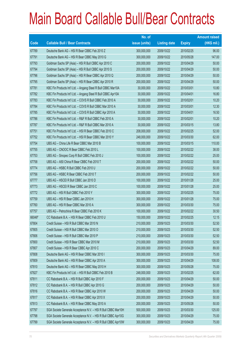|        |                                                               | No. of        |                     |               | <b>Amount raised</b> |
|--------|---------------------------------------------------------------|---------------|---------------------|---------------|----------------------|
| Code   | <b>Callable Bull / Bear Contracts</b>                         | issue (units) | <b>Listing date</b> | <b>Expiry</b> | $(HK$$ mil.)         |
| 67789  | Deutsche Bank AG - HSI R Bear CBBC Feb 2010 Z                 | 300,000,000   | 2009/10/22          | 2010/02/25    | 96.00                |
| 67791  | Deutsche Bank AG - HSI R Bear CBBC May 2010 G                 | 300,000,000   | 2009/10/22          | 2010/05/28    | 147.00               |
| 67793  | Goldman Sachs SP (Asia) - HSI R Bull CBBC Apr 2010 C          | 200,000,000   | 2009/10/22          | 2010/04/29    | 50.00                |
| 67794  | Goldman Sachs SP (Asia) - HSI R Bull CBBC Apr 2010 S          | 200,000,000   | 2009/10/22          | 2010/04/29    | 50.00                |
| 67796  | Goldman Sachs SP (Asia) - HSI R Bear CBBC Apr 2010 Q          | 200,000,000   | 2009/10/22          | 2010/04/29    | 50.00                |
| 67795  | Goldman Sachs SP (Asia) - HSI R Bear CBBC Apr 2010 R          | 200,000,000   | 2009/10/22          | 2010/04/29    | 50.00                |
| 67781  | KBC Fin Products Int'l Ltd. - Angang Steel R Bull CBBC Mar10A | 30,000,000    | 2009/10/22          | 2010/03/01    | 10.80                |
| 67782  | KBC Fin Products Int'l Ltd. - Angang Steel R Bull CBBC Apr10A | 30,000,000    | 2009/10/22          | 2010/04/01    | 16.80                |
| 67783  | KBC Fin Products Int'l Ltd. - COVS R Bull CBBC Feb 2010 A     | 30,000,000    | 2009/10/22          | 2010/02/01    | 10.20                |
| 67784  | KBC Fin Products Int'l Ltd. - COVS R Bull CBBC Mar 2010 A     | 30,000,000    | 2009/10/22          | 2010/03/01    | 12.30                |
| 67785  | KBC Fin Products Int'l Ltd. - COVS R Bull CBBC Apr 2010 A     | 30,000,000    | 2009/10/22          | 2010/04/01    | 16.50                |
| 67786  | KBC Fin Products Int'l Ltd. - R&F R Bull CBBC Feb 2010 A      | 30,000,000    | 2009/10/22          | 2010/02/01    | 10.20                |
| 67787  | KBC Fin Products Int'l Ltd. - R&F R Bull CBBC Mar 2010 A      | 30,000,000    | 2009/10/22          | 2010/03/15    | 13.80                |
| 67751  | KBC Fin Products Int'l Ltd. - HSI R Bear CBBC Feb 2010 C      | 208,000,000   | 2009/10/22          | 2010/02/25    | 52.00                |
| 67752  | KBC Fin Products Int'l Ltd. - HSI R Bear CBBC Mar 2010 Y      | 248,000,000   | 2009/10/22          | 2010/03/30    | 62.00                |
| 67754  | UBS AG - China Life R Bear CBBC Mar 2010 B                    | 100,000,000   | 2009/10/22          | 2010/03/15    | 110.00               |
| 67755  | UBS AG - CNOOC R Bear CBBC Feb 2010 L                         | 100,000,000   | 2009/10/22          | 2010/02/22    | 38.00                |
| 67753  | UBS AG - Sinopec Corp R Bull CBBC Feb 2010 J                  | 100,000,000   | 2009/10/22          | 2010/02/22    | 25.00                |
| 67758  | UBS AG - A50 China R Bear CBBC Feb 2010 T                     | 200,000,000   | 2009/10/22          | 2010/02/22    | 50.00                |
| 67774  | UBS AG - HSBC R Bull CBBC Feb 2010 U                          | 200,000,000   | 2009/10/22          | 2010/02/22    | 50.00                |
| 67756  | UBS AG - HSBC R Bear CBBC Feb 2010 T                          | 200,000,000   | 2009/10/22          | 2010/02/22    | 50.00                |
| 67777  | UBS AG - HSCEI R Bull CBBC Jan 2010 D                         | 100,000,000   | 2009/10/22          | 2010/01/28    | 25.00                |
| 67773  | UBS AG - HSCEI R Bear CBBC Jan 2010 C                         | 100,000,000   | 2009/10/22          | 2010/01/28    | 25.00                |
| 67772  | UBS AG - HSI R Bull CBBC Feb 2010 Y                           | 300,000,000   | 2009/10/22          | 2010/02/25    | 75.00                |
| 67759  | UBS AG - HSI R Bear CBBC Jan 2010 H                           | 300,000,000   | 2009/10/22          | 2010/01/28    | 75.00                |
| 67760  | UBS AG - HSI R Bear CBBC Mar 2010 A                           | 300,000,000   | 2009/10/22          | 2010/03/30    | 75.00                |
| 67757  | UBS AG - Petrochina R Bear CBBC Feb 2010 K                    | 100,000,000   | 2009/10/22          | 2010/02/22    | 30.50                |
| 66046# | CC Rabobank B.A. - HSI R Bear CBBC Feb 2010 U                 | 150,000,000   | 2009/10/22          | 2010/02/25    | 12.15                |
| 67804  | Credit Suisse - HSI R Bull CBBC Mar 2010 N                    | 210,000,000   | 2009/10/23          | 2010/03/30    | 52.50                |
| 67805  | Credit Suisse - HSI R Bull CBBC Mar 2010 O                    | 210,000,000   | 2009/10/23          | 2010/03/30    | 52.50                |
| 67806  | Credit Suisse - HSI R Bull CBBC Mar 2010 P                    | 210,000,000   | 2009/10/23          | 2010/03/30    | 52.50                |
| 67800  | Credit Suisse - HSI R Bear CBBC Mar 2010 M                    | 210,000,000   | 2009/10/23          | 2010/03/30    | 52.50                |
| 67807  | Credit Suisse - HSI R Bear CBBC Apr 2010 C                    | 200,000,000   | 2009/10/23          | 2010/04/29    | 89.00                |
| 67808  | Deutsche Bank AG - HSI R Bear CBBC Mar 2010 I                 | 300,000,000   | 2009/10/23          | 2010/03/30    | 75.00                |
| 67809  | Deutsche Bank AG - HSI R Bear CBBC Apr 2010 A                 | 300,000,000   | 2009/10/23          | 2010/04/29    | 108.00               |
| 67810  | Deutsche Bank AG - HSI R Bear CBBC May 2010 H                 | 300,000,000   | 2009/10/23          | 2010/05/28    | 75.00                |
| 67827  | KBC Fin Products Int'l Ltd. - HSI R Bull CBBC Feb 2010 B      | 248,000,000   | 2009/10/23          | 2010/02/25    | 62.00                |
| 67811  | CC Rabobank B.A. - HSI R Bull CBBC Apr 2010 F                 | 200,000,000   | 2009/10/23          | 2010/04/29    | 50.00                |
| 67812  | CC Rabobank B.A. - HSI R Bull CBBC Apr 2010 G                 | 200,000,000   | 2009/10/23          | 2010/04/29    | 50.00                |
| 67816  | CC Rabobank B.A. - HSI R Bear CBBC Apr 2010 W                 | 200,000,000   | 2009/10/23          | 2010/04/29    | 50.00                |
| 67817  | CC Rabobank B.A. - HSI R Bear CBBC Apr 2010 X                 | 200,000,000   | 2009/10/23          | 2010/04/29    | 50.00                |
| 67813  | CC Rabobank B.A. - HSI R Bear CBBC May 2010 A                 | 200,000,000   | 2009/10/23          | 2010/05/28    | 50.00                |
| 67797  | SGA Societe Generale Acceptance N.V. - HSI R Bull CBBC Mar10H | 500,000,000   | 2009/10/23          | 2010/03/30    | 125.00               |
| 67798  | SGA Societe Generale Acceptance N.V. - HSI R Bull CBBC Apr10G | 300,000,000   | 2009/10/23          | 2010/04/29    | 75.00                |
| 67799  | SGA Societe Generale Acceptance N.V. - HSI R Bull CBBC Apr10W | 300,000,000   | 2009/10/23          | 2010/04/29    | 75.00                |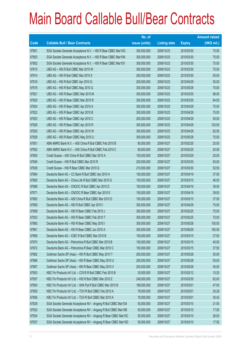|       |                                                                | No. of        |                     |               | <b>Amount raised</b> |
|-------|----------------------------------------------------------------|---------------|---------------------|---------------|----------------------|
| Code  | <b>Callable Bull / Bear Contracts</b>                          | issue (units) | <b>Listing date</b> | <b>Expiry</b> | $(HK$$ mil.)         |
| 67801 | SGA Societe Generale Acceptance N.V. - HSI R Bear CBBC Mar10G  | 300,000,000   | 2009/10/23          | 2010/03/30    | 75.00                |
| 67803 | SGA Societe Generale Acceptance N.V. - HSI R Bear CBBC Mar10N  | 300,000,000   | 2009/10/23          | 2010/03/30    | 75.00                |
| 67802 | SGA Societe Generale Acceptance N.V. - HSI R Bear CBBC Mar10V  | 300,000,000   | 2009/10/23          | 2010/03/30    | 75.00                |
| 67815 | UBS AG - HSI R Bull CBBC Mar 2010 W                            | 300,000,000   | 2009/10/23          | 2010/03/30    | 75.00                |
| 67814 | UBS AG - HSI R Bull CBBC Mar 2010 X                            | 200,000,000   | 2009/10/23          | 2010/03/30    | 50.00                |
| 67818 | UBS AG - HSI R Bull CBBC Apr 2010 Q                            | 200,000,000   | 2009/10/23          | 2010/04/29    | 50.00                |
| 67819 | UBS AG - HSI R Bull CBBC May 2010 Q                            | 300,000,000   | 2009/10/23          | 2010/05/28    | 75.00                |
| 67821 | UBS AG - HSI R Bear CBBC Mar 2010 M                            | 300,000,000   | 2009/10/23          | 2010/03/30    | 96.00                |
| 67820 | UBS AG - HSI R Bear CBBC Mar 2010 R                            | 300,000,000   | 2009/10/23          | 2010/03/30    | 84.00                |
| 67824 | UBS AG - HSI R Bear CBBC Apr 2010 A                            | 300,000,000   | 2009/10/23          | 2010/04/29    | 75.00                |
| 67822 | UBS AG - HSI R Bear CBBC Apr 2010 B                            | 300,000,000   | 2009/10/23          | 2010/04/29    | 75.00                |
| 67823 | UBS AG - HSI R Bear CBBC Apr 2010 C                            | 200,000,000   | 2009/10/23          | 2010/04/29    | 50.00                |
| 67826 | UBS AG - HSI R Bear CBBC Apr 2010 R                            | 300,000,000   | 2009/10/23          | 2010/04/29    | 102.00               |
| 67825 | UBS AG - HSI R Bear CBBC Apr 2010 W                            | 300,000,000   | 2009/10/23          | 2010/04/29    | 82.50                |
| 67828 | UBS AG - HSI R Bear CBBC May 2010 U                            | 300,000,000   | 2009/10/23          | 2010/05/28    | 75.00                |
| 67851 | ABN AMRO Bank N.V. - A50 China R Bull CBBC Feb 2010 B          | 80,000,000    | 2009/10/27          | 2010/02/25    | 20.00                |
| 67852 | ABN AMRO Bank N.V. - A50 China R Bull CBBC Feb 2010 C          | 80,000,000    | 2009/10/27          | 2010/02/25    | 20.00                |
| 67850 | Credit Suisse - A50 China R Bull CBBC Mar 2010 A               | 100,000,000   | 2009/10/27          | 2010/03/29    | 25.00                |
| 67849 | Credit Suisse - HSI R Bull CBBC Mar 2010 R                     | 200,000,000   | 2009/10/27          | 2010/03/30    | 50.00                |
| 67838 | Credit Suisse - HSI R Bear CBBC Mar 2010 Q                     | 210,000,000   | 2009/10/27          | 2010/03/30    | 52.50                |
| 67864 | Deutsche Bank AG - CC Bank R Bull CBBC Apr 2010 A              | 150,000,000   | 2009/10/27          | 2010/04/19    | 37.50                |
| 67865 | Deutsche Bank AG - China Life R Bull CBBC Mar 2010 G           | 150,000,000   | 2009/10/27          | 2010/03/15    | 46.50                |
| 67868 | Deutsche Bank AG - CNOOC R Bull CBBC Apr 2010 D                | 150,000,000   | 2009/10/27          | 2010/04/19    | 39.00                |
| 67871 | Deutsche Bank AG - CNOOC R Bear CBBC Apr 2010 E                | 150,000,000   | 2009/10/27          | 2010/04/19    | 39.00                |
| 67863 | Deutsche Bank AG - A50 China R Bull CBBC Mar 2010 D            | 150,000,000   | 2009/10/27          | 2010/03/15    | 37.50                |
| 67859 | Deutsche Bank AG - HSI R Bull CBBC Apr 2010 I                  | 300,000,000   | 2009/10/27          | 2010/04/29    | 75.00                |
| 67858 | Deutsche Bank AG - HSI R Bear CBBC Feb 2010 J                  | 300,000,000   | 2009/10/27          | 2010/02/25    | 75.00                |
| 67833 | Deutsche Bank AG - HSI R Bear CBBC Feb 2010 T                  | 300,000,000   | 2009/10/27          | 2010/02/25    | 75.00                |
| 67860 | Deutsche Bank AG - HSI R Bear CBBC May 2010 I                  | 300,000,000   | 2009/10/27          | 2010/05/28    | 105.00               |
| 67861 | Deutsche Bank AG - HSI R Bear CBBC Jun 2010 A                  | 300,000,000   | 2009/10/27          | 2010/06/29    | 165.00               |
| 67869 | Deutsche Bank AG - ICBC R Bull CBBC Mar 2010 B                 | 150,000,000   | 2009/10/27          | 2010/03/15    | 37.50                |
| 67870 | Deutsche Bank AG - Petrochina R Bull CBBC Mar 2010 B           | 150,000,000   | 2009/10/27          | 2010/03/15    | 40.50                |
| 67872 | Deutsche Bank AG - Petrochina R Bear CBBC Mar 2010 C           | 150,000,000   | 2009/10/27          | 2010/03/15    | 37.50                |
| 67862 | Goldman Sachs SP (Asia) - HSI R Bull CBBC May 2010 T           | 200,000,000   | 2009/10/27          | 2010/05/28    | 50.00                |
| 67866 | Goldman Sachs SP (Asia) - HSI R Bear CBBC May 2010 U           | 200,000,000   | 2009/10/27          | 2010/05/28    | 50.00                |
| 67867 | Goldman Sachs SP (Asia) - HSI R Bear CBBC May 2010 V           | 200,000,000   | 2009/10/27          | 2010/05/28    | 50.00                |
| 67853 | KBC Fin Products Int'l Ltd. - COVS R Bull CBBC Feb 2010 B      | 30,000,000    | 2009/10/27          | 2010/02/12    | 10.20                |
| 67857 | KBC Fin Products Int'l Ltd. - HSI R Bull CBBC Mar 2010 Z       | 248,000,000   | 2009/10/27          | 2010/03/30    | 62.00                |
| 67854 | KBC Fin Products Int'l Ltd. - SHK Ppt R Bull CBBC Mar 2010 B   | 188,000,000   | 2009/10/27          | 2010/03/01    | 47.00                |
| 67855 | KBC Fin Products Int'l Ltd. - TCH R Bull CBBC Feb 2010 A       | 78,000,000    | 2009/10/27          | 2010/02/01    | 20.28                |
| 67856 | KBC Fin Products Int'l Ltd. - TCH R Bull CBBC Mar 2010 A       | 78,000,000    | 2009/10/27          | 2010/03/01    | 30.42                |
| 67829 | SGA Societe Generale Acceptance NV - Angang R Bull CBBC Mar10A | 50,000,000    | 2009/10/27          | 2010/03/10    | 21.50                |
| 67832 | SGA Societe Generale Acceptance NV - Angang R Bull CBBC Mar10B | 50,000,000    | 2009/10/27          | 2010/03/10    | 17.00                |
| 67834 | SGA Societe Generale Acceptance NV - Angang R Bear CBBC Mar10C | 50,000,000    | 2009/10/27          | 2010/03/10    | 26.00                |
| 67837 | SGA Societe Generale Acceptance NV - Angang R Bear CBBC Mar10D | 50,000,000    | 2009/10/27          | 2010/03/10    | 17.50                |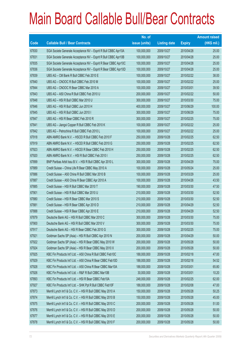|             |                                                                | No. of        |                     |               | <b>Amount raised</b> |
|-------------|----------------------------------------------------------------|---------------|---------------------|---------------|----------------------|
| <b>Code</b> | <b>Callable Bull / Bear Contracts</b>                          | issue (units) | <b>Listing date</b> | <b>Expiry</b> | $(HK$$ mil.)         |
| 67830       | SGA Societe Generale Acceptance NV - Esprit R Bull CBBC Apr10A | 100,000,000   | 2009/10/27          | 2010/04/28    | 25.00                |
| 67831       | SGA Societe Generale Acceptance NV - Esprit R Bull CBBC Apr10B | 100,000,000   | 2009/10/27          | 2010/04/28    | 25.00                |
| 67835       | SGA Societe Generale Acceptance NV - Esprit R Bear CBBC Apr10C | 100,000,000   | 2009/10/27          | 2010/04/28    | 25.00                |
| 67836       | SGA Societe Generale Acceptance NV - Esprit R Bear CBBC Apr10D | 100,000,000   | 2009/10/27          | 2010/04/28    | 25.00                |
| 67839       | UBS AG - CM Bank R Bull CBBC Feb 2010 E                        | 100,000,000   | 2009/10/27          | 2010/02/22    | 38.00                |
| 67840       | UBS AG - CNOOC R Bull CBBC Feb 2010 M                          | 100,000,000   | 2009/10/27          | 2010/02/22    | 25.00                |
| 67844       | UBS AG - CNOOC R Bear CBBC Mar 2010 A                          | 100,000,000   | 2009/10/27          | 2010/03/01    | 39.50                |
| 67843       | UBS AG - A50 China R Bull CBBC Feb 2010 U                      | 200,000,000   | 2009/10/27          | 2010/02/22    | 50.00                |
| 67848       | UBS AG - HSI R Bull CBBC Mar 2010 U                            | 300,000,000   | 2009/10/27          | 2010/03/30    | 75.00                |
| 67846       | UBS AG - HSI R Bull CBBC Jun 2010 H                            | 400,000,000   | 2009/10/27          | 2010/06/29    | 100.00               |
| 67845       | UBS AG - HSI R Bull CBBC Jun 2010 I                            | 300,000,000   | 2009/10/27          | 2010/06/29    | 75.00                |
| 67847       | UBS AG - HSI R Bear CBBC Feb 2010 R                            | 300,000,000   | 2009/10/27          | 2010/02/25    | 75.00                |
| 67841       | UBS AG - Jiangxi Copper R Bull CBBC Feb 2010 K                 | 100,000,000   | 2009/10/27          | 2010/02/22    | 25.00                |
| 67842       | UBS AG - Petrochina R Bull CBBC Feb 2010 L                     | 100,000,000   | 2009/10/27          | 2010/02/22    | 25.00                |
| 67918       | ABN AMRO Bank N.V. - HSCEI R Bull CBBC Feb 2010 F              | 250,000,000   | 2009/10/28          | 2010/02/25    | 62.50                |
| 67919       | ABN AMRO Bank N.V. - HSCEI R Bull CBBC Feb 2010 G              | 250,000,000   | 2009/10/28          | 2010/02/25    | 62.50                |
| 67923       | ABN AMRO Bank N.V. - HSCEI R Bear CBBC Feb 2010 H              | 250,000,000   | 2009/10/28          | 2010/02/25    | 62.50                |
| 67920       | ABN AMRO Bank N.V. - HSI R Bull CBBC Feb 2010 I                | 250,000,000   | 2009/10/28          | 2010/02/25    | 62.50                |
| 67899       | BNP Paribas Arbit Issu B.V. - HSI R Bull CBBC Apr 2010 L       | 300,000,000   | 2009/10/28          | 2010/04/29    | 75.00                |
| 67889       | Credit Suisse - China Life R Bear CBBC May 2010 A              | 100,000,000   | 2009/10/28          | 2010/05/24    | 25.00                |
| 67886       | Credit Suisse - A50 China R Bull CBBC Mar 2010 B               | 100,000,000   | 2009/10/28          | 2010/03/29    | 25.00                |
| 67887       | Credit Suisse - A50 China R Bear CBBC Apr 2010 A               | 100,000,000   | 2009/10/28          | 2010/04/26    | 43.50                |
| 67885       | Credit Suisse - HSI R Bull CBBC Mar 2010 T                     | 190,000,000   | 2009/10/28          | 2010/03/30    | 47.50                |
| 67901       | Credit Suisse - HSI R Bull CBBC Mar 2010 U                     | 210,000,000   | 2009/10/28          | 2010/03/30    | 52.50                |
| 67880       | Credit Suisse - HSI R Bear CBBC Mar 2010 S                     | 210,000,000   | 2009/10/28          | 2010/03/30    | 52.50                |
| 67881       | Credit Suisse - HSI R Bear CBBC Apr 2010 D                     | 210,000,000   | 2009/10/28          | 2010/04/29    | 52.50                |
| 67888       | Credit Suisse - HSI R Bear CBBC Apr 2010 E                     | 210,000,000   | 2009/10/28          | 2010/04/29    | 52.50                |
| 67879       | Deutsche Bank AG - HSI R Bull CBBC Mar 2010 C                  | 300,000,000   | 2009/10/28          | 2010/03/30    | 75.00                |
| 67900       | Deutsche Bank AG - HSI R Bull CBBC Mar 2010 V                  | 300,000,000   | 2009/10/28          | 2010/03/30    | 75.00                |
| 67917       | Deutsche Bank AG - HSI R Bear CBBC Feb 2010 G                  | 300,000,000   | 2009/10/28          | 2010/02/25    | 75.00                |
| 67921       | Goldman Sachs SP (Asia) - HSI R Bull CBBC Apr 2010 N           | 200,000,000   | 2009/10/28          | 2010/04/29    | 50.00                |
| 67922       | Goldman Sachs SP (Asia) - HSI R Bear CBBC May 2010 W           | 200,000,000   | 2009/10/28          | 2010/05/28    | 50.00                |
| 67924       | Goldman Sachs SP (Asia) - HSI R Bear CBBC May 2010 X           | 200,000,000   | 2009/10/28          | 2010/05/28    | 50.00                |
| 67925       | KBC Fin Products Int'l Ltd. - A50 China R Bull CBBC Feb10C     | 188,000,000   | 2009/10/28          | 2010/02/18    | 47.00                |
| 67929       | KBC Fin Products Int'l Ltd. - A50 China R Bear CBBC Feb10D     | 188,000,000   | 2009/10/28          | 2010/02/18    | 54.52                |
| 67928       | KBC Fin Products Int'l Ltd. - A50 China R Bear CBBC Mar10A     | 188,000,000   | 2009/10/28          | 2010/03/01    | 65.80                |
| 67926       | KBC Fin Products Int'l Ltd. - R&F R Bull CBBC Mar10B           | 30,000,000    | 2009/10/28          | 2010/03/01    | 10.20                |
| 67893       | KBC Fin Products Int'l Ltd. - HSI R Bear CBBC Feb10A           | 248,000,000   | 2009/10/28          | 2010/02/25    | 62.00                |
| 67927       | KBC Fin Products Int'l Ltd. - SHK Ppt R Bull CBBC Feb10F       | 188,000,000   | 2009/10/28          | 2010/02/08    | 47.00                |
| 67873       | Merrill Lynch Int'l & Co. C.V. - HSI R Bull CBBC May 2010 A    | 150,000,000   | 2009/10/28          | 2010/05/28    | 50.25                |
| 67874       | Merrill Lynch Int'l & Co. C.V. - HSI R Bull CBBC May 2010 B    | 150,000,000   | 2009/10/28          | 2010/05/28    | 45.00                |
| 67875       | Merrill Lynch Int'l & Co. C.V. - HSI R Bull CBBC May 2010 C    | 200,000,000   | 2009/10/28          | 2010/05/28    | 51.00                |
| 67876       | Merrill Lynch Int'l & Co. C.V. - HSI R Bull CBBC May 2010 D    | 200,000,000   | 2009/10/28          | 2010/05/28    | 50.00                |
| 67877       | Merrill Lynch Int'l & Co. C.V. - HSI R Bull CBBC May 2010 E    | 200,000,000   | 2009/10/28          | 2010/05/28    | 50.00                |
| 67878       | Merrill Lynch Int'l & Co. C.V. - HSI R Bull CBBC May 2010 F    | 200,000,000   | 2009/10/28          | 2010/05/28    | 50.00                |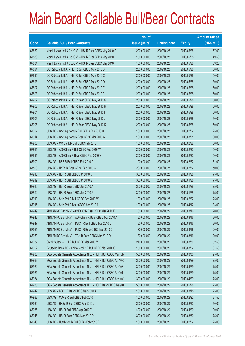|                          |                                                               | No. of        |                     |               | <b>Amount raised</b> |
|--------------------------|---------------------------------------------------------------|---------------|---------------------|---------------|----------------------|
| $\overline{\text{Code}}$ | <b>Callable Bull / Bear Contracts</b>                         | issue (units) | <b>Listing date</b> | <b>Expiry</b> | (HK\$ mil.)          |
| 67882                    | Merrill Lynch Int'l & Co. C.V. - HSI R Bear CBBC May 2010 G   | 200,000,000   | 2009/10/28          | 2010/05/28    | 57.00                |
| 67883                    | Merrill Lynch Int'l & Co. C.V. - HSI R Bear CBBC May 2010 H   | 150,000,000   | 2009/10/28          | 2010/05/28    | 49.50                |
| 67884                    | Merrill Lynch Int'l & Co. C.V. - HSI R Bear CBBC May 2010 I   | 150,000,000   | 2009/10/28          | 2010/05/28    | 59.25                |
| 67894                    | CC Rabobank B.A. - HSI R Bull CBBC May 2010 B                 | 200,000,000   | 2009/10/28          | 2010/05/28    | 50.00                |
| 67895                    | CC Rabobank B.A. - HSI R Bull CBBC May 2010 C                 | 200,000,000   | 2009/10/28          | 2010/05/28    | 50.00                |
| 67896                    | CC Rabobank B.A. - HSI R Bull CBBC May 2010 D                 | 200,000,000   | 2009/10/28          | 2010/05/28    | 50.00                |
| 67897                    | CC Rabobank B.A. - HSI R Bull CBBC May 2010 E                 | 200,000,000   | 2009/10/28          | 2010/05/28    | 50.00                |
| 67898                    | CC Rabobank B.A. - HSI R Bull CBBC May 2010 F                 | 200,000,000   | 2009/10/28          | 2010/05/28    | 50.00                |
| 67902                    | CC Rabobank B.A. - HSI R Bear CBBC May 2010 G                 | 200,000,000   | 2009/10/28          | 2010/05/28    | 50.00                |
| 67903                    | CC Rabobank B.A. - HSI R Bear CBBC May 2010 H                 | 200,000,000   | 2009/10/28          | 2010/05/28    | 50.00                |
| 67904                    | CC Rabobank B.A. - HSI R Bear CBBC May 2010 I                 | 200,000,000   | 2009/10/28          | 2010/05/28    | 50.00                |
| 67905                    | CC Rabobank B.A. - HSI R Bear CBBC May 2010 J                 | 200,000,000   | 2009/10/28          | 2010/05/28    | 50.00                |
| 67906                    | CC Rabobank B.A. - HSI R Bear CBBC May 2010 K                 | 200,000,000   | 2009/10/28          | 2010/05/28    | 50.00                |
| 67907                    | UBS AG - Cheung Kong R Bull CBBC Feb 2010 O                   | 100,000,000   | 2009/10/28          | 2010/02/22    | 25.00                |
| 67914                    | UBS AG - Cheung Kong R Bear CBBC Mar 2010 A                   | 100,000,000   | 2009/10/28          | 2010/03/01    | 30.00                |
| 67908                    | UBS AG - CM Bank R Bull CBBC Feb 2010 F                       | 100,000,000   | 2009/10/28          | 2010/02/22    | 36.00                |
| 67911                    | UBS AG - A50 China R Bull CBBC Feb 2010 W                     | 200,000,000   | 2009/10/28          | 2010/02/22    | 50.00                |
| 67891                    | UBS AG - A50 China R Bear CBBC Feb 2010 V                     | 200,000,000   | 2009/10/28          | 2010/02/22    | 50.00                |
| 67909                    | UBS AG - R&F R Bull CBBC Feb 2010 D                           | 100,000,000   | 2009/10/28          | 2010/02/22    | 31.00                |
| 67890                    | UBS AG - HKEx R Bear CBBC Feb 2010 C                          | 200,000,000   | 2009/10/28          | 2010/02/22    | 50.00                |
| 67913                    | UBS AG - HSI R Bull CBBC Jan 2010 D                           | 300,000,000   | 2009/10/28          | 2010/01/28    | 75.00                |
| 67912                    | UBS AG - HSI R Bull CBBC Jan 2010 G                           | 300,000,000   | 2009/10/28          | 2010/01/28    | 75.00                |
| 67916                    | UBS AG - HSI R Bear CBBC Jan 2010 A                           | 300,000,000   | 2009/10/28          | 2010/01/28    | 75.00                |
| 67892                    | UBS AG - HSI R Bear CBBC Jan 2010 Z                           | 300,000,000   | 2009/10/28          | 2010/01/28    | 75.00                |
| 67910                    | UBS AG - SHK Ppt R Bull CBBC Feb 2010 W                       | 100,000,000   | 2009/10/28          | 2010/02/22    | 25.00                |
| 67915                    | UBS AG - SHK Ppt R Bear CBBC Apr 2010 A                       | 100,000,000   | 2009/10/28          | 2010/04/12    | 33.00                |
| 67949                    | ABN AMRO Bank N.V. - CNOOC R Bear CBBC Mar 2010 E             | 80,000,000    | 2009/10/29          | 2010/03/16    | 20.00                |
| 67948                    | ABN AMRO Bank N.V. - A50 China R Bear CBBC Mar 2010 A         | 80,000,000    | 2009/10/29          | 2010/03/16    | 20.00                |
| 67947                    | ABN AMRO Bank N.V. - PetCh R Bull CBBC Mar 2010 C             | 80,000,000    | 2009/10/29          | 2010/03/16    | 20.00                |
| 67951                    | ABN AMRO Bank N.V. - PetCh R Bear CBBC Mar 2010 D             | 80,000,000    | 2009/10/29          | 2010/03/16    | 20.00                |
| 67950                    | ABN AMRO Bank N.V. - TCH R Bear CBBC Mar 2010 D               | 80,000,000    | 2009/10/29          | 2010/03/16    | 20.00                |
| 67937                    | Credit Suisse - HSI R Bull CBBC Mar 2010 V                    | 210,000,000   | 2009/10/29          | 2010/03/30    | 52.50                |
| 67952                    | Deutsche Bank AG - China Mobile R Bull CBBC Mar 2010 C        | 150,000,000   | 2009/10/29          | 2010/03/22    | 37.50                |
| 67930                    | SGA Societe Generale Acceptance N.V. - HSI R Bull CBBC Mar10M | 500,000,000   | 2009/10/29          | 2010/03/30    | 125.00               |
| 67933                    | SGA Societe Generale Acceptance N.V. - HSI R Bull CBBC Apr10R | 300,000,000   | 2009/10/29          | 2010/04/29    | 75.00                |
| 67932                    | SGA Societe Generale Acceptance N.V. - HSI R Bull CBBC Apr10S | 300,000,000   | 2009/10/29          | 2010/04/29    | 75.00                |
| 67931                    | SGA Societe Generale Acceptance N.V. - HSI R Bull CBBC Apr10T | 300,000,000   | 2009/10/29          | 2010/04/29    | 75.00                |
| 67934                    | SGA Societe Generale Acceptance N.V. - HSI R Bull CBBC Apr10Y | 300,000,000   | 2009/10/29          | 2010/04/29    | 75.00                |
| 67935                    | SGA Societe Generale Acceptance N.V. - HSI R Bear CBBC May10H | 500,000,000   | 2009/10/29          | 2010/05/28    | 125.00               |
| 67942                    | UBS AG - BOCL R Bear CBBC Mar 2010 A                          | 100,000,000   | 2009/10/29          | 2010/03/15    | 25.00                |
| 67938                    | UBS AG - COVS R Bull CBBC Feb 2010 I                          | 100,000,000   | 2009/10/29          | 2010/02/22    | 27.50                |
| 67939                    | UBS AG - HKEx R Bull CBBC Feb 2010 J                          | 200,000,000   | 2009/10/29          | 2010/02/22    | 50.00                |
| 67936                    | UBS AG - HSI R Bull CBBC Apr 2010 Y                           | 400,000,000   | 2009/10/29          | 2010/04/29    | 100.00               |
| 67946                    | UBS AG - HSI R Bear CBBC Mar 2010 P                           | 300,000,000   | 2009/10/29          | 2010/03/30    | 75.00                |
| 67940                    | UBS AG - Hutchison R Bull CBBC Feb 2010 F                     | 100,000,000   | 2009/10/29          | 2010/02/22    | 25.00                |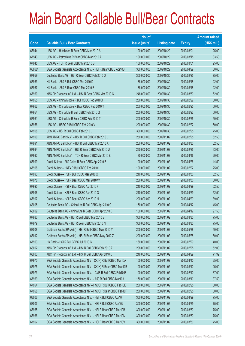|             |                                                                | No. of        |                     |               | <b>Amount raised</b> |
|-------------|----------------------------------------------------------------|---------------|---------------------|---------------|----------------------|
| <b>Code</b> | <b>Callable Bull / Bear Contracts</b>                          | issue (units) | <b>Listing date</b> | <b>Expiry</b> | $(HK$$ mil.)         |
| 67944       | UBS AG - Hutchison R Bear CBBC Mar 2010 A                      | 100,000,000   | 2009/10/29          | 2010/03/01    | 25.00                |
| 67943       | UBS AG - Petrochina R Bear CBBC Mar 2010 A                     | 100,000,000   | 2009/10/29          | 2010/03/15    | 33.50                |
| 67945       | UBS AG - TCH R Bear CBBC Mar 2010 B                            | 100,000,000   | 2009/10/29          | 2010/03/01    | 25.00                |
| 65968#      | SGA Societe Generale Acceptance N.V. - HSI R Bear CBBC Apr10B  | 300,000,000   | 2009/10/29          | 2010/04/29    | 30.60                |
| 67959       | Deutsche Bank AG - HSI R Bear CBBC Feb 2010 O                  | 300,000,000   | 2009/10/30          | 2010/02/25    | 75.00                |
| 67953       | HK Bank - A50 R Bull CBBC Mar 2010 D                           | 88,000,000    | 2009/10/30          | 2010/03/18    | 22.00                |
| 67957       | HK Bank - A50 R Bear CBBC Mar 2010 E                           | 88,000,000    | 2009/10/30          | 2010/03/18    | 22.00                |
| 67960       | KBC Fin Products Int'l Ltd. - HSI R Bear CBBC Mar 2010 C       | 248,000,000   | 2009/10/30          | 2010/03/30    | 62.00                |
| 67955       | UBS AG - China Mobile R Bull CBBC Feb 2010 X                   | 200,000,000   | 2009/10/30          | 2010/02/22    | 50.00                |
| 67962       | UBS AG - China Mobile R Bear CBBC Feb 2010 Y                   | 200,000,000   | 2009/10/30          | 2010/02/25    | 50.00                |
| 67954       | UBS AG - China Life R Bull CBBC Feb 2010 Q                     | 200,000,000   | 2009/10/30          | 2010/02/22    | 50.00                |
| 67961       | UBS AG - China Life R Bear CBBC Feb 2010 T                     | 200,000,000   | 2009/10/30          | 2010/02/25    | 50.00                |
| 67956       | UBS AG - HSBC R Bull CBBC Feb 2010 V                           | 200,000,000   | 2009/10/30          | 2010/02/22    | 50.00                |
| 67958       | UBS AG - HSI R Bull CBBC Feb 2010 L                            | 300,000,000   | 2009/10/30          | 2010/02/25    | 75.00                |
| 67990       | ABN AMRO Bank N.V. - HSI R Bull CBBC Feb 2010 L                | 250,000,000   | 2009/11/02          | 2010/02/25    | 62.50                |
| 67991       | ABN AMRO Bank N.V. - HSI R Bull CBBC Mar 2010 A                | 250,000,000   | 2009/11/02          | 2010/03/30    | 62.50                |
| 67994       | ABN AMRO Bank N.V. - HSI R Bear CBBC Feb 2010 U                | 250,000,000   | 2009/11/02          | 2010/02/25    | 63.00                |
| 67992       | ABN AMRO Bank N.V. - TCH R Bear CBBC Mar 2010 E                | 80,000,000    | 2009/11/02          | 2010/03/16    | 20.00                |
| 67999       | Credit Suisse - A50 China R Bear CBBC Apr 2010 B               | 100,000,000   | 2009/11/02          | 2010/04/26    | 44.50                |
| 67998       | Credit Suisse - HKEx R Bull CBBC Feb 2010 I                    | 100,000,000   | 2009/11/02          | 2010/02/22    | 25.00                |
| 67993       | Credit Suisse - HSI R Bull CBBC Mar 2010 X                     | 210,000,000   | 2009/11/02          | 2010/03/30    | 52.50                |
| 67978       | Credit Suisse - HSI R Bear CBBC Mar 2010 W                     | 200,000,000   | 2009/11/02          | 2010/03/30    | 50.00                |
| 67995       | Credit Suisse - HSI R Bear CBBC Apr 2010 F                     | 210,000,000   | 2009/11/02          | 2010/04/29    | 52.50                |
| 67996       | Credit Suisse - HSI R Bear CBBC Apr 2010 G                     | 210,000,000   | 2009/11/02          | 2010/04/29    | 52.50                |
| 67997       | Credit Suisse - HSI R Bear CBBC Apr 2010 H                     | 200,000,000   | 2009/11/02          | 2010/04/29    | 89.00                |
| 68005       | Deutsche Bank AG - China Life R Bull CBBC Apr 2010 C           | 150,000,000   | 2009/11/02          | 2010/04/12    | 45.00                |
| 68009       | Deutsche Bank AG - China Life R Bear CBBC Apr 2010 D           | 150,000,000   | 2009/11/02          | 2010/04/12    | 97.50                |
| 67983       | Deutsche Bank AG - HSI R Bull CBBC Mar 2010 S                  | 300,000,000   | 2009/11/02          | 2010/03/30    | 75.00                |
| 67979       | Deutsche Bank AG - HSI R Bear CBBC Mar 2010 N                  | 300,000,000   | 2009/11/02          | 2010/03/30    | 75.00                |
| 68008       | Goldman Sachs SP (Asia) - HSI R Bull CBBC May 2010 Y           | 200,000,000   | 2009/11/02          | 2010/05/28    | 50.00                |
| 68012       | Goldman Sachs SP (Asia) - HSI R Bear CBBC May 2010 Z           | 200,000,000   | 2009/11/02          | 2010/05/28    | 50.00                |
| 67963       | HK Bank - HSI R Bull CBBC Jul 2010 C                           | 160,000,000   | 2009/11/02          | 2010/07/29    | 40.00                |
| 68002       | KBC Fin Products Int'l Ltd. - HSI R Bull CBBC Feb 2010 Z       | 208,000,000   | 2009/11/02          | 2010/02/25    | 52.00                |
| 68003       | KBC Fin Products Int'l Ltd. - HSI R Bull CBBC Apr 2010 D       | 248,000,000   | 2009/11/02          | 2010/04/29    | 71.92                |
| 67970       | SGA Societe Generale Acceptance N.V - CK(H) R Bull CBBC Mar10A | 100,000,000   | 2009/11/02          | 2010/03/10    | 25.00                |
| 67975       | SGA Societe Generale Acceptance N.V - CK(H) R Bear CBBC Mar10B | 100,000,000   | 2009/11/02          | 2010/03/10    | 25.00                |
| 67973       | SGA Societe Generale Acceptance N.V. - CMB R Bull CBBC Feb10 E | 100,000,000   | 2009/11/02          | 2010/02/10    | 37.00                |
| 67969       | SGA Societe Generale Acceptance N.V. - A50 R Bull CBBC Mar10A  | 150,000,000   | 2009/11/02          | 2010/03/10    | 37.50                |
| 67964       | SGA Societe Generale Acceptance NV - HSCEI R Bull CBBC Feb10E  | 200,000,000   | 2009/11/02          | 2010/02/25    | 50.00                |
| 67968       | SGA Societe Generale Acceptance NV - HSCEI R Bear CBBC Feb10F  | 200,000,000   | 2009/11/02          | 2010/02/25    | 50.00                |
| 68006       | SGA Societe Generale Acceptance N.V. - HSI R Bull CBBC Apr101  | 300,000,000   | 2009/11/02          | 2010/04/29    | 75.00                |
| 68007       | SGA Societe Generale Acceptance N.V. - HSI R Bull CBBC Apr10J  | 300,000,000   | 2009/11/02          | 2010/04/29    | 75.00                |
| 67965       | SGA Societe Generale Acceptance N.V. - HSI R Bear CBBC Mar10B  | 300,000,000   | 2009/11/02          | 2010/03/30    | 75.00                |
| 67966       | SGA Societe Generale Acceptance N.V. - HSI R Bear CBBC Mar10N  | 300,000,000   | 2009/11/02          | 2010/03/30    | 75.00                |
| 67967       | SGA Societe Generale Acceptance N.V. - HSI R Bear CBBC Mar10V  | 300,000,000   | 2009/11/02          | 2010/03/30    | 75.00                |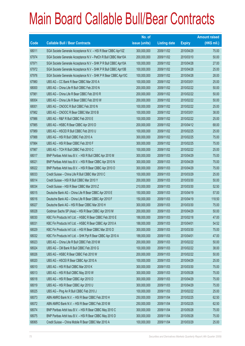|             |                                                                | No. of        |                     |               | <b>Amount raised</b> |
|-------------|----------------------------------------------------------------|---------------|---------------------|---------------|----------------------|
| <b>Code</b> | <b>Callable Bull / Bear Contracts</b>                          | issue (units) | <b>Listing date</b> | <b>Expiry</b> | $(HK$$ mil.)         |
| 68011       | SGA Societe Generale Acceptance N.V. - HSI R Bear CBBC Apr10Z  | 300,000,000   | 2009/11/02          | 2010/04/29    | 75.00                |
| 67974       | SGA Societe Generale Acceptance N.V - PetCh R Bull CBBC Mar10A | 200,000,000   | 2009/11/02          | 2010/03/10    | 50.00                |
| 67971       | SGA Societe Generale Acceptance N.V - SHK P R Bull CBBC Apr10A | 100,000,000   | 2009/11/02          | 2010/04/28    | 27.00                |
| 67972       | SGA Societe Generale Acceptance N.V - SHK P R Bull CBBC Apr10B | 100,000,000   | 2009/11/02          | 2010/04/28    | 25.00                |
| 67976       | SGA Societe Generale Acceptance N.V - SHK P R Bear CBBC Apr10C | 100,000,000   | 2009/11/02          | 2010/04/28    | 28.00                |
| 67980       | UBS AG - CC Bank R Bear CBBC Mar 2010 A                        | 100,000,000   | 2009/11/02          | 2010/03/01    | 25.00                |
| 68000       | UBS AG - China Life R Bull CBBC Feb 2010 N                     | 200,000,000   | 2009/11/02          | 2010/02/22    | 50.00                |
| 67981       | UBS AG - China Life R Bear CBBC Feb 2010 R                     | 200,000,000   | 2009/11/02          | 2010/02/22    | 50.00                |
| 68004       | UBS AG - China Life R Bear CBBC Feb 2010 W                     | 200,000,000   | 2009/11/02          | 2010/02/22    | 50.00                |
| 68001       | UBS AG - CNOOC R Bull CBBC Feb 2010 N                          | 100,000,000   | 2009/11/02          | 2010/02/22    | 25.00                |
| 67982       | UBS AG - CNOOC R Bear CBBC Mar 2010 B                          | 100,000,000   | 2009/11/02          | 2010/03/01    | 38.00                |
| 67986       | UBS AG - R&F R Bull CBBC Feb 2010 E                            | 100,000,000   | 2009/11/02          | 2010/02/22    | 25.00                |
| 67985       | UBS AG - HSBC R Bear CBBC Apr 2010 D                           | 200,000,000   | 2009/11/02          | 2010/04/12    | 68.00                |
| 67989       | UBS AG - HSCEI R Bull CBBC Feb 2010 U                          | 100,000,000   | 2009/11/02          | 2010/02/25    | 25.00                |
| 67988       | UBS AG - HSI R Bull CBBC Feb 2010 A                            | 300,000,000   | 2009/11/02          | 2010/02/25    | 75.00                |
| 67984       | UBS AG - HSI R Bear CBBC Feb 2010 F                            | 300,000,000   | 2009/11/02          | 2010/02/25    | 75.00                |
| 67987       | UBS AG - TCH R Bull CBBC Feb 2010 C                            | 100,000,000   | 2009/11/02          | 2010/02/22    | 25.00                |
| 68017       | BNP Paribas Arbit Issu B.V. - HSI R Bull CBBC Apr 2010 M       | 300,000,000   | 2009/11/03          | 2010/04/29    | 75.00                |
| 68021       | BNP Paribas Arbit Issu B.V. - HSI R Bear CBBC Apr 2010 N       | 300,000,000   | 2009/11/03          | 2010/04/29    | 75.00                |
| 68022       | BNP Paribas Arbit Issu B.V. - HSI R Bear CBBC Apr 2010 O       | 300,000,000   | 2009/11/03          | 2010/04/29    | 75.00                |
| 68033       | Credit Suisse - China Life R Bull CBBC Mar 2010 C              | 100,000,000   | 2009/11/03          | 2010/03/29    | 25.00                |
| 68014       | Credit Suisse - HSI R Bull CBBC Mar 2010 Y                     | 200,000,000   | 2009/11/03          | 2010/03/30    | 50.00                |
| 68034       | Credit Suisse - HSI R Bear CBBC Mar 2010 Z                     | 210,000,000   | 2009/11/03          | 2010/03/30    | 52.50                |
| 68015       | Deutsche Bank AG - China Life R Bear CBBC Apr 2010 E           | 150,000,000   | 2009/11/03          | 2010/04/19    | 57.00                |
| 68016       | Deutsche Bank AG - China Life R Bear CBBC Apr 2010 F           | 150,000,000   | 2009/11/03          | 2010/04/19    | 118.50               |
| 68027       | Deutsche Bank AG - HSI R Bear CBBC Mar 2010 H                  | 300,000,000   | 2009/11/03          | 2010/03/30    | 75.00                |
| 68028       | Goldman Sachs SP (Asia) - HSI R Bear CBBC Apr 2010 M           | 200,000,000   | 2009/11/03          | 2010/04/29    | 50.00                |
| 68030       | KBC Fin Products Int'l Ltd. - HSBC R Bear CBBC Feb 2010 E      | 188,000,000   | 2009/11/03          | 2010/02/18    | 47.00                |
| 68031       | KBC Fin Products Int'l Ltd. - HSBC R Bear CBBC Apr 2010 A      | 188,000,000   | 2009/11/03          | 2010/04/01    | 54.52                |
| 68029       | KBC Fin Products Int'l Ltd. - HSI R Bear CBBC Mar 2010 D       | 300,000,000   | 2009/11/03          | 2010/03/30    | 75.00                |
| 68032       | KBC Fin Products Int'l Ltd. - SHK Ppt R Bear CBBC Apr 2010 A   | 188,000,000   | 2009/11/03          | 2010/04/01    | 47.00                |
| 68023       | UBS AG - China Life R Bull CBBC Feb 2010 M                     | 200,000,000   | 2009/11/03          | 2010/02/22    | 50.00                |
| 68024       | UBS AG - CM Bank R Bull CBBC Feb 2010 G                        | 100,000,000   | 2009/11/03          | 2010/02/22    | 38.00                |
| 68026       | UBS AG - HSBC R Bear CBBC Feb 2010 W                           | 200,000,000   | 2009/11/03          | 2010/02/22    | 50.00                |
| 68020       | UBS AG - HSCEI R Bear CBBC Apr 2010 A                          | 100,000,000   | 2009/11/03          | 2010/04/29    | 25.00                |
| 68010       | UBS AG - HSI R Bull CBBC Mar 2010 K                            | 300,000,000   | 2009/11/03          | 2010/03/30    | 75.00                |
| 68013       | UBS AG - HSI R Bull CBBC May 2010 W                            | 300,000,000   | 2009/11/03          | 2010/05/28    | 75.00                |
| 68018       | UBS AG - HSI R Bear CBBC Apr 2010 D                            | 300,000,000   | 2009/11/03          | 2010/04/29    | 75.00                |
| 68019       | UBS AG - HSI R Bear CBBC Apr 2010 U                            | 300,000,000   | 2009/11/03          | 2010/04/29    | 75.00                |
| 68025       | UBS AG - Ping An R Bull CBBC Feb 2010 J                        | 100,000,000   | 2009/11/03          | 2010/02/22    | 25.00                |
| 68073       | ABN AMRO Bank N.V. - HSI R Bear CBBC Feb 2010 H                | 250,000,000   | 2009/11/04          | 2010/02/25    | 62.50                |
| 68072       | ABN AMRO Bank N.V. - HSI R Bear CBBC Feb 2010 M                | 250,000,000   | 2009/11/04          | 2010/02/25    | 62.50                |
| 68074       | BNP Paribas Arbit Issu B.V. - HSI R Bear CBBC May 2010 C       | 300,000,000   | 2009/11/04          | 2010/05/28    | 75.00                |
| 68075       | BNP Paribas Arbit Issu B.V. - HSI R Bear CBBC May 2010 D       | 300,000,000   | 2009/11/04          | 2010/05/28    | 75.00                |
| 68065       | Credit Suisse - China Mobile R Bear CBBC Mar 2010 A            | 100,000,000   | 2009/11/04          | 2010/03/29    | 25.00                |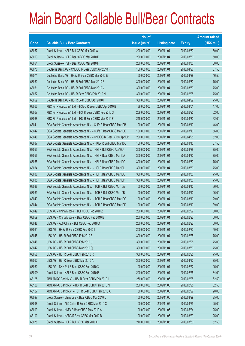|        |                                                                | No. of        |                     |               | <b>Amount raised</b> |
|--------|----------------------------------------------------------------|---------------|---------------------|---------------|----------------------|
| Code   | <b>Callable Bull / Bear Contracts</b>                          | issue (units) | <b>Listing date</b> | <b>Expiry</b> | $(HK$$ mil.)         |
| 68057  | Credit Suisse - HSI R Bull CBBC Mar 2010 A                     | 200,000,000   | 2009/11/04          | 2010/03/30    | 50.00                |
| 68063  | Credit Suisse - HSI R Bear CBBC Mar 2010 D                     | 200,000,000   | 2009/11/04          | 2010/03/30    | 50.00                |
| 68064  | Credit Suisse - HSI R Bear CBBC Mar 2010 F                     | 200,000,000   | 2009/11/04          | 2010/03/30    | 50.00                |
| 68070  | Deutsche Bank AG - CNOOC R Bear CBBC Apr 2010 F                | 150,000,000   | 2009/11/04          | 2010/04/26    | 37.50                |
| 68071  | Deutsche Bank AG - HKEx R Bear CBBC Mar 2010 E                 | 150,000,000   | 2009/11/04          | 2010/03/29    | 46.50                |
| 68050  | Deutsche Bank AG - HSI R Bull CBBC Mar 2010 R                  | 300,000,000   | 2009/11/04          | 2010/03/30    | 75.00                |
| 68051  | Deutsche Bank AG - HSI R Bull CBBC Mar 2010 V                  | 300,000,000   | 2009/11/04          | 2010/03/30    | 75.00                |
| 68052  | Deutsche Bank AG - HSI R Bear CBBC Feb 2010 N                  | 300,000,000   | 2009/11/04          | 2010/02/25    | 75.00                |
| 68069  | Deutsche Bank AG - HSI R Bear CBBC Apr 2010 H                  | 300,000,000   | 2009/11/04          | 2010/04/29    | 75.00                |
| 68066  | KBC Fin Products Int'l Ltd. - HSBC R Bear CBBC Apr 2010 B      | 188,000,000   | 2009/11/04          | 2010/04/01    | 47.00                |
| 68067  | KBC Fin Products Int'l Ltd. - HSI R Bear CBBC Feb 2010 S       | 208,000,000   | 2009/11/04          | 2010/02/25    | 52.00                |
| 68068  | KBC Fin Products Int'l Ltd. - HSI R Bear CBBC Mar 2010 F       | 248,000,000   | 2009/11/04          | 2010/03/30    | 62.00                |
| 68041  | SGA Societe Generale Acceptance N.V - CLife R Bear CBBC Mar10B | 100,000,000   | 2009/11/04          | 2010/03/10    | 46.00                |
| 68042  | SGA Societe Generale Acceptance N.V - CLife R Bear CBBC Mar10C | 100,000,000   | 2009/11/04          | 2010/03/10    | 56.00                |
| 68040  | SGA Societe Generale Acceptance N.V - CNOOC R Bear CBBC Apr10B | 200,000,000   | 2009/11/04          | 2010/04/28    | 52.00                |
| 68037  | SGA Societe Generale Acceptance N.V. - HKEx R Bull CBBC Mar10C | 150,000,000   | 2009/11/04          | 2010/03/10    | 37.50                |
| 68053  | SGA Societe Generale Acceptance N.V. - HSI R Bull CBBC Apr10U  | 300,000,000   | 2009/11/04          | 2010/04/29    | 75.00                |
| 68056  | SGA Societe Generale Acceptance N.V. - HSI R Bear CBBC Mar10A  | 300,000,000   | 2009/11/04          | 2010/03/30    | 75.00                |
| 68055  | SGA Societe Generale Acceptance N.V. - HSI R Bear CBBC Mar10C  | 300,000,000   | 2009/11/04          | 2010/03/30    | 75.00                |
| 68054  | SGA Societe Generale Acceptance N.V. - HSI R Bear CBBC Mar10L  | 300,000,000   | 2009/11/04          | 2010/03/30    | 75.00                |
| 68036  | SGA Societe Generale Acceptance N.V. - HSI R Bear CBBC Mar100  | 300,000,000   | 2009/11/04          | 2010/03/30    | 75.00                |
| 68035  | SGA Societe Generale Acceptance N.V. - HSI R Bear CBBC Mar10P  | 300,000,000   | 2009/11/04          | 2010/03/30    | 75.00                |
| 68038  | SGA Societe Generale Acceptance N.V. - TCH R Bull CBBC Mar10A  | 100,000,000   | 2009/11/04          | 2010/03/10    | 36.00                |
| 68039  | SGA Societe Generale Acceptance N.V. - TCH R Bull CBBC Mar10B  | 100,000,000   | 2009/11/04          | 2010/03/10    | 26.00                |
| 68043  | SGA Societe Generale Acceptance N.V. - TCH R Bear CBBC Mar10C  | 100,000,000   | 2009/11/04          | 2010/03/10    | 29.00                |
| 68044  | SGA Societe Generale Acceptance N.V. - TCH R Bear CBBC Mar10D  | 100,000,000   | 2009/11/04          | 2010/03/10    | 39.00                |
| 68049  | UBS AG - China Mobile R Bull CBBC Feb 2010 Z                   | 200,000,000   | 2009/11/04          | 2010/02/22    | 50.00                |
| 68059  | UBS AG - China Mobile R Bear CBBC Feb 2010 B                   | 200,000,000   | 2009/11/04          | 2010/02/22    | 50.00                |
| 68048  | UBS AG - A50 China R Bull CBBC Feb 2010 X                      | 200,000,000   | 2009/11/04          | 2010/02/22    | 50.00                |
| 68061  | UBS AG - HKEx R Bear CBBC Feb 2010 I                           | 200,000,000   | 2009/11/04          | 2010/02/22    | 50.00                |
| 68045  | UBS AG - HSI R Bull CBBC Feb 2010 B                            | 300,000,000   | 2009/11/04          | 2010/02/25    | 75.00                |
| 68046  | UBS AG - HSI R Bull CBBC Feb 2010 U                            | 300,000,000   | 2009/11/04          | 2010/02/25    | 75.00                |
| 68047  | UBS AG - HSI R Bull CBBC Mar 2010 Q                            | 300,000,000   | 2009/11/04          | 2010/03/30    | 75.00                |
| 68058  | UBS AG - HSI R Bear CBBC Feb 2010 R                            | 300,000,000   | 2009/11/04          | 2010/02/25    | 75.00                |
| 68062  | UBS AG - HSI R Bear CBBC Mar 2010 A                            | 300,000,000   | 2009/11/04          | 2010/03/30    | 75.00                |
| 68060  | UBS AG - SHK Ppt R Bear CBBC Feb 2010 X                        | 100,000,000   | 2009/11/04          | 2010/02/22    | 25.00                |
| 67009# | Credit Suisse - HSI R Bear CBBC Feb 2010 E                     | 200,000,000   | 2009/11/04          | 2010/02/25    | 34.60                |
| 68125  | ABN AMRO Bank N.V. - HSI R Bear CBBC Feb 2010 I                | 250,000,000   | 2009/11/05          | 2010/02/25    | 62.50                |
| 68126  | ABN AMRO Bank N.V. - HSI R Bear CBBC Feb 2010 N                | 250,000,000   | 2009/11/05          | 2010/02/25    | 62.50                |
| 68127  | ABN AMRO Bank N.V. - TCH R Bear CBBC Feb 2010 A                | 80,000,000    | 2009/11/05          | 2010/02/22    | 20.00                |
| 68097  | Credit Suisse - China Life R Bear CBBC Mar 2010 D              | 100,000,000   | 2009/11/05          | 2010/03/29    | 25.00                |
| 68098  | Credit Suisse - A50 China R Bear CBBC Mar 2010 C               | 100,000,000   | 2009/11/05          | 2010/03/29    | 25.00                |
| 68099  | Credit Suisse - HKEx R Bear CBBC May 2010 A                    | 100,000,000   | 2009/11/05          | 2010/05/24    | 25.00                |
| 68100  | Credit Suisse - HSBC R Bear CBBC Mar 2010 B                    | 100,000,000   | 2009/11/05          | 2010/03/29    | 25.00                |
| 68078  | Credit Suisse - HSI R Bull CBBC Mar 2010 Q                     | 210,000,000   | 2009/11/05          | 2010/03/30    | 52.50                |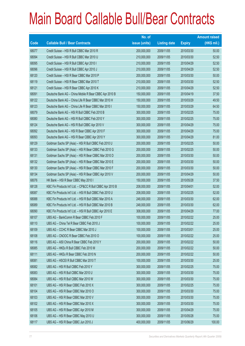|       |                                                            | No. of        |                     |               | <b>Amount raised</b> |
|-------|------------------------------------------------------------|---------------|---------------------|---------------|----------------------|
| Code  | <b>Callable Bull / Bear Contracts</b>                      | issue (units) | <b>Listing date</b> | <b>Expiry</b> | (HK\$ mil.)          |
| 68077 | Credit Suisse - HSI R Bull CBBC Mar 2010 R                 | 200,000,000   | 2009/11/05          | 2010/03/30    | 50.00                |
| 68094 | Credit Suisse - HSI R Bull CBBC Mar 2010 U                 | 210,000,000   | 2009/11/05          | 2010/03/30    | 52.50                |
| 68095 | Credit Suisse - HSI R Bull CBBC Apr 2010 I                 | 210,000,000   | 2009/11/05          | 2010/04/29    | 52.50                |
| 68096 | Credit Suisse - HSI R Bull CBBC Apr 2010 J                 | 210,000,000   | 2009/11/05          | 2010/04/29    | 52.50                |
| 68120 | Credit Suisse - HSI R Bear CBBC Mar 2010 P                 | 200,000,000   | 2009/11/05          | 2010/03/30    | 50.00                |
| 68119 | Credit Suisse - HSI R Bear CBBC Mar 2010 T                 | 210,000,000   | 2009/11/05          | 2010/03/30    | 52.50                |
| 68121 | Credit Suisse - HSI R Bear CBBC Apr 2010 K                 | 210,000,000   | 2009/11/05          | 2010/04/29    | 52.50                |
| 68091 | Deutsche Bank AG - China Mobile R Bear CBBC Apr 2010 B     | 150,000,000   | 2009/11/05          | 2010/04/19    | 37.50                |
| 68122 | Deutsche Bank AG - China Life R Bear CBBC Mar 2010 H       | 150,000,000   | 2009/11/05          | 2010/03/29    | 49.50                |
| 68123 | Deutsche Bank AG - China Life R Bear CBBC Mar 2010 I       | 150,000,000   | 2009/11/05          | 2010/03/29    | 64.50                |
| 68079 | Deutsche Bank AG - HSI R Bull CBBC Feb 2010 B              | 300,000,000   | 2009/11/05          | 2010/02/25    | 75.00                |
| 68080 | Deutsche Bank AG - HSI R Bull CBBC Feb 2010 Y              | 300,000,000   | 2009/11/05          | 2010/02/25    | 75.00                |
| 68124 | Deutsche Bank AG - HSI R Bull CBBC Apr 2010 V              | 300,000,000   | 2009/11/05          | 2010/04/29    | 75.00                |
| 68092 | Deutsche Bank AG - HSI R Bear CBBC Apr 2010 F              | 300,000,000   | 2009/11/05          | 2010/04/29    | 75.00                |
| 68093 | Deutsche Bank AG - HSI R Bear CBBC Apr 2010 Y              | 300,000,000   | 2009/11/05          | 2010/04/29    | 81.00                |
| 68129 | Goldman Sachs SP (Asia) - HSI R Bull CBBC Feb 2010 U       | 200,000,000   | 2009/11/05          | 2010/02/25    | 50.00                |
| 68133 | Goldman Sachs SP (Asia) - HSI R Bear CBBC Feb 2010 G       | 200,000,000   | 2009/11/05          | 2010/02/25    | 50.00                |
| 68131 | Goldman Sachs SP (Asia) - HSI R Bear CBBC Mar 2010 D       | 200,000,000   | 2009/11/05          | 2010/03/30    | 50.00                |
| 68132 | Goldman Sachs SP (Asia) - HSI R Bear CBBC Mar 2010 E       | 200,000,000   | 2009/11/05          | 2010/03/30    | 50.00                |
| 68130 | Goldman Sachs SP (Asia) - HSI R Bear CBBC Mar 2010 F       | 200,000,000   | 2009/11/05          | 2010/03/30    | 50.00                |
| 68134 | Goldman Sachs SP (Asia) - HSI R Bear CBBC Apr 2010 V       | 200,000,000   | 2009/11/05          | 2010/04/29    | 50.00                |
| 68076 | HK Bank - HSI R Bear CBBC May 2010 I                       | 150,000,000   | 2009/11/05          | 2010/05/28    | 37.50                |
| 68128 | KBC Fin Products Int'l Ltd. - CP&CC R Bull CBBC Apr 2010 B | 208,000,000   | 2009/11/05          | 2010/04/01    | 52.00                |
| 68087 | KBC Fin Products Int'l Ltd. - HSI R Bull CBBC Feb 2010 U   | 208,000,000   | 2009/11/05          | 2010/02/25    | 52.00                |
| 68088 | KBC Fin Products Int'l Ltd. - HSI R Bull CBBC Mar 2010 A   | 248,000,000   | 2009/11/05          | 2010/03/30    | 62.00                |
| 68089 | KBC Fin Products Int'l Ltd. - HSI R Bull CBBC Mar 2010 B   | 248,000,000   | 2009/11/05          | 2010/03/30    | 62.00                |
| 68090 | KBC Fin Products Int'l Ltd. - HSI R Bull CBBC Apr 2010 E   | 308,000,000   | 2009/11/05          | 2010/04/29    | 77.00                |
| 68107 | UBS AG - BankComm R Bear CBBC Feb 2010 F                   | 100,000,000   | 2009/11/05          | 2010/02/22    | 25.00                |
| 68110 | UBS AG - China Tel R Bear CBBC Feb 2010 J                  | 100,000,000   | 2009/11/05          | 2010/02/22    | 25.00                |
| 68109 | UBS AG - CCHC R Bear CBBC Mar 2010 J                       | 100,000,000   | 2009/11/05          | 2010/03/01    | 25.00                |
| 68108 | UBS AG - CNOOC R Bear CBBC Feb 2010 O                      | 100,000,000   | 2009/11/05          | 2010/02/22    | 25.00                |
| 68116 | UBS AG - A50 China R Bear CBBC Feb 2010 Y                  | 200,000,000   | 2009/11/05          | 2010/02/22    | 50.00                |
| 68085 | UBS AG - HKEx R Bull CBBC Feb 2010 M                       | 200,000,000   | 2009/11/05          | 2010/02/22    | 50.00                |
| 68111 | UBS AG - HKEx R Bear CBBC Feb 2010 N                       | 200,000,000   | 2009/11/05          | 2010/02/22    | 50.00                |
| 68081 | UBS AG - HSCEI R Bull CBBC Mar 2010 T                      | 100,000,000   | 2009/11/05          | 2010/03/30    | 25.00                |
| 68082 | UBS AG - HSI R Bull CBBC Feb 2010 Y                        | 300,000,000   | 2009/11/05          | 2010/02/25    | 75.00                |
| 68083 | UBS AG - HSI R Bull CBBC Mar 2010 U                        | 300,000,000   | 2009/11/05          | 2010/03/30    | 75.00                |
| 68084 | UBS AG - HSI R Bull CBBC Mar 2010 W                        | 300,000,000   | 2009/11/05          | 2010/03/30    | 75.00                |
| 68101 | UBS AG - HSI R Bear CBBC Feb 2010 X                        | 300,000,000   | 2009/11/05          | 2010/02/25    | 75.00                |
| 68104 | UBS AG - HSI R Bear CBBC Mar 2010 O                        | 300,000,000   | 2009/11/05          | 2010/03/30    | 75.00                |
| 68103 | UBS AG - HSI R Bear CBBC Mar 2010 V                        | 300,000,000   | 2009/11/05          | 2010/03/30    | 75.00                |
| 68102 | UBS AG - HSI R Bear CBBC Mar 2010 X                        | 300,000,000   | 2009/11/05          | 2010/03/30    | 75.00                |
| 68105 | UBS AG - HSI R Bear CBBC Apr 2010 M                        | 300,000,000   | 2009/11/05          | 2010/04/29    | 75.00                |
| 68106 | UBS AG - HSI R Bear CBBC May 2010 U                        | 300,000,000   | 2009/11/05          | 2010/05/28    | 75.00                |
| 68117 | UBS AG - HSI R Bear CBBC Jun 2010 J                        | 400,000,000   | 2009/11/05          | 2010/06/29    | 100.00               |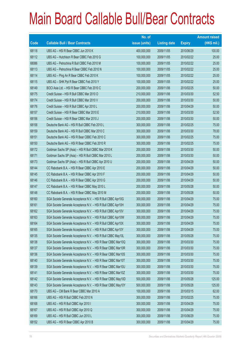|       |                                                               | No. of        |                     |               | <b>Amount raised</b> |
|-------|---------------------------------------------------------------|---------------|---------------------|---------------|----------------------|
| Code  | <b>Callable Bull / Bear Contracts</b>                         | issue (units) | <b>Listing date</b> | <b>Expiry</b> | $(HK$$ mil.)         |
| 68118 | UBS AG - HSI R Bear CBBC Jun 2010 K                           | 400,000,000   | 2009/11/05          | 2010/06/29    | 100.00               |
| 68112 | UBS AG - Hutchison R Bear CBBC Feb 2010 G                     | 100,000,000   | 2009/11/05          | 2010/02/22    | 25.00                |
| 68086 | UBS AG - Petrochina R Bull CBBC Feb 2010 M                    | 100,000,000   | 2009/11/05          | 2010/02/22    | 25.00                |
| 68113 | UBS AG - Petrochina R Bear CBBC Feb 2010 N                    | 100,000,000   | 2009/11/05          | 2010/02/22    | 25.00                |
| 68114 | UBS AG - Ping An R Bear CBBC Feb 2010 K                       | 100,000,000   | 2009/11/05          | 2010/02/22    | 25.00                |
| 68115 | UBS AG - SHK Ppt R Bear CBBC Feb 2010 Y                       | 100,000,000   | 2009/11/05          | 2010/02/22    | 25.00                |
| 68149 | BOCI Asia Ltd. - HSI R Bear CBBC Feb 2010 C                   | 200,000,000   | 2009/11/06          | 2010/02/25    | 50.00                |
| 68175 | Credit Suisse - HSI R Bull CBBC Mar 2010 O                    | 210,000,000   | 2009/11/06          | 2010/03/30    | 52.50                |
| 68174 | Credit Suisse - HSI R Bull CBBC Mar 2010 V                    | 200,000,000   | 2009/11/06          | 2010/03/30    | 50.00                |
| 68176 | Credit Suisse - HSI R Bull CBBC Apr 2010 L                    | 200,000,000   | 2009/11/06          | 2010/04/29    | 50.00                |
| 68157 | Credit Suisse - HSI R Bear CBBC Mar 2010 E                    | 210,000,000   | 2009/11/06          | 2010/03/30    | 52.50                |
| 68156 | Credit Suisse - HSI R Bear CBBC Mar 2010 J                    | 200,000,000   | 2009/11/06          | 2010/03/30    | 50.00                |
| 68158 | Deutsche Bank AG - HSI R Bull CBBC Feb 2010 L                 | 300,000,000   | 2009/11/06          | 2010/02/25    | 75.00                |
| 68159 | Deutsche Bank AG - HSI R Bull CBBC Mar 2010 C                 | 300,000,000   | 2009/11/06          | 2010/03/30    | 78.00                |
| 68151 | Deutsche Bank AG - HSI R Bear CBBC Feb 2010 C                 | 300,000,000   | 2009/11/06          | 2010/02/25    | 75.00                |
| 68150 | Deutsche Bank AG - HSI R Bear CBBC Feb 2010 R                 | 300,000,000   | 2009/11/06          | 2010/02/25    | 75.00                |
| 68172 | Goldman Sachs SP (Asia) - HSI R Bull CBBC Mar 2010 K          | 200,000,000   | 2009/11/06          | 2010/03/30    | 50.00                |
| 68171 | Goldman Sachs SP (Asia) - HSI R Bull CBBC Mar 2010 L          | 200,000,000   | 2009/11/06          | 2010/03/30    | 50.00                |
| 68173 | Goldman Sachs SP (Asia) - HSI R Bull CBBC Apr 2010 U          | 200,000,000   | 2009/11/06          | 2010/04/29    | 50.00                |
| 68144 | CC Rabobank B.A. - HSI R Bear CBBC Apr 2010 E                 | 200,000,000   | 2009/11/06          | 2010/04/29    | 50.00                |
| 68145 | CC Rabobank B.A. - HSI R Bear CBBC Apr 2010 F                 | 200,000,000   | 2009/11/06          | 2010/04/29    | 50.00                |
| 68146 | CC Rabobank B.A. - HSI R Bear CBBC Apr 2010 G                 | 200,000,000   | 2009/11/06          | 2010/04/29    | 50.00                |
| 68147 | CC Rabobank B.A. - HSI R Bear CBBC May 2010 L                 | 200,000,000   | 2009/11/06          | 2010/05/28    | 50.00                |
| 68148 | CC Rabobank B.A. - HSI R Bear CBBC May 2010 M                 | 200,000,000   | 2009/11/06          | 2010/05/28    | 50.00                |
| 68160 | SGA Societe Generale Acceptance N.V. - HSI R Bull CBBC Apr10G | 300,000,000   | 2009/11/06          | 2010/04/29    | 75.00                |
| 68161 | SGA Societe Generale Acceptance N.V. - HSI R Bull CBBC Apr10H | 300,000,000   | 2009/11/06          | 2010/04/29    | 75.00                |
| 68162 | SGA Societe Generale Acceptance N.V. - HSI R Bull CBBC Apr10V | 300,000,000   | 2009/11/06          | 2010/04/29    | 75.00                |
| 68163 | SGA Societe Generale Acceptance N.V. - HSI R Bull CBBC Apr10W | 300,000,000   | 2009/11/06          | 2010/04/29    | 75.00                |
| 68164 | SGA Societe Generale Acceptance N.V. - HSI R Bull CBBC Apr10X | 300,000,000   | 2009/11/06          | 2010/04/29    | 75.00                |
| 68165 | SGA Societe Generale Acceptance N.V. - HSI R Bull CBBC Apr10Y | 300,000,000   | 2009/11/06          | 2010/04/29    | 75.00                |
| 68135 | SGA Societe Generale Acceptance N.V. - HSI R Bull CBBC May10L | 300,000,000   | 2009/11/06          | 2010/05/28    | 75.00                |
| 68138 | SGA Societe Generale Acceptance N.V. - HSI R Bear CBBC Mar10Q | 300,000,000   | 2009/11/06          | 2010/03/30    | 75.00                |
| 68137 | SGA Societe Generale Acceptance N.V. - HSI R Bear CBBC Mar10R | 300,000,000   | 2009/11/06          | 2010/03/30    | 75.00                |
| 68136 | SGA Societe Generale Acceptance N.V. - HSI R Bear CBBC Mar10S | 300,000,000   | 2009/11/06          | 2010/03/30    | 75.00                |
| 68140 | SGA Societe Generale Acceptance N.V. - HSI R Bear CBBC Mar10T | 300,000,000   | 2009/11/06          | 2010/03/30    | 75.00                |
| 68139 | SGA Societe Generale Acceptance N.V. - HSI R Bear CBBC Mar10U | 300,000,000   | 2009/11/06          | 2010/03/30    | 75.00                |
| 68141 | SGA Societe Generale Acceptance N.V. - HSI R Bear CBBC Mar10Z | 300,000,000   | 2009/11/06          | 2010/03/30    | 75.00                |
| 68142 | SGA Societe Generale Acceptance N.V. - HSI R Bear CBBC May10D | 500,000,000   | 2009/11/06          | 2010/05/28    | 125.00               |
| 68143 | SGA Societe Generale Acceptance N.V. - HSI R Bear CBBC May10Y | 500,000,000   | 2009/11/06          | 2010/05/28    | 125.00               |
| 68170 | UBS AG - CM Bank R Bear CBBC Mar 2010 A                       | 100,000,000   | 2009/11/06          | 2010/03/15    | 62.00                |
| 68166 | UBS AG - HSI R Bull CBBC Feb 2010 N                           | 300,000,000   | 2009/11/06          | 2010/02/25    | 75.00                |
| 68168 | UBS AG - HSI R Bull CBBC Apr 2010 I                           | 300,000,000   | 2009/11/06          | 2010/04/29    | 75.00                |
| 68167 | UBS AG - HSI R Bull CBBC Apr 2010 Q                           | 300,000,000   | 2009/11/06          | 2010/04/29    | 75.00                |
| 68169 | UBS AG - HSI R Bull CBBC Jun 2010 L                           | 300,000,000   | 2009/11/06          | 2010/06/29    | 75.00                |
| 68152 | UBS AG - HSI R Bear CBBC Apr 2010 B                           | 300,000,000   | 2009/11/06          | 2010/04/29    | 75.00                |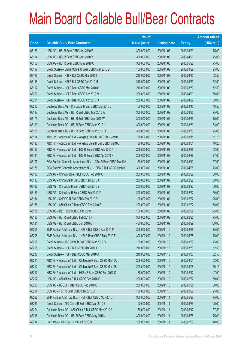|       |                                                                | No. of        |                     |               | <b>Amount raised</b> |
|-------|----------------------------------------------------------------|---------------|---------------------|---------------|----------------------|
| Code  | <b>Callable Bull / Bear Contracts</b>                          | issue (units) | <b>Listing date</b> | <b>Expiry</b> | (HK\$ mil.)          |
| 68153 | UBS AG - HSI R Bear CBBC Apr 2010 F                            | 300,000,000   | 2009/11/06          | 2010/04/29    | 75.00                |
| 68154 | UBS AG - HSI R Bear CBBC Apr 2010 Y                            | 300,000,000   | 2009/11/06          | 2010/04/29    | 75.00                |
| 68155 | UBS AG - HSI R Bear CBBC May 2010 Q                            | 300,000,000   | 2009/11/06          | 2010/05/28    | 75.00                |
| 68197 | Credit Suisse - China Mobile R Bear CBBC Mar 2010 B            | 100,000,000   | 2009/11/09          | 2010/03/29    | 25.00                |
| 68186 | Credit Suisse - HSI R Bull CBBC Mar 2010 I                     | 210,000,000   | 2009/11/09          | 2010/03/30    | 52.50                |
| 68196 | Credit Suisse - HSI R Bull CBBC Apr 2010 M                     | 210,000,000   | 2009/11/09          | 2010/04/29    | 52.50                |
| 68192 | Credit Suisse - HSI R Bear CBBC Mar 2010 H                     | 210,000,000   | 2009/11/09          | 2010/03/30    | 52.50                |
| 68200 | Credit Suisse - HSI R Bear CBBC Apr 2010 N                     | 200,000,000   | 2009/11/09          | 2010/04/29    | 50.00                |
| 68201 | Credit Suisse - HSI R Bear CBBC Apr 2010 O                     | 200,000,000   | 2009/11/09          | 2010/04/29    | 50.00                |
| 68202 | Deutsche Bank AG - China Life R Bull CBBC Mar 2010 J           | 150,000,000   | 2009/11/09          | 2010/03/15    | 40.50                |
| 68187 | Deutsche Bank AG - HSI R Bull CBBC Mar 2010 W                  | 300,000,000   | 2009/11/09          | 2010/03/30    | 75.00                |
| 68179 | Deutsche Bank AG - HSI R Bull CBBC Apr 2010 W                  | 300,000,000   | 2009/11/09          | 2010/04/29    | 75.00                |
| 68199 | Deutsche Bank AG - HSI R Bear CBBC Mar 2010 J                  | 300,000,000   | 2009/11/09          | 2010/03/30    | 84.00                |
| 68198 | Deutsche Bank AG - HSI R Bear CBBC Mar 2010 O                  | 300,000,000   | 2009/11/09          | 2010/03/30    | 75.00                |
| 68194 | KBC Fin Products Int'l Ltd. - Angang Steel R Bull CBBC Mar10B  | 30,000,000    | 2009/11/09          | 2010/03/15    | 11.70                |
| 68195 | KBC Fin Products Int'l Ltd. - Angang Steel R Bull CBBC Mar10C  | 30,000,000    | 2009/11/09          | 2010/03/01    | 10.20                |
| 68190 | KBC Fin Products Int'l Ltd. - HSI R Bear CBBC Feb 2010 T       | 208,000,000   | 2009/11/09          | 2010/02/25    | 52.00                |
| 68191 | KBC Fin Products Int'l Ltd. - HSI R Bear CBBC Apr 2010 F       | 308,000,000   | 2009/11/09          | 2010/04/29    | 77.00                |
| 68177 | SGA Societe Generale Acceptance N.V. - CTel R Bear CBBC Mar10A | 150,000,000   | 2009/11/09          | 2010/03/10    | 37.50                |
| 68178 | SGA Societe Generale Acceptance N.V. - ICBC R Bull CBBC Apr10A | 300,000,000   | 2009/11/09          | 2010/04/28    | 75.00                |
| 68183 | UBS AG - China Mobile R Bull CBBC Feb 2010 C                   | 200,000,000   | 2009/11/09          | 2010/02/22    | 50.00                |
| 68193 | UBS AG - China Life R Bull CBBC Feb 2010 X                     | 200,000,000   | 2009/11/09          | 2010/02/22    | 50.00                |
| 68182 | UBS AG - China Life R Bull CBBC Feb 2010 Z                     | 200,000,000   | 2009/11/09          | 2010/02/22    | 50.00                |
| 68189 | UBS AG - China Life R Bear CBBC Feb 2010 Y                     | 200,000,000   | 2009/11/09          | 2010/02/22    | 50.00                |
| 68184 | UBS AG - CNOOC R Bull CBBC Feb 2010 P                          | 100,000,000   | 2009/11/09          | 2010/02/22    | 25.00                |
| 68188 | UBS AG - A50 China R Bear CBBC Feb 2010 Z                      | 200,000,000   | 2009/11/09          | 2010/02/22    | 50.00                |
| 68185 | UBS AG - R&F R Bull CBBC Feb 2010 F                            | 100,000,000   | 2009/11/09          | 2010/02/22    | 25.00                |
| 68180 | UBS AG - HSI R Bull CBBC Feb 2010 K                            | 300,000,000   | 2009/11/09          | 2010/02/25    | 75.00                |
| 68181 | UBS AG - HSI R Bull CBBC Jun 2010 M                            | 400,000,000   | 2009/11/09          | 2010/06/29    | 100.00               |
| 68209 | BNP Paribas Arbit Issu B.V. - HSI R Bull CBBC Apr 2010 P       | 300,000,000   | 2009/11/10          | 2010/04/29    | 75.00                |
| 68205 | BNP Paribas Arbit Issu B.V. - HSI R Bear CBBC May 2010 E       | 300,000,000   | 2009/11/10          | 2010/05/28    | 75.00                |
| 68208 | Credit Suisse - A50 China R Bull CBBC Mar 2010 D               | 100,000,000   | 2009/11/10          | 2010/03/29    | 25.00                |
| 68206 | Credit Suisse - HSI R Bull CBBC Mar 2010 C                     | 210,000,000   | 2009/11/10          | 2010/03/30    | 52.50                |
| 68210 | Credit Suisse - HSI R Bear CBBC Mar 2010 X                     | 210,000,000   | 2009/11/10          | 2010/03/30    | 52.50                |
| 68211 | KBC Fin Products Int'l Ltd. - Ch Mobile R Bear CBBC Mar10A     | 208,000,000   | 2009/11/10          | 2010/03/01    | 52.00                |
| 68212 | KBC Fin Products Int'l Ltd. - Ch Mobile R Bear CBBC Mar10B     | 208,000,000   | 2009/11/10          | 2010/03/08    | 56.16                |
| 68213 | KBC Fin Products Int'l Ltd. - HKEx R Bear CBBC Feb 2010 D      | 188,000,000   | 2009/11/10          | 2010/02/12    | 47.00                |
| 68207 | UBS AG - A50 China R Bull CBBC Feb 2010 D                      | 200,000,000   | 2009/11/10          | 2010/02/22    | 50.00                |
| 68203 | UBS AG - HSCEI R Bear CBBC Feb 2010 O                          | 200,000,000   | 2009/11/10          | 2010/02/25    | 50.00                |
| 68204 | UBS AG - TCH R Bear CBBC Feb 2010 D                            | 100,000,000   | 2009/11/10          | 2010/02/22    | 25.00                |
| 68222 | BNP Paribas Arbit Issu B.V. - HSI R Bull CBBC May 2010 F       | 300,000,000   | 2009/11/11          | 2010/05/28    | 75.00                |
| 68223 | Credit Suisse - A50 China R Bull CBBC Mar 2010 E               | 100,000,000   | 2009/11/11          | 2010/03/29    | 25.00                |
| 68224 | Deutsche Bank AG - A50 China R Bull CBBC May 2010 A            | 150,000,000   | 2009/11/11          | 2010/05/17    | 37.50                |
| 68218 | Deutsche Bank AG - HSI R Bear CBBC May 2010 J                  | 300,000,000   | 2009/11/11          | 2010/05/28    | 75.00                |
| 68214 | HK Bank - HSI R Bull CBBC Jul 2010 D                           | 160,000,000   | 2009/11/11          | 2010/07/29    | 40.00                |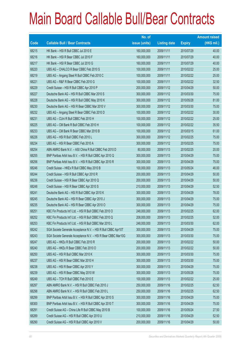|       |                                                               | No. of        |                     |               | <b>Amount raised</b> |
|-------|---------------------------------------------------------------|---------------|---------------------|---------------|----------------------|
| Code  | <b>Callable Bull / Bear Contracts</b>                         | issue (units) | <b>Listing date</b> | <b>Expiry</b> | $(HK$$ mil.)         |
| 68215 | HK Bank - HSI R Bull CBBC Jul 2010 E                          | 160,000,000   | 2009/11/11          | 2010/07/29    | 40.00                |
| 68216 | HK Bank - HSI R Bear CBBC Jul 2010 F                          | 160,000,000   | 2009/11/11          | 2010/07/29    | 40.00                |
| 68217 | HK Bank - HSI R Bear CBBC Jul 2010 G                          | 160,000,000   | 2009/11/11          | 2010/07/29    | 40.00                |
| 68220 | UBS AG - CHALCO R Bear CBBC Feb 2010 S                        | 100,000,000   | 2009/11/11          | 2010/02/22    | 25.00                |
| 68219 | UBS AG - Angang Steel R Bull CBBC Feb 2010 C                  | 100,000,000   | 2009/11/11          | 2010/02/22    | 25.00                |
| 68221 | UBS AG - R&F R Bear CBBC Feb 2010 G                           | 100,000,000   | 2009/11/11          | 2010/02/22    | 32.50                |
| 68229 | Credit Suisse - HSI R Bull CBBC Apr 2010 P                    | 200,000,000   | 2009/11/12          | 2010/04/29    | 50.00                |
| 68227 | Deutsche Bank AG - HSI R Bull CBBC Mar 2010 S                 | 300,000,000   | 2009/11/12          | 2010/03/30    | 75.00                |
| 68228 | Deutsche Bank AG - HSI R Bull CBBC May 2010 K                 | 300,000,000   | 2009/11/12          | 2010/05/28    | 81.00                |
| 68230 | Deutsche Bank AG - HSI R Bear CBBC Mar 2010 V                 | 300,000,000   | 2009/11/12          | 2010/03/30    | 75.00                |
| 68232 | UBS AG - Angang Steel R Bear CBBC Feb 2010 D                  | 100,000,000   | 2009/11/12          | 2010/02/22    | 30.00                |
| 68231 | UBS AG - CUni R Bull CBBC Feb 2010 H                          | 100,000,000   | 2009/11/12          | 2010/02/22    | 25.00                |
| 68225 | UBS AG - CM Bank R Bull CBBC Feb 2010 H                       | 100,000,000   | 2009/11/12          | 2010/02/22    | 35.50                |
| 68233 | UBS AG - CM Bank R Bear CBBC Mar 2010 B                       | 100,000,000   | 2009/11/12          | 2010/03/15    | 61.00                |
| 68226 | UBS AG - HSI R Bull CBBC Feb 2010 L                           | 300,000,000   | 2009/11/12          | 2010/02/25    | 75.00                |
| 68234 | UBS AG - HSI R Bear CBBC Feb 2010 A                           | 300,000,000   | 2009/11/12          | 2010/02/25    | 75.00                |
| 68254 | ABN AMRO Bank N.V. - A50 China R Bull CBBC Feb 2010 D         | 80,000,000    | 2009/11/13          | 2010/02/25    | 20.00                |
| 68255 | BNP Paribas Arbit Issu B.V. - HSI R Bull CBBC Apr 2010 Q      | 300,000,000   | 2009/11/13          | 2010/04/29    | 75.00                |
| 68256 | BNP Paribas Arbit Issu B.V. - HSI R Bull CBBC Apr 2010 R      | 300,000,000   | 2009/11/13          | 2010/04/29    | 75.00                |
| 68246 | Credit Suisse - HKEx R Bull CBBC May 2010 B                   | 100,000,000   | 2009/11/13          | 2010/05/24    | 46.00                |
| 68244 | Credit Suisse - HSI R Bull CBBC Apr 2010 R                    | 200,000,000   | 2009/11/13          | 2010/04/29    | 50.00                |
| 68236 | Credit Suisse - HSI R Bear CBBC Apr 2010 Q                    | 200,000,000   | 2009/11/13          | 2010/04/29    | 50.00                |
| 68248 | Credit Suisse - HSI R Bear CBBC Apr 2010 S                    | 210,000,000   | 2009/11/13          | 2010/04/29    | 52.50                |
| 68241 | Deutsche Bank AG - HSI R Bull CBBC Apr 2010 K                 | 300,000,000   | 2009/11/13          | 2010/04/29    | 78.00                |
| 68245 | Deutsche Bank AG - HSI R Bear CBBC Apr 2010 J                 | 300,000,000   | 2009/11/13          | 2010/04/29    | 75.00                |
| 68235 | Deutsche Bank AG - HSI R Bear CBBC Apr 2010 O                 | 300,000,000   | 2009/11/13          | 2010/04/29    | 75.00                |
| 68251 | KBC Fin Products Int'l Ltd. - HSI R Bull CBBC Feb 2010 O      | 248,000,000   | 2009/11/13          | 2010/02/25    | 62.00                |
| 68252 | KBC Fin Products Int'l Ltd. - HSI R Bull CBBC Feb 2010 Q      | 208,000,000   | 2009/11/13          | 2010/02/25    | 52.00                |
| 68253 | KBC Fin Products Int'l Ltd. - HSI R Bull CBBC Mar 2010 L      | 248,000,000   | 2009/11/13          | 2010/03/30    | 62.00                |
| 68242 | SGA Societe Generale Acceptance N.V. - HSI R Bull CBBC Apr10T | 300,000,000   | 2009/11/13          | 2010/04/29    | 75.00                |
| 68243 | SGA Societe Generale Acceptance N.V. - HSI R Bear CBBC Mar10G | 300,000,000   | 2009/11/13          | 2010/03/30    | 75.00                |
| 68247 | UBS AG - HKEx R Bull CBBC Feb 2010 R                          | 200,000,000   | 2009/11/13          | 2010/02/22    | 50.00                |
| 68240 | UBS AG - HKEx R Bear CBBC Feb 2010 O                          | 200,000,000   | 2009/11/13          | 2010/02/22    | 50.00                |
| 68250 | UBS AG - HSI R Bull CBBC Mar 2010 K                           | 300,000,000   | 2009/11/13          | 2010/03/30    | 75.00                |
| 68237 | UBS AG - HSI R Bear CBBC Mar 2010 H                           | 300,000,000   | 2009/11/13          | 2010/03/30    | 75.00                |
| 68238 | UBS AG - HSI R Bear CBBC Apr 2010 Y                           | 300,000,000   | 2009/11/13          | 2010/04/29    | 75.00                |
| 68239 | UBS AG - HSI R Bear CBBC May 2010 W                           | 300,000,000   | 2009/11/13          | 2010/05/28    | 75.00                |
| 68249 | UBS AG - TCH R Bull CBBC Feb 2010 E                           | 100,000,000   | 2009/11/13          | 2010/02/22    | 25.00                |
| 68297 | ABN AMRO Bank N.V. - HSI R Bull CBBC Feb 2010 J               | 250,000,000   | 2009/11/16          | 2010/02/25    | 62.50                |
| 68298 | ABN AMRO Bank N.V. - HSI R Bull CBBC Feb 2010 L               | 250,000,000   | 2009/11/16          | 2010/02/25    | 62.50                |
| 68299 | BNP Paribas Arbit Issu B.V. - HSI R Bull CBBC Apr 2010 S      | 300,000,000   | 2009/11/16          | 2010/04/29    | 75.00                |
| 68300 | BNP Paribas Arbit Issu B.V. - HSI R Bull CBBC Apr 2010 T      | 300,000,000   | 2009/11/16          | 2010/04/29    | 75.00                |
| 68291 | Credit Suisse AG - China Life R Bull CBBC May 2010 B          | 100,000,000   | 2009/11/16          | 2010/05/24    | 27.50                |
| 68289 | Credit Suisse AG - HSI R Bull CBBC Apr 2010 U                 | 210,000,000   | 2009/11/16          | 2010/04/29    | 52.50                |
| 68290 | Credit Suisse AG - HSI R Bull CBBC Apr 2010 V                 | 200,000,000   | 2009/11/16          | 2010/04/29    | 50.00                |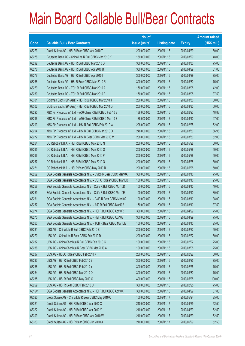|             |                                                                | No. of        |                     |               | <b>Amount raised</b> |
|-------------|----------------------------------------------------------------|---------------|---------------------|---------------|----------------------|
| <b>Code</b> | <b>Callable Bull / Bear Contracts</b>                          | issue (units) | <b>Listing date</b> | <b>Expiry</b> | $(HK$$ mil.)         |
| 68273       | Credit Suisse AG - HSI R Bear CBBC Apr 2010 T                  | 200,000,000   | 2009/11/16          | 2010/04/29    | 50.00                |
| 68278       | Deutsche Bank AG - China Life R Bull CBBC Mar 2010 K           | 150,000,000   | 2009/11/16          | 2010/03/29    | 48.00                |
| 68292       | Deutsche Bank AG - HSI R Bull CBBC Mar 2010 O                  | 300,000,000   | 2009/11/16          | 2010/03/30    | 75.00                |
| 68276       | Deutsche Bank AG - HSI R Bull CBBC Apr 2010 B                  | 300,000,000   | 2009/11/16          | 2010/04/29    | 81.00                |
| 68277       | Deutsche Bank AG - HSI R Bull CBBC Apr 2010 I                  | 300,000,000   | 2009/11/16          | 2010/04/29    | 75.00                |
| 68268       | Deutsche Bank AG - HSI R Bear CBBC Mar 2010 R                  | 300,000,000   | 2009/11/16          | 2010/03/30    | 75.00                |
| 68279       | Deutsche Bank AG - TCH R Bull CBBC Mar 2010 A                  | 150,000,000   | 2009/11/16          | 2010/03/08    | 42.00                |
| 68280       | Deutsche Bank AG - TCH R Bull CBBC Mar 2010 B                  | 150,000,000   | 2009/11/16          | 2010/03/08    | 37.50                |
| 68301       | Goldman Sachs SP (Asia) - HSI R Bull CBBC Mar 2010 J           | 200,000,000   | 2009/11/16          | 2010/03/30    | 50.00                |
| 68302       | Goldman Sachs SP (Asia) - HSI R Bull CBBC Mar 2010 Q           | 200,000,000   | 2009/11/16          | 2010/03/30    | 50.00                |
| 68295       | KBC Fin Products Int'l Ltd. - A50 China R Bull CBBC Feb 10 E   | 188,000,000   | 2009/11/16          | 2010/02/23    | 48.88                |
| 68296       | KBC Fin Products Int'l Ltd. - A50 China R Bull CBBC Mar 10 B   | 188,000,000   | 2009/11/16          | 2010/03/10    | 47.00                |
| 68293       | KBC Fin Products Int'l Ltd. - HSI R Bull CBBC Feb 2010 W       | 208,000,000   | 2009/11/16          | 2010/02/25    | 52.00                |
| 68294       | KBC Fin Products Int'l Ltd. - HSI R Bull CBBC Mar 2010 O       | 248,000,000   | 2009/11/16          | 2010/03/30    | 66.96                |
| 68272       | KBC Fin Products Int'l Ltd. - HSI R Bear CBBC Mar 2010 M       | 208,000,000   | 2009/11/16          | 2010/03/30    | 52.00                |
| 68264       | CC Rabobank B.A. - HSI R Bull CBBC May 2010 N                  | 200,000,000   | 2009/11/16          | 2010/05/28    | 50.00                |
| 68265       | CC Rabobank B.A. - HSI R Bull CBBC May 2010 O                  | 200,000,000   | 2009/11/16          | 2010/05/28    | 50.00                |
| 68266       | CC Rabobank B.A. - HSI R Bull CBBC May 2010 P                  | 200,000,000   | 2009/11/16          | 2010/05/28    | 50.00                |
| 68267       | CC Rabobank B.A. - HSI R Bull CBBC May 2010 Q                  | 200,000,000   | 2009/11/16          | 2010/05/28    | 50.00                |
| 68271       | CC Rabobank B.A. - HSI R Bear CBBC May 2010 R                  | 200,000,000   | 2009/11/16          | 2010/05/28    | 50.00                |
| 68262       | SGA Societe Generale Acceptance N.V. - CMob R Bear CBBC Mar10A | 300,000,000   | 2009/11/16          | 2010/03/10    | 75.00                |
| 68260       | SGA Societe Generale Acceptance N.V. - CCHC R Bear CBBC Mar10B | 100,000,000   | 2009/11/16          | 2010/03/10    | 25.00                |
| 68258       | SGA Societe Generale Acceptance N.V - CLife R Bull CBBC Mar10D | 100,000,000   | 2009/11/16          | 2010/03/10    | 40.00                |
| 68259       | SGA Societe Generale Acceptance N.V - CLife R Bull CBBC Mar10E | 100,000,000   | 2009/11/16          | 2010/03/10    | 30.00                |
| 68261       | SGA Societe Generale Acceptance N.V. - CMB R Bear CBBC Mar10A  | 100,000,000   | 2009/11/16          | 2010/03/10    | 38.00                |
| 68257       | SGA Societe Generale Acceptance N.V. - A50 R Bull CBBC Mar10B  | 150,000,000   | 2009/11/16          | 2010/03/10    | 37.50                |
| 68274       | SGA Societe Generale Acceptance N.V. - HSI R Bull CBBC Apr10R  | 300,000,000   | 2009/11/16          | 2010/04/29    | 75.00                |
| 68275       | SGA Societe Generale Acceptance N.V. - HSI R Bull CBBC Apr10S  | 300,000,000   | 2009/11/16          | 2010/04/29    | 75.00                |
| 68263       | SGA Societe Generale Acceptance N.V. - TCH R Bear CBBC Mar10E  | 100,000,000   | 2009/11/16          | 2010/03/10    | 25.00                |
| 68281       | UBS AG - China Life R Bull CBBC Feb 2010 E                     | 200,000,000   | 2009/11/16          | 2010/02/22    | 50.00                |
| 68270       | UBS AG - China Life R Bear CBBC Feb 2010 D                     | 200,000,000   | 2009/11/16          | 2010/02/22    | 50.00                |
| 68282       | UBS AG - China Shenhua R Bull CBBC Feb 2010 G                  | 100,000,000   | 2009/11/16          | 2010/02/22    | 25.00                |
| 68286       | UBS AG - China Shenhua R Bear CBBC Mar 2010 A                  | 100,000,000   | 2009/11/16          | 2010/03/08    | 25.00                |
| 68287       | UBS AG - HSBC R Bear CBBC Feb 2010 X                           | 200,000,000   | 2009/11/16          | 2010/02/22    | 50.00                |
| 68283       | UBS AG - HSI R Bull CBBC Feb 2010 B                            | 300,000,000   | 2009/11/16          | 2010/02/25    | 75.00                |
| 68288       | UBS AG - HSI R Bull CBBC Feb 2010 Y                            | 300,000,000   | 2009/11/16          | 2010/02/25    | 75.00                |
| 68284       | UBS AG - HSI R Bull CBBC Mar 2010 Q                            | 300,000,000   | 2009/11/16          | 2010/03/30    | 75.00                |
| 68285       | UBS AG - HSI R Bull CBBC May 2010 Q                            | 400,000,000   | 2009/11/16          | 2010/05/28    | 100.00               |
| 68269       | UBS AG - HSI R Bear CBBC Feb 2010 U                            | 300,000,000   | 2009/11/16          | 2010/02/25    | 75.00                |
| 68164#      | SGA Societe Generale Acceptance N.V. - HSI R Bull CBBC Apr10X  | 300,000,000   | 2009/11/16          | 2010/04/29    | 37.80                |
| 68320       | Credit Suisse AG - China Life R Bear CBBC May 2010 C           | 100,000,000   | 2009/11/17          | 2010/05/24    | 25.00                |
| 68321       | Credit Suisse AG - HSI R Bull CBBC Apr 2010 X                  | 210,000,000   | 2009/11/17          | 2010/04/29    | 52.50                |
| 68322       | Credit Suisse AG - HSI R Bull CBBC Apr 2010 Y                  | 210,000,000   | 2009/11/17          | 2010/04/29    | 52.50                |
| 68309       | Credit Suisse AG - HSI R Bear CBBC Apr 2010 W                  | 210,000,000   | 2009/11/17          | 2010/04/29    | 52.50                |
| 68323       | Credit Suisse AG - HSI R Bear CBBC Jun 2010 A                  | 210,000,000   | 2009/11/17          | 2010/06/29    | 52.50                |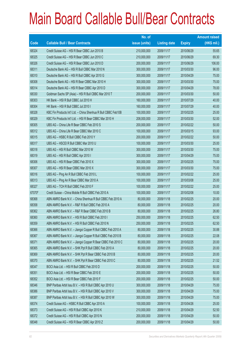|        |                                                                | No. of        |                     |               | <b>Amount raised</b> |
|--------|----------------------------------------------------------------|---------------|---------------------|---------------|----------------------|
| Code   | <b>Callable Bull / Bear Contracts</b>                          | issue (units) | <b>Listing date</b> | <b>Expiry</b> | $(HK$$ mil.)         |
| 68324  | Credit Suisse AG - HSI R Bear CBBC Jun 2010 B                  | 210,000,000   | 2009/11/17          | 2010/06/29    | 55.65                |
| 68325  | Credit Suisse AG - HSI R Bear CBBC Jun 2010 C                  | 210,000,000   | 2009/11/17          | 2010/06/29    | 69.30                |
| 68326  | Credit Suisse AG - HSI R Bear CBBC Jun 2010 D                  | 200,000,000   | 2009/11/17          | 2010/06/29    | 106.00               |
| 68311  | Deutsche Bank AG - HSI R Bull CBBC Mar 2010 N                  | 300,000,000   | 2009/11/17          | 2010/03/30    | 96.00                |
| 68310  | Deutsche Bank AG - HSI R Bull CBBC Apr 2010 G                  | 300,000,000   | 2009/11/17          | 2010/04/29    | 75.00                |
| 68308  | Deutsche Bank AG - HSI R Bear CBBC Mar 2010 H                  | 300,000,000   | 2009/11/17          | 2010/03/30    | 75.00                |
| 68314  | Deutsche Bank AG - HSI R Bear CBBC Apr 2010 D                  | 300,000,000   | 2009/11/17          | 2010/04/29    | 78.00                |
| 68330  | Goldman Sachs SP (Asia) - HSI R Bull CBBC Mar 2010 T           | 200,000,000   | 2009/11/17          | 2010/03/30    | 50.00                |
| 68303  | HK Bank - HSI R Bull CBBC Jul 2010 H                           | 160,000,000   | 2009/11/17          | 2010/07/29    | 40.00                |
| 68304  | HK Bank - HSI R Bull CBBC Jul 2010 I                           | 160,000,000   | 2009/11/17          | 2010/07/29    | 40.00                |
| 68328  | KBC Fin Products Int'l Ltd. - China Shenhua R Bull CBBC Feb10B | 100,000,000   | 2009/11/17          | 2010/02/25    | 25.00                |
| 68329  | KBC Fin Products Int'l Ltd. - HSI R Bear CBBC Mar 2010 H       | 208,000,000   | 2009/11/17          | 2010/03/30    | 52.00                |
| 68305  | UBS AG - China Life R Bear CBBC Feb 2010 S                     | 200,000,000   | 2009/11/17          | 2010/02/22    | 50.00                |
| 68312  | UBS AG - China Life R Bear CBBC Mar 2010 C                     | 100,000,000   | 2009/11/17          | 2010/03/15    | 93.00                |
| 68315  | UBS AG - HSBC R Bull CBBC Feb 2010 Y                           | 200,000,000   | 2009/11/17          | 2010/02/22    | 50.00                |
| 68317  | UBS AG - HSCEI R Bull CBBC Mar 2010 U                          | 100,000,000   | 2009/11/17          | 2010/03/30    | 25.00                |
| 68318  | UBS AG - HSI R Bull CBBC Mar 2010 W                            | 300,000,000   | 2009/11/17          | 2010/03/30    | 75.00                |
| 68319  | UBS AG - HSI R Bull CBBC Apr 2010 I                            | 300,000,000   | 2009/11/17          | 2010/04/29    | 75.00                |
| 68306  | UBS AG - HSI R Bear CBBC Feb 2010 X                            | 300,000,000   | 2009/11/17          | 2010/02/25    | 75.00                |
| 68307  | UBS AG - HSI R Bear CBBC Mar 2010 X                            | 300,000,000   | 2009/11/17          | 2010/03/30    | 75.00                |
| 68316  | UBS AG - Ping An R Bull CBBC Feb 2010 L                        | 100,000,000   | 2009/11/17          | 2010/02/22    | 25.00                |
| 68313  | UBS AG - Ping An R Bear CBBC Mar 2010 A                        | 100,000,000   | 2009/11/17          | 2010/03/08    | 25.00                |
| 68327  | UBS AG - TCH R Bull CBBC Feb 2010 F                            | 100,000,000   | 2009/11/17          | 2010/02/22    | 25.00                |
| 67070# | Credit Suisse - China Mobile R Bull CBBC Feb 2010 A            | 100,000,000   | 2009/11/17          | 2010/02/08    | 10.00                |
| 68368  | ABN AMRO Bank N.V. - China Shenhua R Bull CBBC Feb 2010 A      | 80,000,000    | 2009/11/18          | 2010/02/25    | 20.00                |
| 68358  | ABN AMRO Bank N.V. - R&F R Bull CBBC Feb 2010 A                | 80,000,000    | 2009/11/18          | 2010/02/25    | 20.00                |
| 68362  | ABN AMRO Bank N.V. - R&F R Bear CBBC Feb 2010 B                | 80,000,000    | 2009/11/18          | 2010/02/25    | 26.80                |
| 68360  | ABN AMRO Bank N.V. - HSI R Bull CBBC Feb 2010 I                | 250,000,000   | 2009/11/18          | 2010/02/25    | 62.50                |
| 68359  | ABN AMRO Bank N.V. - HSI R Bull CBBC Feb 2010 N                | 250,000,000   | 2009/11/18          | 2010/02/25    | 62.50                |
| 68366  | ABN AMRO Bank N.V. - Jiangxi Copper R Bull CBBC Feb 2010 A     | 80,000,000    | 2009/11/18          | 2010/02/25    | 30.88                |
| 68367  | ABN AMRO Bank N.V. - Jiangxi Copper R Bull CBBC Feb 2010 B     | 80,000,000    | 2009/11/18          | 2010/02/25    | 22.08                |
| 68371  | ABN AMRO Bank N.V. - Jiangxi Copper R Bear CBBC Feb 2010 C     | 80,000,000    | 2009/11/18          | 2010/02/25    | 20.00                |
| 68365  | ABN AMRO Bank N.V. - SHK Ppt R Bull CBBC Feb 2010 A            | 80,000,000    | 2009/11/18          | 2010/02/25    | 20.00                |
| 68369  | ABN AMRO Bank N.V. - SHK Ppt R Bear CBBC Feb 2010 B            | 80,000,000    | 2009/11/18          | 2010/02/25    | 20.00                |
| 68370  | ABN AMRO Bank N.V. - SHK Ppt R Bear CBBC Feb 2010 C            | 80,000,000    | 2009/11/18          | 2010/02/25    | 21.52                |
| 68347  | BOCI Asia Ltd. - HSI R Bull CBBC Feb 2010 D                    | 200,000,000   | 2009/11/18          | 2010/02/25    | 50.00                |
| 68351  | BOCI Asia Ltd. - HSI R Bear CBBC Feb 2010 E                    | 200,000,000   | 2009/11/18          | 2010/02/25    | 50.00                |
| 68352  | BOCI Asia Ltd. - HSI R Bear CBBC Feb 2010 F                    | 200,000,000   | 2009/11/18          | 2010/02/25    | 50.00                |
| 68346  | BNP Paribas Arbit Issu B.V. - HSI R Bull CBBC Apr 2010 U       | 300,000,000   | 2009/11/18          | 2010/04/29    | 75.00                |
| 68386  | BNP Paribas Arbit Issu B.V. - HSI R Bull CBBC Apr 2010 V       | 300,000,000   | 2009/11/18          | 2010/04/29    | 75.00                |
| 68387  | BNP Paribas Arbit Issu B.V. - HSI R Bull CBBC Apr 2010 W       | 300,000,000   | 2009/11/18          | 2010/04/29    | 75.00                |
| 68374  | Credit Suisse AG - HSBC R Bull CBBC Apr 2010 A                 | 100,000,000   | 2009/11/18          | 2010/04/26    | 25.00                |
| 68373  | Credit Suisse AG - HSI R Bull CBBC Apr 2010 K                  | 210,000,000   | 2009/11/18          | 2010/04/29    | 52.50                |
| 68372  | Credit Suisse AG - HSI R Bull CBBC Apr 2010 N                  | 200,000,000   | 2009/11/18          | 2010/04/29    | 50.00                |
| 68348  | Credit Suisse AG - HSI R Bear CBBC Apr 2010 Z                  | 200,000,000   | 2009/11/18          | 2010/04/29    | 50.00                |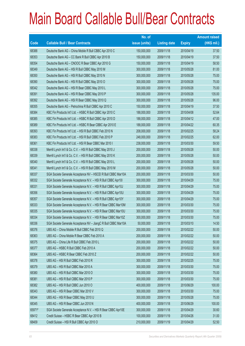|        |                                                                | No. of        |                     |               | <b>Amount raised</b> |
|--------|----------------------------------------------------------------|---------------|---------------------|---------------|----------------------|
| Code   | <b>Callable Bull / Bear Contracts</b>                          | issue (units) | <b>Listing date</b> | <b>Expiry</b> | (HK\$ mil.)          |
| 68388  | Deutsche Bank AG - China Mobile R Bull CBBC Apr 2010 C         | 150,000,000   | 2009/11/18          | 2010/04/19    | 37.50                |
| 68353  | Deutsche Bank AG - CC Bank R Bull CBBC Apr 2010 B              | 150,000,000   | 2009/11/18          | 2010/04/19    | 37.50                |
| 68354  | Deutsche Bank AG - CNOOC R Bear CBBC Apr 2010 G                | 150,000,000   | 2009/11/18          | 2010/04/19    | 58.50                |
| 68349  | Deutsche Bank AG - HSI R Bull CBBC May 2010 M                  | 300,000,000   | 2009/11/18          | 2010/05/28    | 81.00                |
| 68350  | Deutsche Bank AG - HSI R Bull CBBC May 2010 N                  | 300,000,000   | 2009/11/18          | 2010/05/28    | 75.00                |
| 68390  | Deutsche Bank AG - HSI R Bull CBBC May 2010 O                  | 300,000,000   | 2009/11/18          | 2010/05/28    | 75.00                |
| 68342  | Deutsche Bank AG - HSI R Bear CBBC May 2010 L                  | 300,000,000   | 2009/11/18          | 2010/05/28    | 75.00                |
| 68391  | Deutsche Bank AG - HSI R Bear CBBC May 2010 P                  | 300,000,000   | 2009/11/18          | 2010/05/28    | 135.00               |
| 68392  | Deutsche Bank AG - HSI R Bear CBBC May 2010 Q                  | 300,000,000   | 2009/11/18          | 2010/05/28    | 96.00                |
| 68355  | Deutsche Bank AG - Petrochina R Bull CBBC Apr 2010 C           | 150,000,000   | 2009/11/18          | 2010/04/19    | 37.50                |
| 68384  | KBC Fin Products Int'l Ltd. - HSBC R Bull CBBC Apr 2010 C      | 188,000,000   | 2009/11/18          | 2010/04/08    | 52.64                |
| 68385  | KBC Fin Products Int'l Ltd. - HSBC R Bull CBBC Apr 2010 D      | 188,000,000   | 2009/11/18          | 2010/04/12    | 47.00                |
| 68389  | KBC Fin Products Int'l Ltd. - HSBC R Bear CBBC Apr 2010 E      | 188,000,000   | 2009/11/18          | 2010/04/22    | 60.35                |
| 68393  | KBC Fin Products Int'l Ltd. - HSI R Bull CBBC Feb 2010 N       | 208,000,000   | 2009/11/18          | 2010/02/25    | 58.24                |
| 68383  | KBC Fin Products Int'l Ltd. - HSI R Bull CBBC Feb 2010 P       | 248,000,000   | 2009/11/18          | 2010/02/25    | 62.00                |
| 68361  | KBC Fin Products Int'l Ltd. - HSI R Bear CBBC Mar 2010 I       | 238,000,000   | 2009/11/18          | 2010/03/30    | 59.50                |
| 68338  | Merrill Lynch Int'l & Co. C.V. - HSI R Bull CBBC May 2010 J    | 200,000,000   | 2009/11/18          | 2010/05/28    | 50.00                |
| 68339  | Merrill Lynch Int'l & Co. C.V. - HSI R Bull CBBC May 2010 K    | 200,000,000   | 2009/11/18          | 2010/05/28    | 50.00                |
| 68340  | Merrill Lynch Int'l & Co. C.V. - HSI R Bull CBBC May 2010 L    | 200,000,000   | 2009/11/18          | 2010/05/28    | 50.00                |
| 68341  | Merrill Lynch Int'l & Co. C.V. - HSI R Bull CBBC May 2010 M    | 200,000,000   | 2009/11/18          | 2010/05/28    | 50.00                |
| 68337  | SGA Societe Generale Acceptance NV - HSCEI R Bull CBBC Mar10A  | 200,000,000   | 2009/11/18          | 2010/03/30    | 50.00                |
| 68332  | SGA Societe Generale Acceptance N.V. - HSI R Bull CBBC Apr101  | 300,000,000   | 2009/11/18          | 2010/04/29    | 75.00                |
| 68331  | SGA Societe Generale Acceptance N.V. - HSI R Bull CBBC Apr10J  | 300,000,000   | 2009/11/18          | 2010/04/29    | 75.00                |
| 68356  | SGA Societe Generale Acceptance N.V. - HSI R Bull CBBC Apr10U  | 300,000,000   | 2009/11/18          | 2010/04/29    | 75.00                |
| 68357  | SGA Societe Generale Acceptance N.V. - HSI R Bull CBBC Apr10Y  | 300,000,000   | 2009/11/18          | 2010/04/29    | 75.00                |
| 68333  | SGA Societe Generale Acceptance N.V. - HSI R Bear CBBC Mar10M  | 300,000,000   | 2009/11/18          | 2010/03/30    | 75.00                |
| 68335  | SGA Societe Generale Acceptance N.V. - HSI R Bear CBBC Mar10U  | 300,000,000   | 2009/11/18          | 2010/03/30    | 75.00                |
| 68334  | SGA Societe Generale Acceptance N.V. - HSI R Bear CBBC Mar10Z  | 300,000,000   | 2009/11/18          | 2010/03/30    | 75.00                |
| 68336  | SGA Societe Generale Acceptance NV - JiangC R Bull CBBC Mar10A | 50,000,000    | 2009/11/18          | 2010/03/10    | 14.50                |
| 68376  | UBS AG - China Mobile R Bull CBBC Feb 2010 Q                   | 200,000,000   | 2009/11/18          | 2010/02/22    | 50.00                |
| 68363  | UBS AG - China Mobile R Bear CBBC Feb 2010 A                   | 200,000,000   | 2009/11/18          | 2010/02/22    | 50.00                |
| 68375  | UBS AG - China Life R Bull CBBC Feb 2010 L                     | 200,000,000   | 2009/11/18          | 2010/02/22    | 50.00                |
| 68377  | UBS AG - HSBC R Bull CBBC Feb 2010 A                           | 200,000,000   | 2009/11/18          | 2010/02/22    | 50.00                |
| 68364  | UBS AG - HSBC R Bear CBBC Feb 2010 Z                           | 200,000,000   | 2009/11/18          | 2010/02/22    | 50.00                |
| 68378  | UBS AG - HSI R Bull CBBC Feb 2010 R                            | 300,000,000   | 2009/11/18          | 2010/02/25    | 75.00                |
| 68379  | UBS AG - HSI R Bull CBBC Mar 2010 A                            | 300,000,000   | 2009/11/18          | 2010/03/30    | 75.00                |
| 68380  | UBS AG - HSI R Bull CBBC Mar 2010 O                            | 300,000,000   | 2009/11/18          | 2010/03/30    | 75.00                |
| 68381  | UBS AG - HSI R Bull CBBC Mar 2010 P                            | 300,000,000   | 2009/11/18          | 2010/03/30    | 75.00                |
| 68382  | UBS AG - HSI R Bull CBBC Jun 2010 O                            | 400,000,000   | 2009/11/18          | 2010/06/29    | 100.00               |
| 68343  | UBS AG - HSI R Bear CBBC Mar 2010 V                            | 300,000,000   | 2009/11/18          | 2010/03/30    | 75.00                |
| 68344  | UBS AG - HSI R Bear CBBC May 2010 U                            | 300,000,000   | 2009/11/18          | 2010/05/28    | 75.00                |
| 68345  | UBS AG - HSI R Bear CBBC Jun 2010 N                            | 400,000,000   | 2009/11/18          | 2010/06/29    | 100.00               |
| 65971# | SGA Societe Generale Acceptance N.V. - HSI R Bear CBBC Apr10E  | 300,000,000   | 2009/11/18          | 2010/04/29    | 30.60                |
| 68412  | Credit Suisse - HSBC R Bear CBBC Apr 2010 B                    | 100,000,000   | 2009/11/19          | 2010/04/26    | 31.00                |
| 68409  | Credit Suisse - HSI R Bull CBBC Apr 2010 O                     | 210,000,000   | 2009/11/19          | 2010/04/29    | 52.50                |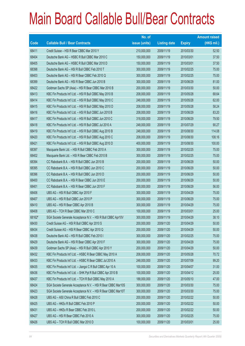|        |                                                               | No. of        |                     |               | <b>Amount raised</b> |
|--------|---------------------------------------------------------------|---------------|---------------------|---------------|----------------------|
| Code   | <b>Callable Bull / Bear Contracts</b>                         | issue (units) | <b>Listing date</b> | <b>Expiry</b> | (HK\$ mil.)          |
| 68411  | Credit Suisse - HSI R Bear CBBC Mar 2010 Y                    | 210,000,000   | 2009/11/19          | 2010/03/30    | 52.50                |
| 68404  | Deutsche Bank AG - HSBC R Bull CBBC Mar 2010 C                | 150,000,000   | 2009/11/19          | 2010/03/01    | 37.50                |
| 68405  | Deutsche Bank AG - HSBC R Bull CBBC Mar 2010 D                | 150,000,000   | 2009/11/19          | 2010/03/01    | 37.50                |
| 68398  | Deutsche Bank AG - HSI R Bull CBBC Feb 2010 T                 | 300,000,000   | 2009/11/19          | 2010/02/25    | 75.00                |
| 68403  | Deutsche Bank AG - HSI R Bear CBBC Feb 2010 Q                 | 300,000,000   | 2009/11/19          | 2010/02/25    | 75.00                |
| 68399  | Deutsche Bank AG - HSI R Bear CBBC Jun 2010 B                 | 300,000,000   | 2009/11/19          | 2010/06/29    | 81.00                |
| 68422  | Goldman Sachs SP (Asia) - HSI R Bear CBBC Mar 2010 B          | 200,000,000   | 2009/11/19          | 2010/03/30    | 50.00                |
| 68413  | KBC Fin Products Int'l Ltd. - HSI R Bull CBBC May 2010 B      | 208,000,000   | 2009/11/19          | 2010/05/28    | 68.64                |
| 68414  | KBC Fin Products Int'l Ltd. - HSI R Bull CBBC May 2010 C      | 248,000,000   | 2009/11/19          | 2010/05/28    | 62.00                |
| 68415  | KBC Fin Products Int'l Ltd. - HSI R Bull CBBC May 2010 D      | 208,000,000   | 2009/11/19          | 2010/05/28    | 58.24                |
| 68416  | KBC Fin Products Int'l Ltd. - HSI R Bull CBBC Jun 2010 B      | 208,000,000   | 2009/11/19          | 2010/06/29    | 83.20                |
| 68417  | KBC Fin Products Int'l Ltd. - HSI R Bull CBBC Jun 2010 C      | 318,000,000   | 2009/11/19          | 2010/06/29    | 79.50                |
| 68418  | KBC Fin Products Int'l Ltd. - HSI R Bull CBBC Jul 2010 A      | 248,000,000   | 2009/11/19          | 2010/07/29    | 90.27                |
| 68419  | KBC Fin Products Int'l Ltd. - HSI R Bull CBBC Aug 2010 B      | 248,000,000   | 2009/11/19          | 2010/08/30    | 114.08               |
| 68420  | KBC Fin Products Int'l Ltd. - HSI R Bull CBBC Aug 2010 C      | 208,000,000   | 2009/11/19          | 2010/08/30    | 108.16               |
| 68421  | KBC Fin Products Int'l Ltd. - HSI R Bull CBBC Aug 2010 D      | 400,000,000   | 2009/11/19          | 2010/08/30    | 100.00               |
| 68397  | Macquarie Bank Ltd. - HSI R Bull CBBC Feb 2010 A              | 300,000,000   | 2009/11/19          | 2010/02/25    | 75.00                |
| 68402  | Macquarie Bank Ltd. - HSI R Bear CBBC Feb 2010 B              | 300,000,000   | 2009/11/19          | 2010/02/25    | 75.00                |
| 68394  | CC Rabobank B.A. - HSI R Bull CBBC Jun 2010 B                 | 200,000,000   | 2009/11/19          | 2010/06/29    | 50.00                |
| 68395  | CC Rabobank B.A. - HSI R Bull CBBC Jun 2010 C                 | 200,000,000   | 2009/11/19          | 2010/06/29    | 50.00                |
| 68396  | CC Rabobank B.A. - HSI R Bull CBBC Jun 2010 D                 | 200,000,000   | 2009/11/19          | 2010/06/29    | 50.00                |
| 68400  | CC Rabobank B.A. - HSI R Bear CBBC Jun 2010 E                 | 200,000,000   | 2009/11/19          | 2010/06/29    | 50.00                |
| 68401  | CC Rabobank B.A. - HSI R Bear CBBC Jun 2010 F                 | 200,000,000   | 2009/11/19          | 2010/06/29    | 56.00                |
| 68406  | UBS AG - HSI R Bull CBBC Apr 2010 F                           | 300,000,000   | 2009/11/19          | 2010/04/29    | 75.00                |
| 68407  | UBS AG - HSI R Bull CBBC Jun 2010 P                           | 300,000,000   | 2009/11/19          | 2010/06/29    | 75.00                |
| 68410  | UBS AG - HSI R Bear CBBC Apr 2010 B                           | 300,000,000   | 2009/11/19          | 2010/04/29    | 75.00                |
| 68408  | UBS AG - TCH R Bear CBBC Mar 2010 C                           | 100,000,000   | 2009/11/19          | 2010/03/01    | 25.00                |
| 68162# | SGA Societe Generale Acceptance N.V. - HSI R Bull CBBC Apr10V | 300,000,000   | 2009/11/19          | 2010/04/29    | 38.10                |
| 68430  | Credit Suisse AG - HSI R Bull CBBC Apr 2010 S                 | 200,000,000   | 2009/11/20          | 2010/04/29    | 50.00                |
| 68434  | Credit Suisse AG - HSI R Bear CBBC Apr 2010 Q                 | 200,000,000   | 2009/11/20          | 2010/04/29    | 50.00                |
| 68438  | Deutsche Bank AG - HSI R Bull CBBC Feb 2010 I                 | 300,000,000   | 2009/11/20          | 2010/02/25    | 75.00                |
| 68429  | Deutsche Bank AG - HSI R Bear CBBC Apr 2010 F                 | 300,000,000   | 2009/11/20          | 2010/04/29    | 75.00                |
| 68439  | Goldman Sachs SP (Asia) - HSI R Bull CBBC Apr 2010 Y          | 200,000,000   | 2009/11/20          | 2010/04/29    | 50.00                |
| 68432  | KBC Fin Products Int'l Ltd. - HSBC R Bear CBBC May 2010 A     | 208,000,000   | 2009/11/20          | 2010/05/28    | 70.72                |
| 68433  | KBC Fin Products Int'l Ltd. - HSBC R Bear CBBC Jul 2010 A     | 248,000,000   | 2009/11/20          | 2010/07/09    | 99.20                |
| 68435  | KBC Fin Products Int'l Ltd. - Jiangxi C R Bull CBBC Apr 10 A  | 100,000,000   | 2009/11/20          | 2010/04/07    | 31.00                |
| 68436  | KBC Fin Products Int'l Ltd. - SHK Ppt R Bull CBBC Apr 2010 B  | 100,000,000   | 2009/11/20          | 2010/04/12    | 25.00                |
| 68437  | KBC Fin Products Int'l Ltd. - TCH R Bull CBBC May 2010 A      | 188,000,000   | 2009/11/20          | 2010/05/10    | 47.00                |
| 68424  | SGA Societe Generale Acceptance N.V. - HSI R Bear CBBC Mar10S | 300,000,000   | 2009/11/20          | 2010/03/30    | 75.00                |
| 68423  | SGA Societe Generale Acceptance N.V. - HSI R Bear CBBC Mar10T | 300,000,000   | 2009/11/20          | 2010/03/30    | 75.00                |
| 68428  | UBS AG - A50 China R Bull CBBC Feb 2010 C                     | 200,000,000   | 2009/11/20          | 2010/02/22    | 50.00                |
| 68425  | UBS AG - HKEx R Bull CBBC Feb 2010 P                          | 200,000,000   | 2009/11/20          | 2010/02/22    | 50.00                |
| 68431  | UBS AG - HKEx R Bear CBBC Feb 2010 L                          | 200,000,000   | 2009/11/20          | 2010/02/22    | 50.00                |
| 68427  | UBS AG - HSI R Bear CBBC Feb 2010 A                           | 300,000,000   | 2009/11/20          | 2010/02/25    | 75.00                |
| 68426  | UBS AG - TCH R Bull CBBC Mar 2010 D                           | 100,000,000   | 2009/11/20          | 2010/03/01    | 25.00                |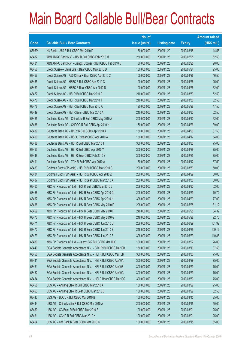|        |                                                                | No. of        |                     |               | <b>Amount raised</b> |
|--------|----------------------------------------------------------------|---------------|---------------------|---------------|----------------------|
| Code   | <b>Callable Bull / Bear Contracts</b>                          | issue (units) | <b>Listing date</b> | <b>Expiry</b> | $(HK$$ mil.)         |
| 67953# | HK Bank - A50 R Bull CBBC Mar 2010 D                           | 80,000,000    | 2009/11/20          | 2010/03/18    | 14.56                |
| 68482  | ABN AMRO Bank N.V. - HSI R Bull CBBC Feb 2010 M                | 250,000,000   | 2009/11/23          | 2010/02/25    | 62.50                |
| 68481  | ABN AMRO Bank N.V. - Jiangxi Copper R Bull CBBC Feb 2010 D     | 80,000,000    | 2009/11/23          | 2010/02/25    | 20.00                |
| 68456  | Credit Suisse - China Life R Bear CBBC May 2010 D              | 100,000,000   | 2009/11/23          | 2010/05/24    | 25.00                |
| 68457  | Credit Suisse AG - A50 China R Bear CBBC Apr 2010 C            | 100,000,000   | 2009/11/23          | 2010/04/26    | 46.50                |
| 68455  | Credit Suisse AG - HSBC R Bull CBBC Apr 2010 C                 | 100,000,000   | 2009/11/23          | 2010/04/26    | 25.00                |
| 68459  | Credit Suisse AG - HSBC R Bear CBBC Apr 2010 D                 | 100,000,000   | 2009/11/23          | 2010/04/26    | 32.00                |
| 68477  | Credit Suisse AG - HSI R Bull CBBC Mar 2010 R                  | 210,000,000   | 2009/11/23          | 2010/03/30    | 52.50                |
| 68476  | Credit Suisse AG - HSI R Bull CBBC Mar 2010 T                  | 210,000,000   | 2009/11/23          | 2010/03/30    | 52.50                |
| 68478  | Credit Suisse AG - HSI R Bull CBBC May 2010 A                  | 190,000,000   | 2009/11/23          | 2010/05/28    | 47.50                |
| 68449  | Credit Suisse AG - HSI R Bear CBBC Mar 2010 A                  | 210,000,000   | 2009/11/23          | 2010/03/30    | 52.50                |
| 68485  | Deutsche Bank AG - China Life R Bull CBBC May 2010 A           | 200,000,000   | 2009/11/23          | 2010/05/10    | 62.00                |
| 68486  | Deutsche Bank AG - CNOOC R Bull CBBC Apr 2010 H                | 150,000,000   | 2009/11/23          | 2010/04/26    | 39.00                |
| 68489  | Deutsche Bank AG - HKEx R Bull CBBC Apr 2010 A                 | 150,000,000   | 2009/11/23          | 2010/04/26    | 37.50                |
| 68490  | Deutsche Bank AG - HSBC R Bear CBBC Apr 2010 A                 | 150,000,000   | 2009/11/23          | 2010/04/12    | 54.00                |
| 68488  | Deutsche Bank AG - HSI R Bull CBBC Mar 2010 J                  | 300,000,000   | 2009/11/23          | 2010/03/30    | 75.00                |
| 68453  | Deutsche Bank AG - HSI R Bull CBBC Apr 2010 Y                  | 300,000,000   | 2009/11/23          | 2010/04/29    | 75.00                |
| 68448  | Deutsche Bank AG - HSI R Bear CBBC Feb 2010 Y                  | 300,000,000   | 2009/11/23          | 2010/02/25    | 75.00                |
| 68491  | Deutsche Bank AG - TCH R Bull CBBC Apr 2010 A                  | 150,000,000   | 2009/11/23          | 2010/04/12    | 37.50                |
| 68483  | Goldman Sachs SP (Asia) - HSI R Bull CBBC Mar 2010 C           | 200,000,000   | 2009/11/23          | 2010/03/30    | 50.00                |
| 68484  | Goldman Sachs SP (Asia) - HSI R Bull CBBC Apr 2010 Z           | 200,000,000   | 2009/11/23          | 2010/04/29    | 50.00                |
| 68487  | Goldman Sachs SP (Asia) - HSI R Bear CBBC Mar 2010 A           | 200,000,000   | 2009/11/23          | 2010/03/30    | 50.00                |
| 68465  | KBC Fin Products Int'l Ltd. - HSI R Bull CBBC Mar 2010 J       | 208,000,000   | 2009/11/23          | 2010/03/30    | 52.00                |
| 68466  | KBC Fin Products Int'l Ltd. - HSI R Bear CBBC Apr 2010 G       | 208,000,000   | 2009/11/23          | 2010/04/29    | 70.72                |
| 68467  | KBC Fin Products Int'l Ltd. - HSI R Bear CBBC Apr 2010 H       | 308,000,000   | 2009/11/23          | 2010/04/29    | 77.00                |
| 68468  | KBC Fin Products Int'l Ltd. - HSI R Bear CBBC May 2010 E       | 208,000,000   | 2009/11/23          | 2010/05/28    | 81.12                |
| 68469  | KBC Fin Products Int'l Ltd. - HSI R Bear CBBC May 2010 F       | 248,000,000   | 2009/11/23          | 2010/05/28    | 84.32                |
| 68470  | KBC Fin Products Int'l Ltd. - HSI R Bear CBBC May 2010 G       | 248,000,000   | 2009/11/23          | 2010/05/28    | 92.75                |
| 68471  | KBC Fin Products Int'l Ltd. - HSI R Bear CBBC Jun 2010 D       | 208,000,000   | 2009/11/23          | 2010/06/29    | 101.92               |
| 68472  | KBC Fin Products Int'l Ltd. - HSI R Bear CBBC Jun 2010 E       | 248,000,000   | 2009/11/23          | 2010/06/29    | 109.12               |
| 68473  | KBC Fin Products Int'l Ltd. - HSI R Bear CBBC Jun 2010 F       | 308,000,000   | 2009/11/23          | 2010/06/29    | 110.88               |
| 68480  | KBC Fin Products Int'l Ltd. - Jiangxi C R Bull CBBC Mar 10 C   | 100,000,000   | 2009/11/23          | 2010/03/22    | 26.00                |
| 68440  | SGA Societe Generale Acceptance N.V. - CTel R Bull CBBC Mar10B | 150,000,000   | 2009/11/23          | 2010/03/10    | 37.50                |
| 68450  | SGA Societe Generale Acceptance N.V. - HSI R Bull CBBC Mar10R  | 300,000,000   | 2009/11/23          | 2010/03/30    | 75.00                |
| 68441  | SGA Societe Generale Acceptance N.V. - HSI R Bull CBBC Apr10A  | 300,000,000   | 2009/11/23          | 2010/04/29    | 75.00                |
| 68451  | SGA Societe Generale Acceptance N.V. - HSI R Bull CBBC Apr10B  | 300,000,000   | 2009/11/23          | 2010/04/29    | 75.00                |
| 68452  | SGA Societe Generale Acceptance N.V. - HSI R Bull CBBC Apr10C  | 300,000,000   | 2009/11/23          | 2010/04/29    | 75.00                |
| 68454  | SGA Societe Generale Acceptance N.V. - HSI R Bear CBBC Mar10Q  | 300,000,000   | 2009/11/23          | 2010/03/30    | 75.00                |
| 68458  | UBS AG - Angang Steel R Bull CBBC Mar 2010 A                   | 100,000,000   | 2009/11/23          | 2010/03/22    | 25.00                |
| 68463  | UBS AG - Angang Steel R Bear CBBC Mar 2010 B                   | 100,000,000   | 2009/11/23          | 2010/03/22    | 32.50                |
| 68443  | UBS AG - BOCL R Bull CBBC Mar 2010 B                           | 100,000,000   | 2009/11/23          | 2010/03/15    | 25.00                |
| 68444  | UBS AG - China Mobile R Bull CBBC Mar 2010 A                   | 200,000,000   | 2009/11/23          | 2010/03/15    | 50.00                |
| 68460  | UBS AG - CC Bank R Bull CBBC Mar 2010 B                        | 100,000,000   | 2009/11/23          | 2010/03/01    | 25.00                |
| 68461  | UBS AG - CCHC R Bull CBBC Mar 2010 K                           | 100,000,000   | 2009/11/23          | 2010/03/01    | 25.00                |
| 68464  | UBS AG - CM Bank R Bear CBBC Mar 2010 C                        | 100,000,000   | 2009/11/23          | 2010/03/15    | 65.00                |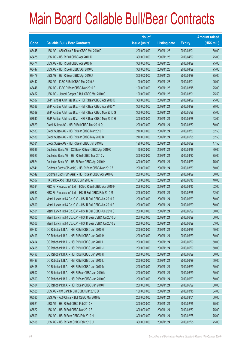|       |                                                             | No. of        |                     |               | <b>Amount raised</b> |
|-------|-------------------------------------------------------------|---------------|---------------------|---------------|----------------------|
| Code  | <b>Callable Bull / Bear Contracts</b>                       | issue (units) | <b>Listing date</b> | <b>Expiry</b> | $(HK$$ mil.)         |
| 68445 | UBS AG - A50 China R Bear CBBC Mar 2010 D                   | 200,000,000   | 2009/11/23          | 2010/03/01    | 50.00                |
| 68475 | UBS AG - HSI R Bull CBBC Apr 2010 D                         | 300,000,000   | 2009/11/23          | 2010/04/29    | 75.00                |
| 68474 | UBS AG - HSI R Bull CBBC Apr 2010 M                         | 300,000,000   | 2009/11/23          | 2010/04/29    | 75.00                |
| 68447 | UBS AG - HSI R Bear CBBC Apr 2010 U                         | 300,000,000   | 2009/11/23          | 2010/04/29    | 75.00                |
| 68479 | UBS AG - HSI R Bear CBBC Apr 2010 X                         | 300,000,000   | 2009/11/23          | 2010/04/29    | 75.00                |
| 68442 | UBS AG - ICBC R Bull CBBC Mar 2010 A                        | 100,000,000   | 2009/11/23          | 2010/03/01    | 25.00                |
| 68446 | UBS AG - ICBC R Bear CBBC Mar 2010 B                        | 100,000,000   | 2009/11/23          | 2010/03/15    | 25.00                |
| 68462 | UBS AG - Jiangxi Copper R Bull CBBC Mar 2010 O              | 100,000,000   | 2009/11/23          | 2010/03/01    | 25.50                |
| 68537 | BNP Paribas Arbit Issu B.V. - HSI R Bear CBBC Apr 2010 X    | 300,000,000   | 2009/11/24          | 2010/04/29    | 75.00                |
| 68538 | BNP Paribas Arbit Issu B.V. - HSI R Bear CBBC Apr 2010 Y    | 300,000,000   | 2009/11/24          | 2010/04/29    | 78.00                |
| 68539 | BNP Paribas Arbit Issu B.V. - HSI R Bear CBBC May 2010 G    | 300,000,000   | 2009/11/24          | 2010/05/28    | 75.00                |
| 68540 | BNP Paribas Arbit Issu B.V. - HSI R Bear CBBC May 2010 H    | 300,000,000   | 2009/11/24          | 2010/05/28    | 93.00                |
| 68529 | Credit Suisse AG - HSI R Bull CBBC Mar 2010 Q               | 200,000,000   | 2009/11/24          | 2010/03/30    | 50.00                |
| 68533 | Credit Suisse AG - HSI R Bear CBBC Mar 2010 P               | 210,000,000   | 2009/11/24          | 2010/03/30    | 52.50                |
| 68530 | Credit Suisse AG - HSI R Bear CBBC May 2010 B               | 210,000,000   | 2009/11/24          | 2010/05/28    | 52.50                |
| 68531 | Credit Suisse AG - HSI R Bear CBBC Jun 2010 E               | 190,000,000   | 2009/11/24          | 2010/06/29    | 47.50                |
| 68536 | Deutsche Bank AG - CC Bank R Bear CBBC Apr 2010 C           | 150,000,000   | 2009/11/24          | 2010/04/19    | 39.00                |
| 68523 | Deutsche Bank AG - HSI R Bull CBBC Mar 2010 V               | 300,000,000   | 2009/11/24          | 2010/03/30    | 75.00                |
| 68524 | Deutsche Bank AG - HSI R Bear CBBC Apr 2010 H               | 300,000,000   | 2009/11/24          | 2010/04/29    | 75.00                |
| 68541 | Goldman Sachs SP (Asia) - HSI R Bear CBBC Mar 2010 Z        | 200,000,000   | 2009/11/24          | 2010/03/30    | 50.00                |
| 68542 | Goldman Sachs SP (Asia) - HSI R Bear CBBC Apr 2010 G        | 200,000,000   | 2009/11/24          | 2010/04/29    | 50.00                |
| 68507 | HK Bank - A50 R Bull CBBC Jun 2010 A                        | 160,000,000   | 2009/11/24          | 2010/06/18    | 40.00                |
| 68534 | KBC Fin Products Int'l Ltd. - HSBC R Bull CBBC Apr 2010 F   | 208,000,000   | 2009/11/24          | 2010/04/15    | 52.00                |
| 68532 | KBC Fin Products Int'l Ltd. - HSI R Bull CBBC Feb 2010 M    | 208,000,000   | 2009/11/24          | 2010/02/25    | 52.00                |
| 68499 | Merrill Lynch Int'l & Co. C.V. - HSI R Bull CBBC Jun 2010 A | 200,000,000   | 2009/11/24          | 2010/06/29    | 50.00                |
| 68500 | Merrill Lynch Int'l & Co. C.V. - HSI R Bull CBBC Jun 2010 B | 200,000,000   | 2009/11/24          | 2010/06/29    | 50.00                |
| 68501 | Merrill Lynch Int'l & Co. C.V. - HSI R Bull CBBC Jun 2010 C | 200,000,000   | 2009/11/24          | 2010/06/29    | 50.00                |
| 68505 | Merrill Lynch Int'l & Co. C.V. - HSI R Bear CBBC Jun 2010 D | 200,000,000   | 2009/11/24          | 2010/06/29    | 50.00                |
| 68506 | Merrill Lynch Int'l & Co. C.V. - HSI R Bear CBBC Jun 2010 E | 200,000,000   | 2009/11/24          | 2010/06/29    | 53.00                |
| 68492 | CC Rabobank B.A. - HSI R Bull CBBC Jun 2010 G               | 200,000,000   | 2009/11/24          | 2010/06/29    | 50.00                |
| 68493 | CC Rabobank B.A. - HSI R Bull CBBC Jun 2010 H               | 200,000,000   | 2009/11/24          | 2010/06/29    | 50.00                |
| 68494 | CC Rabobank B.A. - HSI R Bull CBBC Jun 2010 I               | 200,000,000   | 2009/11/24          | 2010/06/29    | 50.00                |
| 68495 | CC Rabobank B.A. - HSI R Bull CBBC Jun 2010 J               | 200,000,000   | 2009/11/24          | 2010/06/29    | 50.00                |
| 68496 | CC Rabobank B.A. - HSI R Bull CBBC Jun 2010 K               | 200,000,000   | 2009/11/24          | 2010/06/29    | 50.00                |
| 68497 | CC Rabobank B.A. - HSI R Bull CBBC Jun 2010 L               | 200,000,000   | 2009/11/24          | 2010/06/29    | 50.00                |
| 68498 | CC Rabobank B.A. - HSI R Bull CBBC Jun 2010 M               | 200,000,000   | 2009/11/24          | 2010/06/29    | 50.00                |
| 68502 | CC Rabobank B.A. - HSI R Bear CBBC Jun 2010 N               | 200,000,000   | 2009/11/24          | 2010/06/29    | 50.00                |
| 68503 | CC Rabobank B.A. - HSI R Bear CBBC Jun 2010 O               | 200,000,000   | 2009/11/24          | 2010/06/29    | 50.00                |
| 68504 | CC Rabobank B.A. - HSI R Bear CBBC Jun 2010 P               | 200,000,000   | 2009/11/24          | 2010/06/29    | 50.00                |
| 68525 | UBS AG - CM Bank R Bull CBBC Mar 2010 D                     | 100,000,000   | 2009/11/24          | 2010/03/15    | 34.00                |
| 68535 | UBS AG - A50 China R Bull CBBC Mar 2010 E                   | 200,000,000   | 2009/11/24          | 2010/03/01    | 50.00                |
| 68521 | UBS AG - HSI R Bull CBBC Feb 2010 X                         | 300,000,000   | 2009/11/24          | 2010/02/25    | 75.00                |
| 68522 | UBS AG - HSI R Bull CBBC Mar 2010 S                         | 300,000,000   | 2009/11/24          | 2010/03/30    | 75.00                |
| 68509 | UBS AG - HSI R Bear CBBC Feb 2010 H                         | 300,000,000   | 2009/11/24          | 2010/02/25    | 75.00                |
| 68508 | UBS AG - HSI R Bear CBBC Feb 2010 U                         | 300,000,000   | 2009/11/24          | 2010/02/25    | 75.00                |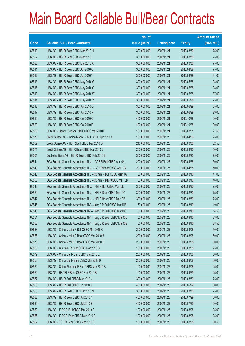|       |                                                                | No. of        |                     |               | <b>Amount raised</b> |
|-------|----------------------------------------------------------------|---------------|---------------------|---------------|----------------------|
| Code  | <b>Callable Bull / Bear Contracts</b>                          | issue (units) | <b>Listing date</b> | <b>Expiry</b> | $(HK$$ mil.)         |
| 68510 | UBS AG - HSI R Bear CBBC Mar 2010 H                            | 300,000,000   | 2009/11/24          | 2010/03/30    | 75.00                |
| 68527 | UBS AG - HSI R Bear CBBC Mar 2010 I                            | 300,000,000   | 2009/11/24          | 2010/03/30    | 75.00                |
| 68528 | UBS AG - HSI R Bear CBBC Mar 2010 X                            | 300,000,000   | 2009/11/24          | 2010/03/30    | 75.00                |
| 68511 | UBS AG - HSI R Bear CBBC Apr 2010 C                            | 300,000,000   | 2009/11/24          | 2010/04/29    | 75.00                |
| 68512 | UBS AG - HSI R Bear CBBC Apr 2010 Y                            | 300,000,000   | 2009/11/24          | 2010/04/29    | 81.00                |
| 68515 | UBS AG - HSI R Bear CBBC May 2010 G                            | 300,000,000   | 2009/11/24          | 2010/05/28    | 93.00                |
| 68516 | UBS AG - HSI R Bear CBBC May 2010 O                            | 300,000,000   | 2009/11/24          | 2010/05/28    | 108.00               |
| 68513 | UBS AG - HSI R Bear CBBC May 2010 W                            | 300,000,000   | 2009/11/24          | 2010/05/28    | 87.00                |
| 68514 | UBS AG - HSI R Bear CBBC May 2010 Y                            | 300,000,000   | 2009/11/24          | 2010/05/28    | 75.00                |
| 68518 | UBS AG - HSI R Bear CBBC Jun 2010 Q                            | 300,000,000   | 2009/11/24          | 2010/06/29    | 105.00               |
| 68517 | UBS AG - HSI R Bear CBBC Jun 2010 R                            | 300,000,000   | 2009/11/24          | 2010/06/29    | 99.00                |
| 68519 | UBS AG - HSI R Bear CBBC Oct 2010 C                            | 400,000,000   | 2009/11/24          | 2010/10/28    | 100.00               |
| 68520 | UBS AG - HSI R Bear CBBC Oct 2010 D                            | 400,000,000   | 2009/11/24          | 2010/10/28    | 100.00               |
| 68526 | UBS AG - Jiangxi Copper R Bull CBBC Mar 2010 P                 | 100,000,000   | 2009/11/24          | 2010/03/01    | 27.50                |
| 68570 | Credit Suisse AG - China Mobile R Bull CBBC Apr 2010 A         | 100,000,000   | 2009/11/25          | 2010/04/26    | 25.00                |
| 68559 | Credit Suisse AG - HSI R Bull CBBC Mar 2010 O                  | 210,000,000   | 2009/11/25          | 2010/03/30    | 52.50                |
| 68571 | Credit Suisse AG - HSI R Bear CBBC Mar 2010 J                  | 200,000,000   | 2009/11/25          | 2010/03/30    | 50.00                |
| 68561 | Deutsche Bank AG - HSI R Bear CBBC Feb 2010 B                  | 300,000,000   | 2009/11/25          | 2010/02/25    | 75.00                |
| 68544 | SGA Societe Generale Acceptance N.V. - CCB R Bull CBBC Apr10A  | 200,000,000   | 2009/11/25          | 2010/04/28    | 50.00                |
| 68549 | SGA Societe Generale Acceptance N.V. - CCB R Bear CBBC Apr10B  | 200,000,000   | 2009/11/25          | 2010/04/28    | 50.00                |
| 68545 | SGA Societe Generale Acceptance N.V - CShen R Bull CBBC Mar10A | 50,000,000    | 2009/11/25          | 2010/03/10    | 41.00                |
| 68550 | SGA Societe Generale Acceptance N.V - CShen R Bear CBBC Mar10B | 50,000,000    | 2009/11/25          | 2010/03/10    | 46.00                |
| 68543 | SGA Societe Generale Acceptance N.V. - HSI R Bull CBBC Mar10L  | 300,000,000   | 2009/11/25          | 2010/03/30    | 75.00                |
| 68560 | SGA Societe Generale Acceptance N.V. - HSI R Bear CBBC Mar10C  | 300,000,000   | 2009/11/25          | 2010/03/30    | 75.00                |
| 68547 | SGA Societe Generale Acceptance N.V. - HSI R Bear CBBC Mar10P  | 300,000,000   | 2009/11/25          | 2010/03/30    | 75.00                |
| 68546 | SGA Societe Generale Acceptance NV - JiangC R Bull CBBC Mar10B | 50,000,000    | 2009/11/25          | 2010/03/10    | 19.00                |
| 68548 | SGA Societe Generale Acceptance NV - JiangC R Bull CBBC Mar10C | 50,000,000    | 2009/11/25          | 2010/03/10    | 14.50                |
| 68551 | SGA Societe Generale Acceptance NV - JiangC R Bear CBBC Mar10D | 50,000,000    | 2009/11/25          | 2010/03/10    | 23.00                |
| 68552 | SGA Societe Generale Acceptance NV - JiangC R Bear CBBC Mar10E | 50,000,000    | 2009/11/25          | 2010/03/10    | 28.50                |
| 68563 | UBS AG - China Mobile R Bull CBBC Mar 2010 C                   | 200,000,000   | 2009/11/25          | 2010/03/08    | 50.00                |
| 68556 | UBS AG - China Mobile R Bear CBBC Mar 2010 B                   | 200,000,000   | 2009/11/25          | 2010/03/08    | 50.00                |
| 68573 | UBS AG - China Mobile R Bear CBBC Mar 2010 D                   | 200,000,000   | 2009/11/25          | 2010/03/08    | 50.00                |
| 68565 | UBS AG - CC Bank R Bear CBBC Mar 2010 C                        | 100,000,000   | 2009/11/25          | 2010/03/08    | 25.00                |
| 68572 | UBS AG - China Life R Bull CBBC Mar 2010 E                     | 200,000,000   | 2009/11/25          | 2010/03/08    | 50.00                |
| 68555 | UBS AG - China Life R Bear CBBC Mar 2010 D                     | 200,000,000   | 2009/11/25          | 2010/03/08    | 50.00                |
| 68564 | UBS AG - China Shenhua R Bull CBBC Mar 2010 B                  | 100,000,000   | 2009/11/25          | 2010/03/08    | 25.00                |
| 68554 | UBS AG - HSCEI R Bear CBBC Apr 2010 B                          | 100,000,000   | 2009/11/25          | 2010/04/29    | 25.00                |
| 68557 | UBS AG - HSI R Bull CBBC Mar 2010 V                            | 300,000,000   | 2009/11/25          | 2010/03/30    | 75.00                |
| 68558 | UBS AG - HSI R Bull CBBC Jun 2010 S                            | 400,000,000   | 2009/11/25          | 2010/06/29    | 100.00               |
| 68553 | UBS AG - HSI R Bear CBBC Mar 2010 N                            | 300,000,000   | 2009/11/25          | 2010/03/30    | 75.00                |
| 68568 | UBS AG - HSI R Bear CBBC Jul 2010 A                            | 400,000,000   | 2009/11/25          | 2010/07/29    | 100.00               |
| 68569 | UBS AG - HSI R Bear CBBC Jul 2010 B                            | 400,000,000   | 2009/11/25          | 2010/07/29    | 100.00               |
| 68562 | UBS AG - ICBC R Bull CBBC Mar 2010 C                           | 100,000,000   | 2009/11/25          | 2010/03/08    | 25.00                |
| 68566 | UBS AG - ICBC R Bear CBBC Mar 2010 D                           | 100,000,000   | 2009/11/25          | 2010/03/08    | 25.00                |
| 68567 | UBS AG - TCH R Bear CBBC Mar 2010 E                            | 100,000,000   | 2009/11/25          | 2010/03/08    | 30.50                |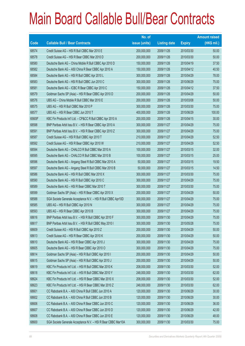|        |                                                               | No. of        |                     |               | <b>Amount raised</b> |
|--------|---------------------------------------------------------------|---------------|---------------------|---------------|----------------------|
| Code   | <b>Callable Bull / Bear Contracts</b>                         | issue (units) | <b>Listing date</b> | <b>Expiry</b> | $(HK$$ mil.)         |
| 68574  | Credit Suisse AG - HSI R Bull CBBC Mar 2010 E                 | 200,000,000   | 2009/11/26          | 2010/03/30    | 50.00                |
| 68578  | Credit Suisse AG - HSI R Bear CBBC Mar 2010 D                 | 200,000,000   | 2009/11/26          | 2010/03/30    | 50.00                |
| 68580  | Deutsche Bank AG - China Mobile R Bull CBBC Apr 2010 D        | 150,000,000   | 2009/11/26          | 2010/04/19    | 37.50                |
| 68582  | Deutsche Bank AG - A50 China R Bear CBBC Apr 2010 A           | 150,000,000   | 2009/11/26          | 2010/04/12    | 40.50                |
| 68584  | Deutsche Bank AG - HSI R Bull CBBC Apr 2010 L                 | 300,000,000   | 2009/11/26          | 2010/04/29    | 78.00                |
| 68583  | Deutsche Bank AG - HSI R Bull CBBC Jun 2010 C                 | 300,000,000   | 2009/11/26          | 2010/06/29    | 75.00                |
| 68581  | Deutsche Bank AG - ICBC R Bear CBBC Apr 2010 C                | 150,000,000   | 2009/11/26          | 2010/04/12    | 37.50                |
| 68579  | Goldman Sachs SP (Asia) - HSI R Bear CBBC Apr 2010 D          | 200,000,000   | 2009/11/26          | 2010/04/29    | 50.00                |
| 68576  | UBS AG - China Mobile R Bull CBBC Mar 2010 E                  | 200,000,000   | 2009/11/26          | 2010/03/08    | 50.00                |
| 68575  | UBS AG - HSI R Bull CBBC Mar 2010 P                           | 300,000,000   | 2009/11/26          | 2010/03/30    | 75.00                |
| 68577  | UBS AG - HSI R Bear CBBC Jun 2010 T                           | 400,000,000   | 2009/11/26          | 2010/06/29    | 100.00               |
| 65609# | KBC Fin Products Int'l Ltd. - CP&CC R Bull CBBC Apr 2010 A    | 200,000,000   | 2009/11/26          | 2010/04/15    | 30.00                |
| 68598  | BNP Paribas Arbit Issu B.V. - HSI R Bear CBBC Apr 2010 A      | 300,000,000   | 2009/11/27          | 2010/04/29    | 75.00                |
| 68591  | BNP Paribas Arbit Issu B.V. - HSI R Bear CBBC Apr 2010 Z      | 300,000,000   | 2009/11/27          | 2010/04/29    | 75.00                |
| 68587  | Credit Suisse AG - HSI R Bull CBBC Apr 2010 T                 | 210,000,000   | 2009/11/27          | 2010/04/29    | 52.50                |
| 68592  | Credit Suisse AG - HSI R Bear CBBC Apr 2010 W                 | 210,000,000   | 2009/11/27          | 2010/04/29    | 52.50                |
| 68594  | Deutsche Bank AG - CHALCO R Bull CBBC Mar 2010 A              | 100,000,000   | 2009/11/27          | 2010/03/15    | 32.00                |
| 68595  | Deutsche Bank AG - CHALCO R Bull CBBC Mar 2010 B              | 100,000,000   | 2009/11/27          | 2010/03/15    | 25.00                |
| 68596  | Deutsche Bank AG - Angang Steel R Bull CBBC Mar 2010 A        | 50,000,000    | 2009/11/27          | 2010/03/15    | 19.50                |
| 68597  | Deutsche Bank AG - Angang Steel R Bull CBBC Mar 2010 B        | 50,000,000    | 2009/11/27          | 2010/03/15    | 14.50                |
| 68586  | Deutsche Bank AG - HSI R Bull CBBC Mar 2010 X                 | 300,000,000   | 2009/11/27          | 2010/03/30    | 75.00                |
| 68590  | Deutsche Bank AG - HSI R Bull CBBC Apr 2010 C                 | 300,000,000   | 2009/11/27          | 2010/04/29    | 75.00                |
| 68589  | Deutsche Bank AG - HSI R Bear CBBC Mar 2010 T                 | 300,000,000   | 2009/11/27          | 2010/03/30    | 75.00                |
| 68599  | Goldman Sachs SP (Asia) - HSI R Bear CBBC Apr 2010 X          | 200,000,000   | 2009/11/27          | 2010/04/29    | 50.00                |
| 68588  | SGA Societe Generale Acceptance N.V. - HSI R Bull CBBC Apr10D | 300,000,000   | 2009/11/27          | 2010/04/29    | 75.00                |
| 68585  | UBS AG - HSI R Bull CBBC Apr 2010 N                           | 300,000,000   | 2009/11/27          | 2010/04/29    | 75.00                |
| 68593  | UBS AG - HSI R Bear CBBC Apr 2010 B                           | 300,000,000   | 2009/11/27          | 2010/04/29    | 75.00                |
| 68616  | BNP Paribas Arbit Issu B.V. - HSI R Bull CBBC Apr 2010 F      | 300,000,000   | 2009/11/30          | 2010/04/29    | 75.00                |
| 68617  | BNP Paribas Arbit Issu B.V. - HSI R Bull CBBC May 2010 I      | 300,000,000   | 2009/11/30          | 2010/05/28    | 75.00                |
| 68609  | Credit Suisse AG - HSI R Bull CBBC Apr 2010 Z                 | 200,000,000   | 2009/11/30          | 2010/04/29    | 50.00                |
| 68613  | Credit Suisse AG - HSI R Bear CBBC Apr 2010 K                 | 200,000,000   | 2009/11/30          | 2010/04/29    | 50.00                |
| 68610  | Deutsche Bank AG - HSI R Bear CBBC Apr 2010 J                 | 300,000,000   | 2009/11/30          | 2010/04/29    | 75.00                |
| 68605  | Deutsche Bank AG - HSI R Bear CBBC Apr 2010 O                 | 300,000,000   | 2009/11/30          | 2010/04/29    | 75.00                |
| 68614  | Goldman Sachs SP (Asia) - HSI R Bull CBBC Apr 2010 I          | 200,000,000   | 2009/11/30          | 2010/04/29    | 50.00                |
| 68615  | Goldman Sachs SP (Asia) - HSI R Bull CBBC Apr 2010 J          | 200,000,000   | 2009/11/30          | 2010/04/29    | 50.00                |
| 68619  | KBC Fin Products Int'l Ltd. - HSI R Bull CBBC Mar 2010 K      | 208,000,000   | 2009/11/30          | 2010/03/30    | 52.00                |
| 68618  | KBC Fin Products Int'l Ltd. - HSI R Bull CBBC Mar 2010 Y      | 248,000,000   | 2009/11/30          | 2010/03/30    | 62.00                |
| 68624  | KBC Fin Products Int'l Ltd. - HSI R Bear CBBC Mar 2010 X      | 208,000,000   | 2009/11/30          | 2010/03/30    | 52.00                |
| 68623  | KBC Fin Products Int'l Ltd. - HSI R Bear CBBC Mar 2010 Z      | 248,000,000   | 2009/11/30          | 2010/03/30    | 62.00                |
| 68601  | CC Rabobank B.A. - A50 China R Bull CBBC Jun 2010 A           | 120,000,000   | 2009/11/30          | 2010/06/29    | 30.00                |
| 68602  | CC Rabobank B.A. - A50 China R Bull CBBC Jun 2010 B           | 120,000,000   | 2009/11/30          | 2010/06/29    | 30.00                |
| 68606  | CC Rabobank B.A. - A50 China R Bear CBBC Jun 2010 C           | 120,000,000   | 2009/11/30          | 2010/06/29    | 36.00                |
| 68607  | CC Rabobank B.A. - A50 China R Bear CBBC Jun 2010 D           | 120,000,000   | 2009/11/30          | 2010/06/29    | 42.00                |
| 68608  | CC Rabobank B.A. - A50 China R Bear CBBC Jun 2010 E           | 120,000,000   | 2009/11/30          | 2010/06/29    | 48.00                |
| 68600  | SGA Societe Generale Acceptance N.V. - HSI R Bear CBBC Mar10A | 300,000,000   | 2009/11/30          | 2010/03/30    | 75.00                |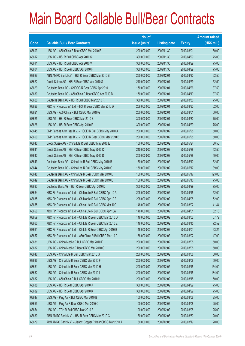|       |                                                              | No. of        |                     |               | <b>Amount raised</b> |
|-------|--------------------------------------------------------------|---------------|---------------------|---------------|----------------------|
| Code  | <b>Callable Bull / Bear Contracts</b>                        | issue (units) | <b>Listing date</b> | <b>Expiry</b> | (HK\$ mil.)          |
| 68603 | UBS AG - A50 China R Bear CBBC Mar 2010 F                    | 200,000,000   | 2009/11/30          | 2010/03/01    | 50.00                |
| 68612 | UBS AG - HSI R Bull CBBC Apr 2010 S                          | 300,000,000   | 2009/11/30          | 2010/04/29    | 75.00                |
| 68611 | UBS AG - HSI R Bull CBBC Apr 2010 V                          | 300,000,000   | 2009/11/30          | 2010/04/29    | 75.00                |
| 68604 | UBS AG - HSI R Bear CBBC Apr 2010 F                          | 300,000,000   | 2009/11/30          | 2010/04/29    | 75.00                |
| 68627 | ABN AMRO Bank N.V. - HSI R Bear CBBC Mar 2010 B              | 250,000,000   | 2009/12/01          | 2010/03/30    | 62.50                |
| 68622 | Credit Suisse AG - HSI R Bear CBBC Apr 2010 S                | 210,000,000   | 2009/12/01          | 2010/04/29    | 52.50                |
| 68629 | Deutsche Bank AG - CNOOC R Bear CBBC Apr 2010 I              | 150,000,000   | 2009/12/01          | 2010/04/26    | 37.50                |
| 68630 | Deutsche Bank AG - A50 China R Bear CBBC Apr 2010 B          | 150,000,000   | 2009/12/01          | 2010/04/19    | 37.50                |
| 68620 | Deutsche Bank AG - HSI R Bull CBBC Mar 2010 R                | 300,000,000   | 2009/12/01          | 2010/03/30    | 75.00                |
| 68628 | KBC Fin Products Int'l Ltd. - HSI R Bear CBBC Mar 2010 W     | 208,000,000   | 2009/12/01          | 2010/03/30    | 52.00                |
| 68621 | UBS AG - A50 China R Bull CBBC Mar 2010 G                    | 200,000,000   | 2009/12/01          | 2010/03/01    | 50.00                |
| 68625 | UBS AG - HSI R Bear CBBC Mar 2010 S                          | 300,000,000   | 2009/12/01          | 2010/03/30    | 75.00                |
| 68626 | UBS AG - HSI R Bear CBBC Apr 2010 P                          | 300,000,000   | 2009/12/01          | 2010/04/29    | 75.00                |
| 68645 | BNP Paribas Arbit Issu B.V. - HSCEI R Bull CBBC May 2010 A   | 200,000,000   | 2009/12/02          | 2010/05/28    | 50.00                |
| 68650 | BNP Paribas Arbit Issu B.V. - HSCEI R Bear CBBC May 2010 B   | 200,000,000   | 2009/12/02          | 2010/05/28    | 50.00                |
| 68640 | Credit Suisse AG - China Life R Bull CBBC May 2010 E         | 100,000,000   | 2009/12/02          | 2010/05/24    | 30.50                |
| 68641 | Credit Suisse AG - HSI R Bear CBBC May 2010 C                | 210,000,000   | 2009/12/02          | 2010/05/28    | 52.50                |
| 68642 | Credit Suisse AG - HSI R Bear CBBC May 2010 D                | 200,000,000   | 2009/12/02          | 2010/05/28    | 50.00                |
| 68643 | Deutsche Bank AG - China Life R Bull CBBC May 2010 B         | 150,000,000   | 2009/12/02          | 2010/05/10    | 52.50                |
| 68644 | Deutsche Bank AG - China Life R Bull CBBC May 2010 C         | 150,000,000   | 2009/12/02          | 2010/05/17    | 39.00                |
| 68648 | Deutsche Bank AG - China Life R Bear CBBC May 2010 D         | 150,000,000   | 2009/12/02          | 2010/05/17    | 123.00               |
| 68649 | Deutsche Bank AG - China Life R Bear CBBC May 2010 E         | 150,000,000   | 2009/12/02          | 2010/05/10    | 75.00                |
| 68633 | Deutsche Bank AG - HSI R Bear CBBC Apr 2010 D                | 300,000,000   | 2009/12/02          | 2010/04/29    | 75.00                |
| 68634 | KBC Fin Products Int'l Ltd. - Ch Mobile R Bull CBBC Apr 10 A | 208,000,000   | 2009/12/02          | 2010/04/15    | 52.00                |
| 68635 | KBC Fin Products Int'l Ltd. - Ch Mobile R Bull CBBC Apr 10 B | 208,000,000   | 2009/12/02          | 2010/04/08    | 52.00                |
| 68655 | KBC Fin Products Int'l Ltd. - China Life R Bull CBBC Mar 10C | 148,000,000   | 2009/12/02          | 2010/03/02    | 41.44                |
| 68656 | KBC Fin Products Int'l Ltd. - China Life R Bull CBBC Apr 10A | 148,000,000   | 2009/12/02          | 2010/04/01    | 62.16                |
| 68659 | KBC Fin Products Int'l Ltd. - Ch Life R Bear CBBC Mar 2010 D | 148,000,000   | 2009/12/02          | 2010/03/02    | 57.72                |
| 68660 | KBC Fin Products Int'l Ltd. - Ch Life R Bear CBBC Mar 2010 E | 148,000,000   | 2009/12/02          | 2010/03/15    | 72.52                |
| 68661 | KBC Fin Products Int'l Ltd. - Ch Life R Bear CBBC Apr 2010 B | 148,000,000   | 2009/12/02          | 2010/04/01    | 93.24                |
| 68657 | KBC Fin Products Int'l Ltd. - A50 China R Bull CBBC Mar 10 C | 188,000,000   | 2009/12/02          | 2010/03/02    | 47.00                |
| 68631 | UBS AG - China Mobile R Bull CBBC Mar 2010 F                 | 200,000,000   | 2009/12/02          | 2010/03/08    | 50.00                |
| 68637 | UBS AG - China Mobile R Bear CBBC Mar 2010 G                 | 200,000,000   | 2009/12/02          | 2010/03/08    | 50.00                |
| 68646 | UBS AG - China Life R Bull CBBC Mar 2010 G                   | 200,000,000   | 2009/12/02          | 2010/03/08    | 50.00                |
| 68636 | UBS AG - China Life R Bear CBBC Mar 2010 F                   | 200,000,000   | 2009/12/02          | 2010/03/08    | 50.00                |
| 68651 | UBS AG - China Life R Bear CBBC Mar 2010 H                   | 200,000,000   | 2009/12/02          | 2010/03/15    | 164.00               |
| 68652 | UBS AG - China Life R Bear CBBC Mar 2010 I                   | 200,000,000   | 2009/12/02          | 2010/03/15    | 184.00               |
| 68632 | UBS AG - A50 China R Bull CBBC Mar 2010 H                    | 200,000,000   | 2009/12/02          | 2010/03/15    | 50.00                |
| 68638 | UBS AG - HSI R Bear CBBC Apr 2010 J                          | 300,000,000   | 2009/12/02          | 2010/04/29    | 75.00                |
| 68639 | UBS AG - HSI R Bear CBBC Apr 2010 K                          | 300,000,000   | 2009/12/02          | 2010/04/29    | 75.00                |
| 68647 | UBS AG - Ping An R Bull CBBC Mar 2010 B                      | 100,000,000   | 2009/12/02          | 2010/03/08    | 25.00                |
| 68653 | UBS AG - Ping An R Bear CBBC Mar 2010 C                      | 100,000,000   | 2009/12/02          | 2010/03/08    | 25.00                |
| 68654 | UBS AG - TCH R Bull CBBC Mar 2010 F                          | 100,000,000   | 2009/12/02          | 2010/03/08    | 25.00                |
| 68680 | ABN AMRO Bank N.V. - HSI R Bear CBBC Mar 2010 C              | 80,000,000    | 2009/12/03          | 2010/03/30    | 20.00                |
| 68679 | ABN AMRO Bank N.V. - Jiangxi Copper R Bear CBBC Mar 2010 A   | 80,000,000    | 2009/12/03          | 2010/03/19    | 20.00                |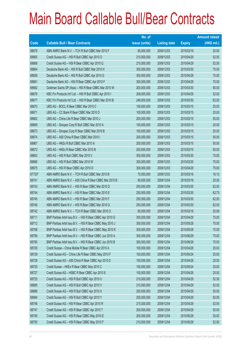|        |                                                          | No. of        |                     |               | <b>Amount raised</b> |
|--------|----------------------------------------------------------|---------------|---------------------|---------------|----------------------|
| Code   | <b>Callable Bull / Bear Contracts</b>                    | issue (units) | <b>Listing date</b> | <b>Expiry</b> | (HK\$ mil.)          |
| 68678  | ABN AMRO Bank N.V. - TCH R Bull CBBC Mar 2010 F          | 80,000,000    | 2009/12/03          | 2010/03/19    | 20.00                |
| 68665  | Credit Suisse AG - HSI R Bull CBBC Apr 2010 O            | 210,000,000   | 2009/12/03          | 2010/04/29    | 52.50                |
| 68668  | Credit Suisse AG - HSI R Bear CBBC Apr 2010 Q            | 210,000,000   | 2009/12/03          | 2010/04/29    | 52.50                |
| 68664  | Deutsche Bank AG - HSI R Bull CBBC Mar 2010 H            | 300,000,000   | 2009/12/03          | 2010/03/30    | 75.00                |
| 68658  | Deutsche Bank AG - HSI R Bull CBBC Apr 2010 G            | 300,000,000   | 2009/12/03          | 2010/04/29    | 75.00                |
| 68681  | Deutsche Bank AG - HSI R Bear CBBC Apr 2010 F            | 300,000,000   | 2009/12/03          | 2010/04/29    | 75.00                |
| 68682  | Goldman Sachs SP (Asia) - HSI R Bear CBBC Mar 2010 W     | 200,000,000   | 2009/12/03          | 2010/03/30    | 50.00                |
| 68676  | KBC Fin Products Int'l Ltd. - HSI R Bull CBBC Apr 2010 I | 208,000,000   | 2009/12/03          | 2010/04/29    | 52.00                |
| 68677  | KBC Fin Products Int'l Ltd. - HSI R Bear CBBC Mar 2010 B | 248,000,000   | 2009/12/03          | 2010/03/30    | 62.00                |
| 68670  | UBS AG - BOCL R Bear CBBC Mar 2010 C                     | 100,000,000   | 2009/12/03          | 2010/03/15    | 25.00                |
| 68671  | UBS AG - CC Bank R Bear CBBC Mar 2010 D                  | 100,000,000   | 2009/12/03          | 2010/03/15    | 25.00                |
| 68662  | UBS AG - China Life R Bear CBBC Mar 2010 J               | 200,000,000   | 2009/12/03          | 2010/03/15    | 50.00                |
| 68669  | UBS AG - Sinopec Corp R Bull CBBC Mar 2010 A             | 100,000,000   | 2009/12/03          | 2010/03/15    | 25.00                |
| 68673  | UBS AG - Sinopec Corp R Bear CBBC Mar 2010 B             | 100,000,000   | 2009/12/03          | 2010/03/15    | 25.00                |
| 68674  | UBS AG - A50 China R Bear CBBC Mar 2010 I                | 200,000,000   | 2009/12/03          | 2010/03/15    | 50.00                |
| 68667  | UBS AG - HKEx R Bull CBBC Mar 2010 A                     | 200,000,000   | 2009/12/03          | 2010/03/15    | 50.00                |
| 68672  | UBS AG - HKEx R Bear CBBC Mar 2010 B                     | 200,000,000   | 2009/12/03          | 2010/03/15    | 50.00                |
| 68663  | UBS AG - HSI R Bull CBBC Mar 2010 V                      | 300,000,000   | 2009/12/03          | 2010/03/30    | 75.00                |
| 68666  | UBS AG - HSI R Bull CBBC Mar 2010 W                      | 300,000,000   | 2009/12/03          | 2010/03/30    | 75.00                |
| 68675  | UBS AG - HSI R Bear CBBC Apr 2010 D                      | 300,000,000   | 2009/12/03          | 2010/04/29    | 75.00                |
| 67733# | ABN AMRO Bank N.V. - TCH R Bull CBBC Mar 2010 B          | 70,000,000    | 2009/12/03          | 2010/03/16    | 16.10                |
| 68741  | ABN AMRO Bank N.V. - A50 China R Bear CBBC Mar 2010 B    | 80,000,000    | 2009/12/04          | 2010/03/16    | 20.00                |
| 68743  | ABN AMRO Bank N.V. - HSI R Bear CBBC Mar 2010 D          | 250,000,000   | 2009/12/04          | 2010/03/30    | 62.50                |
| 68744  | ABN AMRO Bank N.V. - HSI R Bear CBBC Mar 2010 E          | 250,000,000   | 2009/12/04          | 2010/03/30    | 62.75                |
| 68745  | ABN AMRO Bank N.V. - HSI R Bear CBBC Mar 2010 F          | 250,000,000   | 2009/12/04          | 2010/03/30    | 62.50                |
| 68746  | ABN AMRO Bank N.V. - HSI R Bear CBBC Mar 2010 G          | 250,000,000   | 2009/12/04          | 2010/03/30    | 62.50                |
| 68742  | ABN AMRO Bank N.V. - TCH R Bear CBBC Mar 2010 G          | 80,000,000    | 2009/12/04          | 2010/03/16    | 20.08                |
| 68711  | BNP Paribas Arbit Issu B.V. - HSI R Bear CBBC Apr 2010 G | 300,000,000   | 2009/12/04          | 2010/04/29    | 75.00                |
| 68712  | BNP Paribas Arbit Issu B.V. - HSI R Bear CBBC May 2010 J | 300,000,000   | 2009/12/04          | 2010/05/28    | 75.00                |
| 68788  | BNP Paribas Arbit Issu B.V. - HSI R Bear CBBC May 2010 K | 300,000,000   | 2009/12/04          | 2010/05/28    | 75.00                |
| 68789  | BNP Paribas Arbit Issu B.V. - HSI R Bear CBBC Jun 2010 A | 300,000,000   | 2009/12/04          | 2010/06/29    | 75.00                |
| 68790  | BNP Paribas Arbit Issu B.V. - HSI R Bear CBBC Jun 2010 B | 300,000,000   | 2009/12/04          | 2010/06/29    | 75.00                |
| 68726  | Credit Suisse - China Mobile R Bear CBBC Apr 2010 A      | 100,000,000   | 2009/12/04          | 2010/04/26    | 25.00                |
| 68729  | Credit Suisse AG - China Life R Bear CBBC May 2010 F     | 100,000,000   | 2009/12/04          | 2010/05/24    | 25.00                |
| 68728  | Credit Suisse AG - A50 China R Bear CBBC Apr 2010 D      | 100,000,000   | 2009/12/04          | 2010/04/26    | 25.00                |
| 68730  | Credit Suisse - HKEx R Bear CBBC May 2010 C              | 100,000,000   | 2009/12/04          | 2010/05/24    | 25.00                |
| 68727  | Credit Suisse AG - HSBC R Bear CBBC Apr 2010 E           | 100,000,000   | 2009/12/04          | 2010/04/26    | 25.00                |
| 68725  | Credit Suisse AG - HSI R Bull CBBC Apr 2010 U            | 210,000,000   | 2009/12/04          | 2010/04/29    | 52.50                |
| 68685  | Credit Suisse AG - HSI R Bull CBBC Apr 2010 V            | 210,000,000   | 2009/12/04          | 2010/04/29    | 52.50                |
| 68686  | Credit Suisse AG - HSI R Bull CBBC Apr 2010 X            | 200,000,000   | 2009/12/04          | 2010/04/29    | 50.00                |
| 68684  | Credit Suisse AG - HSI R Bull CBBC Apr 2010 Y            | 200,000,000   | 2009/12/04          | 2010/04/29    | 50.00                |
| 68748  | Credit Suisse AG - HSI R Bear CBBC Apr 2010 R            | 210,000,000   | 2009/12/04          | 2010/04/29    | 52.50                |
| 68747  | Credit Suisse AG - HSI R Bear CBBC Apr 2010 T            | 200,000,000   | 2009/12/04          | 2010/04/29    | 50.00                |
| 68749  | Credit Suisse AG - HSI R Bear CBBC May 2010 E            | 200,000,000   | 2009/12/04          | 2010/05/28    | 50.00                |
| 68750  | Credit Suisse AG - HSI R Bear CBBC May 2010 F            | 210,000,000   | 2009/12/04          | 2010/05/28    | 52.50                |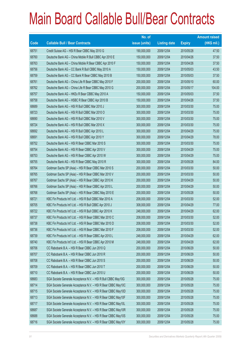|       |                                                               | No. of        |                     |               | <b>Amount raised</b> |
|-------|---------------------------------------------------------------|---------------|---------------------|---------------|----------------------|
| Code  | <b>Callable Bull / Bear Contracts</b>                         | issue (units) | <b>Listing date</b> | <b>Expiry</b> | (HK\$ mil.)          |
| 68751 | Credit Suisse AG - HSI R Bear CBBC May 2010 G                 | 190,000,000   | 2009/12/04          | 2010/05/28    | 47.50                |
| 68760 | Deutsche Bank AG - China Mobile R Bull CBBC Apr 2010 E        | 150,000,000   | 2009/12/04          | 2010/04/26    | 37.50                |
| 68763 | Deutsche Bank AG - China Mobile R Bear CBBC Apr 2010 F        | 150,000,000   | 2009/12/04          | 2010/04/26    | 37.50                |
| 68756 | Deutsche Bank AG - CC Bank R Bull CBBC May 2010 A             | 150,000,000   | 2009/12/04          | 2010/05/03    | 43.50                |
| 68759 | Deutsche Bank AG - CC Bank R Bear CBBC May 2010 B             | 150,000,000   | 2009/12/04          | 2010/05/03    | 37.50                |
| 68761 | Deutsche Bank AG - China Life R Bear CBBC May 2010 F          | 200,000,000   | 2009/12/04          | 2010/05/10    | 60.00                |
| 68762 | Deutsche Bank AG - China Life R Bear CBBC May 2010 G          | 200,000,000   | 2009/12/04          | 2010/05/17    | 104.00               |
| 68757 | Deutsche Bank AG - HKEx R Bear CBBC May 2010 A                | 150,000,000   | 2009/12/04          | 2010/05/03    | 37.50                |
| 68758 | Deutsche Bank AG - HSBC R Bear CBBC Apr 2010 B                | 150,000,000   | 2009/12/04          | 2010/04/26    | 37.50                |
| 68689 | Deutsche Bank AG - HSI R Bull CBBC Mar 2010 J                 | 300,000,000   | 2009/12/04          | 2010/03/30    | 75.00                |
| 68723 | Deutsche Bank AG - HSI R Bull CBBC Mar 2010 O                 | 300,000,000   | 2009/12/04          | 2010/03/30    | 75.00                |
| 68690 | Deutsche Bank AG - HSI R Bull CBBC Mar 2010 V                 | 300,000,000   | 2009/12/04          | 2010/03/30    | 75.00                |
| 68724 | Deutsche Bank AG - HSI R Bull CBBC Mar 2010 X                 | 300,000,000   | 2009/12/04          | 2010/03/30    | 75.00                |
| 68692 | Deutsche Bank AG - HSI R Bull CBBC Apr 2010 L                 | 300,000,000   | 2009/12/04          | 2010/04/29    | 75.00                |
| 68691 | Deutsche Bank AG - HSI R Bull CBBC Apr 2010 Y                 | 300,000,000   | 2009/12/04          | 2010/04/29    | 78.00                |
| 68752 | Deutsche Bank AG - HSI R Bear CBBC Mar 2010 S                 | 300,000,000   | 2009/12/04          | 2010/03/30    | 75.00                |
| 68754 | Deutsche Bank AG - HSI R Bear CBBC Apr 2010 V                 | 300,000,000   | 2009/12/04          | 2010/04/29    | 75.00                |
| 68753 | Deutsche Bank AG - HSI R Bear CBBC Apr 2010 W                 | 300,000,000   | 2009/12/04          | 2010/04/29    | 75.00                |
| 68755 | Deutsche Bank AG - HSI R Bear CBBC May 2010 R                 | 300,000,000   | 2009/12/04          | 2010/05/28    | 84.00                |
| 68764 | Goldman Sachs SP (Asia) - HSI R Bear CBBC Mar 2010 S          | 200,000,000   | 2009/12/04          | 2010/03/30    | 50.00                |
| 68765 | Goldman Sachs SP (Asia) - HSI R Bear CBBC Mar 2010 V          | 200,000,000   | 2009/12/04          | 2010/03/30    | 50.00                |
| 68767 | Goldman Sachs SP (Asia) - HSI R Bear CBBC Apr 2010 K          | 200,000,000   | 2009/12/04          | 2010/04/29    | 50.00                |
| 68766 | Goldman Sachs SP (Asia) - HSI R Bear CBBC Apr 2010 L          | 200,000,000   | 2009/12/04          | 2010/04/29    | 50.00                |
| 68768 | Goldman Sachs SP (Asia) - HSI R Bear CBBC May 2010 E          | 200,000,000   | 2009/12/04          | 2010/05/28    | 50.00                |
| 68721 | KBC Fin Products Int'l Ltd. - HSI R Bull CBBC Mar 2010 A      | 208,000,000   | 2009/12/04          | 2010/03/30    | 52.00                |
| 68705 | KBC Fin Products Int'l Ltd. - HSI R Bull CBBC Apr 2010 J      | 308,000,000   | 2009/12/04          | 2010/04/29    | 77.00                |
| 68722 | KBC Fin Products Int'l Ltd. - HSI R Bull CBBC Apr 2010 K      | 248,000,000   | 2009/12/04          | 2010/04/29    | 62.00                |
| 68737 | KBC Fin Products Int'l Ltd. - HSI R Bear CBBC Mar 2010 C      | 208,000,000   | 2009/12/04          | 2010/03/30    | 52.00                |
| 68738 | KBC Fin Products Int'l Ltd. - HSI R Bear CBBC Mar 2010 D      | 208,000,000   | 2009/12/04          | 2010/03/30    | 52.00                |
| 68736 | KBC Fin Products Int'l Ltd. - HSI R Bear CBBC Mar 2010 F      | 208,000,000   | 2009/12/04          | 2010/03/30    | 52.00                |
| 68739 | KBC Fin Products Int'l Ltd. - HSI R Bear CBBC Apr 2010 L      | 248,000,000   | 2009/12/04          | 2010/04/29    | 62.00                |
| 68740 | KBC Fin Products Int'l Ltd. - HSI R Bear CBBC Apr 2010 M      | 248,000,000   | 2009/12/04          | 2010/04/29    | 62.00                |
| 68706 | CC Rabobank B.A. - HSI R Bear CBBC Jun 2010 Q                 | 200,000,000   | 2009/12/04          | 2010/06/29    | 50.00                |
| 68707 | CC Rabobank B.A. - HSI R Bear CBBC Jun 2010 R                 | 200,000,000   | 2009/12/04          | 2010/06/29    | 50.00                |
| 68708 | CC Rabobank B.A. - HSI R Bear CBBC Jun 2010 S                 | 200,000,000   | 2009/12/04          | 2010/06/29    | 50.00                |
| 68709 | CC Rabobank B.A. - HSI R Bear CBBC Jun 2010 T                 | 200,000,000   | 2009/12/04          | 2010/06/29    | 50.00                |
| 68710 | CC Rabobank B.A. - HSI R Bear CBBC Jun 2010 U                 | 200,000,000   | 2009/12/04          | 2010/06/29    | 50.00                |
| 68683 | SGA Societe Generale Acceptance N.V. - HSI R Bull CBBC May10G | 300,000,000   | 2009/12/04          | 2010/05/28    | 75.00                |
| 68714 | SGA Societe Generale Acceptance N.V. - HSI R Bear CBBC May10C | 300,000,000   | 2009/12/04          | 2010/05/28    | 75.00                |
| 68715 | SGA Societe Generale Acceptance N.V. - HSI R Bear CBBC May10D | 300,000,000   | 2009/12/04          | 2010/05/28    | 75.00                |
| 68713 | SGA Societe Generale Acceptance N.V. - HSI R Bear CBBC May10F | 300,000,000   | 2009/12/04          | 2010/05/28    | 75.00                |
| 68717 | SGA Societe Generale Acceptance N.V. - HSI R Bear CBBC May10L | 300,000,000   | 2009/12/04          | 2010/05/28    | 75.00                |
| 68687 | SGA Societe Generale Acceptance N.V. - HSI R Bear CBBC May10R | 300,000,000   | 2009/12/04          | 2010/05/28    | 75.00                |
| 68688 | SGA Societe Generale Acceptance N.V. - HSI R Bear CBBC May10S | 300,000,000   | 2009/12/04          | 2010/05/28    | 75.00                |
| 68716 | SGA Societe Generale Acceptance N.V. - HSI R Bear CBBC May10Y | 300,000,000   | 2009/12/04          | 2010/05/28    | 75.00                |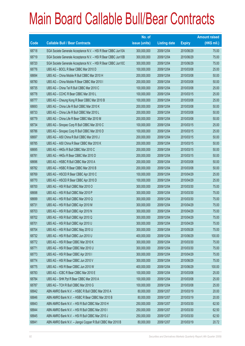|       |                                                               | No. of        |                     |               | <b>Amount raised</b> |
|-------|---------------------------------------------------------------|---------------|---------------------|---------------|----------------------|
| Code  | <b>Callable Bull / Bear Contracts</b>                         | issue (units) | <b>Listing date</b> | <b>Expiry</b> | (HK\$ mil.)          |
| 68718 | SGA Societe Generale Acceptance N.V. - HSI R Bear CBBC Jun10A | 300,000,000   | 2009/12/04          | 2010/06/29    | 75.00                |
| 68719 | SGA Societe Generale Acceptance N.V. - HSI R Bear CBBC Jun10B | 300,000,000   | 2009/12/04          | 2010/06/29    | 75.00                |
| 68720 | SGA Societe Generale Acceptance N.V. - HSI R Bear CBBC Jun10C | 300,000,000   | 2009/12/04          | 2010/06/29    | 75.00                |
| 68776 | UBS AG - BOCL R Bear CBBC Mar 2010 D                          | 100,000,000   | 2009/12/04          | 2010/03/08    | 25.00                |
| 68694 | UBS AG - China Mobile R Bull CBBC Mar 2010 H                  | 200,000,000   | 2009/12/04          | 2010/03/08    | 50.00                |
| 68780 | UBS AG - China Mobile R Bear CBBC Mar 2010 I                  | 200,000,000   | 2009/12/04          | 2010/03/08    | 50.00                |
| 68735 | UBS AG - China Tel R Bull CBBC Mar 2010 C                     | 100,000,000   | 2009/12/04          | 2010/03/08    | 25.00                |
| 68778 | UBS AG - CCHC R Bear CBBC Mar 2010 L                          | 100,000,000   | 2009/12/04          | 2010/03/15    | 25.00                |
| 68777 | UBS AG - Cheung Kong R Bear CBBC Mar 2010 B                   | 100,000,000   | 2009/12/04          | 2010/03/08    | 25.00                |
| 68693 | UBS AG - China Life R Bull CBBC Mar 2010 K                    | 200,000,000   | 2009/12/04          | 2010/03/08    | 50.00                |
| 68733 | UBS AG - China Life R Bull CBBC Mar 2010 L                    | 200,000,000   | 2009/12/04          | 2010/03/08    | 50.00                |
| 68779 | UBS AG - China Life R Bear CBBC Mar 2010 M                    | 200,000,000   | 2009/12/04          | 2010/03/08    | 50.00                |
| 68734 | UBS AG - Sinopec Corp R Bull CBBC Mar 2010 C                  | 100,000,000   | 2009/12/04          | 2010/03/15    | 25.00                |
| 68786 | UBS AG - Sinopec Corp R Bull CBBC Mar 2010 D                  | 100,000,000   | 2009/12/04          | 2010/03/15    | 25.00                |
| 68697 | UBS AG - A50 China R Bull CBBC Mar 2010 J                     | 200,000,000   | 2009/12/04          | 2010/03/15    | 50.00                |
| 68785 | UBS AG - A50 China R Bear CBBC Mar 2010 K                     | 200,000,000   | 2009/12/04          | 2010/03/15    | 50.00                |
| 68695 | UBS AG - HKEx R Bull CBBC Mar 2010 C                          | 200,000,000   | 2009/12/04          | 2010/03/15    | 50.00                |
| 68781 | UBS AG - HKEx R Bear CBBC Mar 2010 D                          | 200,000,000   | 2009/12/04          | 2010/03/15    | 50.00                |
| 68696 | UBS AG - HSBC R Bull CBBC Mar 2010 A                          | 200,000,000   | 2009/12/04          | 2010/03/08    | 50.00                |
| 68782 | UBS AG - HSBC R Bear CBBC Mar 2010 B                          | 200,000,000   | 2009/12/04          | 2010/03/08    | 50.00                |
| 68769 | UBS AG - HSCEI R Bear CBBC Apr 2010 C                         | 100,000,000   | 2009/12/04          | 2010/04/29    | 25.00                |
| 68770 | UBS AG - HSCEIR Bear CBBC Apr 2010 D                          | 100,000,000   | 2009/12/04          | 2010/04/29    | 25.00                |
| 68700 | UBS AG - HSI R Bull CBBC Mar 2010 O                           | 300,000,000   | 2009/12/04          | 2010/03/30    | 75.00                |
| 68698 | UBS AG - HSI R Bull CBBC Mar 2010 P                           | 300,000,000   | 2009/12/04          | 2010/03/30    | 75.00                |
| 68699 | UBS AG - HSI R Bull CBBC Mar 2010 Q                           | 300,000,000   | 2009/12/04          | 2010/03/30    | 75.00                |
| 68731 | UBS AG - HSI R Bull CBBC Apr 2010 M                           | 300,000,000   | 2009/12/04          | 2010/04/29    | 75.00                |
| 68703 | UBS AG - HSI R Bull CBBC Apr 2010 N                           | 300,000,000   | 2009/12/04          | 2010/04/29    | 75.00                |
| 68702 | UBS AG - HSI R Bull CBBC Apr 2010 Q                           | 300,000,000   | 2009/12/04          | 2010/04/29    | 75.00                |
| 68701 | UBS AG - HSI R Bull CBBC Apr 2010 U                           | 300,000,000   | 2009/12/04          | 2010/04/29    | 75.00                |
| 68704 | UBS AG - HSI R Bull CBBC May 2010 U                           | 300,000,000   | 2009/12/04          | 2010/05/28    | 75.00                |
| 68732 | UBS AG - HSI R Bull CBBC Jun 2010 U                           | 400,000,000   | 2009/12/04          | 2010/06/29    | 100.00               |
| 68772 | UBS AG - HSI R Bear CBBC Mar 2010 K                           | 300,000,000   | 2009/12/04          | 2010/03/30    | 75.00                |
| 68771 | UBS AG - HSI R Bear CBBC Mar 2010 U                           | 300,000,000   | 2009/12/04          | 2010/03/30    | 75.00                |
| 68773 | UBS AG - HSI R Bear CBBC Apr 2010 I                           | 300,000,000   | 2009/12/04          | 2010/04/29    | 75.00                |
| 68774 | UBS AG - HSI R Bear CBBC Jun 2010 V                           | 300,000,000   | 2009/12/04          | 2010/06/29    | 75.00                |
| 68775 | UBS AG - HSI R Bear CBBC Jun 2010 W                           | 400,000,000   | 2009/12/04          | 2010/06/29    | 100.00               |
| 68783 | UBS AG - ICBC R Bear CBBC Mar 2010 E                          | 100,000,000   | 2009/12/04          | 2010/03/08    | 25.00                |
| 68784 | UBS AG - SHK Ppt R Bear CBBC Mar 2010 A                       | 100,000,000   | 2009/12/04          | 2010/03/08    | 25.00                |
| 68787 | UBS AG - TCH R Bull CBBC Mar 2010 G                           | 100,000,000   | 2009/12/04          | 2010/03/08    | 25.00                |
| 68842 | ABN AMRO Bank N.V. - HSBC R Bull CBBC Mar 2010 A              | 80,000,000    | 2009/12/07          | 2010/03/19    | 20.00                |
| 68846 | ABN AMRO Bank N.V. - HSBC R Bear CBBC Mar 2010 B              | 80,000,000    | 2009/12/07          | 2010/03/19    | 20.00                |
| 68843 | ABN AMRO Bank N.V. - HSI R Bull CBBC Mar 2010 H               | 250,000,000   | 2009/12/07          | 2010/03/30    | 62.50                |
| 68844 | ABN AMRO Bank N.V. - HSI R Bull CBBC Mar 2010 I               | 250,000,000   | 2009/12/07          | 2010/03/30    | 62.50                |
| 68845 | ABN AMRO Bank N.V. - HSI R Bull CBBC Mar 2010 J               | 250,000,000   | 2009/12/07          | 2010/03/30    | 62.50                |
| 68841 | ABN AMRO Bank N.V. - Jiangxi Copper R Bull CBBC Mar 2010 B    | 80,000,000    | 2009/12/07          | 2010/03/19    | 20.72                |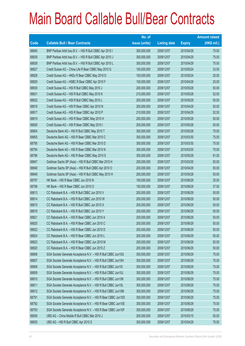|       |                                                               | No. of        |                     |               | <b>Amount raised</b> |
|-------|---------------------------------------------------------------|---------------|---------------------|---------------|----------------------|
| Code  | <b>Callable Bull / Bear Contracts</b>                         | issue (units) | <b>Listing date</b> | <b>Expiry</b> | $(HK$$ mil.)         |
| 68840 | BNP Paribas Arbit Issu B.V. - HSI R Bull CBBC Apr 2010 I      | 300,000,000   | 2009/12/07          | 2010/04/29    | 75.00                |
| 68839 | BNP Paribas Arbit Issu B.V. - HSI R Bull CBBC Apr 2010 J      | 300,000,000   | 2009/12/07          | 2010/04/29    | 75.00                |
| 68838 | BNP Paribas Arbit Issu B.V. - HSI R Bull CBBC Apr 2010 L      | 300,000,000   | 2009/12/07          | 2010/04/29    | 75.00                |
| 68827 | Credit Suisse AG - China Life R Bear CBBC May 2010 G          | 100,000,000   | 2009/12/07          | 2010/05/24    | 33.50                |
| 68828 | Credit Suisse AG - HKEx R Bear CBBC May 2010 D                | 100,000,000   | 2009/12/07          | 2010/05/24    | 25.00                |
| 68829 | Credit Suisse AG - HSBC R Bear CBBC Apr 2010 F                | 100,000,000   | 2009/12/07          | 2010/04/26    | 25.00                |
| 68830 | Credit Suisse AG - HSI R Bull CBBC May 2010 J                 | 200,000,000   | 2009/12/07          | 2010/05/28    | 50.00                |
| 68831 | Credit Suisse AG - HSI R Bull CBBC May 2010 K                 | 210,000,000   | 2009/12/07          | 2010/05/28    | 52.50                |
| 68832 | Credit Suisse AG - HSI R Bull CBBC May 2010 L                 | 200,000,000   | 2009/12/07          | 2010/05/28    | 50.00                |
| 68818 | Credit Suisse AG - HSI R Bear CBBC Apr 2010 N                 | 200,000,000   | 2009/12/07          | 2010/04/29    | 50.00                |
| 68817 | Credit Suisse AG - HSI R Bear CBBC Apr 2010 P                 | 210,000,000   | 2009/12/07          | 2010/04/29    | 52.50                |
| 68819 | Credit Suisse AG - HSI R Bear CBBC May 2010 H                 | 200,000,000   | 2009/12/07          | 2010/05/28    | 50.00                |
| 68826 | Credit Suisse AG - HSI R Bear CBBC May 2010 I                 | 200,000,000   | 2009/12/07          | 2010/05/28    | 50.00                |
| 68804 | Deutsche Bank AG - HSI R Bull CBBC May 2010 T                 | 300,000,000   | 2009/12/07          | 2010/05/28    | 75.00                |
| 68805 | Deutsche Bank AG - HSI R Bear CBBC Mar 2010 C                 | 300,000,000   | 2009/12/07          | 2010/03/30    | 75.00                |
| 68795 | Deutsche Bank AG - HSI R Bear CBBC Mar 2010 D                 | 300,000,000   | 2009/12/07          | 2010/03/30    | 75.00                |
| 68794 | Deutsche Bank AG - HSI R Bear CBBC Mar 2010 N                 | 300,000,000   | 2009/12/07          | 2010/03/30    | 75.00                |
| 68796 | Deutsche Bank AG - HSI R Bear CBBC May 2010 S                 | 300,000,000   | 2009/12/07          | 2010/05/28    | 81.00                |
| 68847 | Goldman Sachs SP (Asia) - HSI R Bull CBBC Mar 2010 H          | 200,000,000   | 2009/12/07          | 2010/03/30    | 50.00                |
| 68848 | Goldman Sachs SP (Asia) - HSI R Bull CBBC Apr 2010 O          | 200,000,000   | 2009/12/07          | 2010/04/29    | 50.00                |
| 68849 | Goldman Sachs SP (Asia) - HSI R Bull CBBC May 2010 H          | 200,000,000   | 2009/12/07          | 2010/05/28    | 50.00                |
| 68797 | HK Bank - HSI R Bear CBBC Jun 2010 N                          | 100,000,000   | 2009/12/07          | 2010/06/29    | 25.00                |
| 68798 | HK Bank - HSI R Bear CBBC Jun 2010 O                          | 150,000,000   | 2009/12/07          | 2010/06/29    | 37.50                |
| 68813 | CC Rabobank B.A. - HSI R Bull CBBC Jun 2010 V                 | 200,000,000   | 2009/12/07          | 2010/06/29    | 50.00                |
| 68814 | CC Rabobank B.A. - HSI R Bull CBBC Jun 2010 W                 | 200,000,000   | 2009/12/07          | 2010/06/29    | 50.00                |
| 68815 | CC Rabobank B.A. - HSI R Bull CBBC Jun 2010 X                 | 200,000,000   | 2009/12/07          | 2010/06/29    | 50.00                |
| 68816 | CC Rabobank B.A. - HSI R Bull CBBC Jun 2010 Y                 | 200,000,000   | 2009/12/07          | 2010/06/29    | 50.00                |
| 68821 | CC Rabobank B.A. - HSI R Bear CBBC Jun 2010 A                 | 200,000,000   | 2009/12/07          | 2010/06/29    | 50.00                |
| 68825 | CC Rabobank B.A. - HSI R Bear CBBC Jun 2010 C                 | 200,000,000   | 2009/12/07          | 2010/06/29    | 50.00                |
| 68822 | CC Rabobank B.A. - HSI R Bear CBBC Jun 2010 D                 | 200,000,000   | 2009/12/07          | 2010/06/29    | 50.00                |
| 68824 | CC Rabobank B.A. - HSI R Bear CBBC Jun 2010 L                 | 200,000,000   | 2009/12/07          | 2010/06/29    | 50.00                |
| 68823 | CC Rabobank B.A. - HSI R Bear CBBC Jun 2010 M                 | 200,000,000   | 2009/12/07          | 2010/06/29    | 50.00                |
| 68820 | CC Rabobank B.A. - HSI R Bear CBBC Jun 2010 Z                 | 200,000,000   | 2009/12/07          | 2010/06/29    | 50.00                |
| 68806 | SGA Societe Generale Acceptance N.V. - HSI R Bull CBBC Jun10G | 300,000,000   | 2009/12/07          | 2010/06/29    | 75.00                |
| 68807 | SGA Societe Generale Acceptance N.V. - HSI R Bull CBBC Jun10H | 300,000,000   | 2009/12/07          | 2010/06/29    | 75.00                |
| 68808 | SGA Societe Generale Acceptance N.V. - HSI R Bull CBBC Jun101 | 300,000,000   | 2009/12/07          | 2010/06/29    | 75.00                |
| 68809 | SGA Societe Generale Acceptance N.V. - HSI R Bull CBBC Jun10J | 300,000,000   | 2009/12/07          | 2010/06/29    | 75.00                |
| 68810 | SGA Societe Generale Acceptance N.V. - HSI R Bull CBBC Jun10K | 300,000,000   | 2009/12/07          | 2010/06/29    | 75.00                |
| 68811 | SGA Societe Generale Acceptance N.V. - HSI R Bull CBBC Jun10L | 300,000,000   | 2009/12/07          | 2010/06/29    | 75.00                |
| 68812 | SGA Societe Generale Acceptance N.V. - HSI R Bull CBBC Jun10M | 300,000,000   | 2009/12/07          | 2010/06/29    | 75.00                |
| 68791 | SGA Societe Generale Acceptance N.V. - HSI R Bear CBBC Jun10D | 300,000,000   | 2009/12/07          | 2010/06/29    | 75.00                |
| 68792 | SGA Societe Generale Acceptance N.V. - HSI R Bear CBBC Jun10E | 300,000,000   | 2009/12/07          | 2010/06/29    | 75.00                |
| 68793 | SGA Societe Generale Acceptance N.V. - HSI R Bear CBBC Jun10F | 300,000,000   | 2009/12/07          | 2010/06/29    | 75.00                |
| 68836 | UBS AG - China Mobile R Bull CBBC Mar 2010 J                  | 200,000,000   | 2009/12/07          | 2010/03/15    | 50.00                |
| 68835 | UBS AG - HSI R Bull CBBC Apr 2010 S                           | 300,000,000   | 2009/12/07          | 2010/04/29    | 75.00                |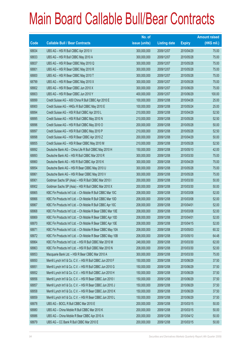|       |                                                             | No. of        |                     |               | <b>Amount raised</b> |
|-------|-------------------------------------------------------------|---------------|---------------------|---------------|----------------------|
| Code  | <b>Callable Bull / Bear Contracts</b>                       | issue (units) | <b>Listing date</b> | <b>Expiry</b> | $(HK$$ mil.)         |
| 68834 | UBS AG - HSI R Bull CBBC Apr 2010 V                         | 300,000,000   | 2009/12/07          | 2010/04/29    | 75.00                |
| 68833 | UBS AG - HSI R Bull CBBC May 2010 A                         | 300,000,000   | 2009/12/07          | 2010/05/28    | 75.00                |
| 68837 | UBS AG - HSI R Bear CBBC May 2010 Q                         | 300,000,000   | 2009/12/07          | 2010/05/28    | 75.00                |
| 68801 | UBS AG - HSI R Bear CBBC May 2010 R                         | 300,000,000   | 2009/12/07          | 2010/05/28    | 75.00                |
| 68800 | UBS AG - HSI R Bear CBBC May 2010 T                         | 300,000,000   | 2009/12/07          | 2010/05/28    | 75.00                |
| 68799 | UBS AG - HSI R Bear CBBC May 2010 X                         | 300,000,000   | 2009/12/07          | 2010/05/28    | 75.00                |
| 68802 | UBS AG - HSI R Bear CBBC Jun 2010 X                         | 300,000,000   | 2009/12/07          | 2010/06/29    | 75.00                |
| 68803 | UBS AG - HSI R Bear CBBC Jun 2010 Y                         | 400,000,000   | 2009/12/07          | 2010/06/29    | 100.00               |
| 68899 | Credit Suisse AG - A50 China R Bull CBBC Apr 2010 E         | 100,000,000   | 2009/12/08          | 2010/04/26    | 25.00                |
| 68900 | Credit Suisse AG - HKEx R Bull CBBC May 2010 E              | 100,000,000   | 2009/12/08          | 2010/05/24    | 25.00                |
| 68894 | Credit Suisse AG - HSI R Bull CBBC Apr 2010 L               | 210,000,000   | 2009/12/08          | 2010/04/29    | 52.50                |
| 68895 | Credit Suisse AG - HSI R Bull CBBC May 2010 N               | 210,000,000   | 2009/12/08          | 2010/05/28    | 52.50                |
| 68896 | Credit Suisse AG - HSI R Bull CBBC May 2010 O               | 200,000,000   | 2009/12/08          | 2010/05/28    | 50.00                |
| 68897 | Credit Suisse AG - HSI R Bull CBBC May 2010 P               | 210,000,000   | 2009/12/08          | 2010/05/28    | 52.50                |
| 68898 | Credit Suisse AG - HSI R Bear CBBC Apr 2010 Z               | 200,000,000   | 2009/12/08          | 2010/04/29    | 50.00                |
| 68855 | Credit Suisse AG - HSI R Bear CBBC May 2010 M               | 210,000,000   | 2009/12/08          | 2010/05/28    | 52.50                |
| 68892 | Deutsche Bank AG - China Life R Bull CBBC May 2010 H        | 150,000,000   | 2009/12/08          | 2010/05/10    | 42.00                |
| 68893 | Deutsche Bank AG - HSI R Bull CBBC Mar 2010 R               | 300,000,000   | 2009/12/08          | 2010/03/30    | 75.00                |
| 68860 | Deutsche Bank AG - HSI R Bull CBBC Apr 2010 K               | 300,000,000   | 2009/12/08          | 2010/04/29    | 75.00                |
| 68854 | Deutsche Bank AG - HSI R Bear CBBC May 2010 U               | 300,000,000   | 2009/12/08          | 2010/05/28    | 75.00                |
| 68861 | Deutsche Bank AG - HSI R Bear CBBC May 2010 V               | 300,000,000   | 2009/12/08          | 2010/05/28    | 75.00                |
| 68901 | Goldman Sachs SP (Asia) - HSI R Bull CBBC Mar 2010 I        | 200,000,000   | 2009/12/08          | 2010/03/30    | 50.00                |
| 68902 | Goldman Sachs SP (Asia) - HSI R Bull CBBC Mar 2010 X        | 200,000,000   | 2009/12/08          | 2010/03/30    | 50.00                |
| 68865 | KBC Fin Products Int'l Ltd. - Ch Mobile R Bull CBBC Mar 10C | 208,000,000   | 2009/12/08          | 2010/03/08    | 52.00                |
| 68866 | KBC Fin Products Int'l Ltd. - Ch Mobile R Bull CBBC Mar 10D | 208,000,000   | 2009/12/08          | 2010/03/08    | 52.00                |
| 68867 | KBC Fin Products Int'l Ltd. - Ch Mobile R Bull CBBC Apr 10C | 208,000,000   | 2009/12/08          | 2010/04/01    | 52.00                |
| 68868 | KBC Fin Products Int'l Ltd. - Ch Mobile R Bear CBBC Mar 10E | 208,000,000   | 2009/12/08          | 2010/03/08    | 52.00                |
| 68869 | KBC Fin Products Int'l Ltd. - Ch Mobile R Bear CBBC Apr 10D | 208,000,000   | 2009/12/08          | 2010/04/01    | 52.00                |
| 68870 | KBC Fin Products Int'l Ltd. - Ch Mobile R Bear CBBC Apr 10E | 208,000,000   | 2009/12/08          | 2010/04/15    | 52.00                |
| 68871 | KBC Fin Products Int'l Ltd. - Ch Mobile R Bear CBBC May 10A | 208,000,000   | 2009/12/08          | 2010/05/03    | 60.32                |
| 68872 | KBC Fin Products Int'l Ltd. - Ch Mobile R Bear CBBC May 10B | 208,000,000   | 2009/12/08          | 2010/05/10    | 64.48                |
| 68864 | KBC Fin Products Int'l Ltd. - HSI R Bull CBBC Mar 2010 M    | 248,000,000   | 2009/12/08          | 2010/03/30    | 62.00                |
| 68863 | KBC Fin Products Int'l Ltd. - HSI R Bull CBBC Mar 2010 N    | 208,000,000   | 2009/12/08          | 2010/03/30    | 52.00                |
| 68853 | Macquarie Bank Ltd. - HSI R Bear CBBC Mar 2010 A            | 300,000,000   | 2009/12/08          | 2010/03/30    | 75.00                |
| 68850 | Merrill Lynch Int'l & Co. C.V. - HSI R Bull CBBC Jun 2010 F | 150,000,000   | 2009/12/08          | 2010/06/29    | 37.50                |
| 68851 | Merrill Lynch Int'l & Co. C.V. - HSI R Bull CBBC Jun 2010 G | 150,000,000   | 2009/12/08          | 2010/06/29    | 37.50                |
| 68852 | Merrill Lynch Int'l & Co. C.V. - HSI R Bull CBBC Jun 2010 H | 150,000,000   | 2009/12/08          | 2010/06/29    | 37.50                |
| 68856 | Merrill Lynch Int'l & Co. C.V. - HSI R Bear CBBC Jun 2010 I | 150,000,000   | 2009/12/08          | 2010/06/29    | 37.50                |
| 68857 | Merrill Lynch Int'l & Co. C.V. - HSI R Bear CBBC Jun 2010 J | 150,000,000   | 2009/12/08          | 2010/06/29    | 37.50                |
| 68858 | Merrill Lynch Int'l & Co. C.V. - HSI R Bear CBBC Jun 2010 K | 150,000,000   | 2009/12/08          | 2010/06/29    | 37.50                |
| 68859 | Merrill Lynch Int'l & Co. C.V. - HSI R Bear CBBC Jun 2010 L | 150,000,000   | 2009/12/08          | 2010/06/29    | 37.50                |
| 68878 | UBS AG - BOCL R Bull CBBC Mar 2010 E                        | 200,000,000   | 2009/12/08          | 2010/03/15    | 50.00                |
| 68880 | UBS AG - China Mobile R Bull CBBC Mar 2010 K                | 200,000,000   | 2009/12/08          | 2010/03/15    | 50.00                |
| 68886 | UBS AG - China Mobile R Bear CBBC Apr 2010 A                | 200,000,000   | 2009/12/08          | 2010/04/12    | 50.00                |
| 68879 | UBS AG - CC Bank R Bull CBBC Mar 2010 E                     | 200,000,000   | 2009/12/08          | 2010/03/15    | 50.00                |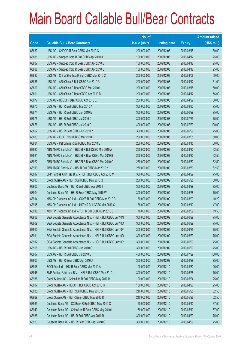|       |                                                               | No. of        |                     |               | <b>Amount raised</b> |
|-------|---------------------------------------------------------------|---------------|---------------------|---------------|----------------------|
| Code  | <b>Callable Bull / Bear Contracts</b>                         | issue (units) | <b>Listing date</b> | <b>Expiry</b> | $(HK$$ mil.)         |
| 68889 | UBS AG - CNOOC R Bear CBBC Mar 2010 C                         | 200,000,000   | 2009/12/08          | 2010/03/15    | 50.00                |
| 68881 | UBS AG - Sinopec Corp R Bull CBBC Apr 2010 A                  | 100,000,000   | 2009/12/08          | 2010/04/12    | 25.00                |
| 68887 | UBS AG - Sinopec Corp R Bear CBBC Apr 2010 B                  | 100,000,000   | 2009/12/08          | 2010/04/12    | 25.00                |
| 68888 | UBS AG - Sinopec Corp R Bear CBBC Apr 2010 C                  | 100,000,000   | 2009/12/08          | 2010/04/12    | 25.00                |
| 68882 | UBS AG - China Shenhua R Bull CBBC Mar 2010 C                 | 200,000,000   | 2009/12/08          | 2010/03/08    | 50.00                |
| 68885 | UBS AG - A50 China R Bull CBBC Apr 2010 A                     | 200,000,000   | 2009/12/08          | 2010/04/12    | 61.00                |
| 68890 | UBS AG - A50 China R Bear CBBC Mar 2010 L                     | 200,000,000   | 2009/12/08          | 2010/03/15    | 50.00                |
| 68891 | UBS AG - A50 China R Bear CBBC Apr 2010 B                     | 200,000,000   | 2009/12/08          | 2010/04/12    | 56.00                |
| 68877 | UBS AG - HSCEI R Bear CBBC Apr 2010 E                         | 200,000,000   | 2009/12/08          | 2010/04/29    | 50.00                |
| 68873 | UBS AG - HSI R Bull CBBC Mar 2010 A                           | 300,000,000   | 2009/12/08          | 2010/03/30    | 75.00                |
| 68874 | UBS AG - HSI R Bull CBBC Jun 2010 E                           | 300,000,000   | 2009/12/08          | 2010/06/29    | 75.00                |
| 68875 | UBS AG - HSI R Bull CBBC Jul 2010 C                           | 300,000,000   | 2009/12/08          | 2010/07/29    | 75.00                |
| 68876 | UBS AG - HSI R Bull CBBC Jul 2010 D                           | 400,000,000   | 2009/12/08          | 2010/07/29    | 100.00               |
| 68862 | UBS AG - HSI R Bear CBBC Jun 2010 Z                           | 300,000,000   | 2009/12/08          | 2010/06/29    | 75.00                |
| 68883 | UBS AG - ICBC R Bull CBBC Mar 2010 F                          | 200,000,000   | 2009/12/08          | 2010/03/08    | 50.00                |
| 68884 | UBS AG - Petrochina R Bull CBBC Mar 2010 B                    | 200,000,000   | 2009/12/08          | 2010/03/15    | 50.00                |
| 68920 | ABN AMRO Bank N.V. - HSCEI R Bull CBBC Mar 2010 A             | 250,000,000   | 2009/12/09          | 2010/03/30    | 62.50                |
| 68921 | ABN AMRO Bank N.V. - HSCEI R Bear CBBC Mar 2010 B             | 250,000,000   | 2009/12/09          | 2010/03/30    | 62.50                |
| 68922 | ABN AMRO Bank N.V. - HSCEI R Bear CBBC Mar 2010 C             | 250,000,000   | 2009/12/09          | 2010/03/30    | 62.50                |
| 68919 | ABN AMRO Bank N.V. - HSI R Bull CBBC Mar 2010 K               | 250,000,000   | 2009/12/09          | 2010/03/30    | 62.50                |
| 68917 | BNP Paribas Arbit Issu B.V. - HSI R Bull CBBC Apr 2010 M      | 300,000,000   | 2009/12/09          | 2010/04/29    | 75.00                |
| 68913 | Credit Suisse AG - HSI R Bull CBBC May 2010 Q                 | 200,000,000   | 2009/12/09          | 2010/05/28    | 50.00                |
| 68905 | Deutsche Bank AG - HSI R Bull CBBC Apr 2010 I                 | 300,000,000   | 2009/12/09          | 2010/04/29    | 75.00                |
| 68904 | Deutsche Bank AG - HSI R Bear CBBC May 2010 W                 | 300,000,000   | 2009/12/09          | 2010/05/28    | 75.00                |
| 68914 | KBC Fin Products Int'l Ltd. - COVS R Bull CBBC Mar 2010 B     | 30,000,000    | 2009/12/09          | 2010/03/09    | 10.20                |
| 68915 | KBC Fin Products Int'l Ltd. - HKEx R Bull CBBC Mar 2010 C     | 188,000,000   | 2009/12/09          | 2010/03/10    | 47.00                |
| 68916 | KBC Fin Products Int'l Ltd. - TCH R Bull CBBC Mar 2010 B      | 78,000,000    | 2009/12/09          | 2010/03/09    | 19.50                |
| 68908 | SGA Societe Generale Acceptance N.V. - HSI R Bull CBBC Jun10N | 300,000,000   | 2009/12/09          | 2010/06/29    | 75.00                |
| 68909 | SGA Societe Generale Acceptance N.V. - HSI R Bull CBBC Jun10O | 300,000,000   | 2009/12/09          | 2010/06/29    | 75.00                |
| 68910 | SGA Societe Generale Acceptance N.V. - HSI R Bull CBBC Jun10P | 300,000,000   | 2009/12/09          | 2010/06/29    | 75.00                |
| 68911 | SGA Societe Generale Acceptance N.V. - HSI R Bull CBBC Jun10Q | 300,000,000   | 2009/12/09          | 2010/06/29    | 75.00                |
| 68912 | SGA Societe Generale Acceptance N.V. - HSI R Bull CBBC Jun10R | 300,000,000   | 2009/12/09          | 2010/06/29    | 75.00                |
| 68906 | UBS AG - HSI R Bull CBBC Jun 2010 G                           | 300,000,000   | 2009/12/09          | 2010/06/29    | 75.00                |
| 68907 | UBS AG - HSI R Bull CBBC Jul 2010 E                           | 400,000,000   | 2009/12/09          | 2010/07/29    | 100.00               |
| 68903 | UBS AG - HSI R Bear CBBC Apr 2010 J                           | 300,000,000   | 2009/12/09          | 2010/04/29    | 75.00                |
| 68918 | BOCI Asia Ltd. - HSI R Bear CBBC Mar 2010 A                   | 100,000,000   | 2009/12/10          | 2010/03/30    | 25.00                |
| 68948 | BNP Paribas Arbit Issu B.V. - HSI R Bull CBBC May 2010 L      | 300,000,000   | 2009/12/10          | 2010/05/28    | 75.00                |
| 68936 | Credit Suisse AG - China Life R Bull CBBC May 2010 H          | 100,000,000   | 2009/12/10          | 2010/05/24    | 25.00                |
| 68937 | Credit Suisse AG - HSBC R Bull CBBC Apr 2010 G                | 100,000,000   | 2009/12/10          | 2010/04/26    | 25.00                |
| 68935 | Credit Suisse AG - HSI R Bull CBBC May 2010 S                 | 210,000,000   | 2009/12/10          | 2010/05/28    | 52.50                |
| 68929 | Credit Suisse AG - HSI R Bear CBBC May 2010 R                 | 210,000,000   | 2009/12/10          | 2010/05/28    | 52.50                |
| 68939 | Deutsche Bank AG - CC Bank R Bull CBBC May 2010 C             | 150,000,000   | 2009/12/10          | 2010/05/10    | 37.50                |
| 68940 | Deutsche Bank AG - China Life R Bear CBBC May 2010 I          | 150,000,000   | 2009/12/10          | 2010/05/10    | 57.00                |
| 68938 | Deutsche Bank AG - HSI R Bull CBBC Apr 2010 B                 | 300,000,000   | 2009/12/10          | 2010/04/29    | 75.00                |
| 68923 | Deutsche Bank AG - HSI R Bear CBBC Apr 2010 C                 | 300,000,000   | 2009/12/10          | 2010/04/29    | 75.00                |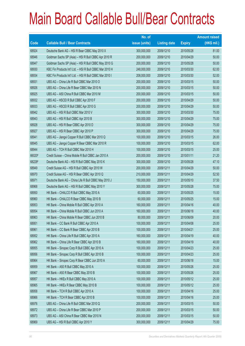|        |                                                          | No. of        |                     |               | <b>Amount raised</b> |
|--------|----------------------------------------------------------|---------------|---------------------|---------------|----------------------|
| Code   | <b>Callable Bull / Bear Contracts</b>                    | issue (units) | <b>Listing date</b> | <b>Expiry</b> | $(HK$$ mil.)         |
| 68924  | Deutsche Bank AG - HSI R Bear CBBC May 2010 X            | 300,000,000   | 2009/12/10          | 2010/05/28    | 81.00                |
| 68946  | Goldman Sachs SP (Asia) - HSI R Bull CBBC Apr 2010 R     | 200,000,000   | 2009/12/10          | 2010/04/29    | 50.00                |
| 68947  | Goldman Sachs SP (Asia) - HSI R Bull CBBC May 2010 G     | 200,000,000   | 2009/12/10          | 2010/05/28    | 50.00                |
| 68930  | KBC Fin Products Int'l Ltd. - HSI R Bull CBBC Mar 2010 H | 248,000,000   | 2009/12/10          | 2010/03/30    | 62.00                |
| 68934  | KBC Fin Products Int'l Ltd. - HSI R Bull CBBC Mar 2010 I | 208,000,000   | 2009/12/10          | 2010/03/30    | 52.00                |
| 68931  | UBS AG - China Life R Bull CBBC Mar 2010 O               | 200,000,000   | 2009/12/10          | 2010/03/15    | 50.00                |
| 68926  | UBS AG - China Life R Bear CBBC Mar 2010 N               | 200,000,000   | 2009/12/10          | 2010/03/15    | 50.00                |
| 68925  | UBS AG - A50 China R Bull CBBC Mar 2010 M                | 200,000,000   | 2009/12/10          | 2010/03/15    | 50.00                |
| 68932  | UBS AG - HSCEI R Bull CBBC Apr 2010 F                    | 200,000,000   | 2009/12/10          | 2010/04/29    | 50.00                |
| 68933  | UBS AG - HSCEI R Bull CBBC Apr 2010 G                    | 200,000,000   | 2009/12/10          | 2010/04/29    | 50.00                |
| 68942  | UBS AG - HSI R Bull CBBC Mar 2010 V                      | 300,000,000   | 2009/12/10          | 2010/03/30    | 75.00                |
| 68943  | UBS AG - HSI R Bull CBBC Apr 2010 B                      | 300,000,000   | 2009/12/10          | 2010/04/29    | 75.00                |
| 68928  | UBS AG - HSI R Bear CBBC Apr 2010 D                      | 300,000,000   | 2009/12/10          | 2010/04/29    | 75.00                |
| 68927  | UBS AG - HSI R Bear CBBC Apr 2010 P                      | 300,000,000   | 2009/12/10          | 2010/04/29    | 75.00                |
| 68941  | UBS AG - Jiangxi Copper R Bull CBBC Mar 2010 Q           | 100,000,000   | 2009/12/10          | 2010/03/15    | 26.00                |
| 68945  | UBS AG - Jiangxi Copper R Bear CBBC Mar 2010 R           | 100,000,000   | 2009/12/10          | 2010/03/15    | 62.00                |
| 68944  | UBS AG - TCH R Bull CBBC Mar 2010 H                      | 100,000,000   | 2009/12/10          | 2010/03/15    | 25.00                |
| 66020# | Credit Suisse - China Mobile R Bull CBBC Jan 2010 A      | 200,000,000   | 2009/12/10          | 2010/01/11    | 21.20                |
| 68228# | Deutsche Bank AG - HSI R Bull CBBC May 2010 K            | 300,000,000   | 2009/12/10          | 2010/05/28    | 47.10                |
| 68949  | Credit Suisse AG - HSI R Bull CBBC Apr 2010 W            | 200,000,000   | 2009/12/11          | 2010/04/29    | 50.00                |
| 68970  | Credit Suisse AG - HSI R Bear CBBC Apr 2010 Q            | 210,000,000   | 2009/12/11          | 2010/04/29    | 52.50                |
| 68971  | Deutsche Bank AG - China Life R Bull CBBC May 2010 J     | 150,000,000   | 2009/12/11          | 2010/05/10    | 37.50                |
| 68968  | Deutsche Bank AG - HSI R Bull CBBC May 2010 Y            | 300,000,000   | 2009/12/11          | 2010/05/28    | 75.00                |
| 68950  | HK Bank - CHALCO R Bull CBBC May 2010 A                  | 60,000,000    | 2009/12/11          | 2010/05/25    | 15.00                |
| 68960  | HK Bank - CHALCO R Bear CBBC May 2010 B                  | 60,000,000    | 2009/12/11          | 2010/05/25    | 15.00                |
| 68953  | HK Bank - China Mobile R Bull CBBC Apr 2010 A            | 160,000,000   | 2009/12/11          | 2010/04/16    | 40.00                |
| 68954  | HK Bank - China Mobile R Bull CBBC Jun 2010 A            | 160,000,000   | 2009/12/11          | 2010/06/18    | 40.00                |
| 68963  | HK Bank - China Mobile R Bear CBBC Jun 2010 B            | 80,000,000    | 2009/12/11          | 2010/06/09    | 20.00                |
| 68951  | HK Bank - CC Bank R Bull CBBC Apr 2010 A                 | 100,000,000   | 2009/12/11          | 2010/04/08    | 25.00                |
| 68961  | HK Bank - CC Bank R Bear CBBC Apr 2010 B                 | 100,000,000   | 2009/12/11          | 2010/04/21    | 25.00                |
| 68952  | HK Bank - China Life R Bull CBBC Apr 2010 A              | 160,000,000   | 2009/12/11          | 2010/04/19    | 40.00                |
| 68962  | HK Bank - China Life R Bear CBBC Apr 2010 B              | 160,000,000   | 2009/12/11          | 2010/04/19    | 40.00                |
| 68955  | HK Bank - Sinopec Corp R Bull CBBC Apr 2010 A            | 100,000,000   | 2009/12/11          | 2010/04/23    | 25.00                |
| 68956  | HK Bank - Sinopec Corp R Bull CBBC Apr 2010 B            | 100,000,000   | 2009/12/11          | 2010/04/23    | 25.00                |
| 68964  | HK Bank - Sinopec Corp R Bear CBBC Jun 2010 A            | 60,000,000    | 2009/12/11          | 2010/06/18    | 15.00                |
| 68959  | HK Bank - A50 R Bull CBBC May 2010 A                     | 100,000,000   | 2009/12/11          | 2010/05/26    | 25.00                |
| 68967  | HK Bank - A50 R Bear CBBC May 2010 B                     | 100,000,000   | 2009/12/11          | 2010/05/26    | 25.00                |
| 68957  | HK Bank - HKEx R Bull CBBC May 2010 A                    | 100,000,000   | 2009/12/11          | 2010/05/12    | 25.00                |
| 68965  | HK Bank - HKEx R Bear CBBC May 2010 B                    | 100,000,000   | 2009/12/11          | 2010/05/12    | 25.00                |
| 68958  | HK Bank - TCH R Bull CBBC Apr 2010 A                     | 100,000,000   | 2009/12/11          | 2010/04/16    | 25.00                |
| 68966  | HK Bank - TCH R Bear CBBC Apr 2010 B                     | 100,000,000   | 2009/12/11          | 2010/04/16    | 25.00                |
| 68976  | UBS AG - China Life R Bull CBBC Mar 2010 Q               | 200,000,000   | 2009/12/11          | 2010/03/15    | 50.00                |
| 68972  | UBS AG - China Life R Bear CBBC Mar 2010 P               | 200,000,000   | 2009/12/11          | 2010/03/15    | 50.00                |
| 68973  | UBS AG - A50 China R Bear CBBC Mar 2010 N                | 200,000,000   | 2009/12/11          | 2010/03/15    | 50.00                |
| 68969  | UBS AG - HSI R Bull CBBC Apr 2010 Y                      | 300,000,000   | 2009/12/11          | 2010/04/29    | 75.00                |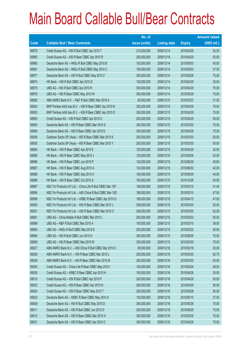|       |                                                              | No. of        |                     |               | <b>Amount raised</b> |
|-------|--------------------------------------------------------------|---------------|---------------------|---------------|----------------------|
| Code  | <b>Callable Bull / Bear Contracts</b>                        | issue (units) | <b>Listing date</b> | <b>Expiry</b> | $(HK$$ mil.)         |
| 68979 | Credit Suisse AG - HSI R Bull CBBC Apr 2010 T                | 210,000,000   | 2009/12/14          | 2010/04/29    | 52.50                |
| 68983 | Credit Suisse AG - HSI R Bear CBBC Apr 2010 R                | 200,000,000   | 2009/12/14          | 2010/04/29    | 50.00                |
| 68980 | Deutsche Bank AG - HKEx R Bull CBBC May 2010 B               | 150,000,000   | 2009/12/14          | 2010/05/03    | 45.00                |
| 68981 | Deutsche Bank AG - HKEx R Bull CBBC May 2010 C               | 150,000,000   | 2009/12/14          | 2010/05/03    | 37.50                |
| 68977 | Deutsche Bank AG - HSI R Bull CBBC May 2010 Z                | 300,000,000   | 2009/12/14          | 2010/05/28    | 75.00                |
| 68974 | HK Bank - HSI R Bull CBBC Apr 2010 D                         | 100,000,000   | 2009/12/14          | 2010/04/29    | 25.00                |
| 68975 | UBS AG - HSI R Bull CBBC Apr 2010 R                          | 300,000,000   | 2009/12/14          | 2010/04/29    | 75.00                |
| 68978 | UBS AG - HSI R Bear CBBC May 2010 W                          | 300,000,000   | 2009/12/14          | 2010/05/28    | 75.00                |
| 68982 | ABN AMRO Bank N.V. - R&F R Bull CBBC Mar 2010 A              | 80,000,000    | 2009/12/15          | 2010/03/22    | 31.52                |
| 69002 | BNP Paribas Arbit Issu B.V. - HSI R Bear CBBC Apr 2010 N     | 300,000,000   | 2009/12/15          | 2010/04/29    | 75.00                |
| 69003 | BNP Paribas Arbit Issu B.V. - HSI R Bear CBBC Apr 2010 O     | 300,000,000   | 2009/12/15          | 2010/04/29    | 75.00                |
| 68993 | Credit Suisse AG - HSI R Bull CBBC Apr 2010 O                | 200,000,000   | 2009/12/15          | 2010/04/29    | 50.00                |
| 69004 | Deutsche Bank AG - HSI R Bear CBBC Mar 2010 S                | 300,000,000   | 2009/12/15          | 2010/03/30    | 75.00                |
| 68994 | Deutsche Bank AG - HSI R Bear CBBC Apr 2010 D                | 300,000,000   | 2009/12/15          | 2010/04/29    | 75.00                |
| 69006 | Goldman Sachs SP (Asia) - HSI R Bear CBBC Mar 2010 K         | 200,000,000   | 2009/12/15          | 2010/03/30    | 50.00                |
| 69005 | Goldman Sachs SP (Asia) - HSI R Bear CBBC Mar 2010 Y         | 200,000,000   | 2009/12/15          | 2010/03/30    | 50.00                |
| 68984 | HK Bank - HSI R Bear CBBC Apr 2010 E                         | 120,000,000   | 2009/12/15          | 2010/04/29    | 42.00                |
| 68985 | HK Bank - HSI R Bear CBBC May 2010 J                         | 120,000,000   | 2009/12/15          | 2010/05/28    | 42.00                |
| 68986 | HK Bank - HSI R Bear CBBC Jun 2010 P                         | 120,000,000   | 2009/12/15          | 2010/06/29    | 45.60                |
| 68987 | HK Bank - HSI R Bear CBBC Aug 2010 A                         | 120,000,000   | 2009/12/15          | 2010/08/30    | 42.00                |
| 68988 | HK Bank - HSI R Bear CBBC Sep 2010 A                         | 160,000,000   | 2009/12/15          | 2010/09/29    | 44.80                |
| 68989 | HK Bank - HSI R Bear CBBC Oct 2010 A                         | 160,000,000   | 2009/12/15          | 2010/10/28    | 40.00                |
| 68997 | KBC Fin Products Int'l Ltd. - China Life R Bull CBBC Mar 10F | 148,000,000   | 2009/12/15          | 2010/03/15    | 41.44                |
| 68999 | KBC Fin Products Int'l Ltd. - A50 China R Bull CBBC Mar 10D  | 188,000,000   | 2009/12/15          | 2010/03/15    | 47.00                |
| 68998 | KBC Fin Products Int'l Ltd. - HSBC R Bear CBBC Apr 2010 G    | 188,000,000   | 2009/12/15          | 2010/04/15    | 47.00                |
| 69000 | KBC Fin Products Int'l Ltd. - HSI R Bear CBBC Mar 2010 J     | 208,000,000   | 2009/12/15          | 2010/03/30    | 52.00                |
| 69001 | KBC Fin Products Int'l Ltd. - HSI R Bear CBBC Mar 2010 O     | 248,000,000   | 2009/12/15          | 2010/03/30    | 62.00                |
| 68991 | UBS AG - China Mobile R Bull CBBC Mar 2010 L                 | 200,000,000   | 2009/12/15          | 2010/03/22    | 50.00                |
| 68996 | UBS AG - R&F R Bull CBBC Mar 2010 A                          | 100,000,000   | 2009/12/15          | 2010/03/15    | 38.50                |
| 68992 | UBS AG - HKEx R Bull CBBC Mar 2010 E                         | 200,000,000   | 2009/12/15          | 2010/03/22    | 50.00                |
| 68990 | UBS AG - HSI R Bull CBBC Jun 2010 H                          | 300,000,000   | 2009/12/15          | 2010/06/29    | 75.00                |
| 68995 | UBS AG - HSI R Bear CBBC Mar 2010 W                          | 300,000,000   | 2009/12/15          | 2010/03/30    | 75.00                |
| 69027 | ABN AMRO Bank N.V. - A50 China R Bull CBBC Mar 2010 C        | 80,000,000    | 2009/12/16          | 2010/03/18    | 20.00                |
| 69028 | ABN AMRO Bank N.V. - HSI R Bear CBBC Mar 2010 L              | 250,000,000   | 2009/12/16          | 2010/03/30    | 62.75                |
| 69029 | ABN AMRO Bank N.V. - HSI R Bear CBBC Mar 2010 M              | 250,000,000   | 2009/12/16          | 2010/03/30    | 63.00                |
| 69025 | Credit Suisse AG - China Life R Bear CBBC May 2010 I         | 100,000,000   | 2009/12/16          | 2010/05/24    | 26.50                |
| 69026 | Credit Suisse AG - HSBC R Bear CBBC Apr 2010 H               | 100,000,000   | 2009/12/16          | 2010/04/26    | 25.00                |
| 69010 | Credit Suisse AG - HSI R Bull CBBC Apr 2010 P                | 200,000,000   | 2009/12/16          | 2010/04/29    | 50.00                |
| 69023 | Credit Suisse AG - HSI R Bear CBBC Apr 2010 N                | 200,000,000   | 2009/12/16          | 2010/04/29    | 50.00                |
| 69024 | Credit Suisse AG - HSI R Bear CBBC May 2010 T                | 200,000,000   | 2009/12/16          | 2010/05/28    | 50.00                |
| 69022 | Deutsche Bank AG - HSBC R Bear CBBC May 2010 A               | 150,000,000   | 2009/12/16          | 2010/05/10    | 37.50                |
| 69009 | Deutsche Bank AG - HSI R Bull CBBC May 2010 D                | 300,000,000   | 2009/12/16          | 2010/05/28    | 75.00                |
| 69011 | Deutsche Bank AG - HSI R Bull CBBC Jun 2010 D                | 300,000,000   | 2009/12/16          | 2010/06/29    | 75.00                |
| 69012 | Deutsche Bank AG - HSI R Bear CBBC Mar 2010 H                | 300,000,000   | 2009/12/16          | 2010/03/30    | 75.00                |
| 69021 | Deutsche Bank AG - HSI R Bear CBBC Apr 2010 O                | 300,000,000   | 2009/12/16          | 2010/04/29    | 75.00                |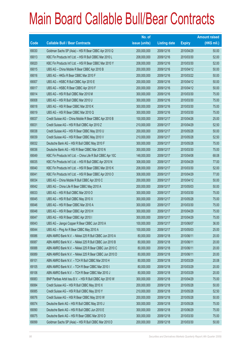|       |                                                              | No. of        |                     |               | <b>Amount raised</b> |
|-------|--------------------------------------------------------------|---------------|---------------------|---------------|----------------------|
| Code  | <b>Callable Bull / Bear Contracts</b>                        | issue (units) | <b>Listing date</b> | <b>Expiry</b> | $(HK$$ mil.)         |
| 69030 | Goldman Sachs SP (Asia) - HSI R Bear CBBC Apr 2010 Q         | 200,000,000   | 2009/12/16          | 2010/04/29    | 50.00                |
| 69013 | KBC Fin Products Int'l Ltd. - HSI R Bull CBBC Mar 2010 L     | 208,000,000   | 2009/12/16          | 2010/03/30    | 52.00                |
| 69020 | KBC Fin Products Int'l Ltd. - HSI R Bear CBBC Mar 2010 Y     | 208,000,000   | 2009/12/16          | 2010/03/30    | 52.00                |
| 69015 | UBS AG - China Mobile R Bear CBBC Apr 2010 B                 | 200,000,000   | 2009/12/16          | 2010/04/12    | 50.00                |
| 69016 | UBS AG - HKEx R Bear CBBC Mar 2010 F                         | 200,000,000   | 2009/12/16          | 2010/03/22    | 50.00                |
| 69007 | UBS AG - HSBC R Bull CBBC Apr 2010 E                         | 200,000,000   | 2009/12/16          | 2010/04/12    | 50.00                |
| 69017 | UBS AG - HSBC R Bear CBBC Apr 2010 F                         | 200,000,000   | 2009/12/16          | 2010/04/12    | 50.00                |
| 69014 | UBS AG - HSI R Bull CBBC Mar 2010 M                          | 300,000,000   | 2009/12/16          | 2010/03/30    | 75.00                |
| 69008 | UBS AG - HSI R Bull CBBC Mar 2010 U                          | 300,000,000   | 2009/12/16          | 2010/03/30    | 75.00                |
| 69018 | UBS AG - HSI R Bear CBBC Mar 2010 K                          | 300,000,000   | 2009/12/16          | 2010/03/30    | 75.00                |
| 69019 | UBS AG - HSI R Bear CBBC Mar 2010 Q                          | 300,000,000   | 2009/12/16          | 2010/03/30    | 75.00                |
| 69037 | Credit Suisse AG - China Mobile R Bear CBBC Apr 2010 B       | 100,000,000   | 2009/12/17          | 2010/04/26    | 25.00                |
| 69031 | Credit Suisse AG - HSI R Bull CBBC Apr 2010 Z                | 210,000,000   | 2009/12/17          | 2010/04/29    | 52.50                |
| 69038 | Credit Suisse AG - HSI R Bear CBBC May 2010 U                | 200,000,000   | 2009/12/17          | 2010/05/28    | 50.00                |
| 69039 | Credit Suisse AG - HSI R Bear CBBC May 2010 V                | 210,000,000   | 2009/12/17          | 2010/05/28    | 52.50                |
| 69032 | Deutsche Bank AG - HSI R Bull CBBC May 2010 F                | 300,000,000   | 2009/12/17          | 2010/05/28    | 75.00                |
| 69036 | Deutsche Bank AG - HSI R Bear CBBC Mar 2010 N                | 300,000,000   | 2009/12/17          | 2010/03/30    | 75.00                |
| 69049 | KBC Fin Products Int'l Ltd. - China Life R Bull CBBC Apr 10C | 148,000,000   | 2009/12/17          | 2010/04/08    | 68.08                |
| 69035 | KBC Fin Products Int'l Ltd. - HSI R Bull CBBC Apr 2010 N     | 308,000,000   | 2009/12/17          | 2010/04/29    | 77.00                |
| 69040 | KBC Fin Products Int'l Ltd. - HSI R Bear CBBC Mar 2010 K     | 208,000,000   | 2009/12/17          | 2010/03/30    | 52.00                |
| 69041 | KBC Fin Products Int'l Ltd. - HSI R Bear CBBC Apr 2010 O     | 308,000,000   | 2009/12/17          | 2010/04/29    | 77.00                |
| 69034 | UBS AG - China Mobile R Bull CBBC Apr 2010 C                 | 200,000,000   | 2009/12/17          | 2010/04/12    | 50.00                |
| 69042 | UBS AG - China Life R Bear CBBC May 2010 A                   | 200,000,000   | 2009/12/17          | 2010/05/03    | 50.00                |
| 69033 | UBS AG - HSI R Bull CBBC Mar 2010 O                          | 300,000,000   | 2009/12/17          | 2010/03/30    | 75.00                |
| 69045 | UBS AG - HSI R Bull CBBC May 2010 X                          | 300,000,000   | 2009/12/17          | 2010/05/28    | 75.00                |
| 69046 | UBS AG - HSI R Bear CBBC Mar 2010 A                          | 300,000,000   | 2009/12/17          | 2010/03/30    | 75.00                |
| 69048 | UBS AG - HSI R Bear CBBC Apr 2010 H                          | 300,000,000   | 2009/12/17          | 2010/04/29    | 75.00                |
| 69047 | UBS AG - HSI R Bear CBBC Apr 2010 I                          | 300,000,000   | 2009/12/17          | 2010/04/29    | 75.00                |
| 69043 | UBS AG - Jiangxi Copper R Bear CBBC Jun 2010 A               | 100,000,000   | 2009/12/17          | 2010/06/07    | 36.00                |
| 69044 | UBS AG - Ping An R Bear CBBC May 2010 A                      | 100,000,000   | 2009/12/17          | 2010/05/03    | 25.00                |
| 69086 | ABN AMRO Bank N.V. - Nikkei 225 R Bull CBBC Jun 2010 A       | 80,000,000    | 2009/12/18          | 2010/06/11    | 20.00                |
| 69087 | ABN AMRO Bank N.V. - Nikkei 225 R Bull CBBC Jun 2010 B       | 80,000,000    | 2009/12/18          | 2010/06/11    | 20.00                |
| 69088 | ABN AMRO Bank N.V. - Nikkei 225 R Bear CBBC Jun 2010 C       | 80,000,000    | 2009/12/18          | 2010/06/11    | 20.00                |
| 69089 | ABN AMRO Bank N.V. - Nikkei 225 R Bear CBBC Jun 2010 D       | 80,000,000    | 2009/12/18          | 2010/06/11    | 20.00                |
| 69101 | ABN AMRO Bank N.V. - TCH R Bull CBBC Mar 2010 H              | 80,000,000    | 2009/12/18          | 2010/03/29    | 20.08                |
| 69105 | ABN AMRO Bank N.V. - TCH R Bear CBBC Mar 2010 I              | 80,000,000    | 2009/12/18          | 2010/03/29    | 20.00                |
| 69106 | ABN AMRO Bank N.V. - TCH R Bear CBBC Mar 2010 J              | 80,000,000    | 2009/12/18          | 2010/03/29    | 20.00                |
| 69083 | BNP Paribas Arbit Issu B.V. - HSI R Bull CBBC Apr 2010 W     | 300,000,000   | 2009/12/18          | 2010/04/29    | 75.00                |
| 69084 | Credit Suisse AG - HSI R Bull CBBC May 2010 X                | 200,000,000   | 2009/12/18          | 2010/05/28    | 50.00                |
| 69085 | Credit Suisse AG - HSI R Bull CBBC May 2010 Y                | 210,000,000   | 2009/12/18          | 2010/05/28    | 52.50                |
| 69076 | Credit Suisse AG - HSI R Bear CBBC May 2010 W                | 200,000,000   | 2009/12/18          | 2010/05/28    | 50.00                |
| 69074 | Deutsche Bank AG - HSI R Bull CBBC May 2010 J                | 300,000,000   | 2009/12/18          | 2010/05/28    | 75.00                |
| 69090 | Deutsche Bank AG - HSI R Bull CBBC Jun 2010 E                | 300,000,000   | 2009/12/18          | 2010/06/29    | 75.00                |
| 69075 | Deutsche Bank AG - HSI R Bear CBBC Mar 2010 D                | 300,000,000   | 2009/12/18          | 2010/03/30    | 75.00                |
| 69099 | Goldman Sachs SP (Asia) - HSI R Bull CBBC Mar 2010 D         | 200,000,000   | 2009/12/18          | 2010/03/30    | 50.00                |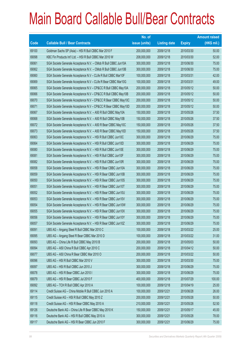|             |                                                                | No. of        |                     |               | <b>Amount raised</b> |
|-------------|----------------------------------------------------------------|---------------|---------------------|---------------|----------------------|
| <b>Code</b> | <b>Callable Bull / Bear Contracts</b>                          | issue (units) | <b>Listing date</b> | <b>Expiry</b> | (HK\$ mil.)          |
| 69100       | Goldman Sachs SP (Asia) - HSI R Bull CBBC Mar 2010 F           | 200,000,000   | 2009/12/18          | 2010/03/30    | 50.00                |
| 69098       | KBC Fin Products Int'l Ltd. - HSI R Bull CBBC Mar 2010 W       | 208,000,000   | 2009/12/18          | 2010/03/30    | 52.00                |
| 69061       | SGA Societe Generale Acceptance N.V. - CMob R Bull CBBC Jun10A | 300,000,000   | 2009/12/18          | 2010/06/30    | 75.00                |
| 69062       | SGA Societe Generale Acceptance N.V. - CMob R Bull CBBC Jun10B | 300,000,000   | 2009/12/18          | 2010/06/30    | 75.00                |
| 69060       | SGA Societe Generale Acceptance N.V - CLife R Bull CBBC Mar10F | 100,000,000   | 2009/12/18          | 2010/03/31    | 42.00                |
| 69069       | SGA Societe Generale Acceptance N.V - CLife R Bear CBBC Mar10G | 100,000,000   | 2009/12/18          | 2010/03/31    | 49.00                |
| 69065       | SGA Societe Generale Acceptance N.V - CP&CC R Bull CBBC May10A | 200,000,000   | 2009/12/18          | 2010/05/12    | 50.00                |
| 69066       | SGA Societe Generale Acceptance N.V - CP&CC R Bull CBBC May10B | 200,000,000   | 2009/12/18          | 2010/05/12    | 50.00                |
| 69070       | SGA Societe Generale Acceptance N.V - CP&CC R Bear CBBC May10C | 200,000,000   | 2009/12/18          | 2010/05/12    | 50.00                |
| 69071       | SGA Societe Generale Acceptance N.V - CP&CC R Bear CBBC May10D | 200,000,000   | 2009/12/18          | 2010/05/12    | 50.00                |
| 69067       | SGA Societe Generale Acceptance N.V. - A50 R Bull CBBC May10A  | 150,000,000   | 2009/12/18          | 2010/05/26    | 37.50                |
| 69068       | SGA Societe Generale Acceptance N.V. - A50 R Bull CBBC May10B  | 150,000,000   | 2009/12/18          | 2010/05/26    | 37.50                |
| 69072       | SGA Societe Generale Acceptance N.V. - A50 R Bear CBBC May10C  | 150,000,000   | 2009/12/18          | 2010/05/26    | 37.50                |
| 69073       | SGA Societe Generale Acceptance N.V. - A50 R Bear CBBC May10D  | 150,000,000   | 2009/12/18          | 2010/05/26    | 37.50                |
| 69063       | SGA Societe Generale Acceptance N.V. - HSI R Bull CBBC Jun10C  | 300,000,000   | 2009/12/18          | 2010/06/29    | 75.00                |
| 69064       | SGA Societe Generale Acceptance N.V. - HSI R Bull CBBC Jun10D  | 300,000,000   | 2009/12/18          | 2010/06/29    | 75.00                |
| 69080       | SGA Societe Generale Acceptance N.V. - HSI R Bull CBBC Jun10E  | 300,000,000   | 2009/12/18          | 2010/06/29    | 75.00                |
| 69081       | SGA Societe Generale Acceptance N.V. - HSI R Bull CBBC Jun10F  | 300,000,000   | 2009/12/18          | 2010/06/29    | 75.00                |
| 69082       | SGA Societe Generale Acceptance N.V. - HSI R Bull CBBC Jun10R  | 300,000,000   | 2009/12/18          | 2010/06/29    | 75.00                |
| 69058       | SGA Societe Generale Acceptance N.V. - HSI R Bear CBBC Jun10A  | 300,000,000   | 2009/12/18          | 2010/06/29    | 75.00                |
| 69059       | SGA Societe Generale Acceptance N.V. - HSI R Bear CBBC Jun10B  | 300,000,000   | 2009/12/18          | 2010/06/29    | 75.00                |
| 69050       | SGA Societe Generale Acceptance N.V. - HSI R Bear CBBC Jun10S  | 300,000,000   | 2009/12/18          | 2010/06/29    | 75.00                |
| 69051       | SGA Societe Generale Acceptance N.V. - HSI R Bear CBBC Jun10T  | 300,000,000   | 2009/12/18          | 2010/06/29    | 75.00                |
| 69052       | SGA Societe Generale Acceptance N.V. - HSI R Bear CBBC Jun10U  | 300,000,000   | 2009/12/18          | 2010/06/29    | 75.00                |
| 69053       | SGA Societe Generale Acceptance N.V. - HSI R Bear CBBC Jun10V  | 300,000,000   | 2009/12/18          | 2010/06/29    | 75.00                |
| 69054       | SGA Societe Generale Acceptance N.V. - HSI R Bear CBBC Jun10W  | 300,000,000   | 2009/12/18          | 2010/06/29    | 75.00                |
| 69055       | SGA Societe Generale Acceptance N.V. - HSI R Bear CBBC Jun10X  | 300,000,000   | 2009/12/18          | 2010/06/29    | 75.00                |
| 69056       | SGA Societe Generale Acceptance N.V. - HSI R Bear CBBC Jun10Y  | 300,000,000   | 2009/12/18          | 2010/06/29    | 75.00                |
| 69057       | SGA Societe Generale Acceptance N.V. - HSI R Bear CBBC Jun10Z  | 300,000,000   | 2009/12/18          | 2010/06/29    | 75.00                |
| 69091       | UBS AG - Angang Steel R Bull CBBC Mar 2010 C                   | 100,000,000   | 2009/12/18          | 2010/03/22    | 25.00                |
| 69095       | UBS AG - Angang Steel R Bear CBBC Mar 2010 D                   | 100,000,000   | 2009/12/18          | 2010/03/22    | 31.00                |
| 69093       | UBS AG - China Life R Bull CBBC May 2010 B                     | 200,000,000   | 2009/12/18          | 2010/05/03    | 50.00                |
| 69094       | UBS AG - A50 China R Bull CBBC Apr 2010 C                      | 200,000,000   | 2009/12/18          | 2010/04/12    | 50.00                |
| 69077       | UBS AG - A50 China R Bear CBBC Mar 2010 O                      | 200,000,000   | 2009/12/18          | 2010/03/22    | 50.00                |
| 69096       | UBS AG - HSI R Bull CBBC Mar 2010 V                            | 300,000,000   | 2009/12/18          | 2010/03/30    | 75.00                |
| 69097       | UBS AG - HSI R Bull CBBC Jun 2010 J                            | 300,000,000   | 2009/12/18          | 2010/06/29    | 75.00                |
| 69078       | UBS AG - HSI R Bear CBBC Jun 2010 I                            | 300,000,000   | 2009/12/18          | 2010/06/29    | 75.00                |
| 69079       | UBS AG - HSI R Bear CBBC Jul 2010 F                            | 400,000,000   | 2009/12/18          | 2010/07/29    | 100.00               |
| 69092       | UBS AG - TCH R Bull CBBC Apr 2010 A                            | 100,000,000   | 2009/12/18          | 2010/04/19    | 25.00                |
| 69114       | Credit Suisse AG - China Mobile R Bull CBBC Jun 2010 A         | 100,000,000   | 2009/12/21          | 2010/06/28    | 26.00                |
| 69115       | Credit Suisse AG - HSI R Bull CBBC May 2010 Z                  | 200,000,000   | 2009/12/21          | 2010/05/28    | 50.00                |
| 69118       | Credit Suisse AG - HSI R Bear CBBC May 2010 A                  | 210,000,000   | 2009/12/21          | 2010/05/28    | 52.50                |
| 69126       | Deutsche Bank AG - China Life R Bear CBBC May 2010 K           | 150,000,000   | 2009/12/21          | 2010/05/17    | 45.00                |
| 69116       | Deutsche Bank AG - HSI R Bull CBBC May 2010 A                  | 300,000,000   | 2009/12/21          | 2010/05/28    | 78.00                |
| 69117       | Deutsche Bank AG - HSI R Bear CBBC Jun 2010 F                  | 300,000,000   | 2009/12/21          | 2010/06/29    | 75.00                |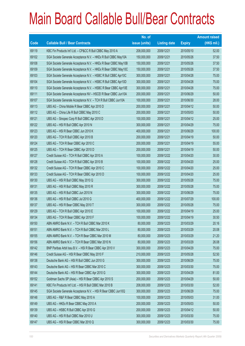|       |                                                                | No. of        |                     |               | <b>Amount raised</b> |
|-------|----------------------------------------------------------------|---------------|---------------------|---------------|----------------------|
| Code  | <b>Callable Bull / Bear Contracts</b>                          | issue (units) | <b>Listing date</b> | <b>Expiry</b> | (HK\$ mil.)          |
| 69119 | KBC Fin Products Int'l Ltd. - CP&CC R Bull CBBC May 2010 A     | 208,000,000   | 2009/12/21          | 2010/05/10    | 52.00                |
| 69102 | SGA Societe Generale Acceptance N.V. - HKEx R Bull CBBC May10A | 150,000,000   | 2009/12/21          | 2010/05/26    | 37.50                |
| 69108 | SGA Societe Generale Acceptance N.V. - HKEx R Bear CBBC May10B | 150,000,000   | 2009/12/21          | 2010/05/26    | 37.50                |
| 69109 | SGA Societe Generale Acceptance N.V. - HKEx R Bear CBBC May10C | 150,000,000   | 2009/12/21          | 2010/05/26    | 37.50                |
| 69103 | SGA Societe Generale Acceptance N.V. - HSBC R Bull CBBC Apr10C | 300,000,000   | 2009/12/21          | 2010/04/28    | 75.00                |
| 69104 | SGA Societe Generale Acceptance N.V. - HSBC R Bull CBBC Apr10D | 300,000,000   | 2009/12/21          | 2010/04/28    | 75.00                |
| 69110 | SGA Societe Generale Acceptance N.V. - HSBC R Bear CBBC Apr10E | 300,000,000   | 2009/12/21          | 2010/04/28    | 75.00                |
| 69111 | SGA Societe Generale Acceptance NV - HSCEI R Bear CBBC Jun10A  | 200,000,000   | 2009/12/21          | 2010/06/29    | 50.00                |
| 69107 | SGA Societe Generale Acceptance N.V. - TCH R Bull CBBC Jun10A  | 100,000,000   | 2009/12/21          | 2010/06/30    | 28.00                |
| 69113 | UBS AG - China Mobile R Bear CBBC Apr 2010 D                   | 200,000,000   | 2009/12/21          | 2010/04/12    | 50.00                |
| 69112 | UBS AG - China Life R Bull CBBC May 2010 C                     | 200,000,000   | 2009/12/21          | 2010/05/03    | 50.00                |
| 69121 | UBS AG - Sinopec Corp R Bull CBBC Apr 2010 D                   | 100,000,000   | 2009/12/21          | 2010/04/12    | 25.00                |
| 69122 | UBS AG - HSI R Bull CBBC Apr 2010 N                            | 300,000,000   | 2009/12/21          | 2010/04/29    | 75.00                |
| 69123 | UBS AG - HSI R Bear CBBC Jun 2010 K                            | 400,000,000   | 2009/12/21          | 2010/06/29    | 100.00               |
| 69120 | UBS AG - TCH R Bull CBBC Apr 2010 B                            | 200,000,000   | 2009/12/21          | 2010/04/19    | 50.00                |
| 69124 | UBS AG - TCH R Bear CBBC Apr 2010 C                            | 200,000,000   | 2009/12/21          | 2010/04/19    | 55.00                |
| 69125 | UBS AG - TCH R Bear CBBC Apr 2010 D                            | 200,000,000   | 2009/12/21          | 2010/04/19    | 50.00                |
| 69127 | Credit Suisse AG - TCH R Bull CBBC Apr 2010 A                  | 100,000,000   | 2009/12/22          | 2010/04/20    | 30.00                |
| 69128 | Credit Suisse AG - TCH R Bull CBBC Apr 2010 B                  | 100,000,000   | 2009/12/22          | 2010/04/20    | 25.00                |
| 69132 | Credit Suisse AG - TCH R Bear CBBC Apr 2010 C                  | 100,000,000   | 2009/12/22          | 2010/04/20    | 25.00                |
| 69133 | Credit Suisse AG - TCH R Bear CBBC Apr 2010 D                  | 100,000,000   | 2009/12/22          | 2010/04/20    | 25.00                |
| 69130 | UBS AG - HSI R Bull CBBC May 2010 Q                            | 300,000,000   | 2009/12/22          | 2010/05/28    | 75.00                |
| 69131 | UBS AG - HSI R Bull CBBC May 2010 R                            | 300,000,000   | 2009/12/22          | 2010/05/28    | 75.00                |
| 69135 | UBS AG - HSI R Bull CBBC Jun 2010 N                            | 300,000,000   | 2009/12/22          | 2010/06/29    | 75.00                |
| 69136 | UBS AG - HSI R Bull CBBC Jul 2010 G                            | 400,000,000   | 2009/12/22          | 2010/07/29    | 100.00               |
| 69137 | UBS AG - HSI R Bear CBBC May 2010 T                            | 300,000,000   | 2009/12/22          | 2010/05/28    | 75.00                |
| 69129 | UBS AG - TCH R Bull CBBC Apr 2010 E                            | 100,000,000   | 2009/12/22          | 2010/04/19    | 25.00                |
| 69134 | UBS AG - TCH R Bear CBBC Apr 2010 F                            | 100,000,000   | 2009/12/22          | 2010/04/19    | 30.50                |
| 69150 | ABN AMRO Bank N.V. - TCH R Bull CBBC Mar 2010 K                | 80,000,000    | 2009/12/23          | 2010/03/29    | 20.16                |
| 69151 | ABN AMRO Bank N.V. - TCH R Bull CBBC Mar 2010 L                | 80,000,000    | 2009/12/23          | 2010/03/29    | 20.08                |
| 69155 | ABN AMRO Bank N.V. - TCH R Bear CBBC Mar 2010 M                | 80,000,000    | 2009/12/23          | 2010/03/29    | 21.20                |
| 69156 | ABN AMRO Bank N.V. - TCH R Bear CBBC Mar 2010 N                | 80,000,000    | 2009/12/23          | 2010/03/29    | 26.08                |
| 69142 | BNP Paribas Arbit Issu B.V. - HSI R Bear CBBC Apr 2010 V       | 300,000,000   | 2009/12/23          | 2010/04/29    | 75.00                |
| 69146 | Credit Suisse AG - HSI R Bear CBBC May 2010 F                  | 210,000,000   | 2009/12/23          | 2010/05/28    | 52.50                |
| 69138 | Deutsche Bank AG - HSI R Bull CBBC Jun 2010 G                  | 300,000,000   | 2009/12/23          | 2010/06/29    | 75.00                |
| 69143 | Deutsche Bank AG - HSI R Bear CBBC Mar 2010 C                  | 300,000,000   | 2009/12/23          | 2010/03/30    | 75.00                |
| 69144 | Deutsche Bank AG - HSI R Bear CBBC Apr 2010 G                  | 300,000,000   | 2009/12/23          | 2010/04/29    | 81.00                |
| 69152 | Goldman Sachs SP (Asia) - HSI R Bear CBBC Apr 2010 S           | 200,000,000   | 2009/12/23          | 2010/04/29    | 50.00                |
| 69141 | KBC Fin Products Int'l Ltd. - HSI R Bull CBBC Mar 2010 B       | 208,000,000   | 2009/12/23          | 2010/03/30    | 52.00                |
| 69145 | SGA Societe Generale Acceptance N.V. - HSI R Bear CBBC Jun10Q  | 300,000,000   | 2009/12/23          | 2010/06/29    | 75.00                |
| 69148 | UBS AG - R&F R Bear CBBC May 2010 A                            | 100,000,000   | 2009/12/23          | 2010/05/03    | 31.00                |
| 69149 | UBS AG - HKEx R Bear CBBC May 2010 A                           | 200,000,000   | 2009/12/23          | 2010/05/03    | 50.00                |
| 69139 | UBS AG - HSBC R Bull CBBC Apr 2010 G                           | 200,000,000   | 2009/12/23          | 2010/04/12    | 50.00                |
| 69140 | UBS AG - HSI R Bull CBBC Mar 2010 U                            | 300,000,000   | 2009/12/23          | 2010/03/30    | 75.00                |
| 69147 | UBS AG - HSI R Bear CBBC Mar 2010 Q                            | 300,000,000   | 2009/12/23          | 2010/03/30    | 75.00                |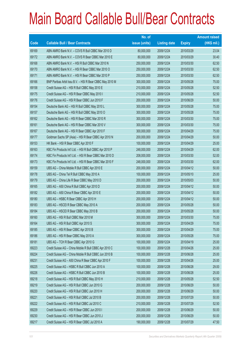|       |                                                          | No. of        |                     |               | <b>Amount raised</b> |
|-------|----------------------------------------------------------|---------------|---------------------|---------------|----------------------|
| Code  | <b>Callable Bull / Bear Contracts</b>                    | issue (units) | <b>Listing date</b> | <b>Expiry</b> | $(HK$$ mil.)         |
| 69169 | ABN AMRO Bank N.V. - COVS R Bull CBBC Mar 2010 D         | 80,000,000    | 2009/12/24          | 2010/03/29    | 23.04                |
| 69172 | ABN AMRO Bank N.V. - COVS R Bear CBBC Mar 2010 E         | 80,000,000    | 2009/12/24          | 2010/03/29    | 30.40                |
| 69168 | ABN AMRO Bank N.V. - HSI R Bull CBBC Mar 2010 N          | 250,000,000   | 2009/12/24          | 2010/03/30    | 62.50                |
| 69170 | ABN AMRO Bank N.V. - HSI R Bear CBBC Mar 2010 O          | 250,000,000   | 2009/12/24          | 2010/03/30    | 62.50                |
| 69171 | ABN AMRO Bank N.V. - HSI R Bear CBBC Mar 2010 P          | 250,000,000   | 2009/12/24          | 2010/03/30    | 62.50                |
| 69166 | BNP Paribas Arbit Issu B.V. - HSI R Bear CBBC May 2010 M | 300,000,000   | 2009/12/24          | 2010/05/28    | 75.00                |
| 69158 | Credit Suisse AG - HSI R Bull CBBC May 2010 E            | 210,000,000   | 2009/12/24          | 2010/05/28    | 52.50                |
| 69175 | Credit Suisse AG - HSI R Bear CBBC May 2010 I            | 210,000,000   | 2009/12/24          | 2010/05/28    | 52.50                |
| 69176 | Credit Suisse AG - HSI R Bear CBBC Jun 2010 F            | 200,000,000   | 2009/12/24          | 2010/06/29    | 50.00                |
| 69154 | Deutsche Bank AG - HSI R Bull CBBC May 2010 L            | 300,000,000   | 2009/12/24          | 2010/05/28    | 75.00                |
| 69157 | Deutsche Bank AG - HSI R Bull CBBC May 2010 O            | 300,000,000   | 2009/12/24          | 2010/05/28    | 75.00                |
| 69162 | Deutsche Bank AG - HSI R Bear CBBC Mar 2010 R            | 300,000,000   | 2009/12/24          | 2010/03/30    | 75.00                |
| 69161 | Deutsche Bank AG - HSI R Bear CBBC Mar 2010 V            | 300,000,000   | 2009/12/24          | 2010/03/30    | 75.00                |
| 69167 | Deutsche Bank AG - HSI R Bear CBBC Apr 2010 F            | 300,000,000   | 2009/12/24          | 2010/04/29    | 75.00                |
| 69177 | Goldman Sachs SP (Asia) - HSI R Bear CBBC Apr 2010 N     | 200,000,000   | 2009/12/24          | 2010/04/29    | 50.00                |
| 69153 | HK Bank - HSI R Bear CBBC Apr 2010 F                     | 100,000,000   | 2009/12/24          | 2010/04/29    | 25.00                |
| 69163 | KBC Fin Products Int'l Ltd. - HSI R Bull CBBC Apr 2010 P | 248,000,000   | 2009/12/24          | 2010/04/29    | 62.00                |
| 69174 | KBC Fin Products Int'l Ltd. - HSI R Bear CBBC Mar 2010 D | 208,000,000   | 2009/12/24          | 2010/03/30    | 52.00                |
| 69173 | KBC Fin Products Int'l Ltd. - HSI R Bear CBBC Mar 2010 F | 248,000,000   | 2009/12/24          | 2010/03/30    | 62.00                |
| 69159 | UBS AG - China Mobile R Bull CBBC Apr 2010 E             | 200,000,000   | 2009/12/24          | 2010/04/12    | 50.00                |
| 69178 | UBS AG - China Tel R Bull CBBC May 2010 A                | 100,000,000   | 2009/12/24          | 2010/05/10    | 25.00                |
| 69179 | UBS AG - China Life R Bear CBBC May 2010 D               | 200,000,000   | 2009/12/24          | 2010/05/03    | 50.00                |
| 69165 | UBS AG - A50 China R Bull CBBC Apr 2010 D                | 200,000,000   | 2009/12/24          | 2010/04/12    | 50.00                |
| 69182 | UBS AG - A50 China R Bear CBBC Apr 2010 E                | 200,000,000   | 2009/12/24          | 2010/04/12    | 50.00                |
| 69180 | UBS AG - HSBC R Bear CBBC Apr 2010 H                     | 200,000,000   | 2009/12/24          | 2010/04/12    | 50.00                |
| 69183 | UBS AG - HSCEI R Bear CBBC May 2010 A                    | 200,000,000   | 2009/12/24          | 2010/05/28    | 50.00                |
| 69184 | UBS AG - HSCEI R Bear CBBC May 2010 B                    | 200,000,000   | 2009/12/24          | 2010/05/28    | 50.00                |
| 69160 | UBS AG - HSI R Bull CBBC Mar 2010 M                      | 300,000,000   | 2009/12/24          | 2010/03/30    | 75.00                |
| 69164 | UBS AG - HSI R Bull CBBC Apr 2010 S                      | 300,000,000   | 2009/12/24          | 2010/04/29    | 75.00                |
| 69185 | UBS AG - HSI R Bear CBBC Apr 2010 B                      | 300,000,000   | 2009/12/24          | 2010/04/29    | 75.00                |
| 69186 | UBS AG - HSI R Bear CBBC May 2010 A                      | 300,000,000   | 2009/12/24          | 2010/05/28    | 75.00                |
| 69181 | UBS AG - TCH R Bear CBBC Apr 2010 G                      | 100,000,000   | 2009/12/24          | 2010/04/19    | 25.00                |
| 69223 | Credit Suisse AG - China Mobile R Bull CBBC Apr 2010 C   | 100,000,000   | 2009/12/28          | 2010/04/26    | 25.00                |
| 69224 | Credit Suisse AG - China Mobile R Bull CBBC Jun 2010 B   | 100,000,000   | 2009/12/28          | 2010/06/28    | 25.00                |
| 69231 | Credit Suisse AG - A50 China R Bear CBBC Apr 2010 F      | 100,000,000   | 2009/12/28          | 2010/04/26    | 25.00                |
| 69225 | Credit Suisse AG - HSBC R Bull CBBC Jun 2010 A           | 100,000,000   | 2009/12/28          | 2010/06/28    | 29.00                |
| 69226 | Credit Suisse AG - HSBC R Bull CBBC Jun 2010 B           | 100,000,000   | 2009/12/28          | 2010/06/28    | 25.00                |
| 69218 | Credit Suisse AG - HSI R Bull CBBC May 2010 H            | 210,000,000   | 2009/12/28          | 2010/05/28    | 52.50                |
| 69219 | Credit Suisse AG - HSI R Bull CBBC Jun 2010 G            | 200,000,000   | 2009/12/28          | 2010/06/29    | 50.00                |
| 69220 | Credit Suisse AG - HSI R Bull CBBC Jun 2010 H            | 200,000,000   | 2009/12/28          | 2010/06/29    | 50.00                |
| 69221 | Credit Suisse AG - HSI R Bull CBBC Jul 2010 B            | 200,000,000   | 2009/12/28          | 2010/07/29    | 50.00                |
| 69222 | Credit Suisse AG - HSI R Bull CBBC Jul 2010 C            | 210,000,000   | 2009/12/28          | 2010/07/29    | 52.50                |
| 69229 | Credit Suisse AG - HSI R Bear CBBC Jun 2010 I            | 200,000,000   | 2009/12/28          | 2010/06/29    | 50.00                |
| 69230 | Credit Suisse AG - HSI R Bear CBBC Jun 2010 J            | 200,000,000   | 2009/12/28          | 2010/06/29    | 50.00                |
| 69217 | Credit Suisse AG - HSI R Bear CBBC Jul 2010 A            | 190,000,000   | 2009/12/28          | 2010/07/29    | 47.50                |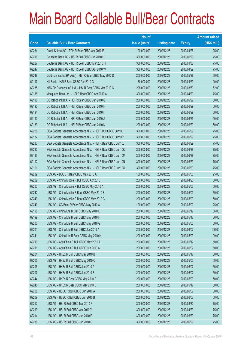|       |                                                               | No. of        |                     |               | <b>Amount raised</b> |
|-------|---------------------------------------------------------------|---------------|---------------------|---------------|----------------------|
| Code  | <b>Callable Bull / Bear Contracts</b>                         | issue (units) | <b>Listing date</b> | <b>Expiry</b> | $(HK$$ mil.)         |
| 69234 | Credit Suisse AG - TCH R Bear CBBC Apr 2010 E                 | 100,000,000   | 2009/12/28          | 2010/04/26    | 25.00                |
| 69216 | Deutsche Bank AG - HSI R Bull CBBC Jun 2010 H                 | 300,000,000   | 2009/12/28          | 2010/06/29    | 75.00                |
| 69227 | Deutsche Bank AG - HSI R Bear CBBC Mar 2010 H                 | 300,000,000   | 2009/12/28          | 2010/03/30    | 75.00                |
| 69247 | Deutsche Bank AG - HSI R Bear CBBC Apr 2010 W                 | 300,000,000   | 2009/12/28          | 2010/04/29    | 75.00                |
| 69248 | Goldman Sachs SP (Asia) - HSI R Bear CBBC May 2010 D          | 200,000,000   | 2009/12/28          | 2010/05/28    | 50.00                |
| 69197 | HK Bank - HSI R Bear CBBC Apr 2010 G                          | 80,000,000    | 2009/12/28          | 2010/04/29    | 20.00                |
| 69235 | KBC Fin Products Int'l Ltd. - HSI R Bear CBBC Mar 2010 C      | 208,000,000   | 2009/12/28          | 2010/03/30    | 52.00                |
| 69188 | Macquarie Bank Ltd. - HSI R Bear CBBC Apr 2010 A              | 300,000,000   | 2009/12/28          | 2010/04/29    | 75.00                |
| 69196 | CC Rabobank B.A. - HSI R Bear CBBC Jun 2010 G                 | 200,000,000   | 2009/12/28          | 2010/06/29    | 50.00                |
| 69195 | CC Rabobank B.A. - HSI R Bear CBBC Jun 2010 H                 | 200,000,000   | 2009/12/28          | 2010/06/29    | 50.00                |
| 69194 | CC Rabobank B.A. - HSI R Bear CBBC Jun 2010 I                 | 200,000,000   | 2009/12/28          | 2010/06/29    | 50.00                |
| 69190 | CC Rabobank B.A. - HSI R Bear CBBC Jun 2010 J                 | 200,000,000   | 2009/12/28          | 2010/06/29    | 50.00                |
| 69189 | CC Rabobank B.A. - HSI R Bear CBBC Jun 2010 K                 | 200,000,000   | 2009/12/28          | 2010/06/29    | 50.00                |
| 69228 | SGA Societe Generale Acceptance N.V. - HSI R Bull CBBC Jun10L | 300,000,000   | 2009/12/28          | 2010/06/29    | 75.00                |
| 69187 | SGA Societe Generale Acceptance N.V. - HSI R Bull CBBC Jun10P | 300,000,000   | 2009/12/28          | 2010/06/29    | 75.00                |
| 69233 | SGA Societe Generale Acceptance N.V. - HSI R Bear CBBC Jun10J | 300,000,000   | 2009/12/28          | 2010/06/29    | 75.00                |
| 69232 | SGA Societe Generale Acceptance N.V. - HSI R Bear CBBC Jun10K | 300,000,000   | 2009/12/28          | 2010/06/29    | 75.00                |
| 69193 | SGA Societe Generale Acceptance N.V. - HSI R Bear CBBC Jun10M | 300,000,000   | 2009/12/28          | 2010/06/29    | 75.00                |
| 69192 | SGA Societe Generale Acceptance N.V. - HSI R Bear CBBC Jun10N | 300,000,000   | 2009/12/28          | 2010/06/29    | 75.00                |
| 69191 | SGA Societe Generale Acceptance N.V. - HSI R Bear CBBC Jun10O | 300,000,000   | 2009/12/28          | 2010/06/29    | 75.00                |
| 69239 | UBS AG - BOCL R Bear CBBC May 2010 A                          | 100,000,000   | 2009/12/28          | 2010/05/03    | 25.00                |
| 69202 | UBS AG - China Mobile R Bull CBBC Apr 2010 F                  | 200,000,000   | 2009/12/28          | 2010/04/26    | 50.00                |
| 69203 | UBS AG - China Mobile R Bull CBBC May 2010 A                  | 200,000,000   | 2009/12/28          | 2010/05/03    | 50.00                |
| 69242 | UBS AG - China Mobile R Bear CBBC May 2010 B                  | 200,000,000   | 2009/12/28          | 2010/05/03    | 50.00                |
| 69243 | UBS AG - China Mobile R Bear CBBC May 2010 C                  | 200,000,000   | 2009/12/28          | 2010/05/03    | 50.00                |
| 69240 | UBS AG - CC Bank R Bear CBBC May 2010 A                       | 100,000,000   | 2009/12/28          | 2010/05/03    | 25.00                |
| 69198 | UBS AG - China Life R Bull CBBC May 2010 E                    | 200,000,000   | 2009/12/28          | 2010/05/17    | 86.00                |
| 69199 | UBS AG - China Life R Bull CBBC May 2010 F                    | 200,000,000   | 2009/12/28          | 2010/05/17    | 66.00                |
| 69200 | UBS AG - China Life R Bull CBBC May 2010 G                    | 200,000,000   | 2009/12/28          | 2010/05/03    | 50.00                |
| 69201 | UBS AG - China Life R Bull CBBC Jun 2010 A                    | 200,000,000   | 2009/12/28          | 2010/06/07    | 106.00               |
| 69241 | UBS AG - China Life R Bear CBBC May 2010 H                    | 200,000,000   | 2009/12/28          | 2010/05/03    | 99.00                |
| 69210 | UBS AG - A50 China R Bull CBBC May 2010 A                     | 200,000,000   | 2009/12/28          | 2010/05/17    | 50.00                |
| 69211 | UBS AG - A50 China R Bull CBBC Jun 2010 A                     | 200,000,000   | 2009/12/28          | 2010/06/07    | 50.00                |
| 69204 | UBS AG - HKEx R Bull CBBC May 2010 B                          | 200,000,000   | 2009/12/28          | 2010/05/17    | 50.00                |
| 69205 | UBS AG - HKEx R Bull CBBC May 2010 C                          | 200,000,000   | 2009/12/28          | 2010/05/03    | 50.00                |
| 69206 | UBS AG - HKEx R Bull CBBC Jun 2010 A                          | 200,000,000   | 2009/12/28          | 2010/06/07    | 56.00                |
| 69207 | UBS AG - HKEx R Bull CBBC Jun 2010 B                          | 200,000,000   | 2009/12/28          | 2010/06/07    | 50.00                |
| 69244 | UBS AG - HKEx R Bear CBBC May 2010 D                          | 200,000,000   | 2009/12/28          | 2010/05/03    | 50.00                |
| 69245 | UBS AG - HKEx R Bear CBBC May 2010 E                          | 200,000,000   | 2009/12/28          | 2010/05/17    | 50.00                |
| 69208 | UBS AG - HSBC R Bull CBBC Jun 2010 A                          | 200,000,000   | 2009/12/28          | 2010/06/07    | 50.00                |
| 69209 | UBS AG - HSBC R Bull CBBC Jun 2010 B                          | 200,000,000   | 2009/12/28          | 2010/06/07    | 50.00                |
| 69212 | UBS AG - HSI R Bull CBBC Mar 2010 P                           | 300,000,000   | 2009/12/28          | 2010/03/30    | 75.00                |
| 69213 | UBS AG - HSI R Bull CBBC Apr 2010 Y                           | 300,000,000   | 2009/12/28          | 2010/04/29    | 75.00                |
| 69214 | UBS AG - HSI R Bull CBBC Jun 2010 P                           | 300,000,000   | 2009/12/28          | 2010/06/29    | 75.00                |
| 69236 | UBS AG - HSI R Bull CBBC Jun 2010 S                           | 300,000,000   | 2009/12/28          | 2010/06/29    | 75.00                |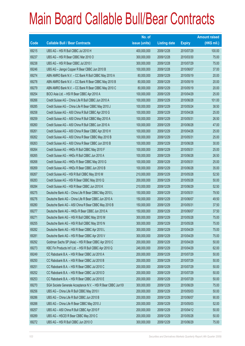|       |                                                               | No. of        |                     |               | <b>Amount raised</b> |
|-------|---------------------------------------------------------------|---------------|---------------------|---------------|----------------------|
| Code  | <b>Callable Bull / Bear Contracts</b>                         | issue (units) | <b>Listing date</b> | <b>Expiry</b> | $(HK$$ mil.)         |
| 69215 | UBS AG - HSI R Bull CBBC Jul 2010 H                           | 400,000,000   | 2009/12/28          | 2010/07/29    | 100.00               |
| 69237 | UBS AG - HSI R Bear CBBC Mar 2010 O                           | 300,000,000   | 2009/12/28          | 2010/03/30    | 75.00                |
| 69238 | UBS AG - HSI R Bear CBBC Jul 2010 I                           | 300,000,000   | 2009/12/28          | 2010/07/29    | 75.00                |
| 69246 | UBS AG - Jiangxi Copper R Bear CBBC Jun 2010 B                | 100,000,000   | 2009/12/28          | 2010/06/07    | 37.00                |
| 69274 | ABN AMRO Bank N.V. - CC Bank R Bull CBBC May 2010 A           | 80,000,000    | 2009/12/29          | 2010/05/19    | 20.00                |
| 69278 | ABN AMRO Bank N.V. - CC Bank R Bear CBBC May 2010 B           | 80,000,000    | 2009/12/29          | 2010/05/19    | 20.00                |
| 69279 | ABN AMRO Bank N.V. - CC Bank R Bear CBBC May 2010 C           | 80,000,000    | 2009/12/29          | 2010/05/19    | 20.00                |
| 69254 | BOCI Asia Ltd. - HSI R Bear CBBC Apr 2010 A                   | 100,000,000   | 2009/12/29          | 2010/04/29    | 25.00                |
| 69266 | Credit Suisse AG - China Life R Bull CBBC Jun 2010 A          | 100,000,000   | 2009/12/29          | 2010/06/28    | 101.00               |
| 69285 | Credit Suisse AG - China Life R Bear CBBC May 2010 J          | 100,000,000   | 2009/12/29          | 2010/05/24    | 38.50                |
| 69258 | Credit Suisse AG - A50 China R Bull CBBC Apr 2010 G           | 100,000,000   | 2009/12/29          | 2010/04/26    | 25.00                |
| 69259 | Credit Suisse AG - A50 China R Bull CBBC May 2010 A           | 100,000,000   | 2009/12/29          | 2010/05/31    | 26.50                |
| 69260 | Credit Suisse AG - A50 China R Bull CBBC Jun 2010 A           | 100,000,000   | 2009/12/29          | 2010/06/28    | 47.00                |
| 69261 | Credit Suisse AG - A50 China R Bear CBBC Apr 2010 H           | 100,000,000   | 2009/12/29          | 2010/04/26    | 25.00                |
| 69262 | Credit Suisse AG - A50 China R Bear CBBC May 2010 B           | 100,000,000   | 2009/12/29          | 2010/05/31    | 25.00                |
| 69263 | Credit Suisse AG - A50 China R Bear CBBC Jun 2010 B           | 100,000,000   | 2009/12/29          | 2010/06/28    | 30.00                |
| 69264 | Credit Suisse AG - HKEx R Bull CBBC May 2010 F                | 100,000,000   | 2009/12/29          | 2010/05/31    | 25.00                |
| 69265 | Credit Suisse AG - HKEx R Bull CBBC Jun 2010 A                | 100,000,000   | 2009/12/29          | 2010/06/28    | 26.50                |
| 69268 | Credit Suisse AG - HKEx R Bear CBBC May 2010 G                | 100,000,000   | 2009/12/29          | 2010/05/31    | 25.00                |
| 69269 | Credit Suisse AG - HKEx R Bear CBBC Jun 2010 B                | 100,000,000   | 2009/12/29          | 2010/06/28    | 35.00                |
| 69267 | Credit Suisse AG - HSI R Bull CBBC May 2010 M                 | 210,000,000   | 2009/12/29          | 2010/05/28    | 52.50                |
| 69283 | Credit Suisse AG - HSI R Bear CBBC May 2010 Q                 | 200,000,000   | 2009/12/29          | 2010/05/28    | 50.00                |
| 69284 | Credit Suisse AG - HSI R Bear CBBC Jun 2010 K                 | 210,000,000   | 2009/12/29          | 2010/06/29    | 52.50                |
| 69275 | Deutsche Bank AG - China Life R Bear CBBC May 2010 L          | 150,000,000   | 2009/12/29          | 2010/05/31    | 79.50                |
| 69276 | Deutsche Bank AG - China Life R Bear CBBC Jun 2010 A          | 150,000,000   | 2009/12/29          | 2010/06/07    | 49.50                |
| 69280 | Deutsche Bank AG - A50 China R Bear CBBC May 2010 B           | 150,000,000   | 2009/12/29          | 2010/05/31    | 37.50                |
| 69277 | Deutsche Bank AG - HKEx R Bear CBBC Jun 2010 A                | 150,000,000   | 2009/12/29          | 2010/06/07    | 37.50                |
| 69271 | Deutsche Bank AG - HSI R Bull CBBC May 2010 M                 | 300,000,000   | 2009/12/29          | 2010/05/28    | 75.00                |
| 69255 | Deutsche Bank AG - HSI R Bull CBBC May 2010 N                 | 300,000,000   | 2009/12/29          | 2010/05/28    | 75.00                |
| 69282 | Deutsche Bank AG - HSI R Bear CBBC Apr 2010 L                 | 300,000,000   | 2009/12/29          | 2010/04/29    | 75.00                |
| 69281 | Deutsche Bank AG - HSI R Bear CBBC Apr 2010 V                 | 300,000,000   | 2009/12/29          | 2010/04/29    | 75.00                |
| 69292 | Goldman Sachs SP (Asia) - HSI R Bear CBBC Apr 2010 C          | 200,000,000   | 2009/12/29          | 2010/04/29    | 50.00                |
| 69273 | KBC Fin Products Int'l Ltd. - HSI R Bull CBBC Apr 2010 Q      | 248,000,000   | 2009/12/29          | 2010/04/29    | 62.00                |
| 69249 | CC Rabobank B.A. - HSI R Bear CBBC Jul 2010 A                 | 200,000,000   | 2009/12/29          | 2010/07/29    | 50.00                |
| 69250 | CC Rabobank B.A. - HSI R Bear CBBC Jul 2010 B                 | 200,000,000   | 2009/12/29          | 2010/07/29    | 50.00                |
| 69251 | CC Rabobank B.A. - HSI R Bear CBBC Jul 2010 C                 | 200,000,000   | 2009/12/29          | 2010/07/29    | 50.00                |
| 69252 | CC Rabobank B.A. - HSI R Bear CBBC Jul 2010 D                 | 200,000,000   | 2009/12/29          | 2010/07/29    | 50.00                |
| 69253 | CC Rabobank B.A. - HSI R Bear CBBC Jul 2010 E                 | 200,000,000   | 2009/12/29          | 2010/07/29    | 50.00                |
| 69270 | SGA Societe Generale Acceptance N.V. - HSI R Bear CBBC Jun101 | 300,000,000   | 2009/12/29          | 2010/06/29    | 75.00                |
| 69256 | UBS AG - China Life R Bull CBBC May 2010 I                    | 200,000,000   | 2009/12/29          | 2010/05/03    | 50.00                |
| 69286 | UBS AG - China Life R Bull CBBC Jun 2010 B                    | 200,000,000   | 2009/12/29          | 2010/06/07    | 90.00                |
| 69288 | UBS AG - China Life R Bear CBBC May 2010 J                    | 200,000,000   | 2009/12/29          | 2010/05/03    | 52.00                |
| 69257 | UBS AG - A50 China R Bull CBBC Apr 2010 F                     | 200,000,000   | 2009/12/29          | 2010/04/12    | 50.00                |
| 69289 | UBS AG - HSCEI R Bear CBBC May 2010 C                         | 200,000,000   | 2009/12/29          | 2010/05/28    | 50.00                |
| 69272 | UBS AG - HSI R Bull CBBC Jun 2010 O                           | 300,000,000   | 2009/12/29          | 2010/06/29    | 75.00                |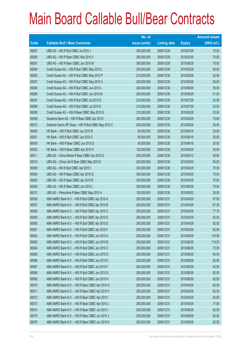|       |                                                      | No. of        |                     |               | <b>Amount raised</b> |
|-------|------------------------------------------------------|---------------|---------------------|---------------|----------------------|
| Code  | <b>Callable Bull / Bear Contracts</b>                | issue (units) | <b>Listing date</b> | <b>Expiry</b> | $(HK$$ mil.)         |
| 69287 | UBS AG - HSI R Bull CBBC Jul 2010 J                  | 300,000,000   | 2009/12/29          | 2010/07/29    | 75.00                |
| 69290 | UBS AG - HSI R Bear CBBC Mar 2010 V                  | 300,000,000   | 2009/12/29          | 2010/03/30    | 75.00                |
| 69291 | UBS AG - HSI R Bear CBBC Jun 2010 M                  | 300,000,000   | 2009/12/29          | 2010/06/29    | 75.00                |
| 69294 | Credit Suisse AG - HSI R Bull CBBC May 2010 L        | 200,000,000   | 2009/12/30          | 2010/05/28    | 50.00                |
| 69293 | Credit Suisse AG - HSI R Bull CBBC May 2010 P        | 210,000,000   | 2009/12/30          | 2010/05/28    | 52.50                |
| 69307 | Credit Suisse AG - HSI R Bull CBBC May 2010 U        | 200,000,000   | 2009/12/30          | 2010/05/28    | 50.00                |
| 69295 | Credit Suisse AG - HSI R Bull CBBC Jun 2010 L        | 200,000,000   | 2009/12/30          | 2010/06/29    | 55.00                |
| 69296 | Credit Suisse AG - HSI R Bull CBBC Jun 2010 M        | 200,000,000   | 2009/12/30          | 2010/06/29    | 51.00                |
| 69297 | Credit Suisse AG - HSI R Bull CBBC Jul 2010 D        | 210,000,000   | 2009/12/30          | 2010/07/29    | 52.50                |
| 69298 | Credit Suisse AG - HSI R Bull CBBC Jul 2010 E        | 210,000,000   | 2009/12/30          | 2010/07/29    | 52.50                |
| 69299 | Credit Suisse AG - HSI R Bear CBBC May 2010 S        | 210,000,000   | 2009/12/30          | 2010/05/28    | 52.50                |
| 69309 | Deutsche Bank AG - HSI R Bear CBBC Apr 2010 I        | 300,000,000   | 2009/12/30          | 2010/04/29    | 75.00                |
| 69313 | Goldman Sachs SP (Asia) - HSI R Bull CBBC May 2010 C | 200,000,000   | 2009/12/30          | 2010/05/28    | 50.00                |
| 69300 | HK Bank - A50 R Bull CBBC Jun 2010 B                 | 80,000,000    | 2009/12/30          | 2010/06/18    | 20.00                |
| 69301 | HK Bank - A50 R Bull CBBC Jun 2010 C                 | 80,000,000    | 2009/12/30          | 2010/06/18    | 20.00                |
| 69305 | HK Bank - A50 R Bear CBBC Jun 2010 D                 | 80,000,000    | 2009/12/30          | 2010/06/18    | 20.00                |
| 69302 | HK Bank - HSI R Bear CBBC Apr 2010 H                 | 120,000,000   | 2009/12/30          | 2010/04/29    | 30.00                |
| 69311 | UBS AG - China Mobile R Bear CBBC Apr 2010 G         | 200,000,000   | 2009/12/30          | 2010/04/12    | 50.00                |
| 69310 | UBS AG - China Life R Bear CBBC May 2010 K           | 200,000,000   | 2009/12/30          | 2010/05/03    | 50.00                |
| 69308 | UBS AG - HSI R Bull CBBC Apr 2010 I                  | 300,000,000   | 2009/12/30          | 2010/04/29    | 75.00                |
| 69304 | UBS AG - HSI R Bear CBBC Apr 2010 Q                  | 300,000,000   | 2009/12/30          | 2010/04/29    | 75.00                |
| 69303 | UBS AG - HSI R Bear CBBC Apr 2010 R                  | 300,000,000   | 2009/12/30          | 2010/04/29    | 75.00                |
| 69306 | UBS AG - HSI R Bear CBBC Jun 2010 L                  | 300,000,000   | 2009/12/30          | 2010/06/29    | 75.00                |
| 69312 | UBS AG - Petrochina R Bear CBBC May 2010 A           | 100,000,000   | 2009/12/30          | 2010/05/03    | 25.00                |
| 69356 | ABN AMRO Bank N.V. - HSI R Bull CBBC Apr 2010 A      | 250,000,000   | 2009/12/31          | 2010/04/29    | 97.50                |
| 69357 | ABN AMRO Bank N.V. - HSI R Bull CBBC Apr 2010 B      | 250,000,000   | 2009/12/31          | 2010/04/29    | 67.25                |
| 69358 | ABN AMRO Bank N.V. - HSI R Bull CBBC Apr 2010 C      | 250,000,000   | 2009/12/31          | 2010/04/29    | 77.75                |
| 69359 | ABN AMRO Bank N.V. - HSI R Bull CBBC Apr 2010 D      | 250,000,000   | 2009/12/31          | 2010/04/29    | 62.50                |
| 69360 | ABN AMRO Bank N.V. - HSI R Bull CBBC Apr 2010 E      | 250,000,000   | 2009/12/31          | 2010/04/29    | 62.50                |
| 69361 | ABN AMRO Bank N.V. - HSI R Bull CBBC Apr 2010 F      | 250,000,000   | 2009/12/31          | 2010/04/29    | 62.50                |
| 69362 | ABN AMRO Bank N.V. - HSI R Bull CBBC Jun 2010 A      | 250,000,000   | 2009/12/31          | 2010/06/29    | 118.00               |
| 69363 | ABN AMRO Bank N.V. - HSI R Bull CBBC Jun 2010 B      | 250,000,000   | 2009/12/31          | 2010/06/29    | 110.25               |
| 69364 | ABN AMRO Bank N.V. - HSI R Bull CBBC Jun 2010 C      | 250,000,000   | 2009/12/31          | 2010/06/29    | 72.00                |
| 69365 | ABN AMRO Bank N.V. - HSI R Bull CBBC Jun 2010 D      | 250,000,000   | 2009/12/31          | 2010/06/29    | 64.50                |
| 69366 | ABN AMRO Bank N.V. - HSI R Bull CBBC Jun 2010 E      | 250,000,000   | 2009/12/31          | 2010/06/29    | 62.50                |
| 69367 | ABN AMRO Bank N.V. - HSI R Bull CBBC Jun 2010 F      | 250,000,000   | 2009/12/31          | 2010/06/29    | 62.50                |
| 69368 | ABN AMRO Bank N.V. - HSI R Bull CBBC Jun 2010 G      | 250,000,000   | 2009/12/31          | 2010/06/29    | 62.50                |
| 69369 | ABN AMRO Bank N.V. - HSI R Bull CBBC Jun 2010 H      | 250,000,000   | 2009/12/31          | 2010/06/29    | 62.50                |
| 69370 | ABN AMRO Bank N.V. - HSI R Bear CBBC Apr 2010 G      | 250,000,000   | 2009/12/31          | 2010/04/29    | 62.50                |
| 69371 | ABN AMRO Bank N.V. - HSI R Bear CBBC Apr 2010 H      | 250,000,000   | 2009/12/31          | 2010/04/29    | 62.50                |
| 69372 | ABN AMRO Bank N.V. - HSI R Bear CBBC Apr 2010 I      | 250,000,000   | 2009/12/31          | 2010/04/29    | 62.50                |
| 69373 | ABN AMRO Bank N.V. - HSI R Bear CBBC Apr 2010 J      | 250,000,000   | 2009/12/31          | 2010/04/29    | 71.00                |
| 69374 | ABN AMRO Bank N.V. - HSI R Bear CBBC Jun 2010 I      | 250,000,000   | 2009/12/31          | 2010/06/29    | 62.50                |
| 69375 | ABN AMRO Bank N.V. - HSI R Bear CBBC Jun 2010 J      | 250,000,000   | 2009/12/31          | 2010/06/29    | 62.50                |
| 69376 | ABN AMRO Bank N.V. - HSI R Bear CBBC Jun 2010 K      | 250,000,000   | 2009/12/31          | 2010/06/29    | 62.50                |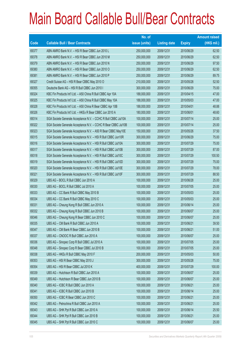|       |                                                                | No. of        |                     |               | <b>Amount raised</b> |
|-------|----------------------------------------------------------------|---------------|---------------------|---------------|----------------------|
| Code  | <b>Callable Bull / Bear Contracts</b>                          | issue (units) | <b>Listing date</b> | <b>Expiry</b> | $(HK$$ mil.)         |
| 69377 | ABN AMRO Bank N.V. - HSI R Bear CBBC Jun 2010 L                | 250,000,000   | 2009/12/31          | 2010/06/29    | 62.50                |
| 69378 | ABN AMRO Bank N.V. - HSI R Bear CBBC Jun 2010 M                | 250,000,000   | 2009/12/31          | 2010/06/29    | 62.50                |
| 69379 | ABN AMRO Bank N.V. - HSI R Bear CBBC Jun 2010 N                | 250,000,000   | 2009/12/31          | 2010/06/29    | 97.50                |
| 69380 | ABN AMRO Bank N.V. - HSI R Bear CBBC Jun 2010 O                | 250,000,000   | 2009/12/31          | 2010/06/29    | 62.50                |
| 69381 | ABN AMRO Bank N.V. - HSI R Bear CBBC Jun 2010 P                | 250,000,000   | 2009/12/31          | 2010/06/29    | 89.75                |
| 69327 | Credit Suisse AG - HSI R Bear CBBC May 2010 O                  | 210,000,000   | 2009/12/31          | 2010/05/28    | 52.50                |
| 69355 | Deutsche Bank AG - HSI R Bull CBBC Jun 2010 I                  | 300,000,000   | 2009/12/31          | 2010/06/29    | 75.00                |
| 69324 | KBC Fin Products Int'l Ltd. - A50 China R Bull CBBC Apr 10A    | 188,000,000   | 2009/12/31          | 2010/04/15    | 47.00                |
| 69325 | KBC Fin Products Int'l Ltd. - A50 China R Bull CBBC May 10A    | 188,000,000   | 2009/12/31          | 2010/05/03    | 47.00                |
| 69328 | KBC Fin Products Int'l Ltd. - A50 China R Bear CBBC Apr 10B    | 188,000,000   | 2009/12/31          | 2010/04/01    | 48.88                |
| 69326 | KBC Fin Products Int'l Ltd. - HKEx R Bear CBBC Jun 2010 A      | 180,000,000   | 2009/12/31          | 2010/06/01    | 48.60                |
| 69314 | SGA Societe Generale Acceptance N.V. - CCHC R Bull CBBC Jul10A | 100,000,000   | 2009/12/31          | 2010/07/14    | 25.00                |
| 69322 | SGA Societe Generale Acceptance N.V. - CCHC R Bear CBBC Jul10B | 100,000,000   | 2009/12/31          | 2010/07/14    | 25.00                |
| 69323 | SGA Societe Generale Acceptance N.V. - A50 R Bear CBBC May10E  | 150,000,000   | 2009/12/31          | 2010/05/26    | 37.50                |
| 69315 | SGA Societe Generale Acceptance N.V. - HSI R Bull CBBC Jun10R  | 300,000,000   | 2009/12/31          | 2010/06/29    | 75.00                |
| 69316 | SGA Societe Generale Acceptance N.V. - HSI R Bull CBBC Jul10A  | 300,000,000   | 2009/12/31          | 2010/07/29    | 75.00                |
| 69317 | SGA Societe Generale Acceptance N.V. - HSI R Bull CBBC Jul10B  | 300,000,000   | 2009/12/31          | 2010/07/29    | 87.00                |
| 69318 | SGA Societe Generale Acceptance N.V. - HSI R Bull CBBC Jul10C  | 300,000,000   | 2009/12/31          | 2010/07/29    | 100.50               |
| 69319 | SGA Societe Generale Acceptance N.V. - HSI R Bull CBBC Jul10D  | 300,000,000   | 2009/12/31          | 2010/07/29    | 75.00                |
| 69320 | SGA Societe Generale Acceptance N.V. - HSI R Bull CBBC Jul10E  | 300,000,000   | 2009/12/31          | 2010/07/29    | 78.00                |
| 69321 | SGA Societe Generale Acceptance N.V. - HSI R Bull CBBC Jul10F  | 300,000,000   | 2009/12/31          | 2010/07/29    | 88.50                |
| 69329 | UBS AG - BOCL R Bull CBBC Jun 2010 A                           | 100,000,000   | 2009/12/31          | 2010/06/28    | 25.00                |
| 69330 | UBS AG - BOCL R Bull CBBC Jul 2010 A                           | 100,000,000   | 2009/12/31          | 2010/07/05    | 25.00                |
| 69333 | UBS AG - CC Bank R Bull CBBC May 2010 B                        | 100,000,000   | 2009/12/31          | 2010/05/03    | 25.00                |
| 69334 | UBS AG - CC Bank R Bull CBBC May 2010 C                        | 100,000,000   | 2009/12/31          | 2010/05/03    | 25.00                |
| 69331 | UBS AG - Cheung Kong R Bull CBBC Jun 2010 A                    | 100,000,000   | 2009/12/31          | 2010/06/14    | 25.00                |
| 69332 | UBS AG - Cheung Kong R Bull CBBC Jun 2010 B                    | 100,000,000   | 2009/12/31          | 2010/06/07    | 25.00                |
| 69346 | UBS AG - Cheung Kong R Bear CBBC Jun 2010 C                    | 100,000,000   | 2009/12/31          | 2010/06/07    | 25.00                |
| 69335 | UBS AG - CM Bank R Bull CBBC Jun 2010 A                        | 100,000,000   | 2009/12/31          | 2010/06/21    | 39.50                |
| 69347 | UBS AG - CM Bank R Bear CBBC Jun 2010 B                        | 100,000,000   | 2009/12/31          | 2010/06/21    | 51.00                |
| 69337 | UBS AG - CNOOC R Bull CBBC Jun 2010 A                          | 100,000,000   | 2009/12/31          | 2010/06/07    | 25.00                |
| 69336 | UBS AG - Sinopec Corp R Bull CBBC Jul 2010 A                   | 100,000,000   | 2009/12/31          | 2010/07/05    | 25.00                |
| 69348 | UBS AG - Sinopec Corp R Bear CBBC Jul 2010 B                   | 100,000,000   | 2009/12/31          | 2010/07/05    | 25.00                |
| 69338 | UBS AG - HKEx R Bull CBBC May 2010 F                           | 200,000,000   | 2009/12/31          | 2010/05/03    | 50.00                |
| 69353 | UBS AG - HSI R Bear CBBC May 2010 J                            | 300,000,000   | 2009/12/31          | 2010/05/28    | 75.00                |
| 69354 | UBS AG - HSI R Bear CBBC Jul 2010 K                            | 400,000,000   | 2009/12/31          | 2010/07/29    | 100.00               |
| 69339 | UBS AG - Hutchison R Bull CBBC Jun 2010 A                      | 100,000,000   | 2009/12/31          | 2010/06/07    | 25.00                |
| 69349 | UBS AG - Hutchison R Bear CBBC Jun 2010 B                      | 100,000,000   | 2009/12/31          | 2010/06/07    | 25.00                |
| 69340 | UBS AG - ICBC R Bull CBBC Jun 2010 A                           | 100,000,000   | 2009/12/31          | 2010/06/21    | 25.00                |
| 69341 | UBS AG - ICBC R Bull CBBC Jun 2010 B                           | 100,000,000   | 2009/12/31          | 2010/06/14    | 25.00                |
| 69350 | UBS AG - ICBC R Bear CBBC Jun 2010 C                           | 100,000,000   | 2009/12/31          | 2010/06/21    | 25.00                |
| 69342 | UBS AG - Petrochina R Bull CBBC Jun 2010 A                     | 100,000,000   | 2009/12/31          | 2010/06/21    | 25.00                |
| 69343 | UBS AG - SHK Ppt R Bull CBBC Jun 2010 A                        | 100,000,000   | 2009/12/31          | 2010/06/14    | 25.50                |
| 69344 | UBS AG - SHK Ppt R Bull CBBC Jun 2010 B                        | 100,000,000   | 2009/12/31          | 2010/06/21    | 25.00                |
| 69345 | UBS AG - SHK Ppt R Bull CBBC Jun 2010 C                        | 100,000,000   | 2009/12/31          | 2010/06/07    | 25.00                |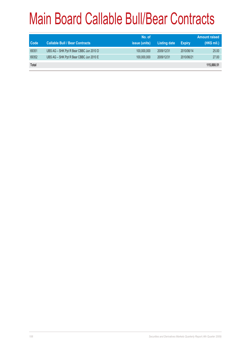|              |                                         | No. of               |                     |               | <b>Amount raised</b> |
|--------------|-----------------------------------------|----------------------|---------------------|---------------|----------------------|
| <b>Code</b>  | <b>Callable Bull / Bear Contracts</b>   | <i>issue (units)</i> | <b>Listing date</b> | <b>Expiry</b> | (HK\$ mil.)          |
| 69351        | UBS AG - SHK Ppt R Bear CBBC Jun 2010 D | 100,000,000          | 2009/12/31          | 2010/06/14    | 25.00                |
| 69352        | UBS AG - SHK Ppt R Bear CBBC Jun 2010 E | 100,000,000          | 2009/12/31          | 2010/06/21    | 27.00                |
| <b>Total</b> |                                         |                      |                     |               | 115,888.51           |
|              |                                         |                      |                     |               |                      |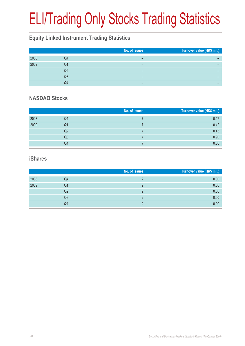# ELI/Trading Only Stocks Trading Statistics

#### **Equity Linked Instrument Trading Statistics**

|      |    | No. of issues | Turnover value (HK\$ mil.) |
|------|----|---------------|----------------------------|
| 2008 | Q4 |               |                            |
| 2009 | Q1 |               |                            |
|      | Q2 | -             |                            |
|      | Q3 | -             | -                          |
|      | Q4 | -             | –                          |

#### **NASDAQ Stocks**

|      |    | No. of issues | Turnover value (HK\$ mil.) |
|------|----|---------------|----------------------------|
| 2008 | Q4 |               | 0.17                       |
| 2009 | Q1 |               | 0.42                       |
|      | Q2 |               | 0.45                       |
|      | Q3 |               | 0.90                       |
|      | Q4 |               | 0.30                       |

#### **iShares**

|      |    | No. of issues | Turnover value (HK\$ mil.) |
|------|----|---------------|----------------------------|
| 2008 | Q4 |               | 0.00                       |
| 2009 | Q1 |               | 0.00                       |
|      | Q2 |               | 0.00                       |
|      | Q3 |               | 0.00                       |
|      | Q4 |               | 0.00                       |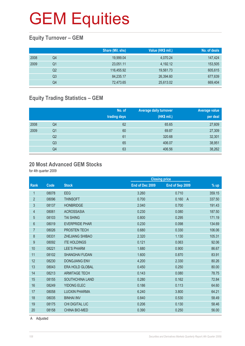### **Equity Turnover – GEM**

|      |    | Share (Mil. shs) | Value (HK\$ mil.) | No. of deals |
|------|----|------------------|-------------------|--------------|
| 2008 | Q4 | 19,999.04        | 4,070.24          | 147,424      |
| 2009 | Q1 | 23,051.11        | 4,192.12          | 153,505      |
|      | Q2 | 116,455.92       | 19,561.73         | 605,615      |
|      | Q3 | 84,235.17        | 26,394.60         | 677,639      |
|      | Q4 | 72,473.65        | 25,613.02         | 669,404      |

## **Equity Trading Statistics – GEM**

|      |                | No. of<br>trading days | <b>Average daily turnover</b><br>(HK\$ mil.) | <b>Average value</b><br>per deal |
|------|----------------|------------------------|----------------------------------------------|----------------------------------|
| 2008 | Q4             | 62                     | 65.65                                        | 27,609                           |
| 2009 | Q <sub>1</sub> | 60                     | 69.87                                        | 27,309                           |
|      | Q <sub>2</sub> | 61                     | 320.68                                       | 32,301                           |
|      | Q <sub>3</sub> | 65                     | 406.07                                       | 38,951                           |
|      | Q4             | 63                     | 406.56                                       | 38,262                           |

#### **20 Most Advanced GEM Stocks**

for 4th quarter 2009

|                |       |                        |                 | <b>Closing price</b>    |        |
|----------------|-------|------------------------|-----------------|-------------------------|--------|
| <b>Rank</b>    | Code  | <b>Stock</b>           | End of Dec 2009 | End of Sep 2009         | $%$ up |
| 1              | 08078 | EEG                    | 3.260           | 0.710                   | 359.15 |
| $\overline{2}$ | 08096 | <b>THINSOFT</b>        | 0.700           | 0.160<br>$\overline{A}$ | 337.50 |
| 3              | 08137 | <b>HONBRIDGE</b>       | 2.040           | 0.700                   | 191.43 |
| 4              | 08061 | <b>ACROSSASIA</b>      | 0.230           | 0.080                   | 187.50 |
| 5              | 08103 | <b>TAI SHING</b>       | 0.800           | 0.295                   | 171.19 |
| 6              | 08019 | <b>EVERPRIDE PHAR</b>  | 0.230           | 0.098                   | 134.69 |
| $\overline{7}$ | 08026 | <b>PROSTEN TECH</b>    | 0.680           | 0.330                   | 106.06 |
| 8              | 08331 | <b>ZHEJIANG SHIBAO</b> | 2.320           | 1.130                   | 105.31 |
| 9              | 08092 | <b>ITE HOLDINGS</b>    | 0.121           | 0.063                   | 92.06  |
| 10             | 08221 | <b>LEE'S PHARM</b>     | 1.680           | 0.900                   | 86.67  |
| 11             | 08102 | <b>SHANGHAI FUDAN</b>  | 1.600           | 0.870                   | 83.91  |
| 12             | 08230 | <b>DONGJIANG ENV</b>   | 4.200           | 2.330                   | 80.26  |
| 13             | 08043 | <b>ERA HOLD GLOBAL</b> | 0.450           | 0.250                   | 80.00  |
| 14             | 08213 | <b>ARMITAGE TECH</b>   | 0.143           | 0.080                   | 78.75  |
| 15             | 08155 | SOUTHCHINA LAND        | 0.280           | 0.162                   | 72.84  |
| 16             | 08249 | <b>YIDONG ELEC</b>     | 0.186           | 0.113                   | 64.60  |
| 17             | 08058 | <b>LUOXIN PHARMA</b>   | 6.240           | 3.800                   | 64.21  |
| 18             | 08035 | <b>BINHAI INV</b>      | 0.840           | 0.530                   | 58.49  |
| 19             | 08175 | <b>CHI DIGITAL LIC</b> | 0.206           | 0.130                   | 58.46  |
| 20             | 08158 | <b>CHINA BIO-MED</b>   | 0.390           | 0.250                   | 56.00  |
|                |       |                        |                 |                         |        |

A Adjusted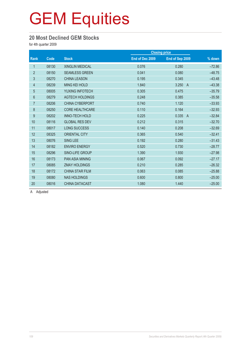#### **20 Most Declined GEM Stocks**

for 4th quarter 2009

|                |       |                        |                 | <b>Closing price</b>    |          |
|----------------|-------|------------------------|-----------------|-------------------------|----------|
| <b>Rank</b>    | Code  | <b>Stock</b>           | End of Dec 2009 | End of Sep 2009         | % down   |
| 1              | 08130 | <b>XINGLIN MEDICAL</b> | 0.076           | 0.280                   | $-72.86$ |
| $\overline{2}$ | 08150 | <b>SEAMLESS GREEN</b>  | 0.041           | 0.080                   | $-48.75$ |
| 3              | 08270 | <b>CHINA LEASON</b>    | 0.195           | 0.345                   | $-43.48$ |
| $\overline{4}$ | 08239 | <b>MING KEI HOLD</b>   | 1.840           | 3.250<br>$\overline{A}$ | $-43.38$ |
| $\overline{5}$ | 08005 | YUXING INFOTECH        | 0.305           | 0.475                   | $-35.79$ |
| 6              | 08279 | <b>AGTECH HOLDINGS</b> | 0.248           | 0.385                   | $-35.58$ |
| $\overline{7}$ | 08206 | <b>CHINA CYBERPORT</b> | 0.740           | 1.120                   | $-33.93$ |
| $\bf 8$        | 08250 | <b>CORE HEALTHCARE</b> | 0.110           | 0.164                   | $-32.93$ |
| 9              | 08202 | <b>INNO-TECH HOLD</b>  | 0.225           | 0.335<br>$\overline{A}$ | $-32.84$ |
| 10             | 08116 | <b>GLOBAL RES DEV</b>  | 0.212           | 0.315                   | $-32.70$ |
| 11             | 08017 | <b>LONG SUCCESS</b>    | 0.140           | 0.208                   | $-32.69$ |
| 12             | 08325 | <b>ORIENTAL CITY</b>   | 0.365           | 0.540                   | $-32.41$ |
| 13             | 08076 | <b>SING LEE</b>        | 0.192           | 0.280                   | $-31.43$ |
| 14             | 08182 | <b>ENVIRO ENERGY</b>   | 0.520           | 0.730                   | $-28.77$ |
| 15             | 08296 | SINO-LIFE GROUP        | 1.390           | 1.930                   | $-27.98$ |
| 16             | 08173 | <b>PAN ASIA MINING</b> | 0.067           | 0.092                   | $-27.17$ |
| 17             | 08085 | <b>ZMAY HOLDINGS</b>   | 0.210           | 0.285                   | $-26.32$ |
| 18             | 08172 | <b>CHINA STAR FILM</b> | 0.063           | 0.085                   | $-25.88$ |
| 19             | 08080 | <b>NAS HOLDINGS</b>    | 0.600           | 0.800                   | $-25.00$ |
| 20             | 08016 | <b>CHINA DATACAST</b>  | 1.080           | 1.440                   | $-25.00$ |

A Adjusted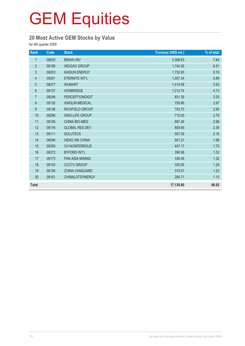## **20 Most Active GEM Stocks by Value**

| Rank             | Code  | <b>Stock</b>           | Turnover (HK\$ mil.) | % of total |
|------------------|-------|------------------------|----------------------|------------|
| $\mathbf{1}$     | 08035 | <b>BINHAI INV</b>      | 2,008.63             | 7.84       |
| $\overline{2}$   | 08199 | <b>WEIGAO GROUP</b>    | 1,744.36             | 6.81       |
| $\sqrt{3}$       | 08203 | <b>KAISUN ENERGY</b>   | 1,730.93             | 6.76       |
| $\overline{4}$   | 08351 | ETERNITE INT'L         | 1,507.34             | 5.89       |
| $\overline{5}$   | 08277 | <b>WUMART</b>          | 1,414.08             | 5.52       |
| $\boldsymbol{6}$ | 08137 | <b>HONBRIDGE</b>       | 1,212.74             | 4.73       |
| $\overline{7}$   | 08248 | <b>PERCEPTIONDIGIT</b> | 831.39               | 3.25       |
| 8                | 08130 | <b>XINGLIN MEDICAL</b> | 759.96               | 2.97       |
| $\boldsymbol{9}$ | 08136 | RICHFIELD GROUP        | 742.70               | 2.90       |
| 10               | 08296 | SINO-LIFE GROUP        | 715.00               | 2.79       |
| 11               | 08158 | <b>CHINA BIO-MED</b>   | 687.46               | 2.68       |
| 12               | 08116 | <b>GLOBAL RES DEV</b>  | 609.69               | 2.38       |
| 13               | 08111 | <b>SOLUTECK</b>        | 557.09               | 2.18       |
| 14               | 08046 | <b>HENG XIN CHINA</b>  | 501.21               | 1.96       |
| 15               | 08306 | <b>CH NONFERROUS</b>   | 447.17               | 1.75       |
| 16               | 08272 | <b>BYFORD INT'L</b>    | 390.98               | 1.53       |
| 17               | 08173 | PAN ASIA MINING        | 338.49               | 1.32       |
| 18               | 08153 | <b>CCCTV GROUP</b>     | 330.95               | 1.29       |
| 19               | 08156 | <b>CHINA VANGUARD</b>  | 315.01               | 1.23       |
| 20               | 08161 | <b>CHINALOTSYNERGY</b> | 294.71               | 1.15       |
| <b>Total</b>     |       |                        | 17,139.90            | 66.92      |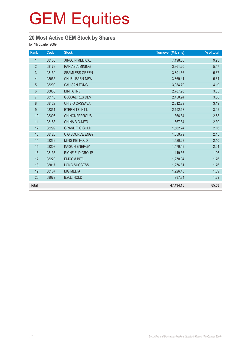## **20 Most Active GEM Stock by Shares**

| Rank           | Code  | <b>Stock</b>           | <b>Turnover (Mil. shs)</b> | % of total |
|----------------|-------|------------------------|----------------------------|------------|
| $\mathbf{1}$   | 08130 | <b>XINGLIN MEDICAL</b> | 7,198.55                   | 9.93       |
| $\overline{2}$ | 08173 | <b>PAN ASIA MINING</b> | 3,961.20                   | 5.47       |
| 3              | 08150 | <b>SEAMLESS GREEN</b>  | 3,891.66                   | 5.37       |
| $\overline{4}$ | 08055 | <b>CHI E-LEARN-NEW</b> | 3,869.41                   | 5.34       |
| 5              | 08200 | <b>SAU SAN TONG</b>    | 3,034.79                   | 4.19       |
| 6              | 08035 | <b>BINHAI INV</b>      | 2,787.98                   | 3.85       |
| $\overline{7}$ | 08116 | <b>GLOBAL RES DEV</b>  | 2,450.24                   | 3.38       |
| $\bf 8$        | 08129 | CH BIO CASSAVA         | 2,312.29                   | 3.19       |
| 9              | 08351 | ETERNITE INT'L         | 2,192.18                   | 3.02       |
| 10             | 08306 | <b>CH NONFERROUS</b>   | 1,866.84                   | 2.58       |
| 11             | 08158 | <b>CHINA BIO-MED</b>   | 1,667.84                   | 2.30       |
| 12             | 08299 | <b>GRAND T G GOLD</b>  | 1,562.24                   | 2.16       |
| 13             | 08128 | C G SOURCE ENGY        | 1,559.79                   | 2.15       |
| 14             | 08239 | <b>MING KEI HOLD</b>   | 1,520.23                   | 2.10       |
| 15             | 08203 | <b>KAISUN ENERGY</b>   | 1,479.49                   | 2.04       |
| 16             | 08136 | RICHFIELD GROUP        | 1,419.36                   | 1.96       |
| 17             | 08220 | <b>EMCOM INT'L</b>     | 1,278.94                   | 1.76       |
| 18             | 08017 | LONG SUCCESS           | 1,276.81                   | 1.76       |
| 19             | 08167 | <b>BIG MEDIA</b>       | 1,226.48                   | 1.69       |
| 20             | 08079 | <b>B.A.L. HOLD</b>     | 937.84                     | 1.29       |
| <b>Total</b>   |       |                        | 47,494.15                  | 65.53      |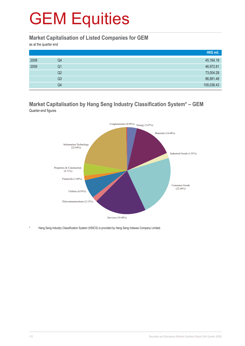#### **Market Capitalisation of Listed Companies for GEM**

as at the quarter end

|      |    | HK\$ mil.  |
|------|----|------------|
| 2008 | Q4 | 45,164.18  |
| 2009 | Q1 | 46,972.81  |
|      | Q2 | 73,004.28  |
|      | Q3 | 86,891.48  |
|      | Q4 | 105,036.43 |

#### **Market Capitalisation by Hang Seng Industry Classification System\* – GEM** Quarter-end figures



Hang Seng Industry Classification System (HSICS) is provided by Hang Seng Indexes Company Limited.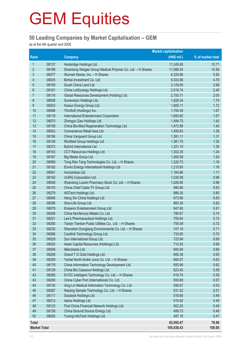#### **50 Leading Companies by Market Capitalisation – GEM**

as at the 4th quarter end 2009

|                     | <b>Market capitalisation</b> |                                                                                |                  |                   |
|---------------------|------------------------------|--------------------------------------------------------------------------------|------------------|-------------------|
| <b>Rank</b>         |                              | <b>Company</b>                                                                 | (HK\$ mil.)      | % of market total |
| 1                   | 08137                        | Honbridge Holdings Ltd.                                                        | 11,245.95        | 10.71             |
| $\overline{2}$      | 08199                        | Shandong Weigao Group Medical Polymer Co. Ltd. - H Shares                      | 11,088.34        | 10.56             |
| 3                   | 08277                        | Wumart Stores, Inc. - H Shares                                                 | 6,220.66         | 5.92              |
| 4                   | 08035                        | Binhai Investment Co. Ltd.                                                     | 5,033.96         | 4.79              |
| 5                   | 08155                        | South China Land Ltd.                                                          | 3,129.05         | 2.98              |
| $6\phantom{.}$      | 08161                        | China LotSynergy Holdings Ltd.                                                 | 2,516.74         | 2.40              |
| 7                   | 08116                        | Global Resources Development (Holding) Ltd.                                    | 2,155.71         | 2.05              |
| 8                   | 08008                        | Sunevision Holdings Ltd.                                                       | 1,828.34         | 1.74              |
| 9                   | 08203                        | Kaisun Energy Group Ltd.                                                       | 1,805.11         | 1.72              |
| 10                  | 08096                        | ThinSoft (Holdings) Inc.                                                       | 1,754.39         | 1.67              |
| 11                  | 08118                        | <b>International Entertainment Corporation</b>                                 | 1,650.82         | 1.57              |
| 12                  | 08070                        | Zhongyu Gas Holdings Ltd.                                                      | 1,494.73         | 1.42              |
| 13                  | 08158                        | China Bio-Med Regeneration Technology Ltd.                                     | 1,472.98         | 1.40              |
| 14                  | 08052                        | Convenience Retail Asia Ltd.                                                   | 1,459.83         | 1.39              |
| 15                  | 08156                        | China Vanguard Group Ltd.                                                      | 1,381.11         | 1.31              |
| 16                  | 08136                        | Richfield Group Holdings Ltd.                                                  | 1,361.75         | 1.30              |
| 17                  | 08272                        | Byford International Ltd.                                                      | 1,321.10         | 1.26              |
| 18                  | 08163                        | CCT Resources Holdings Ltd.                                                    | 1,302.25         | 1.24              |
| 19                  | 08167                        | Big Media Group Ltd.                                                           | 1,260.59         | 1.20              |
| 20                  | 08069                        | Tong Ren Tang Technologies Co. Ltd. - H Shares                                 | 1,220.73         | 1.16              |
| 21                  | 08182                        | Enviro Energy International Holdings Ltd.                                      | 1,215.95         | 1.16              |
| 22                  | 08061                        | AcrossAsia Ltd.                                                                | 1,164.86         | 1.11              |
| 23                  | 08192                        | <b>UURG Corporation Ltd.</b>                                                   | 1,030.08         | 0.98              |
| 24                  | 08058                        | Shandong Luoxin Pharmacy Stock Co. Ltd. - H Shares                             | 1,026.85         | 0.98              |
| 25                  | 08153                        | China Chief Cable TV Group Ltd.                                                | 980.66           | 0.93              |
| 26                  | 08279                        | AGTech Holdings Ltd.                                                           | 888.30           | 0.85              |
| 27                  | 08046                        | Heng Xin China Holdings Ltd.                                                   | 873.86           | 0.83              |
| 28                  | 08296                        | Sino-Life Group Ltd.                                                           | 865.28           | 0.82              |
| 29                  | 08078                        | Emperor Entertainment Group Ltd.                                               | 847.60           | 0.81              |
| 30                  | 08306                        | China Nonferrous Metals Co. Ltd.                                               | 780.67           | 0.74              |
| 31                  | 08221                        | Lee's Pharmaceutical Holdings Ltd.                                             | 755.64           | 0.72              |
| 32                  | 08290                        | Tianjin Tianlian Public Utilities Co., Ltd. - H Shares                         | 755.09           | 0.72              |
| 33                  | 08230                        | Shenzhen Dongjiang Environmental Co. Ltd. - H Shares                           | 747.18           | 0.71              |
| 34                  | 08066                        | Cardlink Technology Group Ltd.                                                 | 733.65           | 0.70              |
| 35                  | 08029                        | Sun International Group Ltd.                                                   | 723.94           | 0.69              |
| 36                  | 08025                        | Asian Capital Resources (Holdings) Ltd.                                        | 712.93           | 0.68              |
| 37                  | 08009                        | iMerchants Ltd.                                                                | 693.69           | 0.66              |
| 38                  | 08299                        | Grand T G Gold Holdings Ltd.                                                   | 685.38           | 0.65              |
| 39                  | 08259                        | Yantai North Andre Juice Co. Ltd. - H Shares                                   | 660.07           | 0.63              |
| 40                  | 08178                        | China Information Technology Development Ltd.                                  | 655.99           | 0.62              |
| 41                  | 08129                        | China Bio Cassava Holdings Ltd.                                                | 623.45           | 0.59              |
| 42                  | 08285                        | EVOC Intelligent Technology Co. Ltd. - H Shares                                | 616.70           | 0.59              |
| 43                  | 08206                        | China Cyber Port (International) Co. Ltd.                                      | 593.69           | 0.57              |
| 44                  | 08130                        | Xing Lin Medical Information Technology Co. Ltd.                               | 556.67           | 0.53              |
| 45<br>46            | 08287                        | Nanjing Sample Technology Co. Ltd. - H Shares<br>Soluteck Holdings Ltd.        | 531.52           | 0.51<br>0.49      |
| 47                  | 08111<br>08212               | Aptus Holdings Ltd.                                                            | 516.60<br>515.92 | 0.49              |
| 48                  | 08123                        |                                                                                | 502.20           | 0.48              |
| 49                  | 08128                        | First China Financial Network Holdings Ltd.<br>China Ground Source Energy Ltd. | 499.73           | 0.48              |
| 50                  | 08005                        | Yuxing InfoTech Holdings Ltd.                                                  | 497.19           | 0.47              |
|                     |                              |                                                                                |                  |                   |
| <b>Total</b>        |                              |                                                                                | 82,955.47        | 78.98             |
| <b>Market Total</b> |                              |                                                                                | 105,036.43       | 100.00            |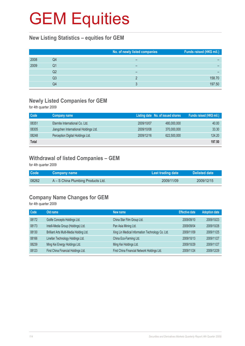#### **New Listing Statistics – equities for GEM**

|      |    | No. of newly listed companies | Funds raised (HK\$ mil.) |
|------|----|-------------------------------|--------------------------|
| 2008 | Q4 |                               |                          |
| 2009 | Q1 |                               |                          |
|      | Q2 |                               |                          |
|      | Q3 |                               | 158.70                   |
|      | Q4 | ≏                             | 197.50                   |

#### **Newly Listed Companies for GEM**

for 4th quarter 2009

| Code         | Company name                          |            | Listing date No. of issued shares | Funds raised (HK\$ mil.) |
|--------------|---------------------------------------|------------|-----------------------------------|--------------------------|
| 08351        | Eternite International Co. Ltd.       | 2009/10/07 | 480,000,000                       | 40.00                    |
| 08305        | Jiangchen International Holdings Ltd. | 2009/10/08 | 370,000,000                       | 33.30                    |
| 08248        | Perception Digital Holdings Ltd.      | 2009/12/16 | 622,500,000                       | 124.20                   |
| <b>Total</b> |                                       |            |                                   | 197.50                   |

## **Withdrawal of listed Companies – GEM**

for 4th quarter 2009

| <b>Code</b> | <b>Company name</b>                | Last trading date | Delisted date |
|-------------|------------------------------------|-------------------|---------------|
| 08262       | A – S China Plumbing Products Ltd. | 2009/11/09        | 2009/12/15    |

### **Company Name Changes for GEM**

| Code  | Old name                                | New name                                         | <b>Effective date</b> | <b>Adoption date</b> |
|-------|-----------------------------------------|--------------------------------------------------|-----------------------|----------------------|
| 08172 | Golife Concepts Holdings Ltd.           | China Star Film Group Ltd.                       | 2009/09/10            | 2009/10/23           |
| 08173 | Intelli-Media Group (Holdings) Ltd.     | Pan Asia Mining Ltd.                             | 2009/09/04            | 2009/10/28           |
| 08130 | Brilliant Arts Multi-Media Holding Ltd. | Xing Lin Medical Information Technology Co. Ltd. | 2009/11/09            | 2009/11/25           |
| 08166 | Linefan Technology Holdings Ltd.        | China Eco-Farming Ltd.                           | 2009/10/13            | 2009/11/27           |
| 08239 | Ming Kei Energy Holdings Ltd.           | Ming Kei Holdings Ltd.                           | 2009/10/29            | 2009/11/27           |
| 08123 | First China Financial Holdings Ltd.     | First China Financial Network Holdings Ltd.      | 2009/11/24            | 2009/12/29           |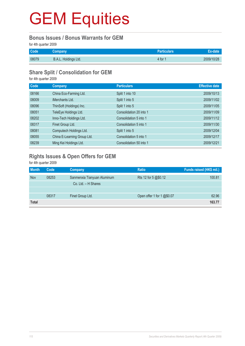#### **Bonus Issues / Bonus Warrants for GEM**

for 4th quarter 2009

| Code  | Company              | <b>Particulars</b>  |            |
|-------|----------------------|---------------------|------------|
| 08079 | B.A.L. Holdings Ltd. | 4 for $\frac{1}{2}$ | 2009/10/28 |

#### **Share Split / Consolidation for GEM**

for 4th quarter 2009

| Code  | Company                     | <b>Particulars</b>      | <b>Effective date</b> |
|-------|-----------------------------|-------------------------|-----------------------|
| 08166 | China Eco-Farming Ltd.      | Split 1 into 10         | 2009/10/13            |
| 08009 | iMerchants Ltd.             | Split 1 into 5          | 2009/11/02            |
| 08096 | ThinSoft (Holdings) Inc.    | Split 1 into 5          | 2009/11/05            |
| 08051 | TeleEye Holdings Ltd.       | Consolidation 20 into 1 | 2009/11/09            |
| 08202 | Inno-Tech Holdings Ltd.     | Consolidation 5 into 1  | 2009/11/12            |
| 08317 | Finet Group Ltd.            | Consolidation 5 into 1  | 2009/11/30            |
| 08081 | Computech Holdings Ltd.     | Split 1 into 5          | 2009/12/04            |
| 08055 | China E-Learning Group Ltd. | Consolidation 5 into 1  | 2009/12/17            |
| 08239 | Ming Kei Holdings Ltd.      | Consolidation 50 into 1 | 2009/12/21            |

## **Rights Issues & Open Offers for GEM**

| <b>Month</b> | Code  | <b>Company</b>              | <b>Ratio</b>               | Funds raised (HK\$ mil.) |
|--------------|-------|-----------------------------|----------------------------|--------------------------|
| Nov          | 08253 | Sanmenxia Tianyuan Aluminum | Rts 12 for 5 @\$0.12       | 100.81                   |
|              |       | Co. Ltd. - H Shares         |                            |                          |
|              |       |                             |                            |                          |
|              | 08317 | Finet Group Ltd.            | Open offer 1 for 1 @\$0.07 | 62.96                    |
| <b>Total</b> |       |                             |                            | 163.77                   |
|              |       |                             |                            |                          |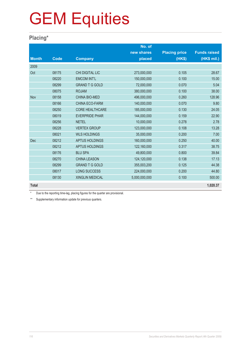### **Placing\***

|              |             |                        | No. of        |                      |                     |
|--------------|-------------|------------------------|---------------|----------------------|---------------------|
|              |             |                        | new shares    | <b>Placing price</b> | <b>Funds raised</b> |
| <b>Month</b> | <b>Code</b> | <b>Company</b>         | placed        | (HK\$)               | (HK\$ mil.)         |
| 2009         |             |                        |               |                      |                     |
| Oct          | 08175       | <b>CHI DIGITAL LIC</b> | 273,000,000   | 0.105                | 28.67               |
|              | 08220       | <b>EMCOM INT'L</b>     | 150,000,000   | 0.100                | 15.00               |
|              | 08299       | <b>GRAND T G GOLD</b>  | 72,000,000    | 0.070                | 5.04                |
|              | 08075       | <b>ROJAM</b>           | 380,000,000   | 0.100                | 38.00               |
| Nov          | 08158       | <b>CHINA BIO-MED</b>   | 496,000,000   | 0.260                | 128.96              |
|              | 08166       | <b>CHINA ECO-FARM</b>  | 140,000,000   | 0.070                | 9.80                |
|              | 08250       | <b>CORE HEALTHCARE</b> | 185,000,000   | 0.130                | 24.05               |
|              | 08019       | <b>EVERPRIDE PHAR</b>  | 144,000,000   | 0.159                | 22.90               |
|              | 08256       | <b>NETEL</b>           | 10,000,000    | 0.278                | 2.78                |
|              | 08228       | <b>VERTEX GROUP</b>    | 123,000,000   | 0.108                | 13.28               |
|              | 08021       | <b>WLS HOLDINGS</b>    | 35,000,000    | 0.200                | 7.00                |
| <b>Dec</b>   | 08212       | <b>APTUS HOLDINGS</b>  | 160,000,000   | 0.250                | 40.00               |
|              | 08212       | <b>APTUS HOLDINGS</b>  | 122,160,000   | 0.317                | 38.75               |
|              | 08176       | <b>BLU SPA</b>         | 49,800,000    | 0.800                | 39.84               |
|              | 08270       | <b>CHINA LEASON</b>    | 124,120,000   | 0.138                | 17.13               |
|              | 08299       | <b>GRAND T G GOLD</b>  | 355,003,200   | 0.125                | 44.38               |
|              | 08017       | <b>LONG SUCCESS</b>    | 224,000,000   | 0.200                | 44.80               |
|              | 08130       | <b>XINGLIN MEDICAL</b> | 5,000,000,000 | 0.100                | 500.00              |
| <b>Total</b> |             |                        |               |                      | 1,020.37            |

Due to the reporting time-lag, placing figures for the quarter are provisional.

\*\* Supplementary information update for previous quarters.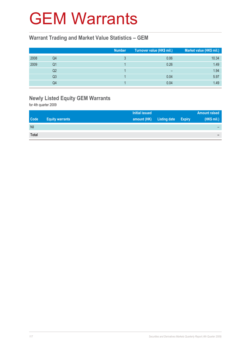## GEM Warrants

#### **Warrant Trading and Market Value Statistics – GEM**

|      |                | <b>Number</b> | Turnover value (HK\$ mil.) | Market value (HK\$ mil.) |
|------|----------------|---------------|----------------------------|--------------------------|
| 2008 | Q4             |               | 0.06                       | 10.34                    |
| 2009 | Q1             |               | 0.26                       | 1.49                     |
|      | Q2             |               | $\overline{\phantom{0}}$   | 1.94                     |
|      | Q <sub>3</sub> |               | 0.04                       | 5.97                     |
|      | Q4             |               | 0.04                       | 1.49                     |

## **Newly Listed Equity GEM Warrants**

|              |                        | <b>Initial issued</b> |                     | <b>Amount raised</b> |
|--------------|------------------------|-----------------------|---------------------|----------------------|
| <b>Code</b>  | <b>Equity warrants</b> | amount (HK)           | Listing date Expiry | (HK\$ mil.)          |
| Nil          |                        |                       |                     |                      |
| <b>Total</b> |                        |                       |                     | -                    |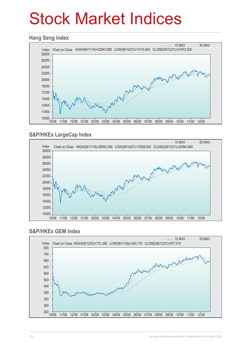## Stock Market Indices

#### **Hang Seng Index**



### **S&P/HKEx LargeCap Index**



#### **S&P/HKEx GEM Index**

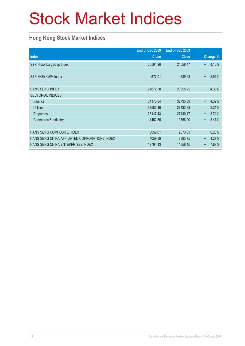## Stock Market Indices

### **Hong Kong Stock Market Indices**

|                                               | End of Dec 2009 | End of Sep 2009 |           |          |
|-----------------------------------------------|-----------------|-----------------|-----------|----------|
| <b>Index</b>                                  | <b>Close</b>    | <b>Close</b>    |           | Change % |
| S&P/HKEx LargeCap Index                       | 25564.96        | 24558.47        | $\ddot{}$ | 4.10%    |
|                                               |                 |                 |           |          |
| S&P/HKEx GEM Index                            | 677.01          | 639.23          | $+$       | 5.91%    |
|                                               |                 |                 |           |          |
| <b>HANG SENG INDEX</b>                        | 21872.50        | 20955.25        | $+$       | 4.38%    |
| <b>SECTORIAL INDICES</b>                      |                 |                 |           |          |
| Finance                                       | 34170.84        | 32733.89        | $+$       | 4.39%    |
| <b>Utilities</b>                              | 37585.16        | 38432.88        |           | 2.21%    |
| <b>Properties</b>                             | 28147.43        | 27140.17        | $+$       | 3.71%    |
| Commerce & Industry                           | 11452.85        | 10858.90        | $+$       | 5.47%    |
|                                               |                 |                 |           |          |
| HANG SENG COMPOSITE INDEX                     | 3052.01         | 2873.03         | $+$       | 6.23%    |
| HANG SENG CHINA-AFFILIATED CORPORATIONS INDEX | 4059.89         | 3893.75         | $+$       | 4.27%    |
| HANG SENG CHINA ENTERPRISES INDEX             | 12794.13        | 11858.15        | $\ddot{}$ | 7.89%    |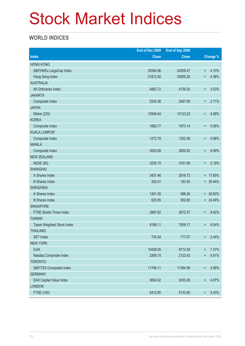## Stock Market Indices

### **WORLD INDICES**

|                                 | End of Dec 2009 | End of Sep 2009 |                  |                 |
|---------------------------------|-----------------|-----------------|------------------|-----------------|
| <b>Index</b>                    | <b>Close</b>    | <b>Close</b>    |                  | <b>Change %</b> |
| <b>HONG KONG</b>                |                 |                 |                  |                 |
| S&P/HKEx LargeCap Index         | 25564.96        | 24558.47        | $\ddot{}$        | 4.10%           |
| Hang Seng Index                 | 21872.50        | 20955.25        | $\ddot{}$        | 4.38%           |
| <b>AUSTRALIA</b>                |                 |                 |                  |                 |
| All Ordinaries Index            | 4882.72         | 4739.30         | $+$              | 3.03%           |
| <b>JAKARTA</b>                  |                 |                 |                  |                 |
| Composite Index                 | 2534.36         | 2467.59         | $\ddot{}$        | 2.71%           |
| <b>JAPAN</b>                    |                 |                 |                  |                 |
| Nikkei (225)                    | 10546.44        | 10133.23        | $\ddot{}$        | 4.08%           |
| <b>KOREA</b>                    |                 |                 |                  |                 |
| Composite Index                 | 1682.77         | 1673.14         | $\ddot{}$        | 0.58%           |
| <b>KUALA LUMPUR</b>             |                 |                 |                  |                 |
| Composite Index                 | 1272.78         | 1202.08         | $\ddot{}$        | 5.88%           |
| <b>MANILA</b>                   |                 |                 |                  |                 |
| Composite Index                 | 3052.68         | 2800.82         | $\ddot{}$        | 8.99%           |
| <b>NEW ZEALAND</b>              |                 |                 |                  |                 |
| <b>NZSE (50)</b>                | 3230.15         | 3161.06         | $\ddot{}$        | 2.19%           |
| <b>SHANGHAI</b>                 |                 |                 |                  |                 |
| A Shares Index                  | 3437.46         | 2916.73         |                  | + 17.85%        |
| <b>B</b> Shares Index           | 252.41          | 193.50          |                  | $+ 30.44\%$     |
| <b>SHENZHEN</b>                 |                 |                 |                  |                 |
| A Shares Index                  | 1261.26         | 996.26          |                  | + 26.60%        |
| <b>B</b> Shares Index           | 625.95          | 502.80          |                  | + 24.49%        |
| <b>SINGAPORE</b>                |                 |                 |                  |                 |
| <b>FTSE Straits Times Index</b> | 2897.62         | 2672.57         | $^{+}$           | 8.42%           |
| <b>TAIWAN</b>                   |                 |                 |                  |                 |
| Taipei Weighted Stock Index     | 8188.11         | 7509.17         | $^{+}$           | 9.04%           |
| <b>THAILAND</b>                 |                 |                 |                  |                 |
| <b>SET Index</b>                | 734.54          | 717.07          | $+$              | 2.44%           |
| <b>NEW YORK</b>                 |                 |                 |                  |                 |
| <b>DJIA</b>                     | 10428.05        | 9712.28         | $^{+}$           | 7.37%           |
| Nasdaq Composite Index          | 2269.15         | 2122.42         | $\ddot{}$        | 6.91%           |
| <b>TORONTO</b>                  |                 |                 |                  |                 |
| S&P/TSX Composite Index         | 11746.11        | 11394.96        | $\boldsymbol{+}$ | 3.08%           |
| <b>GERMANY</b>                  |                 |                 |                  |                 |
| DAX Capital Value Index         | 3604.02         | 3433.26         | $+$              | 4.97%           |
| <b>LONDON</b>                   |                 |                 |                  |                 |
| FTSE (100)                      | 5412.90         | 5133.90         | $^{\rm +}$       | 5.43%           |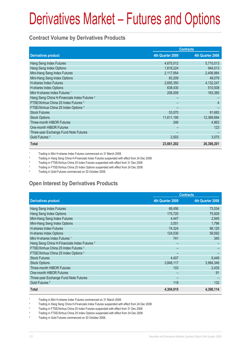#### **Contract Volume by Derivatives Products**

|                                                         | <b>Contracts</b> |                  |
|---------------------------------------------------------|------------------|------------------|
| <b>Derivatives product</b>                              | 4th Quarter 2009 | 4th Quarter 2008 |
| Hang Seng Index Futures                                 | 4,675,012        | 5,710,013        |
| Hang Seng Index Options                                 | 1,618,224        | 944,013          |
| Mini-Hang Seng Index Futures                            | 2,117,954        | 2,406,984        |
| Mini-Hang Seng Index Options                            | 83,209           | 49,079           |
| H-shares Index Futures                                  | 2,655,350        | 4,132,247        |
| H-shares Index Options                                  | 638,430          | 510,938          |
| Mini H-shares Index Futures <sup>1</sup>                | 206,009          | 163,385          |
| Hang Seng China H-Financials Index Futures <sup>2</sup> |                  |                  |
| FTSE/Xinhua China 25 Index Futures <sup>3</sup>         |                  | $\overline{4}$   |
| FTSE/Xinhua China 25 Index Options 4                    |                  |                  |
| <b>Stock Futures</b>                                    | 53,070           | 91,683           |
| <b>Stock Options</b>                                    | 11,611,195       | 12,369,694       |
| <b>Three-month HIBOR Futures</b>                        | 246              | 4.963            |
| One-month HIBOR Futures                                 |                  | 123              |
| Three-year Exchange Fund Note Futures                   |                  |                  |
| Gold Futures <sup>5</sup>                               | 2,503            | 3,075            |
| <b>Total</b>                                            | 23,661,202       | 26,386,201       |

1 Trading in Mini H-shares Index Futures commenced on 31 March 2008.

<sup>2</sup> Trading in Hang Seng China H-Financials Index Futures suspended with effect from 24 Dec 2008

<sup>3</sup> Trading in FTSE/Xinhua China 25 Index Futures suspended with effect from 31 Dec 2008

4 Trading in FTSE/Xinhua China 25 Index Options suspended with effect from 24 Dec 2008

5 Trading in Gold Futures commenced on 20 October 2008.

## **Open Interest by Derivatives Products**

|                                                         | <b>Contracts</b> |                  |  |
|---------------------------------------------------------|------------------|------------------|--|
| <b>Derivatives product</b>                              | 4th Quarter 2009 | 4th Quarter 2008 |  |
| Hang Seng Index Futures                                 | 68,456           | 73,034           |  |
| Hang Seng Index Options                                 | 175,720          | 75,829           |  |
| Mini-Hang Seng Index Futures                            | 4,447            | 2,945            |  |
| Mini-Hang Seng Index Options                            | 3,551            | 1.796            |  |
| <b>H-shares Index Futures</b>                           | 74,324           | 96,120           |  |
| H-shares Index Options                                  | 124,030          | 59,592           |  |
| Mini H-shares Index Futures <sup>1</sup>                | 741              | 345              |  |
| Hang Seng China H-Financials Index Futures <sup>2</sup> |                  |                  |  |
| FTSE/Xinhua China 25 Index Futures 3                    |                  |                  |  |
| FTSE/Xinhua China 25 Index Options 4                    |                  |                  |  |
| <b>Stock Futures</b>                                    | 4,407            | 9,449            |  |
| <b>Stock Options</b>                                    | 3,848,117        | 3,984,346        |  |
| Three-month HIBOR Futures                               | 103              | 2,435            |  |
| One-month HIBOR Futures                                 |                  | 91               |  |
| Three-year Exchange Fund Note Futures                   |                  |                  |  |
| Gold Futures <sup>5</sup>                               | 119              | 132              |  |
| Total                                                   | 4,304,015        | 4,306,114        |  |

1 Trading in Mini H-shares Index Futures commenced on 31 March 2008.

<sup>2</sup> Trading in Hang Seng China H-Financials Index Futures suspended with effect from 24 Dec 2008

3 Trading in FTSE/Xinhua China 25 Index Futures suspended with effect from 31 Dec 2008

4 Trading in FTSE/Xinhua China 25 Index Options suspended with effect from 24 Dec 2008

5 Trading in Gold Futures commenced on 20 October 2008.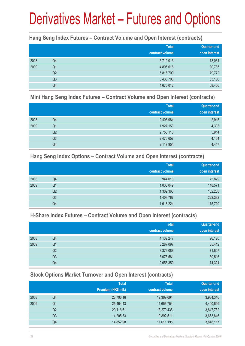#### **Hang Seng Index Futures – Contract Volume and Open Interest (contracts)**

|      |                | <b>Total</b><br>contract volume | <b>Quarter-end</b><br>open interest |
|------|----------------|---------------------------------|-------------------------------------|
| 2008 | Q4             | 5,710,013                       | 73,034                              |
| 2009 | Q <sub>1</sub> | 4,805,616                       | 80,785                              |
|      | Q <sub>2</sub> | 5,816,700                       | 79,772                              |
|      | Q <sub>3</sub> | 5,430,706                       | 83,150                              |
|      | Q4             | 4,675,012                       | 68,456                              |

#### **Mini Hang Seng Index Futures – Contract Volume and Open Interest (contracts)**

|      |                | <b>Total</b><br>contract volume | <b>Quarter-end</b><br>open interest |
|------|----------------|---------------------------------|-------------------------------------|
| 2008 | Q4             | 2,406,984                       | 2,945                               |
| 2009 | Q <sub>1</sub> | 1,927,153                       | 4,303                               |
|      | Q <sub>2</sub> | 2,758,113                       | 5,914                               |
|      | Q <sub>3</sub> | 2,476,657                       | 4,164                               |
|      | Q4             | 2,117,954                       | 4,447                               |

#### **Hang Seng Index Options – Contract Volume and Open Interest (contracts)**

|      |                | <b>Total</b>    | <b>Quarter-end</b> |
|------|----------------|-----------------|--------------------|
|      |                | contract volume | open interest      |
| 2008 | Q4             | 944,013         | 75,829             |
| 2009 | Q <sub>1</sub> | 1,030,049       | 118,571            |
|      | Q <sub>2</sub> | 1,309,363       | 182,288            |
|      | Q <sub>3</sub> | 1,409,767       | 222,382            |
|      | Q4             | 1,618,224       | 175,720            |

#### **H-Share Index Futures – Contract Volume and Open Interest (contracts)**

|      |                | <b>Total</b>    | <b>Quarter-end</b> |
|------|----------------|-----------------|--------------------|
|      |                | contract volume | open interest      |
| 2008 | Q4             | 4,132,247       | 96,120             |
| 2009 | Q1             | 3,287,097       | 85,412             |
|      | Q <sub>2</sub> | 3,376,088       | 71,607             |
|      | Q <sub>3</sub> | 3,075,581       | 80,516             |
|      | Q4             | 2,655,350       | 74,324             |

### **Stock Options Market Turnover and Open Interest (contracts)**

|      |    | <b>Total</b>        | <b>Total</b>    | Quarter-end   |
|------|----|---------------------|-----------------|---------------|
|      |    | Premium (HK\$ mil.) | contract volume | open interest |
| 2008 | Q4 | 28,706.16           | 12,369,694      | 3,984,346     |
| 2009 | Q1 | 25,464.43           | 11,656,754      | 4,400,699     |
|      | Q2 | 20,116.61           | 13,279,436      | 3,847,782     |
|      | Q3 | 14,205.33           | 10,892,511      | 3,663,846     |
|      | Q4 | 14,852.98           | 11,611,195      | 3,848,117     |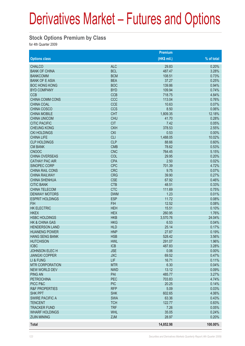#### **Stock Options Premium by Class**

|                           |            | Premium      |            |
|---------------------------|------------|--------------|------------|
| <b>Options class</b>      |            | $(HK$$ mil.) | % of total |
| <b>CHALCO</b>             | <b>ALC</b> | 29.83        | 0.20%      |
| <b>BANK OF CHINA</b>      | <b>BCL</b> | 487.47       | 3.28%      |
| <b>BANKCOMM</b>           | <b>BCM</b> | 108.51       | 0.73%      |
| <b>BANK OF E ASIA</b>     | <b>BEA</b> | 37.27        | 0.25%      |
| <b>BOC HONG KONG</b>      | <b>BOC</b> | 139.86       | 0.94%      |
| <b>BYD COMPANY</b>        | <b>BYD</b> | 109.94       | 0.74%      |
| <b>CCB</b>                | <b>CCB</b> | 718.75       | 4.84%      |
| <b>CHINA COMM CONS</b>    | CCC        | 113.04       | 0.76%      |
| <b>CHINA COAL</b>         | <b>CCE</b> | 10.63        | 0.07%      |
| CHINA COSCO               | <b>CCS</b> | 8.50         | 0.06%      |
| <b>CHINA MOBILE</b>       | <b>CHT</b> | 1,809.35     | 12.18%     |
| <b>CHINA UNICOM</b>       | <b>CHU</b> | 41.70        | 0.28%      |
| <b>CITIC PACIFIC</b>      | <b>CIT</b> | 7.42         | 0.05%      |
| <b>CHEUNG KONG</b>        | <b>CKH</b> | 378.53       | 2.55%      |
| <b>CKI HOLDINGS</b>       | <b>CKI</b> | 0.53         | 0.00%      |
| <b>CHINA LIFE</b>         | <b>CLI</b> | 1,488.05     | 10.02%     |
| <b>CLP HOLDINGS</b>       | <b>CLP</b> | 88.66        | 0.60%      |
| <b>CM BANK</b>            | <b>CMB</b> | 78.62        | 0.53%      |
| <b>CNOOC</b>              | <b>CNC</b> | 764.45       | 5.15%      |
| <b>CHINA OVERSEAS</b>     | COL        | 29.95        | 0.20%      |
| <b>CATHAY PAC AIR</b>     | <b>CPA</b> | 2.50         | 0.02%      |
| <b>SINOPEC CORP</b>       | <b>CPC</b> | 701.39       | 4.72%      |
| <b>CHINA RAIL CONS</b>    | <b>CRC</b> | 9.75         | 0.07%      |
| <b>CHINA RAILWAY</b>      | <b>CRG</b> | 39.90        | 0.27%      |
| <b>CHINA SHENHUA</b>      | <b>CSE</b> | 67.92        | 0.46%      |
| <b>CITIC BANK</b>         | <b>CTB</b> | 48.51        | 0.33%      |
| <b>CHINA TELECOM</b>      | <b>CTC</b> | 111.69       | 0.75%      |
| <b>DENWAY MOTORS</b>      | <b>DWM</b> | 1.23         | 0.01%      |
| <b>ESPRIT HOLDINGS</b>    | <b>ESP</b> | 11.72        | 0.08%      |
| <b>FIH</b>                | <b>FIH</b> | 12.52        | 0.08%      |
| <b>HK ELECTRIC</b>        | <b>HEH</b> | 15.51        | 0.10%      |
| <b>HKEX</b>               | <b>HEX</b> | 260.95       | 1.76%      |
| <b>HSBC HOLDINGS</b>      | <b>HKB</b> | 3,570.76     | 24.04%     |
| <b>HK &amp; CHINA GAS</b> | <b>HKG</b> | 6.53         | 0.04%      |
| <b>HENDERSON LAND</b>     | <b>HLD</b> | 25.14        | 0.17%      |
| <b>HUANENG POWER</b>      | <b>HNP</b> | 27.87        | 0.19%      |
| <b>HANG SENG BANK</b>     | <b>HSB</b> | 528.42       | 3.56%      |
| <b>HUTCHISON</b>          | <b>HWL</b> | 291.07       | 1.96%      |
| <b>ICBC</b>               | <b>ICB</b> | 487.83       | 3.28%      |
| <b>JOHNSON ELECH</b>      | <b>JSE</b> | 0.06         | 0.00%      |
| <b>JIANGXI COPPER</b>     | <b>JXC</b> | 69.52        | 0.47%      |
| LI & FUNG                 | <b>LIF</b> | 16.71        | 0.11%      |
| <b>MTR CORPORATION</b>    | <b>MTR</b> | 6.30         | 0.04%      |
| <b>NEW WORLD DEV</b>      | <b>NWD</b> | 13.12        | 0.09%      |
| <b>PING AN</b>            | PAI        | 485.77       | 3.27%      |
| <b>PETROCHINA</b>         | PEC        | 703.83       | 4.74%      |
| PICC P&C                  | <b>PIC</b> | 20.25        | 0.14%      |
| <b>R&amp;F PROPERTIES</b> | <b>RFP</b> | 5.09         | 0.03%      |
| <b>SHK PPT</b>            | <b>SHK</b> | 602.65       | 4.06%      |
| <b>SWIRE PACIFIC A</b>    | <b>SWA</b> | 63.36        | 0.43%      |
| <b>TENCENT</b>            | <b>TCH</b> | 122.77       | 0.83%      |
| <b>TRACKER FUND</b>       | <b>TRF</b> | 7.26         | 0.05%      |
| <b>WHARF HOLDINGS</b>     | <b>WHL</b> | 35.05        | 0.24%      |
| <b>ZIJIN MINING</b>       | <b>ZJM</b> | 28.97        | 0.20%      |
|                           |            |              |            |
| <b>Total</b>              |            | 14,852.98    | 100.00%    |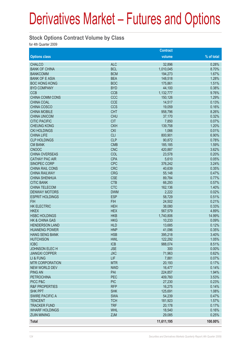#### **Stock Options Contract Volume by Class**

|                           |                          | <b>Contract</b> |                |
|---------------------------|--------------------------|-----------------|----------------|
| <b>Options class</b>      |                          | volume          | % of total     |
| <b>CHALCO</b>             | <b>ALC</b>               | 32,896          | 0.28%          |
| <b>BANK OF CHINA</b>      | <b>BCL</b>               | 1,010,045       | 8.70%          |
| <b>BANKCOMM</b>           | <b>BCM</b>               | 194,273         | 1.67%          |
| <b>BANK OF E ASIA</b>     | <b>BEA</b>               | 148,518         | 1.28%          |
| <b>BOC HONG KONG</b>      | <b>BOC</b>               | 175,861         | 1.51%          |
| <b>BYD COMPANY</b>        | <b>BYD</b>               | 44,100          | 0.38%          |
| <b>CCB</b>                | <b>CCB</b>               | 1,132,777       | 9.76%          |
| <b>CHINA COMM CONS</b>    | CCC                      | 150,126         | 1.29%          |
| <b>CHINA COAL</b>         | <b>CCE</b>               | 14,517          | 0.13%          |
| <b>CHINA COSCO</b>        | <b>CCS</b>               | 19,059          | 0.16%          |
| <b>CHINA MOBILE</b>       | <b>CHT</b>               | 958,796         | 8.26%          |
| <b>CHINA UNICOM</b>       | <b>CHU</b>               | 37,170          | 0.32%          |
| <b>CITIC PACIFIC</b>      | <b>CIT</b>               | 7,850           | 0.07%          |
| <b>CHEUNG KONG</b>        | <b>CKH</b>               | 139,758         | 1.20%          |
| <b>CKI HOLDINGS</b>       | <b>CKI</b>               | 1,066           | 0.01%          |
| <b>CHINA LIFE</b>         | <b>CLI</b>               | 800,901         | 6.90%          |
| <b>CLP HOLDINGS</b>       | <b>CLP</b>               | 90,872          | 0.78%          |
| <b>CM BANK</b>            | <b>CMB</b>               | 185,185         | 1.59%          |
| <b>CNOOC</b>              | <b>CNC</b>               | 420,887         | 3.62%          |
| <b>CHINA OVERSEAS</b>     | COL                      | 23,578          | 0.20%          |
| <b>CATHAY PAC AIR</b>     | <b>CPA</b>               | 5,610           | 0.05%          |
| <b>SINOPEC CORP</b>       | <b>CPC</b>               | 376,242         | 3.24%          |
| <b>CHINA RAIL CONS</b>    | <b>CRC</b>               | 40,639          | 0.35%          |
| <b>CHINA RAILWAY</b>      | <b>CRG</b>               | 55,148          | 0.47%          |
| <b>CHINA SHENHUA</b>      | <b>CSE</b>               | 89,784          | 0.77%          |
| <b>CITIC BANK</b>         | <b>CTB</b>               | 66,293          | 0.57%          |
| <b>CHINA TELECOM</b>      | <b>CTC</b>               | 162,136         | 1.40%          |
| <b>DENWAY MOTORS</b>      | <b>DWM</b>               | 2,222           | 0.02%          |
| <b>ESPRIT HOLDINGS</b>    | <b>ESP</b>               | 58,729          | 0.51%          |
| <b>FIH</b>                | <b>FIH</b>               | 24,502          | 0.21%          |
| <b>HK ELECTRIC</b>        | <b>HEH</b>               | 38,080          | 0.33%          |
| <b>HKEX</b>               | <b>HEX</b>               | 567,579         | 4.89%          |
| <b>HSBC HOLDINGS</b>      | <b>HKB</b>               | 1,740,806       | 14.99%         |
| <b>HK &amp; CHINA GAS</b> | <b>HKG</b>               | 10,233          | 0.09%          |
| <b>HENDERSON LAND</b>     | <b>HLD</b>               | 13,685          | 0.12%          |
| <b>HUANENG POWER</b>      | <b>HNP</b>               | 41,096          | 0.35%          |
| <b>HANG SENG BANK</b>     | <b>HSB</b>               | 395,218         | 3.40%          |
| <b>HUTCHISON</b>          | <b>HWL</b>               | 122,292         | 1.05%          |
| <b>ICBC</b>               | <b>ICB</b>               | 988,074         | 8.51%          |
| <b>JOHNSON ELECH</b>      | <b>JSE</b>               |                 | 0.00%          |
| <b>JIANGXI COPPER</b>     | <b>JXC</b>               | 300             | 0.62%          |
| LI & FUNG                 | LIF                      | 71,963          | 0.07%          |
|                           |                          | 7,881           |                |
| <b>MTR CORPORATION</b>    | <b>MTR</b><br><b>NWD</b> | 20,193          | 0.17%          |
| <b>NEW WORLD DEV</b>      | PAI                      | 16,477          | 0.14%<br>1.94% |
| <b>PING AN</b>            | <b>PEC</b>               | 224,857         |                |
| <b>PETROCHINA</b>         |                          | 409,760         | 3.53%          |
| PICC P&C                  | <b>PIC</b><br><b>RFP</b> | 27,230          | 0.23%          |
| <b>R&amp;F PROPERTIES</b> |                          | 16,275          | 0.14%          |
| <b>SHK PPT</b>            | <b>SHK</b>               | 125,691         | 1.08%          |
| <b>SWIRE PACIFIC A</b>    | <b>SWA</b>               | 54,239          | 0.47%          |
| <b>TENCENT</b>            | <b>TCH</b>               | 181,923         | 1.57%          |
| <b>TRACKER FUND</b>       | <b>TRF</b>               | 20,178          | 0.17%          |
| <b>WHARF HOLDINGS</b>     | <b>WHL</b>               | 18,540          | 0.16%          |
| <b>ZIJIN MINING</b>       | <b>ZJM</b>               | 29,085          | 0.25%          |
| <b>Total</b>              |                          | 11,611,195      | 100.00%        |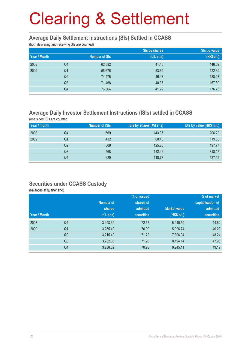#### **Average Daily Settlement Instructions (SIs) Settled in CCASS**

(both delivering and receiving SIs are counted)

|              |                |                      | Sis by shares | Sis by value |
|--------------|----------------|----------------------|---------------|--------------|
| Year / Month |                | <b>Number of SIs</b> | (bil. shs)    | (HK\$bil.)   |
| 2008         | Q4             | 62,582               | 41.46         | 146.59       |
| 2009         | Q <sub>1</sub> | 55,676               | 33.62         | 122.39       |
|              | Q <sub>2</sub> | 74,476               | 46.43         | 188.18       |
|              | Q <sub>3</sub> | 71,468               | 40.37         | 167.89       |
|              | Q4             | 76,664               | 41.72         | 176.73       |

### **Average Daily Investor Settlement Instructions (ISIs) settled in CCASS**

(one sided ISIs are counted)

| Year / month |    | <b>Number of ISIs</b> | ISIs by shares (Mil shs) | ISIs by value (HK\$ mil.) |
|--------------|----|-----------------------|--------------------------|---------------------------|
| 2008         | Q4 | 669                   | 143.37                   | 206.22                    |
| 2009         | Q1 | 432                   | 68.40                    | 119.55                    |
|              | Q2 | 609                   | 125.20                   | 197.77                    |
|              | Q3 | 568                   | 132.46                   | 318.17                    |
|              | Q4 | 629                   | 118.78                   | 527.19                    |

#### **Securities under CCASS Custody**

(balances at quarter end)

|              |                |            | % of issued       |                     | % of market       |
|--------------|----------------|------------|-------------------|---------------------|-------------------|
|              |                | Number of  | shares of         |                     | capitalisation of |
|              |                | shares     | admitted          | <b>Market value</b> | admitted          |
| Year / Month |                | (bil. shs) | <b>securities</b> | (HK\$ bil.)         | <b>securities</b> |
| 2008         | Q4             | 3,408.30   | 72.57             | 5,040.50            | 44.62             |
| 2009         | Q <sub>1</sub> | 3,255.40   | 70.99             | 5,026.74            | 46.29             |
|              | Q <sub>2</sub> | 3,215.42   | 71.72             | 7,306.94            | 48.24             |
|              | Q <sub>3</sub> | 3,282.06   | 71.26             | 8,194.14            | 47.96             |
|              | Q4             | 3,286.62   | 70.93             | 9,245.11            | 49.19             |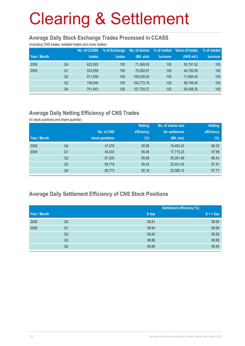#### **Average Daily Stock Exchange Trades Processed in CCASS**

(including CNS trades, isolated trades and cross trades)

| Year / Month |                | <b>No. of CCASS</b><br>trades | % of Exchange<br>trades | No. of shares<br>(Mil. shs) | % of market<br>turnover | Value of trades<br>(HK\$ mil.) | % of market<br>turnover |
|--------------|----------------|-------------------------------|-------------------------|-----------------------------|-------------------------|--------------------------------|-------------------------|
| 2008         | Q4             | 622,593                       | 100                     | 71.069.05                   | 100                     | 50.791.52                      | 100                     |
| 2009         | Q <sub>1</sub> | 533.958                       | 100                     | 75,262.87                   | 100                     | 44.720.95                      | 100                     |
|              | Q <sub>2</sub> | 811.938                       | 100                     | 109.528.00                  | 100                     | 71.684.42                      | 100                     |
|              | Q <sub>3</sub> | 749.546                       | 100                     | 104,773.19                  | 100                     | 66.746.40                      | 100                     |
|              | Q4             | 751.643                       | 100                     | 107,724.27                  | 100                     | 65,408.35                      | 100                     |

## **Average Daily Netting Efficiency of CNS Trades**

(in stock positions and share quantity)

|              |                |                 | <b>Netting</b> | No. of shares due | <b>Netting</b> |
|--------------|----------------|-----------------|----------------|-------------------|----------------|
|              |                | No. of CNS      | efficiency     | for settlement    | efficiency     |
| Year / Month |                | stock positions | $(\%)$         | (Mil. shs)        | (%)            |
| 2008         | Q4             | 47,076          | 95.96          | 18,463.43         | 86.35          |
| 2009         | Q <sub>1</sub> | 46,433          | 95.46          | 17,715.25         | 87.98          |
|              | Q <sub>2</sub> | 67,305          | 95.68          | 29,281.89         | 86.43          |
|              | Q <sub>3</sub> | 65,718          | 95.42          | 25,921.00         | 87.47          |
|              | Q4             | 68,773          | 95.18          | 25,589.10         | 87.77          |

### **Average Daily Settlement Efficiency of CNS Stock Positions**

|              |                |       | <b>Settlement efficiency (%)</b> |
|--------------|----------------|-------|----------------------------------|
| Year / Month |                | S day | $S + 1$ day                      |
| 2008         | Q4             | 99.81 | 99.99                            |
| 2009         | Q <sub>1</sub> | 99.84 | 99.99                            |
|              | Q2             | 99.84 | 99.99                            |
|              | Q <sub>3</sub> | 99.86 | 99.99                            |
|              | Q4             | 99.86 | 99.99                            |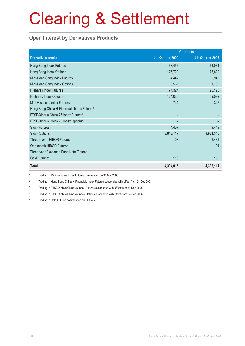### **Open Interest by Derivatives Products**

|                                                         | <b>Contracts</b> |                  |  |
|---------------------------------------------------------|------------------|------------------|--|
| <b>Derivatives product</b>                              | 4th Quarter 2009 | 4th Quarter 2008 |  |
| Hang Seng Index Futures                                 | 68,456           | 73,034           |  |
| Hang Seng Index Options                                 | 175,720          | 75,829           |  |
| Mini-Hang Seng Index Futures                            | 4,447            | 2,945            |  |
| Mini-Hang Seng Index Options                            | 3,551            | 1,796            |  |
| H-shares Index Futures                                  | 74,324           | 96,120           |  |
| H-shares Index Options                                  | 124,030          | 59,592           |  |
| Mini H-shares Index Futures <sup>1</sup>                | 741              | 345              |  |
| Hang Seng China H-Financials Index Futures <sup>2</sup> |                  |                  |  |
| FTSE/Xinhua China 25 Index Futures <sup>3</sup>         |                  |                  |  |
| FTSE/Xinhua China 25 Index Options <sup>4</sup>         |                  |                  |  |
| <b>Stock Futures</b>                                    | 4,407            | 9,449            |  |
| <b>Stock Options</b>                                    | 3,848,117        | 3,984,346        |  |
| Three-month HIBOR Futures                               | 103              | 2,435            |  |
| One-month HIBOR Futures                                 |                  | 91               |  |
| Three-year Exchange Fund Note Futures                   |                  |                  |  |
| Gold Futures <sup>5</sup>                               | 119              | 132              |  |
| <b>Total</b>                                            | 4,304,015        | 4,306,114        |  |

1 Trading in Mini H-shares Index Futures commenced on 31 Mar 2008

2 Trading in Hang Seng China H-Financials Index Futures suspended with effect from 24 Dec 2008

3 Trading in FTSE/Xinhua China 25 Index Futures suspended with effect from 31 Dec 2008

4 Trading in FTSE/Xinhua China 25 Index Options suspended with effect from 24 Dec 2008

5 Trading in Gold Futures commenced on 20 Oct 2008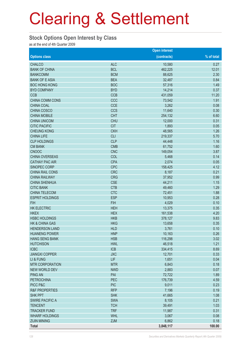#### **Stock Options Open Interest by Class**

as at the end of 4th Quarter 2009

|                           |            | <b>Open interest</b> |            |
|---------------------------|------------|----------------------|------------|
| <b>Options class</b>      |            | (contracts)          | % of total |
| <b>CHALCO</b>             | <b>ALC</b> | 10,580               | 0.27       |
| <b>BANK OF CHINA</b>      | <b>BCL</b> | 462,225              | 12.01      |
| <b>BANKCOMM</b>           | <b>BCM</b> | 88,625               | 2.30       |
| <b>BANK OF E ASIA</b>     | <b>BEA</b> | 32,487               | 0.84       |
| <b>BOC HONG KONG</b>      | <b>BOC</b> | 57,316               | 1.49       |
| <b>BYD COMPANY</b>        | <b>BYD</b> | 14,214               | 0.37       |
| <b>CCB</b>                | <b>CCB</b> | 431,059              | 11.20      |
| CHINA COMM CONS           | CCC        | 73,542               | 1.91       |
| CHINA COAL                | <b>CCE</b> | 3,262                | 0.08       |
| CHINA COSCO               | <b>CCS</b> | 11,640               | 0.30       |
| <b>CHINA MOBILE</b>       | <b>CHT</b> | 254,132              | 6.60       |
| <b>CHINA UNICOM</b>       | <b>CHU</b> | 12,000               | 0.31       |
| <b>CITIC PACIFIC</b>      | <b>CIT</b> | 1,893                | 0.05       |
| <b>CHEUNG KONG</b>        | <b>CKH</b> | 48,565               | 1.26       |
| <b>CHINA LIFE</b>         | <b>CLI</b> | 219,337              | 5.70       |
| <b>CLP HOLDINGS</b>       | <b>CLP</b> | 44,448               | 1.16       |
| <b>CM BANK</b>            | <b>CMB</b> | 61,752               | 1.60       |
| <b>CNOOC</b>              | <b>CNC</b> | 149,054              | 3.87       |
| <b>CHINA OVERSEAS</b>     | COL        | 5,468                | 0.14       |
| <b>CATHAY PAC AIR</b>     | <b>CPA</b> | 2,074                | 0.05       |
| SINOPEC CORP              | <b>CPC</b> | 158,425              | 4.12       |
| <b>CHINA RAIL CONS</b>    | <b>CRC</b> | 8,187                | 0.21       |
| <b>CHINA RAILWAY</b>      | <b>CRG</b> | 37,952               | 0.99       |
| <b>CHINA SHENHUA</b>      | <b>CSE</b> | 44,211               | 1.15       |
| <b>CITIC BANK</b>         | <b>CTB</b> | 49,460               | 1.29       |
| CHINA TELECOM             | <b>CTC</b> | 72,451               | 1.88       |
| <b>ESPRIT HOLDINGS</b>    | <b>ESP</b> | 10,953               | 0.28       |
| <b>FIH</b>                | <b>FIH</b> | 4,029                | 0.10       |
| <b>HK ELECTRIC</b>        | <b>HEH</b> | 13,375               | 0.35       |
| <b>HKEX</b>               | <b>HEX</b> | 161,538              | 4.20       |
| <b>HSBC HOLDINGS</b>      | <b>HKB</b> | 378,127              | 9.83       |
| <b>HK &amp; CHINA GAS</b> | <b>HKG</b> | 13,658               | 0.35       |
| <b>HENDERSON LAND</b>     | <b>HLD</b> | 3,761                | 0.10       |
| <b>HUANENG POWER</b>      | <b>HNP</b> | 10,163               | 0.26       |
| <b>HANG SENG BANK</b>     | <b>HSB</b> | 116,298              | 3.02       |
| <b>HUTCHISON</b>          | <b>HWL</b> | 46,518               | 1.21       |
| <b>ICBC</b>               | <b>ICB</b> | 334,415              | 8.69       |
| <b>JIANGXI COPPER</b>     | <b>JXC</b> | 12,701               | 0.33       |
| LI & FUNG                 | <b>LIF</b> | 1,651                | 0.04       |
| <b>MTR CORPORATION</b>    | <b>MTR</b> | 6,843                | 0.18       |
| <b>NEW WORLD DEV</b>      | <b>NWD</b> | 2,883                | 0.07       |
| <b>PING AN</b>            | PAI        | 72,722               | 1.89       |
| <b>PETROCHINA</b>         | PEC        | 176,739              | 4.59       |
| PICC P&C                  | <b>PIC</b> | 9,011                | 0.23       |
| <b>R&amp;F PROPERTIES</b> | <b>RFP</b> | 7,196                | 0.19       |
| <b>SHK PPT</b>            | <b>SHK</b> | 41,665               | 1.08       |
| <b>SWIRE PACIFIC A</b>    | <b>SWA</b> | 8,105                | 0.21       |
| <b>TENCENT</b>            | <b>TCH</b> | 39,491               | 1.03       |
| <b>TRACKER FUND</b>       | <b>TRF</b> | 11,987               | 0.31       |
| <b>WHARF HOLDINGS</b>     | <b>WHL</b> | 3,067                | 0.08       |
| <b>ZIJIN MINING</b>       | <b>ZJM</b> | 6,862                | 0.18       |
| <b>Total</b>              |            | 3,848,117            | 100.00     |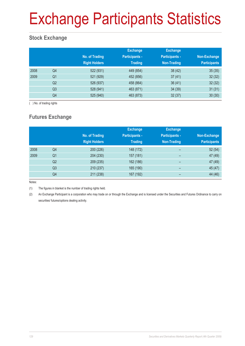# Exchange Participants Statistics

### **Stock Exchange**

|      |                | No. of Trading<br><b>Right Holders</b> | <b>Exchange</b><br><b>Participants -</b><br><b>Trading</b> | <b>Exchange</b><br><b>Participants -</b><br>Non-Trading | Non-Exchange<br><b>Participants</b> |
|------|----------------|----------------------------------------|------------------------------------------------------------|---------------------------------------------------------|-------------------------------------|
| 2008 | Q4             | 522 (931)                              | 449 (854)                                                  | 38 (42)                                                 | 35(35)                              |
| 2009 | Q <sub>1</sub> | 521 (929)                              | 452 (856)                                                  | 37(41)                                                  | 32(32)                              |
|      | Q <sub>2</sub> | 526 (937)                              | 458 (864)                                                  | 36(41)                                                  | 32(32)                              |
|      | Q <sub>3</sub> | 528 (941)                              | 463 (871)                                                  | 34 (39)                                                 | 31(31)                              |
|      | Q4             | 525 (940)                              | 463 (873)                                                  | 32(37)                                                  | 30(30)                              |

( ) No. of trading rights

## **Futures Exchange**

|      |                | No. of Trading<br><b>Right Holders</b> | <b>Exchange</b><br><b>Participants -</b><br><b>Trading</b> | <b>Exchange</b><br><b>Participants -</b><br>Non-Trading | Non-Exchange<br><b>Participants</b> |
|------|----------------|----------------------------------------|------------------------------------------------------------|---------------------------------------------------------|-------------------------------------|
| 2008 | Q4             | 200 (226)                              | 148 (172)                                                  | -                                                       | 52(54)                              |
| 2009 | Q <sub>1</sub> | 204 (230)                              | 157 (181)                                                  | -                                                       | 47 (49)                             |
|      | Q <sub>2</sub> | 209 (235)                              | 162 (186)                                                  | $\overline{\phantom{0}}$                                | 47 (49)                             |
|      | Q <sub>3</sub> | 210 (237)                              | 165 (190)                                                  | $\overline{\phantom{0}}$                                | 45 (47)                             |
|      | Q4             | 211 (238)                              | 167 (192)                                                  |                                                         | 44 (46)                             |

Notes:

(1) The figures in blanket is the number of trading rights held.

(2) An Exchange Participant is a corporation who may trade on or through the Exchange and is licensed under the Securities and Futures Ordinance to carry on securities/ futures/options dealing activity.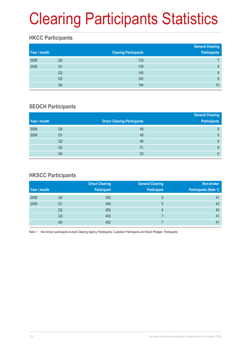# Clearing Participants Statistics

### **HKCC Participants**

| Year / month |                | <b>Clearing Participants</b> | <b>General Clearing</b><br><b>Participants</b> |
|--------------|----------------|------------------------------|------------------------------------------------|
| 2008         | Q4             | 133                          |                                                |
| 2009         | Q1             | 139                          | 8                                              |
|              | Q2             | 140                          | 9                                              |
|              | Q <sub>3</sub> | 142                          | 9                                              |
|              | Q4             | 144                          | 10                                             |

### **SEOCH Participants**

|              |    |                                     | <b>General Clearing</b> |
|--------------|----|-------------------------------------|-------------------------|
| Year / month |    | <b>Direct Clearing Participants</b> | <b>Participants</b>     |
| 2008         | Q4 | 49                                  | 5                       |
| 2009         | Q1 | 48                                  | 6                       |
|              | Q2 | 49                                  | 6                       |
|              | Q3 | 51                                  | 6                       |
|              | Q4 | 53                                  | 6                       |

### **HKSCC Participants**

|              |                | <b>Direct Clearing</b> | <b>General Clearing</b> | Non-broker                   |
|--------------|----------------|------------------------|-------------------------|------------------------------|
| Year / month |                | <b>Participant</b>     | <b>Participant</b>      | <b>Participants (Note 1)</b> |
| 2008         | Q4             | 452                    | 5                       | 41                           |
| 2009         | Q1             | 454                    | 5                       | 42                           |
|              | Q2             | 450                    | 6                       | 40                           |
|              | Q <sub>3</sub> | 453                    |                         | 41                           |
|              | Q4             | 452                    |                         | 41                           |

Note 1: Non-broker participants include Clearing Agency Participants, Custodian Participants and Stock Pledgee Participants.